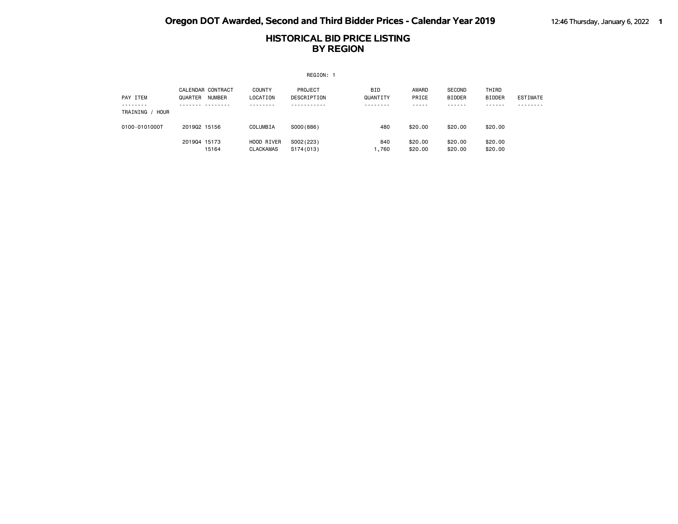|                                |              |                                    |                                      | REGION: 1              |                                |                             |                                        |                                       |                 |
|--------------------------------|--------------|------------------------------------|--------------------------------------|------------------------|--------------------------------|-----------------------------|----------------------------------------|---------------------------------------|-----------------|
| PAY ITEM<br>TRAINING /<br>HOUR | QUARTER      | CALENDAR CONTRACT<br><b>NUMBER</b> | <b>COUNTY</b><br>LOCATION<br>- - - - | PROJECT<br>DESCRIPTION | <b>BID</b><br>QUANTITY<br>---- | AWARD<br>PRICE<br>- - - - - | SECOND<br><b>BIDDER</b><br>- - - - - - | THIRD<br><b>BIDDER</b><br>- - - - - - | <b>ESTIMATE</b> |
| 0100-0101000T                  | 201902 15156 |                                    | COLUMBIA                             | SO00(886)              | 480                            | \$20,00                     | \$20.00                                | \$20,00                               |                 |
|                                | 201904 15173 | 15164                              | HOOD RIVER<br><b>CLACKAMAS</b>       | S002(223)<br>S174(013) | 840<br>,760                    | \$20,00<br>\$20,00          | \$20.00<br>\$20.00                     | \$20.00<br>\$20.00                    |                 |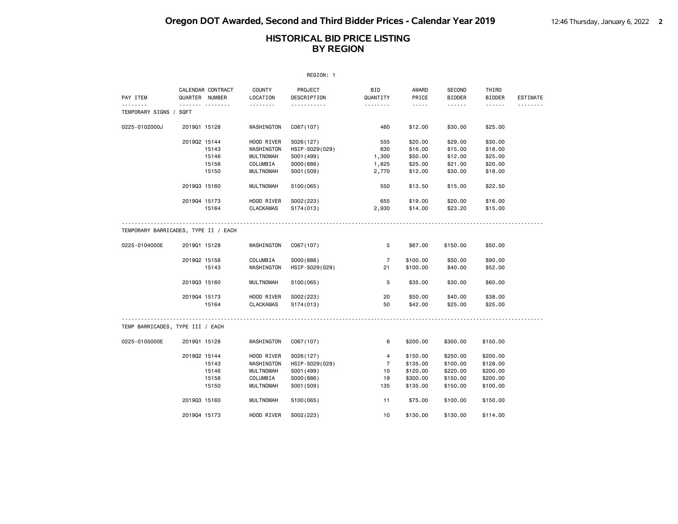|                                      |              |                                     |                    | REGION: 1              |                 |                |                         |                        |                 |
|--------------------------------------|--------------|-------------------------------------|--------------------|------------------------|-----------------|----------------|-------------------------|------------------------|-----------------|
| PAY ITEM                             |              | CALENDAR CONTRACT<br>QUARTER NUMBER | COUNTY<br>LOCATION | PROJECT<br>DESCRIPTION | BID<br>QUANTITY | AWARD<br>PRICE | SECOND<br><b>BIDDER</b> | THIRD<br><b>BIDDER</b> | <b>ESTIMATE</b> |
| .<br>TEMPORARY SIGNS / SQFT          |              | .                                   | .                  | .                      | .               | .              |                         | .                      | <u>.</u>        |
| 0225-0102000J                        | 201901 15128 |                                     | WASHINGTON         | C067(107)              | 460             | \$12.00        | \$30.00                 | \$25.00                |                 |
|                                      | 201902 15144 |                                     | HOOD RIVER         | S026(127)              | 555             | \$20.00        | \$29.00                 | \$30.00                |                 |
|                                      |              | 15143                               | WASHINGTON         | HSIP-S029(029)         | 630             | \$16.00        | \$15.00                 | \$18.00                |                 |
|                                      |              | 15146                               | <b>MULTNOMAH</b>   | S001 (499)             | 1,300           | \$50.00        | \$12.00                 | \$25.00                |                 |
|                                      |              | 15156                               | COLUMBIA           | S000(886)              | 1,825           | \$25.00        | \$21.00                 | \$20.00                |                 |
|                                      |              | 15150                               | <b>MULTNOMAH</b>   | S001 (509)             | 2,770           | \$12.00        | \$30.00                 | \$18.00                |                 |
|                                      | 201903 15160 |                                     | <b>MULTNOMAH</b>   | S100(065)              | 550             | \$13.50        | \$15.00                 | \$22.50                |                 |
|                                      | 201904 15173 |                                     | HOOD RIVER         | S002(223)              | 655             | \$19.00        | \$20.00                 | \$16.00                |                 |
|                                      |              | 15164                               | <b>CLACKAMAS</b>   | S174(013)              | 2,930           | \$14.00        | \$23.20                 | \$15.00                |                 |
| TEMPORARY BARRICADES, TYPE II / EACH |              |                                     |                    |                        |                 |                |                         |                        |                 |
| 0225-0104000E                        | 201901 15128 |                                     | WASHINGTON         | C067(107)              | 5               | \$67.00        | \$150.00                | \$50.00                |                 |
|                                      | 201902 15156 |                                     | COLUMBIA           | S000(886)              | $\overline{7}$  | \$100.00       | \$50.00                 | \$90.00                |                 |
|                                      |              | 15143                               | WASHINGTON         | HSIP-S029(029)         | 21              | \$100.00       | \$40.00                 | \$52.00                |                 |
|                                      | 201903 15160 |                                     | <b>MULTNOMAH</b>   | S100(065)              | 5               | \$35.00        | \$30.00                 | \$60.00                |                 |
|                                      | 201904 15173 |                                     | HOOD RIVER         | S002(223)              | 20              | \$50.00        | \$40.00                 | \$38.00                |                 |
|                                      |              | 15164                               | <b>CLACKAMAS</b>   | S174(013)              | 50              | \$42.00        | \$25.00                 | \$25.00                |                 |
| TEMP BARRICADES, TYPE III / EACH     |              |                                     |                    |                        |                 |                |                         |                        |                 |
| 0225-0105000E                        | 201901 15128 |                                     | WASHINGTON         | C067(107)              | 6               | \$200.00       | \$300.00                | \$150.00               |                 |
|                                      | 201902 15144 |                                     | HOOD RIVER         | S026(127)              | 4               | \$150.00       | \$250.00                | \$200.00               |                 |
|                                      |              | 15143                               | WASHINGTON         | HSIP-S029(029)         | $\overline{7}$  | \$135.00       | \$100.00                | \$128.00               |                 |
|                                      |              | 15146                               | <b>MULTNOMAH</b>   | S001 (499)             | 10              | \$120.00       | \$220.00                | \$200.00               |                 |
|                                      |              | 15156                               | COLUMBIA           | S000(886)              | 19              | \$300.00       | \$150.00                | \$200.00               |                 |
|                                      |              | 15150                               | <b>MULTNOMAH</b>   | S001 (509)             | 135             | \$135.00       | \$150.00                | \$100.00               |                 |
|                                      | 201903 15160 |                                     | <b>MULTNOMAH</b>   | S100(065)              | 11              | \$75.00        | \$100.00                | \$150.00               |                 |
|                                      | 201904 15173 |                                     | HOOD RIVER         | S002(223)              | 10              | \$130.00       | \$130.00                | \$114.00               |                 |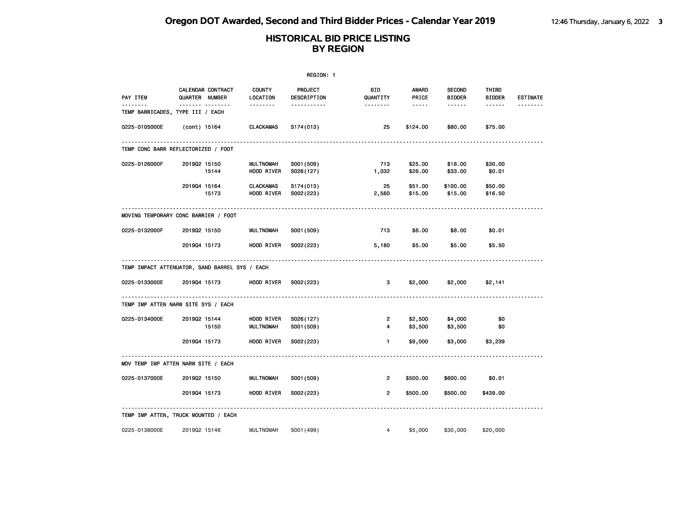| REGION: 1     |                                                       |                           |                               |                 |                       |                                |                        |                 |  |
|---------------|-------------------------------------------------------|---------------------------|-------------------------------|-----------------|-----------------------|--------------------------------|------------------------|-----------------|--|
| PAY ITEM      | CALENDAR CONTRACT<br>QUARTER NUMBER                   | <b>COUNTY</b><br>LOCATION | PROJECT<br>DESCRIPTION        | BID<br>QUANTITY | <b>AWARD</b><br>PRICE | <b>SECOND</b><br><b>BIDDER</b> | THIRD<br><b>BIDDER</b> | <b>ESTIMATE</b> |  |
| <u>.</u>      | -------- --------<br>TEMP BARRICADES, TYPE III / EACH |                           | <u> - - - - - - - - - - -</u> |                 | $\frac{1}{2}$         | ------                         | $- - - - - -$          | --------        |  |
| 0225-0105000E | (cont) 15164                                          | <b>CLACKAMAS</b>          | S174(013)                     | 25              | \$124.00              | \$80.00                        | \$75.00                |                 |  |
|               | TEMP CONC BARR REFLECTORIZED / FOOT                   |                           |                               |                 |                       |                                |                        |                 |  |
| 0225-0126000F | 201902 15150<br>15144                                 | MULTNOMAH<br>HOOD RIVER   | S001 (509)<br>S026(127)       | 713<br>1,032    | \$25.00<br>\$26.00    | \$18.00<br>\$33.00             | \$30.00<br>\$0.01      |                 |  |
|               | 201904 15164<br>15173                                 | CLACKAMAS<br>HOOD RIVER   | S174(013)<br>S002(223)        | 25<br>2,560     | \$51.00<br>\$15.00    | \$100.00<br>\$15.00            | \$50.00<br>\$16.50     |                 |  |
|               | MOVING TEMPORARY CONC BARRIER / FOOT                  |                           |                               |                 |                       |                                |                        |                 |  |
| 0225-0132000F | 201902 15150                                          | MULTNOMAH                 | S001 (509)                    | 713             | \$6.00                | \$8.00                         | \$0.01                 |                 |  |
|               | 201904 15173                                          | HOOD RIVER                | S002(223)                     | 5,180           | \$5.00                | \$5.00                         | \$5.50                 |                 |  |
|               | TEMP IMPACT ATTENUATOR, SAND BARREL SYS / EACH        |                           |                               |                 |                       |                                |                        |                 |  |
| 0225-0133000E | 201904 15173                                          | HOOD RIVER                | S002(223)                     | 3               | \$2,000               | \$2,000                        | \$2,141                |                 |  |
|               | TEMP IMP ATTEN NARW SITE SYS / EACH                   |                           |                               |                 |                       |                                |                        |                 |  |
| 0225-0134000E | 201902 15144<br>15150                                 | HOOD RIVER<br>MULTNOMAH   | S026(127)<br>S001 (509)       | 2<br>4          | \$2,500<br>\$3,500    | \$4,000<br>\$3,500             | \$0<br>\$0             |                 |  |
|               | 201904 15173                                          | HOOD RIVER                | S002(223)                     | $\blacksquare$  | \$9,000               | \$3,000                        | \$3,239                |                 |  |
|               | MOV TEMP IMP ATTEN NARW SITE / EACH                   |                           |                               |                 |                       |                                |                        |                 |  |
| 0225-0137000E | 201902 15150                                          | <b>MULTNOMAH</b>          | S001 (509)                    | $\overline{2}$  | \$500.00              | \$600.00                       | \$0.01                 |                 |  |
|               | 201904 15173                                          | HOOD RIVER                | S002(223)                     | $\overline{2}$  | \$500.00              | \$500.00                       | \$439.00               |                 |  |
|               | TEMP IMP ATTEN, TRUCK MOUNTED / EACH                  |                           |                               |                 |                       |                                |                        |                 |  |
| 0225-0138000E | 201902 15146                                          | <b>MULTNOMAH</b>          | S001 (499)                    | $\overline{4}$  | \$5,000               | \$30,000                       | \$20,000               |                 |  |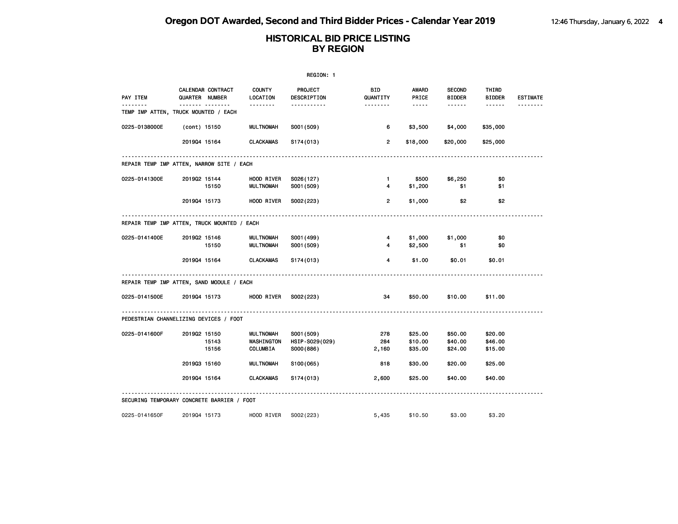|                                             |              |                                     |                                     | REGION: 1                                 |                        |                                                                                                                                                      |                                |                               |                 |
|---------------------------------------------|--------------|-------------------------------------|-------------------------------------|-------------------------------------------|------------------------|------------------------------------------------------------------------------------------------------------------------------------------------------|--------------------------------|-------------------------------|-----------------|
| PAY ITEM                                    |              | CALENDAR CONTRACT<br>QUARTER NUMBER | <b>COUNTY</b><br>LOCATION           | PROJECT<br>DESCRIPTION                    | <b>BID</b><br>QUANTITY | <b>AWARD</b><br>PRICE                                                                                                                                | <b>SECOND</b><br><b>BIDDER</b> | THIRD<br><b>BIDDER</b>        | <b>ESTIMATE</b> |
| TEMP IMP ATTEN, TRUCK MOUNTED / EACH        |              | .                                   |                                     | -----------                               | <u>.</u>               | $\frac{1}{2} \left( \frac{1}{2} \right) \left( \frac{1}{2} \right) \left( \frac{1}{2} \right) \left( \frac{1}{2} \right) \left( \frac{1}{2} \right)$ | .                              | ------                        | <u>.</u>        |
| 0225-0138000E                               | (cont) 15150 |                                     | <b>MULTNOMAH</b>                    | S001 (509)                                | 6                      | \$3,500                                                                                                                                              | \$4,000                        | \$35,000                      |                 |
|                                             | 201904 15164 |                                     | <b>CLACKAMAS</b>                    | S174(013)                                 | $\overline{2}$         | \$18,000                                                                                                                                             | \$20,000                       | \$25,000                      |                 |
| REPAIR TEMP IMP ATTEN, NARROW SITE / EACH   |              |                                     |                                     |                                           |                        |                                                                                                                                                      |                                |                               |                 |
| 0225-0141300E                               | 201902 15144 | 15150                               | HOOD RIVER<br><b>MULTNOMAH</b>      | S026(127)<br>S001 (509)                   | $\mathbf{1}$<br>4      | \$500<br>\$1,200                                                                                                                                     | \$6,250<br>\$1                 | \$0<br>\$1                    |                 |
|                                             | 201904 15173 |                                     | HOOD RIVER                          | S002(223)                                 | $\mathbf{2}$           | \$1,000                                                                                                                                              | \$2                            | \$2                           |                 |
| REPAIR TEMP IMP ATTEN, TRUCK MOUNTED / EACH |              |                                     |                                     |                                           |                        |                                                                                                                                                      |                                |                               |                 |
| 0225-0141400E                               | 201902 15146 | 15150                               | <b>MULTNOMAH</b><br>MULTNOMAH       | S001 (499)<br>S001 (509)                  | 4<br>4                 | \$1,000<br>\$2,500                                                                                                                                   | \$1,000<br>\$1                 | \$0<br>\$0                    |                 |
|                                             | 201904 15164 |                                     | <b>CLACKAMAS</b>                    | S174 (013)                                | 4                      | \$1.00                                                                                                                                               | \$0.01                         | \$0.01                        |                 |
| REPAIR TEMP IMP ATTEN, SAND MODULE / EACH   |              |                                     |                                     |                                           |                        |                                                                                                                                                      |                                |                               |                 |
| 0225-0141500E                               | 201904 15173 |                                     | HOOD RIVER                          | S002(223)                                 | 34                     | \$50.00                                                                                                                                              | \$10.00                        | \$11.00                       |                 |
| PEDESTRIAN CHANNELIZING DEVICES / FOOT      |              |                                     |                                     |                                           |                        |                                                                                                                                                      |                                |                               |                 |
| 0225-0141600F                               | 201902 15150 | 15143<br>15156                      | MULTNOMAH<br>WASHINGTON<br>COLUMBIA | S001 (509)<br>HSIP-S029(029)<br>S000(886) | 278<br>284<br>2,160    | \$25.00<br>\$10.00<br>\$35.00                                                                                                                        | \$50.00<br>\$40.00<br>\$24.00  | \$20.00<br>\$46.00<br>\$15.00 |                 |
|                                             | 201903 15160 |                                     | <b>MULTNOMAH</b>                    | S100(065)                                 | 818                    | \$30.00                                                                                                                                              | \$20.00                        | \$25.00                       |                 |
|                                             | 201904 15164 |                                     | <b>CLACKAMAS</b>                    | S174(013)                                 | 2,600                  | \$25.00                                                                                                                                              | \$40.00                        | \$40.00                       |                 |
| SECURING TEMPORARY CONCRETE BARRIER / FOOT  |              |                                     |                                     |                                           |                        |                                                                                                                                                      |                                |                               |                 |
| 0225-0141650F                               | 201904 15173 |                                     | HOOD RIVER                          | S002(223)                                 | 5,435                  | \$10.50                                                                                                                                              | \$3,00                         | \$3.20                        |                 |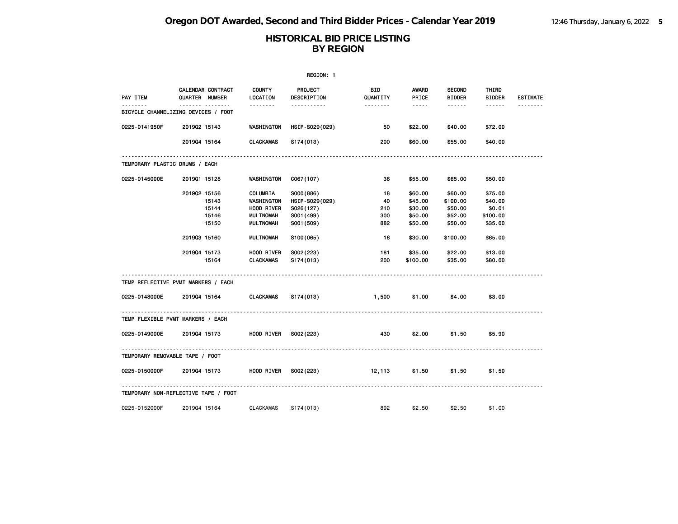|                                               |                |                   |                           | REGION: 1              |                        |                                                                                                               |                                |                        |                 |
|-----------------------------------------------|----------------|-------------------|---------------------------|------------------------|------------------------|---------------------------------------------------------------------------------------------------------------|--------------------------------|------------------------|-----------------|
| PAY ITEM                                      | QUARTER NUMBER | CALENDAR CONTRACT | <b>COUNTY</b><br>LOCATION | PROJECT<br>DESCRIPTION | <b>BID</b><br>QUANTITY | AWARD<br>PRICE                                                                                                | <b>SECOND</b><br><b>BIDDER</b> | THIRD<br><b>BIDDER</b> | <b>ESTIMATE</b> |
| ------<br>BICYCLE CHANNELIZING DEVICES / FOOT |                | .                 |                           | <u>.</u>               | --------               | $\frac{1}{2} \frac{1}{2} \frac{1}{2} \frac{1}{2} \frac{1}{2} \frac{1}{2} \frac{1}{2} \frac{1}{2} \frac{1}{2}$ | ------                         | ------                 |                 |
| 0225-0141950F                                 | 201902 15143   |                   | WASHINGTON                | HSIP-S029(029)         | 50                     | \$22.00                                                                                                       | \$40.00                        | \$72.00                |                 |
|                                               | 201904 15164   |                   | CLACKAMAS                 | S174(013)              | 200                    | \$60.00                                                                                                       | \$55.00                        | \$40.00                |                 |
| TEMPORARY PLASTIC DRUMS / EACH                |                |                   |                           |                        |                        |                                                                                                               |                                |                        |                 |
| 0225-0145000E                                 | 201901 15128   |                   | <b>WASHINGTON</b>         | C067(107)              | 36                     | \$55.00                                                                                                       | \$65.00                        | \$50.00                |                 |
|                                               | 201902 15156   |                   | COLUMBIA                  | S000(886)              | 18                     | \$60.00                                                                                                       | \$60.00                        | \$75.00                |                 |
|                                               |                | 15143             | WASHINGTON                | HSIP-S029(029)         | 40                     | \$45.00                                                                                                       | \$100.00                       | \$40.00                |                 |
|                                               |                | 15144             | HOOD RIVER                | S026(127)              | 210                    | \$30.00                                                                                                       | \$50.00                        | \$0.01                 |                 |
|                                               |                | 15146             | <b>MULTNOMAH</b>          | S001 (499)             | 300                    | \$50.00                                                                                                       | \$52.00                        | \$100.00               |                 |
|                                               |                | 15150             | MULTNOMAH                 | S001 (509)             | 882                    | \$50.00                                                                                                       | \$50.00                        | \$35.00                |                 |
|                                               | 201903 15160   |                   | MULTNOMAH                 | S <sub>100</sub> (065) | - 16                   | \$30.00                                                                                                       | \$100.00                       | \$65.00                |                 |
|                                               | 201904 15173   |                   | <b>HOOD RIVER</b>         | S002(223)              | 181                    | \$35.00                                                                                                       | \$22.00                        | \$13.00                |                 |
|                                               |                | 15164             | CLACKAMAS                 | S174(013)              | 200                    | \$100.00                                                                                                      | \$35.00                        | \$80.00                |                 |
| TEMP REFLECTIVE PVMT MARKERS / EACH           |                |                   |                           |                        |                        |                                                                                                               |                                |                        |                 |
| 0225-0148000E 2019Q4 15164 CLACKAMAS          |                |                   |                           | S174(013)              | 1,500                  | \$1.00                                                                                                        | \$4.00                         | \$3.00                 |                 |
| TEMP FLEXIBLE PVMT MARKERS / EACH             |                |                   |                           |                        |                        |                                                                                                               |                                |                        |                 |
| 0225-0149000E 2019Q4 15173                    |                |                   | HOOD RIVER S002(223)      |                        | 430                    | \$2.00                                                                                                        | \$1.50                         | \$5.90                 |                 |
| TEMPORARY REMOVABLE TAPE / FOOT               |                |                   |                           |                        |                        |                                                                                                               |                                |                        |                 |
|                                               |                |                   |                           |                        | 12,113                 | \$1.50                                                                                                        | \$1.50                         | \$1.50                 |                 |
| TEMPORARY NON-REFLECTIVE TAPE / FOOT          |                |                   |                           |                        |                        |                                                                                                               |                                |                        |                 |
| 0225-0152000F                                 | 201904 15164   |                   | CLACKAMAS                 | S174(013)              | 892                    | \$2.50                                                                                                        | \$2.50                         | \$1.00                 |                 |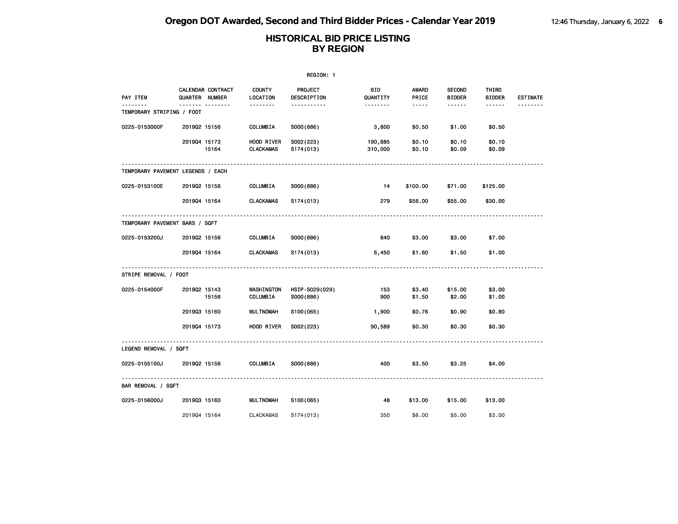|                                   |              |                                                   |                                | REGION: 1                     |                        |                                                                                                               |                                |                               |                 |
|-----------------------------------|--------------|---------------------------------------------------|--------------------------------|-------------------------------|------------------------|---------------------------------------------------------------------------------------------------------------|--------------------------------|-------------------------------|-----------------|
| PAY ITEM                          |              | <b>CALENDAR CONTRACT</b><br><b>QUARTER NUMBER</b> | <b>COUNTY</b><br>LOCATION      | <b>PROJECT</b><br>DESCRIPTION | <b>BID</b><br>QUANTITY | <b>AWARD</b><br>PRICE                                                                                         | <b>SECOND</b><br><b>BIDDER</b> | <b>THIRD</b><br><b>BIDDER</b> | <b>ESTIMATE</b> |
| TEMPORARY STRIPING / FOOT         |              | <u>.</u>                                          | <u>.</u>                       | <u>.</u>                      | <u>.</u>               | $\frac{1}{2} \frac{1}{2} \frac{1}{2} \frac{1}{2} \frac{1}{2} \frac{1}{2} \frac{1}{2} \frac{1}{2} \frac{1}{2}$ | ------                         | ------                        | --------        |
| 0225-0153000F                     | 201902 15156 |                                                   | COLUMBIA                       | S000(886)                     | 3,800                  | \$0.50                                                                                                        | \$1.00                         | \$0.50                        |                 |
|                                   | 201904 15173 | 15164                                             | HOOD RIVER<br><b>CLACKAMAS</b> | S002(223)<br>S174(013)        | 190,885<br>310,000     | \$0.10<br>\$0.10                                                                                              | \$0.10<br>\$0.09               | \$0.10<br>\$0.09              |                 |
| TEMPORARY PAVEMENT LEGENDS / EACH |              |                                                   |                                |                               |                        |                                                                                                               |                                |                               |                 |
| 0225-0153100E                     | 201902 15156 |                                                   | COLUMBIA                       | S000(886)                     | -14                    | \$100.00                                                                                                      | \$71.00                        | \$125.00                      |                 |
|                                   | 201904 15164 |                                                   | <b>CLACKAMAS</b>               | S174(013)                     | 279                    | \$56.00                                                                                                       | \$55.00                        | \$30.00                       |                 |
| TEMPORARY PAVEMENT BARS / SQFT    |              |                                                   |                                |                               |                        |                                                                                                               |                                |                               |                 |
| 0225-0153200J                     | 201902 15156 |                                                   | COLUMBIA                       | S000(886)                     | 840                    | \$3.00                                                                                                        | \$3.00                         | \$7.00                        |                 |
|                                   | 201904 15164 |                                                   | CLACKAMAS                      | S174(013)                     | 6,450                  | \$1.60                                                                                                        | \$1.50                         | \$1.00                        |                 |
| STRIPE REMOVAL / FOOT             |              |                                                   |                                |                               |                        |                                                                                                               |                                |                               |                 |
| 0225-0154000F                     | 201902 15143 | 15156                                             | WASHINGTON<br>COLUMBIA         | HSIP-S029(029)<br>S000(886)   | 153<br>900             | \$3.40<br>\$1.50                                                                                              | \$15.00<br>\$2.00              | \$3.00<br>\$1.00              |                 |
|                                   | 201903 15160 |                                                   | <b>MULTNOMAH</b>               | S100(065)                     | 1,900                  | \$0.76                                                                                                        | \$0.90                         | \$0.80                        |                 |
|                                   | 201904 15173 |                                                   | HOOD RIVER                     | S002(223)                     | 90,589                 | \$0.30                                                                                                        | \$0.30                         | \$0.30                        |                 |
| LEGEND REMOVAL / SQFT             |              |                                                   |                                |                               |                        |                                                                                                               |                                |                               |                 |
| 0225-0155100J                     | 201902 15156 |                                                   | COLUMBIA                       | S000(886)                     | 400                    | \$3.50                                                                                                        | \$3.25                         | \$4.00                        |                 |
| BAR REMOVAL / SQFT                |              |                                                   |                                |                               |                        |                                                                                                               |                                |                               |                 |
| 0225-0156000J                     | 201903 15160 |                                                   | <b>MULTNOMAH</b>               | S100(065)                     | 48                     | \$13.00                                                                                                       | \$15.00                        | \$13.00                       |                 |
|                                   | 201904 15164 |                                                   | <b>CLACKAMAS</b>               | S174(013)                     | 350                    | \$6.00                                                                                                        | \$5.00                         | \$3.00                        |                 |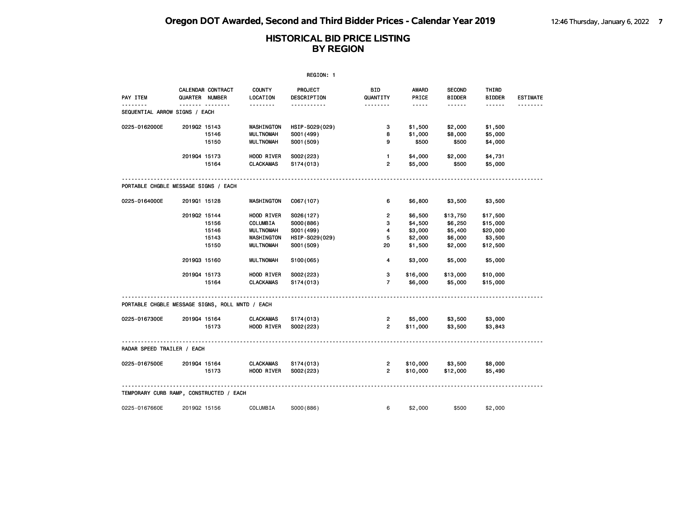|                                                 |              |                                            |                           | REGION: 1              |                         |                       |                                |                        |                 |
|-------------------------------------------------|--------------|--------------------------------------------|---------------------------|------------------------|-------------------------|-----------------------|--------------------------------|------------------------|-----------------|
| PAY ITEM                                        |              | CALENDAR CONTRACT<br><b>QUARTER NUMBER</b> | <b>COUNTY</b><br>LOCATION | PROJECT<br>DESCRIPTION | <b>BID</b><br>QUANTITY  | <b>AWARD</b><br>PRICE | <b>SECOND</b><br><b>BIDDER</b> | THIRD<br><b>BIDDER</b> | <b>ESTIMATE</b> |
| .<br>SEQUENTIAL ARROW SIGNS / EACH              |              | <b>.</b>                                   | <u>.</u>                  | <u>.</u>               | <u>.</u>                | $- - - - -$           | $- - - - - -$                  | ------                 | .               |
| 0225-0162000E                                   | 201902 15143 |                                            | WASHINGTON                | HSIP-S029(029)         | з                       | \$1,500               | \$2,000                        | \$1,500                |                 |
|                                                 |              | 15146                                      | <b>MULTNOMAH</b>          | S001 (499)             | 8                       | \$1,000               | \$8,000                        | \$5,000                |                 |
|                                                 |              | 15150                                      | <b>MULTNOMAH</b>          | S001 (509)             | 9                       | \$500                 | \$500                          | \$4,000                |                 |
|                                                 | 201904 15173 |                                            | HOOD RIVER                | S002(223)              | $\mathbf{1}$            | \$4,000               | \$2,000                        | \$4,731                |                 |
|                                                 |              | 15164                                      | <b>CLACKAMAS</b>          | S174(013)              | $\overline{2}$          | \$5,000               | \$500                          | \$5,000                |                 |
| PORTABLE CHGBLE MESSAGE SIGNS / EACH            |              |                                            |                           |                        |                         |                       |                                |                        |                 |
| 0225-0164000E                                   | 201901 15128 |                                            | WASHINGTON                | C067(107)              | 6                       | \$6,800               | \$3,500                        | \$3,500                |                 |
|                                                 | 201902 15144 |                                            | HOOD RIVER                | S026(127)              | $\overline{2}$          | \$6,500               | \$13,750                       | \$17,500               |                 |
|                                                 |              | 15156                                      | COLUMBIA                  | S000(886)              | 3                       | \$4,500               | \$6,250                        | \$15,000               |                 |
|                                                 |              | 15146                                      | <b>MULTNOMAH</b>          | S001 (499)             | $\overline{\mathbf{4}}$ | \$3,000               | \$5,400                        | \$20,000               |                 |
|                                                 |              | 15143                                      | WASHINGTON                | HSIP-S029(029)         | 5                       | \$2,000               | \$6,000                        | \$3,500                |                 |
|                                                 |              | 15150                                      | <b>MULTNOMAH</b>          | S001 (509)             | 20                      | \$1,500               | \$2,000                        | \$12,500               |                 |
|                                                 | 201903 15160 |                                            | <b>MULTNOMAH</b>          | S100(065)              | 4                       | \$3,000               | \$5,000                        | \$5,000                |                 |
|                                                 | 201904 15173 |                                            | HOOD RIVER                | S002(223)              | 3                       | \$16,000              | \$13,000                       | \$10,000               |                 |
|                                                 |              | 15164                                      | <b>CLACKAMAS</b>          | S174(013)              | $\overline{7}$          | \$6,000               | \$5,000                        | \$15,000               |                 |
| PORTABLE CHGBLE MESSAGE SIGNS, ROLL MNTD / EACH |              |                                            |                           |                        |                         |                       |                                |                        |                 |
| 0225-0167300E                                   | 201904 15164 |                                            | <b>CLACKAMAS</b>          | S174(013)              | $\overline{2}$          | \$5,000               | \$3,500                        | \$3,000                |                 |
|                                                 |              | 15173                                      | HOOD RIVER                | S002(223)              | $\overline{2}$          | \$11,000              | \$3,500                        | \$3,843                |                 |
| RADAR SPEED TRAILER / EACH                      |              |                                            |                           |                        |                         |                       |                                |                        |                 |
| 0225-0167500E                                   | 201904 15164 |                                            | <b>CLACKAMAS</b>          | S174(013)              | 2                       | \$10,000              | \$3,500                        | \$8,000                |                 |
|                                                 |              | 15173                                      | HOOD RIVER                | S002(223)              | $\overline{2}$          | \$10,000              | \$12,000                       | \$5,490                |                 |
| TEMPORARY CURB RAMP, CONSTRUCTED / EACH         |              |                                            |                           |                        |                         |                       |                                |                        |                 |
|                                                 |              |                                            |                           |                        |                         |                       |                                |                        |                 |
| 0225-0167660E                                   | 201902 15156 |                                            | COLUMBIA                  | S000(886)              | 6                       | \$2,000               | \$500                          | \$2,000                |                 |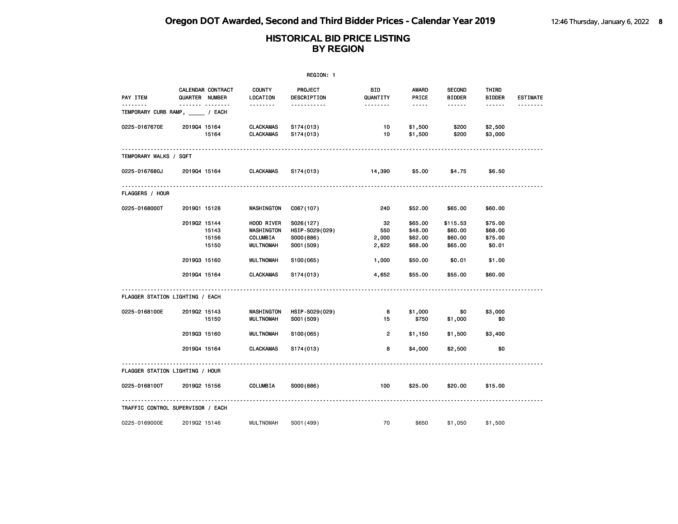|                                               | REGION: 1      |                         |                                                          |                                                        |                             |                                                                                                               |                                           |                                         |                 |  |  |
|-----------------------------------------------|----------------|-------------------------|----------------------------------------------------------|--------------------------------------------------------|-----------------------------|---------------------------------------------------------------------------------------------------------------|-------------------------------------------|-----------------------------------------|-----------------|--|--|
| PAY ITEM                                      | QUARTER NUMBER | CALENDAR CONTRACT       | <b>COUNTY</b><br>LOCATION                                | PROJECT<br>DESCRIPTION                                 | BID<br>QUANTITY             | AWARD<br>PRICE                                                                                                | <b>SECOND</b><br><b>BIDDER</b>            | THIRD<br><b>BIDDER</b>                  | <b>ESTIMATE</b> |  |  |
| <u>.</u><br>TEMPORARY CURB RAMP, _____ / EACH |                |                         | <u>.</u>                                                 | .                                                      | --------                    | $\frac{1}{2} \frac{1}{2} \frac{1}{2} \frac{1}{2} \frac{1}{2} \frac{1}{2} \frac{1}{2} \frac{1}{2} \frac{1}{2}$ | ------                                    | ------                                  | <u>.</u>        |  |  |
| 0225-0167670E                                 | 201904 15164   | 15164                   | <b>CLACKAMAS</b><br><b>CLACKAMAS</b>                     | S174(013)<br>S174(013)                                 | 10<br>10                    | \$1,500<br>\$1,500                                                                                            | \$200<br>\$200                            | \$2,500<br>\$3,000                      |                 |  |  |
| TEMPORARY WALKS / SQFT                        |                |                         |                                                          |                                                        |                             |                                                                                                               |                                           |                                         |                 |  |  |
| 0225-0167680J                                 | 201904 15164   |                         | <b>CLACKAMAS</b>                                         | S174(013)                                              | 14,390                      | \$5.00                                                                                                        | \$4.75                                    | \$6.50                                  |                 |  |  |
| <b>FLAGGERS / HOUR</b>                        |                |                         |                                                          |                                                        |                             |                                                                                                               |                                           |                                         |                 |  |  |
| 0225-0168000T                                 | 201901 15128   |                         | WASHINGTON                                               | C067(107)                                              | 240                         | \$52.00                                                                                                       | \$65.00                                   | \$60.00                                 |                 |  |  |
|                                               | 201902 15144   | 15143<br>15156<br>15150 | HOOD RIVER<br>WASHINGTON<br>COLUMBIA<br><b>MULTNOMAH</b> | S026(127)<br>HSIP-S029(029)<br>S000(886)<br>S001 (509) | 32<br>550<br>2,000<br>2,622 | \$65.00<br>\$48.00<br>\$62.00<br>\$68.00                                                                      | \$115.53<br>\$60.00<br>\$60.00<br>\$65.00 | \$75.00<br>\$68.00<br>\$75.00<br>\$0.01 |                 |  |  |
|                                               | 201903 15160   |                         | <b>MULTNOMAH</b>                                         | S100(065)                                              | 1,000                       | \$50.00                                                                                                       | \$0.01                                    | \$1.00                                  |                 |  |  |
|                                               | 201904 15164   |                         | <b>CLACKAMAS</b>                                         | S174(013)                                              | 4,652                       | \$55.00                                                                                                       | \$55.00                                   | \$60.00                                 |                 |  |  |
| FLAGGER STATION LIGHTING / EACH               |                |                         |                                                          |                                                        |                             |                                                                                                               |                                           |                                         |                 |  |  |
| 0225-0168100E                                 | 201902 15143   | 15150                   | WASHINGTON<br><b>MULTNOMAH</b>                           | HSIP-S029(029)<br>S001 (509)                           | 8<br>15                     | \$1,000<br>\$750                                                                                              | \$0<br>\$1,000                            | \$3,000<br>\$0                          |                 |  |  |
|                                               | 201903 15160   |                         | <b>MULTNOMAH</b>                                         | S100(065)                                              | $\overline{2}$              | \$1,150                                                                                                       | \$1,500                                   | \$3,400                                 |                 |  |  |
|                                               | 201904 15164   |                         | <b>CLACKAMAS</b>                                         | S174(013)                                              | 8                           | \$4,000                                                                                                       | \$2,500                                   | \$0                                     |                 |  |  |
| FLAGGER STATION LIGHTING / HOUR               |                |                         |                                                          |                                                        |                             |                                                                                                               |                                           |                                         |                 |  |  |
| 0225-0168100T                                 | 201902 15156   |                         | COLUMBIA                                                 | S000(886)                                              | 100                         | \$25.00                                                                                                       | \$20.00                                   | \$15.00                                 |                 |  |  |
| TRAFFIC CONTROL SUPERVISOR / EACH             |                |                         |                                                          |                                                        |                             |                                                                                                               |                                           |                                         |                 |  |  |
| 0225-0169000E                                 | 201902 15146   |                         | <b>MULTNOMAH</b>                                         | S001 (499)                                             | 70                          | \$650                                                                                                         | \$1,050                                   | \$1,500                                 |                 |  |  |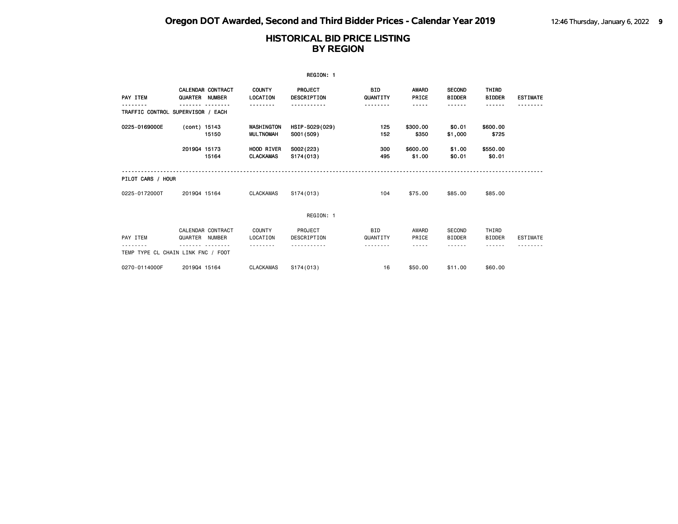|                                    |                |                                           |                                | REGION: 1                     |                             |                             |                                        |                                       |                 |
|------------------------------------|----------------|-------------------------------------------|--------------------------------|-------------------------------|-----------------------------|-----------------------------|----------------------------------------|---------------------------------------|-----------------|
| PAY ITEM                           | QUARTER        | <b>CALENDAR CONTRACT</b><br><b>NUMBER</b> | <b>COUNTY</b><br>LOCATION      | PROJECT<br><b>DESCRIPTION</b> | <b>BID</b><br>QUANTITY      | <b>AWARD</b><br>PRICE       | <b>SECOND</b><br><b>BIDDER</b>         | THIRD<br><b>BIDDER</b>                | <b>ESTIMATE</b> |
| TRAFFIC CONTROL SUPERVISOR / EACH  |                |                                           |                                |                               | -------                     |                             | -----                                  | ------                                |                 |
| 0225-0169000E                      | (cont) 15143   | 15150                                     | WASHINGTON<br><b>MULTNOMAH</b> | HSIP-S029(029)<br>S001 (509)  | 125<br>152                  | \$300.00<br>\$350           | \$0.01<br>\$1,000                      | \$600.00<br>\$725                     |                 |
|                                    | 201904 15173   | 15164                                     | HOOD RIVER<br><b>CLACKAMAS</b> | S002(223)<br>S174(013)        | 300<br>495                  | \$600.00<br>\$1.00          | \$1.00<br>\$0.01                       | \$550.00<br>\$0.01                    |                 |
| PILOT CARS / HOUR                  |                |                                           |                                |                               |                             |                             |                                        |                                       |                 |
| 0225-0172000T                      | 201904 15164   |                                           | <b>CLACKAMAS</b>               | S174(013)                     | 104                         | \$75.00                     | \$85.00                                | \$85.00                               |                 |
|                                    |                |                                           |                                | REGION: 1                     |                             |                             |                                        |                                       |                 |
| PAY ITEM                           | QUARTER NUMBER | CALENDAR CONTRACT                         | <b>COUNTY</b><br>LOCATION      | PROJECT<br>DESCRIPTION        | <b>BID</b><br>QUANTITY<br>. | AWARD<br>PRICE<br>- - - - - | SECOND<br><b>BIDDER</b><br>- - - - - - | THIRD<br><b>BIDDER</b><br>- - - - - - | <b>ESTIMATE</b> |
| TEMP TYPE CL CHAIN LINK FNC / FOOT |                |                                           |                                |                               |                             |                             |                                        |                                       |                 |
| 0270-0114000F                      | 201904 15164   |                                           | <b>CLACKAMAS</b>               | S174(013)                     | 16                          | \$50,00                     | \$11.00                                | \$60.00                               |                 |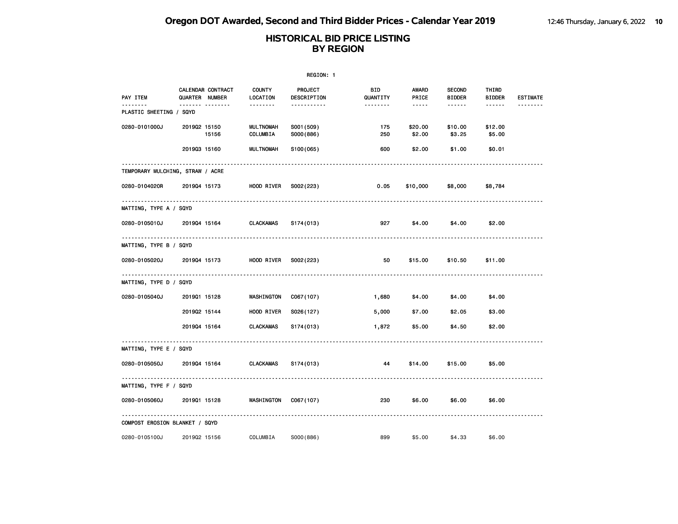|                                  | REGION: 1      |                   |                              |                         |                 |                        |                                |                        |                 |  |  |
|----------------------------------|----------------|-------------------|------------------------------|-------------------------|-----------------|------------------------|--------------------------------|------------------------|-----------------|--|--|
| PAY ITEM                         | QUARTER NUMBER | CALENDAR CONTRACT | <b>COUNTY</b><br>LOCATION    | PROJECT<br>DESCRIPTION  | BID<br>QUANTITY | AWARD<br>PRICE         | <b>SECOND</b><br><b>BIDDER</b> | THIRD<br><b>BIDDER</b> | <b>ESTIMATE</b> |  |  |
| PLASTIC SHEETING / SQYD          |                | <u></u>           | --------                     | -----------             | --------        | $\cdots \cdots \cdots$ | ------                         | ------                 |                 |  |  |
| 0280-0101000J                    | 201902 15150   | 15156             | <b>MULTNOMAH</b><br>COLUMBIA | S001 (509)<br>S000(886) | 175<br>250      | \$20.00<br>\$2.00      | \$10.00<br>\$3.25              | \$12.00<br>\$5.00      |                 |  |  |
|                                  | 201903 15160   |                   | <b>MULTNOMAH</b>             | S100(065)               | 600             | \$2.00                 | \$1.00                         | \$0.01                 |                 |  |  |
| TEMPORARY MULCHING, STRAW / ACRE |                |                   |                              |                         |                 |                        |                                |                        |                 |  |  |
| 0280-0104020R                    | 201904 15173   |                   | HOOD RIVER                   | S002(223)               | 0.05            | \$10,000               | \$8,000                        | \$8,784                |                 |  |  |
| MATTING, TYPE A / SQYD           |                |                   |                              |                         |                 |                        |                                |                        |                 |  |  |
| 0280-0105010J                    | 201904 15164   |                   | CLACKAMAS                    | S174(013)               | 927             | \$4.00                 | \$4.00                         | \$2.00                 |                 |  |  |
| MATTING, TYPE B / SQYD           |                |                   |                              |                         |                 |                        |                                |                        |                 |  |  |
| 0280-0105020J                    | 201904 15173   |                   | HOOD RIVER                   | S002(223)               | 50              | \$15.00                | \$10.50                        | \$11.00                |                 |  |  |
| MATTING, TYPE D / SQYD           |                |                   |                              |                         |                 |                        |                                |                        |                 |  |  |
| 0280-0105040J                    | 201901 15128   |                   | WASHINGTON                   | C067(107)               | 1,680           | \$4.00                 | \$4.00                         | \$4.00                 |                 |  |  |
|                                  | 201902 15144   |                   | HOOD RIVER                   | S026(127)               | 5,000           | \$7.00                 | \$2.05                         | \$3.00                 |                 |  |  |
|                                  | 201904 15164   |                   | <b>CLACKAMAS</b>             | S174(013)               | 1,872           | \$5.00                 | \$4.50                         | \$2.00                 |                 |  |  |
| MATTING, TYPE E / SQYD           |                |                   |                              |                         |                 |                        |                                |                        |                 |  |  |
| 0280-0105050J                    | 201904 15164   |                   | <b>CLACKAMAS</b>             | S174(013)               | 44              | \$14.00                | \$15.00                        | \$5.00                 |                 |  |  |
| MATTING, TYPE F / SQYD           |                |                   |                              |                         |                 |                        |                                |                        |                 |  |  |
| 0280-0105060J                    | 201901 15128   |                   | WASHINGTON                   | C067(107)               | 230             | \$6.00                 | \$6.00                         | \$6.00                 |                 |  |  |
| COMPOST EROSION BLANKET / SQYD   |                |                   |                              |                         |                 |                        |                                |                        |                 |  |  |
| 0280-0105100J                    | 201902 15156   |                   | COLUMBIA                     | S000(886)               | 899             | \$5.00                 | \$4.33                         | \$6.00                 |                 |  |  |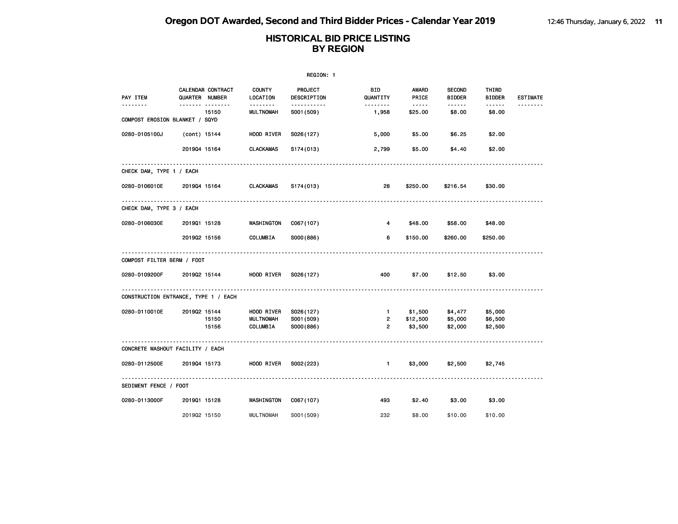|                                      |                |                   |                                           | REGION: 1                     |                 |                                                                                                                                                                 |                                                                                                                                                                                                                                                                                                                                                                                                                                                                                                  |                         |                 |
|--------------------------------------|----------------|-------------------|-------------------------------------------|-------------------------------|-----------------|-----------------------------------------------------------------------------------------------------------------------------------------------------------------|--------------------------------------------------------------------------------------------------------------------------------------------------------------------------------------------------------------------------------------------------------------------------------------------------------------------------------------------------------------------------------------------------------------------------------------------------------------------------------------------------|-------------------------|-----------------|
| PAY ITEM                             | QUARTER NUMBER | CALENDAR CONTRACT | <b>COUNTY</b><br>LOCATION                 | <b>PROJECT</b><br>DESCRIPTION | BID<br>QUANTITY | <b>AWARD</b><br>PRICE                                                                                                                                           | <b>SECOND</b><br><b>BIDDER</b>                                                                                                                                                                                                                                                                                                                                                                                                                                                                   | THIRD<br><b>BIDDER</b>  | <b>ESTIMATE</b> |
| <u>.</u>                             |                | .<br>15150        | <u> - - - - - - -</u><br><b>MULTNOMAH</b> | -----------<br>S001 (509)     | .<br>1,958      | $\frac{1}{2} \left( \frac{1}{2} \right) \left( \frac{1}{2} \right) \left( \frac{1}{2} \right) \left( \frac{1}{2} \right) \left( \frac{1}{2} \right)$<br>\$25.00 | $\begin{array}{cccccccccccccc} \multicolumn{2}{c}{} & \multicolumn{2}{c}{} & \multicolumn{2}{c}{} & \multicolumn{2}{c}{} & \multicolumn{2}{c}{} & \multicolumn{2}{c}{} & \multicolumn{2}{c}{} & \multicolumn{2}{c}{} & \multicolumn{2}{c}{} & \multicolumn{2}{c}{} & \multicolumn{2}{c}{} & \multicolumn{2}{c}{} & \multicolumn{2}{c}{} & \multicolumn{2}{c}{} & \multicolumn{2}{c}{} & \multicolumn{2}{c}{} & \multicolumn{2}{c}{} & \multicolumn{2}{c}{} & \multicolumn{2}{c}{} & \$<br>\$8.00 | $- - - - - -$<br>\$8.00 | .               |
| COMPOST EROSION BLANKET / SQYD       |                |                   |                                           |                               |                 |                                                                                                                                                                 |                                                                                                                                                                                                                                                                                                                                                                                                                                                                                                  |                         |                 |
| 0280-0105100J                        | (cont) 15144   |                   | HOOD RIVER                                | S026(127)                     | 5,000           | \$5.00                                                                                                                                                          | \$6.25                                                                                                                                                                                                                                                                                                                                                                                                                                                                                           | \$2.00                  |                 |
|                                      | 201904 15164   |                   | <b>CLACKAMAS</b>                          | S174(013)                     | 2,799           | \$5.00                                                                                                                                                          | \$4.40                                                                                                                                                                                                                                                                                                                                                                                                                                                                                           | \$2.00                  |                 |
| CHECK DAM, TYPE 1 / EACH             |                |                   |                                           |                               |                 |                                                                                                                                                                 |                                                                                                                                                                                                                                                                                                                                                                                                                                                                                                  |                         |                 |
| 0280-0106010E                        | 201904 15164   |                   | <b>CLACKAMAS</b>                          | S174(013)                     | 28              | \$250.00                                                                                                                                                        | \$216.54                                                                                                                                                                                                                                                                                                                                                                                                                                                                                         | \$30.00                 |                 |
| CHECK DAM, TYPE 3 / EACH             |                |                   |                                           |                               |                 |                                                                                                                                                                 |                                                                                                                                                                                                                                                                                                                                                                                                                                                                                                  |                         |                 |
| 0280-0106030E                        | 201901 15128   |                   | WASHINGTON                                | C067(107)                     | 4               | \$48.00                                                                                                                                                         | \$58.00                                                                                                                                                                                                                                                                                                                                                                                                                                                                                          | \$48.00                 |                 |
|                                      | 201902 15156   |                   | COLUMBIA                                  | S000(886)                     | 6               | \$150.00                                                                                                                                                        | \$260.00                                                                                                                                                                                                                                                                                                                                                                                                                                                                                         | \$250.00                |                 |
| COMPOST FILTER BERM / FOOT           |                |                   |                                           |                               |                 |                                                                                                                                                                 |                                                                                                                                                                                                                                                                                                                                                                                                                                                                                                  |                         |                 |
| 0280-0109200F                        | 201902 15144   |                   | HOOD RIVER                                | S026(127)                     | 400             | \$7.00                                                                                                                                                          | \$12.50                                                                                                                                                                                                                                                                                                                                                                                                                                                                                          | \$3.00                  |                 |
| CONSTRUCTION ENTRANCE, TYPE 1 / EACH |                |                   |                                           |                               |                 |                                                                                                                                                                 |                                                                                                                                                                                                                                                                                                                                                                                                                                                                                                  |                         |                 |
| 0280-0110010E                        | 201902 15144   |                   | HOOD RIVER                                | S026(127)                     | $1 -$           | \$1,500                                                                                                                                                         | \$4,477                                                                                                                                                                                                                                                                                                                                                                                                                                                                                          | \$5,000                 |                 |
|                                      |                | 15150             | <b>MULTNOMAH</b>                          | S001 (509)                    | $\overline{2}$  | \$12,500                                                                                                                                                        | \$5,000                                                                                                                                                                                                                                                                                                                                                                                                                                                                                          | \$6,500                 |                 |
|                                      |                | 15156             | COLUMBIA                                  | S000(886)                     | $\overline{2}$  | \$3,500                                                                                                                                                         | \$2,000                                                                                                                                                                                                                                                                                                                                                                                                                                                                                          | \$2,500                 |                 |
| CONCRETE WASHOUT FACILITY / EACH     |                |                   | .                                         |                               |                 |                                                                                                                                                                 |                                                                                                                                                                                                                                                                                                                                                                                                                                                                                                  |                         |                 |
| 0280-0112500E                        | 201904 15173   |                   | HOOD RIVER                                | S002(223)                     | $\blacksquare$  | \$3,000                                                                                                                                                         | \$2,500                                                                                                                                                                                                                                                                                                                                                                                                                                                                                          | \$2,745                 |                 |
| SEDIMENT FENCE / FOOT                |                |                   |                                           |                               |                 |                                                                                                                                                                 |                                                                                                                                                                                                                                                                                                                                                                                                                                                                                                  |                         |                 |
| 0280-0113000F                        | 201901 15128   |                   | WASHINGTON                                | C067(107)                     | 493             | \$2.40                                                                                                                                                          | \$3.00                                                                                                                                                                                                                                                                                                                                                                                                                                                                                           | \$3.00                  |                 |
|                                      | 201902 15150   |                   | <b>MULTNOMAH</b>                          | S001 (509)                    | 232             | \$8,00                                                                                                                                                          | \$10.00                                                                                                                                                                                                                                                                                                                                                                                                                                                                                          | \$10.00                 |                 |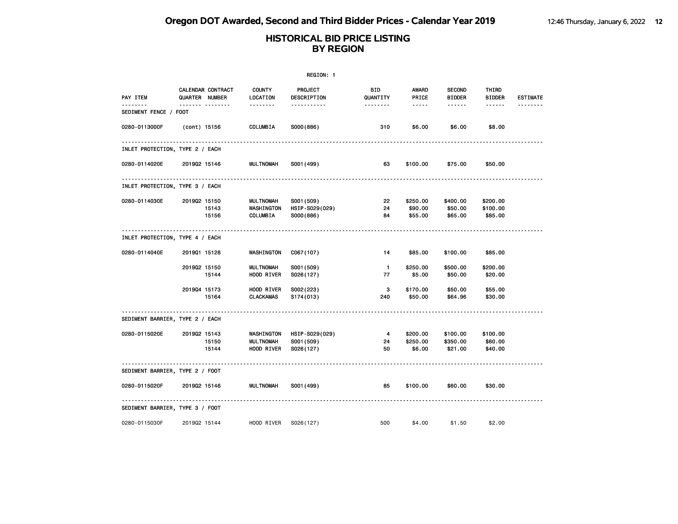|                       | <b>COUNTY</b><br>LOCATION                                                                                                                                                                                                                                                                                                                                                                                                                                                      | PROJECT<br>DESCRIPTION              | BID<br>QUANTITY                   | AWARD<br>PRICE             | <b>SECOND</b><br><b>BIDDER</b>      | THIRD<br><b>BIDDER</b>         | <b>ESTIMATE</b>                |
|-----------------------|--------------------------------------------------------------------------------------------------------------------------------------------------------------------------------------------------------------------------------------------------------------------------------------------------------------------------------------------------------------------------------------------------------------------------------------------------------------------------------|-------------------------------------|-----------------------------------|----------------------------|-------------------------------------|--------------------------------|--------------------------------|
| SEDIMENT FENCE / FOOT |                                                                                                                                                                                                                                                                                                                                                                                                                                                                                |                                     |                                   |                            |                                     |                                |                                |
|                       | COLUMBIA                                                                                                                                                                                                                                                                                                                                                                                                                                                                       | S000(886)                           | 310                               | \$6.00                     | \$6.00                              | \$8.00                         |                                |
|                       |                                                                                                                                                                                                                                                                                                                                                                                                                                                                                |                                     |                                   |                            |                                     |                                |                                |
|                       | <b>MULTNOMAH</b>                                                                                                                                                                                                                                                                                                                                                                                                                                                               | S001 (499)                          | 63                                | \$100.00                   | \$75.00                             | \$50.00                        |                                |
|                       |                                                                                                                                                                                                                                                                                                                                                                                                                                                                                |                                     |                                   |                            |                                     |                                |                                |
|                       |                                                                                                                                                                                                                                                                                                                                                                                                                                                                                |                                     | 22                                |                            |                                     |                                |                                |
|                       | WASHINGTON                                                                                                                                                                                                                                                                                                                                                                                                                                                                     | HSIP-S029(029)                      | 24                                | \$90.00                    | \$50.00                             | \$100.00                       |                                |
|                       | COLUMBIA                                                                                                                                                                                                                                                                                                                                                                                                                                                                       | S000(886)                           | 84                                | \$55.00                    | \$65.00                             | \$85.00                        |                                |
|                       |                                                                                                                                                                                                                                                                                                                                                                                                                                                                                |                                     |                                   |                            |                                     |                                |                                |
|                       | WASHINGTON                                                                                                                                                                                                                                                                                                                                                                                                                                                                     | C067(107)                           | 14                                | \$85.00                    | \$100.00                            | \$85.00                        |                                |
|                       | MULTNOMAH                                                                                                                                                                                                                                                                                                                                                                                                                                                                      | S001 (509)                          | $\blacksquare$                    | \$250.00                   | \$500.00                            | \$200.00                       |                                |
|                       | HOOD RIVER                                                                                                                                                                                                                                                                                                                                                                                                                                                                     | S026(127)                           | 77                                | \$5.00                     | \$50.00                             | \$20.00                        |                                |
|                       | HOOD RIVER                                                                                                                                                                                                                                                                                                                                                                                                                                                                     | S002(223)                           | 3                                 | \$170.00                   | \$50.00                             | \$55.00                        |                                |
|                       | CLACKAMAS                                                                                                                                                                                                                                                                                                                                                                                                                                                                      | S174(013)                           | 240                               | \$50.00                    | \$64.96                             | \$30.00                        |                                |
|                       |                                                                                                                                                                                                                                                                                                                                                                                                                                                                                |                                     |                                   |                            |                                     |                                |                                |
|                       |                                                                                                                                                                                                                                                                                                                                                                                                                                                                                |                                     |                                   |                            |                                     |                                |                                |
|                       | MULTNOMAH                                                                                                                                                                                                                                                                                                                                                                                                                                                                      | S001 (509)                          | 24                                | \$250.00                   | \$350.00                            | \$60.00                        |                                |
|                       | HOOD RIVER                                                                                                                                                                                                                                                                                                                                                                                                                                                                     | S026(127)                           | 50                                | \$6.00                     | \$21.00                             | \$40.00                        |                                |
|                       |                                                                                                                                                                                                                                                                                                                                                                                                                                                                                |                                     |                                   |                            |                                     |                                |                                |
| 0280-0115020F         | <b>MULTNOMAH</b>                                                                                                                                                                                                                                                                                                                                                                                                                                                               | S001 (499)                          | 85                                | \$100.00                   | \$60.00                             | \$30.00                        |                                |
|                       |                                                                                                                                                                                                                                                                                                                                                                                                                                                                                |                                     |                                   |                            |                                     |                                |                                |
|                       | HOOD RIVER                                                                                                                                                                                                                                                                                                                                                                                                                                                                     | S026(127)                           | 500                               | \$4.00                     | \$1.50                              | \$2.00                         |                                |
|                       | CALENDAR CONTRACT<br><b>QUARTER NUMBER</b><br><u> </u><br>(cont) 15156<br>INLET PROTECTION, TYPE 2 / EACH<br>201902 15146<br>INLET PROTECTION, TYPE 3 / EACH<br>201902 15150<br>15143<br>15156<br>INLET PROTECTION, TYPE 4 / EACH<br>201901 15128<br>201902 15150<br>15144<br>201904 15173<br>15164<br>SEDIMENT BARRIER, TYPE 2 / EACH<br>201902 15143<br>15150<br>15144<br>SEDIMENT BARRIER, TYPE 2 / FOOT<br>201902 15146<br>SEDIMENT BARRIER, TYPE 3 / FOOT<br>201902 15144 | --------<br>MULTNOMAH<br>WASHINGTON | .<br>S001 (509)<br>HSIP-S029(029) | --------<br>$\overline{4}$ | $- - - - -$<br>\$250.00<br>\$200.00 | ------<br>\$400.00<br>\$100.00 | ------<br>\$200.00<br>\$100.00 |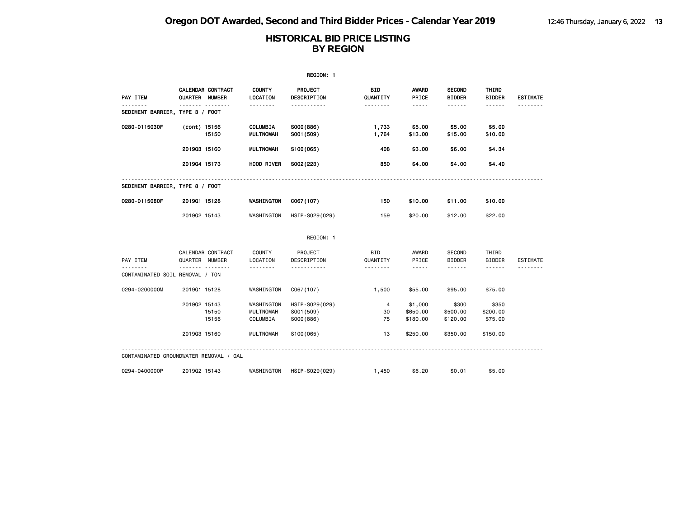| REGION: 1                              |                                            |  |                                            |                                           |                        |                                                                                                                                                                                 |                                |                              |                 |
|----------------------------------------|--------------------------------------------|--|--------------------------------------------|-------------------------------------------|------------------------|---------------------------------------------------------------------------------------------------------------------------------------------------------------------------------|--------------------------------|------------------------------|-----------------|
| PAY ITEM                               | <b>CALENDAR CONTRACT</b><br>QUARTER NUMBER |  | <b>COUNTY</b><br>LOCATION                  | <b>PROJECT</b><br>DESCRIPTION             | BID<br>QUANTITY        | AWARD<br>PRICE                                                                                                                                                                  | <b>SECOND</b><br><b>BIDDER</b> | THIRD<br><b>BIDDER</b>       | <b>ESTIMATE</b> |
| SEDIMENT BARRIER, TYPE 3 / FOOT        |                                            |  | .                                          | .                                         | --------               | -----                                                                                                                                                                           | .                              | ------                       |                 |
| 0280-0115030F                          | (cont) 15156<br>15150                      |  | COLUMBIA<br><b>MULTNOMAH</b>               | S000(886)<br>S001 (509)                   | 1,733<br>1,764         | \$5.00<br>\$13.00                                                                                                                                                               | \$5.00<br>\$15.00              | \$5.00<br>\$10.00            |                 |
|                                        | 201903 15160                               |  | <b>MULTNOMAH</b>                           | S100(065)                                 | 408                    | \$3.00                                                                                                                                                                          | \$6.00                         | \$4.34                       |                 |
|                                        | 201904 15173                               |  | HOOD RIVER                                 | S002(223)                                 | 850                    | \$4.00                                                                                                                                                                          | \$4.00                         | \$4.40                       |                 |
| SEDIMENT BARRIER, TYPE 8 / FOOT        |                                            |  |                                            |                                           |                        |                                                                                                                                                                                 |                                |                              |                 |
| 0280-0115080F                          | 201901 15128                               |  | WASHINGTON                                 | C067(107)                                 | 150                    | \$10.00                                                                                                                                                                         | \$11.00                        | \$10.00                      |                 |
|                                        | 201902 15143                               |  | WASHINGTON                                 | HSIP-S029(029)                            | 159                    | \$20.00                                                                                                                                                                         | \$12.00                        | \$22.00                      |                 |
|                                        |                                            |  |                                            | REGION: 1                                 |                        |                                                                                                                                                                                 |                                |                              |                 |
| PAY ITEM                               | CALENDAR CONTRACT<br>QUARTER NUMBER        |  | COUNTY<br>LOCATION                         | PROJECT<br>DESCRIPTION                    | <b>BID</b><br>QUANTITY | AWARD<br>PRICE                                                                                                                                                                  | <b>SECOND</b><br><b>BIDDER</b> | THIRD<br><b>BIDDER</b>       | ESTIMATE        |
| CONTAMINATED SOIL REMOVAL / TON        | .                                          |  | .                                          |                                           | .                      | $\frac{1}{2} \left( \frac{1}{2} \right) \left( \frac{1}{2} \right) \left( \frac{1}{2} \right) \left( \frac{1}{2} \right) \left( \frac{1}{2} \right) \left( \frac{1}{2} \right)$ | ------                         | ------                       |                 |
| 0294-0200000M                          | 201901 15128                               |  | WASHINGTON                                 | C067(107)                                 | 1,500                  | \$55,00                                                                                                                                                                         | \$95,00                        | \$75.00                      |                 |
|                                        | 201902 15143<br>15150<br>15156             |  | WASHINGTON<br><b>MULTNOMAH</b><br>COLUMBIA | HSIP-S029(029)<br>S001 (509)<br>S000(886) | 4<br>30<br>75          | \$1,000<br>\$650.00<br>\$180.00                                                                                                                                                 | \$300<br>\$500.00<br>\$120.00  | \$350<br>\$200.00<br>\$75.00 |                 |
|                                        | 201903 15160                               |  | <b>MULTNOMAH</b>                           | S <sub>100</sub> (065)                    | 13                     | \$250,00                                                                                                                                                                        | \$350,00                       | \$150.00                     |                 |
| CONTAMINATED GROUNDWATER REMOVAL / GAL |                                            |  |                                            |                                           |                        |                                                                                                                                                                                 |                                |                              |                 |
| 0294-0400000P                          | 201902 15143                               |  | WASHINGTON                                 | HSIP-S029(029)                            | 1,450                  | \$6.20                                                                                                                                                                          | \$0.01                         | \$5,00                       |                 |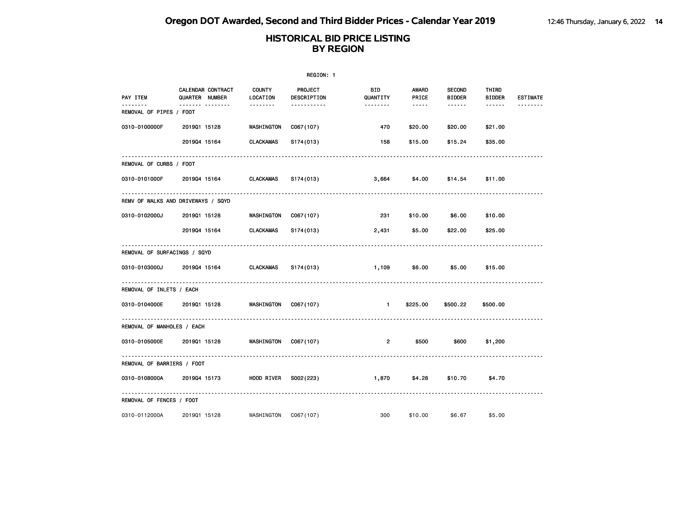|                                     |                                            |                           | REGION: 1                     |                       |                                                                                                                                                      |                                |                        |                 |  |
|-------------------------------------|--------------------------------------------|---------------------------|-------------------------------|-----------------------|------------------------------------------------------------------------------------------------------------------------------------------------------|--------------------------------|------------------------|-----------------|--|
| PAY ITEM                            | <b>CALENDAR CONTRACT</b><br>QUARTER NUMBER | <b>COUNTY</b><br>LOCATION | <b>PROJECT</b><br>DESCRIPTION | BID<br>QUANTITY       | <b>AWARD</b><br>PRICE                                                                                                                                | <b>SECOND</b><br><b>BIDDER</b> | THIRD<br><b>BIDDER</b> | <b>ESTIMATE</b> |  |
| --------<br>REMOVAL OF PIPES / FOOT | ------- --------                           | <u> - - - - - - -</u>     | -----------                   | <u> - - - - - - -</u> | $\frac{1}{2} \left( \frac{1}{2} \right) \left( \frac{1}{2} \right) \left( \frac{1}{2} \right) \left( \frac{1}{2} \right) \left( \frac{1}{2} \right)$ | ------                         | $- - - - - -$          | --------        |  |
| 0310-0100000F                       | 201901 15128                               | WASHINGTON                | C067(107)                     | 470                   | \$20.00                                                                                                                                              | \$20.00                        | \$21.00                |                 |  |
|                                     | 201904 15164                               | CLACKAMAS                 | S174(013)                     | 158                   | \$15.00                                                                                                                                              | \$15.24                        | \$35.00                |                 |  |
| REMOVAL OF CURBS / FOOT             |                                            |                           |                               |                       |                                                                                                                                                      |                                |                        |                 |  |
| 0310-0101000F                       | 201904 15164                               | CLACKAMAS                 | S174(013)                     | 3,664                 | \$4.00                                                                                                                                               | \$14.54                        | \$11.00                |                 |  |
|                                     | REMV OF WALKS AND DRIVEWAYS / SQYD         |                           |                               |                       |                                                                                                                                                      |                                |                        |                 |  |
| 0310-0102000J                       | 201901 15128                               | WASHINGTON                | C067(107)                     | 231                   | \$10.00                                                                                                                                              | \$6.00                         | \$10.00                |                 |  |
|                                     | 201904 15164                               | CLACKAMAS                 | S174(013)                     | 2,431                 | \$5.00                                                                                                                                               | \$22.00                        | \$25.00                |                 |  |
| REMOVAL OF SURFACINGS / SQYD        |                                            |                           |                               |                       |                                                                                                                                                      |                                |                        |                 |  |
| 0310-0103000J                       | 201904 15164                               | <b>CLACKAMAS</b>          | S174(013)                     | 1,109                 | \$6.00                                                                                                                                               | \$5.00                         | \$15.00                |                 |  |
| REMOVAL OF INLETS / EACH            |                                            |                           |                               |                       |                                                                                                                                                      |                                |                        |                 |  |
| 0310-0104000E                       | 201901 15128                               | <b>WASHINGTON</b>         | C067(107)                     | - 1                   | \$225.00                                                                                                                                             | \$500.22                       | \$500.00               |                 |  |
| REMOVAL OF MANHOLES / EACH          |                                            |                           |                               |                       |                                                                                                                                                      |                                |                        |                 |  |
| 0310-0105000E                       | 201901 15128                               | WASHINGTON                | C067(107)                     | $\overline{2}$        | \$500                                                                                                                                                | \$600                          | \$1,200                |                 |  |
| REMOVAL OF BARRIERS / FOOT          |                                            |                           |                               |                       |                                                                                                                                                      |                                |                        |                 |  |
| 0310-0108000A                       | 201904 15173                               | HOOD RIVER                | S002(223)                     | 1,870                 | \$4.28                                                                                                                                               | \$10.70                        | \$4.70                 |                 |  |
| REMOVAL OF FENCES / FOOT            |                                            |                           |                               |                       |                                                                                                                                                      |                                |                        |                 |  |
| 0310-0112000A                       | 201901 15128                               | WASHINGTON                | C067(107)                     | 300                   | \$10.00                                                                                                                                              | \$6.67                         | \$5.00                 |                 |  |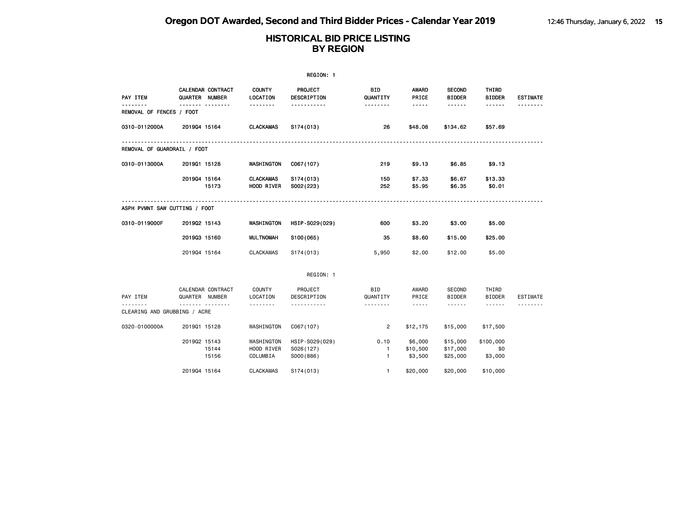|                                      |                                          |                                      | REGION: 1                                |                           |                                                                                                               |                                  |                             |                 |
|--------------------------------------|------------------------------------------|--------------------------------------|------------------------------------------|---------------------------|---------------------------------------------------------------------------------------------------------------|----------------------------------|-----------------------------|-----------------|
| PAY ITEM                             | CALENDAR CONTRACT<br>QUARTER NUMBER      | <b>COUNTY</b><br><b>LOCATION</b>     | <b>PROJECT</b><br>DESCRIPTION            | BID<br>QUANTITY           | <b>AWARD</b><br>PRICE                                                                                         | <b>SECOND</b><br><b>BIDDER</b>   | THIRD<br><b>BIDDER</b>      | <b>ESTIMATE</b> |
| <u>.</u><br>REMOVAL OF FENCES / FOOT | .                                        |                                      | -----------                              | <u> - - - - - - -</u>     | $\frac{1}{2} \frac{1}{2} \frac{1}{2} \frac{1}{2} \frac{1}{2} \frac{1}{2} \frac{1}{2} \frac{1}{2} \frac{1}{2}$ | ------                           | $- - - - - -$               | .               |
| 0310-0112000A                        | 201904 15164                             | <b>CLACKAMAS</b>                     | S174(013)                                | 26                        | \$48.08                                                                                                       | \$134.62                         | \$57.69                     |                 |
| REMOVAL OF GUARDRAIL / FOOT          |                                          |                                      |                                          |                           |                                                                                                               |                                  |                             |                 |
| 0310-0113000A                        | 201901 15128                             | WASHINGTON                           | C067(107)                                | 219                       | \$9.13                                                                                                        | \$6.85                           | \$9.13                      |                 |
|                                      | 201904 15164<br>15173                    | <b>CLACKAMAS</b><br>HOOD RIVER       | S174(013)<br>S002(223)                   | 150<br>252                | \$7.33<br>\$5.95                                                                                              | \$6.67<br>\$6.35                 | \$13.33<br>\$0.01           |                 |
| ASPH PVMNT SAW CUTTING / FOOT        |                                          |                                      |                                          |                           |                                                                                                               |                                  |                             |                 |
| 0310-0119000F                        | 201902 15143                             | WASHINGTON                           | HSIP-S029(029)                           | 600                       | \$3.20                                                                                                        | \$3.00                           | \$5.00                      |                 |
|                                      | 201903 15160                             | <b>MULTNOMAH</b>                     | S100(065)                                | 35                        | \$8.60                                                                                                        | \$15.00                          | \$25,00                     |                 |
|                                      | 201904 15164                             | <b>CLACKAMAS</b>                     | S174(013)                                | 5,950                     | \$2.00                                                                                                        | \$12.00                          | \$5.00                      |                 |
|                                      |                                          |                                      | REGION: 1                                |                           |                                                                                                               |                                  |                             |                 |
| PAY ITEM                             | CALENDAR CONTRACT<br>QUARTER NUMBER<br>. | COUNTY<br>LOCATION                   | PROJECT<br>DESCRIPTION<br><u>.</u>       | <b>BID</b><br>QUANTITY    | AWARD<br>PRICE                                                                                                | SECOND<br><b>BIDDER</b>          | THIRD<br><b>BIDDER</b>      | ESTIMATE<br>.   |
| CLEARING AND GRUBBING / ACRE         |                                          | .                                    |                                          | --------                  | $\cdots \cdots \cdots$                                                                                        |                                  | $\cdots \cdots \cdots$      |                 |
| 0320-0100000A                        | 201901 15128                             | WASHINGTON                           | C067(107)                                | $\overline{2}$            | \$12,175                                                                                                      | \$15,000                         | \$17,500                    |                 |
|                                      | 201902 15143<br>15144<br>15156           | WASHINGTON<br>HOOD RIVER<br>COLUMBIA | HSIP-S029(029)<br>S026(127)<br>S000(886) | 0.10<br>$\mathbf{1}$<br>1 | \$6,000<br>\$10,500<br>\$3,500                                                                                | \$15,000<br>\$17,000<br>\$25,000 | \$100,000<br>\$0<br>\$3,000 |                 |
|                                      | 201904 15164                             | <b>CLACKAMAS</b>                     | S174(013)                                | $\mathbf{1}$              | \$20,000                                                                                                      | \$20,000                         | \$10,000                    |                 |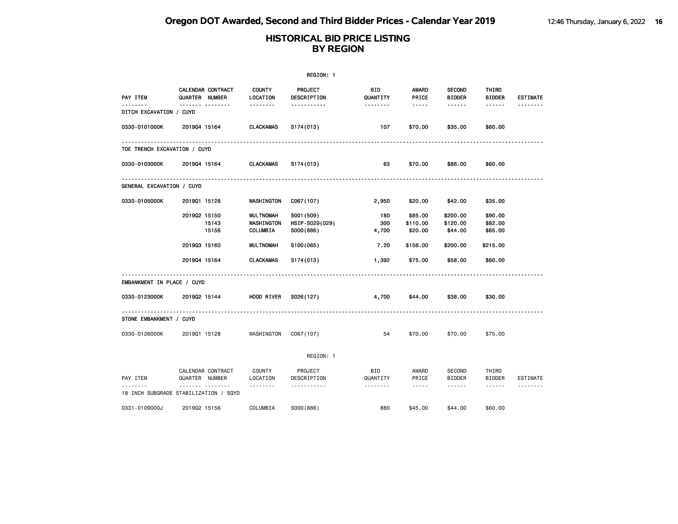|                              |                                                 |                                            | REGION: 1                                 |                             |                                                                                                               |                                 |                                  |                      |
|------------------------------|-------------------------------------------------|--------------------------------------------|-------------------------------------------|-----------------------------|---------------------------------------------------------------------------------------------------------------|---------------------------------|----------------------------------|----------------------|
| PAY ITEM                     | CALENDAR CONTRACT<br><b>QUARTER NUMBER</b>      | <b>COUNTY</b><br>LOCATION                  | PROJECT<br>DESCRIPTION                    | <b>BID</b><br>QUANTITY      | AWARD<br>PRICE                                                                                                | <b>SECOND</b><br><b>BIDDER</b>  | THIRD<br><b>BIDDER</b>           | <b>ESTIMATE</b>      |
| .<br>DITCH EXCAVATION / CUYD | ------- --------                                | --------                                   | <u>.</u>                                  | .                           | $\frac{1}{2} \frac{1}{2} \frac{1}{2} \frac{1}{2} \frac{1}{2} \frac{1}{2} \frac{1}{2} \frac{1}{2} \frac{1}{2}$ | ------                          | ------                           | <u>.</u>             |
| 0330-0101000K                | 201904 15164                                    | <b>CLACKAMAS</b>                           | S174(013)                                 | 107                         | \$70.00                                                                                                       | \$35.00                         | \$60.00                          |                      |
| TOE TRENCH EXCAVATION / CUYD |                                                 | .                                          | ------------------------------------      |                             |                                                                                                               |                                 |                                  |                      |
| 0330-0103000K                | 201904 15164                                    | CLACKAMAS                                  | S174(013)                                 | 63                          | \$70.00                                                                                                       | \$86.00                         | \$60.00                          |                      |
| GENERAL EXCAVATION / CUYD    |                                                 |                                            |                                           |                             |                                                                                                               |                                 |                                  |                      |
| 0330-0105000K                | 201901 15128                                    | WASHINGTON                                 | C067(107)                                 | 2,950                       | \$20.00                                                                                                       | \$42.00                         | \$35.00                          |                      |
|                              | 201902 15150<br>15143<br>15156                  | <b>MULTNOMAH</b><br>WASHINGTON<br>COLUMBIA | S001 (509)<br>HSIP-S029(029)<br>S000(886) | 180<br>300<br>4,700         | \$85.00<br>\$110.00<br>\$20.00                                                                                | \$200.00<br>\$120.00<br>\$44.00 | \$90.00<br>\$82.00<br>\$65.00    |                      |
|                              | 201903 15160                                    | <b>MULTNOMAH</b>                           | S <sub>100</sub> (065)                    | 7.20                        | \$156.00                                                                                                      | \$200.00                        | \$215.00                         |                      |
|                              | 201904 15164                                    | CLACKAMAS                                  | S <sub>174</sub> (013)                    | 1,392                       | \$75.00                                                                                                       | \$58.00                         | \$60.00                          |                      |
| EMBANKMENT IN PLACE / CUYD   |                                                 |                                            |                                           |                             |                                                                                                               |                                 |                                  |                      |
| 0330-0123000K                | 201902 15144                                    | HOOD RIVER                                 | S026(127)                                 | 4,700                       | \$44.00                                                                                                       | \$38.00                         | \$30.00                          |                      |
| STONE EMBANKMENT / CUYD      |                                                 |                                            |                                           |                             |                                                                                                               |                                 |                                  |                      |
| 0330-0126000K                | 201901 15128                                    | WASHINGTON                                 | CO67(107)                                 | 54                          | \$70.00                                                                                                       | \$70.00                         | \$75.00                          |                      |
|                              |                                                 |                                            | REGION: 1                                 |                             |                                                                                                               |                                 |                                  |                      |
| PAY ITEM                     | CALENDAR CONTRACT<br>QUARTER NUMBER<br><u> </u> | COUNTY<br>LOCATION                         | PROJECT<br>DESCRIPTION<br><u>.</u>        | BID<br>QUANTITY<br><u>.</u> | AWARD<br>PRICE<br>$- - - - -$                                                                                 | <b>SECOND</b><br><b>BIDDER</b>  | THIRD<br><b>BIDDER</b><br>------ | ESTIMATE<br><u>.</u> |
|                              | 18 INCH SUBGRADE STABILIZATION / SQYD           |                                            |                                           |                             |                                                                                                               |                                 |                                  |                      |
| 0331-0109000J                | 201902 15156                                    | COLUMBIA                                   | S000(886)                                 | 880                         | \$45,00                                                                                                       | \$44,00                         | \$60,00                          |                      |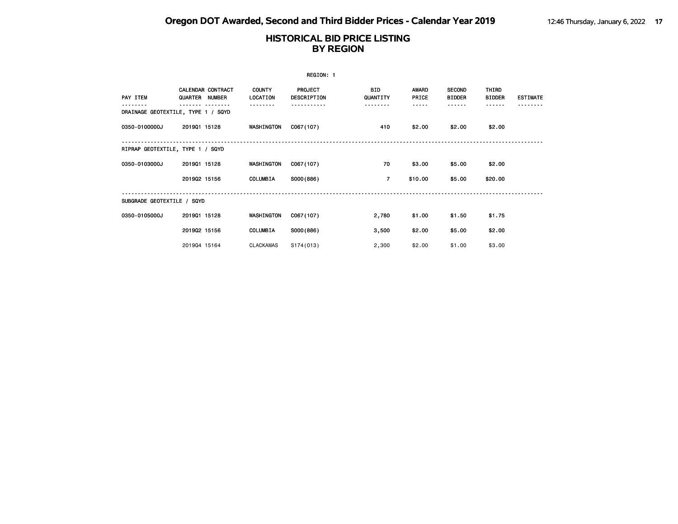|                            |                                     |                           | REGION: 1                     |                        |                       |                                |                        |                 |
|----------------------------|-------------------------------------|---------------------------|-------------------------------|------------------------|-----------------------|--------------------------------|------------------------|-----------------|
| PAY ITEM                   | CALENDAR CONTRACT<br>QUARTER NUMBER | <b>COUNTY</b><br>LOCATION | <b>PROJECT</b><br>DESCRIPTION | <b>BID</b><br>QUANTITY | <b>AWARD</b><br>PRICE | <b>SECOND</b><br><b>BIDDER</b> | THIRD<br><b>BIDDER</b> | <b>ESTIMATE</b> |
|                            | DRAINAGE GEOTEXTILE, TYPE 1 / SQYD  |                           |                               |                        |                       |                                |                        |                 |
| 0350-0100000J              | 201901 15128                        | WASHINGTON                | C067(107)                     | 410                    | \$2.00                | \$2.00                         | \$2.00                 |                 |
|                            | RIPRAP GEOTEXTILE, TYPE 1 / SQYD    |                           |                               |                        |                       |                                |                        |                 |
| 0350-0103000J              | 201901 15128                        | WASHINGTON                | C067(107)                     | 70                     | \$3.00                | \$5.00                         | \$2.00                 |                 |
|                            | 201902 15156                        | COLUMBIA                  | S000(886)                     | $\overline{7}$         | \$10.00               | \$5.00                         | \$20.00                |                 |
| SUBGRADE GEOTEXTILE / SQYD |                                     |                           |                               |                        |                       |                                |                        |                 |
| 0350-0105000J              | 201901 15128                        | WASHINGTON                | C067(107)                     | 2,780                  | \$1.00                | \$1.50                         | \$1.75                 |                 |
|                            | 201902 15156                        | COLUMBIA                  | S000(886)                     | 3,500                  | \$2.00                | \$5.00                         | \$2.00                 |                 |
|                            | 201904 15164                        | <b>CLACKAMAS</b>          | S174(013)                     | 2,300                  | \$2.00                | \$1.00                         | \$3.00                 |                 |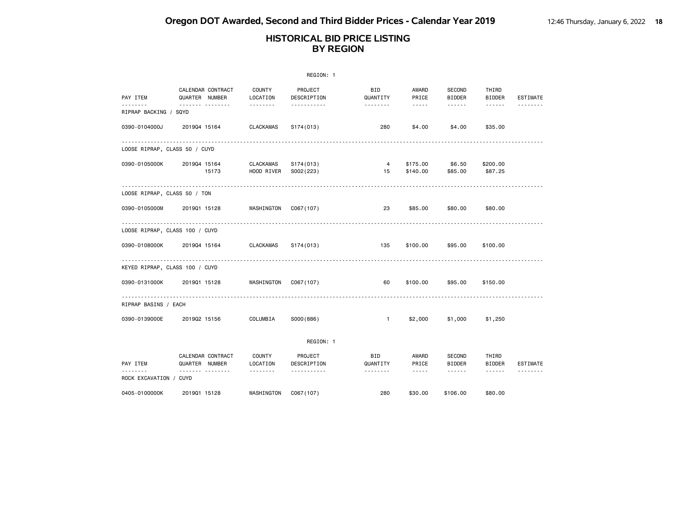|                                   |                                     |                           | REGION: 1              |                        |                                                                                                                                                                                 |                                |                                                                                                                           |                 |
|-----------------------------------|-------------------------------------|---------------------------|------------------------|------------------------|---------------------------------------------------------------------------------------------------------------------------------------------------------------------------------|--------------------------------|---------------------------------------------------------------------------------------------------------------------------|-----------------|
| PAY ITEM                          | CALENDAR CONTRACT<br>QUARTER NUMBER | COUNTY<br>LOCATION        | PROJECT<br>DESCRIPTION | <b>BID</b><br>QUANTITY | AWARD<br>PRICE                                                                                                                                                                  | SECOND<br><b>BIDDER</b>        | THIRD<br><b>BIDDER</b>                                                                                                    | <b>ESTIMATE</b> |
| --------<br>RIPRAP BACKING / SQYD |                                     | <u>.</u>                  | .                      | <u>.</u>               | $\sim$ $\sim$ $\sim$ $\sim$ $\sim$                                                                                                                                              |                                | $\cdots \cdots \cdots$                                                                                                    |                 |
| 0390-0104000J                     | 201904 15164                        | <b>CLACKAMAS</b>          | S174(013)              | 280                    | \$4.00                                                                                                                                                                          | \$4.00                         | \$35.00                                                                                                                   |                 |
|                                   | LOOSE RIPRAP, CLASS 50 / CUYD       |                           |                        |                        |                                                                                                                                                                                 |                                |                                                                                                                           |                 |
| 0390-0105000K                     | 201904 15164<br>15173               | CLACKAMAS<br>HOOD RIVER   | S174(013)<br>S002(223) | $\overline{4}$<br>15   | \$175.00<br>\$140.00                                                                                                                                                            | \$6.50<br>\$85.00              | \$200.00<br>\$87.25                                                                                                       |                 |
|                                   | LOOSE RIPRAP, CLASS 50 / TON        |                           |                        |                        |                                                                                                                                                                                 |                                |                                                                                                                           |                 |
| 0390-0105000M                     | 201901 15128                        | WASHINGTON                | CO67(107)              | 23                     | \$85.00                                                                                                                                                                         | \$80.00                        | \$80.00                                                                                                                   |                 |
|                                   | LOOSE RIPRAP, CLASS 100 / CUYD      |                           |                        |                        |                                                                                                                                                                                 |                                |                                                                                                                           |                 |
| 0390-0108000K                     | 201904 15164                        | CLACKAMAS                 | S174(013)              | 135                    | \$100.00                                                                                                                                                                        | \$95.00                        | \$100.00                                                                                                                  |                 |
|                                   | KEYED RIPRAP, CLASS 100 / CUYD      | .                         |                        |                        |                                                                                                                                                                                 |                                |                                                                                                                           |                 |
| 0390-0131000K                     | 201901 15128                        | WASHINGTON                | C067(107)              | 60                     | \$100.00                                                                                                                                                                        | \$95.00                        | \$150.00                                                                                                                  |                 |
| RIPRAP BASINS / EACH              |                                     |                           |                        |                        |                                                                                                                                                                                 |                                |                                                                                                                           |                 |
| 0390-0139000E                     | 201902 15156                        | COLUMBIA                  | SO00(886)              | $\overline{1}$         | \$2,000                                                                                                                                                                         | \$1,000                        | \$1,250                                                                                                                   |                 |
|                                   |                                     |                           | REGION: 1              |                        |                                                                                                                                                                                 |                                |                                                                                                                           |                 |
| PAY ITEM                          | CALENDAR CONTRACT<br>QUARTER NUMBER | <b>COUNTY</b><br>LOCATION | PROJECT<br>DESCRIPTION | <b>BID</b><br>QUANTITY | AWARD<br>PRICE                                                                                                                                                                  | <b>SECOND</b><br><b>BIDDER</b> | THIRD<br><b>BIDDER</b>                                                                                                    | <b>ESTIMATE</b> |
| .<br>ROCK EXCAVATION / CUYD       |                                     | --------                  | .                      | <u>.</u>               | $\frac{1}{2} \left( \frac{1}{2} \right) \left( \frac{1}{2} \right) \left( \frac{1}{2} \right) \left( \frac{1}{2} \right) \left( \frac{1}{2} \right) \left( \frac{1}{2} \right)$ | $\cdots \cdots \cdots$         | $\begin{array}{cccccccccccccc} \bullet & \bullet & \bullet & \bullet & \bullet & \bullet & \bullet & \bullet \end{array}$ | .               |
| 0405-0100000K                     | 201901 15128                        | WASHINGTON                | CO67(107)              | 280                    | \$30.00                                                                                                                                                                         | \$106.00                       | \$80.00                                                                                                                   |                 |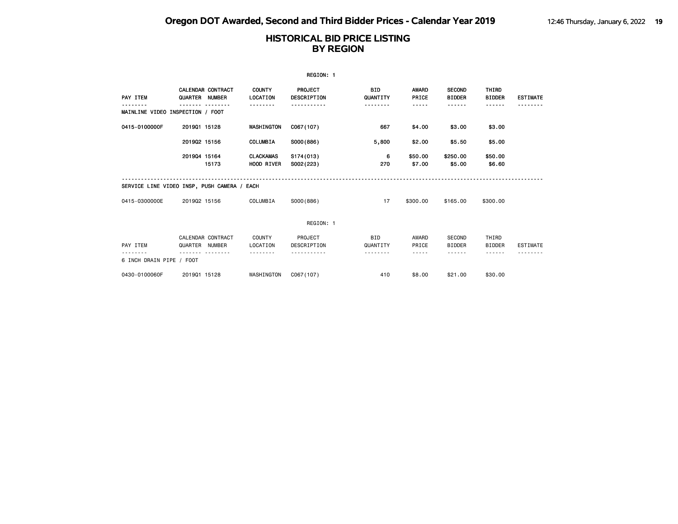|                                              |                |                                           |                                  | REGION: 1                     |                        |                       |                                            |                               |                 |
|----------------------------------------------|----------------|-------------------------------------------|----------------------------------|-------------------------------|------------------------|-----------------------|--------------------------------------------|-------------------------------|-----------------|
| PAY ITEM<br>MAINLINE VIDEO INSPECTION / FOOT | QUARTER        | <b>CALENDAR CONTRACT</b><br><b>NUMBER</b> | <b>COUNTY</b><br><b>LOCATION</b> | PROJECT<br><b>DESCRIPTION</b> | <b>BID</b><br>QUANTITY | <b>AWARD</b><br>PRICE | <b>SECOND</b><br><b>BIDDER</b><br><b>.</b> | <b>THIRD</b><br><b>BIDDER</b> | <b>ESTIMATE</b> |
| 0415-0100000F                                | 201901 15128   |                                           | WASHINGTON                       | C067(107)                     | 667                    | \$4.00                | \$3.00                                     | \$3.00                        |                 |
|                                              | 201902 15156   |                                           | COLUMBIA                         | S000(886)                     | 5,800                  | \$2.00                | \$5.50                                     | \$5.00                        |                 |
|                                              | 201904 15164   | 15173                                     | <b>CLACKAMAS</b><br>HOOD RIVER   | S174(013)<br>S002(223)        | 6<br>270               | \$50.00<br>\$7.00     | \$250.00<br>\$5.00                         | \$50.00<br>\$6.60             |                 |
| SERVICE LINE VIDEO INSP, PUSH CAMERA / EACH  |                |                                           |                                  |                               |                        |                       |                                            |                               |                 |
| 0415-0300000E                                | 201902 15156   |                                           | COLUMBIA                         | SO00(886)                     | 17                     | \$300.00              | \$165,00                                   | \$300.00                      |                 |
|                                              |                |                                           |                                  | REGION: 1                     |                        |                       |                                            |                               |                 |
| PAY ITEM                                     | QUARTER NUMBER | CALENDAR CONTRACT                         | COUNTY<br>LOCATION               | PROJECT<br>DESCRIPTION        | <b>BID</b><br>QUANTITY | AWARD<br>PRICE        | SECOND<br><b>BIDDER</b>                    | THIRD<br><b>BIDDER</b>        | <b>ESTIMATE</b> |
| 6 INCH DRAIN PIPE / FOOT                     |                |                                           |                                  |                               |                        |                       |                                            |                               |                 |
| 0430-0100060F                                | 201901 15128   |                                           | WASHINGTON                       | C067(107)                     | 410                    | \$8,00                | \$21.00                                    | \$30.00                       |                 |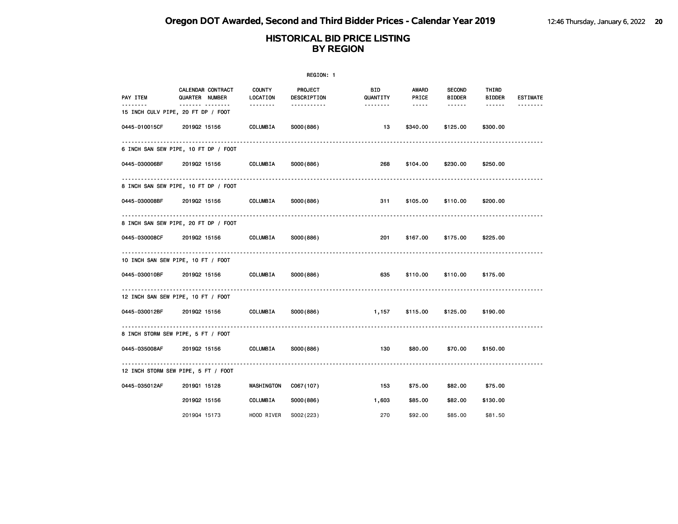| REGION: 1                                      |                                            |                       |                               |                       |                        |                                |                 |                 |  |
|------------------------------------------------|--------------------------------------------|-----------------------|-------------------------------|-----------------------|------------------------|--------------------------------|-----------------|-----------------|--|
| PAY ITEM                                       | <b>CALENDAR CONTRACT</b><br>QUARTER NUMBER | COUNTY<br>LOCATION    | <b>PROJECT</b><br>DESCRIPTION | BID<br>QUANTITY       | <b>AWARD</b><br>PRICE  | <b>SECOND</b><br><b>BIDDER</b> | THIRD<br>BIDDER | <b>ESTIMATE</b> |  |
| <u>.</u><br>15 INCH CULV PIPE, 20 FT DP / FOOT | ------- --------                           | <u> - - - - - - -</u> | -----------                   | <u> - - - - - - -</u> | $\cdots \cdots \cdots$ | ------                         | $- - - - - -$   | <u>.</u>        |  |
| 0445-010015CF                                  | 201902 15156                               | COLUMBIA              | S000(886)                     | 13                    | \$340.00               | \$125.00                       | \$300.00        |                 |  |
|                                                | 6 INCH SAN SEW PIPE, 10 FT DP / FOOT       |                       |                               |                       |                        |                                |                 |                 |  |
| 0445-030006BF                                  | 201902 15156                               | COLUMBIA              | S000(886)                     | 268                   | \$104.00               | \$230.00                       | \$250.00        |                 |  |
|                                                | .<br>8 INCH SAN SEW PIPE, 10 FT DP / FOOT  |                       |                               |                       |                        |                                |                 |                 |  |
| 0445-030008BF                                  | 201902 15156                               | COLUMBIA              | S000(886)                     | 311                   | \$105.00               | \$110.00                       | \$200.00        |                 |  |
|                                                | 8 INCH SAN SEW PIPE, 20 FT DP / FOOT       |                       |                               |                       |                        |                                |                 |                 |  |
| 0445-030008CF                                  | 201902 15156                               | COLUMBIA              | S000(886)                     | 201                   | \$167.00               | \$175.00                       | \$225.00        |                 |  |
| 10 INCH SAN SEW PIPE, 10 FT / FOOT             |                                            |                       |                               |                       |                        |                                |                 |                 |  |
|                                                | 0445-030010BF 201902 15156                 | COLUMBIA              | S000(886)                     | 635                   | \$110.00               | \$110.00                       | \$175.00        |                 |  |
| 12 INCH SAN SEW PIPE, 10 FT / FOOT             |                                            |                       |                               |                       |                        |                                |                 |                 |  |
| 0445-030012BF                                  | 201902 15156                               | COLUMBIA              | S000(886)                     | 1,157                 | \$115.00               | \$125.00                       | \$190.00        |                 |  |
| 8 INCH STORM SEW PIPE, 5 FT / FOOT             |                                            |                       |                               |                       |                        |                                |                 |                 |  |
| 0445-035008AF                                  | 201902 15156                               | COLUMBIA              | S000(886)                     | 130                   | \$80.00                | \$70.00                        | \$150.00        |                 |  |
|                                                | 12 INCH STORM SEW PIPE, 5 FT / FOOT        |                       |                               |                       |                        |                                |                 |                 |  |
| 0445-035012AF                                  | 201901 15128                               | <b>WASHINGTON</b>     | C067(107)                     | 153                   | \$75.00                | \$82.00                        | \$75.00         |                 |  |
|                                                | 201902 15156                               | COLUMBIA              | S000(886)                     | 1,603                 | \$85.00                | \$82.00                        | \$130.00        |                 |  |
|                                                | 201904 15173                               | HOOD RIVER            | S002(223)                     | 270                   | \$92,00                | \$85,00                        | \$81.50         |                 |  |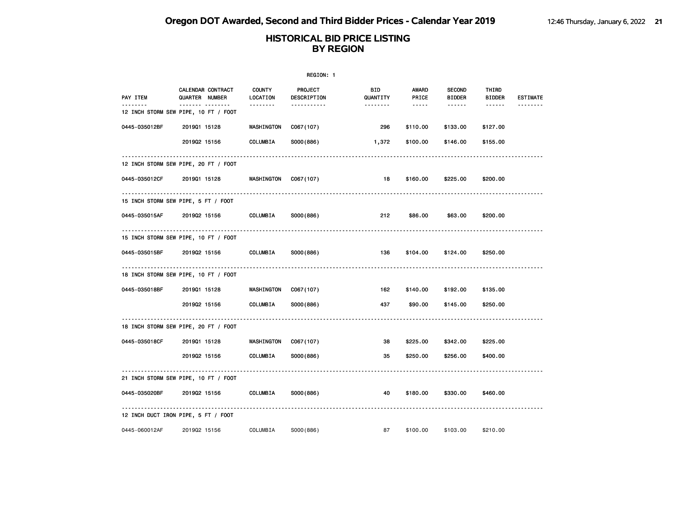| REGION: 1     |                                           |                           |                               |                 |                |                                |                        |                 |  |
|---------------|-------------------------------------------|---------------------------|-------------------------------|-----------------|----------------|--------------------------------|------------------------|-----------------|--|
| PAY ITEM      | CALENDAR CONTRACT<br>QUARTER NUMBER       | <b>COUNTY</b><br>LOCATION | <b>PROJECT</b><br>DESCRIPTION | BID<br>QUANTITY | AWARD<br>PRICE | <b>SECOND</b><br><b>BIDDER</b> | THIRD<br><b>BIDDER</b> | <b>ESTIMATE</b> |  |
|               | .<br>12 INCH STORM SEW PIPE, 10 FT / FOOT |                           | <u>.</u>                      |                 | $- - - - -$    | ------                         | $- - - - - -$          |                 |  |
| 0445-035012BF | 201901 15128                              | WASHINGTON                | C067(107)                     | 296             | \$110.00       | \$133.00                       | \$127.00               |                 |  |
|               | 201902 15156                              | COLUMBIA                  | S000(886)                     | 1,372           | \$100.00       | \$146.00                       | \$155.00               |                 |  |
|               | 12 INCH STORM SEW PIPE, 20 FT / FOOT      |                           |                               |                 |                |                                |                        |                 |  |
| 0445-035012CF | 201901 15128                              | WASHINGTON                | C067(107)                     | 18              | \$160.00       | \$225.00                       | \$200.00               |                 |  |
|               | 15 INCH STORM SEW PIPE, 5 FT / FOOT       |                           |                               |                 |                |                                |                        |                 |  |
| 0445-035015AF | 201902 15156                              | COLUMBIA                  | S000(886)                     | 212             | \$86.00        | \$63.00                        | \$200.00               |                 |  |
|               | 15 INCH STORM SEW PIPE, 10 FT / FOOT      |                           |                               |                 |                |                                |                        |                 |  |
| 0445-035015BF | 201902 15156                              | COLUMBIA                  | S000(886)                     | 136             | \$104.00       | \$124.00                       | \$250.00               |                 |  |
|               | 18 INCH STORM SEW PIPE, 10 FT / FOOT      |                           |                               |                 |                |                                |                        |                 |  |
| 0445-035018BF | 201901 15128                              | WASHINGTON                | C067(107)                     | 162             | \$140.00       | \$192.00                       | \$135.00               |                 |  |
|               | 201902 15156                              | COLUMBIA                  | S000(886)                     | 437             | \$90.00        | \$145.00                       | \$250.00               |                 |  |
|               | 18 INCH STORM SEW PIPE, 20 FT / FOOT      |                           |                               |                 |                |                                |                        |                 |  |
| 0445-035018CF | 201901 15128                              | WASHINGTON                | C067(107)                     | 38              | \$225.00       | \$342.00                       | \$225.00               |                 |  |
|               | 201902 15156                              | COLUMBIA                  | S000(886)                     | 35              | \$250.00       | \$256.00                       | \$400.00               |                 |  |
|               | 21 INCH STORM SEW PIPE, 10 FT / FOOT      |                           |                               |                 |                |                                |                        |                 |  |
| 0445-035020BF | 201902 15156                              | COLUMBIA                  | S000(886)                     | 40              | \$180.00       | \$330.00                       | \$460.00               |                 |  |
|               | 12 INCH DUCT IRON PIPE, 5 FT / FOOT       |                           |                               |                 |                |                                |                        |                 |  |
| 0445-060012AF | 201902 15156                              | COLUMBIA                  | S000(886)                     | 87              | \$100.00       | \$103.00                       | \$210.00               |                 |  |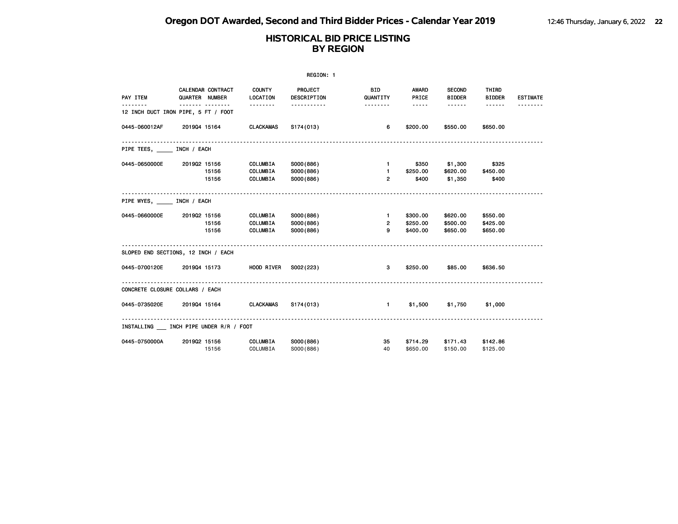|                                 | REGION: 1                                |                                                |                                     |                                            |                                                                                                                                                                                                                                                                                                                                                                                                                                                                            |                                      |                                  |                 |  |  |
|---------------------------------|------------------------------------------|------------------------------------------------|-------------------------------------|--------------------------------------------|----------------------------------------------------------------------------------------------------------------------------------------------------------------------------------------------------------------------------------------------------------------------------------------------------------------------------------------------------------------------------------------------------------------------------------------------------------------------------|--------------------------------------|----------------------------------|-----------------|--|--|
| PAY ITEM                        | CALENDAR CONTRACT<br>QUARTER NUMBER      | <b>COUNTY</b><br>LOCATION                      | PROJECT<br>DESCRIPTION              | <b>BID</b><br>QUANTITY                     | AWARD<br>PRICE                                                                                                                                                                                                                                                                                                                                                                                                                                                             | <b>SECOND</b><br><b>BIDDER</b>       | THIRD<br><b>BIDDER</b>           | <b>ESTIMATE</b> |  |  |
| .                               | .<br>12 INCH DUCT IRON PIPE, 5 FT / FOOT | <b></b>                                        | -----------                         |                                            | $\frac{1}{2} \left( \frac{1}{2} \right) \left( \frac{1}{2} \right) \left( \frac{1}{2} \right) \left( \frac{1}{2} \right) \left( \frac{1}{2} \right) \left( \frac{1}{2} \right) \left( \frac{1}{2} \right) \left( \frac{1}{2} \right) \left( \frac{1}{2} \right) \left( \frac{1}{2} \right) \left( \frac{1}{2} \right) \left( \frac{1}{2} \right) \left( \frac{1}{2} \right) \left( \frac{1}{2} \right) \left( \frac{1}{2} \right) \left( \frac{1}{2} \right) \left( \frac$ | $- - - - - -$                        | $- - - - - -$                    |                 |  |  |
| 0445-060012AF                   | 201904 15164                             | CLACKAMAS                                      | S174(013)                           | 6.                                         | \$200.00                                                                                                                                                                                                                                                                                                                                                                                                                                                                   | \$550.00                             | \$650.00                         |                 |  |  |
| PIPE TEES, INCH / EACH          |                                          |                                                |                                     |                                            |                                                                                                                                                                                                                                                                                                                                                                                                                                                                            |                                      |                                  |                 |  |  |
| 0445-0650000E                   | 201902 15156<br>15156<br>15156           | COLUMBIA<br><b>COLUMBIA</b><br><b>COLUMBIA</b> | S000(886)<br>S000(886)<br>S000(886) | $1 -$<br>$\overline{2}$                    | $1 - 1$<br>\$250.00<br>\$400                                                                                                                                                                                                                                                                                                                                                                                                                                               | \$350 \$1,300<br>\$620.00<br>\$1,350 | \$325<br>\$450.00<br>\$400       |                 |  |  |
| PIPE WYES, INCH / EACH          |                                          |                                                |                                     |                                            |                                                                                                                                                                                                                                                                                                                                                                                                                                                                            |                                      |                                  |                 |  |  |
| 0445-0660000E                   | 201902 15156<br>15156<br>15156           | COLUMBIA<br>COLUMBIA<br>COLUMBIA               | S000(886)<br>S000(886)<br>S000(886) | $\mathbf{1}$<br>$2^{\circ}$<br>$9^{\circ}$ | \$300.00<br>\$250.00<br>\$400.00                                                                                                                                                                                                                                                                                                                                                                                                                                           | \$620.00<br>\$500.00<br>\$650.00     | \$550.00<br>\$425.00<br>\$650.00 |                 |  |  |
|                                 | SLOPED END SECTIONS, 12 INCH / EACH      | .                                              |                                     |                                            |                                                                                                                                                                                                                                                                                                                                                                                                                                                                            |                                      |                                  |                 |  |  |
| 0445-0700120E                   | 201904 15173                             | <b>HOOD RIVER</b>                              | S002(223)                           | 3                                          | \$250.00                                                                                                                                                                                                                                                                                                                                                                                                                                                                   | \$85.00                              | \$636.50                         |                 |  |  |
| CONCRETE CLOSURE COLLARS / EACH |                                          |                                                |                                     |                                            |                                                                                                                                                                                                                                                                                                                                                                                                                                                                            |                                      |                                  |                 |  |  |
| 0445-0735020E 2019Q4 15164      |                                          | CLACKAMAS                                      | S174(013)                           | $\mathbf{1}$                               | \$1,500                                                                                                                                                                                                                                                                                                                                                                                                                                                                    | \$1,750                              | \$1,000                          |                 |  |  |
|                                 | INSTALLING INCH PIPE UNDER R/R / FOOT    |                                                |                                     |                                            |                                                                                                                                                                                                                                                                                                                                                                                                                                                                            |                                      |                                  |                 |  |  |
| 0445-0750000A                   | 201902 15156<br>15156                    | <b>COLUMBIA</b><br>COLUMBIA                    | S000(886)<br>S000(886)              | 35<br>40                                   | \$714.29<br>\$650.00                                                                                                                                                                                                                                                                                                                                                                                                                                                       | \$150.00                             | \$171.43 \$142.86<br>\$125.00    |                 |  |  |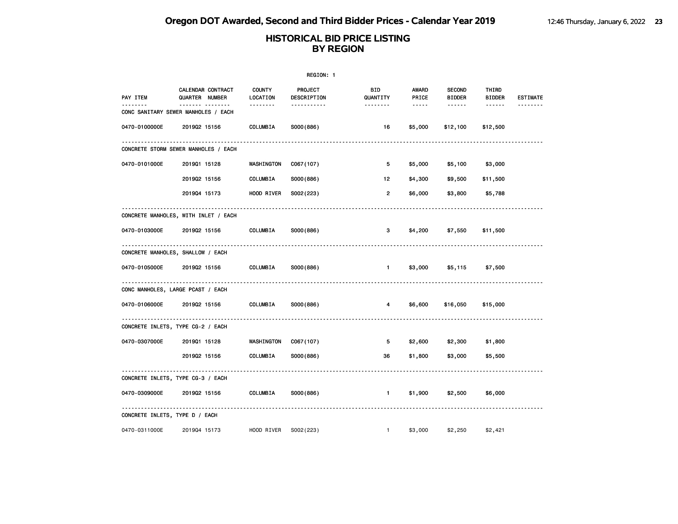| REGION: 1                      |                                                |                           |                        |                       |                |                                |                        |                 |
|--------------------------------|------------------------------------------------|---------------------------|------------------------|-----------------------|----------------|--------------------------------|------------------------|-----------------|
| PAY ITEM                       | CALENDAR CONTRACT<br>QUARTER NUMBER            | <b>COUNTY</b><br>LOCATION | PROJECT<br>DESCRIPTION | BID<br>QUANTITY       | AWARD<br>PRICE | <b>SECOND</b><br><b>BIDDER</b> | THIRD<br><b>BIDDER</b> | <b>ESTIMATE</b> |
|                                | <u></u><br>CONC SANITARY SEWER MANHOLES / EACH | <u>.</u>                  | <u>.</u>               | <u> - - - - - - -</u> | $- - - - -$    | ------                         | $\frac{1}{2}$          | --------        |
| 0470-0100000E                  | 201902 15156                                   | COLUMBIA                  | S000(886)              | 16                    | \$5,000        | \$12,100                       | \$12,500               |                 |
|                                | CONCRETE STORM SEWER MANHOLES / EACH           |                           |                        |                       |                |                                |                        |                 |
| 0470-0101000E                  | 201901 15128                                   | WASHINGTON                | C067(107)              | 5                     | \$5,000        | \$5,100                        | \$3,000                |                 |
|                                | 201902 15156                                   | COLUMBIA                  | S000(886)              | 12                    | \$4,300        | \$9,500                        | \$11,500               |                 |
|                                | 201904 15173                                   | HOOD RIVER                | S002(223)              | $\overline{2}$        | \$6,000        | \$3,800                        | \$5,788                |                 |
|                                | CONCRETE MANHOLES, WITH INLET / EACH           |                           |                        |                       |                |                                |                        |                 |
| 0470-0103000E                  | 201902 15156                                   | COLUMBIA                  | S000(886)              | 3                     | \$4,200        | \$7,550                        | \$11,500               |                 |
|                                | CONCRETE MANHOLES, SHALLOW / EACH              |                           |                        |                       |                |                                |                        |                 |
| 0470-0105000E                  | 201902 15156                                   | COLUMBIA                  | S000(886)              | $\blacksquare$        | \$3,000        | \$5,115                        | \$7,500                |                 |
|                                | CONC MANHOLES, LARGE PCAST / EACH              |                           |                        |                       |                |                                |                        |                 |
| 0470-0106000E                  | 201902 15156                                   | COLUMBIA                  | S000(886)              | 4                     | \$6,600        | \$16,050                       | \$15,000               |                 |
|                                | CONCRETE INLETS, TYPE CG-2 / EACH              |                           |                        |                       |                |                                |                        |                 |
| 0470-0307000E                  | 201901 15128                                   | WASHINGTON                | C067(107)              | 5                     | \$2,600        | \$2,300                        | \$1,800                |                 |
|                                | 201902 15156                                   | COLUMBIA                  | S000(886)              | 36                    | \$1,800        | \$3,000                        | \$5,500                |                 |
|                                | CONCRETE INLETS, TYPE CG-3 / EACH              |                           |                        |                       |                |                                |                        |                 |
| 0470-0309000E                  | 201902 15156                                   | COLUMBIA                  | S000(886)              | $\blacksquare$        | \$1,900        | \$2,500                        | \$6,000                |                 |
| CONCRETE INLETS, TYPE D / EACH |                                                |                           |                        |                       |                |                                |                        |                 |
| 0470-0311000E                  | 201904 15173                                   | HOOD RIVER                | S002(223)              | $\mathbf{1}$          | \$3,000        | \$2,250                        | \$2,421                |                 |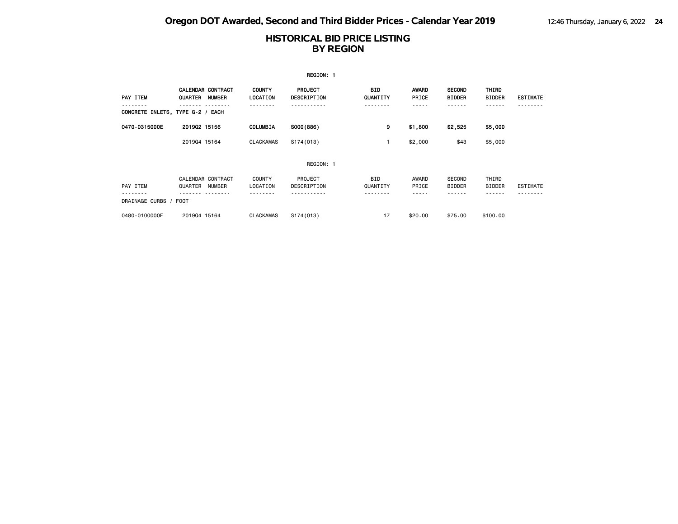|                                  |                                     |               |                           | REGION: 1                     |                        |                       |                                |                        |                 |
|----------------------------------|-------------------------------------|---------------|---------------------------|-------------------------------|------------------------|-----------------------|--------------------------------|------------------------|-----------------|
| PAY ITEM                         | <b>CALENDAR CONTRACT</b><br>QUARTER | <b>NUMBER</b> | <b>COUNTY</b><br>LOCATION | PROJECT<br><b>DESCRIPTION</b> | <b>BID</b><br>QUANTITY | <b>AWARD</b><br>PRICE | <b>SECOND</b><br><b>BIDDER</b> | THIRD<br><b>BIDDER</b> | <b>ESTIMATE</b> |
| CONCRETE INLETS, TYPE G-2 / EACH |                                     |               |                           |                               | - - - - -              |                       | - - - -                        |                        |                 |
| 0470-0315000E                    | 201902 15156                        |               | COLUMBIA                  | S000(886)                     | 9                      | \$1,800               | \$2,525                        | \$5,000                |                 |
|                                  | 201904 15164                        |               | <b>CLACKAMAS</b>          | S174(013)                     |                        | \$2,000               | \$43                           | \$5,000                |                 |
|                                  |                                     |               |                           | REGION: 1                     |                        |                       |                                |                        |                 |
| PAY ITEM                         | CALENDAR CONTRACT<br>QUARTER        | NUMBER        | <b>COUNTY</b><br>LOCATION | PROJECT<br>DESCRIPTION        | <b>BID</b><br>QUANTITY | AWARD<br>PRICE        | <b>SECOND</b><br><b>BIDDER</b> | THIRD<br><b>BIDDER</b> | <b>ESTIMATE</b> |
| DRAINAGE CURBS / FOOT            |                                     |               |                           |                               |                        |                       |                                |                        |                 |
| 0480-0100000F                    | 201904 15164                        |               | <b>CLACKAMAS</b>          | S174(013)                     | 17                     | \$20,00               | \$75,00                        | \$100.00               |                 |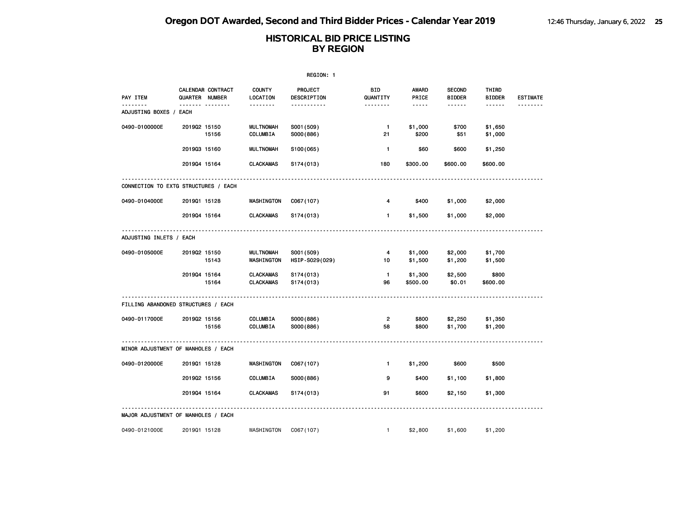|                             |                                      |                                      | REGION: 1                    |                      |                       |                                |                        |                 |
|-----------------------------|--------------------------------------|--------------------------------------|------------------------------|----------------------|-----------------------|--------------------------------|------------------------|-----------------|
| PAY ITEM                    | CALENDAR CONTRACT<br>QUARTER NUMBER  | <b>COUNTY</b><br>LOCATION            | PROJECT<br>DESCRIPTION       | BID<br>QUANTITY      | <b>AWARD</b><br>PRICE | <b>SECOND</b><br><b>BIDDER</b> | THIRD<br><b>BIDDER</b> | <b>ESTIMATE</b> |
| .<br>ADJUSTING BOXES / EACH | .                                    | .                                    | -----------                  | <u>.</u>             | -----                 | ------                         | ------                 |                 |
| 0490-0100000E               | 201902 15150<br>15156                | <b>MULTNOMAH</b><br>COLUMBIA         | S001 (509)<br>S000(886)      | $\mathbf{1}$<br>21   | \$1,000<br>\$200      | \$700<br>\$51                  | \$1,650<br>\$1,000     |                 |
|                             | 201903 15160                         | <b>MULTNOMAH</b>                     | S100(065)                    | $\mathbf{1}$         | \$60                  | \$600                          | \$1,250                |                 |
|                             | 201904 15164                         | <b>CLACKAMAS</b>                     | S174(013)                    | 180                  | \$300.00              | \$600.00                       | \$600.00               |                 |
|                             | CONNECTION TO EXTG STRUCTURES / EACH |                                      |                              |                      |                       |                                |                        |                 |
| 0490-0104000E               | 201901 15128                         | WASHINGTON                           | C067(107)                    | 4                    | \$400                 | \$1,000                        | \$2,000                |                 |
|                             | 201904 15164                         | <b>CLACKAMAS</b>                     | S174(013)                    | $\mathbf{1}$         | \$1,500               | \$1,000                        | \$2,000                |                 |
| ADJUSTING INLETS / EACH     |                                      |                                      |                              |                      |                       |                                |                        |                 |
| 0490-0105000E               | 201902 15150<br>15143                | <b>MULTNOMAH</b><br>WASHINGTON       | S001 (509)<br>HSIP-S029(029) | 4<br>10              | \$1,000<br>\$1,500    | \$2,000<br>\$1,200             | \$1,700<br>\$1,500     |                 |
|                             | 201904 15164<br>15164                | <b>CLACKAMAS</b><br><b>CLACKAMAS</b> | S174(013)<br>S174(013)       | $\mathbf{1}$<br>96   | \$1,300<br>\$500.00   | \$2,500<br>\$0.01              | \$800<br>\$600.00      |                 |
|                             | FILLING ABANDONED STRUCTURES / EACH  |                                      |                              |                      |                       |                                |                        |                 |
| 0490-0117000E               | 201902 15156<br>15156                | COLUMBIA<br>COLUMBIA                 | S000(886)<br>S000(886)       | $\overline{2}$<br>58 | \$800<br>\$800        | \$2,250<br>\$1,700             | \$1,350<br>\$1,200     |                 |
|                             | MINOR ADJUSTMENT OF MANHOLES / EACH  |                                      |                              |                      |                       |                                |                        |                 |
| 0490-0120000E               | 201901 15128                         | WASHINGTON                           | C067(107)                    | $\mathbf{1}$         | \$1,200               | \$600                          | \$500                  |                 |
|                             | 201902 15156                         | COLUMBIA                             | S000(886)                    | 9                    | \$400                 | \$1,100                        | \$1,800                |                 |
|                             | 201904 15164                         | <b>CLACKAMAS</b>                     | S174(013)                    | 91                   | \$600                 | \$2,150                        | \$1,300                |                 |
|                             | MAJOR ADJUSTMENT OF MANHOLES / EACH  |                                      |                              |                      |                       |                                |                        |                 |
| 0490-0121000E               | 201901 15128                         | WASHINGTON                           | C067(107)                    | $\mathbf{1}$         | \$2,800               | \$1,600                        | \$1,200                |                 |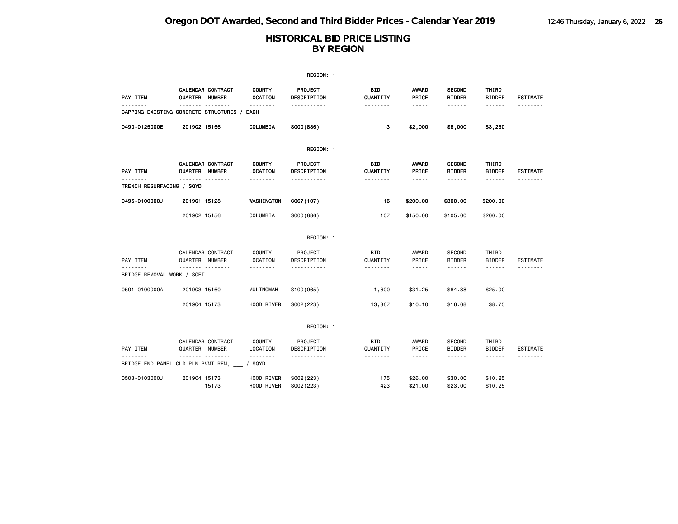|                                                         |                                                         |                                       | REGION: 1                                    |                             |                                                                                                                                                                                                                                                                                                                                                                                                                                                                            |                                          |                                  |                                    |
|---------------------------------------------------------|---------------------------------------------------------|---------------------------------------|----------------------------------------------|-----------------------------|----------------------------------------------------------------------------------------------------------------------------------------------------------------------------------------------------------------------------------------------------------------------------------------------------------------------------------------------------------------------------------------------------------------------------------------------------------------------------|------------------------------------------|----------------------------------|------------------------------------|
| PAY ITEM                                                | CALENDAR CONTRACT<br>QUARTER NUMBER                     | <b>COUNTY</b><br>LOCATION             | PROJECT<br>DESCRIPTION                       | BID<br>QUANTITY             | <b>AWARD</b><br>PRICE                                                                                                                                                                                                                                                                                                                                                                                                                                                      | <b>SECOND</b><br><b>BIDDER</b>           | THIRD<br><b>BIDDER</b>           | <b>ESTIMATE</b>                    |
|                                                         | <u>.</u><br>CAPPING EXISTING CONCRETE STRUCTURES / EACH | <u>.</u>                              | <u>.</u>                                     | .                           | $- - - - -$                                                                                                                                                                                                                                                                                                                                                                                                                                                                |                                          | ------                           | <u>.</u>                           |
| 0490-0125000E                                           | 201902 15156                                            | COLUMBIA                              | S000(886)                                    | з                           | \$2,000                                                                                                                                                                                                                                                                                                                                                                                                                                                                    | \$8,000                                  | \$3,250                          |                                    |
|                                                         |                                                         |                                       | REGION: 1                                    |                             |                                                                                                                                                                                                                                                                                                                                                                                                                                                                            |                                          |                                  |                                    |
| <b>PAY ITEM</b><br>-------<br>TRENCH RESURFACING / SQYD | CALENDAR CONTRACT<br>QUARTER NUMBER<br><u> </u>         | <b>COUNTY</b><br>LOCATION<br>-------- | PROJECT<br><b>DESCRIPTION</b><br>----------- | BID<br>QUANTITY<br>-------- | AWARD<br>PRICE<br>$- - - - -$                                                                                                                                                                                                                                                                                                                                                                                                                                              | <b>SECOND</b><br><b>BIDDER</b><br>------ | THIRD<br><b>BIDDER</b><br>------ | <b>ESTIMATE</b><br>- - - - - - - - |
| 0495-0100000J                                           | 201901 15128                                            | WASHINGTON                            | C067(107)                                    | 16                          | \$200.00                                                                                                                                                                                                                                                                                                                                                                                                                                                                   | \$300.00                                 | \$200.00                         |                                    |
|                                                         | 201902 15156                                            | COLUMBIA                              | S000(886)                                    | 107                         | \$150.00                                                                                                                                                                                                                                                                                                                                                                                                                                                                   | \$105.00                                 | \$200.00                         |                                    |
|                                                         |                                                         |                                       | REGION: 1                                    |                             |                                                                                                                                                                                                                                                                                                                                                                                                                                                                            |                                          |                                  |                                    |
| PAY ITEM                                                | CALENDAR CONTRACT<br>QUARTER NUMBER                     | <b>COUNTY</b><br>LOCATION             | PROJECT<br>DESCRIPTION                       | <b>BID</b><br>QUANTITY      | AWARD<br>PRICE                                                                                                                                                                                                                                                                                                                                                                                                                                                             | <b>SECOND</b><br><b>BIDDER</b>           | THIRD<br><b>BIDDER</b>           | <b>ESTIMATE</b>                    |
| BRIDGE REMOVAL WORK / SQFT                              | .                                                       | .                                     | <u>.</u>                                     |                             | $\frac{1}{2}$                                                                                                                                                                                                                                                                                                                                                                                                                                                              | ------                                   | ------                           | <u>.</u>                           |
| 0501-0100000A                                           | 201903 15160                                            | <b>MULTNOMAH</b>                      | S100(065)                                    | 1,600                       | \$31.25                                                                                                                                                                                                                                                                                                                                                                                                                                                                    | \$84.38                                  | \$25.00                          |                                    |
|                                                         | 201904 15173                                            | HOOD RIVER                            | S002(223)                                    | 13,367                      | \$10.10                                                                                                                                                                                                                                                                                                                                                                                                                                                                    | \$16.08                                  | \$8.75                           |                                    |
|                                                         |                                                         |                                       | REGION: 1                                    |                             |                                                                                                                                                                                                                                                                                                                                                                                                                                                                            |                                          |                                  |                                    |
| PAY ITEM                                                | CALENDAR CONTRACT<br>QUARTER NUMBER                     | <b>COUNTY</b><br>LOCATION             | PROJECT<br>DESCRIPTION                       | BID<br>QUANTITY             | AWARD<br>PRICE                                                                                                                                                                                                                                                                                                                                                                                                                                                             | SECOND<br><b>BIDDER</b>                  | THIRD<br><b>BIDDER</b>           | <b>ESTIMATE</b>                    |
| --------                                                | .<br>BRIDGE END PANEL CLD PLN PVMT REM,                 | --------<br>SQYD                      | <u>.</u>                                     | --------                    | $\frac{1}{2} \left( \frac{1}{2} \right) \left( \frac{1}{2} \right) \left( \frac{1}{2} \right) \left( \frac{1}{2} \right) \left( \frac{1}{2} \right) \left( \frac{1}{2} \right) \left( \frac{1}{2} \right) \left( \frac{1}{2} \right) \left( \frac{1}{2} \right) \left( \frac{1}{2} \right) \left( \frac{1}{2} \right) \left( \frac{1}{2} \right) \left( \frac{1}{2} \right) \left( \frac{1}{2} \right) \left( \frac{1}{2} \right) \left( \frac{1}{2} \right) \left( \frac$ | ------                                   | ------                           |                                    |
| 0503-0103000J                                           | 201904 15173<br>15173                                   | HOOD RIVER<br>HOOD RIVER              | S002(223)<br>S002(223)                       | 175<br>423                  | \$26.00<br>\$21.00                                                                                                                                                                                                                                                                                                                                                                                                                                                         | \$30.00<br>\$23.00                       | \$10.25<br>\$10.25               |                                    |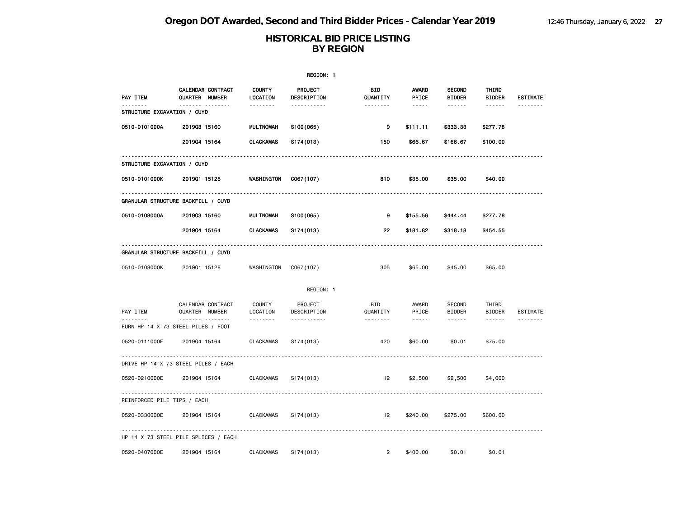|                             |                                                 |                                       | REGION: 1                   |                             |                                      |                                          |                                  |                 |
|-----------------------------|-------------------------------------------------|---------------------------------------|-----------------------------|-----------------------------|--------------------------------------|------------------------------------------|----------------------------------|-----------------|
| PAY ITEM                    | CALENDAR CONTRACT<br>QUARTER NUMBER<br><u> </u> | <b>COUNTY</b><br>LOCATION<br><u>.</u> | PROJECT<br>DESCRIPTION<br>. | BID<br>QUANTITY<br><u>.</u> | <b>AWARD</b><br>PRICE<br>$- - - - -$ | <b>SECOND</b><br><b>BIDDER</b><br>------ | THIRD<br><b>BIDDER</b><br>------ | <b>ESTIMATE</b> |
| STRUCTURE EXCAVATION / CUYD |                                                 |                                       |                             |                             |                                      |                                          |                                  |                 |
| 0510-0101000A               | 201903 15160                                    | <b>MULTNOMAH</b>                      | S100(065)                   | 9                           | \$111.11                             | \$333.33                                 | \$277.78                         |                 |
|                             | 201904 15164                                    | <b>CLACKAMAS</b>                      | S174(013)                   | 150                         | \$66.67                              | \$166.67                                 | \$100.00                         |                 |
| STRUCTURE EXCAVATION / CUYD |                                                 |                                       |                             |                             |                                      |                                          |                                  |                 |
| 0510-0101000K               | 201901 15128                                    | WASHINGTON                            | C067(107)                   | 810                         | \$35.00                              | \$35.00                                  | \$40.00                          |                 |
|                             | GRANULAR STRUCTURE BACKFILL / CUYD              |                                       |                             |                             |                                      |                                          |                                  |                 |
| 0510-0108000A               | 201903 15160                                    | <b>MULTNOMAH</b>                      | S100(065)                   | 9                           | \$155.56                             | \$444.44                                 | \$277.78                         |                 |
|                             | 201904 15164                                    | <b>CLACKAMAS</b>                      | S174(013)                   | 22                          | \$181.82                             | \$318.18                                 | \$454.55                         |                 |
|                             | GRANULAR STRUCTURE BACKFILL / CUYD              |                                       |                             |                             |                                      |                                          |                                  |                 |
| 0510-0108000K               | 201901 15128                                    | WASHINGTON                            | C067(107)                   | 305                         | \$65.00                              | \$45.00                                  | \$65.00                          |                 |
|                             |                                                 |                                       | REGION: 1                   |                             |                                      |                                          |                                  |                 |
| PAY ITEM                    | CALENDAR CONTRACT<br>QUARTER NUMBER             | COUNTY<br>LOCATION                    | PROJECT<br>DESCRIPTION      | BID<br>QUANTITY             | AWARD<br>PRICE                       | <b>SECOND</b><br><b>BIDDER</b>           | THIRD<br><b>BIDDER</b>           | ESTIMATE        |
| . <u>.</u>                  | <u>.</u><br>FURN HP 14 X 73 STEEL PILES / FOOT  | .                                     | <u>.</u>                    |                             | $- - - -$                            | $- - - - - -$                            | ------                           |                 |
| 0520-0111000F               | 201904 15164                                    | <b>CLACKAMAS</b>                      | S174(013)                   | 420                         | \$60.00                              | \$0.01                                   | \$75.00                          |                 |
|                             | DRIVE HP 14 X 73 STEEL PILES / EACH             |                                       |                             |                             |                                      |                                          |                                  |                 |
| 0520-0210000E               | 201904 15164                                    | <b>CLACKAMAS</b>                      | S174(013)                   | 12                          | \$2,500                              | \$2,500                                  | \$4,000                          |                 |
| REINFORCED PILE TIPS / EACH |                                                 |                                       |                             |                             |                                      |                                          |                                  |                 |
| 0520-0330000E               | 201904 15164                                    | <b>CLACKAMAS</b>                      | S174(013)                   | 12                          | \$240.00                             | \$275.00                                 | \$600.00                         |                 |
|                             | HP 14 X 73 STEEL PILE SPLICES / EACH            |                                       |                             |                             |                                      |                                          |                                  |                 |
| 0520-0407000E               | 201904 15164                                    | <b>CLACKAMAS</b>                      | S174(013)                   | $\overline{2}$              | \$400.00                             | \$0.01                                   | \$0.01                           |                 |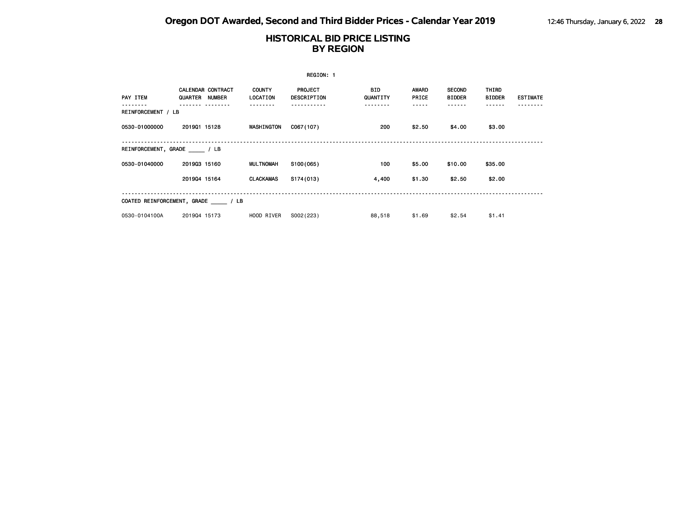|                                  |                |                          |                           | REGION: 1                     |                 |                       |                                |                        |                 |
|----------------------------------|----------------|--------------------------|---------------------------|-------------------------------|-----------------|-----------------------|--------------------------------|------------------------|-----------------|
| PAY ITEM                         | QUARTER NUMBER | <b>CALENDAR CONTRACT</b> | <b>COUNTY</b><br>LOCATION | <b>PROJECT</b><br>DESCRIPTION | BID<br>QUANTITY | <b>AWARD</b><br>PRICE | <b>SECOND</b><br><b>BIDDER</b> | THIRD<br><b>BIDDER</b> | <b>ESTIMATE</b> |
| REINFORCEMENT / LB               |                |                          |                           |                               | .               |                       |                                | <b>.</b>               |                 |
| 0530-01000000                    | 201901 15128   |                          | WASHINGTON                | C067(107)                     | 200             | \$2.50                | \$4.00                         | \$3.00                 |                 |
| REINFORCEMENT, GRADE / LB        |                |                          |                           |                               |                 |                       |                                |                        |                 |
| 0530-01040000                    | 201903 15160   |                          | MULTNOMAH                 | S100(065)                     | 100             | \$5.00                | \$10.00                        | \$35.00                |                 |
|                                  | 201904 15164   |                          | <b>CLACKAMAS</b>          | S174(013)                     | 4,400           | \$1.30                | \$2.50                         | \$2.00                 |                 |
| COATED REINFORCEMENT, GRADE / LB |                |                          |                           |                               |                 |                       |                                |                        |                 |
| 0530-0104100A                    | 201904 15173   |                          | HOOD RIVER                | S002(223)                     | 88,518          | \$1.69                | \$2.54                         | \$1.41                 |                 |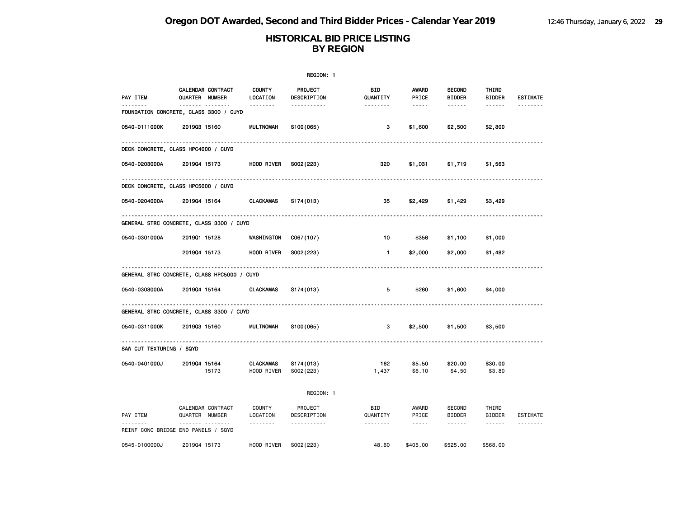|                          |                                                            |                           | REGION: 1              |                        |                       |                                                                                                                                                                                                                                                                                                                                                                                                                                                                                        |                        |                 |
|--------------------------|------------------------------------------------------------|---------------------------|------------------------|------------------------|-----------------------|----------------------------------------------------------------------------------------------------------------------------------------------------------------------------------------------------------------------------------------------------------------------------------------------------------------------------------------------------------------------------------------------------------------------------------------------------------------------------------------|------------------------|-----------------|
| PAY ITEM                 | CALENDAR CONTRACT<br>QUARTER NUMBER                        | <b>COUNTY</b><br>LOCATION | PROJECT<br>DESCRIPTION | <b>BID</b><br>QUANTITY | <b>AWARD</b><br>PRICE | <b>SECOND</b><br><b>BIDDER</b>                                                                                                                                                                                                                                                                                                                                                                                                                                                         | THIRD<br><b>BIDDER</b> | <b>ESTIMATE</b> |
| <u>.</u>                 | ------- --------<br>FOUNDATION CONCRETE, CLASS 3300 / CUYD | <u> - - - - - - -</u>     | -----------            | <u> - - - - - - -</u>  | $\cdots \cdots$       | $\begin{array}{cccccccccccccc} \multicolumn{2}{c}{} & \multicolumn{2}{c}{} & \multicolumn{2}{c}{} & \multicolumn{2}{c}{} & \multicolumn{2}{c}{} & \multicolumn{2}{c}{} & \multicolumn{2}{c}{} & \multicolumn{2}{c}{} & \multicolumn{2}{c}{} & \multicolumn{2}{c}{} & \multicolumn{2}{c}{} & \multicolumn{2}{c}{} & \multicolumn{2}{c}{} & \multicolumn{2}{c}{} & \multicolumn{2}{c}{} & \multicolumn{2}{c}{} & \multicolumn{2}{c}{} & \multicolumn{2}{c}{} & \multicolumn{2}{c}{} & \$ | ------                 | <u>.</u>        |
| 0540-0111000K            | 201903 15160                                               | <b>MULTNOMAH</b>          | S100(065)              | 3                      | \$1,600               | \$2,500                                                                                                                                                                                                                                                                                                                                                                                                                                                                                | \$2,800                |                 |
|                          | DECK CONCRETE, CLASS HPC4000 / CUYD                        |                           |                        |                        |                       |                                                                                                                                                                                                                                                                                                                                                                                                                                                                                        |                        |                 |
| 0540-0203000A            | 201904 15173                                               | HOOD RIVER                | S002(223)              | 320                    | \$1,031               | \$1,719                                                                                                                                                                                                                                                                                                                                                                                                                                                                                | \$1,563                |                 |
|                          | DECK CONCRETE, CLASS HPC5000 / CUYD                        |                           |                        |                        |                       |                                                                                                                                                                                                                                                                                                                                                                                                                                                                                        |                        |                 |
| 0540-0204000A            | 201904 15164                                               | <b>CLACKAMAS</b>          | S174(013)              | 35                     | \$2,429               | \$1,429                                                                                                                                                                                                                                                                                                                                                                                                                                                                                | \$3,429                |                 |
|                          | GENERAL STRC CONCRETE, CLASS 3300 / CUYD                   |                           |                        |                        |                       |                                                                                                                                                                                                                                                                                                                                                                                                                                                                                        |                        |                 |
| 0540-0301000A            | 201901 15128                                               | WASHINGTON                | C067(107)              | 10                     | \$356                 | \$1,100                                                                                                                                                                                                                                                                                                                                                                                                                                                                                | \$1,000                |                 |
|                          | 201904 15173                                               | HOOD RIVER                | S002(223)              | $\blacksquare$         | \$2,000               | \$2,000                                                                                                                                                                                                                                                                                                                                                                                                                                                                                | \$1,482                |                 |
|                          | GENERAL STRC CONCRETE, CLASS HPC5000 / CUYD                |                           |                        |                        |                       |                                                                                                                                                                                                                                                                                                                                                                                                                                                                                        |                        |                 |
| 0540-0308000A            | 201904 15164                                               | <b>CLACKAMAS</b>          | S174(013)              | 5                      | \$260                 | \$1,600                                                                                                                                                                                                                                                                                                                                                                                                                                                                                | \$4,000                |                 |
|                          | GENERAL STRC CONCRETE, CLASS 3300 / CUYD                   |                           |                        |                        |                       |                                                                                                                                                                                                                                                                                                                                                                                                                                                                                        |                        |                 |
| 0540-0311000K            | 201903 15160                                               | <b>MULTNOMAH</b>          | S100(065)              | 3                      | \$2,500               | \$1,500                                                                                                                                                                                                                                                                                                                                                                                                                                                                                | \$3,500                |                 |
| SAW CUT TEXTURING / SQYD |                                                            |                           |                        |                        |                       |                                                                                                                                                                                                                                                                                                                                                                                                                                                                                        |                        |                 |
| 0540-0401000J            | 201904 15164<br>15173                                      | CLACKAMAS<br>HOOD RIVER   | S174(013)<br>S002(223) | 162<br>1,437           | \$5.50<br>\$6.10      | \$20.00<br>\$4.50                                                                                                                                                                                                                                                                                                                                                                                                                                                                      | \$30.00<br>\$3.80      |                 |
|                          |                                                            |                           | REGION: 1              |                        |                       |                                                                                                                                                                                                                                                                                                                                                                                                                                                                                        |                        |                 |
| PAY ITEM                 | CALENDAR CONTRACT<br>QUARTER NUMBER                        | <b>COUNTY</b><br>LOCATION | PROJECT<br>DESCRIPTION | <b>BID</b><br>QUANTITY | AWARD<br>PRICE        | SECOND<br><b>BIDDER</b>                                                                                                                                                                                                                                                                                                                                                                                                                                                                | THIRD<br><b>BIDDER</b> | ESTIMATE        |
|                          | .<br>REINF CONC BRIDGE END PANELS / SQYD                   | <u>.</u>                  | <u>.</u>               | .                      | $- - - - -$           | $- - - - - - -$                                                                                                                                                                                                                                                                                                                                                                                                                                                                        |                        | --------        |
| 0545-0100000J            | 201904 15173                                               | HOOD RIVER                | S002(223)              | 48.60                  | \$405.00              | \$525.00                                                                                                                                                                                                                                                                                                                                                                                                                                                                               | \$568.00               |                 |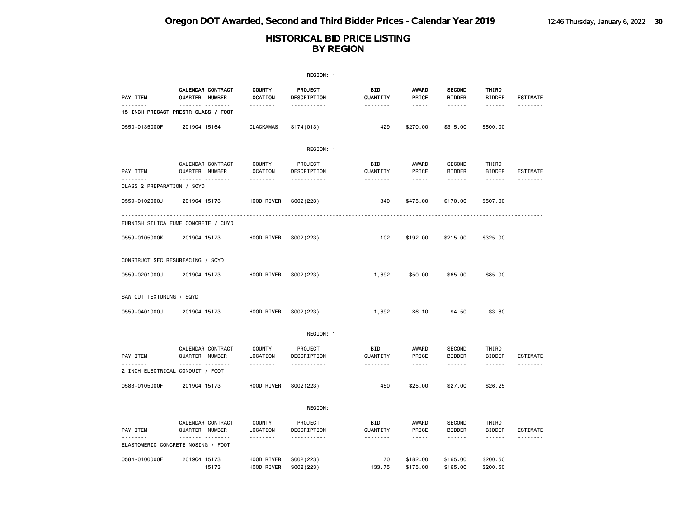|                            | REGION: 1                                               |                                |                                    |                             |                               |                                                 |                                                                                                                                                                                                                                                                                                                                                                                                                                                                            |                      |  |  |  |
|----------------------------|---------------------------------------------------------|--------------------------------|------------------------------------|-----------------------------|-------------------------------|-------------------------------------------------|----------------------------------------------------------------------------------------------------------------------------------------------------------------------------------------------------------------------------------------------------------------------------------------------------------------------------------------------------------------------------------------------------------------------------------------------------------------------------|----------------------|--|--|--|
| PAY ITEM                   | <b>CALENDAR CONTRACT</b><br>QUARTER NUMBER              | <b>COUNTY</b><br>LOCATION      | <b>PROJECT</b><br>DESCRIPTION      | BID<br>QUANTITY             | <b>AWARD</b><br>PRICE         | <b>SECOND</b><br><b>BIDDER</b>                  | THIRD<br><b>BIDDER</b>                                                                                                                                                                                                                                                                                                                                                                                                                                                     | <b>ESTIMATE</b>      |  |  |  |
| <u>.</u>                   | ------- --------<br>15 INCH PRECAST PRESTR SLABS / FOOT | .                              | <u>.</u>                           | <u>.</u>                    | -----                         | ------                                          | $- - - - - -$                                                                                                                                                                                                                                                                                                                                                                                                                                                              | --------             |  |  |  |
| 0550-0135000F              | 201904 15164                                            | <b>CLACKAMAS</b>               | S174(013)                          | 429                         | \$270.00                      | \$315.00                                        | \$500.00                                                                                                                                                                                                                                                                                                                                                                                                                                                                   |                      |  |  |  |
|                            |                                                         |                                | REGION: 1                          |                             |                               |                                                 |                                                                                                                                                                                                                                                                                                                                                                                                                                                                            |                      |  |  |  |
| PAY ITEM<br>.              | CALENDAR CONTRACT<br>QUARTER NUMBER<br><b>.</b>         | <b>COUNTY</b><br>LOCATION<br>. | PROJECT<br>DESCRIPTION<br><u>.</u> | BID<br>QUANTITY<br>.        | AWARD<br>PRICE<br>$- - - - -$ | <b>SECOND</b><br><b>BIDDER</b><br>$- - - - - -$ | THIRD<br><b>BIDDER</b><br>------                                                                                                                                                                                                                                                                                                                                                                                                                                           | <b>ESTIMATE</b><br>. |  |  |  |
| CLASS 2 PREPARATION / SQYD |                                                         |                                |                                    |                             |                               |                                                 |                                                                                                                                                                                                                                                                                                                                                                                                                                                                            |                      |  |  |  |
| 0559-0102000J              | 201904 15173                                            | HOOD RIVER                     | S002(223)                          | 340                         | \$475.00                      | \$170.00                                        | \$507.00                                                                                                                                                                                                                                                                                                                                                                                                                                                                   |                      |  |  |  |
|                            | FURNISH SILICA FUME CONCRETE / CUYD                     |                                |                                    |                             |                               |                                                 |                                                                                                                                                                                                                                                                                                                                                                                                                                                                            |                      |  |  |  |
| 0559-0105000K              | 201904 15173                                            | HOOD RIVER                     | S002(223)                          | 102                         | \$192.00                      | \$215.00                                        | \$325.00                                                                                                                                                                                                                                                                                                                                                                                                                                                                   |                      |  |  |  |
|                            | CONSTRUCT SFC RESURFACING / SQYD                        | .                              |                                    |                             |                               |                                                 |                                                                                                                                                                                                                                                                                                                                                                                                                                                                            |                      |  |  |  |
| 0559-0201000J              | 201904 15173                                            | HOOD RIVER                     | S002(223)                          | 1,692                       | \$50.00                       | \$65.00                                         | \$85.00                                                                                                                                                                                                                                                                                                                                                                                                                                                                    |                      |  |  |  |
| SAW CUT TEXTURING / SQYD   |                                                         |                                |                                    |                             |                               |                                                 |                                                                                                                                                                                                                                                                                                                                                                                                                                                                            |                      |  |  |  |
| 0559-0401000J              | 201904 15173                                            | HOOD RIVER                     | S002(223)                          | 1,692                       | \$6.10                        | \$4.50                                          | \$3.80                                                                                                                                                                                                                                                                                                                                                                                                                                                                     |                      |  |  |  |
|                            |                                                         |                                | REGION: 1                          |                             |                               |                                                 |                                                                                                                                                                                                                                                                                                                                                                                                                                                                            |                      |  |  |  |
| PAY ITEM                   | CALENDAR CONTRACT<br>QUARTER NUMBER<br>. <sub>.</sub>   | <b>COUNTY</b><br>LOCATION<br>. | PROJECT<br>DESCRIPTION<br>.        | <b>BID</b><br>QUANTITY<br>. | AWARD<br>PRICE<br>$- - - - -$ | <b>SECOND</b><br><b>BIDDER</b><br>------        | THIRD<br><b>BIDDER</b><br>------                                                                                                                                                                                                                                                                                                                                                                                                                                           | <b>ESTIMATE</b><br>. |  |  |  |
|                            | 2 INCH ELECTRICAL CONDUIT / FOOT                        |                                |                                    |                             |                               |                                                 |                                                                                                                                                                                                                                                                                                                                                                                                                                                                            |                      |  |  |  |
| 0583-0105000F              | 201904 15173                                            | HOOD RIVER                     | S002(223)                          | 450                         | \$25.00                       | \$27.00                                         | \$26.25                                                                                                                                                                                                                                                                                                                                                                                                                                                                    |                      |  |  |  |
|                            |                                                         |                                | REGION: 1                          |                             |                               |                                                 |                                                                                                                                                                                                                                                                                                                                                                                                                                                                            |                      |  |  |  |
| PAY ITEM                   | CALENDAR CONTRACT<br>QUARTER NUMBER                     | <b>COUNTY</b><br>LOCATION      | PROJECT<br>DESCRIPTION             | BID<br>QUANTITY             | AWARD<br>PRICE                | <b>SECOND</b><br><b>BIDDER</b>                  | THIRD<br><b>BIDDER</b>                                                                                                                                                                                                                                                                                                                                                                                                                                                     | <b>ESTIMATE</b>      |  |  |  |
| <u>.</u>                   | .<br>ELASTOMERIC CONCRETE NOSING / FOOT                 | <u>.</u>                       | <u>.</u>                           | <u>.</u>                    | $- - - - -$                   | $- - - - - -$                                   | $\frac{1}{2} \left( \frac{1}{2} \right) \left( \frac{1}{2} \right) \left( \frac{1}{2} \right) \left( \frac{1}{2} \right) \left( \frac{1}{2} \right) \left( \frac{1}{2} \right) \left( \frac{1}{2} \right) \left( \frac{1}{2} \right) \left( \frac{1}{2} \right) \left( \frac{1}{2} \right) \left( \frac{1}{2} \right) \left( \frac{1}{2} \right) \left( \frac{1}{2} \right) \left( \frac{1}{2} \right) \left( \frac{1}{2} \right) \left( \frac{1}{2} \right) \left( \frac$ | <u>.</u>             |  |  |  |
| 0584-0100000F              | 201904 15173<br>15173                                   | HOOD RIVER<br>HOOD RIVER       | S002(223)<br>S002(223)             | 70<br>133.75                | \$182.00<br>\$175.00          | \$165,00<br>\$165.00                            | \$200.50<br>\$200.50                                                                                                                                                                                                                                                                                                                                                                                                                                                       |                      |  |  |  |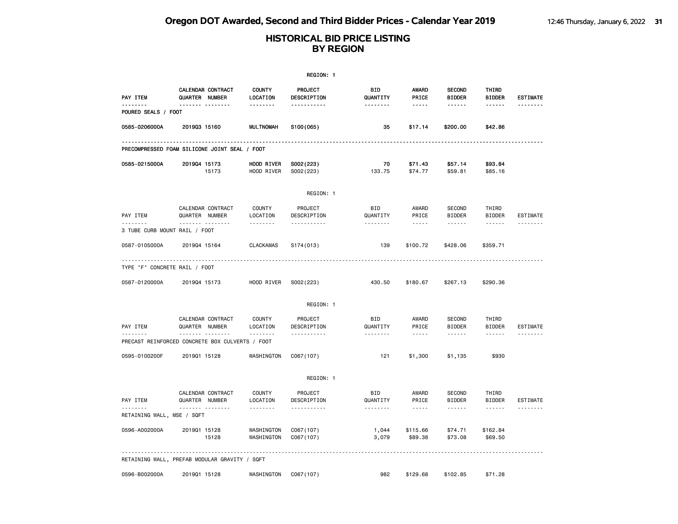|                                                 |                |                       |                           | REGION: 1                   |                        |                               |                                          |                                         |                      |
|-------------------------------------------------|----------------|-----------------------|---------------------------|-----------------------------|------------------------|-------------------------------|------------------------------------------|-----------------------------------------|----------------------|
| PAY ITEM                                        | QUARTER NUMBER | CALENDAR CONTRACT     | <b>COUNTY</b><br>LOCATION | PROJECT<br>DESCRIPTION      | BID<br>QUANTITY        | AWARD<br>PRICE                | <b>SECOND</b><br><b>BIDDER</b>           | THIRD<br><b>BIDDER</b>                  | <b>ESTIMATE</b>      |
| .<br>POURED SEALS / FOOT                        |                | <b>.</b>              | <u>.</u>                  | <u></u>                     | --------               | -----                         | ------                                   | ------                                  | <u>.</u>             |
| 0585-0206000A                                   | 201903 15160   |                       | <b>MULTNOMAH</b>          | S100(065)                   | 35                     | \$17.14                       | \$200.00                                 | \$42.86                                 |                      |
| PRECOMPRESSED FOAM SILICONE JOINT SEAL / FOOT   |                |                       |                           |                             |                        |                               |                                          |                                         |                      |
| 0585-0215000A                                   | 201904 15173   | 15173                 | HOOD RIVER<br>HOOD RIVER  | S002(223)<br>S002(223)      | 70<br>133.75           | \$71.43<br>\$74.77            | \$57.14<br>\$59.81                       | \$93.84<br>\$85.16                      |                      |
|                                                 |                |                       |                           | REGION: 1                   |                        |                               |                                          |                                         |                      |
| PAY ITEM<br><u>.</u>                            | QUARTER NUMBER | CALENDAR CONTRACT<br> | COUNTY<br>LOCATION<br>.   | PROJECT<br>DESCRIPTION<br>. | BID<br>QUANTITY<br>.   | AWARD<br>PRICE<br>$- - - - -$ | <b>SECOND</b><br><b>BIDDER</b><br>------ | THIRD<br><b>BIDDER</b><br>$- - - - - -$ | ESTIMATE<br><u>.</u> |
| 3 TUBE CURB MOUNT RAIL / FOOT                   |                |                       |                           |                             |                        |                               |                                          |                                         |                      |
| 0587-0105000A                                   | 201904 15164   |                       | <b>CLACKAMAS</b>          | S174(013)                   | 139                    | \$100.72                      | \$428.06                                 | \$359.71                                |                      |
| TYPE "F" CONCRETE RAIL / FOOT                   |                |                       |                           |                             |                        |                               |                                          |                                         |                      |
| 0587-0120000A                                   | 201904 15173   |                       | HOOD RIVER                | S002(223)                   | 430.50                 | \$180.67                      | \$267.13                                 | \$290.36                                |                      |
|                                                 |                |                       |                           | REGION: 1                   |                        |                               |                                          |                                         |                      |
| PAY ITEM                                        | QUARTER NUMBER | CALENDAR CONTRACT     | <b>COUNTY</b><br>LOCATION | PROJECT<br>DESCRIPTION      | <b>BID</b><br>QUANTITY | AWARD<br>PRICE                | <b>SECOND</b><br><b>BIDDER</b>           | THIRD<br><b>BIDDER</b>                  | <b>ESTIMATE</b>      |
| PRECAST REINFORCED CONCRETE BOX CULVERTS / FOOT |                | .                     | .                         | <u>.</u>                    | .                      | $- - - - -$                   | ------                                   | $- - - - - -$                           |                      |
| 0595-0100200F                                   | 201901 15128   |                       | WASHINGTON                | C067(107)                   | 121                    | \$1,300                       | \$1,135                                  | \$930                                   |                      |
|                                                 |                |                       |                           | REGION: 1                   |                        |                               |                                          |                                         |                      |
| PAY ITEM                                        | QUARTER NUMBER | CALENDAR CONTRACT<br> | COUNTY<br>LOCATION<br>.   | PROJECT<br>DESCRIPTION<br>. | BID<br>QUANTITY<br>.   | AWARD<br>PRICE<br>.           | <b>SECOND</b><br><b>BIDDER</b><br>------ | THIRD<br><b>BIDDER</b><br>------        | ESTIMATE             |
| RETAINING WALL, MSE / SQFT                      |                |                       |                           |                             |                        |                               |                                          |                                         |                      |
| 0596-A002000A                                   | 201901 15128   | 15128                 | WASHINGTON<br>WASHINGTON  | C067(107)<br>C067(107)      | 1,044<br>3,079         | \$115.66<br>\$89.38           | \$74.71<br>\$73.08                       | \$162.84<br>\$69.50                     |                      |
| RETAINING WALL, PREFAB MODULAR GRAVITY / SQFT   |                |                       |                           |                             |                        |                               |                                          |                                         |                      |
| 0596-B002000A                                   | 201901 15128   |                       | WASHINGTON                | C067(107)                   | 982                    | \$129.68                      | \$102.85                                 | \$71.28                                 |                      |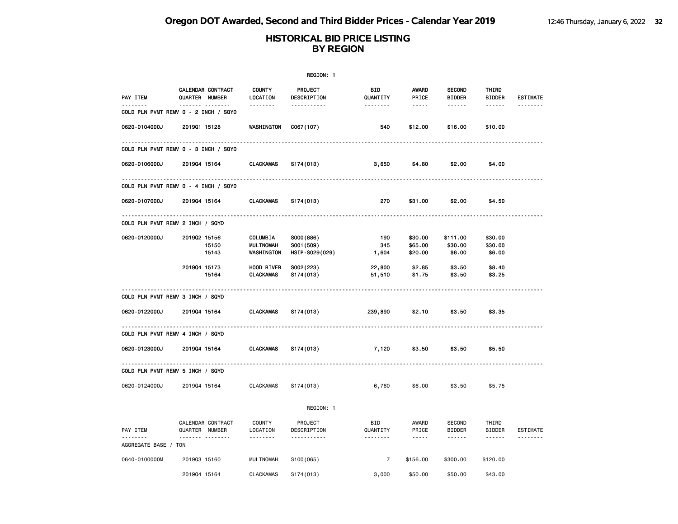|                      |                                                 |                                | REGION: 1                          |                             |                                |                                     |                                                                                                                                                                                                                                                                                                                                                                                                                                                                            |                             |
|----------------------|-------------------------------------------------|--------------------------------|------------------------------------|-----------------------------|--------------------------------|-------------------------------------|----------------------------------------------------------------------------------------------------------------------------------------------------------------------------------------------------------------------------------------------------------------------------------------------------------------------------------------------------------------------------------------------------------------------------------------------------------------------------|-----------------------------|
| PAY ITEM<br><u>.</u> | CALENDAR CONTRACT<br>QUARTER NUMBER<br><b>.</b> | <b>COUNTY</b><br>LOCATION<br>. | PROJECT<br>DESCRIPTION<br><u>.</u> | BID<br>QUANTITY<br><u>.</u> | <b>AWARD</b><br>PRICE<br>----- | <b>SECOND</b><br><b>BIDDER</b><br>. | THIRD<br><b>BIDDER</b><br>------                                                                                                                                                                                                                                                                                                                                                                                                                                           | <b>ESTIMATE</b><br><u>.</u> |
|                      | COLD PLN PVMT REMV 0 - 2 INCH / SQYD            |                                |                                    |                             |                                |                                     |                                                                                                                                                                                                                                                                                                                                                                                                                                                                            |                             |
| 0620-0104000J        | 201901 15128                                    | WASHINGTON                     | C067(107)                          | 540                         | \$12.00                        | \$16.00                             | \$10.00                                                                                                                                                                                                                                                                                                                                                                                                                                                                    |                             |
|                      | COLD PLN PVMT REMV 0 - 3 INCH / SQYD            |                                |                                    |                             |                                |                                     |                                                                                                                                                                                                                                                                                                                                                                                                                                                                            |                             |
| 0620-0106000J        | 201904 15164                                    | <b>CLACKAMAS</b>               | S174(013)                          | 3,650                       | \$4.80                         | \$2.00                              | \$4.00                                                                                                                                                                                                                                                                                                                                                                                                                                                                     |                             |
|                      | COLD PLN PVMT REMV 0 - 4 INCH / SQYD            |                                |                                    |                             |                                |                                     |                                                                                                                                                                                                                                                                                                                                                                                                                                                                            |                             |
| 0620-0107000J        | 201904 15164                                    | <b>CLACKAMAS</b>               | S174(013)                          | 270                         | \$31.00                        | \$2.00                              | \$4.50                                                                                                                                                                                                                                                                                                                                                                                                                                                                     |                             |
|                      | COLD PLN PVMT REMV 2 INCH / SQYD                |                                |                                    |                             |                                |                                     |                                                                                                                                                                                                                                                                                                                                                                                                                                                                            |                             |
| 0620-0120000J        | 201902 15156                                    | COLUMBIA                       | S000(886)                          | 190                         | \$30.00                        | \$111.00                            | \$30.00                                                                                                                                                                                                                                                                                                                                                                                                                                                                    |                             |
|                      | 15150                                           | <b>MULTNOMAH</b>               | S001 (509)                         | 345                         | \$65.00                        | \$30.00                             | \$30.00                                                                                                                                                                                                                                                                                                                                                                                                                                                                    |                             |
|                      | 15143                                           | WASHINGTON                     | HSIP-S029(029)                     | 1,604                       | \$20.00                        | \$6.00                              | \$6.00                                                                                                                                                                                                                                                                                                                                                                                                                                                                     |                             |
|                      | 201904 15173                                    | HOOD RIVER                     | S002(223)                          | 22,800                      | \$2.85                         | \$3.50                              | \$8.40                                                                                                                                                                                                                                                                                                                                                                                                                                                                     |                             |
|                      | 15164                                           | <b>CLACKAMAS</b>               | S174(013)                          | 51,510                      | \$1.75                         | \$3.50                              | \$3.25                                                                                                                                                                                                                                                                                                                                                                                                                                                                     |                             |
|                      | COLD PLN PVMT REMV 3 INCH / SQYD                |                                |                                    |                             |                                |                                     |                                                                                                                                                                                                                                                                                                                                                                                                                                                                            |                             |
| 0620-0122000J        | 201904 15164                                    | <b>CLACKAMAS</b>               | S174(013)                          | 239,890                     | \$2.10                         | \$3.50                              | \$3.35                                                                                                                                                                                                                                                                                                                                                                                                                                                                     |                             |
|                      | COLD PLN PVMT REMV 4 INCH / SQYD                |                                |                                    |                             |                                |                                     |                                                                                                                                                                                                                                                                                                                                                                                                                                                                            |                             |
|                      |                                                 |                                |                                    |                             |                                |                                     |                                                                                                                                                                                                                                                                                                                                                                                                                                                                            |                             |
| 0620-0123000J        | 201904 15164                                    | <b>CLACKAMAS</b>               | S174(013)                          | 7,120                       | \$3.50                         | \$3.50                              | \$5.50                                                                                                                                                                                                                                                                                                                                                                                                                                                                     |                             |
|                      | COLD PLN PVMT REMV 5 INCH / SQYD                |                                |                                    |                             |                                |                                     |                                                                                                                                                                                                                                                                                                                                                                                                                                                                            |                             |
| 0620-0124000J        | 201904 15164                                    | <b>CLACKAMAS</b>               | S174(013)                          | 6,760                       | \$6.00                         | \$3.50                              | \$5.75                                                                                                                                                                                                                                                                                                                                                                                                                                                                     |                             |
|                      |                                                 |                                | REGION: 1                          |                             |                                |                                     |                                                                                                                                                                                                                                                                                                                                                                                                                                                                            |                             |
| PAY ITEM             | CALENDAR CONTRACT<br>QUARTER NUMBER             | <b>COUNTY</b><br>LOCATION      | PROJECT<br>DESCRIPTION             | BID<br>QUANTITY             | AWARD<br>PRICE                 | <b>SECOND</b><br><b>BIDDER</b>      | THIRD<br><b>BIDDER</b>                                                                                                                                                                                                                                                                                                                                                                                                                                                     | ESTIMATE                    |
| AGGREGATE BASE / TON | .                                               | .                              | <u>.</u>                           | <u>.</u>                    | $\frac{1}{2}$                  | .                                   | $\frac{1}{2} \left( \frac{1}{2} \right) \left( \frac{1}{2} \right) \left( \frac{1}{2} \right) \left( \frac{1}{2} \right) \left( \frac{1}{2} \right) \left( \frac{1}{2} \right) \left( \frac{1}{2} \right) \left( \frac{1}{2} \right) \left( \frac{1}{2} \right) \left( \frac{1}{2} \right) \left( \frac{1}{2} \right) \left( \frac{1}{2} \right) \left( \frac{1}{2} \right) \left( \frac{1}{2} \right) \left( \frac{1}{2} \right) \left( \frac{1}{2} \right) \left( \frac$ | --------                    |
| 0640-0100000M        | 201903 15160                                    | <b>MULTNOMAH</b>               | S100(065)                          | $\overline{7}$              | \$156.00                       | \$300.00                            | \$120.00                                                                                                                                                                                                                                                                                                                                                                                                                                                                   |                             |
|                      | 201904 15164                                    | <b>CLACKAMAS</b>               | S174(013)                          | 3,000                       | \$50,00                        | \$50,00                             | \$43,00                                                                                                                                                                                                                                                                                                                                                                                                                                                                    |                             |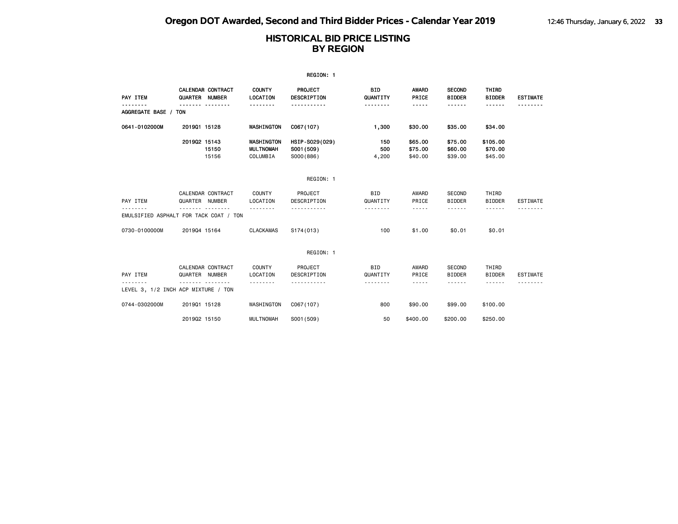|                                                         |                           |                          |                                            | REGION: 1                                 |                                           |                                                                                                                                                                                                   |                                               |                                  |                 |
|---------------------------------------------------------|---------------------------|--------------------------|--------------------------------------------|-------------------------------------------|-------------------------------------------|---------------------------------------------------------------------------------------------------------------------------------------------------------------------------------------------------|-----------------------------------------------|----------------------------------|-----------------|
| PAY ITEM                                                | QUARTER NUMBER            | <b>CALENDAR CONTRACT</b> | <b>COUNTY</b><br>LOCATION                  | <b>PROJECT</b><br>DESCRIPTION             | <b>BID</b><br>QUANTITY                    | AWARD<br>PRICE                                                                                                                                                                                    | <b>SECOND</b><br><b>BIDDER</b>                | THIRD<br><b>BIDDER</b>           | <b>ESTIMATE</b> |
| .<br>AGGREGATE BASE / TON                               |                           | .                        | <u> - - - - - - -</u>                      | <u>.</u>                                  | .                                         | $- - - - -$                                                                                                                                                                                       | .                                             |                                  | .               |
| 0641-0102000M                                           | 201901 15128              |                          | WASHINGTON                                 | C067(107)                                 | 1,300                                     | \$30.00                                                                                                                                                                                           | \$35.00                                       | \$34.00                          |                 |
|                                                         | 201902 15143              | 15150<br>15156           | WASHINGTON<br><b>MULTNOMAH</b><br>COLUMBIA | HSIP-S029(029)<br>S001 (509)<br>S000(886) | 150<br>500<br>4,200                       | \$65.00<br>\$75.00<br>\$40,00                                                                                                                                                                     | \$75.00<br>\$60.00<br>\$39,00                 | \$105.00<br>\$70.00<br>\$45,00   |                 |
|                                                         |                           |                          |                                            | REGION: 1                                 |                                           |                                                                                                                                                                                                   |                                               |                                  |                 |
| PAY ITEM<br>.<br>EMULSIFIED ASPHALT FOR TACK COAT / TON | QUARTER NUMBER            | CALENDAR CONTRACT        | COUNTY<br>LOCATION<br>.                    | PROJECT<br>DESCRIPTION<br>-----------     | <b>BID</b><br>QUANTITY<br>- - - - - - - - | AWARD<br>PRICE<br>-----                                                                                                                                                                           | <b>SECOND</b><br><b>BIDDER</b>                | THIRD<br><b>BIDDER</b><br>------ | <b>ESTIMATE</b> |
| 0730-0100000M                                           | 201904 15164              |                          | <b>CLACKAMAS</b>                           | S174(013)                                 | 100                                       | \$1.00                                                                                                                                                                                            | \$0.01                                        | \$0.01                           |                 |
|                                                         |                           |                          |                                            | REGION: 1                                 |                                           |                                                                                                                                                                                                   |                                               |                                  |                 |
| PAY ITEM<br>LEVEL 3, 1/2 INCH ACP MIXTURE / TON         | QUARTER NUMBER<br>------- | CALENDAR CONTRACT        | COUNTY<br>LOCATION                         | PROJECT<br>DESCRIPTION                    | <b>BID</b><br>QUANTITY<br>.               | AWARD<br>PRICE<br>$\frac{1}{2} \left( \frac{1}{2} \right) \left( \frac{1}{2} \right) \left( \frac{1}{2} \right) \left( \frac{1}{2} \right) \left( \frac{1}{2} \right) \left( \frac{1}{2} \right)$ | <b>SECOND</b><br><b>BIDDER</b><br>- - - - - - | THIRD<br><b>BIDDER</b><br>------ | <b>ESTIMATE</b> |
| 0744-0302000M                                           | 201901 15128              |                          | WASHINGTON                                 | C067(107)                                 | 800                                       | \$90.00                                                                                                                                                                                           | \$99,00                                       | \$100.00                         |                 |

2019Q2 15150 MULTNOMAH S001(509) 50 \$400.00 \$200.00 \$250.00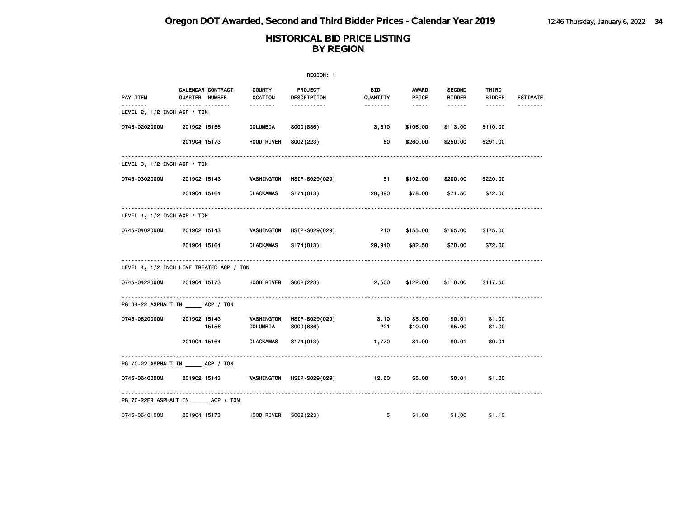|                                         |                                            |                               | REGION: 1                   |                 |                                                                                                             |                                |                        |                 |
|-----------------------------------------|--------------------------------------------|-------------------------------|-----------------------------|-----------------|-------------------------------------------------------------------------------------------------------------|--------------------------------|------------------------|-----------------|
| PAY ITEM                                | <b>CALENDAR CONTRACT</b><br>QUARTER NUMBER | <b>COUNTY</b><br>LOCATION     | PROJECT<br>DESCRIPTION      | BID<br>QUANTITY | <b>AWARD</b><br>PRICE                                                                                       | <b>SECOND</b><br><b>BIDDER</b> | THIRD<br><b>BIDDER</b> | <b>ESTIMATE</b> |
| <u>.</u><br>LEVEL 2, 1/2 INCH ACP / TON | <u></u>                                    | <u> - - - - - - -</u>         | -----------                 |                 | $\begin{array}{cccccccccc} \bullet & \bullet & \bullet & \bullet & \bullet & \bullet & \bullet \end{array}$ | $- - - - - -$                  |                        | --------        |
| 0745-0202000M                           | 201902 15156                               | COLUMBIA                      | S000(886)                   | 3,810           | \$106.00                                                                                                    | \$113.00                       | \$110.00               |                 |
|                                         | 201904 15173                               | HOOD RIVER                    | S002(223)                   | 80              | \$260.00                                                                                                    | \$250.00                       | \$291.00               |                 |
| LEVEL 3, $1/2$ INCH ACP $/$ TON         |                                            |                               |                             |                 |                                                                                                             |                                |                        |                 |
| 0745-0302000M                           | 201902 15143                               | WASHINGTON                    | HSIP-S029(029)              | 51              | \$192.00                                                                                                    | \$200.00                       | \$220.00               |                 |
|                                         | 201904 15164                               | <b>CLACKAMAS</b>              | S174(013)                   | 28,890          | \$78.00                                                                                                     | \$71.50                        | \$72.00                |                 |
| LEVEL 4, 1/2 INCH ACP / TON             |                                            |                               |                             |                 |                                                                                                             |                                |                        |                 |
| 0745-0402000M                           | 201902 15143                               | WASHINGTON                    | HSIP-S029(029)              | 210             | \$155.00                                                                                                    | \$165.00                       | \$175.00               |                 |
|                                         | 201904 15164                               | <b>CLACKAMAS</b>              | S174(013)                   | 29,940          | \$82.50                                                                                                     | \$70.00                        | \$72.00                |                 |
|                                         | LEVEL 4, 1/2 INCH LIME TREATED ACP / TON   |                               |                             |                 |                                                                                                             |                                |                        |                 |
| 0745-0422000M                           | 201904 15173                               | <b>HOOD RIVER</b>             | S002(223)                   | 2,600           | \$122.00                                                                                                    | \$110.00                       | \$117.50               |                 |
|                                         | PG 64-22 ASPHALT IN _____ ACP / TON        |                               |                             |                 |                                                                                                             |                                |                        |                 |
| 0745-0620000M                           | 201902 15143<br>15156                      | <b>WASHINGTON</b><br>COLUMBIA | HSIP-S029(029)<br>S000(886) | 3.10<br>221     | \$5.00<br>\$10.00                                                                                           | \$0.01<br>\$5.00               | \$1.00<br>\$1.00       |                 |
|                                         | 201904 15164                               | <b>CLACKAMAS</b>              | S174(013)                   | 1,770           | \$1.00                                                                                                      | \$0.01                         | \$0.01                 |                 |
|                                         | PG 70-22 ASPHALT IN ACP / TON              |                               |                             |                 |                                                                                                             |                                |                        |                 |
| 0745-0640000M                           | 201902 15143                               | <b>WASHINGTON</b>             | HSIP-S029(029) 12.60        |                 | \$5.00                                                                                                      | \$0.01                         | \$1.00                 |                 |
|                                         | PG 70-22ER ASPHALT IN ACP / TON            |                               |                             |                 |                                                                                                             |                                |                        |                 |
| 0745-0640100M                           | 201904 15173                               | HOOD RIVER S002(223)          |                             | 5               | \$1.00                                                                                                      | \$1.00                         | \$1.10                 |                 |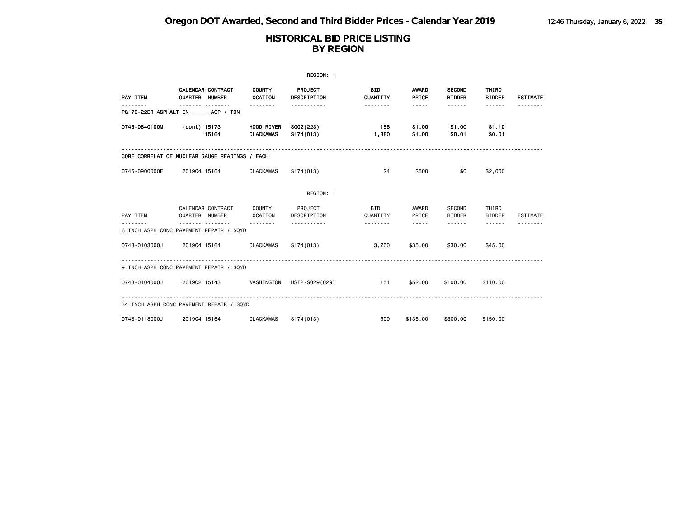|                                                |              |                                            |                                | REGION: 1              |                        |                                                                                                                                                      |                                |                        |                 |
|------------------------------------------------|--------------|--------------------------------------------|--------------------------------|------------------------|------------------------|------------------------------------------------------------------------------------------------------------------------------------------------------|--------------------------------|------------------------|-----------------|
| PAY ITEM                                       |              | CALENDAR CONTRACT<br>QUARTER NUMBER        | <b>COUNTY</b><br>LOCATION      | PROJECT<br>DESCRIPTION | <b>BID</b><br>QUANTITY | <b>AWARD</b><br>PRICE                                                                                                                                | <b>SECOND</b><br><b>BIDDER</b> | THIRD<br><b>BIDDER</b> | <b>ESTIMATE</b> |
| PG 70-22ER ASPHALT IN ACP / TON                |              |                                            |                                | -----------            | <u> - - - - - - -</u>  | $\cdots \cdots$                                                                                                                                      | ------                         | $- - - - - -$          | .               |
| 0745-0640100M                                  |              | (cont) 15173<br>15164                      | <b>HOOD RIVER</b><br>CLACKAMAS | S002(223)<br>S174(013) | 156<br>1,880           | \$1.00<br>\$1.00                                                                                                                                     | \$1.00<br>\$0.01               | \$1.10<br>\$0.01       |                 |
| CORE CORRELAT OF NUCLEAR GAUGE READINGS / EACH |              |                                            |                                |                        |                        |                                                                                                                                                      |                                |                        |                 |
| 0745-0900000E                                  | 201904 15164 |                                            | CLACKAMAS                      | S174(013)              | 24                     | \$500                                                                                                                                                | \$0                            | \$2,000                |                 |
|                                                |              |                                            |                                | REGION: 1              |                        |                                                                                                                                                      |                                |                        |                 |
| PAY ITEM                                       |              | CALENDAR CONTRACT COUNTY<br>QUARTER NUMBER | LOCATION                       | PROJECT<br>DESCRIPTION | BID<br>QUANTITY        | AWARD<br>PRICE                                                                                                                                       | SECOND<br><b>BIDDER</b>        | THIRD<br><b>BIDDER</b> | <b>ESTIMATE</b> |
| 6 INCH ASPH CONC PAVEMENT REPAIR / SQYD        |              |                                            |                                | .                      | <u>.</u>               | $\frac{1}{2} \left( \frac{1}{2} \right) \left( \frac{1}{2} \right) \left( \frac{1}{2} \right) \left( \frac{1}{2} \right) \left( \frac{1}{2} \right)$ | <b>.</b> .                     | $- - - - - -$          |                 |
| 0748-0103000J                                  |              | 2019Q4 15164 CLACKAMAS                     |                                | S174(013)              | 3,700                  | \$35.00                                                                                                                                              | \$30.00                        | \$45,00                |                 |
| 9 INCH ASPH CONC PAVEMENT REPAIR / SQYD        |              |                                            |                                |                        |                        |                                                                                                                                                      |                                |                        |                 |
| 0748-0104000J                                  |              |                                            | 2019Q2 15143 WASHINGTON        | HSIP-S029(029)         | $\sim$ 151             | \$52.00                                                                                                                                              | \$100.00                       | \$110.00               |                 |
| 34 INCH ASPH CONC PAVEMENT REPAIR / SQYD       |              |                                            |                                |                        |                        |                                                                                                                                                      |                                |                        |                 |
| 0748-0118000J                                  |              | 201904 15164                               | <b>CLACKAMAS</b>               | S174(013)              | 500                    | \$135.00                                                                                                                                             | \$300.00                       | \$150.00               |                 |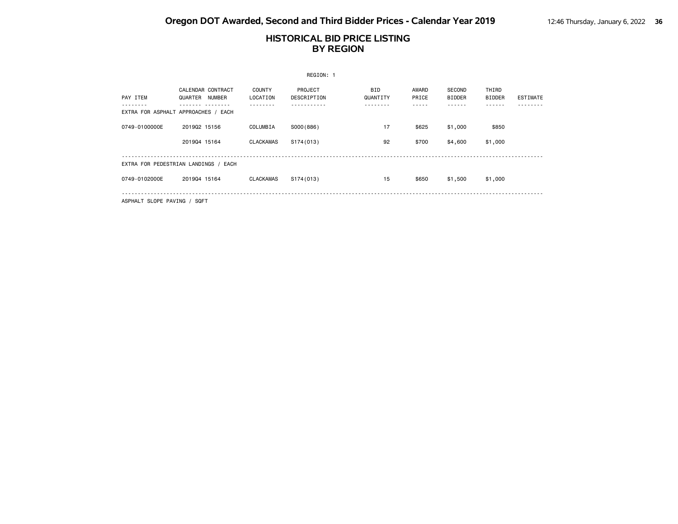# **HISTORICAL BID PRICE LISTING BY REGION**

|               |                                               |                           | REGION: 1              |                                    |                         |                                 |                        |                 |
|---------------|-----------------------------------------------|---------------------------|------------------------|------------------------------------|-------------------------|---------------------------------|------------------------|-----------------|
| PAY ITEM      | CALENDAR CONTRACT<br><b>NUMBER</b><br>QUARTER | <b>COUNTY</b><br>LOCATION | PROJECT<br>DESCRIPTION | <b>BID</b><br>QUANTITY<br>$\cdots$ | AWARD<br>PRICE<br>----- | SECOND<br><b>BIDDER</b><br>---- | THIRD<br><b>BIDDER</b> | <b>ESTIMATE</b> |
|               | EXTRA FOR ASPHALT APPROACHES / EACH           |                           |                        |                                    |                         |                                 |                        |                 |
| 0749-0100000E | 201902 15156                                  | COLUMBIA                  | SO00(886)              | 17                                 | \$625                   | \$1,000                         | \$850                  |                 |
|               | 201904 15164                                  | <b>CLACKAMAS</b>          | S174(013)              | 92                                 | \$700                   | \$4,600                         | \$1,000                |                 |
|               |                                               |                           |                        |                                    |                         |                                 |                        |                 |
|               | EXTRA FOR PEDESTRIAN LANDINGS / EACH          |                           |                        |                                    |                         |                                 |                        |                 |
| 0749-0102000E | 201904 15164                                  | <b>CLACKAMAS</b>          | S174(013)              | 15                                 | \$650                   | \$1,500                         | \$1,000                |                 |
|               |                                               |                           |                        |                                    |                         |                                 |                        |                 |

ASPHALT SLOPE PAVING / SQFT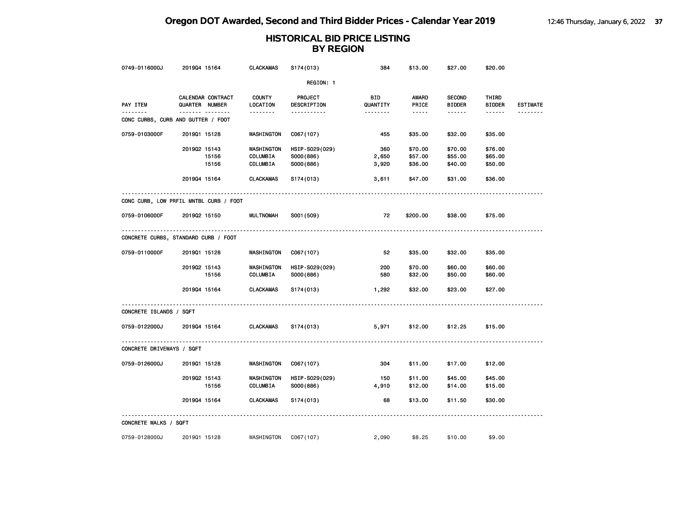| 0749-0116000J             | 201904 15164                                   | <b>CLACKAMAS</b>                   | S174(013)                                | 384                   | \$13.00                       | \$27.00                        | \$20.00                       |                 |
|---------------------------|------------------------------------------------|------------------------------------|------------------------------------------|-----------------------|-------------------------------|--------------------------------|-------------------------------|-----------------|
|                           |                                                |                                    | REGION: 1                                |                       |                               |                                |                               |                 |
| PAY ITEM                  | CALENDAR CONTRACT<br>QUARTER NUMBER            | <b>COUNTY</b><br>LOCATION          | <b>PROJECT</b><br>DESCRIPTION            | BID<br>QUANTITY       | <b>AWARD</b><br>PRICE         | <b>SECOND</b><br><b>BIDDER</b> | THIRD<br><b>BIDDER</b>        | <b>ESTIMATE</b> |
| <u>.</u>                  | <b>.</b><br>CONC CURBS, CURB AND GUTTER / FOOT | .                                  | <u>.</u>                                 | <u> - - - - - - -</u> | -----                         | ------                         | ------                        |                 |
| 0759-0103000F             | 201901 15128                                   | WASHINGTON                         | C067(107)                                | 455                   | \$35.00                       | \$32.00                        | \$35.00                       |                 |
|                           | 201902 15143<br>15156<br>15156                 | WASHINGTON<br>COLUMBIA<br>COLUMBIA | HSIP-S029(029)<br>S000(886)<br>S000(886) | 360<br>2,650<br>3,920 | \$70.00<br>\$57.00<br>\$36.00 | \$70.00<br>\$55.00<br>\$40.00  | \$76.00<br>\$65.00<br>\$50.00 |                 |
|                           | 201904 15164                                   | <b>CLACKAMAS</b>                   | S174(013)                                | 3,611                 | \$47.00                       | \$31.00                        | \$36.00                       |                 |
|                           | CONC CURB, LOW PRFIL MNTBL CURB / FOOT         |                                    |                                          |                       |                               |                                |                               |                 |
| 0759-0106000F             | 201902 15150                                   | <b>MULTNOMAH</b>                   | S001 (509)                               | 72                    | \$200.00                      | \$38.00                        | \$75.00                       |                 |
|                           | CONCRETE CURBS, STANDARD CURB / FOOT           |                                    |                                          |                       |                               |                                |                               |                 |
| 0759-0110000F             | 201901 15128                                   | WASHINGTON                         | C067(107)                                | 52                    | \$35.00                       | \$32.00                        | \$35.00                       |                 |
|                           | 201902 15143<br>15156                          | WASHINGTON<br>COLUMBIA             | HSIP-S029(029)<br>S000(886)              | 200<br>580            | \$70.00<br>\$32.00            | \$60.00<br>\$50.00             | \$60.00<br>\$60.00            |                 |
|                           | 201904 15164                                   | CLACKAMAS                          | S174(013)                                | 1,292                 | \$32.00                       | \$23.00                        | \$27.00                       |                 |
| CONCRETE ISLANDS / SQFT   |                                                |                                    |                                          |                       |                               |                                |                               |                 |
| 0759-0122000J             | 201904 15164                                   | <b>CLACKAMAS</b>                   | S174(013)                                | 5,971                 | \$12.00                       | \$12.25                        | \$15.00                       |                 |
| CONCRETE DRIVEWAYS / SQFT |                                                |                                    |                                          |                       |                               |                                |                               |                 |
| 0759-0126000J             | 201901 15128                                   | WASHINGTON                         | C067(107)                                | 304                   | \$11.00                       | \$17.00                        | \$12.00                       |                 |
|                           | 201902 15143<br>15156                          | WASHINGTON<br>COLUMBIA             | HSIP-S029(029)<br>S000(886)              | 150<br>4,910          | \$11.00<br>\$12.00            | \$45.00<br>\$14.00             | \$45.00<br>\$15.00            |                 |
|                           | 201904 15164                                   | <b>CLACKAMAS</b>                   | S174(013)                                | 68                    | \$13.00                       | \$11.50                        | \$30.00                       |                 |
| CONCRETE WALKS / SQFT     |                                                |                                    |                                          |                       |                               |                                |                               |                 |
| 0759-0128000J             | 201901 15128                                   | WASHINGTON                         | C067(107)                                | 2,090                 | \$8.25                        | \$10.00                        | \$9.00                        |                 |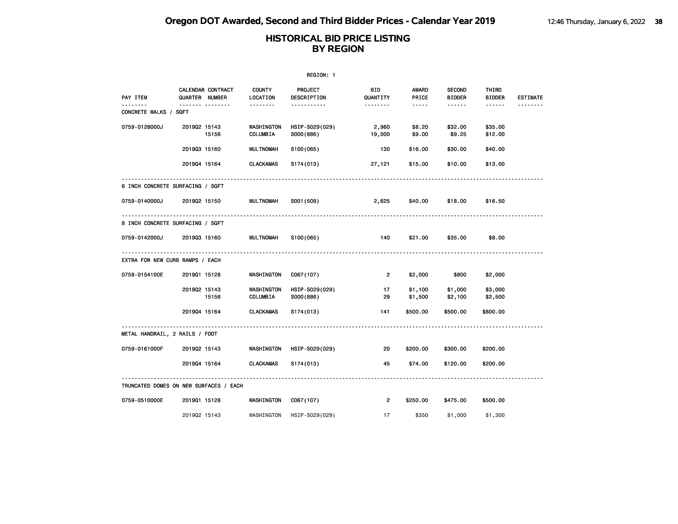|                                        |                                     |                           |                                           | REGION: 1                            |                    |                                |                        |                 |
|----------------------------------------|-------------------------------------|---------------------------|-------------------------------------------|--------------------------------------|--------------------|--------------------------------|------------------------|-----------------|
| PAY ITEM                               | CALENDAR CONTRACT<br>QUARTER NUMBER | <b>COUNTY</b><br>LOCATION | PROJECT<br>DESCRIPTION                    | BID<br>QUANTITY                      | AWARD<br>PRICE     | <b>SECOND</b><br><b>BIDDER</b> | THIRD<br><b>BIDDER</b> | <b>ESTIMATE</b> |
| .<br>CONCRETE WALKS / SQFT             | <b>.</b>                            | <u> - - - - - - -</u>     | .                                         | <u> - - - - - - -</u>                | $\cdots \cdots$    | $- - - - - -$                  | ------                 | .               |
| 0759-0128000J                          | 201902 15143<br>15156               | COLUMBIA                  | HSIP-S029(029)<br>WASHINGTON<br>S000(886) | 2,960<br>19,000                      | \$8.20<br>\$9.00   | \$32.00<br>\$9.25              | \$35.00<br>\$12.00     |                 |
|                                        | 201903 15160                        | <b>MULTNOMAH</b>          | S100(065)                                 | 130                                  | \$16.00            | \$30.00                        | \$40.00                |                 |
|                                        | 201904 15164                        | <b>CLACKAMAS</b>          | S174(013)                                 | 27,121                               | \$15.00            | \$10.00                        | \$13.00                |                 |
| 6 INCH CONCRETE SURFACING / SQFT       |                                     |                           |                                           |                                      |                    |                                |                        |                 |
| 0759-0140000J                          | 201902 15150                        | MULTNOMAH                 | S001 (509)                                | 2,625                                | \$40.00            | \$18.00                        | \$16.50                |                 |
| 8 INCH CONCRETE SURFACING / SQFT       |                                     |                           |                                           |                                      |                    |                                |                        |                 |
| 0759-0142000J                          | 201903 15160                        | MULTNOMAH                 | S100(065)                                 | 140                                  | \$21.00            | \$35.00                        | \$8.00                 |                 |
| EXTRA FOR NEW CURB RAMPS / EACH        |                                     | .                         |                                           | ------------------------------------ |                    |                                |                        |                 |
| 0759-0154100E                          | 201901 15128                        |                           | WASHINGTON<br>C067(107)                   | $\overline{2}$                       | \$2,000            | \$800                          | \$2,000                |                 |
|                                        | 201902 15143<br>15156               | COLUMBIA                  | WASHINGTON<br>HSIP-S029(029)<br>S000(886) | 17<br>29                             | \$1,100<br>\$1,500 | \$1,000<br>\$2,100             | \$3,000<br>\$2,500     |                 |
|                                        | 201904 15164                        | CLACKAMAS                 | S174 (013)                                | 141                                  | \$500.00           | \$500.00                       | \$800.00               |                 |
| METAL HANDRAIL, 2 RAILS / FOOT         |                                     |                           |                                           |                                      |                    |                                |                        |                 |
| 0759-0161000F                          | 201902 15143                        |                           | WASHINGTON<br>HSIP-S029(029)              | 20                                   | \$200.00           | \$300.00                       | \$200.00               |                 |
|                                        | 201904 15164                        | <b>CLACKAMAS</b>          | S174(013)                                 | 45                                   | \$74.00            | \$120.00                       | \$200.00               |                 |
| TRUNCATED DOMES ON NEW SURFACES / EACH |                                     |                           |                                           |                                      |                    |                                |                        |                 |
| 0759-0510000E                          | 201901 15128                        |                           | WASHINGTON<br>C067(107)                   | $\overline{2}$                       | \$250.00           | \$475.00                       | \$500.00               |                 |
|                                        | 201902 15143                        |                           | WASHINGTON<br>HSIP-S029(029)              | 17                                   | \$350              | \$1,000                        | \$1,300                |                 |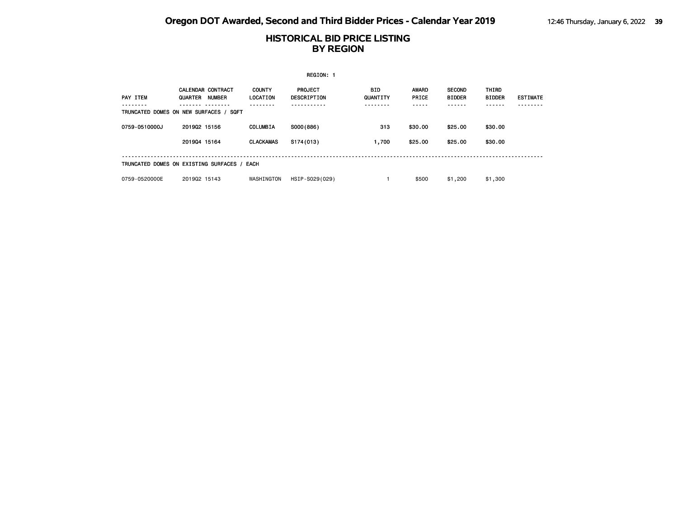|               |                                                                                                |                                  | REGION: 1                     |                 |                       |                                |                        |                 |  |  |  |
|---------------|------------------------------------------------------------------------------------------------|----------------------------------|-------------------------------|-----------------|-----------------------|--------------------------------|------------------------|-----------------|--|--|--|
| PAY ITEM      | <b>CALENDAR CONTRACT</b><br>QUARTER<br><b>NUMBER</b><br>TRUNCATED DOMES ON NEW SURFACES / SQFT | <b>COUNTY</b><br><b>LOCATION</b> | <b>PROJECT</b><br>DESCRIPTION | BID<br>QUANTITY | <b>AWARD</b><br>PRICE | <b>SECOND</b><br><b>BIDDER</b> | THIRD<br><b>BIDDER</b> | <b>ESTIMATE</b> |  |  |  |
| 0759-0510000J | 201902 15156                                                                                   | <b>COLUMBIA</b>                  | SO00(886)                     | 313             | \$30.00               | \$25,00                        | \$30.00                |                 |  |  |  |
|               | 201904 15164                                                                                   | <b>CLACKAMAS</b>                 | S174(013)                     | 1,700           | \$25.00               | \$25.00                        | \$30.00                |                 |  |  |  |
|               | TRUNCATED DOMES ON EXISTING SURFACES / EACH                                                    |                                  |                               |                 |                       |                                |                        |                 |  |  |  |
| 0759-0520000E | 201902 15143                                                                                   | WASHINGTON                       | HSIP-S029(029)                |                 | \$500                 | \$1,200                        | \$1,300                |                 |  |  |  |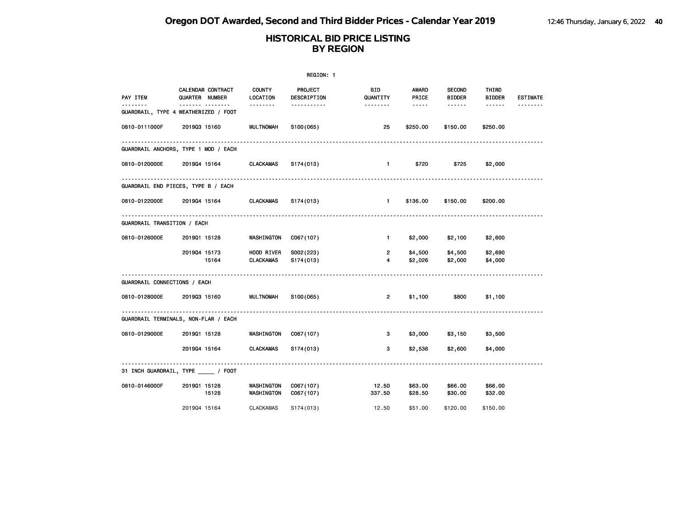|                              |                                                          |                                | REGION: 1               |                        |                       |                                |                        |                 |
|------------------------------|----------------------------------------------------------|--------------------------------|-------------------------|------------------------|-----------------------|--------------------------------|------------------------|-----------------|
| PAY ITEM                     | CALENDAR CONTRACT<br>QUARTER NUMBER                      | COUNTY<br>LOCATION             | PROJECT<br>DESCRIPTION  | <b>BID</b><br>QUANTITY | <b>AWARD</b><br>PRICE | <b>SECOND</b><br><b>BIDDER</b> | THIRD<br><b>BIDDER</b> | <b>ESTIMATE</b> |
| $- - - - - - -$              | ------- --------<br>GUARDRAIL, TYPE 4 WEATHERIZED / FOOT | --------                       | .                       | --------               | $\cdots \cdots$       | ------                         | $- - - - - -$          |                 |
| 0810-0111000F                | 201903 15160                                             | <b>MULTNOMAH</b>               | S100(065)               | 25                     | \$250.00              | \$150.00                       | \$250.00               |                 |
|                              | GUARDRAIL ANCHORS, TYPE 1 MOD / EACH                     |                                |                         |                        |                       |                                |                        |                 |
| 0810-0120000E                | 201904 15164 CLACKAMAS                                   |                                | S174(013)               | $\blacksquare$         | \$720                 | \$725                          | \$2,000                |                 |
|                              | GUARDRAIL END PIECES, TYPE B / EACH                      |                                |                         |                        |                       |                                |                        |                 |
| 0810-0122000E                | 201904 15164 CLACKAMAS                                   |                                | S174(013)               | $\blacksquare$         | \$136.00              | \$150.00                       | \$200.00               |                 |
| GUARDRAIL TRANSITION / EACH  |                                                          |                                |                         |                        |                       |                                |                        |                 |
| 0810-0126000E                | 201901 15128                                             | WASHINGTON                     | C067(107)               | $\mathbf{1}$           | \$2,000               | \$2,100                        | \$2,600                |                 |
|                              | 201904 15173<br>15164                                    | HOOD RIVER<br><b>CLACKAMAS</b> | S002(223)<br>S174 (013) | $\overline{2}$<br>4    | \$4,500<br>\$2,026    | \$4,500<br>\$2,000             | \$2,690<br>\$4,000     |                 |
| GUARDRAIL CONNECTIONS / EACH |                                                          |                                |                         |                        |                       |                                |                        |                 |
| 0810-0128000E                | 201903 15160                                             | <b>MULTNOMAH</b>               | S100(065)               | $\overline{2}$         | \$1,100               | \$800                          | \$1,100                |                 |
|                              | GUARDRAIL TERMINALS, NON-FLAR / EACH                     |                                |                         |                        |                       |                                |                        |                 |
| 0810-0129000E                | 201901 15128                                             | WASHINGTON                     | C067(107)               | 3                      | \$3,000               | \$3,150                        | \$3,500                |                 |
|                              | 201904 15164                                             | <b>CLACKAMAS</b>               | S174(013)               | 3                      | \$2,536               | \$2,600                        | \$4,000                |                 |
|                              | 31 INCH GUARDRAIL, TYPE _____ / FOOT                     |                                |                         |                        |                       |                                |                        |                 |
| 0810-0146000F                | 201901 15128<br>15128                                    | WASHINGTON<br>WASHINGTON       | C067(107)<br>C067(107)  | 12.50<br>337.50        | \$63.00<br>\$28.50    | \$66.00<br>\$30.00             | \$66.00<br>\$32.00     |                 |
|                              | 201904 15164                                             | <b>CLACKAMAS</b>               | S174(013)               | 12.50                  | \$51,00               | \$120,00                       | \$150.00               |                 |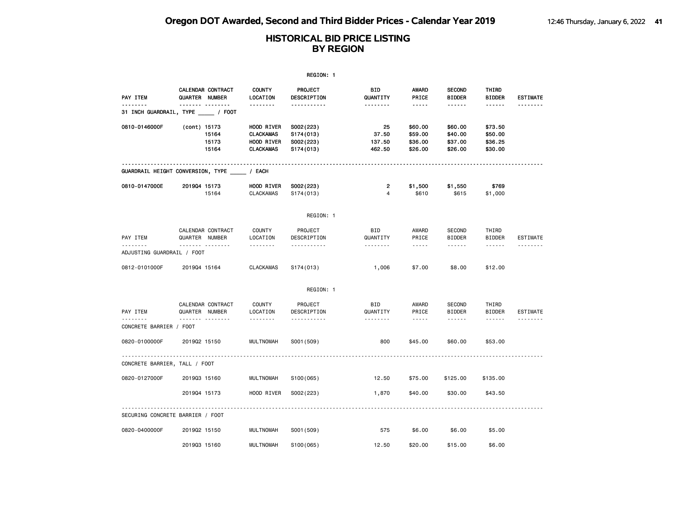|                               |                                                 |                                                                  | REGION: 1                                        |                                    |                                          |                                          |                                          |                 |
|-------------------------------|-------------------------------------------------|------------------------------------------------------------------|--------------------------------------------------|------------------------------------|------------------------------------------|------------------------------------------|------------------------------------------|-----------------|
| PAY ITEM                      | CALENDAR CONTRACT<br>QUARTER NUMBER<br><u> </u> | <b>COUNTY</b><br>LOCATION<br><u>.</u>                            | PROJECT<br>DESCRIPTION<br><u>.</u>               | <b>BID</b><br>QUANTITY<br><u>.</u> | <b>AWARD</b><br>PRICE<br>$- - - - -$     | <b>SECOND</b><br><b>BIDDER</b><br>------ | THIRD<br><b>BIDDER</b><br>------         | <b>ESTIMATE</b> |
|                               | 31 INCH GUARDRAIL, TYPE / FOOT                  |                                                                  |                                                  |                                    |                                          |                                          |                                          |                 |
| 0810-0146000F                 | (cont) 15173<br>15164<br>15173<br>15164         | HOOD RIVER<br><b>CLACKAMAS</b><br>HOOD RIVER<br><b>CLACKAMAS</b> | S002(223)<br>S174(013)<br>S002(223)<br>S174(013) | 25<br>37.50<br>137.50<br>462.50    | \$60.00<br>\$59.00<br>\$36.00<br>\$26.00 | \$60.00<br>\$40.00<br>\$37.00<br>\$26.00 | \$73.50<br>\$50.00<br>\$36.25<br>\$30.00 |                 |
|                               | GUARDRAIL HEIGHT CONVERSION, TYPE / EACH        |                                                                  |                                                  |                                    |                                          |                                          |                                          |                 |
| 0810-0147000E                 | 201904 15173<br>15164                           | HOOD RIVER<br><b>CLACKAMAS</b>                                   | S002(223)<br>S174(013)                           | 2<br>$\overline{4}$                | \$1,500<br>\$610                         | \$1,550<br>\$615                         | \$769<br>\$1,000                         |                 |
|                               |                                                 |                                                                  | REGION: 1                                        |                                    |                                          |                                          |                                          |                 |
| PAY ITEM<br>.                 | CALENDAR CONTRACT<br>QUARTER NUMBER<br>.        | <b>COUNTY</b><br>LOCATION<br>.                                   | PROJECT<br>DESCRIPTION<br>.                      | <b>BID</b><br>QUANTITY<br>.        | AWARD<br>PRICE<br>-----                  | <b>SECOND</b><br><b>BIDDER</b><br>------ | THIRD<br><b>BIDDER</b><br>------         | <b>ESTIMATE</b> |
| ADJUSTING GUARDRAIL / FOOT    |                                                 |                                                                  |                                                  |                                    |                                          |                                          |                                          |                 |
| 0812-0101000F                 | 201904 15164                                    | <b>CLACKAMAS</b>                                                 | S174(013)                                        | 1,006                              | \$7.00                                   | \$8.00                                   | \$12.00                                  |                 |
|                               |                                                 |                                                                  | REGION: 1                                        |                                    |                                          |                                          |                                          |                 |
| PAY ITEM                      | CALENDAR CONTRACT<br>QUARTER NUMBER             | COUNTY<br>LOCATION                                               | PROJECT<br>DESCRIPTION                           | BID<br>QUANTITY                    | AWARD<br>PRICE                           | <b>SECOND</b><br><b>BIDDER</b>           | THIRD<br><b>BIDDER</b>                   | <b>ESTIMATE</b> |
| CONCRETE BARRIER / FOOT       | <u>.</u>                                        | .                                                                | .                                                | .                                  | .                                        | ------                                   | ------                                   |                 |
| 0820-0100000F                 | 201902 15150                                    | <b>MULTNOMAH</b>                                                 | S001 (509)                                       | 800                                | \$45.00                                  | \$60.00                                  | \$53.00                                  |                 |
| CONCRETE BARRIER, TALL / FOOT |                                                 |                                                                  |                                                  |                                    |                                          |                                          |                                          |                 |
| 0820-0127000F                 | 201903 15160                                    | <b>MULTNOMAH</b>                                                 | \$100(065)                                       | 12.50                              | \$75.00                                  | \$125.00                                 | \$135.00                                 |                 |
|                               | 201904 15173                                    | HOOD RIVER                                                       | S002(223)                                        | 1,870                              | \$40.00                                  | \$30.00                                  | \$43.50                                  |                 |
|                               | SECURING CONCRETE BARRIER / FOOT                |                                                                  |                                                  |                                    |                                          |                                          |                                          |                 |
| 0820-0400000F                 | 201902 15150                                    | <b>MULTNOMAH</b>                                                 | S001 (509)                                       | 575                                | \$6.00                                   | \$6.00                                   | \$5.00                                   |                 |
|                               | 201903 15160                                    | <b>MULTNOMAH</b>                                                 | \$100(065)                                       | 12.50                              | \$20.00                                  | \$15.00                                  | \$6.00                                   |                 |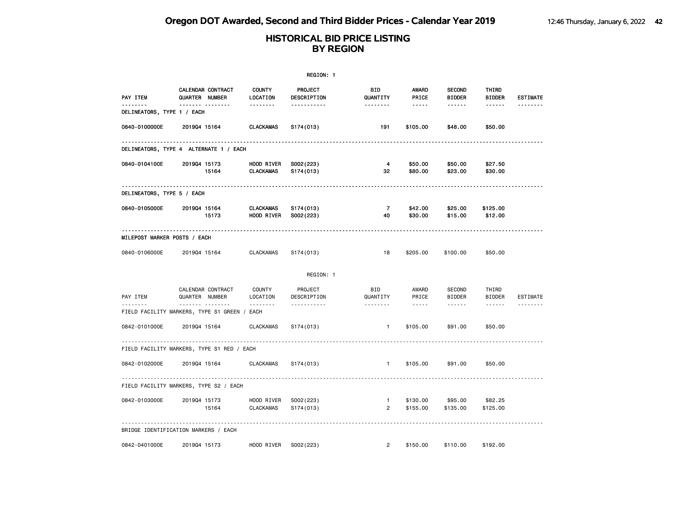|                                                   |                                     |                                | REGION: 1              |                                |                               |                                |                        |                 |
|---------------------------------------------------|-------------------------------------|--------------------------------|------------------------|--------------------------------|-------------------------------|--------------------------------|------------------------|-----------------|
| PAY ITEM<br>--------                              | CALENDAR CONTRACT<br>QUARTER NUMBER | <b>COUNTY</b><br>LOCATION      | PROJECT<br>DESCRIPTION | BID<br>QUANTITY<br><u>.</u>    | AWARD<br>PRICE<br>$- - - - -$ | <b>SECOND</b><br><b>BIDDER</b> | THIRD<br><b>BIDDER</b> | <b>ESTIMATE</b> |
| DELINEATORS, TYPE 1 / EACH                        | .                                   | <u>.</u>                       | <u>.</u>               |                                |                               | ------                         | ------                 |                 |
| 0840-0100000E                                     | 201904 15164                        | <b>CLACKAMAS</b>               | S174(013)              | 191                            | \$105.00                      | \$48.00                        | \$50.00                |                 |
| DELINEATORS, TYPE 4 ALTERNATE 1 / EACH            | .                                   |                                |                        |                                |                               |                                |                        |                 |
| 0840-0104100E                                     | 201904 15173<br>15164               | HOOD RIVER<br><b>CLACKAMAS</b> | S002(223)<br>S174(013) | 4<br>32                        | \$50.00<br>\$80.00            | \$50.00<br>\$23.00             | \$27.50<br>\$30.00     |                 |
| DELINEATORS, TYPE 5 / EACH                        |                                     |                                |                        |                                |                               |                                |                        |                 |
| 0840-0105000E                                     | 201904 15164<br>15173               | CLACKAMAS<br>HOOD RIVER        | S174(013)<br>S002(223) | $\overline{7}$<br>40           | \$42.00<br>\$30.00            | \$25.00<br>\$15.00             | \$125.00<br>\$12.00    |                 |
| MILEPOST MARKER POSTS / EACH                      |                                     |                                |                        |                                |                               |                                |                        |                 |
| 0840-0106000E                                     | 201904 15164                        | <b>CLACKAMAS</b>               | S174(013)              | 18                             | \$205.00                      | \$100.00                       | \$50.00                |                 |
|                                                   |                                     |                                | REGION: 1              |                                |                               |                                |                        |                 |
| PAY ITEM                                          | CALENDAR CONTRACT<br>QUARTER NUMBER | <b>COUNTY</b><br>LOCATION      | PROJECT<br>DESCRIPTION | <b>BID</b><br>QUANTITY         | AWARD<br>PRICE                | SECOND<br><b>BIDDER</b>        | THIRD<br><b>BIDDER</b> | ESTIMATE        |
| .<br>FIELD FACILITY MARKERS, TYPE S1 GREEN / EACH | <u>.</u>                            | <u>.</u>                       | <u>.</u>               | <u>.</u>                       | $- - - - -$                   |                                | $- - - - - -$          | --------        |
| 0842-0101000E                                     | 201904 15164                        | <b>CLACKAMAS</b>               | S174(013)              | $\mathbf{1}$                   | \$105.00                      | \$91.00                        | \$50.00                |                 |
| FIELD FACILITY MARKERS, TYPE S1 RED / EACH        |                                     |                                |                        |                                |                               |                                |                        |                 |
| 0842-0102000E                                     | 201904 15164                        | <b>CLACKAMAS</b>               | S174(013)              | $\mathbf{1}$                   | \$105.00                      | \$91.00                        | \$50.00                |                 |
| FIELD FACILITY MARKERS, TYPE S2 / EACH            |                                     |                                |                        |                                |                               |                                |                        |                 |
| 0842-0103000E                                     | 201904 15173<br>15164               | HOOD RIVER<br><b>CLACKAMAS</b> | S002(223)<br>S174(013) | $\mathbf{1}$<br>$\overline{2}$ | \$130.00<br>\$155.00          | \$95.00<br>\$135.00            | \$82.25<br>\$125.00    |                 |
| BRIDGE IDENTIFICATION MARKERS / EACH              |                                     |                                |                        |                                |                               |                                |                        |                 |
| 0842-0401000E                                     | 201904 15173                        | HOOD RIVER                     | S002(223)              | $\overline{2}$                 | \$150.00                      | \$110.00                       | \$192.00               |                 |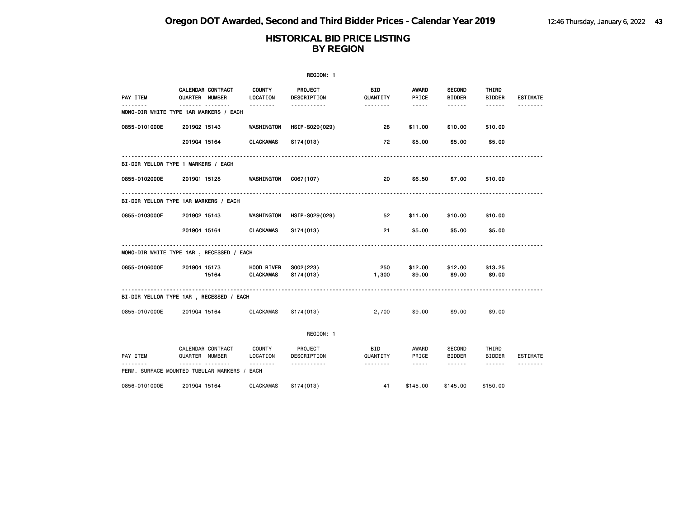|                                              |                                            |                                | REGION: 1                     |                        |                                                                                                                                                      |                                |                        |                 |
|----------------------------------------------|--------------------------------------------|--------------------------------|-------------------------------|------------------------|------------------------------------------------------------------------------------------------------------------------------------------------------|--------------------------------|------------------------|-----------------|
| PAY ITEM                                     | <b>CALENDAR CONTRACT</b><br>QUARTER NUMBER | <b>COUNTY</b><br>LOCATION      | <b>PROJECT</b><br>DESCRIPTION | <b>BID</b><br>QUANTITY | <b>AWARD</b><br>PRICE                                                                                                                                | <b>SECOND</b><br><b>BIDDER</b> | THIRD<br><b>BIDDER</b> | <b>ESTIMATE</b> |
| MONO-DIR WHITE TYPE 1AR MARKERS / EACH       | -------- --------                          | <u>.</u>                       | <u>.</u>                      | <u>.</u>               | $- - - - -$                                                                                                                                          | ------                         | ------                 |                 |
| 0855-0101000E                                | 201902 15143                               | WASHINGTON                     | HSIP-S029(029)                | 28                     | \$11.00                                                                                                                                              | \$10.00                        | \$10.00                |                 |
|                                              | 201904 15164                               | <b>CLACKAMAS</b>               | S174(013)                     | 72                     | \$5.00                                                                                                                                               | \$5.00                         | \$5.00                 |                 |
| BI-DIR YELLOW TYPE 1 MARKERS / EACH          |                                            |                                |                               |                        |                                                                                                                                                      |                                |                        |                 |
| 0855-0102000E                                | 201901 15128                               | WASHINGTON                     | C067(107)                     | 20                     | \$6.50                                                                                                                                               | \$7.00                         | \$10.00                |                 |
| BI-DIR YELLOW TYPE 1AR MARKERS / EACH        |                                            |                                |                               |                        |                                                                                                                                                      |                                |                        |                 |
| 0855-0103000E                                | 201902 15143                               | <b>WASHINGTON</b>              | HSIP-S029(029)                | 52                     | \$11.00                                                                                                                                              | \$10.00                        | \$10.00                |                 |
|                                              | 201904 15164                               | <b>CLACKAMAS</b>               | S174(013)                     | 21                     | \$5.00                                                                                                                                               | \$5.00                         | \$5.00                 |                 |
| MONO-DIR WHITE TYPE 1AR, RECESSED / EACH     |                                            |                                |                               |                        |                                                                                                                                                      |                                |                        |                 |
| 0855-0106000E                                | 201904 15173<br>15164                      | HOOD RIVER<br><b>CLACKAMAS</b> | S002(223)<br>S174(013)        | 250<br>1,300           | \$12.00<br>\$9.00                                                                                                                                    | \$12.00<br>\$9.00              | \$13.25<br>\$9.00      |                 |
| BI-DIR YELLOW TYPE 1AR, RECESSED / EACH      |                                            |                                |                               |                        |                                                                                                                                                      |                                |                        |                 |
| 0855-0107000E                                | 201904 15164                               | <b>CLACKAMAS</b>               | S <sub>174</sub> (013)        | 2,700                  | \$9.00                                                                                                                                               | \$9.00                         | \$9.00                 |                 |
|                                              |                                            |                                | REGION: 1                     |                        |                                                                                                                                                      |                                |                        |                 |
| PAY ITEM                                     | CALENDAR CONTRACT<br>QUARTER NUMBER        | COUNTY<br>LOCATION             | PROJECT<br>DESCRIPTION        | BID<br>QUANTITY        | AWARD<br>PRICE                                                                                                                                       | SECOND<br><b>BIDDER</b>        | THIRD<br><b>BIDDER</b> | ESTIMATE        |
| PERM. SURFACE MOUNTED TUBULAR MARKERS / EACH | .                                          |                                | <u>.</u>                      | .                      | $\frac{1}{2} \left( \frac{1}{2} \right) \left( \frac{1}{2} \right) \left( \frac{1}{2} \right) \left( \frac{1}{2} \right) \left( \frac{1}{2} \right)$ | $- - - - - - -$                | $- - - - - -$          |                 |
| 0856-0101000E                                | 201904 15164                               | <b>CLACKAMAS</b>               | S174(013)                     | 41                     | \$145.00                                                                                                                                             | \$145.00                       | \$150.00               |                 |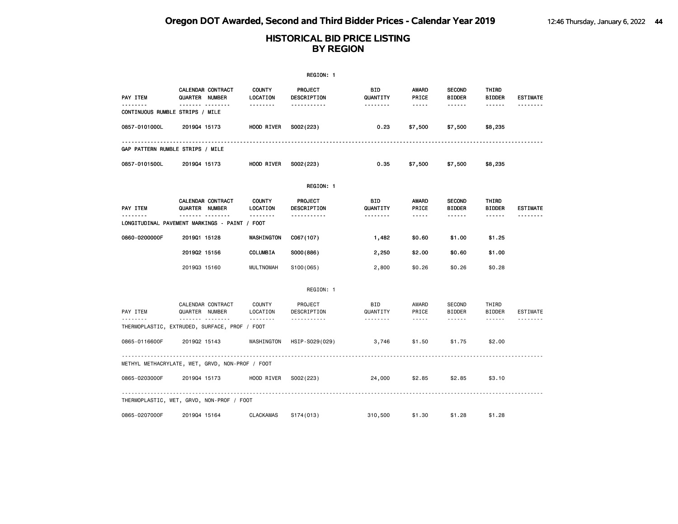|                                                 |                                          |                           | REGION: 1                          |                        |                                                                                                               |                                   |                                         |                 |
|-------------------------------------------------|------------------------------------------|---------------------------|------------------------------------|------------------------|---------------------------------------------------------------------------------------------------------------|-----------------------------------|-----------------------------------------|-----------------|
| PAY ITEM                                        | CALENDAR CONTRACT<br>QUARTER NUMBER      | <b>COUNTY</b><br>LOCATION | PROJECT<br>DESCRIPTION             | <b>BID</b><br>QUANTITY | <b>AWARD</b><br>PRICE                                                                                         | <b>SECOND</b><br><b>BIDDER</b>    | THIRD<br><b>BIDDER</b>                  | <b>ESTIMATE</b> |
| .<br>CONTINUOUS RUMBLE STRIPS / MILE            | <u></u>                                  | .                         | .                                  | --------               | $\frac{1}{2} \frac{1}{2} \frac{1}{2} \frac{1}{2} \frac{1}{2} \frac{1}{2} \frac{1}{2} \frac{1}{2} \frac{1}{2}$ | ------                            | ------                                  |                 |
| 0857-0101000L                                   | 201904 15173                             | HOOD RIVER                | S002(223)                          | 0.23                   | \$7,500                                                                                                       | \$7,500                           | \$8,235                                 |                 |
| GAP PATTERN RUMBLE STRIPS / MILE                |                                          |                           |                                    |                        |                                                                                                               |                                   |                                         |                 |
| 0857-0101500L                                   | 201904 15173                             | HOOD RIVER                | S002(223)                          | 0.35                   | \$7,500                                                                                                       | \$7,500                           | \$8,235                                 |                 |
|                                                 |                                          |                           | REGION: 1                          |                        |                                                                                                               |                                   |                                         |                 |
| PAY ITEM                                        | CALENDAR CONTRACT<br>QUARTER NUMBER      | <b>COUNTY</b><br>LOCATION | PROJECT<br>DESCRIPTION             | BID<br>QUANTITY        | AWARD<br>PRICE                                                                                                | <b>SECOND</b><br><b>BIDDER</b>    | THIRD<br><b>BIDDER</b>                  | <b>ESTIMATE</b> |
| LONGITUDINAL PAVEMENT MARKINGS - PAINT / FOOT   | <u></u>                                  | <b>.</b>                  | <u>.</u>                           | --------               | $\cdots \cdots \cdots$                                                                                        | ------                            | ------                                  |                 |
| 0860-0200000F                                   | 201901 15128                             | WASHINGTON                | C067(107)                          | 1,482                  | \$0.60                                                                                                        | \$1.00                            | \$1.25                                  |                 |
|                                                 | 201902 15156                             | COLUMBIA                  | S000(886)                          | 2,250                  | \$2.00                                                                                                        | \$0.60                            | \$1.00                                  |                 |
|                                                 | 201903 15160                             | <b>MULTNOMAH</b>          | S100(065)                          | 2,800                  | \$0.26                                                                                                        | \$0.26                            | \$0.28                                  |                 |
|                                                 |                                          |                           | REGION: 1                          |                        |                                                                                                               |                                   |                                         |                 |
| PAY ITEM                                        | CALENDAR CONTRACT<br>QUARTER NUMBER<br>. | COUNTY<br>LOCATION<br>.   | PROJECT<br>DESCRIPTION<br><u>.</u> | BID<br>QUANTITY        | AWARD<br>PRICE<br>$\frac{1}{2}$                                                                               | SECOND<br><b>BIDDER</b><br>------ | THIRD<br><b>BIDDER</b><br>$- - - - - -$ | ESTIMATE        |
| THERMOPLASTIC, EXTRUDED, SURFACE, PROF / FOOT   |                                          |                           |                                    |                        |                                                                                                               |                                   |                                         |                 |
| 0865-0116600F                                   | 201902 15143                             | WASHINGTON                | HSIP-S029(029)                     | 3,746                  | \$1.50                                                                                                        | \$1.75                            | \$2.00                                  |                 |
| METHYL METHACRYLATE, WET, GRVD, NON-PROF / FOOT |                                          |                           |                                    |                        |                                                                                                               |                                   |                                         |                 |
| 0865-0203000F                                   | 201904 15173                             | HOOD RIVER                | S002(223)                          | 24,000                 | \$2.85                                                                                                        | \$2.85                            | \$3.10                                  |                 |
| THERMOPLASTIC, WET, GRVD, NON-PROF / FOOT       |                                          |                           |                                    |                        |                                                                                                               |                                   |                                         |                 |
| 0865-0207000F                                   | 201904 15164                             | <b>CLACKAMAS</b>          | S174(013)                          | 310,500                | \$1.30                                                                                                        | \$1.28                            | \$1.28                                  |                 |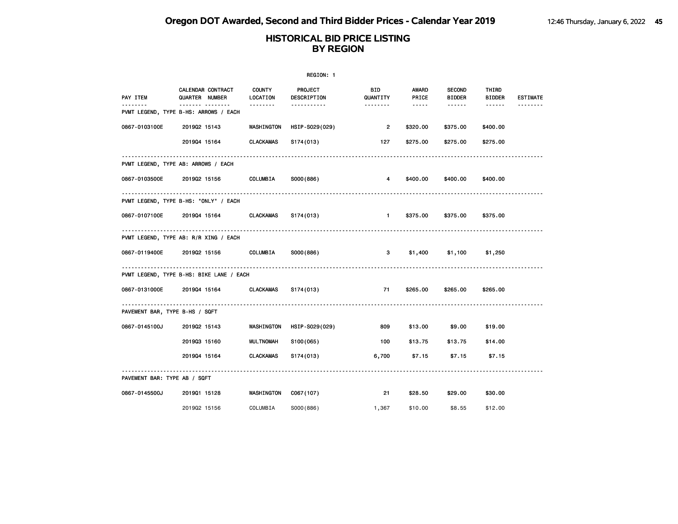|                                |                                                           |                           | REGION: 1                     |                            |                                                                                                   |                                |                        |                 |
|--------------------------------|-----------------------------------------------------------|---------------------------|-------------------------------|----------------------------|---------------------------------------------------------------------------------------------------|--------------------------------|------------------------|-----------------|
| PAY ITEM                       | CALENDAR CONTRACT<br>QUARTER NUMBER                       | <b>COUNTY</b><br>LOCATION | PROJECT<br><b>DESCRIPTION</b> | <b>BID</b><br>QUANTITY     | AWARD<br>PRICE                                                                                    | <b>SECOND</b><br><b>BIDDER</b> | THIRD<br><b>BIDDER</b> | <b>ESTIMATE</b> |
| <u>.</u>                       | ------- --------<br>PVMT LEGEND, TYPE B-HS: ARROWS / EACH | 1.1.1.1.1.1.1             | -----------                   | <u>.</u>                   | $\begin{array}{cccccccccc} \bullet & \bullet & \bullet & \bullet & \bullet & \bullet \end{array}$ | ------                         | $- - - - - -$          |                 |
| 0867-0103100E                  | 201902 15143                                              | WASHINGTON                | HSIP-S029(029)                | $\overline{\phantom{a}}$ 2 | \$320.00                                                                                          | \$375.00                       | \$400.00               |                 |
|                                | 201904 15164                                              | CLACKAMAS                 | S174(013)                     | 127                        | \$275.00                                                                                          | \$275.00                       | \$275.00               |                 |
|                                | PVMT LEGEND, TYPE AB: ARROWS / EACH                       |                           |                               |                            |                                                                                                   |                                |                        |                 |
| 0867-0103500E                  | 2019Q2 15156 COLUMBIA                                     |                           | S000(886)                     | 4                          | \$400.00                                                                                          | \$400.00                       | \$400.00               |                 |
|                                | PVMT LEGEND, TYPE B-HS: "ONLY" / EACH                     |                           |                               |                            |                                                                                                   |                                |                        |                 |
| 0867-0107100E                  | 2019Q4 15164 CLACKAMAS                                    |                           | S174(013)                     | $\blacksquare$             | \$375.00                                                                                          | \$375.00                       | \$375.00               |                 |
|                                | PVMT LEGEND, TYPE AB: R/R XING / EACH                     |                           |                               |                            |                                                                                                   |                                |                        |                 |
| 0867-0119400E                  | 201902 15156                                              | COLUMBIA                  | S000(886)                     | 3                          | \$1,400                                                                                           | \$1,100                        | \$1,250                |                 |
|                                | PVMT LEGEND, TYPE B-HS: BIKE LANE / EACH                  |                           |                               |                            |                                                                                                   |                                |                        |                 |
| 0867-0131000E                  | 201904 15164 CLACKAMAS                                    |                           | S174(013)                     | 71                         | \$265.00                                                                                          | \$265.00                       | \$265.00               |                 |
| PAVEMENT BAR, TYPE B-HS / SQFT |                                                           |                           |                               |                            |                                                                                                   |                                |                        |                 |
| 0867-0145100J                  | 201902 15143                                              | WASHINGTON                | HSIP-S029(029)                | 809                        | \$13.00                                                                                           | \$9.00                         | \$19.00                |                 |
|                                | 201903 15160                                              | <b>MULTNOMAH</b>          | S100(065)                     | 100                        | \$13.75                                                                                           | \$13.75                        | \$14.00                |                 |
|                                | 201904 15164                                              | <b>CLACKAMAS</b>          | S174(013)                     | 6,700                      | \$7.15                                                                                            | \$7.15                         | \$7.15                 |                 |
| PAVEMENT BAR: TYPE AB / SQFT   |                                                           |                           |                               |                            |                                                                                                   |                                |                        |                 |
| 0867-0145500J                  | 201901 15128                                              | <b>WASHINGTON</b>         | C067(107)                     | 21                         | \$28.50                                                                                           | \$29.00                        | \$30.00                |                 |
|                                | 201902 15156                                              | COLUMBIA                  | S000(886)                     | 1,367                      | \$10.00                                                                                           | \$8.55                         | \$12.00                |                 |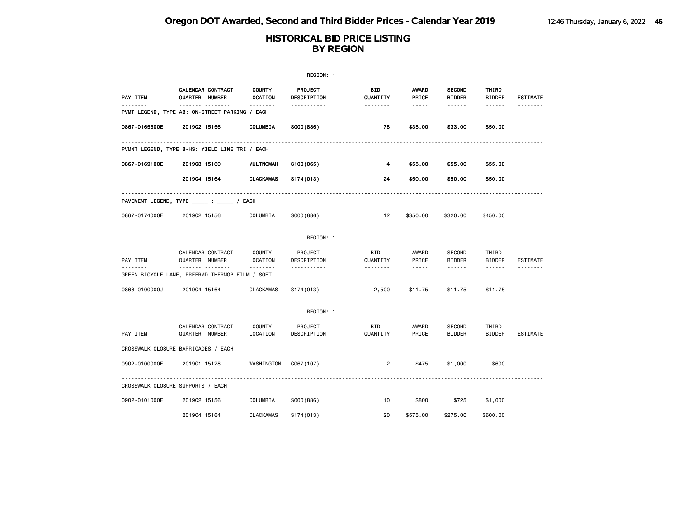|               |                                                      |                           | REGION: 1              |                 |                |                                |                        |                 |
|---------------|------------------------------------------------------|---------------------------|------------------------|-----------------|----------------|--------------------------------|------------------------|-----------------|
| PAY ITEM      | CALENDAR CONTRACT<br>QUARTER NUMBER                  | <b>COUNTY</b><br>LOCATION | PROJECT<br>DESCRIPTION | BID<br>QUANTITY | AWARD<br>PRICE | <b>SECOND</b><br><b>BIDDER</b> | THIRD<br><b>BIDDER</b> | <b>ESTIMATE</b> |
| .             | <br>PVMT LEGEND, TYPE AB: ON-STREET PARKING / EACH   | --------                  | -----------            | <u>.</u>        | $- - - - -$    | ------                         | ------                 |                 |
| 0867-0165500E | 201902 15156                                         | COLUMBIA                  | S000(886)              | 78              | \$35.00        | \$33.00                        | \$50.00                |                 |
|               | PVMNT LEGEND, TYPE B-HS: YIELD LINE TRI / EACH       |                           |                        |                 |                |                                |                        |                 |
| 0867-0169100E | 201903 15160                                         | <b>MULTNOMAH</b>          | S100(065)              | 4               | \$55.00        | \$55.00                        | \$55.00                |                 |
|               | 201904 15164                                         | <b>CLACKAMAS</b>          | S174(013)              | 24              | \$50.00        | \$50.00                        | \$50.00                |                 |
|               | PAVEMENT LEGEND, TYPE ______ : ______ / EACH         |                           |                        |                 |                |                                |                        |                 |
| 0867-0174000E | 201902 15156                                         | COLUMBIA                  | S000(886)              | 12              | \$350.00       | \$320.00                       | \$450.00               |                 |
|               |                                                      |                           | REGION: 1              |                 |                |                                |                        |                 |
| PAY ITEM      | CALENDAR CONTRACT<br>QUARTER NUMBER                  | COUNTY<br>LOCATION        | PROJECT<br>DESCRIPTION | BID<br>QUANTITY | AWARD<br>PRICE | <b>SECOND</b><br><b>BIDDER</b> | THIRD<br><b>BIDDER</b> | ESTIMATE        |
| .             | .<br>GREEN BICYCLE LANE, PREFRMD THERMOP FILM / SQFT | .                         | <u>.</u>               | .               | $\frac{1}{2}$  | ------                         | $- - - - - - -$        | .               |
| 0868-0100000J | 201904 15164                                         | <b>CLACKAMAS</b>          | S <sub>174</sub> (013) | 2,500           | \$11.75        | \$11.75                        | \$11.75                |                 |
|               |                                                      |                           | REGION: 1              |                 |                |                                |                        |                 |
| PAY ITEM      | CALENDAR CONTRACT<br>QUARTER NUMBER                  | COUNTY<br>LOCATION        | PROJECT<br>DESCRIPTION | BID<br>QUANTITY | AWARD<br>PRICE | <b>SECOND</b><br><b>BIDDER</b> | THIRD<br><b>BIDDER</b> | <b>ESTIMATE</b> |
|               | <u>.</u><br>CROSSWALK CLOSURE BARRICADES / EACH      | .                         | .                      | .               | $\frac{1}{2}$  | .                              | $- - - - - -$          | <u>.</u>        |
| 0902-0100000E | 201901 15128                                         | WASHINGTON                | C067(107)              | 2               | \$475          | \$1,000                        | \$600                  |                 |
|               | CROSSWALK CLOSURE SUPPORTS / EACH                    |                           |                        |                 |                |                                |                        |                 |
| 0902-0101000E | 201902 15156                                         | COLUMBIA                  | S000(886)              | 10              | \$800          | \$725                          | \$1,000                |                 |
|               | 201904 15164                                         | <b>CLACKAMAS</b>          | S174(013)              | 20              | \$575.00       | \$275.00                       | \$600.00               |                 |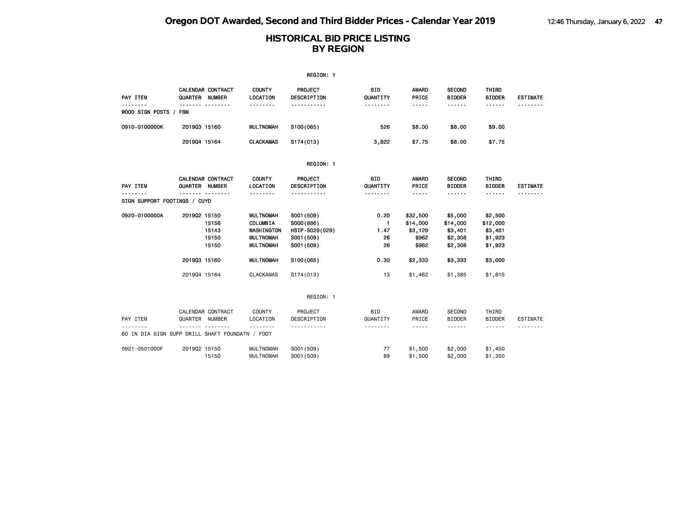|                                                 |                |                                     |                                                                                    | REGION: 1                                                             |                                          |                                                   |                                                      |                                                      |                      |
|-------------------------------------------------|----------------|-------------------------------------|------------------------------------------------------------------------------------|-----------------------------------------------------------------------|------------------------------------------|---------------------------------------------------|------------------------------------------------------|------------------------------------------------------|----------------------|
| PAY ITEM                                        | QUARTER NUMBER | CALENDAR CONTRACT<br>. <sub>.</sub> | <b>COUNTY</b><br>LOCATION<br>.                                                     | <b>PROJECT</b><br>DESCRIPTION<br>.                                    | <b>BID</b><br>QUANTITY<br><u>.</u>       | <b>AWARD</b><br>PRICE<br>-----                    | <b>SECOND</b><br><b>BIDDER</b><br>------             | THIRD<br><b>BIDDER</b><br>------                     | <b>ESTIMATE</b><br>. |
| WOOD SIGN POSTS / FBM                           |                |                                     |                                                                                    |                                                                       |                                          |                                                   |                                                      |                                                      |                      |
| 0910-0100000K                                   | 201903 15160   |                                     | <b>MULTNOMAH</b>                                                                   | \$100(065)                                                            | 526                                      | \$8.00                                            | \$8.00                                               | \$9.00                                               |                      |
|                                                 | 201904 15164   |                                     | <b>CLACKAMAS</b>                                                                   | S174(013)                                                             | 3,822                                    | \$7.75                                            | \$8.00                                               | \$7.75                                               |                      |
|                                                 |                |                                     |                                                                                    | REGION: 1                                                             |                                          |                                                   |                                                      |                                                      |                      |
| PAY ITEM                                        | QUARTER NUMBER | CALENDAR CONTRACT                   | <b>COUNTY</b><br>LOCATION                                                          | PROJECT<br>DESCRIPTION                                                | <b>BID</b><br>QUANTITY                   | <b>AWARD</b><br>PRICE                             | <b>SECOND</b><br><b>BIDDER</b>                       | THIRD<br><b>BIDDER</b>                               | <b>ESTIMATE</b>      |
| SIGN SUPPORT FOOTINGS / CUYD                    |                | . <sub>.</sub>                      | .                                                                                  | .                                                                     | <u>.</u>                                 | -----                                             | <u>.</u>                                             | ------                                               |                      |
| 0920-0100000A                                   | 201902 15150   | 15156<br>15143<br>15150<br>15150    | <b>MULTNOMAH</b><br>COLUMBIA<br>WASHINGTON<br><b>MULTNOMAH</b><br><b>MULTNOMAH</b> | S001 (509)<br>S000(886)<br>HSIP-S029(029)<br>S001 (509)<br>S001 (509) | 0.20<br>$\mathbf{1}$<br>1.47<br>26<br>26 | \$32,500<br>\$14,000<br>\$3,129<br>\$962<br>\$962 | \$5,000<br>\$14,000<br>\$3,401<br>\$2,308<br>\$2,308 | \$2,500<br>\$12,000<br>\$3,401<br>\$1,923<br>\$1,923 |                      |
|                                                 | 201903 15160   |                                     | <b>MULTNOMAH</b>                                                                   | S100(065)                                                             | 0.30                                     | \$2,333                                           | \$3,333                                              | \$3,000                                              |                      |
|                                                 | 201904 15164   |                                     | <b>CLACKAMAS</b>                                                                   | S174(013)                                                             | 13                                       | \$1,462                                           | \$1,385                                              | \$1,615                                              |                      |
|                                                 |                |                                     |                                                                                    | REGION: 1                                                             |                                          |                                                   |                                                      |                                                      |                      |
| PAY ITEM                                        | QUARTER NUMBER | CALENDAR CONTRACT<br>.              | <b>COUNTY</b><br>LOCATION<br>--------                                              | PROJECT<br>DESCRIPTION<br>-----------                                 | <b>BID</b><br>QUANTITY<br>.              | AWARD<br>PRICE<br>$\cdots$                        | <b>SECOND</b><br><b>BIDDER</b><br>------             | THIRD<br><b>BIDDER</b><br>------                     | <b>ESTIMATE</b>      |
| 60 IN DIA SIGN SUPP DRILL SHAFT FOUNDATN / FOOT |                |                                     |                                                                                    |                                                                       |                                          |                                                   |                                                      |                                                      |                      |
| 0921-0501000F                                   | 201902 15150   | 15150                               | <b>MULTNOMAH</b><br><b>MULTNOMAH</b>                                               | S001 (509)<br>S001 (509)                                              | 77<br>89                                 | \$1,500<br>\$1,500                                | \$2,000<br>\$2,000                                   | \$1,450<br>\$1,350                                   |                      |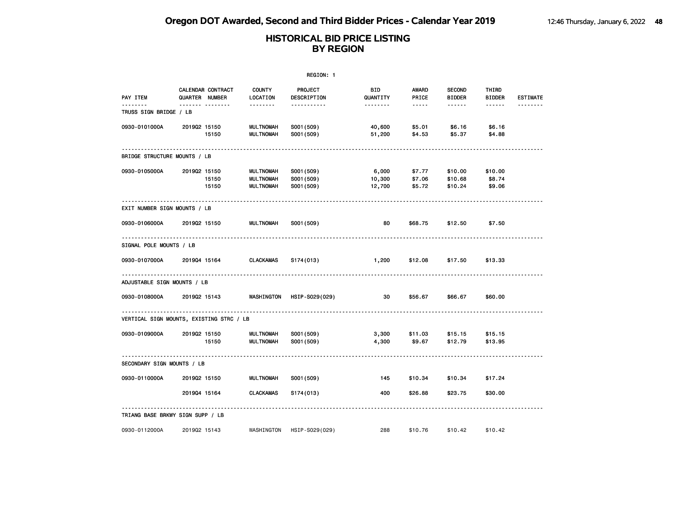|                                          |                |                   |                                                          | REGION: 1                              |                             |                            |                                     |                                  |                      |
|------------------------------------------|----------------|-------------------|----------------------------------------------------------|----------------------------------------|-----------------------------|----------------------------|-------------------------------------|----------------------------------|----------------------|
| PAY ITEM<br>.                            | QUARTER NUMBER | CALENDAR CONTRACT | <b>COUNTY</b><br>LOCATION                                | <b>PROJECT</b><br>DESCRIPTION          | BID<br>QUANTITY<br><u>.</u> | AWARD<br>PRICE<br>.        | <b>SECOND</b><br><b>BIDDER</b><br>. | THIRD<br><b>BIDDER</b><br>------ | <b>ESTIMATE</b><br>. |
| TRUSS SIGN BRIDGE / LB                   |                | <b>.</b>          | <u>.</u>                                                 | -----------                            |                             |                            |                                     |                                  |                      |
| 0930-0101000A                            | 201902 15150   | 15150             | <b>MULTNOMAH</b><br><b>MULTNOMAH</b>                     | S001 (509)<br>S001 (509)               | 40,600<br>51,200            | \$5.01<br>\$4.53           | \$6.16<br>\$5.37                    | \$6.16<br>\$4.88                 |                      |
| BRIDGE STRUCTURE MOUNTS / LB             |                |                   |                                                          |                                        |                             |                            |                                     |                                  |                      |
| 0930-0105000A                            | 201902 15150   | 15150<br>15150    | <b>MULTNOMAH</b><br><b>MULTNOMAH</b><br><b>MULTNOMAH</b> | S001 (509)<br>S001 (509)<br>S001 (509) | 6,000<br>10,300<br>12,700   | \$7.77<br>\$7.06<br>\$5.72 | \$10.00<br>\$10.68<br>\$10.24       | \$10.00<br>\$8.74<br>\$9.06      |                      |
| EXIT NUMBER SIGN MOUNTS / LB             |                |                   |                                                          |                                        |                             |                            |                                     |                                  |                      |
| 0930-0106000A                            | 201902 15150   |                   | <b>MULTNOMAH</b>                                         | S001 (509)                             | 80                          | \$68.75                    | \$12.50                             | \$7.50                           |                      |
| SIGNAL POLE MOUNTS / LB                  |                |                   |                                                          |                                        |                             |                            |                                     |                                  |                      |
| 0930-0107000A                            | 201904 15164   |                   | <b>CLACKAMAS</b>                                         | S174(013)                              | 1,200                       | \$12.08                    | \$17.50                             | \$13.33                          |                      |
| ADJUSTABLE SIGN MOUNTS / LB              |                |                   |                                                          |                                        |                             |                            |                                     |                                  |                      |
| 0930-0108000A                            | 201902 15143   |                   | WASHINGTON                                               | HSIP-S029(029)                         | 30                          | \$56.67                    | \$66.67                             | \$60.00                          |                      |
| VERTICAL SIGN MOUNTS, EXISTING STRC / LB |                |                   |                                                          |                                        |                             |                            |                                     |                                  |                      |
| 0930-0109000A                            | 201902 15150   | 15150             | <b>MULTNOMAH</b><br><b>MULTNOMAH</b>                     | S001 (509)<br>S001 (509)               | 3,300<br>4,300              | \$11.03<br>\$9.67          | \$15.15<br>\$12.79                  | \$15.15<br>\$13.95               |                      |
| SECONDARY SIGN MOUNTS / LB               |                |                   |                                                          |                                        |                             |                            |                                     |                                  |                      |
| 0930-0110000A                            | 201902 15150   |                   | <b>MULTNOMAH</b>                                         | S001 (509)                             | 145                         | \$10.34                    | \$10.34                             | \$17.24                          |                      |
|                                          | 201904 15164   |                   | <b>CLACKAMAS</b>                                         | S174(013)                              | 400                         | \$26.88                    | \$23.75                             | \$30.00                          |                      |
| TRIANG BASE BRKWY SIGN SUPP / LB         |                |                   |                                                          |                                        |                             |                            |                                     |                                  |                      |
| 0930-0112000A                            | 201902 15143   |                   | WASHINGTON                                               | HSIP-S029(029)                         | 288                         | \$10.76                    | \$10.42                             | \$10.42                          |                      |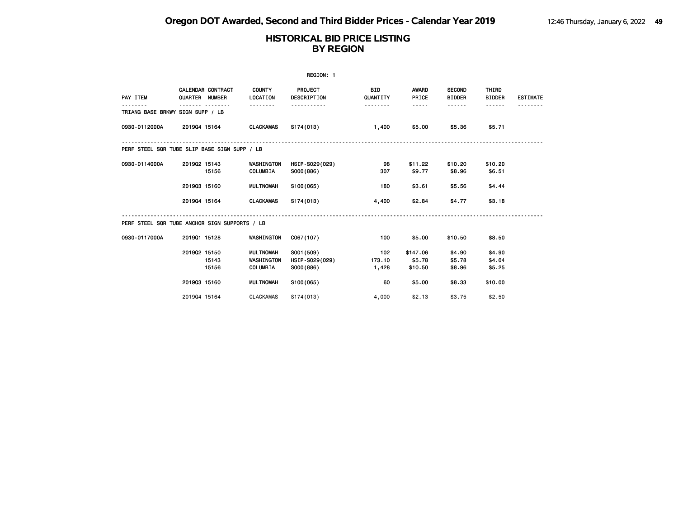|                                               |                |                   |                                            | REGION: 1                                 |                        |                               |                                |                            |                 |
|-----------------------------------------------|----------------|-------------------|--------------------------------------------|-------------------------------------------|------------------------|-------------------------------|--------------------------------|----------------------------|-----------------|
| PAY ITEM                                      | QUARTER NUMBER | CALENDAR CONTRACT | <b>COUNTY</b><br>LOCATION                  | PROJECT<br>DESCRIPTION                    | <b>BID</b><br>QUANTITY | <b>AWARD</b><br>PRICE         | <b>SECOND</b><br><b>BIDDER</b> | THIRD<br><b>BIDDER</b>     | <b>ESTIMATE</b> |
| TRIANG BASE BRKWY SIGN SUPP / LB              |                |                   |                                            |                                           | .                      | -----                         | ------                         |                            |                 |
| 0930-0112000A                                 | 201904 15164   |                   | <b>CLACKAMAS</b>                           | S174(013)                                 | 1,400                  | \$5.00                        | \$5.36                         | \$5.71                     |                 |
| PERF STEEL SQR TUBE SLIP BASE SIGN SUPP / LB  |                |                   |                                            |                                           |                        |                               |                                |                            |                 |
| 0930-0114000A                                 | 201902 15143   | 15156             | <b>WASHINGTON</b><br>COLUMBIA              | HSIP-S029(029)<br>S000(886)               | 98<br>307              | \$11.22<br>\$9.77             | \$10.20<br>\$8.96              | \$10.20<br>\$6.51          |                 |
|                                               | 201903 15160   |                   | <b>MULTNOMAH</b>                           | S100(065)                                 | 180                    | \$3.61                        | \$5.56                         | \$4.44                     |                 |
|                                               | 201904 15164   |                   | <b>CLACKAMAS</b>                           | S174(013)                                 | 4,400                  | \$2.84                        | \$4.77                         | \$3.18                     |                 |
| PERF STEEL SQR TUBE ANCHOR SIGN SUPPORTS / LB |                |                   |                                            |                                           |                        |                               |                                |                            |                 |
| 0930-0117000A                                 | 201901 15128   |                   | WASHINGTON                                 | C067(107)                                 | 100                    | \$5.00                        | \$10.50                        | \$8.50                     |                 |
|                                               | 201902 15150   | 15143<br>15156    | MULTNOMAH<br>WASHINGTON<br><b>COLUMBIA</b> | S001 (509)<br>HSIP-S029(029)<br>S000(886) | 102<br>173.10<br>1,428 | \$147.06<br>\$5.78<br>\$10.50 | \$4.90<br>\$5.78<br>\$8.96     | \$4.90<br>\$4.04<br>\$5.25 |                 |
|                                               | 201903 15160   |                   | <b>MULTNOMAH</b>                           | S100(065)                                 | 60                     | \$5.00                        | \$8.33                         | \$10.00                    |                 |
|                                               | 201904 15164   |                   | <b>CLACKAMAS</b>                           | S174(013)                                 | 4,000                  | \$2.13                        | \$3.75                         | \$2.50                     |                 |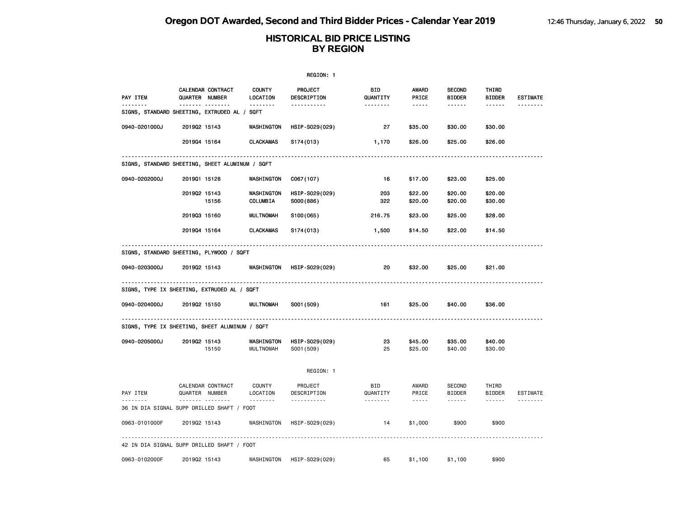|               |                                                         |                                | REGION: 1                     |                        |                                                                                                                                                      |                                |                        |                 |
|---------------|---------------------------------------------------------|--------------------------------|-------------------------------|------------------------|------------------------------------------------------------------------------------------------------------------------------------------------------|--------------------------------|------------------------|-----------------|
| PAY ITEM      | CALENDAR CONTRACT<br>QUARTER NUMBER                     | <b>COUNTY</b><br>LOCATION      | <b>PROJECT</b><br>DESCRIPTION | BID<br>QUANTITY        | <b>AWARD</b><br>PRICE                                                                                                                                | <b>SECOND</b><br><b>BIDDER</b> | THIRD<br><b>BIDDER</b> | <b>ESTIMATE</b> |
| .             | <u></u><br>SIGNS, STANDARD SHEETING, EXTRUDED AL / SQFT | <u>.</u>                       | <u>.</u>                      | <u>.</u>               | $- - - - -$                                                                                                                                          | ------                         | ------                 | --------        |
| 0940-0201000J | 201902 15143                                            | WASHINGTON                     | HSIP-S029(029)                | 27                     | \$35.00                                                                                                                                              | \$30.00                        | \$30.00                |                 |
|               | 201904 15164                                            | <b>CLACKAMAS</b>               | S174(013)                     | 1,170                  | \$26.00                                                                                                                                              | \$25.00                        | \$26.00                |                 |
|               | SIGNS, STANDARD SHEETING, SHEET ALUMINUM / SQFT         |                                |                               |                        |                                                                                                                                                      |                                |                        |                 |
| 0940-0202000J | 201901 15128                                            | WASHINGTON                     | C067(107)                     | 16                     | \$17.00                                                                                                                                              | \$23.00                        | \$25.00                |                 |
|               | 201902 15143<br>15156                                   | WASHINGTON<br>COLUMBIA         | HSIP-S029(029)<br>S000(886)   | 203<br>322             | \$22.00<br>\$20.00                                                                                                                                   | \$20.00<br>\$20.00             | \$20.00<br>\$30.00     |                 |
|               | 201903 15160                                            | <b>MULTNOMAH</b>               | S <sub>100</sub> (065)        | 216.75                 | \$23.00                                                                                                                                              | \$25.00                        | \$28.00                |                 |
|               | 201904 15164                                            | <b>CLACKAMAS</b>               | S174(013)                     | 1,500                  | \$14.50                                                                                                                                              | \$22.00                        | \$14.50                |                 |
|               | SIGNS, STANDARD SHEETING, PLYWOOD / SQFT                |                                |                               |                        |                                                                                                                                                      |                                |                        |                 |
| 0940-0203000J | 201902 15143                                            | WASHINGTON                     | HSIP-S029(029)                | 20                     | \$32.00                                                                                                                                              | \$25.00                        | \$21.00                |                 |
|               | .<br>SIGNS, TYPE IX SHEETING, EXTRUDED AL / SQFT        |                                |                               |                        |                                                                                                                                                      |                                |                        |                 |
| 0940-0204000J | 201902 15150                                            | <b>MULTNOMAH</b>               | S001 (509)                    | 161                    | \$25.00                                                                                                                                              | \$40.00                        | \$36.00                |                 |
|               | SIGNS, TYPE IX SHEETING, SHEET ALUMINUM / SQFT          |                                |                               |                        |                                                                                                                                                      |                                |                        |                 |
| 0940-0205000J | 201902 15143<br>15150                                   | WASHINGTON<br><b>MULTNOMAH</b> | HSIP-S029(029)<br>S001 (509)  | 23<br>25               | \$45.00<br>\$25.00                                                                                                                                   | \$35.00<br>\$40.00             | \$40.00<br>\$30.00     |                 |
|               |                                                         |                                | REGION: 1                     |                        |                                                                                                                                                      |                                |                        |                 |
| PAY ITEM      | CALENDAR CONTRACT<br>QUARTER NUMBER                     | COUNTY<br>LOCATION             | PROJECT<br>DESCRIPTION        | <b>BID</b><br>QUANTITY | AWARD<br>PRICE                                                                                                                                       | <b>SECOND</b><br><b>BIDDER</b> | THIRD<br>BIDDER        | ESTIMATE        |
|               | <b>.</b><br>36 IN DIA SIGNAL SUPP DRILLED SHAFT / FOOT  | .                              | .                             | .                      | $\frac{1}{2} \left( \frac{1}{2} \right) \left( \frac{1}{2} \right) \left( \frac{1}{2} \right) \left( \frac{1}{2} \right) \left( \frac{1}{2} \right)$ | ------                         | $- - - - - -$          | <u>.</u>        |
| 0963-0101000F | 201902 15143                                            | WASHINGTON                     | HSIP-S029(029)                | 14                     | \$1,000                                                                                                                                              | \$900                          | \$900                  |                 |
|               | 42 IN DIA SIGNAL SUPP DRILLED SHAFT / FOOT              |                                |                               |                        |                                                                                                                                                      |                                |                        |                 |
| 0963-0102000F | 201902 15143                                            | WASHINGTON                     | HSIP-S029(029)                | 65                     | \$1,100                                                                                                                                              | \$1,100                        | \$900                  |                 |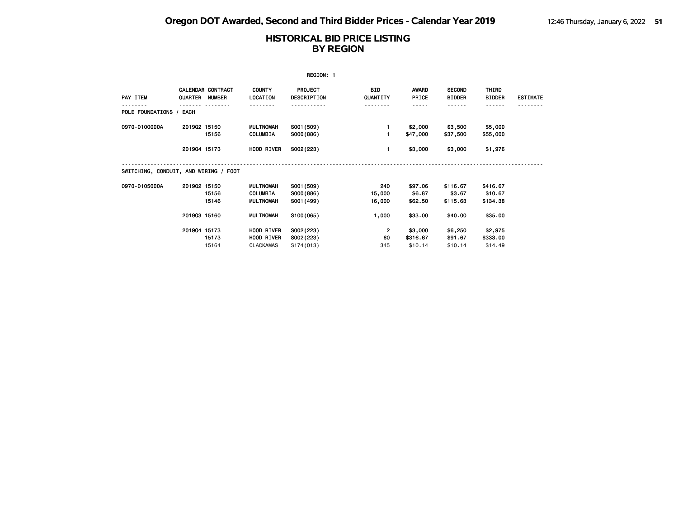|                                       |              |                                     |                                                  | REGION: 1                             |                         |                                |                                |                                 |                 |
|---------------------------------------|--------------|-------------------------------------|--------------------------------------------------|---------------------------------------|-------------------------|--------------------------------|--------------------------------|---------------------------------|-----------------|
| PAY ITEM                              |              | CALENDAR CONTRACT<br>QUARTER NUMBER | <b>COUNTY</b><br>LOCATION                        | <b>PROJECT</b><br>DESCRIPTION         | BID.<br>QUANTITY        | <b>AWARD</b><br>PRICE          | <b>SECOND</b><br><b>BIDDER</b> | THIRD<br><b>BIDDER</b>          | <b>ESTIMATE</b> |
| POLE FOUNDATIONS /                    | EACH         |                                     |                                                  |                                       |                         | -----                          | .                              |                                 |                 |
| 0970-0100000A                         | 201902 15150 | 15156                               | <b>MULTNOMAH</b><br>COLUMBIA                     | S001 (509)<br>S000(886)               |                         | \$2,000<br>\$47,000            | \$3,500<br>\$37,500            | \$5,000<br>\$55,000             |                 |
|                                       | 201904 15173 |                                     | HOOD RIVER                                       | S002(223)                             |                         | \$3,000                        | \$3,000                        | \$1,976                         |                 |
| SWITCHING, CONDUIT, AND WIRING / FOOT |              |                                     |                                                  |                                       |                         |                                |                                |                                 |                 |
| 0970-0105000A                         | 201902 15150 | 15156<br>15146                      | <b>MULTNOMAH</b><br>COLUMBIA<br><b>MULTNOMAH</b> | S001 (509)<br>S000(886)<br>S001 (499) | 240<br>15,000<br>16,000 | \$97.06<br>\$6.87<br>\$62.50   | \$116.67<br>\$3.67<br>\$115.63 | \$416.67<br>\$10.67<br>\$134.38 |                 |
|                                       | 201903 15160 |                                     | <b>MULTNOMAH</b>                                 | S100(065)                             | 1,000                   | \$33.00                        | \$40.00                        | \$35.00                         |                 |
|                                       | 201904 15173 | 15173<br>15164                      | HOOD RIVER<br>HOOD RIVER<br>CLACKAMAS            | S002(223)<br>S002(223)<br>S174(013)   | 2<br>60<br>345          | \$3,000<br>\$316.67<br>\$10.14 | \$6,250<br>\$91.67<br>\$10.14  | \$2,975<br>\$333.00<br>\$14.49  |                 |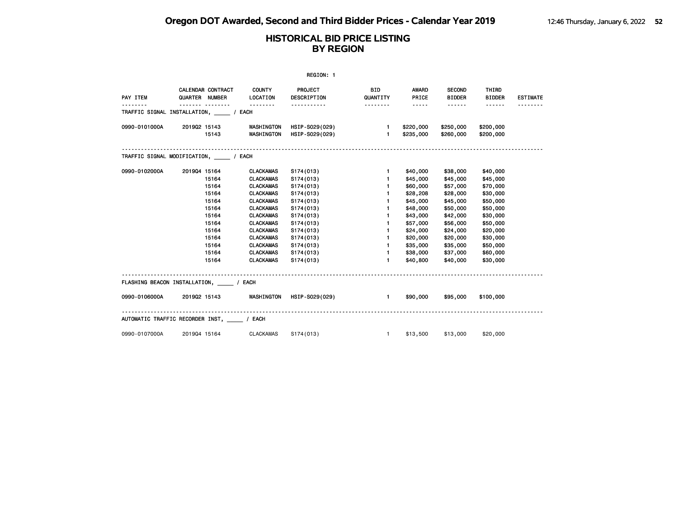|               |                                           |                           | REGION: 1              |                                                                                                                                                                                                                                      |                 |                                |                        |                 |
|---------------|-------------------------------------------|---------------------------|------------------------|--------------------------------------------------------------------------------------------------------------------------------------------------------------------------------------------------------------------------------------|-----------------|--------------------------------|------------------------|-----------------|
| PAY ITEM      | CALENDAR CONTRACT<br>QUARTER NUMBER       | <b>COUNTY</b><br>LOCATION | PROJECT<br>DESCRIPTION | <b>BID</b><br>QUANTITY                                                                                                                                                                                                               | AWARD<br>PRICE  | <b>SECOND</b><br><b>BIDDER</b> | THIRD<br><b>BIDDER</b> | <b>ESTIMATE</b> |
|               | TRAFFIC SIGNAL INSTALLATION, / EACH       | <u> - - - - - - -</u>     | <u>.</u>               | <u> - - - - - - -</u>                                                                                                                                                                                                                | $\cdots \cdots$ | ------                         | $- - - - - -$          |                 |
|               |                                           |                           |                        |                                                                                                                                                                                                                                      |                 |                                |                        |                 |
| 0990-0101000A | 201902 15143                              | <b>WASHINGTON</b>         | HSIP-S029(029)         | $1 -$                                                                                                                                                                                                                                | \$220,000       |                                | \$250,000 \$200,000    |                 |
|               | 15143                                     | WASHINGTON                | HSIP-S029(029)         | 1                                                                                                                                                                                                                                    | \$235,000       | \$260,000                      | \$200,000              |                 |
|               |                                           |                           |                        |                                                                                                                                                                                                                                      |                 |                                |                        |                 |
|               | TRAFFIC SIGNAL MODIFICATION, _____ / EACH |                           |                        |                                                                                                                                                                                                                                      |                 |                                |                        |                 |
| 0990-0102000A | 201904 15164                              | <b>CLACKAMAS</b>          | S174(013)              | $\mathbf{1}$                                                                                                                                                                                                                         | \$40,000        | \$38,000                       | \$40,000               |                 |
|               | 15164                                     | <b>CLACKAMAS</b>          | S174(013)              | $\blacksquare$                                                                                                                                                                                                                       | \$45,000        | \$45,000                       | \$45,000               |                 |
|               | 15164                                     | <b>CLACKAMAS</b>          | S174(013)              | 1.                                                                                                                                                                                                                                   | \$60,000        | \$57,000                       | \$70,000               |                 |
|               | 15164                                     | <b>CLACKAMAS</b>          | S174(013)              | $\mathbf{1}$                                                                                                                                                                                                                         | \$28,208        | \$28,000                       | \$30,000               |                 |
|               | 15164                                     | <b>CLACKAMAS</b>          | S174(013)              | 1.                                                                                                                                                                                                                                   | \$45,000        | \$45,000                       | \$50,000               |                 |
|               | 15164                                     | <b>CLACKAMAS</b>          | S174(013)              | 1.                                                                                                                                                                                                                                   | \$48,000        | \$50,000                       | \$50,000               |                 |
|               | 15164                                     | <b>CLACKAMAS</b>          | S174(013)              | $\mathbf{1}$                                                                                                                                                                                                                         | \$43,000        | \$42,000                       | \$30,000               |                 |
|               | 15164                                     | <b>CLACKAMAS</b>          | S174(013)              | 1.                                                                                                                                                                                                                                   | \$57,000        | \$56,000                       | \$50,000               |                 |
|               | 15164                                     | <b>CLACKAMAS</b>          | S174(013)              | $\mathbf{1}$                                                                                                                                                                                                                         | \$24,000        | \$24,000                       | \$20,000               |                 |
|               | 15164                                     | <b>CLACKAMAS</b>          | S174(013)              | $\blacksquare$                                                                                                                                                                                                                       | \$20,000        | \$20,000                       | \$30,000               |                 |
|               | 15164                                     | <b>CLACKAMAS</b>          | S174(013)              | 1.                                                                                                                                                                                                                                   | \$35,000        | \$35,000                       | \$50,000               |                 |
|               | 15164                                     | CLACKAMAS                 | S174(013)              | $\mathbf{1}$                                                                                                                                                                                                                         | \$38,000        | \$37,000                       | \$60,000               |                 |
|               | 15164                                     | CLACKAMAS                 | S174(013)              | $\mathbf{1}$                                                                                                                                                                                                                         | \$40,800        | \$40,000                       | \$30,000               |                 |
|               | FLASHING BEACON INSTALLATION, / EACH      |                           |                        |                                                                                                                                                                                                                                      |                 |                                |                        |                 |
| 0990-0106000A | 201902 15143                              | WASHINGTON                | HSIP-S029(029)         | <b>The Contract of the Contract of the Contract of the Contract of the Contract of the Contract of the Contract of the Contract of the Contract of the Contract of the Contract of the Contract of the Contract of the Contract </b> |                 | \$90,000 \$95,000              | \$100,000              |                 |
|               | AUTOMATIC TRAFFIC RECORDER INST, / EACH   |                           |                        |                                                                                                                                                                                                                                      |                 |                                |                        |                 |
| 0990-0107000A | 201904 15164                              | <b>CLACKAMAS</b>          | S174(013)              | $\sim$ 1                                                                                                                                                                                                                             |                 | \$13,500 \$13,000              | \$20,000               |                 |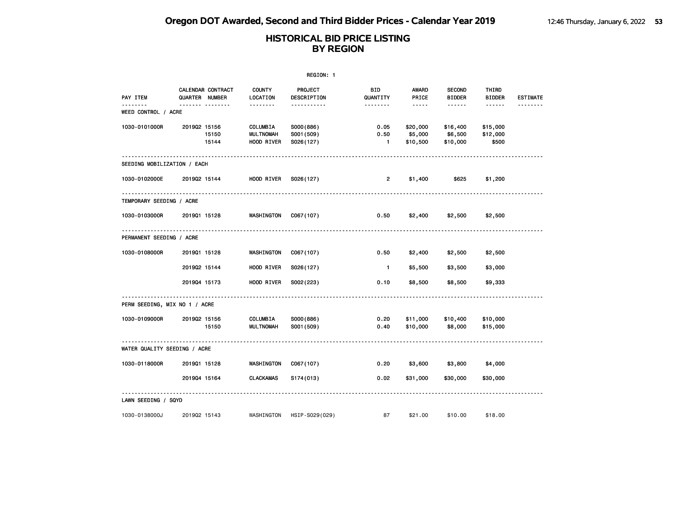|                                 |                                     |                                            | REGION: 1                            |                                |                                                                                                                                                      |                                 |                               |                 |
|---------------------------------|-------------------------------------|--------------------------------------------|--------------------------------------|--------------------------------|------------------------------------------------------------------------------------------------------------------------------------------------------|---------------------------------|-------------------------------|-----------------|
| PAY ITEM                        | CALENDAR CONTRACT<br>QUARTER NUMBER | <b>COUNTY</b><br>LOCATION                  | PROJECT<br>DESCRIPTION               | BID<br>QUANTITY                | AWARD<br>PRICE                                                                                                                                       | <b>SECOND</b><br><b>BIDDER</b>  | THIRD<br><b>BIDDER</b>        | <b>ESTIMATE</b> |
| <u>.</u><br>WEED CONTROL / ACRE | ------- --------                    |                                            | <u>.</u>                             | <u> - - - - - - -</u>          | $\frac{1}{2} \left( \frac{1}{2} \right) \left( \frac{1}{2} \right) \left( \frac{1}{2} \right) \left( \frac{1}{2} \right) \left( \frac{1}{2} \right)$ | .                               | $- - - - - -$                 | <u>.</u>        |
| 1030-0101000R                   | 201902 15156<br>15150<br>15144      | COLUMBIA<br><b>MULTNOMAH</b><br>HOOD RIVER | S000(886)<br>S001 (509)<br>S026(127) | 0.05<br>0.50<br>$\blacksquare$ | \$20,000<br>\$5,000<br>\$10,500                                                                                                                      | \$16,400<br>\$6,500<br>\$10,000 | \$15,000<br>\$12,000<br>\$500 |                 |
| SEEDING MOBILIZATION / EACH     |                                     |                                            |                                      |                                |                                                                                                                                                      |                                 |                               |                 |
| 1030-0102000E                   | 201902 15144                        | HOOD RIVER                                 | S026(127)                            | $\overline{2}$                 | \$1,400                                                                                                                                              | \$625                           | \$1,200                       |                 |
| TEMPORARY SEEDING / ACRE        |                                     |                                            |                                      |                                |                                                                                                                                                      |                                 |                               |                 |
| 1030-0103000R                   | 201901 15128                        | WASHINGTON                                 | C067(107)                            | 0.50                           | \$2,400                                                                                                                                              | \$2,500                         | \$2,500                       |                 |
| PERMANENT SEEDING / ACRE        |                                     |                                            |                                      |                                |                                                                                                                                                      |                                 |                               |                 |
| 1030-0108000R                   | 201901 15128                        | WASHINGTON                                 | C067(107)                            | 0.50                           | \$2,400                                                                                                                                              | \$2,500                         | \$2,500                       |                 |
|                                 | 201902 15144                        | HOOD RIVER                                 | S026(127)                            | $\overline{1}$                 | \$5,500                                                                                                                                              | \$3,500                         | \$3,000                       |                 |
|                                 | 201904 15173                        | HOOD RIVER                                 | S002(223)                            | 0.10                           | \$8,500                                                                                                                                              | \$8,500                         | \$9,333                       |                 |
| PERM SEEDING, MIX NO 1 / ACRE   |                                     |                                            |                                      |                                |                                                                                                                                                      |                                 |                               |                 |
| 1030-0109000R                   | 201902 15156<br>15150               | COLUMBIA<br><b>MULTNOMAH</b>               | S000(886)<br>S001 (509)              | 0.20<br>0.40                   | \$11,000<br>\$10,000                                                                                                                                 | \$10,400<br>\$8,000             | \$10,000<br>\$15,000          |                 |
| WATER QUALITY SEEDING / ACRE    |                                     |                                            |                                      |                                |                                                                                                                                                      |                                 |                               |                 |
| 1030-0118000R                   | 201901 15128                        | WASHINGTON                                 | C067(107)                            | 0.20                           | \$3,600                                                                                                                                              | \$3,800                         | \$4,000                       |                 |
|                                 | 201904 15164                        | <b>CLACKAMAS</b>                           | S174(013)                            | 0.02                           | \$31,000                                                                                                                                             | \$30,000                        | \$30,000                      |                 |
| LAWN SEEDING / SQYD             |                                     |                                            |                                      |                                |                                                                                                                                                      |                                 |                               |                 |
| 1030-0138000J                   | 201902 15143                        | WASHINGTON                                 | HSIP-S029(029)                       | 87                             | \$21.00                                                                                                                                              | \$10.00                         | \$18.00                       |                 |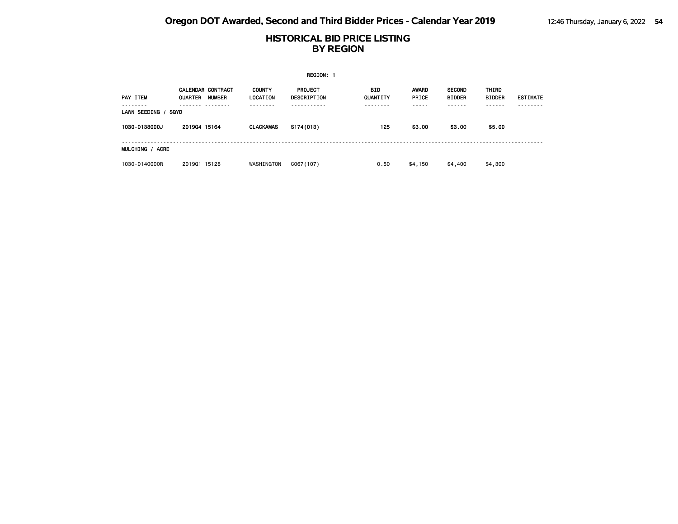|                           |                                                      |                           | <b>REGION: 1</b>              |                        |                       |                                |                        |                 |
|---------------------------|------------------------------------------------------|---------------------------|-------------------------------|------------------------|-----------------------|--------------------------------|------------------------|-----------------|
| <b>PAY ITEM</b>           | CALENDAR CONTRACT<br><b>QUARTER</b><br><b>NUMBER</b> | <b>COUNTY</b><br>LOCATION | <b>PROJECT</b><br>DESCRIPTION | <b>BID</b><br>QUANTITY | <b>AWARD</b><br>PRICE | <b>SECOND</b><br><b>BIDDER</b> | THIRD<br><b>BIDDER</b> | <b>ESTIMATE</b> |
| LAWN SEEDING /            | SQYD                                                 |                           |                               |                        | - - - - -             |                                |                        |                 |
| 1030-0138000J             | 201904 15164                                         | <b>CLACKAMAS</b>          | S174(013)                     | 125                    | \$3.00                | \$3.00                         | \$5.00                 |                 |
| <b>ACRE</b><br>MULCHING / |                                                      |                           |                               |                        |                       |                                |                        |                 |
| 1030-0140000R             | 201901 15128                                         | WASHINGTON                | C067(107)                     | 0.50                   | \$4,150               | \$4,400                        | \$4,300                |                 |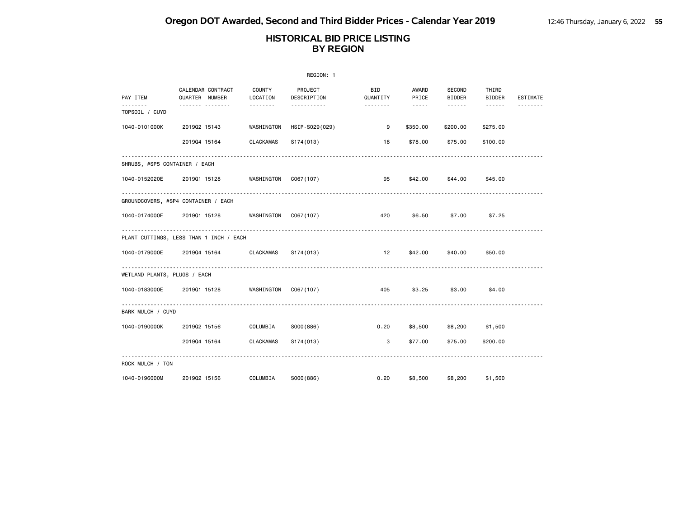|                               |                                         |                      | REGION: 1              |                        |                                    |                         |                                    |          |
|-------------------------------|-----------------------------------------|----------------------|------------------------|------------------------|------------------------------------|-------------------------|------------------------------------|----------|
| PAY ITEM                      | CALENDAR CONTRACT<br>QUARTER NUMBER     | COUNTY<br>LOCATION   | PROJECT<br>DESCRIPTION | <b>BID</b><br>QUANTITY | AWARD<br>PRICE                     | SECOND<br><b>BIDDER</b> | THIRD<br><b>BIDDER</b>             | ESTIMATE |
| .<br>TOPSOIL / CUYD           | .                                       | <u> 2222222</u>      | .                      | .                      | $\sim$ $\sim$ $\sim$ $\sim$ $\sim$ | <b>.</b> .              | $\sim$ $\sim$ $\sim$ $\sim$ $\sim$ | .        |
| 1040-0101000K                 | 201902 15143                            | WASHINGTON           | HSIP-S029(029)         | 9                      | \$350.00                           | \$200.00                | \$275.00                           |          |
|                               | 201904 15164                            | <b>CLACKAMAS</b>     | S174(013)              | 18                     | \$78.00                            | \$75.00                 | \$100.00                           |          |
| SHRUBS, #SP5 CONTAINER / EACH |                                         |                      |                        |                        |                                    |                         |                                    |          |
| 1040-0152020E 2019Q1 15128    |                                         | WASHINGTON CO67(107) |                        | 95                     |                                    | \$42.00 \$44.00         | \$45.00                            |          |
|                               | GROUNDCOVERS, #SP4 CONTAINER / EACH     |                      |                        |                        |                                    |                         |                                    |          |
| 1040-0174000E                 | 2019Q1 15128 WASHINGTON                 |                      | C067(107)              | 420                    | \$6.50                             | \$7.00                  | \$7.25                             |          |
|                               | PLANT CUTTINGS, LESS THAN 1 INCH / EACH |                      |                        |                        |                                    |                         |                                    |          |
| 1040-0179000E                 | 201904 15164                            | <b>CLACKAMAS</b>     | S174(013)              | 12                     |                                    | \$42.00 \$40.00         | \$50.00                            |          |
| WETLAND PLANTS, PLUGS / EACH  |                                         |                      |                        |                        |                                    |                         |                                    |          |
| 1040-0183000E                 | 201901 15128                            | WASHINGTON CO67(107) |                        | 405                    | \$3.25                             | \$3.00                  | \$4.00                             |          |
| BARK MULCH / CUYD             |                                         |                      |                        |                        |                                    |                         |                                    |          |
| 1040-0190000K                 | 201902 15156                            | COLUMBIA             | S000(886)              | 0.20                   |                                    | \$8,500 \$8,200 \$1,500 |                                    |          |
|                               | 201904 15164                            | <b>CLACKAMAS</b>     | S174(013)              | 3                      | \$77.00                            | \$75.00                 | \$200.00                           |          |
| ROCK MULCH / TON              |                                         |                      |                        |                        |                                    |                         |                                    |          |
| 1040-0196000M                 | 201902 15156                            | COLUMBIA             | S000(886)              | 0.20                   | \$8,500                            | \$8,200                 | \$1,500                            |          |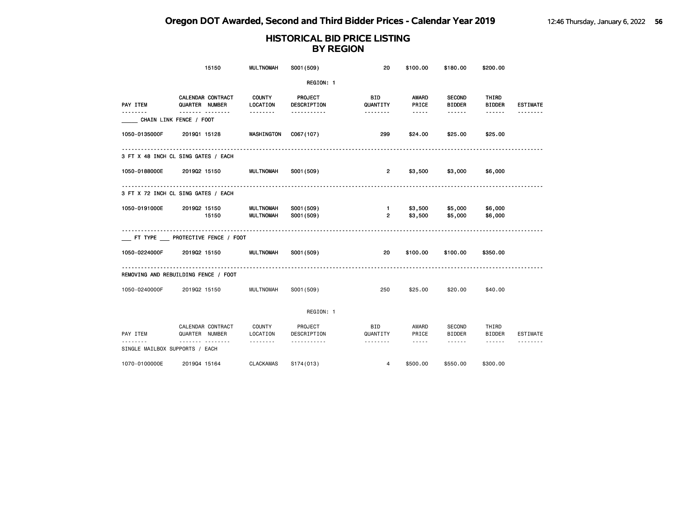|                                | 15150                                | <b>MULTNOMAH</b>                     | S001 (509)               | 20                             | \$100.00                                                                                                                                                                        | \$180.00                       | \$200.00               |                 |
|--------------------------------|--------------------------------------|--------------------------------------|--------------------------|--------------------------------|---------------------------------------------------------------------------------------------------------------------------------------------------------------------------------|--------------------------------|------------------------|-----------------|
|                                |                                      |                                      | REGION: 1                |                                |                                                                                                                                                                                 |                                |                        |                 |
| PAY ITEM<br>------             | CALENDAR CONTRACT<br>QUARTER NUMBER  | <b>COUNTY</b><br>LOCATION            | PROJECT<br>DESCRIPTION   | <b>BID</b><br>QUANTITY         | AWARD<br>PRICE                                                                                                                                                                  | <b>SECOND</b><br><b>BIDDER</b> | THIRD<br><b>BIDDER</b> | <b>ESTIMATE</b> |
|                                | <u> </u><br>CHAIN LINK FENCE / FOOT  |                                      | <u>.</u>                 |                                | $\frac{1}{2} \left( \frac{1}{2} \right) \left( \frac{1}{2} \right) \left( \frac{1}{2} \right) \left( \frac{1}{2} \right) \left( \frac{1}{2} \right)$                            | $- - - - - -$                  | $- - - - - -$          | <u>.</u>        |
| 1050-0135000F                  | 201901 15128                         | WASHINGTON                           | C067(107)                | 299                            | \$24.00                                                                                                                                                                         | \$25.00                        | \$25.00                |                 |
|                                | 3 FT X 48 INCH CL SING GATES / EACH  |                                      |                          |                                |                                                                                                                                                                                 |                                |                        |                 |
| 1050-0188000E                  | 201902 15150                         | <b>MULTNOMAH</b>                     | S001 (509)               | $\overline{2}$                 | \$3,500                                                                                                                                                                         | \$3,000                        | \$6,000                |                 |
|                                | 3 FT X 72 INCH CL SING GATES / EACH  |                                      |                          |                                |                                                                                                                                                                                 |                                |                        |                 |
| 1050-0191000E                  | 201902 15150<br>15150                | <b>MULTNOMAH</b><br><b>MULTNOMAH</b> | S001 (509)<br>S001 (509) | $\mathbf{1}$<br>$\overline{2}$ | \$3,500<br>\$3,500                                                                                                                                                              | \$5,000<br>\$5,000             | \$6,000<br>\$6,000     |                 |
|                                | FT TYPE __ PROTECTIVE FENCE / FOOT   |                                      |                          |                                |                                                                                                                                                                                 |                                |                        |                 |
| 1050-0224000F                  | 201902 15150                         | <b>MULTNOMAH</b>                     | S001 (509)               | 20                             | \$100.00                                                                                                                                                                        | \$100.00                       | \$350.00               |                 |
|                                | REMOVING AND REBUILDING FENCE / FOOT |                                      |                          |                                |                                                                                                                                                                                 |                                |                        |                 |
| 1050-0240000F                  | 201902 15150                         | <b>MULTNOMAH</b>                     | S001 (509)               | 250                            | \$25.00                                                                                                                                                                         | \$20.00                        | \$40.00                |                 |
|                                |                                      |                                      | REGION: 1                |                                |                                                                                                                                                                                 |                                |                        |                 |
| PAY ITEM                       | CALENDAR CONTRACT<br>QUARTER NUMBER  | COUNTY<br>LOCATION                   | PROJECT<br>DESCRIPTION   | <b>BID</b><br>QUANTITY         | AWARD<br>PRICE                                                                                                                                                                  | SECOND<br><b>BIDDER</b>        | THIRD<br><b>BIDDER</b> | ESTIMATE        |
| SINGLE MAILBOX SUPPORTS / EACH | .                                    | .                                    | .                        | --------                       | $\frac{1}{2} \left( \frac{1}{2} \right) \left( \frac{1}{2} \right) \left( \frac{1}{2} \right) \left( \frac{1}{2} \right) \left( \frac{1}{2} \right) \left( \frac{1}{2} \right)$ | <b>.</b>                       | ------                 |                 |
| 1070-0100000E                  | 201904 15164                         | <b>CLACKAMAS</b>                     | S174(013)                | 4                              | \$500.00                                                                                                                                                                        | \$550.00                       | \$300.00               |                 |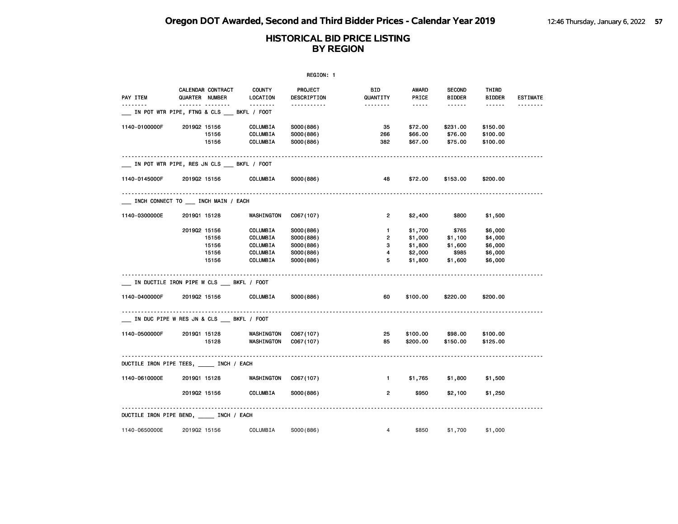|               |                                                                   |                           | REGION: 1              |                        |                                                                                                                                                      |                                |                        |                 |
|---------------|-------------------------------------------------------------------|---------------------------|------------------------|------------------------|------------------------------------------------------------------------------------------------------------------------------------------------------|--------------------------------|------------------------|-----------------|
| PAY ITEM      | CALENDAR CONTRACT<br>QUARTER NUMBER                               | <b>COUNTY</b><br>LOCATION | PROJECT<br>DESCRIPTION | <b>BID</b><br>QUANTITY | AWARD<br>PRICE                                                                                                                                       | <b>SECOND</b><br><b>BIDDER</b> | THIRD<br><b>BIDDER</b> | <b>ESTIMATE</b> |
|               | ------- --------<br>_ IN POT WTR PIPE, FTNG & CLS ___ BKFL / FOOT | .                         | -----------            | <u> - - - - - - -</u>  | $\frac{1}{2} \left( \frac{1}{2} \right) \left( \frac{1}{2} \right) \left( \frac{1}{2} \right) \left( \frac{1}{2} \right) \left( \frac{1}{2} \right)$ |                                |                        | <u>.</u>        |
| 1140-0100000F | 201902 15156<br>15156                                             | COLUMBIA                  | S000(886)              | 35                     | \$72.00                                                                                                                                              | \$231.00<br>\$76.00            | \$150.00               |                 |
|               | 15156                                                             | COLUMBIA<br>COLUMBIA      | S000(886)<br>S000(886) | 266<br>382             | \$66.00<br>\$67.00                                                                                                                                   | \$75.00                        | \$100.00<br>\$100.00   |                 |
|               | _ IN POT WTR PIPE, RES JN CLS __ BKFL / FOOT                      |                           |                        |                        |                                                                                                                                                      |                                |                        |                 |
| 1140-0145000F | 201902 15156                                                      | COLUMBIA                  | S000(886)              | 48                     | \$72.00                                                                                                                                              | \$153.00                       | \$200.00               |                 |
|               | _ INCH CONNECT TO __ INCH MAIN / EACH                             |                           |                        |                        |                                                                                                                                                      |                                |                        |                 |
| 1140-0300000E | 201901 15128                                                      | WASHINGTON                | C067(107)              | $\overline{2}$         | \$2,400                                                                                                                                              | \$800                          | \$1,500                |                 |
|               | 201902 15156                                                      | COLUMBIA                  | S000(886)              | $\mathbf{1}$           | \$1,700                                                                                                                                              | \$765                          | \$6,000                |                 |
|               | 15156                                                             | COLUMBIA                  | S000(886)              | $\overline{2}$         | \$1,000                                                                                                                                              | \$1,100                        | \$4,000                |                 |
|               | 15156                                                             | COLUMBIA                  | S000(886)              | 3                      | \$1,800                                                                                                                                              | \$1,600                        | \$6,000                |                 |
|               | 15156                                                             | COLUMBIA                  | S000(886)              | 4                      | \$2,000                                                                                                                                              | \$985                          | \$6,000                |                 |
|               | 15156                                                             | COLUMBIA                  | S000(886)              | 5                      | \$1,800                                                                                                                                              | \$1,600                        | \$6,000                |                 |
|               | _ IN DUCTILE IRON PIPE W CLS ___ BKFL / FOOT                      |                           |                        |                        |                                                                                                                                                      |                                |                        |                 |
| 1140-0400000F | 201902 15156                                                      | COLUMBIA                  | S000(886)              | 60                     | \$100.00                                                                                                                                             | \$220.00                       | \$200.00               |                 |
|               | IN DUC PIPE W RES JN & CLS ___ BKFL / FOOT                        |                           |                        |                        |                                                                                                                                                      |                                |                        |                 |
| 1140-0500000F | 201901 15128                                                      | WASHINGTON                | C067(107)              | 25                     | \$100.00                                                                                                                                             | \$98.00                        | \$100.00               |                 |
|               | 15128                                                             | WASHINGTON                | C067(107)              | 85                     | \$200.00                                                                                                                                             | \$150.00                       | \$125.00               |                 |
|               | DUCTILE IRON PIPE TEES, _____ INCH / EACH                         |                           |                        |                        |                                                                                                                                                      |                                |                        |                 |
| 1140-0610000E | 201901 15128                                                      | WASHINGTON                | C067(107)              | $\mathbf{1}$           | \$1,765                                                                                                                                              | \$1,800                        | \$1,500                |                 |
|               | 201902 15156                                                      | COLUMBIA                  | S000(886)              | 2                      | \$950                                                                                                                                                | \$2,100                        | \$1,250                |                 |
|               | DUCTILE IRON PIPE BEND, _____ INCH / EACH                         |                           |                        |                        |                                                                                                                                                      |                                |                        |                 |
| 1140-0650000E | 201902 15156                                                      | COLUMBIA                  | S000(886)              | $\overline{4}$         | \$850                                                                                                                                                | \$1,700                        | \$1,000                |                 |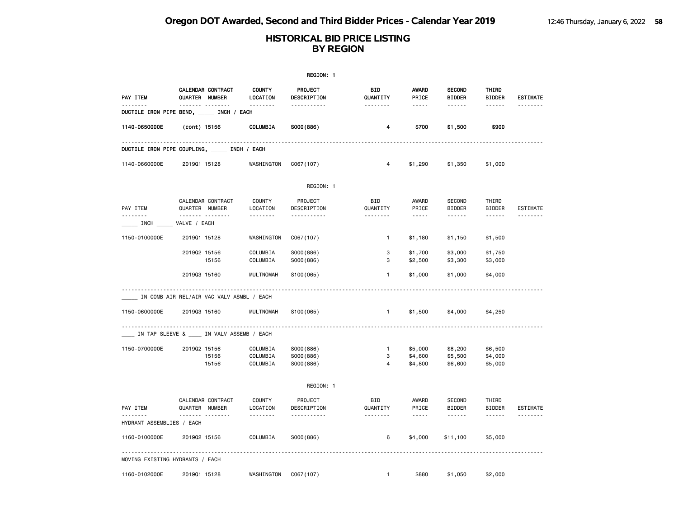|                           |                                                 |                                       | REGION: 1                           |                                     |                                |                                                                                                                                                                                                                                                                                                                                                                                                                                                                            |                               |                             |
|---------------------------|-------------------------------------------------|---------------------------------------|-------------------------------------|-------------------------------------|--------------------------------|----------------------------------------------------------------------------------------------------------------------------------------------------------------------------------------------------------------------------------------------------------------------------------------------------------------------------------------------------------------------------------------------------------------------------------------------------------------------------|-------------------------------|-----------------------------|
| PAY ITEM<br>.             | CALENDAR CONTRACT<br>QUARTER NUMBER<br><b>.</b> | <b>COUNTY</b><br>LOCATION<br>.        | PROJECT<br>DESCRIPTION              | <b>BID</b><br>QUANTITY              | <b>AWARD</b><br>PRICE<br>----- | <b>SECOND</b><br><b>BIDDER</b><br>------                                                                                                                                                                                                                                                                                                                                                                                                                                   | THIRD<br><b>BIDDER</b>        | <b>ESTIMATE</b><br><u>.</u> |
|                           | DUCTILE IRON PIPE BEND, _____ INCH / EACH       |                                       | .                                   | .                                   |                                |                                                                                                                                                                                                                                                                                                                                                                                                                                                                            | ------                        |                             |
| 1140-0650000E             | (cont) 15156                                    | COLUMBIA                              | S000(886)                           | 4                                   | \$700                          | \$1,500                                                                                                                                                                                                                                                                                                                                                                                                                                                                    | \$900                         |                             |
|                           | DUCTILE IRON PIPE COUPLING, _____ INCH / EACH   |                                       |                                     |                                     |                                |                                                                                                                                                                                                                                                                                                                                                                                                                                                                            |                               |                             |
| 1140-0660000E             | 201901 15128                                    | WASHINGTON                            | C067(107)                           | 4                                   | \$1,290                        | \$1,350                                                                                                                                                                                                                                                                                                                                                                                                                                                                    | \$1,000                       |                             |
|                           |                                                 |                                       | REGION: 1                           |                                     |                                |                                                                                                                                                                                                                                                                                                                                                                                                                                                                            |                               |                             |
| PAY ITEM<br>.             | CALENDAR CONTRACT<br>QUARTER NUMBER             | <b>COUNTY</b><br>LOCATION             | PROJECT<br>DESCRIPTION              | <b>BID</b><br>QUANTITY              | AWARD<br>PRICE                 | SECOND<br><b>BIDDER</b>                                                                                                                                                                                                                                                                                                                                                                                                                                                    | THIRD<br><b>BIDDER</b>        | <b>ESTIMATE</b>             |
|                           | .<br>INCH VALVE / EACH                          | <u>.</u>                              | .                                   | <u>.</u>                            | $- - - - -$                    | $\frac{1}{2} \left( \frac{1}{2} \right) \left( \frac{1}{2} \right) \left( \frac{1}{2} \right) \left( \frac{1}{2} \right) \left( \frac{1}{2} \right) \left( \frac{1}{2} \right) \left( \frac{1}{2} \right) \left( \frac{1}{2} \right) \left( \frac{1}{2} \right) \left( \frac{1}{2} \right) \left( \frac{1}{2} \right) \left( \frac{1}{2} \right) \left( \frac{1}{2} \right) \left( \frac{1}{2} \right) \left( \frac{1}{2} \right) \left( \frac{1}{2} \right) \left( \frac$ | ------                        |                             |
| 1150-0100000E             | 201901 15128                                    | WASHINGTON                            | C067(107)                           | $\mathbf{1}$                        | \$1,180                        | \$1,150                                                                                                                                                                                                                                                                                                                                                                                                                                                                    | \$1,500                       |                             |
|                           | 201902 15156<br>15156                           | COLUMBIA<br>COLUMBIA                  | S000(886)<br>S000(886)              | 3<br>3                              | \$1,700<br>\$2,500             | \$3,000<br>\$3,300                                                                                                                                                                                                                                                                                                                                                                                                                                                         | \$1,750<br>\$3,000            |                             |
|                           | 201903 15160                                    | <b>MULTNOMAH</b>                      | S100(065)                           | 1                                   | \$1,000                        | \$1,000                                                                                                                                                                                                                                                                                                                                                                                                                                                                    | \$4,000                       |                             |
|                           | IN COMB AIR REL/AIR VAC VALV ASMBL / EACH       |                                       |                                     |                                     |                                |                                                                                                                                                                                                                                                                                                                                                                                                                                                                            |                               |                             |
| 1150-0600000E             | 201903 15160                                    | <b>MULTNOMAH</b>                      | S100(065)                           | $\mathbf{1}$                        | \$1,500                        | \$4,000                                                                                                                                                                                                                                                                                                                                                                                                                                                                    | \$4,250                       |                             |
|                           | IN TAP SLEEVE & IN VALV ASSEMB / EACH           |                                       |                                     |                                     |                                |                                                                                                                                                                                                                                                                                                                                                                                                                                                                            |                               |                             |
| 1150-0700000E             | 201902 15156<br>15156<br>15156                  | COLUMBIA<br>COLUMBIA<br>COLUMBIA      | S000(886)<br>S000(886)<br>S000(886) | $\mathbf{1}$<br>3<br>$\overline{4}$ | \$5,000<br>\$4,600<br>\$4,800  | \$8,200<br>\$5,500<br>\$6,600                                                                                                                                                                                                                                                                                                                                                                                                                                              | \$6,500<br>\$4,000<br>\$5,000 |                             |
|                           |                                                 |                                       | REGION: 1                           |                                     |                                |                                                                                                                                                                                                                                                                                                                                                                                                                                                                            |                               |                             |
| PAY ITEM                  | CALENDAR CONTRACT<br>QUARTER NUMBER             | <b>COUNTY</b><br>LOCATION<br><u>.</u> | PROJECT<br>DESCRIPTION<br>.         | <b>BID</b><br>QUANTITY<br><u>.</u>  | AWARD<br>PRICE                 | <b>SECOND</b><br><b>BIDDER</b><br><u>.</u>                                                                                                                                                                                                                                                                                                                                                                                                                                 | THIRD<br><b>BIDDER</b>        | <b>ESTIMATE</b>             |
| HYDRANT ASSEMBLIES / EACH |                                                 |                                       |                                     |                                     | $- - - - -$                    |                                                                                                                                                                                                                                                                                                                                                                                                                                                                            |                               |                             |
| 1160-0100000E             | 201902 15156                                    | COLUMBIA                              | SO00(886)                           | 6                                   | \$4,000                        | \$11,100                                                                                                                                                                                                                                                                                                                                                                                                                                                                   | \$5,000                       |                             |
|                           | MOVING EXISTING HYDRANTS / EACH                 |                                       |                                     |                                     |                                |                                                                                                                                                                                                                                                                                                                                                                                                                                                                            |                               |                             |
| 1160-0102000E             | 201901 15128                                    | WASHINGTON                            | C067(107)                           | $\mathbf{1}$                        | \$880                          | \$1,050                                                                                                                                                                                                                                                                                                                                                                                                                                                                    | \$2,000                       |                             |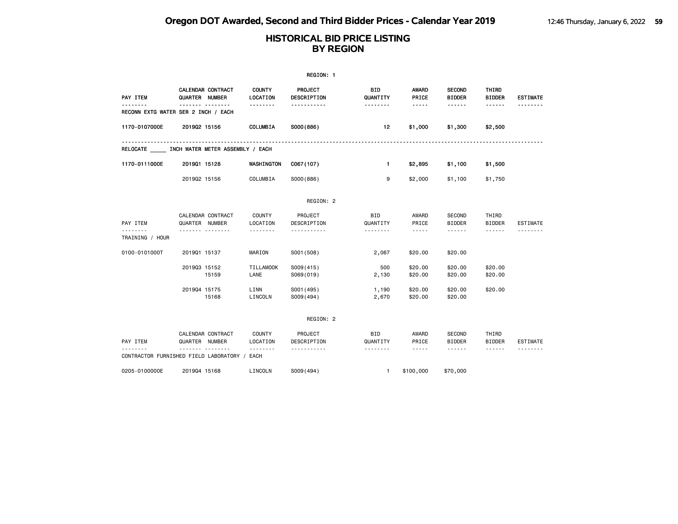|                 |                                              |                           | REGION: 1                     |                        |                                                                                                                                                      |                                |                                                                                                                                                                                                                                                                                                                                                                                                                                                                            |                 |
|-----------------|----------------------------------------------|---------------------------|-------------------------------|------------------------|------------------------------------------------------------------------------------------------------------------------------------------------------|--------------------------------|----------------------------------------------------------------------------------------------------------------------------------------------------------------------------------------------------------------------------------------------------------------------------------------------------------------------------------------------------------------------------------------------------------------------------------------------------------------------------|-----------------|
| PAY ITEM        | CALENDAR CONTRACT<br>QUARTER NUMBER          | <b>COUNTY</b><br>LOCATION | <b>PROJECT</b><br>DESCRIPTION | <b>BID</b><br>QUANTITY | <b>AWARD</b><br>PRICE                                                                                                                                | <b>SECOND</b><br><b>BIDDER</b> | <b>THIRD</b><br><b>BIDDER</b>                                                                                                                                                                                                                                                                                                                                                                                                                                              | <b>ESTIMATE</b> |
| .               | .<br>RECONN EXTG WATER SER 2 INCH / EACH     | --------                  | -----------                   | --------               | -----                                                                                                                                                | ------                         | ------                                                                                                                                                                                                                                                                                                                                                                                                                                                                     |                 |
| 1170-0107000E   | 201902 15156                                 | COLUMBIA                  | S000(886)                     | 12                     | \$1,000                                                                                                                                              | \$1,300                        | \$2,500                                                                                                                                                                                                                                                                                                                                                                                                                                                                    |                 |
|                 | RELOCATE INCH WATER METER ASSEMBLY / EACH    |                           |                               |                        |                                                                                                                                                      |                                |                                                                                                                                                                                                                                                                                                                                                                                                                                                                            |                 |
| 1170-0111000E   | 201901 15128                                 | WASHINGTON                | C067(107)                     | $\mathbf{1}$           | \$2,895                                                                                                                                              | \$1,100                        | \$1,500                                                                                                                                                                                                                                                                                                                                                                                                                                                                    |                 |
|                 | 201902 15156                                 | COLUMBIA                  | S000(886)                     | 9                      | \$2,000                                                                                                                                              | \$1,100                        | \$1,750                                                                                                                                                                                                                                                                                                                                                                                                                                                                    |                 |
|                 |                                              |                           | REGION: 2                     |                        |                                                                                                                                                      |                                |                                                                                                                                                                                                                                                                                                                                                                                                                                                                            |                 |
| PAY ITEM        | CALENDAR CONTRACT<br>QUARTER NUMBER          | <b>COUNTY</b><br>LOCATION | PROJECT<br>DESCRIPTION        | BID<br>QUANTITY        | AWARD<br>PRICE                                                                                                                                       | <b>SECOND</b><br><b>BIDDER</b> | THIRD<br><b>BIDDER</b>                                                                                                                                                                                                                                                                                                                                                                                                                                                     | <b>ESTIMATE</b> |
| TRAINING / HOUR | <u>.</u>                                     |                           |                               | .                      | -----                                                                                                                                                | ------                         | ------                                                                                                                                                                                                                                                                                                                                                                                                                                                                     |                 |
| 0100-0101000T   | 201901 15137                                 | MARION                    | S001 (508)                    | 2,067                  | \$20.00                                                                                                                                              | \$20.00                        |                                                                                                                                                                                                                                                                                                                                                                                                                                                                            |                 |
|                 | 201903 15152<br>15159                        | <b>TILLAMOOK</b><br>LANE  | S009(415)<br>S069(019)        | 500<br>2,130           | \$20.00<br>\$20.00                                                                                                                                   | \$20.00<br>\$20.00             | \$20.00<br>\$20.00                                                                                                                                                                                                                                                                                                                                                                                                                                                         |                 |
|                 | 201904 15175<br>15168                        | LINN<br>LINCOLN           | S001 (495)<br>S009(494)       | 1,190<br>2,670         | \$20.00<br>\$20.00                                                                                                                                   | \$20.00<br>\$20.00             | \$20.00                                                                                                                                                                                                                                                                                                                                                                                                                                                                    |                 |
|                 |                                              |                           | REGION: 2                     |                        |                                                                                                                                                      |                                |                                                                                                                                                                                                                                                                                                                                                                                                                                                                            |                 |
| PAY ITEM        | CALENDAR CONTRACT<br>QUARTER NUMBER          | <b>COUNTY</b><br>LOCATION | PROJECT<br>DESCRIPTION        | BID<br>QUANTITY        | AWARD<br>PRICE                                                                                                                                       | <b>SECOND</b><br><b>BIDDER</b> | THIRD<br><b>BIDDER</b>                                                                                                                                                                                                                                                                                                                                                                                                                                                     | <b>ESTIMATE</b> |
|                 | CONTRACTOR FURNISHED FIELD LABORATORY / EACH | <u>.</u>                  | <u>.</u>                      | .                      | $\frac{1}{2} \left( \frac{1}{2} \right) \left( \frac{1}{2} \right) \left( \frac{1}{2} \right) \left( \frac{1}{2} \right) \left( \frac{1}{2} \right)$ | ------                         | $\frac{1}{2} \left( \frac{1}{2} \right) \left( \frac{1}{2} \right) \left( \frac{1}{2} \right) \left( \frac{1}{2} \right) \left( \frac{1}{2} \right) \left( \frac{1}{2} \right) \left( \frac{1}{2} \right) \left( \frac{1}{2} \right) \left( \frac{1}{2} \right) \left( \frac{1}{2} \right) \left( \frac{1}{2} \right) \left( \frac{1}{2} \right) \left( \frac{1}{2} \right) \left( \frac{1}{2} \right) \left( \frac{1}{2} \right) \left( \frac{1}{2} \right) \left( \frac$ |                 |
| 0205-0100000E   | 201904 15168                                 | LINCOLN                   | S009(494)                     | $\mathbf{1}$           | \$100,000                                                                                                                                            | \$70,000                       |                                                                                                                                                                                                                                                                                                                                                                                                                                                                            |                 |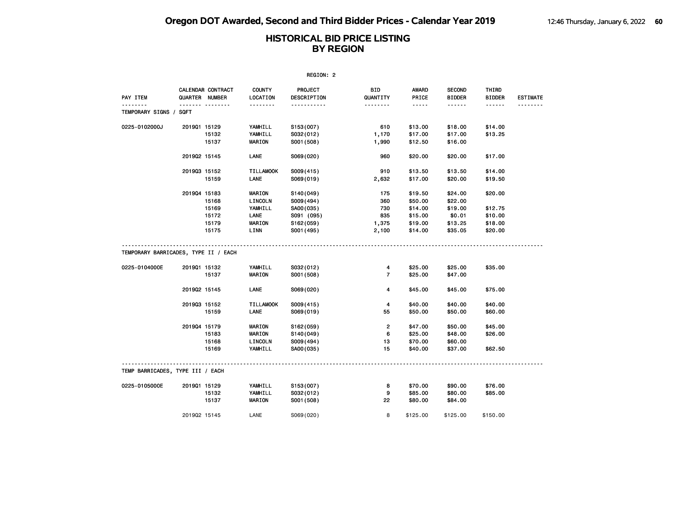|                                      |                |                   |                           | REGION: 2              |                        |                       |                                |                        |                 |
|--------------------------------------|----------------|-------------------|---------------------------|------------------------|------------------------|-----------------------|--------------------------------|------------------------|-----------------|
| <b>PAY ITEM</b>                      | QUARTER NUMBER | CALENDAR CONTRACT | <b>COUNTY</b><br>LOCATION | PROJECT<br>DESCRIPTION | <b>BID</b><br>QUANTITY | <b>AWARD</b><br>PRICE | <b>SECOND</b><br><b>BIDDER</b> | THIRD<br><b>BIDDER</b> | <b>ESTIMATE</b> |
| TEMPORARY SIGNS /                    | SQFT           | .                 | .                         | .                      | <u>.</u>               | .                     | ------                         | ------                 |                 |
| 0225-0102000J                        | 201901 15129   |                   | YAMHILL                   | S153(007)              | 610                    | \$13.00               | \$18.00                        | \$14.00                |                 |
|                                      |                | 15132             | YAMHILL                   | S032(012)              | 1,170                  | \$17.00               | \$17.00                        | \$13.25                |                 |
|                                      |                | 15137             | <b>MARION</b>             | S001 (508)             | 1,990                  | \$12.50               | \$16.00                        |                        |                 |
|                                      | 201902 15145   |                   | LANE                      | S069(020)              | 960                    | \$20.00               | \$20.00                        | \$17.00                |                 |
|                                      | 201903 15152   |                   | <b>TILLAMOOK</b>          | S009(415)              | 910                    | \$13.50               | \$13.50                        | \$14.00                |                 |
|                                      |                | 15159             | LANE                      | S069(019)              | 2,632                  | \$17.00               | \$20.00                        | \$19.50                |                 |
|                                      | 201904 15183   |                   | <b>MARION</b>             | S140(049)              | 175                    | \$19.50               | \$24.00                        | \$20.00                |                 |
|                                      |                | 15168             | LINCOLN                   | S009(494)              | 360                    | \$50.00               | \$22.00                        |                        |                 |
|                                      |                | 15169             | YAMHILL                   | SA00(035)              | 730                    | \$14.00               | \$19.00                        | \$12.75                |                 |
|                                      |                | 15172             | LANE                      | S091 (095)             | 835                    | \$15.00               | \$0.01                         | \$10.00                |                 |
|                                      |                | 15179             | <b>MARION</b>             | S162(059)              | 1,375                  | \$19.00               | \$13.25                        | \$18.00                |                 |
|                                      |                | 15175             | LINN                      | S001 (495)             | 2,100                  | \$14.00               | \$35.05                        | \$20.00                |                 |
| TEMPORARY BARRICADES, TYPE II / EACH |                |                   |                           |                        |                        |                       |                                |                        |                 |
| 0225-0104000E                        | 201901 15132   |                   | YAMHILL                   | S032(012)              | 4                      | \$25.00               | \$25.00                        | \$35.00                |                 |
|                                      |                | 15137             | <b>MARION</b>             | S001 (508)             | $\overline{7}$         | \$25.00               | \$47.00                        |                        |                 |
|                                      | 201902 15145   |                   | LANE                      | S069(020)              | 4                      | \$45.00               | \$45.00                        | \$75.00                |                 |
|                                      | 201903 15152   |                   | <b>TILLAMOOK</b>          | S009(415)              | 4                      | \$40.00               | \$40.00                        | \$40.00                |                 |
|                                      |                | 15159             | LANE                      | S069(019)              | 55                     | \$50.00               | \$50.00                        | \$60.00                |                 |
|                                      | 201904 15179   |                   | <b>MARION</b>             | S162(059)              | $\overline{2}$         | \$47.00               | \$50.00                        | \$45.00                |                 |
|                                      |                | 15183             | <b>MARION</b>             | S140(049)              | 6                      | \$25.00               | \$48.00                        | \$26.00                |                 |
|                                      |                | 15168             | LINCOLN                   | S009(494)              | 13                     | \$70.00               | \$60.00                        |                        |                 |
|                                      |                | 15169             | YAMHILL                   | SA00(035)              | 15                     | \$40.00               | \$37.00                        | \$62.50                |                 |
| TEMP BARRICADES, TYPE III / EACH     |                |                   |                           |                        |                        |                       |                                |                        |                 |
| 0225-0105000E                        | 201901 15129   |                   | YAMHILL                   | S153(007)              | 8                      | \$70.00               | \$90.00                        | \$76.00                |                 |
|                                      |                | 15132             | YAMHILL                   | S032(012)              | 9                      | \$85.00               | \$80.00                        | \$85.00                |                 |
|                                      |                | 15137             | <b>MARION</b>             | S001 (508)             | 22                     | \$80.00               | \$84.00                        |                        |                 |
|                                      | 201902 15145   |                   | LANE                      | S069(020)              | 8                      | \$125.00              | \$125.00                       | \$150.00               |                 |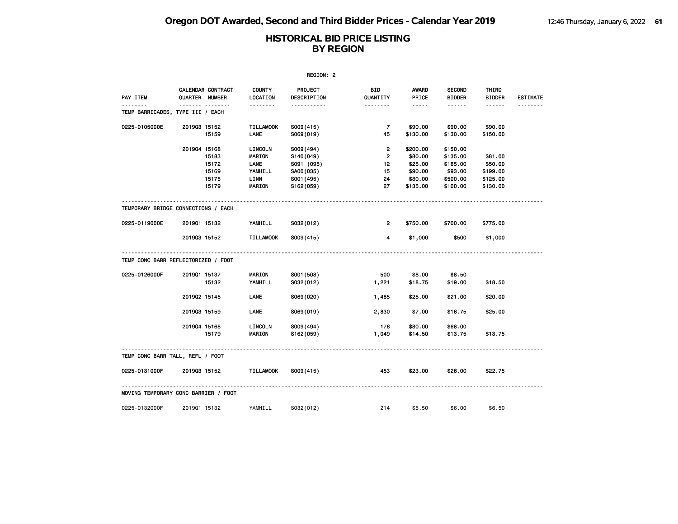|                                      | REGION: 2    |                                     |                       |                        |                       |                |                                |                        |                 |  |  |
|--------------------------------------|--------------|-------------------------------------|-----------------------|------------------------|-----------------------|----------------|--------------------------------|------------------------|-----------------|--|--|
| PAY ITEM                             |              | CALENDAR CONTRACT<br>QUARTER NUMBER | COUNTY<br>LOCATION    | PROJECT<br>DESCRIPTION | BID<br>QUANTITY       | AWARD<br>PRICE | <b>SECOND</b><br><b>BIDDER</b> | THIRD<br><b>BIDDER</b> | <b>ESTIMATE</b> |  |  |
| TEMP BARRICADES, TYPE III / EACH     |              | .                                   | <u> - - - - - - -</u> | .                      | <u> - - - - - - -</u> | -----          | ------                         | ------                 |                 |  |  |
| 0225-0105000E                        | 201903 15152 |                                     | <b>TILLAMOOK</b>      | S009(415)              | $\overline{7}$        | \$90.00        | \$90.00                        | \$90.00                |                 |  |  |
|                                      |              | 15159                               | LANE                  | S069(019)              | 45                    | \$130.00       | \$130.00                       | \$150.00               |                 |  |  |
|                                      | 201904 15168 |                                     | LINCOLN               | S009(494)              | $\overline{2}$        | \$200.00       | \$150.00                       |                        |                 |  |  |
|                                      |              | 15183                               | <b>MARION</b>         | S140(049)              | $\overline{2}$        | \$80.00        | \$135.00                       | \$81.00                |                 |  |  |
|                                      |              | 15172                               | <b>LANE</b>           | S091 (095)             | 12                    | \$25.00        | \$185.00                       | \$50.00                |                 |  |  |
|                                      |              | 15169                               | YAMHILL               | SA00(035)              | 15                    | \$90.00        | \$93.00                        | \$199.00               |                 |  |  |
|                                      |              | 15175                               | LINN                  | S001 (495)             | 24                    | \$80.00        | \$500.00                       | \$125.00               |                 |  |  |
|                                      |              | 15179                               | <b>MARION</b>         | S162(059)              | 27                    | \$135.00       | \$100.00                       | \$130.00               |                 |  |  |
| TEMPORARY BRIDGE CONNECTIONS / EACH  |              |                                     |                       |                        |                       |                |                                |                        |                 |  |  |
| 0225-0119000E                        | 201901 15132 |                                     | YAMHILL               | S032(012)              | $\overline{2}$        | \$750.00       | \$700.00                       | \$775.00               |                 |  |  |
|                                      | 201903 15152 |                                     | <b>TILLAMOOK</b>      | S009(415)              | $\overline{4}$        | \$1,000        | \$500                          | \$1,000                |                 |  |  |
| TEMP CONC BARR REFLECTORIZED / FOOT  |              |                                     |                       |                        |                       |                |                                |                        |                 |  |  |
| 0225-0126000F                        | 201901 15137 |                                     | <b>MARION</b>         | S001 (508)             | 500                   | \$8.00         | \$8.50                         |                        |                 |  |  |
|                                      |              | 15132                               | YAMHILL               | S032(012)              | 1,221                 | \$18.75        | \$19.00                        | \$18.50                |                 |  |  |
|                                      | 201902 15145 |                                     | LANE                  | S069(020)              | 1,485                 | \$25.00        | \$21.00                        | \$20.00                |                 |  |  |
|                                      | 201903 15159 |                                     | LANE                  | S069(019)              | 2,830                 | \$7.00         | \$16.75                        | \$25.00                |                 |  |  |
|                                      | 201904 15168 |                                     | LINCOLN               | S009(494)              | 176                   | \$80.00        | \$68.00                        |                        |                 |  |  |
|                                      |              | 15179                               | <b>MARION</b>         | S162(059)              | 1,049                 | \$14.50        | \$13.75                        | \$13.75                |                 |  |  |
| TEMP CONC BARR TALL, REFL / FOOT     |              |                                     |                       |                        |                       |                |                                |                        |                 |  |  |
| 0225-0131000F                        | 201903 15152 |                                     | <b>TILLAMOOK</b>      | S009(415)              | 453                   | \$23.00        | \$26.00                        | \$22.75                |                 |  |  |
| MOVING TEMPORARY CONC BARRIER / FOOT |              |                                     |                       |                        |                       |                |                                |                        |                 |  |  |
| 0225-0132000F                        | 201901 15132 |                                     | YAMHILL               | S032(012)              | 214                   | \$5.50         | \$6.00                         | \$6.50                 |                 |  |  |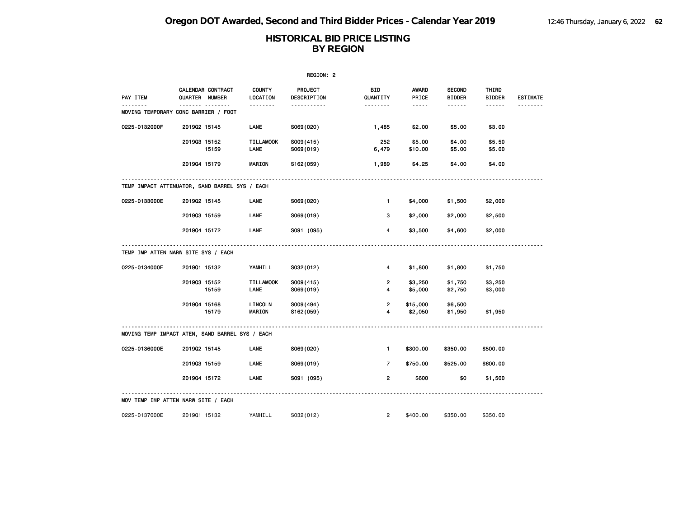|                                                 | REGION: 2    |                                     |                           |                        |                 |                     |                                |                        |                 |  |  |
|-------------------------------------------------|--------------|-------------------------------------|---------------------------|------------------------|-----------------|---------------------|--------------------------------|------------------------|-----------------|--|--|
| PAY ITEM                                        |              | CALENDAR CONTRACT<br>QUARTER NUMBER | <b>COUNTY</b><br>LOCATION | PROJECT<br>DESCRIPTION | BID<br>QUANTITY | AWARD<br>PRICE      | <b>SECOND</b><br><b>BIDDER</b> | THIRD<br><b>BIDDER</b> | <b>ESTIMATE</b> |  |  |
| MOVING TEMPORARY CONC BARRIER / FOOT            |              |                                     | .                         | -----------            | .               | $- - - - -$         | ------                         | ------                 | <u>.</u>        |  |  |
| 0225-0132000F                                   | 201902 15145 |                                     | LANE                      | S069(020)              | 1,485           | \$2.00              | \$5.00                         | \$3.00                 |                 |  |  |
|                                                 | 201903 15152 | 15159                               | <b>TILLAMOOK</b><br>LANE  | S009(415)<br>S069(019) | 252<br>6,479    | \$5.00<br>\$10.00   | \$4.00<br>\$5.00               | \$5.50<br>\$5.00       |                 |  |  |
|                                                 | 201904 15179 |                                     | <b>MARION</b>             | S162(059)              | 1,989           | \$4.25              | \$4.00                         | \$4.00                 |                 |  |  |
| TEMP IMPACT ATTENUATOR, SAND BARREL SYS / EACH  |              |                                     |                           |                        |                 |                     |                                |                        |                 |  |  |
| 0225-0133000E                                   | 201902 15145 |                                     | LANE                      | S069(020)              | $\mathbf{1}$    | \$4,000             | \$1,500                        | \$2,000                |                 |  |  |
|                                                 | 201903 15159 |                                     | LANE                      | S069(019)              | 3               | \$2,000             | \$2,000                        | \$2,500                |                 |  |  |
|                                                 | 201904 15172 |                                     | LANE                      | S091 (095)             | 4               | \$3,500             | \$4,600                        | \$2,000                |                 |  |  |
| TEMP IMP ATTEN NARW SITE SYS / EACH             |              |                                     |                           |                        |                 |                     |                                |                        |                 |  |  |
| 0225-0134000E                                   | 201901 15132 |                                     | YAMHILL                   | S032(012)              | 4               | \$1,800             | \$1,800                        | \$1,750                |                 |  |  |
|                                                 | 201903 15152 | 15159                               | <b>TILLAMOOK</b><br>LANE  | S009(415)<br>S069(019) | 2<br>4          | \$3,250<br>\$5,000  | \$1,750<br>\$2,750             | \$3,250<br>\$3,000     |                 |  |  |
|                                                 | 201904 15168 | 15179                               | LINCOLN<br><b>MARION</b>  | S009(494)<br>S162(059) | 2<br>4          | \$15,000<br>\$2,050 | \$6,500<br>\$1,950             | \$1,950                |                 |  |  |
| MOVING TEMP IMPACT ATEN, SAND BARREL SYS / EACH |              |                                     |                           |                        |                 |                     |                                |                        |                 |  |  |
| 0225-0136000E                                   | 201902 15145 |                                     | <b>LANE</b>               | S069(020)              | $\mathbf{1}$    | \$300.00            | \$350.00                       | \$500.00               |                 |  |  |
|                                                 | 201903 15159 |                                     | LANE                      | S069(019)              | $\overline{7}$  | \$750.00            | \$525.00                       | \$600.00               |                 |  |  |
|                                                 | 201904 15172 |                                     | LANE                      | S091 (095)             | $\overline{2}$  | \$600               | \$0                            | \$1,500                |                 |  |  |
| MOV TEMP IMP ATTEN NARW SITE / EACH             |              |                                     |                           |                        |                 |                     |                                |                        |                 |  |  |
| 0225-0137000E                                   | 201901 15132 |                                     | YAMHILL                   | S032(012)              | $\overline{2}$  | \$400.00            | \$350.00                       | \$350.00               |                 |  |  |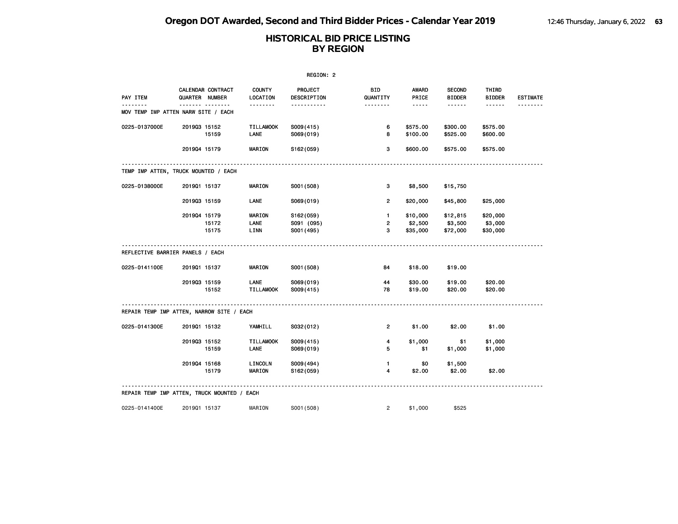| REGION: 2                                   |              |                                     |                           |                        |                        |                                                                                                                           |                                |                        |                 |  |
|---------------------------------------------|--------------|-------------------------------------|---------------------------|------------------------|------------------------|---------------------------------------------------------------------------------------------------------------------------|--------------------------------|------------------------|-----------------|--|
| PAY ITEM                                    |              | CALENDAR CONTRACT<br>QUARTER NUMBER | <b>COUNTY</b><br>LOCATION | PROJECT<br>DESCRIPTION | <b>BID</b><br>QUANTITY | AWARD<br>PRICE                                                                                                            | <b>SECOND</b><br><b>BIDDER</b> | THIRD<br><b>BIDDER</b> | <b>ESTIMATE</b> |  |
| MOV TEMP IMP ATTEN NARW SITE / EACH         |              |                                     | .                         | .                      | .                      | $\frac{1}{2} \left( \frac{1}{2} \right) \left( \frac{1}{2} \right) \left( \frac{1}{2} \right) \left( \frac{1}{2} \right)$ | $- - - - - -$                  |                        | --------        |  |
| 0225-0137000E                               | 201903 15152 |                                     | <b>TILLAMOOK</b>          | S009(415)              | 6                      | \$575.00                                                                                                                  | \$300.00                       | \$575.00               |                 |  |
|                                             |              | 15159                               | LANE                      | S069(019)              | 8                      | \$100.00                                                                                                                  | \$525.00                       | \$600.00               |                 |  |
|                                             | 201904 15179 |                                     | <b>MARION</b>             | S162(059)              | 3                      | \$600.00                                                                                                                  | \$575.00                       | \$575.00               |                 |  |
| TEMP IMP ATTEN, TRUCK MOUNTED / EACH        |              |                                     |                           |                        |                        |                                                                                                                           |                                |                        |                 |  |
| 0225-0138000E                               | 201901 15137 |                                     | <b>MARION</b>             | S001 (508)             | 3                      | \$8,500                                                                                                                   | \$15,750                       |                        |                 |  |
|                                             | 201903 15159 |                                     | <b>LANE</b>               | S069(019)              | $\overline{2}$         | \$20,000                                                                                                                  | \$45,800                       | \$25,000               |                 |  |
|                                             | 201904 15179 |                                     | MARION                    | S162(059)              | $\mathbf{1}$           | \$10,000                                                                                                                  | \$12,815                       | \$20,000               |                 |  |
|                                             |              | 15172                               | LANE                      | S091 (095)             | $\overline{2}$         | \$2,500                                                                                                                   | \$3,500                        | \$3,000                |                 |  |
|                                             |              | 15175                               | LINN                      | S001 (495)             | 3                      | \$35,000                                                                                                                  | \$72,000                       | \$30,000               |                 |  |
| REFLECTIVE BARRIER PANELS / EACH            |              |                                     |                           |                        |                        |                                                                                                                           |                                |                        |                 |  |
| 0225-0141100E                               | 201901 15137 |                                     | MARION                    | S001 (508)             | 84                     | \$18.00                                                                                                                   | \$19.00                        |                        |                 |  |
|                                             | 201903 15159 |                                     | LANE                      | S069(019)              | 44                     | \$30.00                                                                                                                   | \$19.00                        | \$20.00                |                 |  |
|                                             |              | 15152                               | <b>TILLAMOOK</b>          | S009(415)              | 78                     | \$19.00                                                                                                                   | \$20.00                        | \$20.00                |                 |  |
| REPAIR TEMP IMP ATTEN, NARROW SITE / EACH   |              |                                     |                           |                        |                        |                                                                                                                           |                                |                        |                 |  |
| 0225-0141300E                               | 201901 15132 |                                     | YAMHILL                   | S032(012)              | $\overline{2}$         | \$1.00                                                                                                                    | \$2.00                         | \$1.00                 |                 |  |
|                                             | 201903 15152 |                                     | <b>TILLAMOOK</b>          | S009(415)              | 4                      | \$1,000                                                                                                                   | \$1                            | \$1,000                |                 |  |
|                                             |              | 15159                               | LANE                      | S069(019)              | 5                      | \$1                                                                                                                       | \$1,000                        | \$1,000                |                 |  |
|                                             | 201904 15168 |                                     | LINCOLN                   | S009(494)              | $\blacksquare$         | \$0                                                                                                                       | \$1,500                        |                        |                 |  |
|                                             |              | 15179                               | <b>MARION</b>             | S162(059)              | 4                      | \$2.00                                                                                                                    | \$2.00                         | \$2.00                 |                 |  |
| REPAIR TEMP IMP ATTEN, TRUCK MOUNTED / EACH |              |                                     |                           |                        |                        |                                                                                                                           |                                |                        |                 |  |
| 0225-0141400E                               | 201901 15137 |                                     | MARION                    | S001 (508)             | $\overline{2}$         | \$1,000                                                                                                                   | \$525                          |                        |                 |  |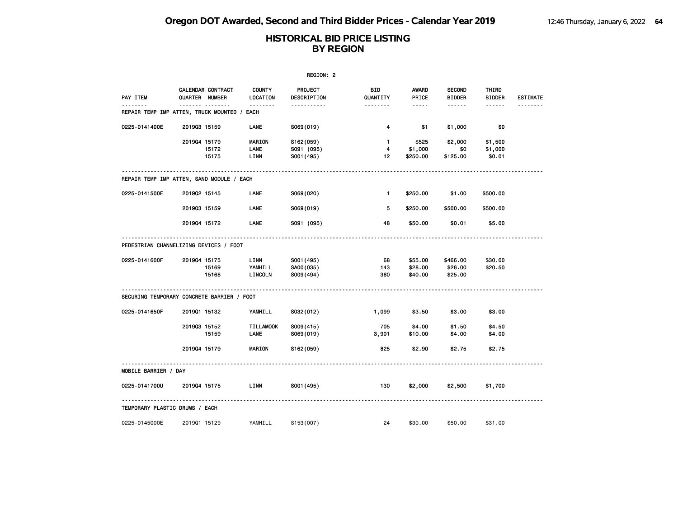| REGION: 2                                                            |              |                                     |                                  |                                       |                         |                               |                                |                              |                 |  |
|----------------------------------------------------------------------|--------------|-------------------------------------|----------------------------------|---------------------------------------|-------------------------|-------------------------------|--------------------------------|------------------------------|-----------------|--|
| PAY ITEM                                                             |              | CALENDAR CONTRACT<br>QUARTER NUMBER | <b>COUNTY</b><br><b>LOCATION</b> | PROJECT<br>DESCRIPTION                | BID.<br>QUANTITY        | AWARD<br>PRICE                | <b>SECOND</b><br><b>BIDDER</b> | THIRD<br><b>BIDDER</b>       | <b>ESTIMATE</b> |  |
| <u> - - - - - - -</u><br>REPAIR TEMP IMP ATTEN, TRUCK MOUNTED / EACH |              |                                     | <u>.</u>                         | .                                     | <u>.</u>                | $- - - - -$                   | ------                         | ------                       |                 |  |
| 0225-0141400E                                                        | 201903 15159 |                                     | LANE                             | S069(019)                             | 4                       | \$1                           | \$1,000                        | \$0                          |                 |  |
|                                                                      | 201904 15179 | 15172<br>15175                      | <b>MARION</b><br>LANE<br>LINN    | S162(059)<br>S091 (095)<br>S001 (495) | $\mathbf{1}$<br>4<br>12 | \$525<br>\$1,000<br>\$250.00  | \$2,000<br>\$0<br>\$125.00     | \$1,500<br>\$1,000<br>\$0.01 |                 |  |
| REPAIR TEMP IMP ATTEN, SAND MODULE / EACH                            |              |                                     |                                  |                                       |                         |                               |                                |                              |                 |  |
| 0225-0141500E                                                        | 201902 15145 |                                     | <b>LANE</b>                      | S069(020)                             | $\mathbf{1}$            | \$250.00                      | \$1.00                         | \$500.00                     |                 |  |
|                                                                      | 201903 15159 |                                     | LANE                             | S069(019)                             | 5                       | \$250.00                      | \$500.00                       | \$500.00                     |                 |  |
|                                                                      | 201904 15172 |                                     | <b>LANE</b>                      | S091 (095)                            | 48                      | \$50.00                       | \$0.01                         | \$5.00                       |                 |  |
| PEDESTRIAN CHANNELIZING DEVICES / FOOT                               |              |                                     |                                  |                                       |                         |                               |                                |                              |                 |  |
| 0225-0141600F                                                        | 201904 15175 | 15169<br>15168                      | LINN<br>YAMHILL<br>LINCOLN       | S001 (495)<br>SA00(035)<br>S009(494)  | 68<br>143<br>360        | \$55.00<br>\$28.00<br>\$40.00 | \$466.00<br>\$26.00<br>\$25.00 | \$30.00<br>\$20.50           |                 |  |
| SECURING TEMPORARY CONCRETE BARRIER / FOOT                           |              |                                     |                                  |                                       |                         |                               |                                |                              |                 |  |
| 0225-0141650F                                                        | 201901 15132 |                                     | YAMHILL                          | S032(012)                             | 1,099                   | \$3.50                        | \$3.00                         | \$3.00                       |                 |  |
|                                                                      | 201903 15152 | 15159                               | <b>TILLAMOOK</b><br><b>LANE</b>  | S009(415)<br>S069(019)                | 705<br>3,901            | \$4.00<br>\$10.00             | \$1.50<br>\$4.00               | \$4.50<br>\$4.00             |                 |  |
|                                                                      | 201904 15179 |                                     | <b>MARION</b>                    | S <sub>162</sub> (059)                | 825                     | \$2.90                        | \$2.75                         | \$2.75                       |                 |  |
| MOBILE BARRIER / DAY                                                 |              |                                     |                                  |                                       |                         |                               |                                |                              |                 |  |
| 0225-0141700U                                                        | 201904 15175 |                                     | LINN                             | S001 (495)                            | 130                     | \$2,000                       | \$2,500                        | \$1,700                      |                 |  |
| TEMPORARY PLASTIC DRUMS / EACH                                       |              |                                     |                                  |                                       |                         |                               |                                |                              |                 |  |
| 0225-0145000E                                                        | 201901 15129 |                                     | YAMHILL                          | S153(007)                             | 24                      | \$30.00                       | \$50.00                        | \$31.00                      |                 |  |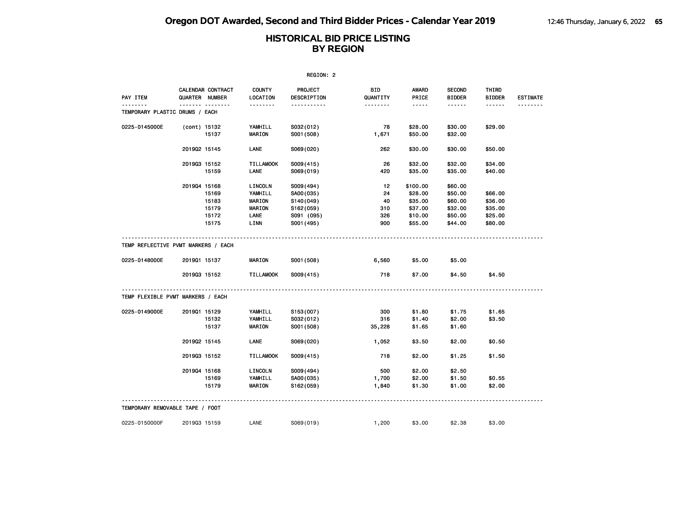| REGION: 2                                            |              |                                     |                           |                         |                 |                       |                                |                        |                 |  |
|------------------------------------------------------|--------------|-------------------------------------|---------------------------|-------------------------|-----------------|-----------------------|--------------------------------|------------------------|-----------------|--|
| PAY ITEM                                             |              | CALENDAR CONTRACT<br>QUARTER NUMBER | <b>COUNTY</b><br>LOCATION | PROJECT<br>DESCRIPTION  | BID<br>QUANTITY | <b>AWARD</b><br>PRICE | <b>SECOND</b><br><b>BIDDER</b> | THIRD<br><b>BIDDER</b> | <b>ESTIMATE</b> |  |
| TEMPORARY PLASTIC DRUMS / EACH                       |              |                                     | .                         | -----------             | <u>.</u>        | $- - - - -$           | ------                         |                        |                 |  |
| 0225-0145000E                                        | (cont) 15132 |                                     | YAMHILL                   |                         | 78              | \$28.00               | \$30.00                        | \$29.00                |                 |  |
|                                                      |              | 15137                               | <b>MARION</b>             | S032(012)<br>S001 (508) | 1,671           | \$50.00               | \$32.00                        |                        |                 |  |
|                                                      | 201902 15145 |                                     | LANE                      | S069(020)               | 262             | \$30.00               | \$30.00                        | \$50.00                |                 |  |
|                                                      | 201903 15152 |                                     | <b>TILLAMOOK</b>          | S009(415)               | 26              | \$32.00               | \$32.00                        | \$34.00                |                 |  |
|                                                      |              | 15159                               | LANE                      | S069(019)               | 420             | \$35.00               | \$35.00                        | \$40.00                |                 |  |
|                                                      | 201904 15168 |                                     | LINCOLN                   | S009(494)               | 12              | \$100.00              | \$60.00                        |                        |                 |  |
|                                                      |              | 15169                               | YAMHILL                   | SA00(035)               | 24              | \$28.00               | \$50.00                        | \$66.00                |                 |  |
|                                                      |              | 15183                               | <b>MARION</b>             | S140(049)               | 40              | \$35.00               | \$60.00                        | \$36.00                |                 |  |
|                                                      |              | 15179                               | <b>MARION</b>             | S162(059)               | 310             | \$37.00               | \$32.00                        | \$35.00                |                 |  |
|                                                      |              | 15172                               | LANE                      | S091 (095)              | 326             | \$10.00               | \$50.00                        | \$25.00                |                 |  |
|                                                      |              | 15175                               | LINN                      | S001 (495)              | 900             | \$55.00               | \$44.00                        | \$80.00                |                 |  |
| TEMP REFLECTIVE PVMT MARKERS / EACH<br>0225-0148000E | 201901 15137 |                                     | MARION                    | S001 (508)              | 6,560           | \$5.00                | \$5.00                         |                        |                 |  |
|                                                      | 201903 15152 |                                     | <b>TILLAMOOK</b>          | S009(415)               | 718             | \$7.00                | \$4.50                         | \$4.50                 |                 |  |
| TEMP FLEXIBLE PVMT MARKERS / EACH                    |              |                                     |                           |                         |                 |                       |                                |                        |                 |  |
| 0225-0149000E                                        | 201901 15129 |                                     | YAMHILL                   | S153(007)               | 300             | \$1.80                | \$1.75                         | \$1.65                 |                 |  |
|                                                      |              | 15132                               | YAMHILL                   | S032(012)               | 316             | \$1.40                | \$2.00                         | \$3.50                 |                 |  |
|                                                      |              | 15137                               | <b>MARION</b>             | S001 (508)              | 35,228          | \$1.65                | \$1.60                         |                        |                 |  |
|                                                      | 201902 15145 |                                     | <b>LANE</b>               | S069(020)               | 1,052           | \$3.50                | \$2.00                         | \$0.50                 |                 |  |
|                                                      | 201903 15152 |                                     | <b>TILLAMOOK</b>          | S009(415)               | 718             | \$2.00                | \$1.25                         | \$1.50                 |                 |  |
|                                                      | 201904 15168 |                                     | LINCOLN                   | S009(494)               | 500             | \$2.00                | \$2.50                         |                        |                 |  |
|                                                      |              | 15169                               | YAMHILL                   | SA00(035)               | 1,700           | \$2.00                | \$1.50                         | \$0.55                 |                 |  |
|                                                      |              | 15179                               | <b>MARION</b>             | S162(059)               | 1,840           | \$1.30                | \$1.00                         | \$2.00                 |                 |  |
| TEMPORARY REMOVABLE TAPE / FOOT                      |              |                                     |                           |                         |                 |                       |                                |                        |                 |  |
| 0225-0150000F                                        | 201903 15159 |                                     | LANE                      | S069(019)               | 1,200           | \$3.00                | \$2.38                         | \$3.00                 |                 |  |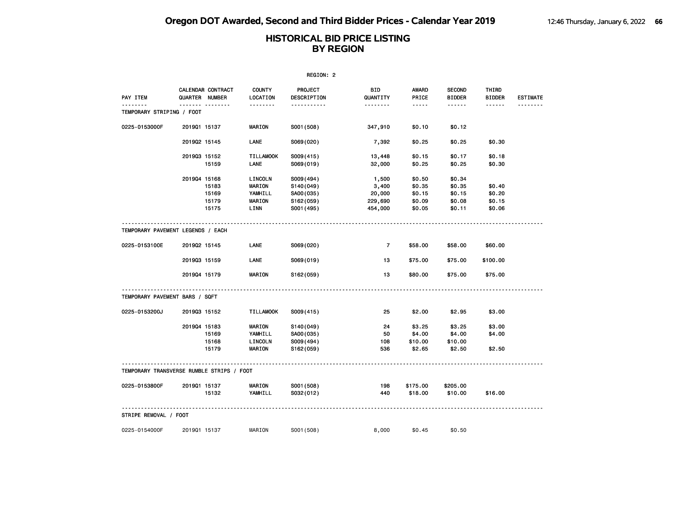|                                           | REGION: 2      |                   |                          |                        |                  |                  |                                |                        |                 |  |  |
|-------------------------------------------|----------------|-------------------|--------------------------|------------------------|------------------|------------------|--------------------------------|------------------------|-----------------|--|--|
| PAY ITEM                                  | QUARTER NUMBER | CALENDAR CONTRACT | COUNTY<br>LOCATION       | PROJECT<br>DESCRIPTION | BID<br>QUANTITY  | AWARD<br>PRICE   | <b>SECOND</b><br><b>BIDDER</b> | THIRD<br><b>BIDDER</b> | <b>ESTIMATE</b> |  |  |
| TEMPORARY STRIPING / FOOT                 |                | <b></b>           | <u>.</u>                 | <u></u>                |                  | $- - - - -$      | ------                         | ------                 |                 |  |  |
| 0225-0153000F                             | 201901 15137   |                   | <b>MARION</b>            | S001 (508)             | 347,910          | \$0.10           | \$0.12                         |                        |                 |  |  |
|                                           | 201902 15145   |                   | LANE                     | S069(020)              | 7,392            | \$0.25           | \$0.25                         | \$0.30                 |                 |  |  |
|                                           | 201903 15152   | 15159             | <b>TILLAMOOK</b><br>LANE | S009(415)<br>S069(019) | 13,448<br>32,000 | \$0.15<br>\$0.25 | \$0.17<br>\$0.25               | \$0.18<br>\$0.30       |                 |  |  |
|                                           |                |                   |                          |                        |                  |                  |                                |                        |                 |  |  |
|                                           | 201904 15168   |                   | LINCOLN                  | S009 (494)             | 1,500            | \$0.50           | \$0.34                         |                        |                 |  |  |
|                                           |                | 15183             | MARION                   | S140(049)              | 3,400            | \$0.35           | \$0.35                         | \$0.40                 |                 |  |  |
|                                           |                | 15169             | YAMHILL                  | SA00(035)              | 20,000           | \$0.15           | \$0.15                         | \$0.20                 |                 |  |  |
|                                           |                | 15179             | <b>MARION</b>            | S162(059)              | 229,690          | \$0.09           | \$0.08                         | \$0.15                 |                 |  |  |
|                                           |                | 15175             | LINN                     | S001 (495)             | 454,000          | \$0.05           | \$0.11                         | \$0.06                 |                 |  |  |
| TEMPORARY PAVEMENT LEGENDS / EACH         |                |                   |                          |                        |                  |                  |                                |                        |                 |  |  |
| 0225-0153100E                             | 201902 15145   |                   | <b>LANE</b>              | S069(020)              | $\overline{7}$   | \$58.00          | \$58.00                        | \$60.00                |                 |  |  |
|                                           | 201903 15159   |                   | <b>LANE</b>              | S069(019)              | 13               | \$75.00          | \$75.00                        | \$100.00               |                 |  |  |
|                                           | 201904 15179   |                   | <b>MARION</b>            | S162(059)              | 13               | \$80.00          | \$75.00                        | \$75.00                |                 |  |  |
| TEMPORARY PAVEMENT BARS / SQFT            |                |                   |                          |                        |                  |                  |                                |                        |                 |  |  |
| 0225-0153200J                             | 201903 15152   |                   | <b>TILLAMOOK</b>         | S009(415)              | 25               | \$2.00           | \$2.95                         | \$3.00                 |                 |  |  |
|                                           | 201904 15183   |                   | <b>MARION</b>            | S140(049)              | 24               | \$3.25           | \$3.25                         | \$3.00                 |                 |  |  |
|                                           |                | 15169             | YAMHILL                  | SA00(035)              | 50               | \$4.00           | \$4.00                         | \$4.00                 |                 |  |  |
|                                           |                | 15168             | LINCOLN                  | S009(494)              | 108              | \$10.00          | \$10.00                        |                        |                 |  |  |
|                                           |                | 15179             | <b>MARION</b>            | S162(059)              | 536              | \$2.65           | \$2.50                         | \$2.50                 |                 |  |  |
| TEMPORARY TRANSVERSE RUMBLE STRIPS / FOOT |                |                   |                          |                        |                  |                  |                                |                        |                 |  |  |
| 0225-0153800F                             | 201901 15137   |                   | <b>MARION</b>            | S001 (508)             | 198              | \$175.00         | \$205.00                       |                        |                 |  |  |
|                                           |                | 15132             | YAMHILL                  | S032(012)              | 440              | \$18.00          | \$10.00                        | \$16.00                |                 |  |  |
| STRIPE REMOVAL / FOOT                     |                |                   |                          |                        |                  |                  |                                |                        |                 |  |  |
|                                           |                |                   |                          |                        |                  |                  |                                |                        |                 |  |  |
| 0225-0154000F                             | 201901 15137   |                   | MARION                   | S001 (508)             | 8,000            | \$0.45           | \$0.50                         |                        |                 |  |  |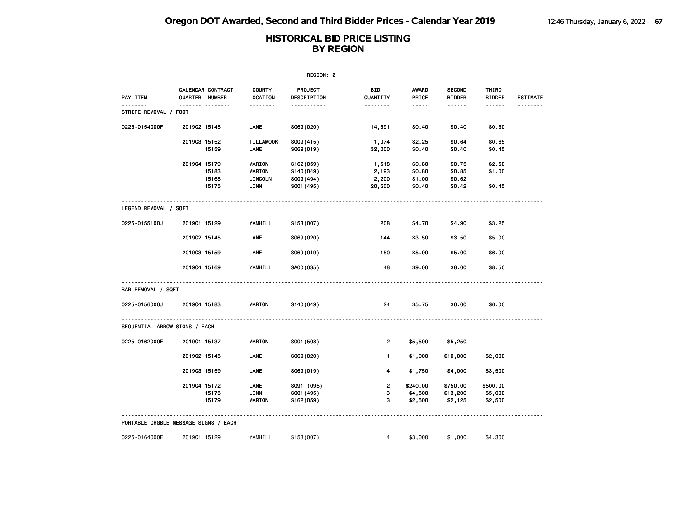| REGION: 2                            |                |                         |                                     |                                                   |                                   |                                      |                                      |                                |                 |  |
|--------------------------------------|----------------|-------------------------|-------------------------------------|---------------------------------------------------|-----------------------------------|--------------------------------------|--------------------------------------|--------------------------------|-----------------|--|
| PAY ITEM                             | QUARTER NUMBER | CALENDAR CONTRACT       | <b>COUNTY</b><br>LOCATION           | PROJECT<br>DESCRIPTION                            | <b>BID</b><br>QUANTITY            | AWARD<br>PRICE                       | <b>SECOND</b><br><b>BIDDER</b>       | THIRD<br><b>BIDDER</b>         | <b>ESTIMATE</b> |  |
| <u>.</u><br>STRIPE REMOVAL / FOOT    |                |                         | <u>.</u>                            | <u>.</u>                                          | <u>.</u>                          | $- - - - -$                          |                                      | $- - - - - -$                  | <u>.</u>        |  |
| 0225-0154000F                        | 201902 15145   |                         | LANE                                | S069(020)                                         | 14,591                            | \$0.40                               | \$0.40                               | \$0.50                         |                 |  |
|                                      | 201903 15152   | 15159                   | <b>TILLAMOOK</b><br><b>LANE</b>     | S009(415)<br>S069(019)                            | 1,074<br>32,000                   | \$2.25<br>\$0.40                     | \$0.64<br>\$0.40                     | \$0.65<br>\$0.45               |                 |  |
|                                      | 201904 15179   | 15183<br>15168<br>15175 | MARION<br>MARION<br>LINCOLN<br>LINN | S162(059)<br>S140(049)<br>S009(494)<br>S001 (495) | 1,518<br>2,193<br>2,200<br>20,600 | \$0.80<br>\$0.80<br>\$1.00<br>\$0.40 | \$0.75<br>\$0.85<br>\$0.62<br>\$0.42 | \$2.50<br>\$1.00<br>\$0.45     |                 |  |
|                                      |                |                         |                                     |                                                   |                                   |                                      |                                      |                                |                 |  |
| LEGEND REMOVAL / SQFT                |                |                         |                                     |                                                   |                                   |                                      |                                      |                                |                 |  |
| 0225-0155100J                        | 201901 15129   |                         | YAMHILL                             | S153(007)                                         | 208                               | \$4.70                               | \$4.90                               | \$3.25                         |                 |  |
|                                      | 201902 15145   |                         | LANE                                | S069(020)                                         | 144                               | \$3.50                               | \$3.50                               | \$5.00                         |                 |  |
|                                      | 201903 15159   |                         | <b>LANE</b>                         | S069(019)                                         | 150                               | \$5.00                               | \$5.00                               | \$6.00                         |                 |  |
|                                      | 201904 15169   |                         | YAMHILL                             | SA00(035)                                         | 48                                | \$9.00                               | \$8.00                               | \$8.50                         |                 |  |
| BAR REMOVAL / SQFT                   |                |                         |                                     |                                                   |                                   |                                      |                                      |                                |                 |  |
| 0225-0156000J                        | 201904 15183   |                         | <b>MARION</b>                       | S140(049)                                         | 24                                | \$5.75                               | \$6.00                               | \$6.00                         |                 |  |
| SEQUENTIAL ARROW SIGNS / EACH        |                |                         |                                     |                                                   |                                   |                                      |                                      |                                |                 |  |
| 0225-0162000E                        | 201901 15137   |                         | <b>MARION</b>                       | S001 (508)                                        | $\overline{2}$                    | \$5,500                              | \$5,250                              |                                |                 |  |
|                                      | 201902 15145   |                         | LANE                                | S069(020)                                         | $\blacksquare$                    | \$1,000                              | \$10,000                             | \$2,000                        |                 |  |
|                                      | 201903 15159   |                         | LANE                                | S069(019)                                         | 4                                 | \$1,750                              | \$4,000                              | \$3,500                        |                 |  |
|                                      | 201904 15172   | 15175<br>15179          | LANE<br>LINN<br>MARION              | S091 (095)<br>S001 (495)<br>S162(059)             | $\overline{2}$<br>з<br>3          | \$240.00<br>\$4,500<br>\$2,500       | \$750.00<br>\$13,200<br>\$2,125      | \$500.00<br>\$5,000<br>\$2,500 |                 |  |
| PORTABLE CHGBLE MESSAGE SIGNS / EACH |                |                         |                                     |                                                   |                                   |                                      |                                      |                                |                 |  |
| 0225-0164000E                        | 201901 15129   |                         | YAMHILL                             | S153(007)                                         | $\overline{4}$                    | \$3,000                              | \$1,000                              | \$4,300                        |                 |  |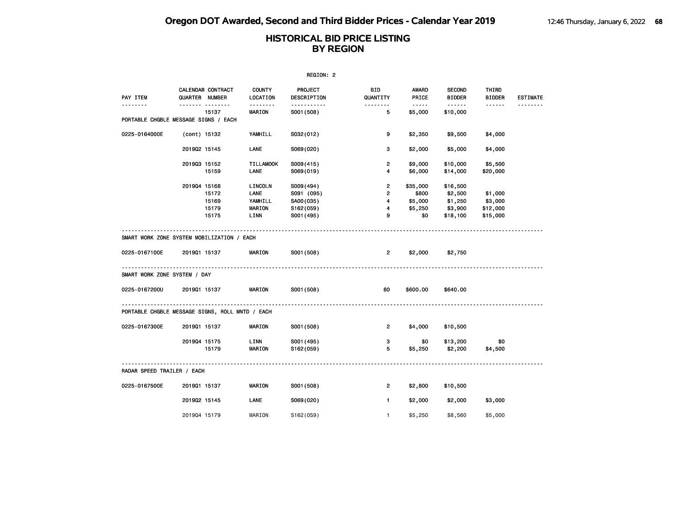| REGION: 2                                       |                |                                  |                                                     |                                                                 |                                                              |                                                                                                                        |                                                                                                                                                                                                                                                                                                                                                                                                                                                                                                    |                                            |                 |  |
|-------------------------------------------------|----------------|----------------------------------|-----------------------------------------------------|-----------------------------------------------------------------|--------------------------------------------------------------|------------------------------------------------------------------------------------------------------------------------|----------------------------------------------------------------------------------------------------------------------------------------------------------------------------------------------------------------------------------------------------------------------------------------------------------------------------------------------------------------------------------------------------------------------------------------------------------------------------------------------------|--------------------------------------------|-----------------|--|
| PAY ITEM                                        | QUARTER NUMBER | CALENDAR CONTRACT                | <b>COUNTY</b><br>LOCATION                           | <b>PROJECT</b><br>DESCRIPTION                                   | BID<br>QUANTITY                                              | AWARD<br>PRICE                                                                                                         | <b>SECOND</b><br><b>BIDDER</b>                                                                                                                                                                                                                                                                                                                                                                                                                                                                     | THIRD<br><b>BIDDER</b>                     | <b>ESTIMATE</b> |  |
| .                                               |                | ------- --------<br>15137        | <b>MARION</b>                                       | -----------<br>S001 (508)                                       | .<br>5                                                       | $\begin{array}{cccccccccc} \bullet & \bullet & \bullet & \bullet & \bullet & \bullet & \bullet \end{array}$<br>\$5,000 | $\begin{array}{cccccccccccccc} \multicolumn{2}{c}{} & \multicolumn{2}{c}{} & \multicolumn{2}{c}{} & \multicolumn{2}{c}{} & \multicolumn{2}{c}{} & \multicolumn{2}{c}{} & \multicolumn{2}{c}{} & \multicolumn{2}{c}{} & \multicolumn{2}{c}{} & \multicolumn{2}{c}{} & \multicolumn{2}{c}{} & \multicolumn{2}{c}{} & \multicolumn{2}{c}{} & \multicolumn{2}{c}{} & \multicolumn{2}{c}{} & \multicolumn{2}{c}{} & \multicolumn{2}{c}{} & \multicolumn{2}{c}{} & \multicolumn{2}{c}{} & \$<br>\$10,000 | ------                                     | <u>.</u>        |  |
| PORTABLE CHGBLE MESSAGE SIGNS / EACH            |                |                                  |                                                     |                                                                 |                                                              |                                                                                                                        |                                                                                                                                                                                                                                                                                                                                                                                                                                                                                                    |                                            |                 |  |
| 0225-0164000E                                   | (cont) 15132   |                                  | YAMHILL                                             | S032(012)                                                       | 9                                                            | \$2,350                                                                                                                | \$9,500                                                                                                                                                                                                                                                                                                                                                                                                                                                                                            | \$4,000                                    |                 |  |
|                                                 | 201902 15145   |                                  | LANE                                                | S069(020)                                                       | 3                                                            | \$2,000                                                                                                                | \$5,000                                                                                                                                                                                                                                                                                                                                                                                                                                                                                            | \$4,000                                    |                 |  |
|                                                 | 201903 15152   | 15159                            | <b>TILLAMOOK</b><br>LANE                            | S009(415)<br>S069(019)                                          | $\overline{2}$<br>4                                          | \$9,000<br>\$6,000                                                                                                     | \$10,000<br>\$14,000                                                                                                                                                                                                                                                                                                                                                                                                                                                                               | \$5,500<br>\$20,000                        |                 |  |
|                                                 | 201904 15168   | 15172<br>15169<br>15179<br>15175 | LINCOLN<br>LANE<br>YAMHILL<br><b>MARION</b><br>LINN | S009(494)<br>S091 (095)<br>SA00(035)<br>S162(059)<br>S001 (495) | $\overline{2}$<br>$\overline{2}$<br>$\overline{4}$<br>4<br>9 | \$35,000<br>\$800<br>\$5,000<br>\$5,250<br>\$0                                                                         | \$16,500<br>\$2,500<br>\$1,250<br>\$3,900<br>\$18,100                                                                                                                                                                                                                                                                                                                                                                                                                                              | \$1,000<br>\$3,000<br>\$12,000<br>\$15,000 |                 |  |
| SMART WORK ZONE SYSTEM MOBILIZATION / EACH      |                |                                  |                                                     |                                                                 |                                                              |                                                                                                                        |                                                                                                                                                                                                                                                                                                                                                                                                                                                                                                    |                                            |                 |  |
| 0225-0167100E                                   | 201901 15137   |                                  | <b>MARION</b>                                       | S001 (508)                                                      | $2^{\circ}$                                                  | \$2,000                                                                                                                | \$2,750                                                                                                                                                                                                                                                                                                                                                                                                                                                                                            |                                            |                 |  |
| SMART WORK ZONE SYSTEM / DAY                    |                |                                  |                                                     |                                                                 |                                                              |                                                                                                                        |                                                                                                                                                                                                                                                                                                                                                                                                                                                                                                    |                                            |                 |  |
| 0225-0167200U                                   | 201901 15137   |                                  | <b>MARION</b>                                       | S001 (508)                                                      | 80                                                           | \$600.00                                                                                                               | \$640.00                                                                                                                                                                                                                                                                                                                                                                                                                                                                                           |                                            |                 |  |
| PORTABLE CHGBLE MESSAGE SIGNS, ROLL MNTD / EACH |                |                                  |                                                     |                                                                 |                                                              |                                                                                                                        |                                                                                                                                                                                                                                                                                                                                                                                                                                                                                                    |                                            |                 |  |
| 0225-0167300E                                   | 201901 15137   |                                  | <b>MARION</b>                                       | S001 (508)                                                      | $\overline{2}$                                               | \$4,000                                                                                                                | \$10,500                                                                                                                                                                                                                                                                                                                                                                                                                                                                                           |                                            |                 |  |
|                                                 | 201904 15175   | 15179                            | LINN<br><b>MARION</b>                               | S001 (495)<br>S162(059)                                         | $3^{\circ}$<br>5                                             | \$0<br>\$5,250                                                                                                         | \$13,200<br>\$2,200                                                                                                                                                                                                                                                                                                                                                                                                                                                                                | \$0<br>\$4,500                             |                 |  |
| RADAR SPEED TRAILER / EACH                      |                |                                  |                                                     |                                                                 |                                                              |                                                                                                                        |                                                                                                                                                                                                                                                                                                                                                                                                                                                                                                    |                                            |                 |  |
| 0225-0167500E                                   | 201901 15137   |                                  | <b>MARION</b>                                       | S001 (508)                                                      | $\overline{2}$                                               | \$2,800                                                                                                                | \$10,500                                                                                                                                                                                                                                                                                                                                                                                                                                                                                           |                                            |                 |  |
|                                                 | 201902 15145   |                                  | LANE                                                | S069(020)                                                       | $\mathbf{1}$                                                 | \$2,000                                                                                                                | \$2,000                                                                                                                                                                                                                                                                                                                                                                                                                                                                                            | \$3,000                                    |                 |  |
|                                                 | 201904 15179   |                                  | MARION                                              | S162(059)                                                       | $\mathbf{1}$                                                 | \$5,250                                                                                                                | \$8,560                                                                                                                                                                                                                                                                                                                                                                                                                                                                                            | \$5,000                                    |                 |  |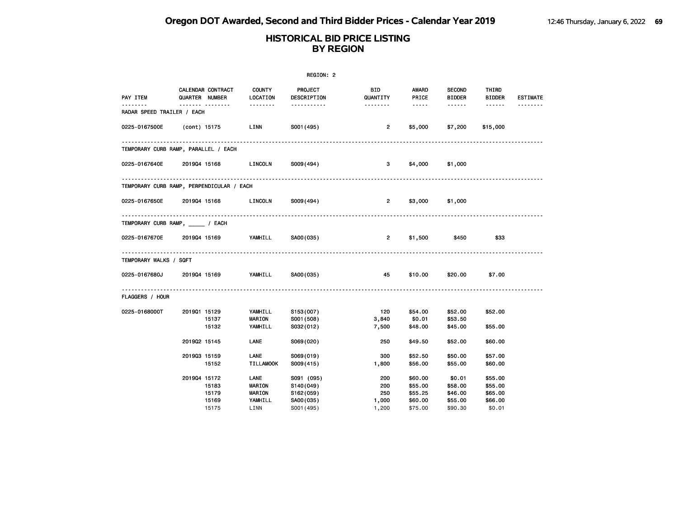| REGION: 2                                 |              |                                     |                                 |                               |                        |                    |                                |                        |                 |
|-------------------------------------------|--------------|-------------------------------------|---------------------------------|-------------------------------|------------------------|--------------------|--------------------------------|------------------------|-----------------|
| PAY ITEM                                  |              | CALENDAR CONTRACT<br>QUARTER NUMBER | <b>COUNTY</b><br>LOCATION       | <b>PROJECT</b><br>DESCRIPTION | <b>BID</b><br>QUANTITY | AWARD<br>PRICE     | <b>SECOND</b><br><b>BIDDER</b> | THIRD<br><b>BIDDER</b> | <b>ESTIMATE</b> |
| RADAR SPEED TRAILER / EACH                |              | ------- --------                    | --------                        | -----------                   | --------               | $\cdots \cdots$    | ------                         | ------                 |                 |
| 0225-0167500E                             |              | (cont) 15175                        | LINN                            | S001 (495)                    | $\overline{2}$         | \$5,000            | \$7,200                        | \$15,000               |                 |
| TEMPORARY CURB RAMP, PARALLEL / EACH      |              |                                     |                                 |                               |                        |                    |                                |                        |                 |
| 0225-0167640E 2019Q4 15168 LINCOLN        |              |                                     |                                 | S009(494)                     | 3                      | \$4,000            | \$1,000                        |                        |                 |
| TEMPORARY CURB RAMP, PERPENDICULAR / EACH |              |                                     |                                 |                               |                        |                    |                                |                        |                 |
| 0225-0167650E 2019Q4 15168 LINCOLN        |              |                                     |                                 | S009(494)                     | $\overline{2}$         | \$3,000            | \$1,000                        |                        |                 |
| TEMPORARY CURB RAMP, _____ / EACH         |              |                                     |                                 |                               |                        |                    |                                |                        |                 |
| 0225-0167670E 2019Q4 15169 YAMHILL        |              |                                     |                                 | SA00(035)                     | $\overline{2}$         | \$1,500            | \$450                          | \$33                   |                 |
| TEMPORARY WALKS / SQFT                    |              |                                     |                                 |                               |                        |                    |                                |                        |                 |
| 0225-0167680J                             | 201904 15169 |                                     | YAMHILL                         | SA00(035)                     | 45                     | \$10.00            | \$20.00                        | \$7.00                 |                 |
| <b>FLAGGERS / HOUR</b>                    |              |                                     |                                 |                               |                        |                    |                                |                        |                 |
| 0225-0168000T                             | 201901 15129 | 15137                               | YAMHILL<br><b>MARION</b>        | S153(007)<br>S001 (508)       | 120<br>3,840           | \$54.00<br>\$0.01  | \$52.00<br>\$53.50             | \$52.00                |                 |
|                                           |              | 15132                               | YAMHILL                         | S032(012)                     | 7,500                  | \$48.00            | \$45.00                        | \$55.00                |                 |
|                                           | 201902 15145 |                                     | LANE                            | S069(020)                     | 250                    | \$49.50            | \$52.00                        | \$60.00                |                 |
|                                           | 201903 15159 | 15152                               | <b>LANE</b><br><b>TILLAMOOK</b> | S069(019)<br>S009(415)        | 300<br>1,800           | \$52.50<br>\$56.00 | \$50.00<br>\$55.00             | \$57.00<br>\$60.00     |                 |
|                                           | 201904 15172 |                                     | LANE                            | S091 (095)                    | 200                    | \$60.00            | \$0.01                         | \$55.00                |                 |
|                                           |              | 15183                               | MARION                          | S140(049)                     | 200                    | \$55.00            | \$58.00                        | \$55.00                |                 |
|                                           |              | 15179                               | <b>MARION</b>                   | S162(059)                     | 250                    | \$55.25            | \$46.00                        | \$65.00                |                 |
|                                           |              | 15169                               | YAMHILL                         | SA00(035)                     | 1,000                  | \$60.00            | \$55.00                        | \$66.00                |                 |
|                                           |              | 15175                               | LINN                            | S001 (495)                    | 1,200                  | \$75.00            | \$90.30                        | \$0.01                 |                 |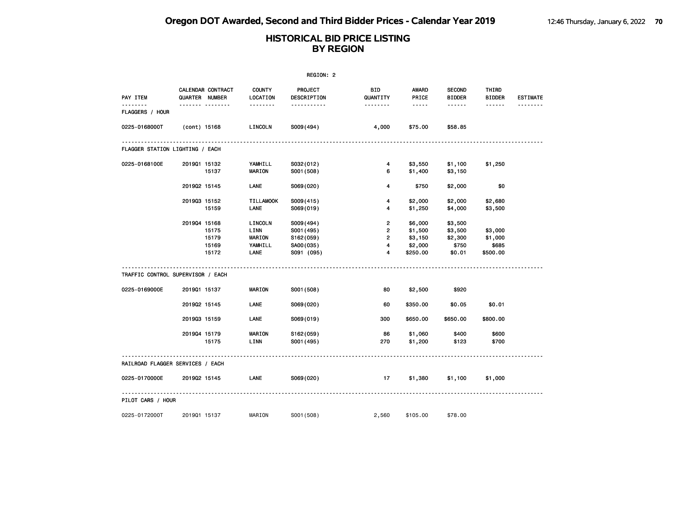| REGION: 2                         |              |                                     |                                                     |                                                                 |                                                                       |                                                                                                                                                      |                                                  |                                         |                 |  |
|-----------------------------------|--------------|-------------------------------------|-----------------------------------------------------|-----------------------------------------------------------------|-----------------------------------------------------------------------|------------------------------------------------------------------------------------------------------------------------------------------------------|--------------------------------------------------|-----------------------------------------|-----------------|--|
| PAY ITEM                          |              | CALENDAR CONTRACT<br>QUARTER NUMBER | COUNTY<br>LOCATION                                  | PROJECT<br>DESCRIPTION                                          | <b>BID</b><br>QUANTITY                                                | AWARD<br>PRICE                                                                                                                                       | <b>SECOND</b><br><b>BIDDER</b>                   | THIRD<br><b>BIDDER</b>                  | <b>ESTIMATE</b> |  |
| ------<br>FLAGGERS / HOUR         |              | <u> </u>                            | .                                                   | -----------                                                     | --------                                                              | $\frac{1}{2} \left( \frac{1}{2} \right) \left( \frac{1}{2} \right) \left( \frac{1}{2} \right) \left( \frac{1}{2} \right) \left( \frac{1}{2} \right)$ | ------                                           | $- - - - - -$                           | <u>.</u>        |  |
| 0225-0168000T                     | (cont) 15168 |                                     | LINCOLN                                             | S009(494)                                                       | 4,000                                                                 | \$75.00                                                                                                                                              | \$58.85                                          |                                         |                 |  |
| FLAGGER STATION LIGHTING / EACH   |              |                                     |                                                     |                                                                 |                                                                       |                                                                                                                                                      |                                                  |                                         |                 |  |
| 0225-0168100E                     | 201901 15132 | 15137                               | YAMHILL<br>MARION                                   | S032(012)<br>S001 (508)                                         | 4<br>6                                                                | \$3,550<br>\$1,400                                                                                                                                   | \$1,100<br>\$3,150                               | \$1,250                                 |                 |  |
|                                   | 201902 15145 |                                     | <b>LANE</b>                                         | S069(020)                                                       | 4                                                                     | \$750                                                                                                                                                | \$2,000                                          | \$0                                     |                 |  |
|                                   | 201903 15152 | 15159                               | <b>TILLAMOOK</b><br>LANE                            | S009(415)<br>S069(019)                                          | 4<br>4                                                                | \$2,000<br>\$1,250                                                                                                                                   | \$2,000<br>\$4,000                               | \$2,680<br>\$3,500                      |                 |  |
|                                   | 201904 15168 | 15175<br>15179<br>15169<br>15172    | LINCOLN<br>LINN<br><b>MARION</b><br>YAMHILL<br>LANE | S009(494)<br>S001 (495)<br>S162(059)<br>SA00(035)<br>S091 (095) | $\overline{2}$<br>$\overline{\mathbf{c}}$<br>$\overline{2}$<br>4<br>4 | \$6,000<br>\$1,500<br>\$3,150<br>\$2,000<br>\$250.00                                                                                                 | \$3,500<br>\$3,500<br>\$2,300<br>\$750<br>\$0.01 | \$3,000<br>\$1,000<br>\$685<br>\$500.00 |                 |  |
| TRAFFIC CONTROL SUPERVISOR / EACH |              |                                     |                                                     |                                                                 |                                                                       |                                                                                                                                                      |                                                  |                                         |                 |  |
| 0225-0169000E                     | 2019Q1 15137 |                                     | <b>MARION</b>                                       | S001 (508)                                                      | 80                                                                    | \$2,500                                                                                                                                              | \$920                                            |                                         |                 |  |
|                                   | 201902 15145 |                                     | LANE                                                | S069(020)                                                       | 60                                                                    | \$350.00                                                                                                                                             | \$0.05                                           | \$0.01                                  |                 |  |
|                                   | 201903 15159 |                                     | LANE                                                | S069(019)                                                       | 300                                                                   | \$650.00                                                                                                                                             | \$650.00                                         | \$800.00                                |                 |  |
|                                   | 201904 15179 | 15175                               | <b>MARION</b><br>LINN                               | S162(059)<br>S001 (495)                                         | 86<br>270                                                             | \$1,060<br>\$1,200                                                                                                                                   | \$400<br>\$123                                   | \$600<br>\$700                          |                 |  |
| RAILROAD FLAGGER SERVICES / EACH  |              |                                     |                                                     |                                                                 |                                                                       |                                                                                                                                                      |                                                  |                                         |                 |  |
| 0225-0170000E                     | 201902 15145 |                                     | LANE                                                | S069(020)                                                       | 17                                                                    | \$1,380                                                                                                                                              | \$1,100                                          | \$1,000                                 |                 |  |
| PILOT CARS / HOUR                 |              |                                     |                                                     |                                                                 |                                                                       |                                                                                                                                                      |                                                  |                                         |                 |  |
| 0225-0172000T                     | 201901 15137 |                                     | MARION                                              | S001 (508)                                                      | 2,560                                                                 | \$105.00                                                                                                                                             | \$78.00                                          |                                         |                 |  |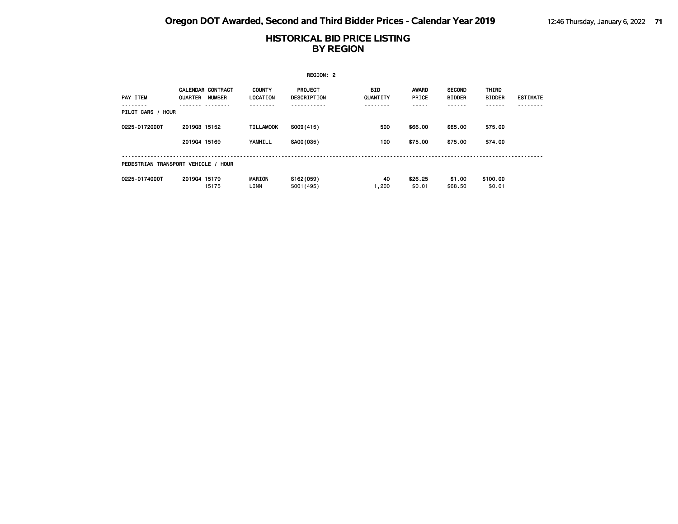| REGION: 2         |                                                      |                           |                               |                 |                       |                                |                               |                 |  |  |  |
|-------------------|------------------------------------------------------|---------------------------|-------------------------------|-----------------|-----------------------|--------------------------------|-------------------------------|-----------------|--|--|--|
| PAY ITEM          | <b>CALENDAR CONTRACT</b><br>QUARTER<br><b>NUMBER</b> | <b>COUNTY</b><br>LOCATION | <b>PROJECT</b><br>DESCRIPTION | BID<br>QUANTITY | <b>AWARD</b><br>PRICE | <b>SECOND</b><br><b>BIDDER</b> | <b>THIRD</b><br><b>BIDDER</b> | <b>ESTIMATE</b> |  |  |  |
| PILOT CARS / HOUR |                                                      |                           |                               |                 |                       |                                |                               |                 |  |  |  |
| 0225-0172000T     | 201903 15152                                         | <b>TILLAMOOK</b>          | S009(415)                     | 500             | \$66,00               | \$65,00                        | \$75.00                       |                 |  |  |  |
|                   | 201904 15169                                         | YAMHILL                   | SA00(035)                     | 100             | \$75.00               | \$75.00                        | \$74.00                       |                 |  |  |  |
|                   | PEDESTRIAN TRANSPORT VEHICLE / HOUR                  |                           |                               |                 |                       |                                |                               |                 |  |  |  |
| 0225-0174000T     | 201904 15179<br>15175                                | <b>MARION</b><br>LINN     | S162(059)<br>S001 (495)       | 40<br>1,200     | \$26.25<br>\$0.01     | \$1.00<br>\$68,50              | \$100.00<br>\$0.01            |                 |  |  |  |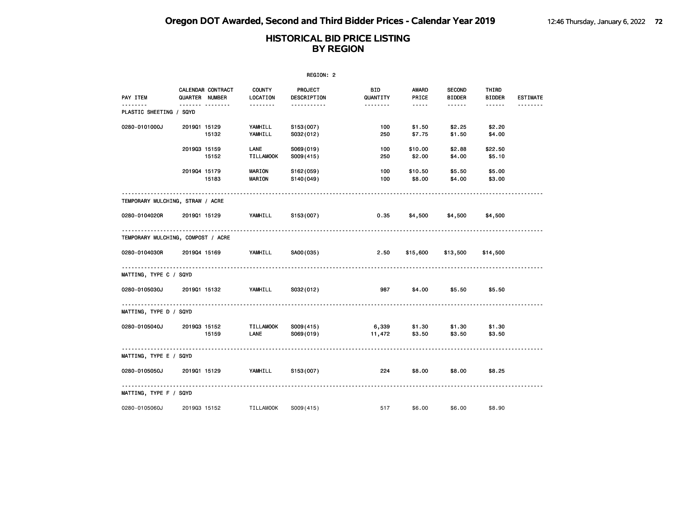| REGION: 2                          |              |                                     |                           |                               |                 |                                                                                                                                                      |                                |                   |                 |  |
|------------------------------------|--------------|-------------------------------------|---------------------------|-------------------------------|-----------------|------------------------------------------------------------------------------------------------------------------------------------------------------|--------------------------------|-------------------|-----------------|--|
| PAY ITEM                           |              | CALENDAR CONTRACT<br>QUARTER NUMBER | <b>COUNTY</b><br>LOCATION | <b>PROJECT</b><br>DESCRIPTION | BID<br>QUANTITY | AWARD<br>PRICE                                                                                                                                       | <b>SECOND</b><br><b>BIDDER</b> | THIRD<br>BIDDER   | <b>ESTIMATE</b> |  |
| .<br>PLASTIC SHEETING / SQYD       |              | ------- --------                    | 1.1.1.1.1.1.1             | -----------                   | .               | $\frac{1}{2} \left( \frac{1}{2} \right) \left( \frac{1}{2} \right) \left( \frac{1}{2} \right) \left( \frac{1}{2} \right) \left( \frac{1}{2} \right)$ | $- - - - - -$                  | ------            | <u>.</u>        |  |
| 0280-0101000J                      | 201901 15129 | 15132                               | YAMHILL<br>YAMHILL        | S153(007)<br>S032(012)        | 100<br>250      | \$1.50<br>\$7.75                                                                                                                                     | \$2.25<br>\$1.50               | \$2.20<br>\$4.00  |                 |  |
|                                    | 201903 15159 | 15152                               | LANE<br><b>TILLAMOOK</b>  | S069(019)<br>S009(415)        | 100<br>250      | \$10.00<br>\$2.00                                                                                                                                    | \$2.88<br>\$4.00               | \$22.50<br>\$5.10 |                 |  |
|                                    | 201904 15179 | 15183                               | <b>MARION</b><br>MARION   | S162(059)<br>S140(049)        | 100<br>100      | \$10.50<br>\$8.00                                                                                                                                    | \$5.50<br>\$4.00               | \$5.00<br>\$3.00  |                 |  |
| TEMPORARY MULCHING, STRAW / ACRE   |              |                                     |                           |                               |                 |                                                                                                                                                      |                                |                   |                 |  |
| 0280-0104020R                      | 201901 15129 |                                     | YAMHILL                   | S153 (007)                    | 0.35            | \$4,500                                                                                                                                              | \$4,500                        | \$4,500           |                 |  |
| TEMPORARY MULCHING, COMPOST / ACRE |              |                                     |                           |                               |                 |                                                                                                                                                      |                                |                   |                 |  |
| 0280-0104030R                      |              | 2019Q4 15169 YAMHILL                |                           | SA00(035)                     | 2.50            | \$15,600                                                                                                                                             | \$13,500                       | \$14,500          |                 |  |
| MATTING, TYPE C / SQYD             |              |                                     |                           |                               |                 |                                                                                                                                                      |                                |                   |                 |  |
| 0280-0105030J                      |              | 2019Q1 15132 YAMHILL                |                           | S032(012)                     | 987             | \$4.00                                                                                                                                               | \$5.50                         | \$5.50            |                 |  |
| MATTING, TYPE D / SQYD             |              |                                     |                           |                               |                 |                                                                                                                                                      |                                |                   |                 |  |
| 0280-0105040J                      |              | 201903 15152<br>15159               | TILLAMOOK<br>LANE         | S009(415)<br>S069(019)        | 11,472          | 6,339 \$1.30<br>\$3.50                                                                                                                               | \$1.30<br>\$3.50               | \$1.30<br>\$3.50  |                 |  |
| MATTING, TYPE E / SQYD             |              |                                     |                           |                               |                 |                                                                                                                                                      |                                |                   |                 |  |
| 0280-0105050J                      | 201901 15129 |                                     | YAMHILL S153(007)         |                               | 224             | \$8.00                                                                                                                                               | \$8.00                         | \$8.25            |                 |  |
| MATTING, TYPE F / SQYD             |              |                                     |                           |                               |                 |                                                                                                                                                      |                                |                   |                 |  |
| 0280-0105060J                      | 201903 15152 |                                     | TILLAMOOK                 | S009(415)                     | 517 — 17        | \$6.00                                                                                                                                               | \$6.00                         | \$8.90            |                 |  |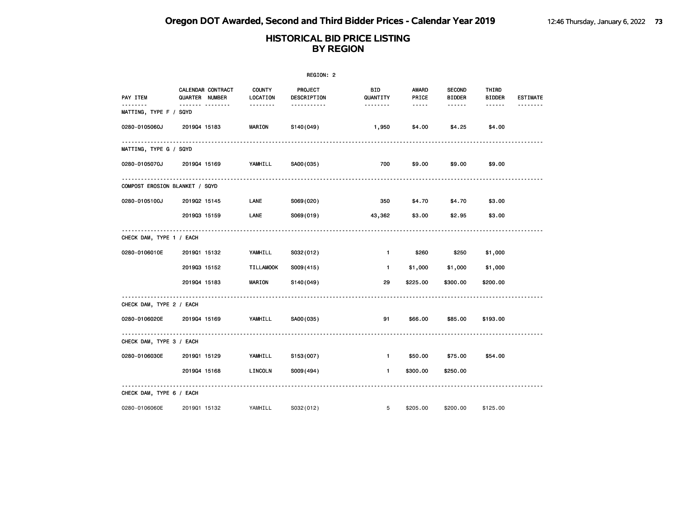|                                |                |                       |                                       | REGION: 2                                    |                             |                               |                                          |                                  |                 |
|--------------------------------|----------------|-----------------------|---------------------------------------|----------------------------------------------|-----------------------------|-------------------------------|------------------------------------------|----------------------------------|-----------------|
| PAY ITEM                       | QUARTER NUMBER | CALENDAR CONTRACT<br> | <b>COUNTY</b><br>LOCATION<br>-------- | <b>PROJECT</b><br>DESCRIPTION<br>----------- | BID<br>QUANTITY<br>-------- | AWARD<br>PRICE<br>$- - - - -$ | <b>SECOND</b><br><b>BIDDER</b><br>------ | THIRD<br><b>BIDDER</b><br>------ | <b>ESTIMATE</b> |
| MATTING, TYPE F / SQYD         |                |                       |                                       |                                              |                             |                               |                                          |                                  |                 |
| 0280-0105060J                  | 201904 15183   |                       | <b>MARION</b>                         | S140(049)                                    | 1,950                       | \$4.00                        | \$4.25                                   | \$4.00                           |                 |
| MATTING, TYPE G / SQYD         |                |                       |                                       |                                              |                             |                               |                                          |                                  |                 |
| 0280-0105070J                  | 201904 15169   |                       | YAMHILL                               | SA00(035)                                    | 700                         | \$9.00                        | \$9.00                                   | \$9.00                           |                 |
| COMPOST EROSION BLANKET / SQYD |                |                       |                                       |                                              |                             |                               |                                          |                                  |                 |
| 0280-0105100J                  | 201902 15145   |                       | LANE                                  | S069(020)                                    | 350                         | \$4.70                        | \$4.70                                   | \$3.00                           |                 |
|                                | 201903 15159   |                       | LANE                                  | S069(019)                                    | 43,362                      | \$3.00                        | \$2.95                                   | \$3.00                           |                 |
| CHECK DAM, TYPE 1 / EACH       |                |                       |                                       |                                              |                             |                               |                                          |                                  |                 |
| 0280-0106010E                  | 201901 15132   |                       | YAMHILL                               | S032(012)                                    | $\mathbf{1}$                | \$260                         | \$250                                    | \$1,000                          |                 |
|                                | 201903 15152   |                       | <b>TILLAMOOK</b>                      | S009(415)                                    | $\blacksquare$              | \$1,000                       | \$1,000                                  | \$1,000                          |                 |
|                                | 201904 15183   |                       | <b>MARION</b>                         | S140(049)                                    | 29                          | \$225.00                      | \$300.00                                 | \$200.00                         |                 |
| CHECK DAM, TYPE 2 / EACH       |                |                       |                                       |                                              |                             |                               |                                          |                                  |                 |
| 0280-0106020E                  | 201904 15169   |                       | YAMHILL                               | SA00(035)                                    | 91                          | \$66.00                       | \$85.00                                  | \$193.00                         |                 |
| CHECK DAM, TYPE 3 / EACH       |                |                       |                                       |                                              |                             |                               |                                          |                                  |                 |
| 0280-0106030E                  | 201901 15129   |                       | YAMHILL                               | S153(007)                                    | $\blacksquare$              | \$50.00                       | \$75.00                                  | \$54.00                          |                 |
|                                | 201904 15168   |                       | LINCOLN                               | S009(494)                                    | $\mathbf{1}$                | \$300.00                      | \$250.00                                 |                                  |                 |
| CHECK DAM, TYPE 6 / EACH       |                |                       |                                       |                                              |                             |                               |                                          |                                  |                 |
| 0280-0106060E                  | 201901 15132   |                       | YAMHILL                               | S032(012)                                    | 5                           | \$205.00                      | \$200.00                                 | \$125.00                         |                 |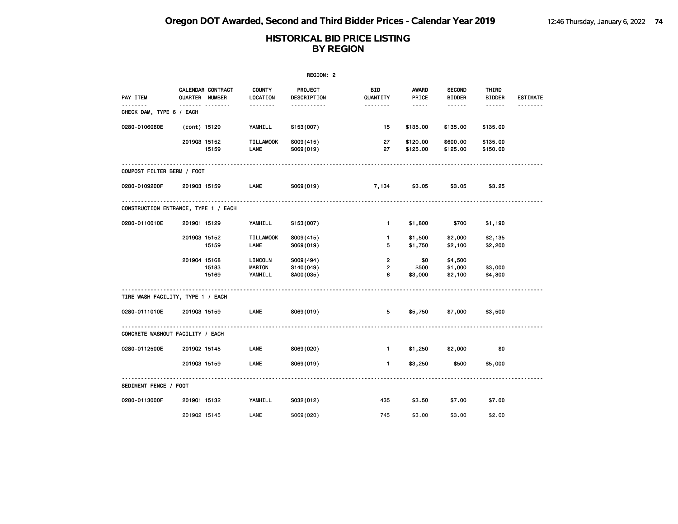|                                      |              |                                     |                                     | REGION: 2                           |                                       |                                                                                                               |                                |                        |                 |
|--------------------------------------|--------------|-------------------------------------|-------------------------------------|-------------------------------------|---------------------------------------|---------------------------------------------------------------------------------------------------------------|--------------------------------|------------------------|-----------------|
| PAY ITEM                             |              | CALENDAR CONTRACT<br>QUARTER NUMBER | <b>COUNTY</b><br>LOCATION           | PROJECT<br>DESCRIPTION              | BID<br>QUANTITY                       | AWARD<br>PRICE                                                                                                | <b>SECOND</b><br><b>BIDDER</b> | THIRD<br><b>BIDDER</b> | <b>ESTIMATE</b> |
| <u>.</u><br>CHECK DAM, TYPE 6 / EACH |              | ------- --------                    | <u>.</u>                            | -----------                         | <u> - - - - - - -</u>                 | $\frac{1}{2} \frac{1}{2} \frac{1}{2} \frac{1}{2} \frac{1}{2} \frac{1}{2} \frac{1}{2} \frac{1}{2} \frac{1}{2}$ |                                | ------                 | .               |
| 0280-0106060E                        | (cont) 15129 |                                     | YAMHILL                             | S153(007)                           | 15                                    | \$135.00                                                                                                      | \$135.00                       | \$135.00               |                 |
|                                      | 201903 15152 | 15159                               | <b>TILLAMOOK</b><br>LANE            | S009(415)<br>S069(019)              | 27<br>27                              | \$120.00<br>\$125.00                                                                                          | \$600.00<br>\$125.00           | \$135.00<br>\$150.00   |                 |
| COMPOST FILTER BERM / FOOT           |              |                                     |                                     |                                     |                                       |                                                                                                               |                                |                        |                 |
| 0280-0109200F                        | 201903 15159 |                                     | LANE                                | S069(019)                           | 7,134                                 | \$3.05                                                                                                        | \$3.05                         | \$3.25                 |                 |
| CONSTRUCTION ENTRANCE, TYPE 1 / EACH |              |                                     |                                     |                                     |                                       |                                                                                                               |                                |                        |                 |
| 0280-0110010E                        | 201901 15129 |                                     | YAMHILL                             | S153(007)                           | $\blacksquare$                        | \$1,800                                                                                                       | \$700                          | \$1,190                |                 |
|                                      | 201903 15152 | 15159                               | <b>TILLAMOOK</b><br>LANE            | S009(415)<br>S069(019)              | $\mathbf{1}$<br>5                     | \$1,500<br>\$1,750                                                                                            | \$2,000<br>\$2,100             | \$2,135<br>\$2,200     |                 |
|                                      | 201904 15168 | 15183<br>15169                      | LINCOLN<br><b>MARION</b><br>YAMHILL | S009(494)<br>S140(049)<br>SA00(035) | $\overline{2}$<br>$\overline{2}$<br>6 | \$0<br>\$500<br>\$3,000                                                                                       | \$4,500<br>\$1,000<br>\$2,100  | \$3,000<br>\$4,800     |                 |
|                                      |              |                                     |                                     |                                     |                                       |                                                                                                               |                                |                        |                 |
| TIRE WASH FACILITY, TYPE 1 / EACH    |              |                                     |                                     |                                     |                                       |                                                                                                               |                                |                        |                 |
| 0280-0111010E                        | 201903 15159 |                                     | LANE                                | S069(019)                           | 5                                     | \$5,750                                                                                                       | \$7,000                        | \$3,500                |                 |
| CONCRETE WASHOUT FACILITY / EACH     |              |                                     |                                     |                                     |                                       |                                                                                                               |                                |                        |                 |
| 0280-0112500E                        | 201902 15145 |                                     | LANE                                | S069(020)                           | $\blacksquare$                        | \$1,250                                                                                                       | \$2,000                        | \$0                    |                 |
|                                      | 201903 15159 |                                     | LANE                                | S069(019)                           | $\mathbf{1}$                          | \$3,250                                                                                                       | \$500                          | \$5,000                |                 |
| SEDIMENT FENCE / FOOT                |              |                                     |                                     |                                     |                                       |                                                                                                               |                                |                        |                 |
| 0280-0113000F                        | 201901 15132 |                                     | YAMHILL                             | S032(012)                           | 435                                   | \$3.50                                                                                                        | \$7.00                         | \$7.00                 |                 |
|                                      | 201902 15145 |                                     | LANE                                | S069(020)                           | 745                                   | \$3.00                                                                                                        | \$3.00                         | \$2.00                 |                 |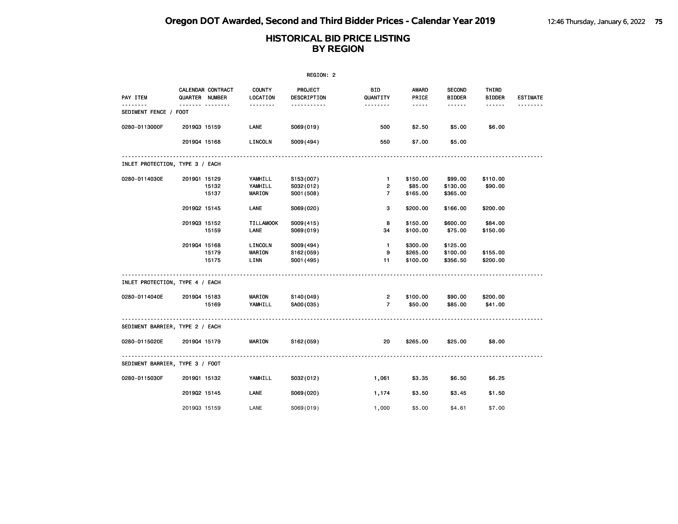|                                 |              |                                                 |                           | REGION: 2                                |                                           |                               |                                                 |                                  |                             |
|---------------------------------|--------------|-------------------------------------------------|---------------------------|------------------------------------------|-------------------------------------------|-------------------------------|-------------------------------------------------|----------------------------------|-----------------------------|
| PAY ITEM<br>.                   |              | CALENDAR CONTRACT<br><b>QUARTER NUMBER</b><br>. | <b>COUNTY</b><br>LOCATION | <b>PROJECT</b><br>DESCRIPTION<br><u></u> | BID.<br>QUANTITY<br><u> - - - - - - -</u> | AWARD<br>PRICE<br>$- - - - -$ | <b>SECOND</b><br><b>BIDDER</b><br>$- - - - - -$ | THIRD<br><b>BIDDER</b><br>------ | <b>ESTIMATE</b><br><u>.</u> |
| SEDIMENT FENCE / FOOT           |              |                                                 |                           |                                          |                                           |                               |                                                 |                                  |                             |
| 0280-0113000F                   | 201903 15159 |                                                 | <b>LANE</b>               | S069(019)                                | 500                                       | \$2.50                        | \$5.00                                          | \$6.00                           |                             |
|                                 | 201904 15168 |                                                 | LINCOLN                   | S009(494)                                | 550                                       | \$7.00                        | \$5.00                                          |                                  |                             |
| INLET PROTECTION, TYPE 3 / EACH |              |                                                 |                           |                                          |                                           |                               |                                                 |                                  |                             |
| 0280-0114030E                   | 201901 15129 |                                                 | YAMHILL                   | S153(007)                                | $\mathbf{1}$                              | \$150.00                      | \$99.00                                         | \$110.00                         |                             |
|                                 |              | 15132                                           | YAMHILL                   | S032(012)                                | $\overline{2}$                            | \$85.00                       | \$130.00                                        | \$90.00                          |                             |
|                                 |              | 15137                                           | <b>MARION</b>             | S001 (508)                               | $\overline{7}$                            | \$165.00                      | \$365.00                                        |                                  |                             |
|                                 | 201902 15145 |                                                 | <b>LANE</b>               | S069(020)                                | 3                                         | \$200.00                      | \$166.00                                        | \$200.00                         |                             |
|                                 | 201903 15152 |                                                 | <b>TILLAMOOK</b>          | S009(415)                                | 8                                         | \$150.00                      | \$600.00                                        | \$84.00                          |                             |
|                                 |              | 15159                                           | LANE                      | S069(019)                                | 34                                        | \$100.00                      | \$75.00                                         | \$150.00                         |                             |
|                                 | 201904 15168 |                                                 | LINCOLN                   | S009(494)                                | $\mathbf{1}$                              | \$300.00                      | \$125.00                                        |                                  |                             |
|                                 |              | 15179                                           | <b>MARION</b>             | S162 (059)                               | 9                                         | \$265.00                      | \$100.00                                        | \$155.00                         |                             |
|                                 |              | 15175                                           | LINN                      | S001 (495)                               | 11                                        | \$100.00                      | \$356.50                                        | \$200.00                         |                             |
| INLET PROTECTION, TYPE 4 / EACH |              |                                                 |                           |                                          |                                           |                               |                                                 |                                  |                             |
| 0280-0114040E                   | 201904 15183 |                                                 | <b>MARION</b>             | S140(049)                                | $\overline{2}$                            | \$100.00                      | \$90.00                                         | \$200.00                         |                             |
|                                 |              | 15169                                           | YAMHILL                   | SA00(035)                                | $\overline{7}$                            | \$50.00                       | \$85.00                                         | \$41.00                          |                             |
| SEDIMENT BARRIER, TYPE 2 / EACH |              |                                                 |                           |                                          |                                           |                               |                                                 |                                  |                             |
| 0280-0115020E                   | 201904 15179 |                                                 | MARION                    | S162(059)                                | 20                                        | \$265.00                      | \$25.00                                         | \$8.00                           |                             |
| SEDIMENT BARRIER, TYPE 3 / FOOT |              |                                                 |                           |                                          |                                           |                               |                                                 |                                  |                             |
| 0280-0115030F                   | 201901 15132 |                                                 | YAMHILL                   | S032(012)                                | 1,061                                     | \$3.35                        | \$6.50                                          | \$6.25                           |                             |
|                                 | 201902 15145 |                                                 | LANE                      | S069(020)                                | 1,174                                     | \$3.50                        | \$3.45                                          | \$1.50                           |                             |
|                                 | 201903 15159 |                                                 | LANE                      | S069(019)                                | 1,000                                     | \$5.00                        | \$4.61                                          | \$7.00                           |                             |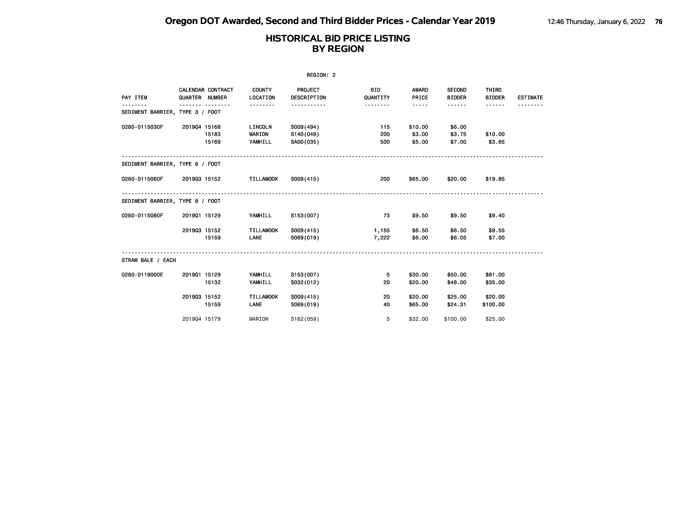| REGION: 2                       |              |                                            |                                     |                                     |                        |                             |                                |                        |                 |  |  |
|---------------------------------|--------------|--------------------------------------------|-------------------------------------|-------------------------------------|------------------------|-----------------------------|--------------------------------|------------------------|-----------------|--|--|
| PAY ITEM                        |              | <b>CALENDAR CONTRACT</b><br>QUARTER NUMBER | <b>COUNTY</b><br>LOCATION           | PROJECT<br>DESCRIPTION              | <b>BID</b><br>QUANTITY | <b>AWARD</b><br>PRICE       | <b>SECOND</b><br><b>BIDDER</b> | THIRD<br><b>BIDDER</b> | <b>ESTIMATE</b> |  |  |
| SEDIMENT BARRIER, TYPE 3 / FOOT |              | --------                                   |                                     | <u>.</u>                            | .                      | $- - - - -$                 |                                |                        |                 |  |  |
| 0280-0115030F                   | 201904 15168 | 15183<br>15169                             | LINCOLN<br><b>MARION</b><br>YAMHILL | S009(494)<br>S140(049)<br>SA00(035) | 115<br>200<br>500      | \$10.00<br>\$3.00<br>\$5.00 | \$6.00<br>\$3.75<br>\$7.00     | \$10.00<br>\$3.65      |                 |  |  |
| SEDIMENT BARRIER, TYPE 6 / FOOT |              |                                            |                                     |                                     |                        |                             |                                |                        |                 |  |  |
| 0280-0115060F                   | 201903 15152 |                                            | TILLAMOOK                           | S009(415)                           | 200                    | \$65.00                     | \$20.00                        | \$19.85                |                 |  |  |
| SEDIMENT BARRIER, TYPE 8 / FOOT |              |                                            |                                     |                                     |                        |                             |                                |                        |                 |  |  |
| 0280-0115080F                   | 201901 15129 |                                            | YAMHILL                             | S153(007)                           | 73                     | \$9.50                      | \$9.50                         | \$9.40                 |                 |  |  |
|                                 | 201903 15152 | 15159                                      | <b>TILLAMOOK</b><br><b>LANE</b>     | S009(415)<br>S069(019)              | 1,155<br>7,222         | \$6.50<br>\$6.00            | \$6.50<br>\$6.05               | \$9.55<br>\$7.00       |                 |  |  |
| STRAW BALE / EACH               |              |                                            |                                     |                                     |                        |                             |                                |                        |                 |  |  |
| 0280-0119000E                   | 201901 15129 | 15132                                      | YAMHILL<br>YAMHILL                  | S153(007)<br>S032(012)              | 5<br>20                | \$30.00<br>\$20,00          | \$50.00<br>\$48.00             | \$81.00<br>\$35.00     |                 |  |  |
|                                 | 201903 15152 | 15159                                      | <b>TILLAMOOK</b><br>LANE            | S009(415)<br>S069(019)              | 20<br>40               | \$20.00<br>\$65.00          | \$25.00<br>\$24.31             | \$20.00<br>\$100.00    |                 |  |  |
|                                 | 201904 15179 |                                            | MARION                              | S162(059)                           | 5                      | \$32.00                     | \$100.00                       | \$25.00                |                 |  |  |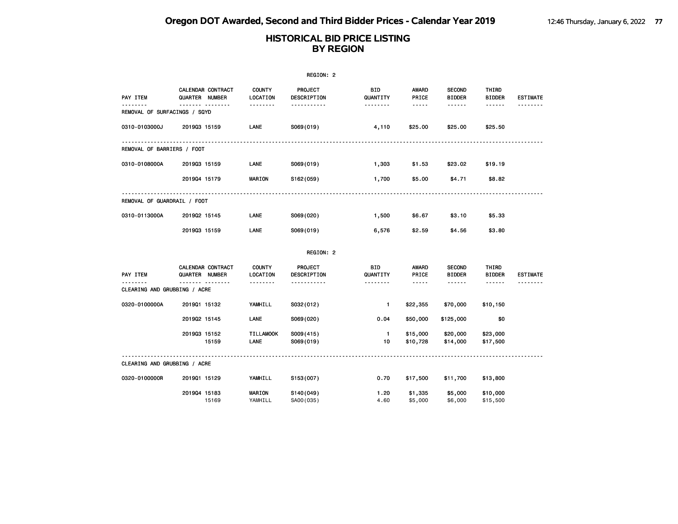|                                           |                                     |                           | REGION: 2                     |                    |                       |                                |                        |                 |
|-------------------------------------------|-------------------------------------|---------------------------|-------------------------------|--------------------|-----------------------|--------------------------------|------------------------|-----------------|
| PAY ITEM                                  | CALENDAR CONTRACT<br>QUARTER NUMBER | <b>COUNTY</b><br>LOCATION | <b>PROJECT</b><br>DESCRIPTION | BID<br>QUANTITY    | <b>AWARD</b><br>PRICE | <b>SECOND</b><br><b>BIDDER</b> | THIRD<br><b>BIDDER</b> | <b>ESTIMATE</b> |
| REMOVAL OF SURFACINGS / SQYD              | <u>.</u>                            | .                         | .                             | <u>.</u>           | -----                 | ------                         | ------                 |                 |
| 0310-0103000J                             | 201903 15159                        | <b>LANE</b>               | S069(019)                     | 4,110              | \$25.00               | \$25.00                        | \$25.50                |                 |
| REMOVAL OF BARRIERS / FOOT                |                                     |                           |                               |                    |                       |                                |                        |                 |
| 0310-0108000A                             | 201903 15159                        | LANE                      | S069(019)                     | 1,303              | \$1.53                | \$23.02                        | \$19.19                |                 |
|                                           | 201904 15179                        | <b>MARION</b>             | S162(059)                     | 1,700              | \$5.00                | \$4.71                         | \$8.82                 |                 |
| REMOVAL OF GUARDRAIL / FOOT               |                                     |                           |                               |                    |                       |                                |                        |                 |
| 0310-0113000A                             | 201902 15145                        | LANE                      | S069(020)                     | 1,500              | \$6.67                | \$3.10                         | \$5.33                 |                 |
|                                           | 201903 15159                        | LANE                      | S069(019)                     | 6,576              | \$2.59                | \$4.56                         | \$3.80                 |                 |
|                                           |                                     |                           | REGION: 2                     |                    |                       |                                |                        |                 |
| PAY ITEM                                  | CALENDAR CONTRACT<br>QUARTER NUMBER | <b>COUNTY</b><br>LOCATION | PROJECT<br>DESCRIPTION        | BID<br>QUANTITY    | AWARD<br>PRICE        | <b>SECOND</b><br><b>BIDDER</b> | THIRD<br><b>BIDDER</b> | <b>ESTIMATE</b> |
| $- - - -$<br>CLEARING AND GRUBBING / ACRE | $- - - -$<br><u>.</u>               | .                         | .                             | <u>.</u>           | -----                 | ------                         | ------                 |                 |
| 0320-0100000A                             | 201901 15132                        | YAMHILL                   | S032(012)                     | 1.                 | \$22,355              | \$70,000                       | \$10,150               |                 |
|                                           | 201902 15145                        | LANE                      | S069(020)                     | 0.04               | \$50,000              | \$125,000                      | \$0                    |                 |
|                                           | 201903 15152<br>15159               | <b>TILLAMOOK</b><br>LANE  | S009(415)<br>S069(019)        | $\mathbf{1}$<br>10 | \$15,000<br>\$10,728  | \$20,000<br>\$14,000           | \$23,000<br>\$17,500   |                 |
| CLEARING AND GRUBBING / ACRE              |                                     |                           |                               |                    |                       |                                |                        |                 |
| 0320-0100000R                             | 201901 15129                        | YAMHILL                   | S153(007)                     | 0.70               | \$17,500              | \$11,700                       | \$13,800               |                 |
|                                           | 201904 15183<br>15169               | <b>MARION</b><br>YAMHILL  | S140(049)<br>SA00(035)        | 1.20<br>4.60       | \$1,335<br>\$5,000    | \$5,000<br>\$6,000             | \$10,000<br>\$15,500   |                 |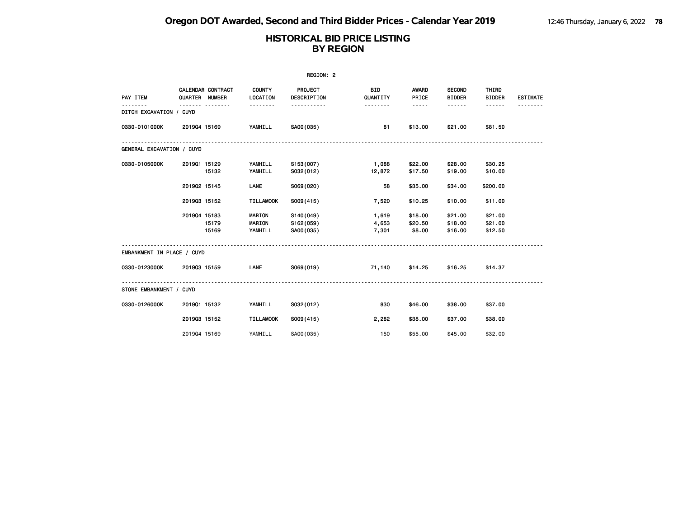| REGION: 2                  |                |                   |                                    |                                     |                         |                              |                                |                               |                 |  |  |
|----------------------------|----------------|-------------------|------------------------------------|-------------------------------------|-------------------------|------------------------------|--------------------------------|-------------------------------|-----------------|--|--|
| PAY ITEM                   | QUARTER NUMBER | CALENDAR CONTRACT | <b>COUNTY</b><br>LOCATION          | PROJECT<br>DESCRIPTION              | <b>BID</b><br>QUANTITY  | AWARD<br>PRICE               | <b>SECOND</b><br><b>BIDDER</b> | THIRD<br><b>BIDDER</b>        | <b>ESTIMATE</b> |  |  |
| DITCH EXCAVATION / CUYD    |                |                   | .                                  | .                                   | .                       | -----                        | .                              | ------                        |                 |  |  |
| 0330-0101000K              | 201904 15169   |                   | YAMHILL                            | SA00(035)                           | 81                      | \$13.00                      | \$21.00                        | \$81.50                       |                 |  |  |
| GENERAL EXCAVATION / CUYD  |                |                   |                                    |                                     |                         |                              |                                |                               |                 |  |  |
| 0330-0105000K              | 201901 15129   | 15132             | YAMHILL<br>YAMHILL                 | S153(007)<br>S032(012)              | 1,088<br>12,872         | \$22.00<br>\$17.50           | \$28.00<br>\$19.00             | \$30.25<br>\$10.00            |                 |  |  |
|                            | 201902 15145   |                   | LANE                               | S069(020)                           | 58                      | \$35.00                      | \$34.00                        | \$200.00                      |                 |  |  |
|                            | 201903 15152   |                   | <b>TILLAMOOK</b>                   | S009(415)                           | 7,520                   | \$10.25                      | \$10.00                        | \$11.00                       |                 |  |  |
|                            | 201904 15183   | 15179<br>15169    | MARION<br><b>MARION</b><br>YAMHILL | S140(049)<br>S162(059)<br>SA00(035) | 1,619<br>4,653<br>7,301 | \$18.00<br>\$20.50<br>\$8.00 | \$21.00<br>\$18.00<br>\$16.00  | \$21.00<br>\$21.00<br>\$12.50 |                 |  |  |
| EMBANKMENT IN PLACE / CUYD |                |                   |                                    |                                     |                         |                              |                                |                               |                 |  |  |
| 0330-0123000K              | 201903 15159   |                   | LANE                               | S069(019)                           | 71,140                  | \$14.25                      | \$16.25                        | \$14.37                       |                 |  |  |
| STONE EMBANKMENT / CUYD    |                |                   |                                    |                                     |                         |                              |                                |                               |                 |  |  |
| 0330-0126000K              | 201901 15132   |                   | YAMHILL                            | S032(012)                           | 830                     | \$46.00                      | \$38.00                        | \$37.00                       |                 |  |  |
|                            | 201903 15152   |                   | <b>TILLAMOOK</b>                   | S009(415)                           | 2,282                   | \$38.00                      | \$37.00                        | \$38.00                       |                 |  |  |
|                            | 201904 15169   |                   | YAMHILL                            | SA00(035)                           | 150                     | \$55.00                      | \$45.00                        | \$32.00                       |                 |  |  |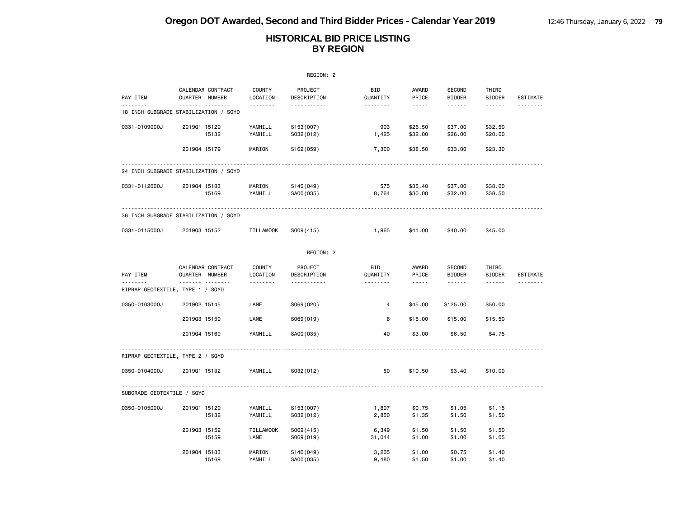|                                                   |              |                                          |                                | REGION: 2                   |                             |                                                                                                                                                                        |                                          |                                  |          |
|---------------------------------------------------|--------------|------------------------------------------|--------------------------------|-----------------------------|-----------------------------|------------------------------------------------------------------------------------------------------------------------------------------------------------------------|------------------------------------------|----------------------------------|----------|
| PAY ITEM                                          |              | CALENDAR CONTRACT<br>QUARTER NUMBER      | <b>COUNTY</b><br>LOCATION      | PROJECT<br>DESCRIPTION      | <b>BID</b><br>QUANTITY      | AWARD<br>PRICE                                                                                                                                                         | <b>SECOND</b><br><b>BIDDER</b>           | THIRD<br><b>BIDDER</b>           | ESTIMATE |
| <u>.</u><br>18 INCH SUBGRADE STABILIZATION / SQYD |              | . <sub>.</sub>                           | .                              | <u>.</u>                    | <u>.</u>                    | $\frac{1}{2} \left( \frac{1}{2} \right) \left( \frac{1}{2} \right) \left( \frac{1}{2} \right) \left( \frac{1}{2} \right) \left( \frac{1}{2} \right)$                   | ------                                   | $- - - - - -$                    |          |
| 0331-0109000J                                     | 201901 15129 | 15132                                    | YAMHILL<br>YAMHILL             | S153(007)<br>S032(012)      | 903<br>1,425                | \$26.50<br>\$32.00                                                                                                                                                     | \$37.00<br>\$26.00                       | \$32.50<br>\$20.00               |          |
|                                                   | 201904 15179 |                                          | MARION                         | S <sub>162</sub> (059)      | 7,300                       | \$38.50                                                                                                                                                                | \$33.00                                  | \$23.30                          |          |
| 24 INCH SUBGRADE STABILIZATION / SQYD             |              |                                          |                                |                             |                             |                                                                                                                                                                        |                                          |                                  |          |
| 0331-0112000J                                     | 201904 15183 | 15169                                    | MARION<br>YAMHILL              | S140(049)<br>SA00(035)      | 575<br>8,764                | \$35.40<br>\$30.00                                                                                                                                                     | \$37.00<br>\$32.00                       | \$38.00<br>\$38.50               |          |
| 36 INCH SUBGRADE STABILIZATION / SQYD             |              |                                          |                                |                             |                             |                                                                                                                                                                        |                                          |                                  |          |
| 0331-0115000J                                     | 201903 15152 |                                          | <b>TILLAMOOK</b>               | S009(415)                   | 1,965                       | \$41.00                                                                                                                                                                | \$40.00                                  | \$45.00                          |          |
|                                                   |              |                                          |                                | REGION: 2                   |                             |                                                                                                                                                                        |                                          |                                  |          |
| PAY ITEM                                          |              | CALENDAR CONTRACT<br>QUARTER NUMBER<br>. | <b>COUNTY</b><br>LOCATION<br>. | PROJECT<br>DESCRIPTION<br>. | <b>BID</b><br>QUANTITY<br>. | AWARD<br>PRICE<br>$\frac{1}{2} \left( \frac{1}{2} \right) \left( \frac{1}{2} \right) \left( \frac{1}{2} \right) \left( \frac{1}{2} \right) \left( \frac{1}{2} \right)$ | <b>SECOND</b><br><b>BIDDER</b><br>------ | THIRD<br><b>BIDDER</b><br>------ | ESTIMATE |
| RIPRAP GEOTEXTILE, TYPE 1 / SQYD                  |              |                                          |                                |                             |                             |                                                                                                                                                                        |                                          |                                  |          |
| 0350-0103000J                                     | 201902 15145 |                                          | LANE                           | S069(020)                   | 4                           | \$45.00                                                                                                                                                                | \$125.00                                 | \$50.00                          |          |
|                                                   | 201903 15159 |                                          | LANE                           | S069(019)                   | 6                           | \$15.00                                                                                                                                                                | \$15.00                                  | \$15.50                          |          |
|                                                   | 201904 15169 |                                          | YAMHILL                        | SA00(035)                   | 40                          | \$3.00                                                                                                                                                                 | \$6.50                                   | \$4.75                           |          |
| RIPRAP GEOTEXTILE, TYPE 2 / SQYD                  |              |                                          |                                |                             |                             |                                                                                                                                                                        |                                          |                                  |          |
| 0350-0104000J                                     | 201901 15132 |                                          | YAMHILL                        | S032(012)                   | 50                          | \$10.50                                                                                                                                                                | \$3.40                                   | \$10.00                          |          |
| SUBGRADE GEOTEXTILE / SQYD                        |              |                                          |                                |                             |                             |                                                                                                                                                                        |                                          |                                  |          |
| 0350-0105000J                                     | 201901 15129 | 15132                                    | YAMHILL<br>YAMHILL             | S153(007)<br>S032(012)      | 1,807<br>2,850              | \$0.75<br>\$1.35                                                                                                                                                       | \$1.05<br>\$1.50                         | \$1.15<br>\$1.50                 |          |
|                                                   | 201903 15152 | 15159                                    | <b>TILLAMOOK</b><br>LANE       | S009(415)<br>S069(019)      | 6,349<br>31,044             | \$1.50<br>\$1.00                                                                                                                                                       | \$1.50<br>\$1.00                         | \$1.50<br>\$1.05                 |          |
|                                                   | 201904 15183 | 15169                                    | MARION<br>YAMHILL              | S140(049)<br>SA00(035)      | 3,205<br>9,480              | \$1.00<br>\$1.50                                                                                                                                                       | \$0.75<br>\$1.00                         | \$1.40<br>\$1.40                 |          |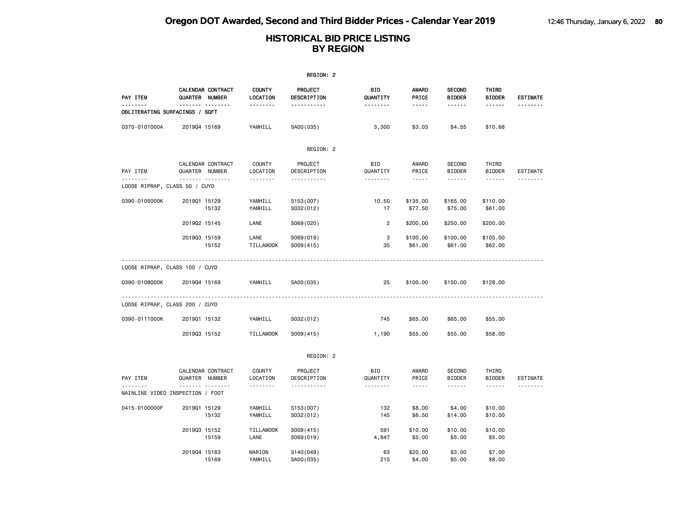|                                            |                                              |                                | REGION: 2                                               |                             |                                 |                                          |                                         |                 |
|--------------------------------------------|----------------------------------------------|--------------------------------|---------------------------------------------------------|-----------------------------|---------------------------------|------------------------------------------|-----------------------------------------|-----------------|
| PAY ITEM                                   | CALENDAR CONTRACT<br>QUARTER NUMBER          | <b>COUNTY</b><br>LOCATION      | PROJECT<br>DESCRIPTION                                  | BID<br>QUANTITY             | <b>AWARD</b><br>PRICE           | <b>SECOND</b><br><b>BIDDER</b>           | THIRD<br><b>BIDDER</b>                  | <b>ESTIMATE</b> |
| .<br><b>OBLITERATING SURFACINGS / SQFT</b> |                                              | .                              | .                                                       | <u>.</u>                    | $- - - - -$                     | ------                                   | ------                                  |                 |
| 0370-0101000A                              | 201904 15169                                 | YAMHILL                        | SA00(035)                                               | 3,300                       | \$3.03                          | \$4.55                                   | \$10.68                                 |                 |
|                                            |                                              |                                | REGION: 2                                               |                             |                                 |                                          |                                         |                 |
| PAY ITEM<br><u>.</u>                       | CALENDAR CONTRACT<br>QUARTER NUMBER<br>.     | <b>COUNTY</b><br>LOCATION<br>. | PROJECT<br>DESCRIPTION<br><u> - - - - - - - - - - -</u> | BID<br>QUANTITY<br><u>.</u> | AWARD<br>PRICE<br>$\frac{1}{2}$ | <b>SECOND</b><br><b>BIDDER</b><br>------ | THIRD<br><b>BIDDER</b><br>$- - - - - -$ | <b>ESTIMATE</b> |
| LOOSE RIPRAP, CLASS 50 / CUYD              |                                              |                                |                                                         |                             |                                 |                                          |                                         |                 |
| 0390-0105000K                              | 201901 15129<br>15132                        | YAMHILL<br>YAMHILL             | S153(007)<br>S032(012)                                  | 10.50<br>17                 | \$135.00<br>\$77.50             | \$165.00<br>\$75.00                      | \$110.00<br>\$61.00                     |                 |
|                                            | 201902 15145                                 | LANE                           | S069(020)                                               | $\overline{2}$              | \$200.00                        | \$250.00                                 | \$200.00                                |                 |
|                                            | 201903 15159<br>15152                        | LANE<br><b>TILLAMOOK</b>       | S069(019)<br>S009(415)                                  | 3<br>35                     | \$100.00<br>\$61.00             | \$100.00<br>\$61.00                      | \$105.00<br>\$62.00                     |                 |
| LOOSE RIPRAP, CLASS 100 / CUYD             |                                              | .                              |                                                         |                             |                                 |                                          |                                         |                 |
| 0390-0108000K                              | 201904 15169                                 | YAMHILL                        | SA00(035)                                               | 25                          | \$100.00                        | \$150.00                                 | \$128.00                                |                 |
| LOOSE RIPRAP, CLASS 200 / CUYD             |                                              |                                |                                                         |                             |                                 |                                          |                                         |                 |
| 0390-0111000K                              | 201901 15132                                 | YAMHILL                        | S032(012)                                               | 745                         | \$65.00                         | \$65.00                                  | \$55.00                                 |                 |
|                                            | 201903 15152                                 | <b>TILLAMOOK</b>               | S009(415)                                               | 1,190                       | \$55.00                         | \$55.00                                  | \$58.00                                 |                 |
|                                            |                                              |                                | REGION: 2                                               |                             |                                 |                                          |                                         |                 |
| PAY ITEM                                   | CALENDAR CONTRACT<br>QUARTER NUMBER          | COUNTY<br>LOCATION             | PROJECT<br>DESCRIPTION                                  | BID<br>QUANTITY             | AWARD<br>PRICE                  | <b>SECOND</b><br><b>BIDDER</b>           | THIRD<br><b>BIDDER</b>                  | <b>ESTIMATE</b> |
| . <b>.</b>                                 | <u>.</u><br>MAINLINE VIDEO INSPECTION / FOOT | .                              | <u>.</u>                                                | .                           | $\frac{1}{2}$                   |                                          | $- - - - - -$                           |                 |
| 0415-0100000F                              | 201901 15129<br>15132                        | YAMHILL<br>YAMHILL             | S153(007)<br>S032(012)                                  | 132<br>145                  | \$8.00<br>\$6.50                | \$4.00<br>\$14.00                        | \$10.00<br>\$10.00                      |                 |
|                                            | 201903 15152<br>15159                        | <b>TILLAMOOK</b><br>LANE       | S009(415)<br>S069(019)                                  | 591<br>4,847                | \$10.00<br>\$5.00               | \$10.00<br>\$5.00                        | \$10.00<br>\$5.00                       |                 |
|                                            | 201904 15183<br>15169                        | MARION<br>YAMHILL              | S140(049)<br>SA00(035)                                  | 63<br>215                   | \$20.00<br>\$4.00               | \$3.00<br>\$5.00                         | \$7.00<br>\$8.00                        |                 |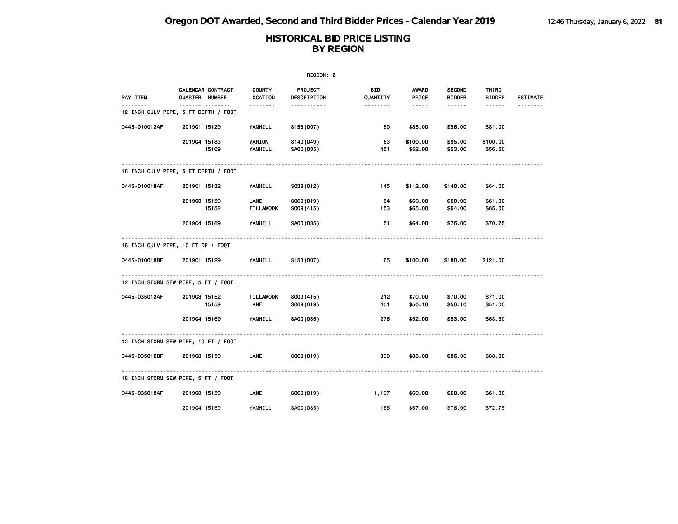|               |                                           |                           | REGION: 2              |                       |                                                                                                               |                                |                        |                 |
|---------------|-------------------------------------------|---------------------------|------------------------|-----------------------|---------------------------------------------------------------------------------------------------------------|--------------------------------|------------------------|-----------------|
| PAY ITEM      | CALENDAR CONTRACT<br>QUARTER NUMBER       | <b>COUNTY</b><br>LOCATION | PROJECT<br>DESCRIPTION | BID<br>QUANTITY       | AWARD<br>PRICE                                                                                                | <b>SECOND</b><br><b>BIDDER</b> | THIRD<br><b>BIDDER</b> | <b>ESTIMATE</b> |
|               | .<br>12 INCH CULV PIPE, 5 FT DEPTH / FOOT |                           | .                      | <u> - - - - - - -</u> | $\frac{1}{2} \frac{1}{2} \frac{1}{2} \frac{1}{2} \frac{1}{2} \frac{1}{2} \frac{1}{2} \frac{1}{2} \frac{1}{2}$ | ------                         | $- - - - - -$          |                 |
| 0445-010012AF | 201901 15129                              | YAMHILL                   | S153(007)              | 60                    | \$85.00                                                                                                       | \$96.00                        | \$81.00                |                 |
|               | 201904 15183<br>15169                     | <b>MARION</b><br>YAMHILL  | S140(049)<br>SA00(035) | 63<br>451             | \$100.00<br>\$52.00                                                                                           | \$95.00<br>\$53.00             | \$100.00<br>\$56.50    |                 |
|               | 18 INCH CULV PIPE, 5 FT DEPTH / FOOT      |                           |                        |                       |                                                                                                               |                                |                        |                 |
| 0445-010018AF | 201901 15132                              | YAMHILL                   | S032(012)              | 145                   | \$112.00                                                                                                      | \$140.00                       | \$64.00                |                 |
|               | 201903 15159<br>15152                     | LANE<br><b>TILLAMOOK</b>  | S069(019)<br>S009(415) | 64<br>153             | \$60.00<br>\$65.00                                                                                            | \$60.00<br>\$64.00             | \$61.00<br>\$65.00     |                 |
|               | 201904 15169                              | YAMHILL                   | SA00(035)              | 51                    | \$64.00                                                                                                       | \$76.00                        | \$70.75                |                 |
|               | 18 INCH CULV PIPE, 10 FT DP / FOOT        |                           |                        |                       |                                                                                                               |                                |                        |                 |
| 0445-010018BF | 201901 15129                              | YAMHILL                   | S153(007)              | 65                    | \$100.00                                                                                                      | \$180.00                       | \$121.00               |                 |
|               | 12 INCH STORM SEW PIPE, 5 FT / FOOT       |                           |                        |                       |                                                                                                               |                                |                        |                 |
| 0445-035012AF | 201903 15152<br>15159                     | TILLAMOOK<br>LANE         | S009(415)<br>S069(019) | 212<br>451            | \$70.00<br>\$50.10                                                                                            | \$70.00<br>\$50.10             | \$71.00<br>\$51.00     |                 |
|               | 201904 15169                              | YAMHILL                   | SA00(035)              | 276                   | \$52.00                                                                                                       | \$53.00                        | \$63.50                |                 |
|               | 12 INCH STORM SEW PIPE, 10 FT / FOOT      |                           |                        |                       |                                                                                                               |                                |                        |                 |
| 0445-035012BF | 201903 15159                              | LANE                      | S069(019)              | 330                   | \$86.00                                                                                                       | \$86.00                        | \$88.00                |                 |
|               | 18 INCH STORM SEW PIPE, 5 FT / FOOT       |                           |                        |                       |                                                                                                               |                                |                        |                 |
| 0445-035018AF | 201903 15159                              | LANE                      | S069(019)              | 1,137                 | \$60.00                                                                                                       | \$60.00                        | \$61.00                |                 |
|               | 201904 15169                              | YAMHILL                   | SA00 (035)             | 166                   | \$67.00                                                                                                       | \$76.00                        | \$72.75                |                 |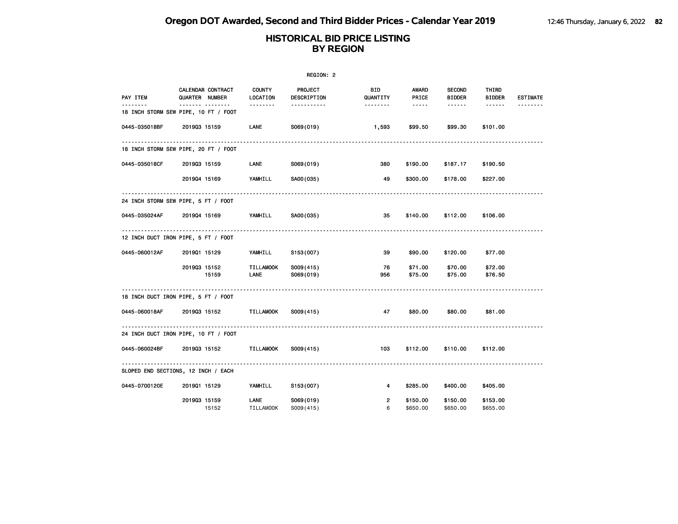|                                      |              |                                            |                           | REGION: 2              |                        |                                                                                                                                                      |                                |                        |                 |
|--------------------------------------|--------------|--------------------------------------------|---------------------------|------------------------|------------------------|------------------------------------------------------------------------------------------------------------------------------------------------------|--------------------------------|------------------------|-----------------|
| PAY ITEM<br><u>.</u>                 |              | <b>CALENDAR CONTRACT</b><br>QUARTER NUMBER | <b>COUNTY</b><br>LOCATION | PROJECT<br>DESCRIPTION | <b>BID</b><br>QUANTITY | AWARD<br>PRICE                                                                                                                                       | <b>SECOND</b><br><b>BIDDER</b> | THIRD<br><b>BIDDER</b> | <b>ESTIMATE</b> |
| 18 INCH STORM SEW PIPE, 10 FT / FOOT |              | .                                          | <u> - - - - - - -</u>     | .                      | <u> - - - - - - -</u>  | $\frac{1}{2} \left( \frac{1}{2} \right) \left( \frac{1}{2} \right) \left( \frac{1}{2} \right) \left( \frac{1}{2} \right) \left( \frac{1}{2} \right)$ | <b></b>                        |                        | <u>.</u>        |
| 0445-035018BF                        | 201903 15159 |                                            | LANE                      | S069(019)              | 1,593                  | \$99.50                                                                                                                                              | \$99.30                        | \$101.00               |                 |
| 18 INCH STORM SEW PIPE, 20 FT / FOOT |              |                                            |                           |                        |                        |                                                                                                                                                      |                                |                        |                 |
| 0445-035018CF                        | 201903 15159 |                                            | <b>LANE</b>               | S069(019)              | 380                    | \$190.00                                                                                                                                             | \$187.17                       | \$190.50               |                 |
|                                      | 201904 15169 |                                            | YAMHILL                   | SA00(035)              | 49                     | \$300.00                                                                                                                                             | \$178.00                       | \$227.00               |                 |
| 24 INCH STORM SEW PIPE, 5 FT / FOOT  |              |                                            |                           |                        |                        |                                                                                                                                                      |                                |                        |                 |
| 0445-035024AF                        |              | 2019Q4 15169 YAMHILL SA00(035)             |                           |                        | 35                     | \$140.00                                                                                                                                             | \$112.00                       | \$106.00               |                 |
| 12 INCH DUCT IRON PIPE, 5 FT / FOOT  |              |                                            |                           |                        |                        |                                                                                                                                                      |                                |                        |                 |
| 0445-060012AF                        | 201901 15129 |                                            | YAMHILL                   | S153(007)              | 39                     | \$90.00                                                                                                                                              | \$120.00                       | \$77.00                |                 |
|                                      | 201903 15152 | 15159                                      | <b>TILLAMOOK</b><br>LANE  | S009(415)<br>S069(019) | 76<br>956              | \$71.00<br>\$75.00                                                                                                                                   | \$70.00<br>\$75.00             | \$72.00<br>\$76.50     |                 |
| 18 INCH DUCT IRON PIPE, 5 FT / FOOT  |              |                                            |                           |                        |                        |                                                                                                                                                      |                                |                        |                 |
| 0445-060018AF                        |              | 201903 15152                               | TILLAMOOK                 | S009(415)              | 47                     | \$80.00                                                                                                                                              | \$80.00                        | \$81.00                |                 |
| 24 INCH DUCT IRON PIPE, 10 FT / FOOT |              |                                            |                           |                        |                        |                                                                                                                                                      |                                |                        |                 |
| 0445-060024BF                        |              | 201903 15152                               | TILLAMOOK                 | S009(415)              | 103                    | \$112.00                                                                                                                                             | \$110.00                       | \$112.00               |                 |
| SLOPED END SECTIONS, 12 INCH / EACH  | .            |                                            |                           |                        |                        |                                                                                                                                                      |                                |                        |                 |
| 0445-0700120E                        | 201901 15129 |                                            | YAMHILL                   | S153(007)              | 4                      | \$285.00                                                                                                                                             | \$400.00                       | \$405.00               |                 |
|                                      | 201903 15159 | 15152                                      | LANE<br>TILLAMOOK         | S069(019)<br>S009(415) | $\overline{2}$<br>6    | \$150.00<br>\$650.00                                                                                                                                 | \$150.00<br>\$650.00           | \$153.00<br>\$655.00   |                 |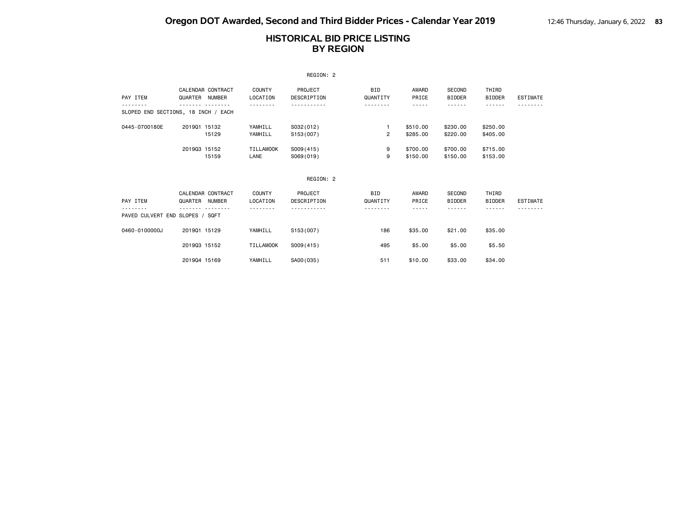|                                             |                |                   |                           | REGION: 2              |                 |                      |                                |                        |                 |
|---------------------------------------------|----------------|-------------------|---------------------------|------------------------|-----------------|----------------------|--------------------------------|------------------------|-----------------|
| PAY ITEM                                    | QUARTER NUMBER | CALENDAR CONTRACT | <b>COUNTY</b><br>LOCATION | PROJECT<br>DESCRIPTION | BID<br>QUANTITY | AWARD<br>PRICE       | <b>SECOND</b><br><b>BIDDER</b> | THIRD<br><b>BIDDER</b> | ESTIMATE        |
| SLOPED END SECTIONS, 18 INCH / EACH         |                |                   |                           |                        | .               | - - - - -            | ------                         | - - - - - -            |                 |
| 0445-0700180E                               | 201901 15132   | 15129             | YAMHILL<br>YAMHILL        | S032(012)<br>S153(007) | $\overline{c}$  | \$510.00<br>\$285,00 | \$230,00<br>\$220,00           | \$250,00<br>\$405,00   |                 |
|                                             | 201903 15152   | 15159             | <b>TILLAMOOK</b><br>LANE  | S009(415)<br>S069(019) | 9<br>9          | \$700.00<br>\$150.00 | \$700.00<br>\$150,00           | \$715.00<br>\$153.00   |                 |
|                                             |                |                   |                           | REGION: 2              |                 |                      |                                |                        |                 |
| PAY ITEM<br>PAVED CULVERT END SLOPES / SQFT | QUARTER NUMBER | CALENDAR CONTRACT | <b>COUNTY</b><br>LOCATION | PROJECT<br>DESCRIPTION | BID<br>QUANTITY | AWARD<br>PRICE       | SECOND<br><b>BIDDER</b>        | THIRD<br><b>BIDDER</b> | <b>ESTIMATE</b> |
| 0460-0100000J                               | 201901 15129   |                   | YAMHILL                   | S153(007)              | 186             | \$35,00              | \$21.00                        | \$35.00                |                 |
|                                             | 201903 15152   |                   | <b>TILLAMOOK</b>          | S009(415)              | 495             | \$5.00               | \$5.00                         | \$5.50                 |                 |
|                                             | 201904 15169   |                   | YAMHILL                   | SA00(035)              | 511             | \$10.00              | \$33.00                        | \$34.00                |                 |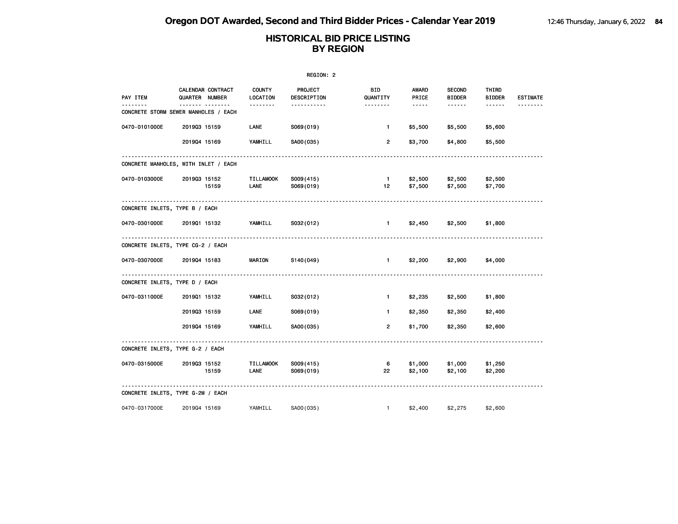| REGION: 2                      |                                            |                    |                        |                        |                |                                |                        |                 |  |
|--------------------------------|--------------------------------------------|--------------------|------------------------|------------------------|----------------|--------------------------------|------------------------|-----------------|--|
| PAY ITEM                       | CALENDAR CONTRACT<br><b>QUARTER NUMBER</b> | COUNTY<br>LOCATION | PROJECT<br>DESCRIPTION | <b>BID</b><br>QUANTITY | AWARD<br>PRICE | <b>SECOND</b><br><b>BIDDER</b> | THIRD<br><b>BIDDER</b> | <b>ESTIMATE</b> |  |
|                                | .<br>CONCRETE STORM SEWER MANHOLES / EACH  | .                  | .                      | --------               | -----          | ------                         | ------                 |                 |  |
| 0470-0101000E                  | 201903 15159                               | LANE               | S069(019)              | $\mathbf{1}$           | \$5,500        | \$5,500                        | \$5,600                |                 |  |
|                                | 201904 15169                               | YAMHILL            | SA00(035)              | $\overline{2}$         | \$3,700        | \$4,800                        | \$5,500                |                 |  |
|                                | CONCRETE MANHOLES, WITH INLET / EACH       | .                  |                        |                        |                |                                |                        |                 |  |
| 0470-0103000E                  | 201903 15152                               | <b>TILLAMOOK</b>   | S009(415)              | $\blacksquare$         | \$2,500        | \$2,500                        | \$2,500                |                 |  |
|                                | 15159                                      | LANE               | S069(019)              | 12                     | \$7,500        | \$7,500                        | \$7,700                |                 |  |
| CONCRETE INLETS, TYPE B / EACH |                                            |                    |                        |                        |                |                                |                        |                 |  |
| 0470-0301000E                  | 201901 15132                               | YAMHILL            | S032(012)              | $\mathbf{1}$           | \$2,450        | \$2,500                        | \$1,800                |                 |  |
|                                | CONCRETE INLETS, TYPE CG-2 / EACH          | ----------         |                        |                        |                |                                |                        |                 |  |
| 0470-0307000E                  | 201904 15183                               | <b>MARION</b>      | S140(049)              | $\mathbf{1}$           | \$2,200        | \$2,900                        | \$4,000                |                 |  |
| CONCRETE INLETS, TYPE D / EACH |                                            |                    |                        |                        |                |                                |                        |                 |  |
| 0470-0311000E                  | 201901 15132                               | YAMHILL            | S032(012)              | $\mathbf{1}$           | \$2,235        | \$2,500                        | \$1,800                |                 |  |
|                                | 201903 15159                               | LANE               | S069(019)              | $\blacksquare$         | \$2,350        | \$2,350                        | \$2,400                |                 |  |
|                                | 201904 15169                               | YAMHILL            | SA00(035)              | $\overline{2}$         | \$1,700        | \$2,350                        | \$2,600                |                 |  |
|                                | CONCRETE INLETS, TYPE G-2 / EACH           |                    |                        |                        |                |                                |                        |                 |  |
| 0470-0315000E                  | 201903 15152                               | <b>TILLAMOOK</b>   | S009(415)              | 6                      | \$1,000        | \$1,000                        | \$1,250                |                 |  |
|                                | 15159                                      | LANE               | S069(019)              | 22                     | \$2,100        | \$2,100                        | \$2,200                |                 |  |
|                                | CONCRETE INLETS, TYPE G-2M / EACH          |                    |                        |                        |                |                                |                        |                 |  |
| 0470-0317000E                  | 201904 15169                               | YAMHILL            | SA00 (035)             | $\mathbf{1}$           | \$2,400        | \$2,275                        | \$2,600                |                 |  |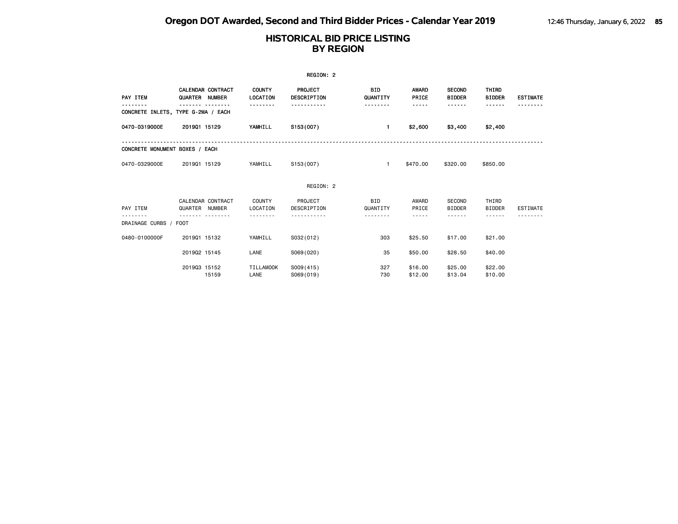|                                    |                |                          |                           | REGION: 2                     |                 |                       |                                |                        |                 |
|------------------------------------|----------------|--------------------------|---------------------------|-------------------------------|-----------------|-----------------------|--------------------------------|------------------------|-----------------|
| PAY ITEM                           | QUARTER NUMBER | <b>CALENDAR CONTRACT</b> | <b>COUNTY</b><br>LOCATION | <b>PROJECT</b><br>DESCRIPTION | BID<br>QUANTITY | <b>AWARD</b><br>PRICE | <b>SECOND</b><br><b>BIDDER</b> | THIRD<br><b>BIDDER</b> | <b>ESTIMATE</b> |
| CONCRETE INLETS, TYPE G-2MA / EACH |                |                          |                           |                               |                 | -----                 | ------                         | ------                 |                 |
| 0470-0319000E                      | 201901 15129   |                          | YAMHILL                   | S153(007)                     | $\mathbf{1}$    | \$2,600               | \$3,400                        | \$2,400                |                 |
| CONCRETE MONUMENT BOXES / EACH     |                |                          |                           |                               |                 |                       |                                |                        |                 |
| 0470-0329000E                      | 201901 15129   |                          | YAMHILL                   | S153(007)                     | $\mathbf{1}$    | \$470.00              | \$320.00                       | \$850.00               |                 |
|                                    |                |                          |                           | REGION: 2                     |                 |                       |                                |                        |                 |
| PAY ITEM                           | QUARTER NUMBER | CALENDAR CONTRACT        | COUNTY<br>LOCATION        | PROJECT<br>DESCRIPTION        | BID<br>QUANTITY | AWARD<br>PRICE        | <b>SECOND</b><br><b>BIDDER</b> | THIRD<br><b>BIDDER</b> | <b>ESTIMATE</b> |
| .<br>DRAINAGE CURBS / FOOT         |                |                          |                           |                               |                 | -----                 | - - - - - -                    |                        |                 |
| 0480-0100000F                      | 201901 15132   |                          | YAMHILL                   | S032(012)                     | 303             | \$25.50               | \$17,00                        | \$21.00                |                 |
|                                    | 201902 15145   |                          | LANE                      | S069(020)                     | 35              | \$50.00               | \$28.50                        | \$40.00                |                 |
|                                    | 201903 15152   | 15159                    | TILLAMOOK<br>LANE         | S009(415)<br>S069(019)        | 327<br>730      | \$16.00<br>\$12.00    | \$25.00<br>\$13.04             | \$22.00<br>\$10.00     |                 |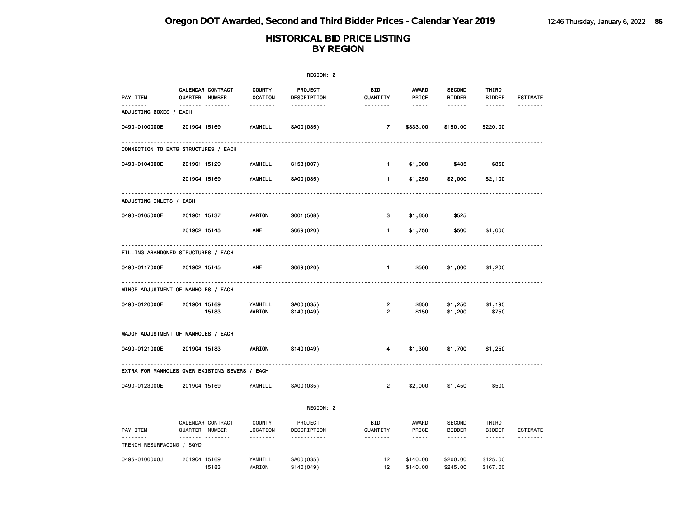|                                                |                                     |                           | REGION: 2              |                        |                      |                                |                                                                                                             |                 |
|------------------------------------------------|-------------------------------------|---------------------------|------------------------|------------------------|----------------------|--------------------------------|-------------------------------------------------------------------------------------------------------------|-----------------|
| PAY ITEM                                       | CALENDAR CONTRACT<br>QUARTER NUMBER | <b>COUNTY</b><br>LOCATION | PROJECT<br>DESCRIPTION | <b>BID</b><br>QUANTITY | AWARD<br>PRICE       | <b>SECOND</b><br><b>BIDDER</b> | THIRD<br><b>BIDDER</b>                                                                                      | <b>ESTIMATE</b> |
| <u>.</u><br>ADJUSTING BOXES / EACH             | <b>.</b>                            | .                         | <u>.</u>               | <u>.</u>               | $- - - - -$          |                                | ------                                                                                                      |                 |
| 0490-0100000E                                  | 201904 15169                        | YAMHILL                   | SA00(035)              | $\overline{7}$         | \$333.00             | \$150.00                       | \$220.00                                                                                                    |                 |
| CONNECTION TO EXTG STRUCTURES / EACH           |                                     |                           |                        |                        |                      |                                |                                                                                                             |                 |
| 0490-0104000E                                  | 201901 15129                        | YAMHILL                   | S153(007)              | $\mathbf{1}$           | \$1,000              | \$485                          | \$850                                                                                                       |                 |
|                                                | 201904 15169                        | YAMHILL                   | SA00(035)              | $\mathbf{1}$           | \$1,250              | \$2,000                        | \$2,100                                                                                                     |                 |
| ADJUSTING INLETS / EACH                        |                                     |                           |                        |                        |                      |                                |                                                                                                             |                 |
| 0490-0105000E                                  | 201901 15137                        | <b>MARION</b>             | S001 (508)             | з                      | \$1,650              | \$525                          |                                                                                                             |                 |
|                                                | 201902 15145                        | LANE                      | S069(020)              | 1                      | \$1,750              | \$500                          | \$1,000                                                                                                     |                 |
| FILLING ABANDONED STRUCTURES / EACH            |                                     |                           |                        |                        |                      |                                |                                                                                                             |                 |
| 0490-0117000E                                  | 201902 15145                        | LANE                      | S069(020)              | $\mathbf{1}$           | \$500                | \$1,000                        | \$1,200                                                                                                     |                 |
| MINOR ADJUSTMENT OF MANHOLES / EACH            |                                     |                           |                        |                        |                      |                                |                                                                                                             |                 |
| 0490-0120000E                                  | 201904 15169<br>15183               | YAMHILL<br>MARION         | SA00(035)<br>S140(049) | 2<br>2                 | \$650<br>\$150       | \$1,250<br>\$1,200             | \$1,195<br>\$750                                                                                            |                 |
| MAJOR ADJUSTMENT OF MANHOLES / EACH            |                                     |                           |                        |                        |                      |                                |                                                                                                             |                 |
| 0490-0121000E                                  | 201904 15183                        | MARION                    | S140(049)              | 4                      | \$1,300              | \$1,700                        | \$1,250                                                                                                     |                 |
| EXTRA FOR MANHOLES OVER EXISTING SEWERS / EACH |                                     |                           |                        |                        |                      |                                |                                                                                                             |                 |
| 0490-0123000E                                  | 201904 15169                        | YAMHILL                   | SA00(035)              | 2                      | \$2,000              | \$1,450                        | \$500                                                                                                       |                 |
|                                                |                                     |                           | REGION: 2              |                        |                      |                                |                                                                                                             |                 |
| PAY ITEM                                       | CALENDAR CONTRACT<br>QUARTER NUMBER | COUNTY<br>LOCATION        | PROJECT<br>DESCRIPTION | <b>BID</b><br>QUANTITY | AWARD<br>PRICE       | <b>SECOND</b><br><b>BIDDER</b> | THIRD<br><b>BIDDER</b>                                                                                      | <b>ESTIMATE</b> |
| <u>.</u><br>TRENCH RESURFACING / SQYD          | .                                   | .                         | .                      | .                      | $- - - -$            | .                              | $\begin{array}{cccccccccc} \bullet & \bullet & \bullet & \bullet & \bullet & \bullet & \bullet \end{array}$ | .               |
| 0495-0100000J                                  | 201904 15169<br>15183               | YAMHILL<br>MARION         | SA00(035)<br>S140(049) | 12<br>12               | \$140.00<br>\$140.00 | \$200.00<br>\$245.00           | \$125.00<br>\$167.00                                                                                        |                 |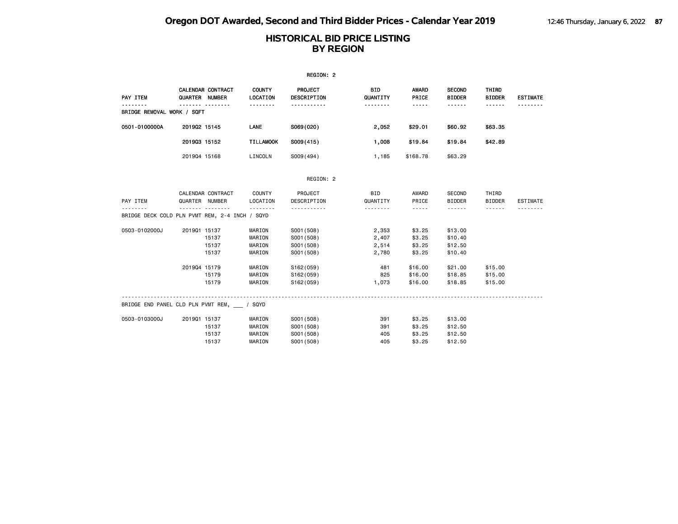|                                                |                |                               |                                              | REGION: 2                          |                                    |                                                                                                                                                      |                                          |                                  |                 |
|------------------------------------------------|----------------|-------------------------------|----------------------------------------------|------------------------------------|------------------------------------|------------------------------------------------------------------------------------------------------------------------------------------------------|------------------------------------------|----------------------------------|-----------------|
| PAY ITEM                                       | QUARTER NUMBER | CALENDAR CONTRACT<br><u>.</u> | <b>COUNTY</b><br><b>LOCATION</b><br><u>.</u> | <b>PROJECT</b><br>DESCRIPTION<br>. | <b>BID</b><br>QUANTITY<br><u>.</u> | AWARD<br>PRICE<br>$- - - - -$                                                                                                                        | <b>SECOND</b><br><b>BIDDER</b><br>------ | THIRD<br><b>BIDDER</b><br>------ | <b>ESTIMATE</b> |
| BRIDGE REMOVAL WORK / SQFT                     |                |                               |                                              |                                    |                                    |                                                                                                                                                      |                                          |                                  |                 |
| 0501-0100000A                                  | 201902 15145   |                               | LANE                                         | S069(020)                          | 2,052                              | \$29.01                                                                                                                                              | \$60.92                                  | \$63.35                          |                 |
|                                                | 201903 15152   |                               | <b>TILLAMOOK</b>                             | S009(415)                          | 1,008                              | \$19.84                                                                                                                                              | \$19.84                                  | \$42.89                          |                 |
|                                                | 201904 15168   |                               | LINCOLN                                      | S009(494)                          | 1,185                              | \$168.78                                                                                                                                             | \$63,29                                  |                                  |                 |
|                                                |                |                               |                                              | REGION: 2                          |                                    |                                                                                                                                                      |                                          |                                  |                 |
|                                                |                | CALENDAR CONTRACT             | COUNTY                                       | PROJECT                            | BID                                | AWARD                                                                                                                                                | SECOND                                   | THIRD                            |                 |
| PAY ITEM                                       | QUARTER NUMBER |                               | LOCATION                                     | DESCRIPTION                        | QUANTITY                           | PRICE                                                                                                                                                | <b>BIDDER</b>                            | <b>BIDDER</b>                    | ESTIMATE        |
| BRIDGE DECK COLD PLN PVMT REM, 2-4 INCH / SQYD |                | .                             | .                                            | .                                  | .                                  | $\frac{1}{2} \left( \frac{1}{2} \right) \left( \frac{1}{2} \right) \left( \frac{1}{2} \right) \left( \frac{1}{2} \right) \left( \frac{1}{2} \right)$ | ------                                   | .                                |                 |
| 0503-0102000J                                  | 201901 15137   |                               | MARION                                       | S001 (508)                         | 2,353                              | \$3.25                                                                                                                                               | \$13.00                                  |                                  |                 |
|                                                |                | 15137                         | MARION                                       | S001 (508)                         | 2,407                              | \$3.25                                                                                                                                               | \$10.40                                  |                                  |                 |
|                                                |                | 15137                         | MARION                                       | S001 (508)                         | 2,514                              | \$3.25                                                                                                                                               | \$12.50                                  |                                  |                 |
|                                                |                | 15137                         | MARION                                       | S001 (508)                         | 2,780                              | \$3.25                                                                                                                                               | \$10.40                                  |                                  |                 |
|                                                | 201904 15179   |                               | MARION                                       | S162(059)                          | 481                                | \$16,00                                                                                                                                              | \$21.00                                  | \$15.00                          |                 |
|                                                |                | 15179                         | MARION                                       | S162(059)                          | 825                                | \$16.00                                                                                                                                              | \$18.85                                  | \$15.00                          |                 |
|                                                |                | 15179                         | MARION                                       | S162(059)                          | 1,073                              | \$16.00                                                                                                                                              | \$18.85                                  | \$15.00                          |                 |
| BRIDGE END PANEL CLD PLN PVMT REM, / SQYD      |                |                               |                                              |                                    |                                    |                                                                                                                                                      |                                          |                                  |                 |
| 0503-0103000J                                  | 201901 15137   |                               | MARION                                       | S001 (508)                         | 391                                | \$3.25                                                                                                                                               | \$13.00                                  |                                  |                 |
|                                                |                | 15137                         | MARION                                       | S001 (508)                         | 391                                | \$3.25                                                                                                                                               | \$12.50                                  |                                  |                 |
|                                                |                | 15137                         | MARION                                       | S001 (508)                         | 405                                | \$3.25                                                                                                                                               | \$12.50                                  |                                  |                 |
|                                                |                | 15137                         | MARION                                       | S001 (508)                         | 405                                | \$3.25                                                                                                                                               | \$12.50                                  |                                  |                 |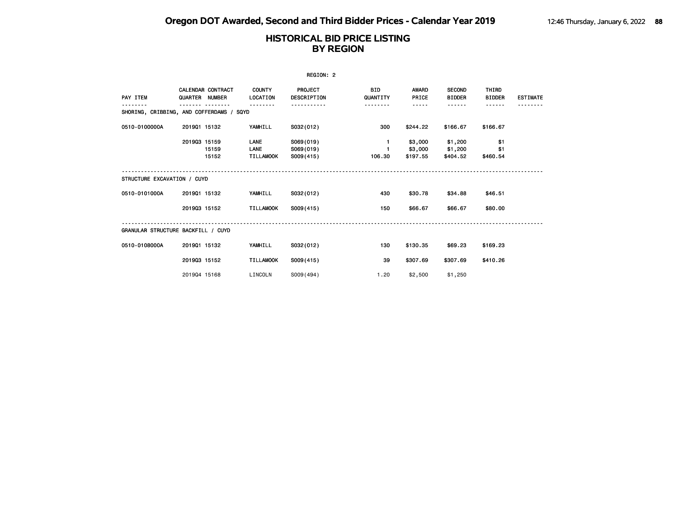|                                          |                |                   |                                  | REGION: 2                            |                        |                                |                                |                        |                 |
|------------------------------------------|----------------|-------------------|----------------------------------|--------------------------------------|------------------------|--------------------------------|--------------------------------|------------------------|-----------------|
| PAY ITEM                                 | QUARTER NUMBER | CALENDAR CONTRACT | <b>COUNTY</b><br>LOCATION        | <b>PROJECT</b><br><b>DESCRIPTION</b> | <b>BID</b><br>QUANTITY | <b>AWARD</b><br>PRICE          | <b>SECOND</b><br><b>BIDDER</b> | THIRD<br><b>BIDDER</b> | <b>ESTIMATE</b> |
| SHORING, CRIBBING, AND COFFERDAMS / SQYD |                |                   |                                  |                                      |                        | -----                          | .                              |                        |                 |
| 0510-0100000A                            | 201901 15132   |                   | YAMHILL                          | S032(012)                            | 300                    | \$244.22                       | \$166.67                       | \$166.67               |                 |
|                                          | 201903 15159   | 15159<br>15152    | LANE<br>LANE<br><b>TILLAMOOK</b> | S069(019)<br>S069(019)<br>S009(415)  | $\mathbf{1}$<br>106.30 | \$3,000<br>\$3,000<br>\$197.55 | \$1,200<br>\$1,200<br>\$404.52 | \$1<br>\$1<br>\$460.54 |                 |
| STRUCTURE EXCAVATION / CUYD              |                |                   |                                  |                                      |                        |                                |                                |                        |                 |
| 0510-0101000A                            | 201901 15132   |                   | YAMHILL                          | S032(012)                            | 430                    | \$30.78                        | \$34.88                        | \$46.51                |                 |
|                                          | 201903 15152   |                   | <b>TILLAMOOK</b>                 | S009(415)                            | 150                    | \$66.67                        | \$66.67                        | \$80.00                |                 |
| GRANULAR STRUCTURE BACKFILL / CUYD       |                |                   |                                  |                                      |                        |                                |                                |                        |                 |
| 0510-0108000A                            | 201901 15132   |                   | YAMHILL                          | S032(012)                            | 130                    | \$130.35                       | \$69.23                        | \$169.23               |                 |
|                                          | 201903 15152   |                   | <b>TILLAMOOK</b>                 | S009(415)                            | 39                     | \$307.69                       | \$307.69                       | \$410.26               |                 |
|                                          | 201904 15168   |                   | LINCOLN                          | S009(494)                            | 1.20                   | \$2,500                        | \$1,250                        |                        |                 |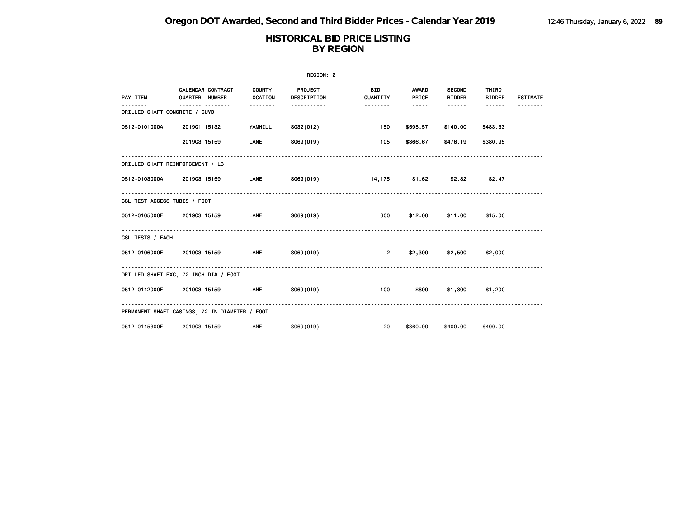|                                  |                                                         |                         | REGION: 2              |                         |                                   |                                     |                             |                 |
|----------------------------------|---------------------------------------------------------|-------------------------|------------------------|-------------------------|-----------------------------------|-------------------------------------|-----------------------------|-----------------|
| PAY ITEM                         | <b>CALENDAR CONTRACT</b><br>QUARTER NUMBER<br>--------- | COUNTY<br>LOCATION<br>. | PROJECT<br>DESCRIPTION | <b>BID</b><br>QUANTITY  | <b>AWARD</b><br>PRICE<br>$\cdots$ | <b>SECOND</b><br><b>BIDDER</b><br>. | THIRD<br><b>BIDDER</b><br>. | <b>ESTIMATE</b> |
| DRILLED SHAFT CONCRETE / CUYD    |                                                         |                         |                        |                         |                                   |                                     |                             |                 |
| 0512-0101000A                    | 201901 15132                                            | YAMHILL                 | S032(012)              | 150                     | \$595.57                          | \$140.00                            | \$483.33                    |                 |
|                                  | 201903 15159                                            | LANE                    | S069(019)              | 105                     | \$366.67                          | \$476.19                            | \$380.95                    |                 |
| DRILLED SHAFT REINFORCEMENT / LB |                                                         |                         |                        |                         |                                   |                                     |                             |                 |
| 0512-0103000A 201903 15159       |                                                         | <b>Example 12</b>       |                        | S069(019) 14,175 \$1.62 |                                   | \$2.82                              | \$2.47                      |                 |
| CSL TEST ACCESS TUBES / FOOT     |                                                         |                         |                        |                         |                                   |                                     |                             |                 |
| 0512-0105000F 2019Q3 15159       |                                                         | <b>LANE</b>             | S069(019)              | 600                     |                                   | \$12.00 \$11.00                     | \$15.00                     |                 |
| CSL TESTS / EACH                 |                                                         |                         |                        |                         |                                   |                                     |                             |                 |
| 0512-0106000E                    | 201903 15159                                            | LANE                    | S069(019)              | $\overline{2}$          |                                   | $$2,300$ $$2,500$ $$2,000$          |                             |                 |
|                                  | DRILLED SHAFT EXC, 72 INCH DIA / FOOT                   |                         |                        |                         |                                   |                                     |                             |                 |
| 0512-0112000F 201903 15159       |                                                         | <b>LANE</b>             | S069(019)              | 100                     | \$800                             | \$1,300                             | \$1,200                     |                 |
|                                  | PERMANENT SHAFT CASINGS, 72 IN DIAMETER / FOOT          |                         |                        |                         |                                   |                                     |                             |                 |
| 0512-0115300F                    | 201903 15159                                            | LANE                    | S069(019)              | 20                      | \$360,00                          | \$400,00                            | \$400.00                    |                 |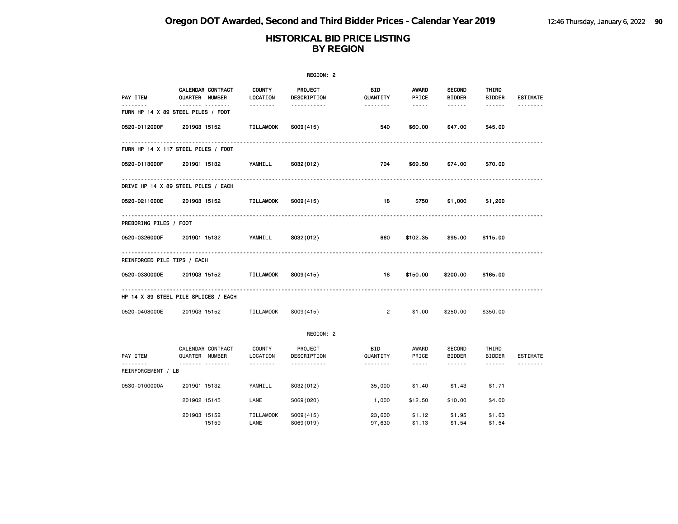|                             |                                               |                           | REGION: 2                     |                        |                                                                                                               |                                |                        |                 |
|-----------------------------|-----------------------------------------------|---------------------------|-------------------------------|------------------------|---------------------------------------------------------------------------------------------------------------|--------------------------------|------------------------|-----------------|
| PAY ITEM                    | CALENDAR CONTRACT<br>QUARTER NUMBER           | <b>COUNTY</b><br>LOCATION | <b>PROJECT</b><br>DESCRIPTION | BID<br>QUANTITY        | AWARD<br>PRICE                                                                                                | <b>SECOND</b><br><b>BIDDER</b> | THIRD<br><b>BIDDER</b> | <b>ESTIMATE</b> |
| --------                    | <u></u><br>FURN HP 14 X 89 STEEL PILES / FOOT | --------                  | -----------                   | --------               | $\cdots \cdots \cdots$                                                                                        | ------                         | ------                 |                 |
| 0520-0112000F               | 201903 15152                                  | <b>TILLAMOOK</b>          | S009(415)                     | 540                    | \$60.00                                                                                                       | \$47.00                        | \$45.00                |                 |
|                             | FURN HP 14 X 117 STEEL PILES / FOOT           |                           |                               |                        |                                                                                                               |                                |                        |                 |
| 0520-0113000F               | 201901 15132                                  | YAMHILL                   | S032(012)                     | 704                    | \$69.50                                                                                                       | \$74.00                        | \$70.00                |                 |
|                             | DRIVE HP 14 X 89 STEEL PILES / EACH           |                           |                               |                        |                                                                                                               |                                |                        |                 |
| 0520-0211000E               | 201903 15152                                  | <b>TILLAMOOK</b>          | S009(415)                     | 18                     | \$750                                                                                                         | \$1,000                        | \$1,200                |                 |
| PREBORING PILES / FOOT      |                                               |                           |                               |                        |                                                                                                               |                                |                        |                 |
| 0520-0326000F               | 201901 15132                                  | YAMHILL                   | S032(012)                     | 660                    | \$102.35                                                                                                      | \$95.00                        | \$115.00               |                 |
| REINFORCED PILE TIPS / EACH |                                               |                           |                               |                        |                                                                                                               |                                |                        |                 |
| 0520-0330000E               | 201903 15152                                  | TILLAMOOK                 | S009(415)                     | 18                     | \$150.00                                                                                                      | \$200.00                       | \$165.00               |                 |
|                             | HP 14 X 89 STEEL PILE SPLICES / EACH          |                           |                               |                        |                                                                                                               |                                |                        |                 |
| 0520-0408000E               | 201903 15152                                  | <b>TILLAMOOK</b>          | S009(415)                     | $\overline{2}$         | \$1.00                                                                                                        | \$250,00                       | \$350.00               |                 |
|                             |                                               |                           | REGION: 2                     |                        |                                                                                                               |                                |                        |                 |
| PAY ITEM                    | CALENDAR CONTRACT<br>QUARTER NUMBER           | <b>COUNTY</b><br>LOCATION | PROJECT<br>DESCRIPTION        | <b>BID</b><br>QUANTITY | AWARD<br>PRICE                                                                                                | SECOND<br><b>BIDDER</b>        | THIRD<br><b>BIDDER</b> | ESTIMATE        |
| REINFORCEMENT / LB          |                                               | .                         | .                             | .                      | $\frac{1}{2} \frac{1}{2} \frac{1}{2} \frac{1}{2} \frac{1}{2} \frac{1}{2} \frac{1}{2} \frac{1}{2} \frac{1}{2}$ | ------                         | ------                 |                 |
| 0530-0100000A               | 201901 15132                                  | YAMHILL                   | S032(012)                     | 35,000                 | \$1.40                                                                                                        | \$1.43                         | \$1.71                 |                 |
|                             | 201902 15145                                  | LANE                      | S069(020)                     | 1,000                  | \$12.50                                                                                                       | \$10.00                        | \$4.00                 |                 |
|                             | 201903 15152<br>15159                         | <b>TILLAMOOK</b><br>LANE  | S009(415)<br>S069(019)        | 23,600<br>97,630       | \$1.12<br>\$1.13                                                                                              | \$1.95<br>\$1.54               | \$1.63<br>\$1.54       |                 |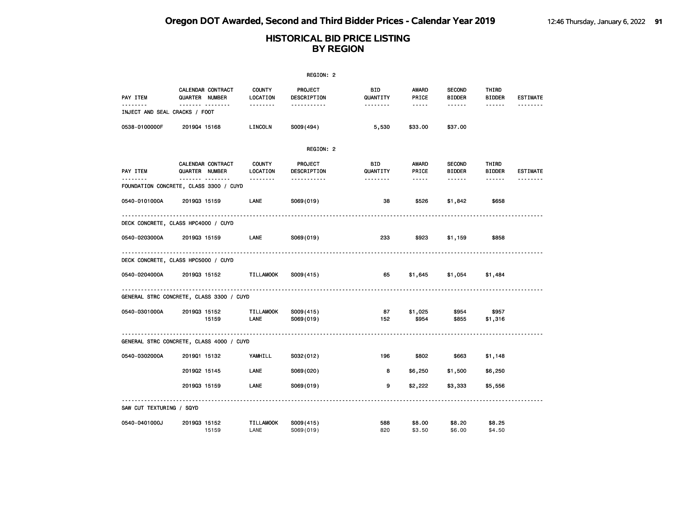|                               |                                                 |                           | REGION: 2                             |                 |                  |                                |                        |                 |
|-------------------------------|-------------------------------------------------|---------------------------|---------------------------------------|-----------------|------------------|--------------------------------|------------------------|-----------------|
| PAY ITEM                      | CALENDAR CONTRACT<br>QUARTER NUMBER             | <b>COUNTY</b><br>LOCATION | PROJECT<br>DESCRIPTION                | BID<br>QUANTITY | AWARD<br>PRICE   | <b>SECOND</b><br><b>BIDDER</b> | THIRD<br><b>BIDDER</b> | <b>ESTIMATE</b> |
| INJECT AND SEAL CRACKS / FOOT |                                                 | <u>.</u>                  | -----------                           |                 | -----            | ------                         | ------                 |                 |
| 0538-0100000F                 | 201904 15168                                    | LINCOLN                   | S009(494)                             | 5,530           | \$33.00          | \$37.00                        |                        |                 |
|                               |                                                 |                           | REGION: 2                             |                 |                  |                                |                        |                 |
| PAY ITEM                      | CALENDAR CONTRACT<br>QUARTER NUMBER             | <b>COUNTY</b><br>LOCATION | PROJECT<br>DESCRIPTION                | BID<br>QUANTITY | AWARD<br>PRICE   | <b>SECOND</b><br><b>BIDDER</b> | THIRD<br><b>BIDDER</b> | <b>ESTIMATE</b> |
| . <b>.</b>                    | <br>FOUNDATION CONCRETE, CLASS 3300 / CUYD      | --------                  | -----------                           | --------        | -----            | ------                         | ------                 |                 |
| 0540-0101000A                 | 201903 15159                                    | LANE                      | S069(019)                             | 38              | \$526            | \$1,842                        | \$658                  |                 |
|                               | DECK CONCRETE, CLASS HPC4000 / CUYD             |                           |                                       |                 |                  |                                |                        |                 |
| 0540-0203000A                 | 201903 15159                                    | LANE                      | S069(019)                             | 233             | \$923            | \$1,159                        | \$858                  |                 |
|                               | <u>.</u><br>DECK CONCRETE, CLASS HPC5000 / CUYD |                           |                                       |                 |                  |                                |                        |                 |
| 0540-0204000A                 | 201903 15152                                    | TILLAMOOK                 | S009(415)                             | 65              | \$1,645          | \$1,054                        | \$1,484                |                 |
|                               | GENERAL STRC CONCRETE, CLASS 3300 / CUYD        |                           |                                       |                 |                  |                                |                        |                 |
| 0540-0301000A                 | 201903 15152<br>15159                           | <b>TILLAMOOK</b><br>LANE  | S009(415)<br>S069(019)                | 87<br>152       | \$1,025<br>\$954 | \$954<br>\$855                 | \$957<br>\$1,316       |                 |
|                               | GENERAL STRC CONCRETE, CLASS 4000 / CUYD        |                           | ------------------------------------- |                 |                  |                                |                        |                 |
| 0540-0302000A                 | 201901 15132                                    | YAMHILL                   | S032(012)                             | 196             | \$802            | \$663                          | \$1,148                |                 |
|                               | 201902 15145                                    | LANE                      | S069(020)                             | 8               | \$6,250          | \$1,500                        | \$6,250                |                 |
|                               | 201903 15159                                    | LANE                      | S069(019)                             | 9               | \$2,222          | \$3,333                        | \$5,556                |                 |
| SAW CUT TEXTURING / SQYD      |                                                 |                           |                                       |                 |                  |                                |                        |                 |
| 0540-0401000J                 | 201903 15152<br>15159                           | <b>TILLAMOOK</b><br>LANE  | S009(415)<br>S069(019)                | 588<br>820      | \$8.00<br>\$3.50 | \$8.20<br>\$6.00               | \$8.25<br>\$4.50       |                 |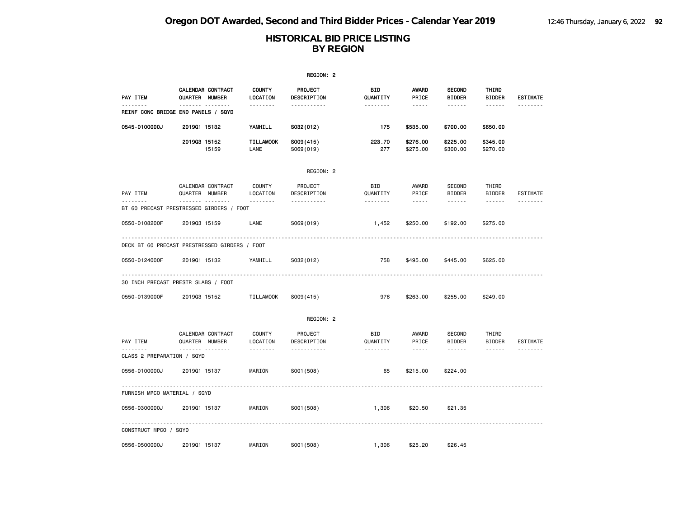|                                        |                                                            |                           | REGION: 2                     |                        |                                                                                                                                                      |                                |                        |                 |
|----------------------------------------|------------------------------------------------------------|---------------------------|-------------------------------|------------------------|------------------------------------------------------------------------------------------------------------------------------------------------------|--------------------------------|------------------------|-----------------|
| PAY ITEM                               | CALENDAR CONTRACT<br>QUARTER NUMBER                        | <b>COUNTY</b><br>LOCATION | <b>PROJECT</b><br>DESCRIPTION | BID<br>QUANTITY        | AWARD<br>PRICE                                                                                                                                       | <b>SECOND</b><br><b>BIDDER</b> | THIRD<br><b>BIDDER</b> | <b>ESTIMATE</b> |
| .                                      | <br>REINF CONC BRIDGE END PANELS / SQYD                    | .                         | .                             | <u>.</u>               | $- - - - -$                                                                                                                                          | $- - - - - -$                  |                        | .               |
| 0545-0100000J                          | 201901 15132                                               | YAMHILL                   | S032(012)                     | 175                    | \$535.00                                                                                                                                             | \$700.00                       | \$650.00               |                 |
|                                        | 201903 15152<br>15159                                      | <b>TILLAMOOK</b><br>LANE  | S009(415)<br>S069(019)        | 223.70<br>277          | \$276.00<br>\$275.00                                                                                                                                 | \$225.00<br>\$300.00           | \$345.00<br>\$270.00   |                 |
|                                        |                                                            |                           | REGION: 2                     |                        |                                                                                                                                                      |                                |                        |                 |
| PAY ITEM                               | CALENDAR CONTRACT<br>QUARTER NUMBER                        | COUNTY<br>LOCATION        | PROJECT<br>DESCRIPTION        | <b>BID</b><br>QUANTITY | AWARD<br>PRICE                                                                                                                                       | SECOND<br><b>BIDDER</b>        | THIRD<br><b>BIDDER</b> | ESTIMATE        |
|                                        | . <sub>.</sub><br>BT 60 PRECAST PRESTRESSED GIRDERS / FOOT | <u>.</u>                  | .                             | .                      | $\frac{1}{2} \left( \frac{1}{2} \right) \left( \frac{1}{2} \right) \left( \frac{1}{2} \right) \left( \frac{1}{2} \right) \left( \frac{1}{2} \right)$ | .                              | $\cdots \cdots \cdots$ | .               |
| 0550-0108200F                          | 201903 15159                                               | LANE                      | S069(019)                     | 1,452                  | \$250.00                                                                                                                                             | \$192.00                       | \$275.00               |                 |
|                                        | DECK BT 60 PRECAST PRESTRESSED GIRDERS / FOOT              |                           |                               |                        |                                                                                                                                                      |                                |                        |                 |
| 0550-0124000F                          | 201901 15132                                               | YAMHILL                   | S032(012)                     | 758                    | \$495.00                                                                                                                                             | \$445.00                       | \$625.00               |                 |
|                                        | 30 INCH PRECAST PRESTR SLABS / FOOT                        |                           |                               |                        |                                                                                                                                                      |                                |                        |                 |
| 0550-0139000F                          | 201903 15152                                               | <b>TILLAMOOK</b>          | S009(415)                     | 976                    | \$263.00                                                                                                                                             | \$255,00                       | \$249.00               |                 |
|                                        |                                                            |                           | REGION: 2                     |                        |                                                                                                                                                      |                                |                        |                 |
| PAY ITEM                               | CALENDAR CONTRACT<br>QUARTER NUMBER                        | COUNTY<br>LOCATION        | PROJECT<br>DESCRIPTION        | BID<br>QUANTITY        | AWARD<br>PRICE                                                                                                                                       | SECOND<br><b>BIDDER</b>        | THIRD<br><b>BIDDER</b> | ESTIMATE        |
| <u>.</u><br>CLASS 2 PREPARATION / SQYD | .                                                          | <u>.</u>                  | .                             | <u>.</u>               | $\frac{1}{2} \left( \frac{1}{2} \right) \left( \frac{1}{2} \right) \left( \frac{1}{2} \right) \left( \frac{1}{2} \right) \left( \frac{1}{2} \right)$ | ------                         | ------                 | <u>.</u>        |
| 0556-0100000J                          | 201901 15137                                               | MARION                    | S001 (508)                    | 65                     | \$215.00                                                                                                                                             | \$224.00                       |                        |                 |
| FURNISH MPCO MATERIAL / SQYD           |                                                            |                           |                               |                        |                                                                                                                                                      |                                |                        |                 |
| 0556-0300000J                          | 201901 15137                                               | MARION                    | S001 (508)                    | 1,306                  | \$20.50                                                                                                                                              | \$21.35                        |                        |                 |
| CONSTRUCT MPCO / SQYD                  |                                                            |                           |                               |                        |                                                                                                                                                      |                                |                        |                 |
| 0556-0500000J                          | 201901 15137                                               | MARION                    | S001 (508)                    | 1,306                  | \$25.20                                                                                                                                              | \$26.45                        |                        |                 |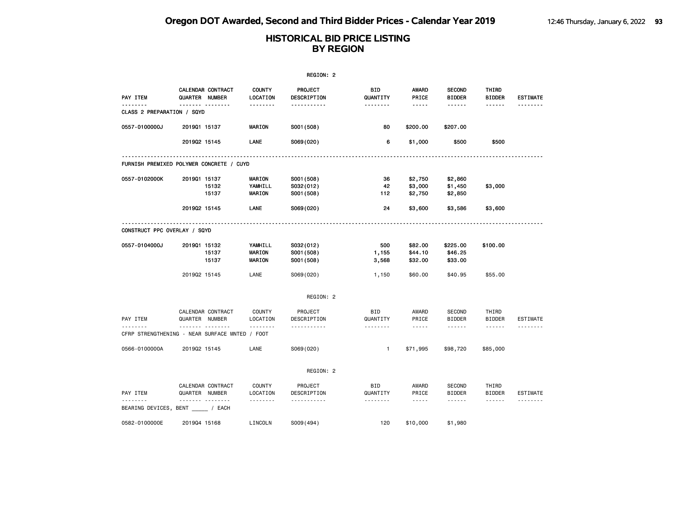|                                                |              |                                     |                           | REGION: 2                     |                        |                                                                                                                           |                                |                        |                 |
|------------------------------------------------|--------------|-------------------------------------|---------------------------|-------------------------------|------------------------|---------------------------------------------------------------------------------------------------------------------------|--------------------------------|------------------------|-----------------|
| PAY ITEM                                       |              | CALENDAR CONTRACT<br>QUARTER NUMBER | <b>COUNTY</b><br>LOCATION | <b>PROJECT</b><br>DESCRIPTION | BID<br>QUANTITY        | <b>AWARD</b><br>PRICE                                                                                                     | <b>SECOND</b><br><b>BIDDER</b> | THIRD<br><b>BIDDER</b> | <b>ESTIMATE</b> |
| CLASS 2 PREPARATION / SQYD                     |              | .                                   | .                         | -----------                   | --------               | -----                                                                                                                     | ------                         | ------                 | .               |
| 0557-0100000J                                  | 201901 15137 |                                     | <b>MARION</b>             | S001 (508)                    | 80                     | \$200.00                                                                                                                  | \$207.00                       |                        |                 |
|                                                | 201902 15145 |                                     | LANE                      | S069(020)                     | 6                      | \$1,000                                                                                                                   | \$500                          | \$500                  |                 |
| FURNISH PREMIXED POLYMER CONCRETE / CUYD       |              |                                     |                           |                               |                        |                                                                                                                           |                                |                        |                 |
| 0557-0102000K                                  | 201901 15137 |                                     | MARION                    | S001 (508)                    | 36                     | \$2,750                                                                                                                   | \$2,860                        |                        |                 |
|                                                |              | 15132<br>15137                      | YAMHILL<br>MARION         | S032(012)<br>S001 (508)       | 42<br>112              | \$3,000<br>\$2,750                                                                                                        | \$1,450<br>\$2,850             | \$3,000                |                 |
|                                                | 201902 15145 |                                     | LANE                      | S069(020)                     | 24                     | \$3,600                                                                                                                   | \$3,586                        | \$3,600                |                 |
| CONSTRUCT PPC OVERLAY / SQYD                   |              |                                     |                           |                               |                        |                                                                                                                           |                                |                        |                 |
| 0557-0104000J                                  | 201901 15132 | 15137                               | YAMHILL<br><b>MARION</b>  | S032(012)<br>S001 (508)       | 500<br>1,155           | \$82.00<br>\$44.10                                                                                                        | \$225.00<br>\$46.25            | \$100.00               |                 |
|                                                |              | 15137                               | MARION                    | S001 (508)                    | 3,568                  | \$32.00                                                                                                                   | \$33.00                        |                        |                 |
|                                                | 201902 15145 |                                     | LANE                      | S069(020)                     | 1,150                  | \$60.00                                                                                                                   | \$40.95                        | \$55.00                |                 |
|                                                |              |                                     |                           | REGION: 2                     |                        |                                                                                                                           |                                |                        |                 |
| PAY ITEM                                       |              | CALENDAR CONTRACT<br>QUARTER NUMBER | <b>COUNTY</b><br>LOCATION | PROJECT<br>DESCRIPTION        | <b>BID</b><br>QUANTITY | AWARD<br>PRICE                                                                                                            | <b>SECOND</b><br><b>BIDDER</b> | THIRD<br><b>BIDDER</b> | ESTIMATE        |
| CFRP STRENGTHENING - NEAR SURFACE MNTED / FOOT |              | . <sub>.</sub>                      | .                         | .                             | --------               | $\frac{1}{2} \frac{1}{2} \frac{1}{2} \frac{1}{2} \frac{1}{2} \frac{1}{2} \frac{1}{2} \frac{1}{2} \frac{1}{2} \frac{1}{2}$ | ------                         | ------                 |                 |
| 0566-0100000A                                  | 201902 15145 |                                     | LANE                      | S069(020)                     | $\mathbf{1}$           | \$71,995                                                                                                                  | \$98,720                       | \$85,000               |                 |
|                                                |              |                                     |                           | REGION: 2                     |                        |                                                                                                                           |                                |                        |                 |
| PAY ITEM                                       |              | CALENDAR CONTRACT<br>QUARTER NUMBER | <b>COUNTY</b><br>LOCATION | PROJECT<br>DESCRIPTION        | BID<br>QUANTITY        | AWARD<br>PRICE                                                                                                            | <b>SECOND</b><br><b>BIDDER</b> | THIRD<br><b>BIDDER</b> | ESTIMATE        |
| BEARING DEVICES, BENT / EACH                   | <u>.</u>     |                                     | .                         | .                             |                        | $\frac{1}{2}$                                                                                                             | ------                         | $- - - - - -$          |                 |
| 0582-0100000E                                  | 201904 15168 |                                     | LINCOLN                   | S009(494)                     | 120                    | \$10,000                                                                                                                  | \$1,980                        |                        |                 |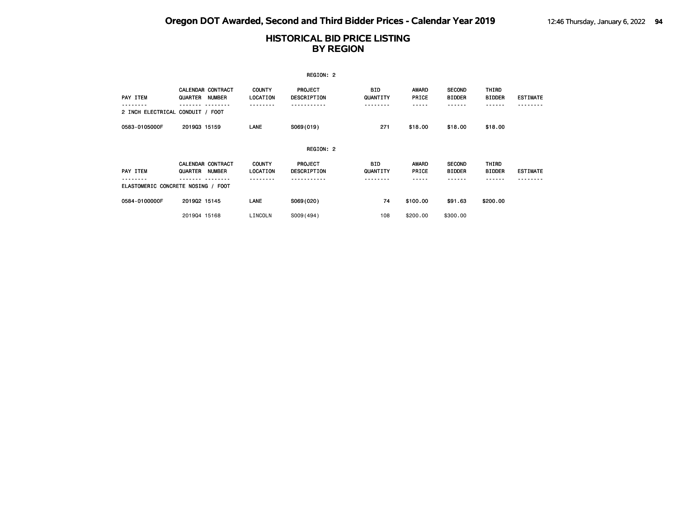|                                  |                                                      |                           | REGION: 2                     |                        |                       |                                |                               |                 |
|----------------------------------|------------------------------------------------------|---------------------------|-------------------------------|------------------------|-----------------------|--------------------------------|-------------------------------|-----------------|
| PAY ITEM                         | <b>CALENDAR CONTRACT</b><br><b>NUMBER</b><br>QUARTER | <b>COUNTY</b><br>LOCATION | <b>PROJECT</b><br>DESCRIPTION | <b>BID</b><br>QUANTITY | <b>AWARD</b><br>PRICE | <b>SECOND</b><br><b>BIDDER</b> | <b>THIRD</b><br><b>BIDDER</b> | <b>ESTIMATE</b> |
| 2 INCH ELECTRICAL CONDUIT / FOOT |                                                      | ----                      |                               | -----                  |                       | .                              | ------                        |                 |
| 0583-0105000F                    | 201903 15159                                         | LANE                      | S069(019)                     | 271                    | \$18.00               | \$18.00                        | \$18.00                       |                 |
|                                  |                                                      |                           | REGION: 2                     |                        |                       |                                |                               |                 |
| PAY ITEM                         | <b>CALENDAR CONTRACT</b><br>QUARTER<br>NUMBER        | <b>COUNTY</b><br>LOCATION | <b>PROJECT</b><br>DESCRIPTION | BID<br>QUANTITY        | <b>AWARD</b><br>PRICE | <b>SECOND</b><br><b>BIDDER</b> | THIRD<br><b>BIDDER</b>        | <b>ESTIMATE</b> |
|                                  | ELASTOMERIC CONCRETE NOSING / FOOT                   |                           |                               |                        |                       |                                |                               |                 |
| 0584-0100000F                    | 201902 15145                                         | LANE                      | S069(020)                     | 74                     | \$100.00              | \$91.63                        | \$200.00                      |                 |
|                                  | 201904 15168                                         | LINCOLN                   | S009(494)                     | 108                    | \$200,00              | \$300,00                       |                               |                 |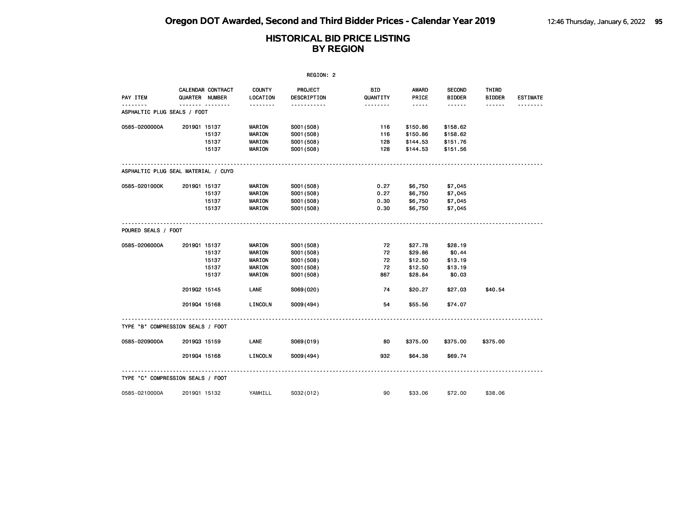|                                     |              |                                     |                           | REGION: 2                     |                 |                                                                                                               |                                |                        |                 |
|-------------------------------------|--------------|-------------------------------------|---------------------------|-------------------------------|-----------------|---------------------------------------------------------------------------------------------------------------|--------------------------------|------------------------|-----------------|
| PAY ITEM                            |              | CALENDAR CONTRACT<br>QUARTER NUMBER | <b>COUNTY</b><br>LOCATION | PROJECT<br><b>DESCRIPTION</b> | BID<br>QUANTITY | AWARD<br>PRICE                                                                                                | <b>SECOND</b><br><b>BIDDER</b> | THIRD<br><b>BIDDER</b> | <b>ESTIMATE</b> |
| ASPHALTIC PLUG SEALS / FOOT         |              | .                                   | <u>.</u>                  | <u></u>                       | .               | $\frac{1}{2} \frac{1}{2} \frac{1}{2} \frac{1}{2} \frac{1}{2} \frac{1}{2} \frac{1}{2} \frac{1}{2} \frac{1}{2}$ | ------                         | ------                 |                 |
| 0585-0200000A                       | 201901 15137 |                                     | MARION                    | S001 (508)                    | 116             | \$150.86                                                                                                      | \$158.62                       |                        |                 |
|                                     |              | 15137                               | MARION                    | S001 (508)                    | 116             | \$150.86                                                                                                      | \$158.62                       |                        |                 |
|                                     |              | 15137                               | <b>MARION</b>             | S001 (508)                    | 128             | \$144.53                                                                                                      | \$151.76                       |                        |                 |
|                                     |              | 15137                               | <b>MARION</b>             | S001 (508)                    | 128             | \$144.53                                                                                                      | \$151.56                       |                        |                 |
| ASPHALTIC PLUG SEAL MATERIAL / CUYD |              |                                     |                           |                               |                 |                                                                                                               |                                |                        |                 |
| 0585-0201000K                       | 201901 15137 |                                     | <b>MARION</b>             | S001 (508)                    | 0.27            | \$6,750                                                                                                       | \$7,045                        |                        |                 |
|                                     |              | 15137                               | <b>MARION</b>             | S001 (508)                    | 0.27            | \$6,750                                                                                                       | \$7,045                        |                        |                 |
|                                     |              | 15137                               | <b>MARION</b>             | S001 (508)                    | 0.30            | \$6,750                                                                                                       | \$7,045                        |                        |                 |
|                                     |              | 15137                               | <b>MARION</b>             | S001 (508)                    | 0.30            | \$6,750                                                                                                       | \$7,045                        |                        |                 |
| POURED SEALS / FOOT                 |              |                                     |                           |                               |                 |                                                                                                               |                                |                        |                 |
| 0585-0206000A                       | 201901 15137 |                                     | <b>MARION</b>             | S001 (508)                    | 72              | \$27.78                                                                                                       | \$28.19                        |                        |                 |
|                                     |              | 15137                               | MARION                    | S001 (508)                    | 72              | \$29.86                                                                                                       | \$0.44                         |                        |                 |
|                                     |              | 15137                               | <b>MARION</b>             | S001 (508)                    | 72              | \$12.50                                                                                                       | \$13.19                        |                        |                 |
|                                     |              | 15137                               | MARION                    | S001 (508)                    | 72              | \$12.50                                                                                                       | \$13.19                        |                        |                 |
|                                     |              | 15137                               | <b>MARION</b>             | S001 (508)                    | 867             | \$28.84                                                                                                       | \$0.03                         |                        |                 |
|                                     | 201902 15145 |                                     | LANE                      | S069(020)                     | 74              | \$20.27                                                                                                       | \$27.03                        | \$40.54                |                 |
|                                     | 201904 15168 |                                     | LINCOLN                   | S009(494)                     | 54              | \$55.56                                                                                                       | \$74.07                        |                        |                 |
| TYPE "B" COMPRESSION SEALS / FOOT   |              |                                     |                           |                               |                 |                                                                                                               |                                |                        |                 |
| 0585-0209000A                       | 201903 15159 |                                     | LANE                      | S069(019)                     | 80              | \$375.00                                                                                                      | \$375.00                       | \$375.00               |                 |
|                                     | 201904 15168 |                                     | LINCOLN                   | S009(494)                     | 932             | \$64.38                                                                                                       | \$69.74                        |                        |                 |
|                                     |              |                                     |                           |                               |                 |                                                                                                               |                                |                        |                 |
| TYPE "C" COMPRESSION SEALS / FOOT   |              |                                     |                           |                               |                 |                                                                                                               |                                |                        |                 |
| 0585-0210000A                       | 201901 15132 |                                     | YAMHILL                   | S032(012)                     | 90              | \$33.06                                                                                                       | \$72.00                        | \$38.06                |                 |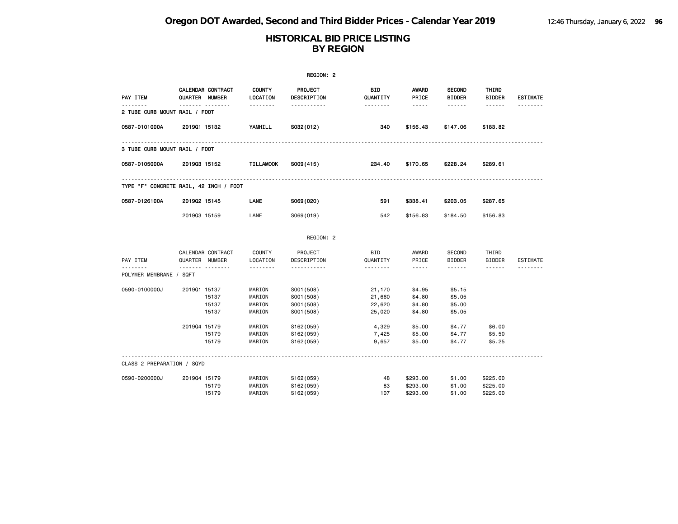|                                        |                                     |                         |                                      | REGION: 2                                            |                                      |                                                                                                                                                      |                                      |                                  |                 |
|----------------------------------------|-------------------------------------|-------------------------|--------------------------------------|------------------------------------------------------|--------------------------------------|------------------------------------------------------------------------------------------------------------------------------------------------------|--------------------------------------|----------------------------------|-----------------|
| PAY ITEM                               | CALENDAR CONTRACT<br>QUARTER NUMBER |                         | <b>COUNTY</b><br>LOCATION            | <b>PROJECT</b><br><b>DESCRIPTION</b>                 | <b>BID</b><br>QUANTITY               | AWARD<br>PRICE                                                                                                                                       | <b>SECOND</b><br><b>BIDDER</b>       | THIRD<br><b>BIDDER</b>           | <b>ESTIMATE</b> |
| 2 TUBE CURB MOUNT RAIL / FOOT          |                                     |                         | .                                    | .                                                    | <u>.</u>                             | $- - - - -$                                                                                                                                          | ------                               | ------                           |                 |
| 0587-0101000A                          | 201901 15132                        |                         | YAMHILL                              | S032(012)                                            | 340                                  | \$156.43                                                                                                                                             | \$147.06                             | \$183.82                         |                 |
| 3 TUBE CURB MOUNT RAIL / FOOT          |                                     |                         |                                      |                                                      |                                      |                                                                                                                                                      |                                      |                                  |                 |
| 0587-0105000A                          | 201903 15152                        |                         | <b>TILLAMOOK</b>                     | S009(415)                                            | 234.40                               | \$170.65                                                                                                                                             | \$228.24                             | \$289.61                         |                 |
| TYPE "F" CONCRETE RAIL, 42 INCH / FOOT |                                     |                         |                                      |                                                      |                                      |                                                                                                                                                      |                                      |                                  |                 |
| 0587-0126100A                          | 201902 15145                        |                         | LANE                                 | S069(020)                                            | 591                                  | \$338.41                                                                                                                                             | \$203.05                             | \$287.65                         |                 |
|                                        | 201903 15159                        |                         | LANE                                 | S069(019)                                            | 542                                  | \$156.83                                                                                                                                             | \$184.50                             | \$156.83                         |                 |
|                                        |                                     |                         |                                      | REGION: 2                                            |                                      |                                                                                                                                                      |                                      |                                  |                 |
| PAY ITEM                               | CALENDAR CONTRACT<br>QUARTER NUMBER |                         | <b>COUNTY</b><br>LOCATION            | PROJECT<br>DESCRIPTION                               | BID<br>QUANTITY                      | AWARD<br>PRICE                                                                                                                                       | <b>SECOND</b><br><b>BIDDER</b>       | THIRD<br><b>BIDDER</b>           | ESTIMATE        |
| POLYMER MEMBRANE / SQFT                | .                                   |                         |                                      | .                                                    | .                                    | $\frac{1}{2} \left( \frac{1}{2} \right) \left( \frac{1}{2} \right) \left( \frac{1}{2} \right) \left( \frac{1}{2} \right) \left( \frac{1}{2} \right)$ | ------                               | ------                           |                 |
| 0590-0100000J                          | 201901 15137                        | 15137<br>15137<br>15137 | MARION<br>MARION<br>MARION<br>MARION | S001 (508)<br>S001 (508)<br>S001 (508)<br>S001 (508) | 21,170<br>21,660<br>22,620<br>25,020 | \$4.95<br>\$4.80<br>\$4.80<br>\$4.80                                                                                                                 | \$5.15<br>\$5.05<br>\$5.00<br>\$5.05 |                                  |                 |
|                                        | 201904 15179                        | 15179<br>15179          | MARION<br>MARION<br>MARION           | S162(059)<br>S162(059)<br>S162(059)                  | 4,329<br>7,425<br>9,657              | \$5.00<br>\$5.00<br>\$5.00                                                                                                                           | \$4.77<br>\$4.77<br>\$4.77           | \$6.00<br>\$5.50<br>\$5.25       |                 |
| CLASS 2 PREPARATION / SQYD             |                                     |                         |                                      |                                                      |                                      |                                                                                                                                                      |                                      |                                  |                 |
| 0590-0200000J                          | 201904 15179                        | 15179<br>15179          | MARION<br>MARION<br>MARION           | S162(059)<br>S162(059)<br>S162(059)                  | 48<br>83<br>107                      | \$293.00<br>\$293.00<br>\$293.00                                                                                                                     | \$1.00<br>\$1.00<br>\$1.00           | \$225.00<br>\$225.00<br>\$225.00 |                 |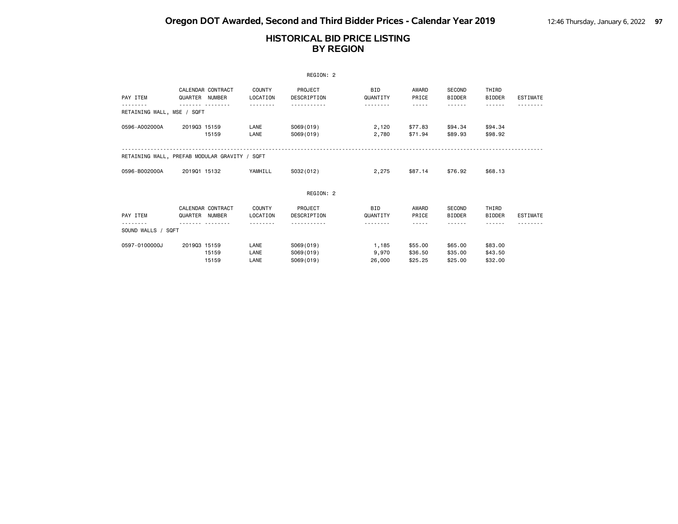|                                               |                |                   |                           | REGION: 2              |                        |                |                                |                        |                 |
|-----------------------------------------------|----------------|-------------------|---------------------------|------------------------|------------------------|----------------|--------------------------------|------------------------|-----------------|
| PAY ITEM                                      | QUARTER NUMBER | CALENDAR CONTRACT | <b>COUNTY</b><br>LOCATION | PROJECT<br>DESCRIPTION | <b>BID</b><br>QUANTITY | AWARD<br>PRICE | <b>SECOND</b><br><b>BIDDER</b> | THIRD<br><b>BIDDER</b> | ESTIMATE        |
| RETAINING WALL, MSE / SQFT                    |                |                   |                           |                        |                        | $- - - - -$    |                                | - - - - - -            |                 |
|                                               |                |                   |                           |                        |                        |                |                                |                        |                 |
| 0596-A002000A                                 | 201903 15159   |                   | LANE                      | S069(019)              | 2,120                  | \$77.83        | \$94.34                        | \$94.34                |                 |
|                                               |                | 15159             | LANE                      | S069(019)              | 2,780                  | \$71.94        | \$89.93                        | \$98.92                |                 |
|                                               |                |                   |                           |                        |                        |                |                                |                        |                 |
| RETAINING WALL, PREFAB MODULAR GRAVITY / SQFT |                |                   |                           |                        |                        |                |                                |                        |                 |
| 0596-B002000A                                 | 201901 15132   |                   | YAMHILL                   | S032(012)              | 2,275                  | \$87.14        | \$76.92                        | \$68.13                |                 |
|                                               |                |                   |                           |                        |                        |                |                                |                        |                 |
|                                               |                |                   |                           | REGION: 2              |                        |                |                                |                        |                 |
|                                               |                | CALENDAR CONTRACT | COUNTY                    | PROJECT                | <b>BID</b>             | AWARD          | <b>SECOND</b>                  | THIRD                  |                 |
| PAY ITEM                                      | QUARTER NUMBER |                   | LOCATION                  | DESCRIPTION            | QUANTITY               | PRICE          | <b>BIDDER</b>                  | <b>BIDDER</b>          | <b>ESTIMATE</b> |
|                                               |                |                   |                           |                        |                        | -----          |                                |                        |                 |
| SOUND WALLS / SQFT                            |                |                   |                           |                        |                        |                |                                |                        |                 |
| 0597-0100000J                                 | 201903 15159   |                   | LANE                      | S069(019)              | 1,185                  | \$55.00        | \$65.00                        | \$83.00                |                 |
|                                               |                | 15159             | LANE                      | S069(019)              | 9,970                  | \$36.50        | \$35.00                        | \$43.50                |                 |
|                                               |                | 15159             | LANE                      | S069(019)              | 26,000                 | \$25.25        | \$25.00                        | \$32.00                |                 |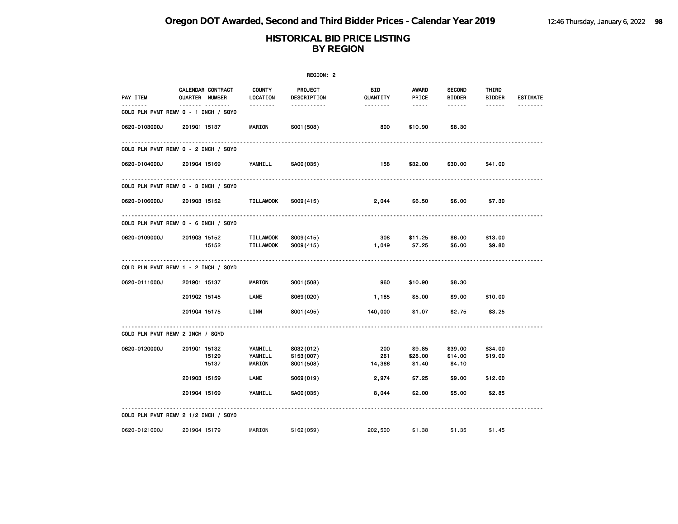|                      |                                            |                                     | REGION: 2                            |                       |                                                                                                               |                                |                        |                      |
|----------------------|--------------------------------------------|-------------------------------------|--------------------------------------|-----------------------|---------------------------------------------------------------------------------------------------------------|--------------------------------|------------------------|----------------------|
| PAY ITEM<br><u>.</u> | <b>CALENDAR CONTRACT</b><br>QUARTER NUMBER | <b>COUNTY</b><br>LOCATION           | PROJECT<br>DESCRIPTION               | BID<br>QUANTITY       | AWARD<br>PRICE                                                                                                | <b>SECOND</b><br><b>BIDDER</b> | THIRD<br><b>BIDDER</b> | <b>ESTIMATE</b><br>. |
|                      | <br>COLD PLN PVMT REMV 0 - 1 INCH / SQYD   | <u>.</u>                            | -----------                          | <u> - - - - - - -</u> | $\frac{1}{2} \frac{1}{2} \frac{1}{2} \frac{1}{2} \frac{1}{2} \frac{1}{2} \frac{1}{2} \frac{1}{2} \frac{1}{2}$ | ------                         | $- - - - - -$          |                      |
| 0620-0103000J        | 201901 15137                               | <b>MARION</b>                       | S001 (508)                           | 800                   | \$10.90                                                                                                       | \$8.30                         |                        |                      |
|                      | COLD PLN PVMT REMV 0 - 2 INCH / SQYD       |                                     |                                      |                       |                                                                                                               |                                |                        |                      |
| 0620-0104000J        | 201904 15169                               | YAMHILL                             | SA00(035)                            | 158                   | \$32.00                                                                                                       | \$30.00                        | \$41.00                |                      |
|                      | COLD PLN PVMT REMV 0 - 3 INCH / SQYD       |                                     |                                      |                       |                                                                                                               |                                |                        |                      |
| 0620-0106000J        | 201903 15152                               | <b>TILLAMOOK</b>                    | S009(415)                            | 2,044                 | \$6.50                                                                                                        | \$6.00                         | \$7.30                 |                      |
|                      | COLD PLN PVMT REMV 0 - 6 INCH / SQYD       |                                     |                                      |                       |                                                                                                               |                                |                        |                      |
| 0620-0109000J        | 201903 15152<br>15152                      | TILLAMOOK<br><b>TILLAMOOK</b>       | S009(415)<br>S009(415)               | 308<br>1,049          | \$11.25<br>\$7.25                                                                                             | \$6.00<br>\$6.00               | \$13.00<br>\$9.80      |                      |
|                      | COLD PLN PVMT REMV 1 - 2 INCH / SQYD       |                                     |                                      |                       |                                                                                                               |                                |                        |                      |
| 0620-0111000J        | 201901 15137                               | <b>MARION</b>                       | S001 (508)                           | 960                   | \$10.90                                                                                                       | \$8.30                         |                        |                      |
|                      | 201902 15145                               | LANE                                | S069(020)                            | 1,185                 | \$5.00                                                                                                        | \$9.00                         | \$10.00                |                      |
|                      | 201904 15175                               | LINN                                | S001 (495)                           | 140,000               | \$1.07                                                                                                        | \$2.75                         | \$3.25                 |                      |
|                      | COLD PLN PVMT REMV 2 INCH / SQYD           |                                     |                                      |                       |                                                                                                               |                                |                        |                      |
| 0620-0120000J        | 201901 15132<br>15129<br>15137             | YAMHILL<br>YAMHILL<br><b>MARION</b> | S032(012)<br>S153(007)<br>S001 (508) | 200<br>261<br>14,366  | \$9.85<br>\$28.00<br>\$1.40                                                                                   | \$39.00<br>\$14.00<br>\$4.10   | \$34.00<br>\$19.00     |                      |
|                      | 201903 15159                               | LANE                                | S069(019)                            | 2,974                 | \$7.25                                                                                                        | \$9.00                         | \$12.00                |                      |
|                      | 201904 15169                               | YAMHILL                             | SA00(035)                            | 8,044                 | \$2.00                                                                                                        | \$5.00                         | \$2.85                 |                      |
|                      | COLD PLN PVMT REMV 2 1/2 INCH / SQYD       |                                     |                                      |                       |                                                                                                               |                                |                        |                      |
| 0620-0121000J        | 201904 15179                               | MARION                              | S162(059)                            | 202,500               | \$1.38                                                                                                        | \$1.35                         | \$1.45                 |                      |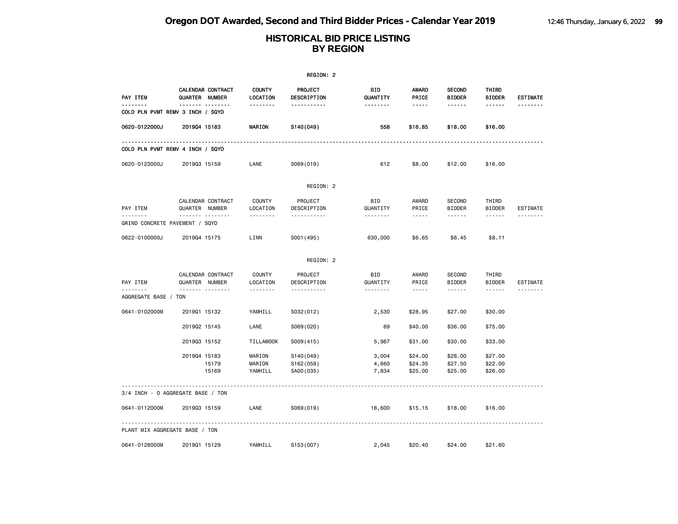|                                   |                |                                     |                                       | REGION: 2                           |                                    |                                                                                                                                                      |                                          |                                         |                 |
|-----------------------------------|----------------|-------------------------------------|---------------------------------------|-------------------------------------|------------------------------------|------------------------------------------------------------------------------------------------------------------------------------------------------|------------------------------------------|-----------------------------------------|-----------------|
| PAY ITEM<br><u>.</u>              | QUARTER NUMBER | CALENDAR CONTRACT<br><u> </u>       | <b>COUNTY</b><br>LOCATION<br><u>.</u> | <b>PROJECT</b><br>DESCRIPTION       | <b>BID</b><br>QUANTITY<br><u>.</u> | <b>AWARD</b><br>PRICE<br>$- - - - -$                                                                                                                 | <b>SECOND</b><br><b>BIDDER</b><br>------ | THIRD<br><b>BIDDER</b>                  | <b>ESTIMATE</b> |
| COLD PLN PVMT REMV 3 INCH / SQYD  |                |                                     |                                       | -----------                         |                                    |                                                                                                                                                      |                                          | ------                                  |                 |
| 0620-0122000J                     | 201904 15183   |                                     | <b>MARION</b>                         | S140(049)                           | 558                                | \$16.85                                                                                                                                              | \$18.00                                  | \$16.00                                 |                 |
| COLD PLN PVMT REMV 4 INCH / SQYD  |                |                                     |                                       |                                     |                                    |                                                                                                                                                      |                                          |                                         |                 |
| 0620-0123000J                     | 201903 15159   |                                     | LANE                                  | S069(019)                           | 612                                | \$8.00                                                                                                                                               | \$12.00                                  | \$16.00                                 |                 |
|                                   |                |                                     |                                       | REGION: 2                           |                                    |                                                                                                                                                      |                                          |                                         |                 |
| PAY ITEM<br><u>.</u>              | QUARTER NUMBER | CALENDAR CONTRACT<br>. <sub>.</sub> | <b>COUNTY</b><br>LOCATION<br>.        | PROJECT<br>DESCRIPTION<br>.         | <b>BID</b><br>QUANTITY<br><u>.</u> | AWARD<br>PRICE<br>$\sim$ $\sim$ $\sim$ $\sim$ $\sim$                                                                                                 | SECOND<br><b>BIDDER</b><br>------        | THIRD<br><b>BIDDER</b><br>$- - - - - -$ | <b>ESTIMATE</b> |
| GRIND CONCRETE PAVEMENT / SQYD    |                |                                     |                                       |                                     |                                    |                                                                                                                                                      |                                          |                                         |                 |
| 0622-0100000J                     | 201904 15175   |                                     | LINN                                  | S001 (495)                          | 630,000                            | \$6.65                                                                                                                                               | \$6.45                                   | \$8.11                                  |                 |
|                                   |                |                                     |                                       | REGION: 2                           |                                    |                                                                                                                                                      |                                          |                                         |                 |
| PAY ITEM                          | QUARTER NUMBER | CALENDAR CONTRACT                   | COUNTY<br>LOCATION                    | PROJECT<br>DESCRIPTION              | BID<br>QUANTITY                    | AWARD<br>PRICE                                                                                                                                       | SECOND<br><b>BIDDER</b>                  | THIRD<br><b>BIDDER</b>                  | <b>ESTIMATE</b> |
| --------<br>AGGREGATE BASE / TON  |                | <u> </u>                            | <u>.</u>                              | .                                   | <u>.</u>                           | $\frac{1}{2} \left( \frac{1}{2} \right) \left( \frac{1}{2} \right) \left( \frac{1}{2} \right) \left( \frac{1}{2} \right) \left( \frac{1}{2} \right)$ | ------                                   | $- - - - - -$                           | --------        |
| 0641-0102000M                     | 201901 15132   |                                     | YAMHILL                               | S032(012)                           | 2,530                              | \$28.95                                                                                                                                              | \$27.00                                  | \$30.00                                 |                 |
|                                   | 201902 15145   |                                     | LANE                                  | S069(020)                           | 69                                 | \$40.00                                                                                                                                              | \$36.00                                  | \$75.00                                 |                 |
|                                   | 201903 15152   |                                     | <b>TILLAMOOK</b>                      | S009(415)                           | 5,967                              | \$31.00                                                                                                                                              | \$30.00                                  | \$33.00                                 |                 |
|                                   | 201904 15183   | 15179<br>15169                      | MARION<br>MARION<br>YAMHILL           | S140(049)<br>S162(059)<br>SA00(035) | 3,004<br>4,660<br>7,834            | \$24.00<br>\$24.35<br>\$25.00                                                                                                                        | \$28.00<br>\$27.50<br>\$25.00            | \$27.00<br>\$22.00<br>\$26.00           |                 |
| 3/4 INCH - 0 AGGREGATE BASE / TON |                |                                     |                                       |                                     |                                    |                                                                                                                                                      |                                          |                                         |                 |
| 0641-0112000M                     | 201903 15159   |                                     | LANE                                  | S069(019)                           | 18,600                             | \$15.15                                                                                                                                              | \$18.00                                  | \$16.00                                 |                 |
| PLANT MIX AGGREGATE BASE / TON    |                |                                     |                                       |                                     |                                    |                                                                                                                                                      |                                          |                                         |                 |
| 0641-0128000M                     | 201901 15129   |                                     | YAMHILL                               | S153(007)                           | 2,045                              | \$20.40                                                                                                                                              | \$24.00                                  | \$21.60                                 |                 |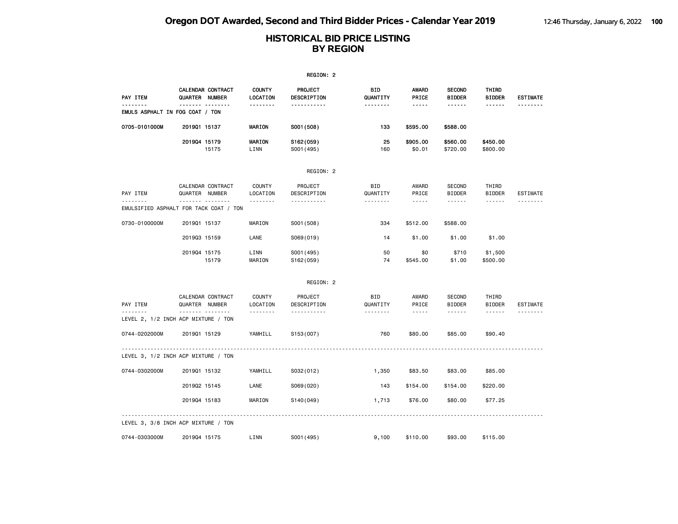|                                        |                |                        |                                       | REGION: 2                                             |                                    |                                                                                                                                                                        |                                          |                                  |                             |
|----------------------------------------|----------------|------------------------|---------------------------------------|-------------------------------------------------------|------------------------------------|------------------------------------------------------------------------------------------------------------------------------------------------------------------------|------------------------------------------|----------------------------------|-----------------------------|
| <b>PAY ITEM</b>                        | QUARTER NUMBER | CALENDAR CONTRACT      | <b>COUNTY</b><br>LOCATION             | PROJECT<br>DESCRIPTION                                | BID<br>QUANTITY                    | <b>AWARD</b><br>PRICE                                                                                                                                                  | <b>SECOND</b><br><b>BIDDER</b>           | THIRD<br><b>BIDDER</b>           | <b>ESTIMATE</b>             |
| EMULS ASPHALT IN FOG COAT / TON        | -------        | .                      | <u>.</u>                              | -----------                                           | --------                           | $\cdots \cdots \cdots$                                                                                                                                                 | ------                                   | ------                           | <u>.</u>                    |
| 0705-0101000M                          | 201901 15137   |                        | MARION                                | S001 (508)                                            | 133                                | \$595.00                                                                                                                                                               | \$588.00                                 |                                  |                             |
|                                        | 201904 15179   | 15175                  | MARION<br>LINN                        | S162(059)<br>S001 (495)                               | 25<br>160                          | \$905.00<br>\$0.01                                                                                                                                                     | \$560.00<br>\$720.00                     | \$450.00<br>\$800.00             |                             |
|                                        |                |                        |                                       | REGION: 2                                             |                                    |                                                                                                                                                                        |                                          |                                  |                             |
| PAY ITEM<br>.                          | QUARTER NUMBER | CALENDAR CONTRACT<br>. | <b>COUNTY</b><br>LOCATION<br><u>.</u> | PROJECT<br>DESCRIPTION<br>.                           | <b>BID</b><br>QUANTITY<br><u>.</u> | AWARD<br>PRICE<br>$\frac{1}{2} \left( \frac{1}{2} \right) \left( \frac{1}{2} \right) \left( \frac{1}{2} \right) \left( \frac{1}{2} \right) \left( \frac{1}{2} \right)$ | <b>SECOND</b><br><b>BIDDER</b><br>------ | THIRD<br>BIDDER<br>------        | <b>ESTIMATE</b><br>.        |
| EMULSIFIED ASPHALT FOR TACK COAT / TON |                |                        |                                       |                                                       |                                    |                                                                                                                                                                        |                                          |                                  |                             |
| 0730-0100000M                          | 201901 15137   |                        | MARION                                | S001 (508)                                            | 334                                | \$512.00                                                                                                                                                               | \$588.00                                 |                                  |                             |
|                                        | 201903 15159   |                        | LANE                                  | S069(019)                                             | 14                                 | \$1.00                                                                                                                                                                 | \$1.00                                   | \$1.00                           |                             |
|                                        | 201904 15175   | 15179                  | LINN<br>MARION                        | S001 (495)<br>S162(059)                               | 50<br>74                           | \$0<br>\$545.00                                                                                                                                                        | \$710<br>\$1.00                          | \$1,500<br>\$500.00              |                             |
|                                        |                |                        |                                       | REGION: 2                                             |                                    |                                                                                                                                                                        |                                          |                                  |                             |
| PAY ITEM<br>.                          | QUARTER NUMBER | CALENDAR CONTRACT<br>. | <b>COUNTY</b><br>LOCATION<br><u>.</u> | PROJECT<br>DESCRIPTION<br><u> - - - - - - - - - -</u> | <b>BID</b><br>QUANTITY<br><u>.</u> | AWARD<br>PRICE<br>$- - - - -$                                                                                                                                          | <b>SECOND</b><br><b>BIDDER</b><br>------ | THIRD<br><b>BIDDER</b><br>------ | <b>ESTIMATE</b><br><u>.</u> |
| LEVEL 2, 1/2 INCH ACP MIXTURE / TON    |                |                        |                                       |                                                       |                                    |                                                                                                                                                                        |                                          |                                  |                             |
| 0744-0202000M                          | 201901 15129   |                        | YAMHILL                               | S153(007)                                             | 760                                | \$80.00                                                                                                                                                                | \$85.00                                  | \$90.40                          |                             |
| LEVEL 3, 1/2 INCH ACP MIXTURE / TON    | <u>.</u>       |                        |                                       |                                                       |                                    |                                                                                                                                                                        |                                          |                                  |                             |
| 0744-0302000M                          | 201901 15132   |                        | YAMHILL                               | S032(012)                                             | 1,350                              | \$83.50                                                                                                                                                                | \$83.00                                  | \$85.00                          |                             |
|                                        | 201902 15145   |                        | LANE                                  | S069(020)                                             | 143                                | \$154.00                                                                                                                                                               | \$154.00                                 | \$220.00                         |                             |
|                                        | 201904 15183   |                        | MARION                                | S140(049)                                             | 1,713                              | \$76.00                                                                                                                                                                | \$80.00                                  | \$77.25                          |                             |
| LEVEL 3, 3/8 INCH ACP MIXTURE / TON    |                |                        |                                       |                                                       |                                    |                                                                                                                                                                        |                                          |                                  |                             |
| 0744-0303000M                          | 201904 15175   |                        | LINN                                  | S001 (495)                                            | 9,100                              | \$110.00                                                                                                                                                               | \$93.00                                  | \$115.00                         |                             |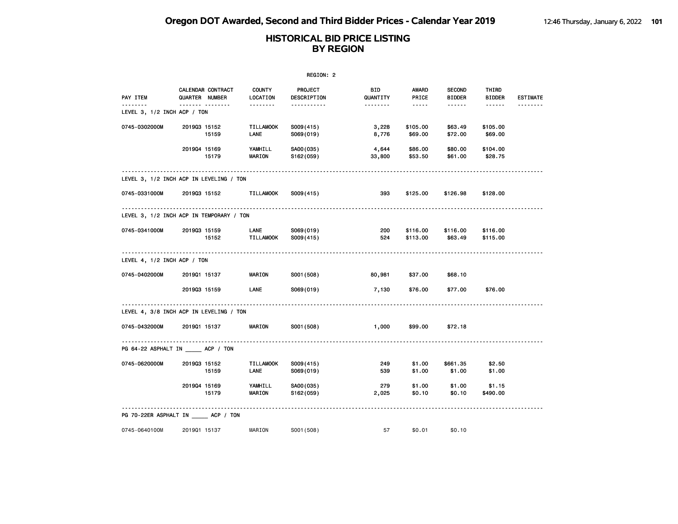|                                         |                                          |                           | REGION: 2              |                 |                      |                                |                        |                 |
|-----------------------------------------|------------------------------------------|---------------------------|------------------------|-----------------|----------------------|--------------------------------|------------------------|-----------------|
| PAY ITEM                                | CALENDAR CONTRACT<br>QUARTER NUMBER      | <b>COUNTY</b><br>LOCATION | PROJECT<br>DESCRIPTION | BID<br>QUANTITY | AWARD<br>PRICE       | <b>SECOND</b><br><b>BIDDER</b> | THIRD<br><b>BIDDER</b> | <b>ESTIMATE</b> |
| <u>.</u><br>LEVEL 3, 1/2 INCH ACP / TON | <u></u>                                  |                           | <u>.</u>               |                 | $- - - - -$          | ------                         | $- - - - - -$          | --------        |
| 0745-0302000M                           | 201903 15152<br>15159                    | <b>TILLAMOOK</b><br>LANE  | S009(415)<br>S069(019) | 3,228<br>8,776  | \$105.00<br>\$69.00  | \$63.49<br>\$72.00             | \$105.00<br>\$69.00    |                 |
|                                         | 201904 15169<br>15179                    | YAMHILL<br>MARION         | SA00(035)<br>S162(059) | 4,644<br>33,800 | \$86.00<br>\$53.50   | \$80.00<br>\$61.00             | \$104.00<br>\$28.75    |                 |
|                                         | LEVEL 3, 1/2 INCH ACP IN LEVELING / TON  |                           |                        |                 |                      |                                |                        |                 |
| 0745-0331000M                           | 201903 15152                             | <b>TILLAMOOK</b>          | S009(415)              | 393             | \$125.00             | \$126.98                       | \$128.00               |                 |
|                                         | LEVEL 3, 1/2 INCH ACP IN TEMPORARY / TON |                           |                        |                 |                      |                                |                        |                 |
| 0745-0341000M                           | 201903 15159<br>15152                    | LANE<br><b>TILLAMOOK</b>  | S069(019)<br>S009(415) | 200<br>524      | \$116.00<br>\$113.00 | \$116.00<br>\$63.49            | \$116.00<br>\$115.00   |                 |
| LEVEL 4, 1/2 INCH ACP / TON             |                                          |                           |                        |                 |                      |                                |                        |                 |
| 0745-0402000M                           | 201901 15137                             | MARION                    | S001 (508)             | 80,981          | \$37.00              | \$68.10                        |                        |                 |
|                                         | 201903 15159                             | <b>LANE</b>               | S069(019)              | 7,130           | \$76.00              | \$77.00                        | \$76.00                |                 |
|                                         | LEVEL 4, 3/8 INCH ACP IN LEVELING / TON  |                           |                        |                 |                      |                                |                        |                 |
| 0745-0432000M                           | 201901 15137                             | <b>MARION</b>             | S001 (508)             | 1,000           | \$99.00              | \$72.18                        |                        |                 |
|                                         | PG 64-22 ASPHALT IN ACP / TON            |                           |                        |                 |                      |                                |                        |                 |
| 0745-0620000M                           | 201903 15152<br>15159                    | <b>TILLAMOOK</b><br>LANE  | S009(415)<br>S069(019) | 249<br>539      | \$1.00<br>\$1.00     | \$661.35<br>\$1.00             | \$2.50<br>\$1.00       |                 |
|                                         | 201904 15169<br>15179                    | YAMHILL<br><b>MARION</b>  | SA00(035)<br>S162(059) | 279<br>2,025    | \$1.00<br>\$0.10     | \$1.00<br>\$0.10               | \$1.15<br>\$490.00     |                 |
|                                         | PG 70-22ER ASPHALT IN _____ ACP / TON    |                           |                        |                 |                      |                                |                        |                 |
| 0745-0640100M                           | 201901 15137                             | MARION                    | S001 (508)             | 57              | \$0.01               | \$0.10                         |                        |                 |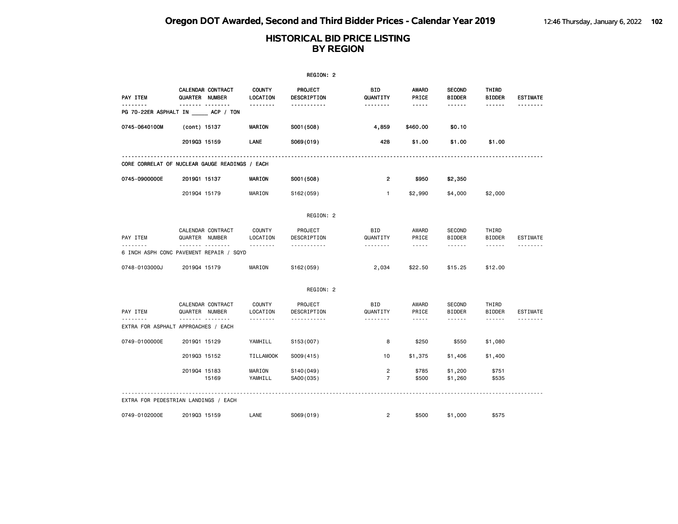|               |                                                |                                | REGION: 2              |                                  |                                                                                                                           |                                                 |                                                                                                                                                                                                                                                                                                                                                                                                                                                                            |                      |
|---------------|------------------------------------------------|--------------------------------|------------------------|----------------------------------|---------------------------------------------------------------------------------------------------------------------------|-------------------------------------------------|----------------------------------------------------------------------------------------------------------------------------------------------------------------------------------------------------------------------------------------------------------------------------------------------------------------------------------------------------------------------------------------------------------------------------------------------------------------------------|----------------------|
| PAY ITEM      | CALENDAR CONTRACT<br>QUARTER NUMBER            | <b>COUNTY</b><br>LOCATION      | PROJECT<br>DESCRIPTION | BID<br>QUANTITY                  | <b>AWARD</b><br>PRICE                                                                                                     | <b>SECOND</b><br><b>BIDDER</b>                  | THIRD<br><b>BIDDER</b>                                                                                                                                                                                                                                                                                                                                                                                                                                                     | <b>ESTIMATE</b>      |
| <u>.</u>      | .<br>PG 70-22ER ASPHALT IN ACP / TON           | <u>.</u>                       | -----------            | <u>.</u>                         | $\frac{1}{2} \frac{1}{2} \frac{1}{2} \frac{1}{2} \frac{1}{2} \frac{1}{2} \frac{1}{2} \frac{1}{2} \frac{1}{2}$             | ------                                          | $- - - - - -$                                                                                                                                                                                                                                                                                                                                                                                                                                                              | .                    |
| 0745-0640100M | (cont) 15137                                   | <b>MARION</b>                  | S001 (508)             | 4,859                            | \$460.00                                                                                                                  | \$0.10                                          |                                                                                                                                                                                                                                                                                                                                                                                                                                                                            |                      |
|               | 201903 15159                                   | LANE                           | S069(019)              | 428                              | \$1.00                                                                                                                    | \$1.00                                          | \$1.00                                                                                                                                                                                                                                                                                                                                                                                                                                                                     |                      |
|               | CORE CORRELAT OF NUCLEAR GAUGE READINGS / EACH |                                |                        |                                  |                                                                                                                           |                                                 |                                                                                                                                                                                                                                                                                                                                                                                                                                                                            |                      |
| 0745-0900000E | 201901 15137                                   | <b>MARION</b>                  | S001 (508)             | $\overline{2}$                   | \$950                                                                                                                     | \$2,350                                         |                                                                                                                                                                                                                                                                                                                                                                                                                                                                            |                      |
|               | 201904 15179                                   | MARION                         | S162(059)              | $\mathbf{1}$                     | \$2,990                                                                                                                   | \$4,000                                         | \$2,000                                                                                                                                                                                                                                                                                                                                                                                                                                                                    |                      |
|               |                                                |                                | REGION: 2              |                                  |                                                                                                                           |                                                 |                                                                                                                                                                                                                                                                                                                                                                                                                                                                            |                      |
| PAY ITEM      | CALENDAR CONTRACT<br>QUARTER NUMBER            | <b>COUNTY</b><br>LOCATION      | PROJECT<br>DESCRIPTION | <b>BID</b><br>QUANTITY           | AWARD<br>PRICE                                                                                                            | SECOND<br><b>BIDDER</b>                         | THIRD<br><b>BIDDER</b>                                                                                                                                                                                                                                                                                                                                                                                                                                                     | ESTIMATE             |
|               | 6 INCH ASPH CONC PAVEMENT REPAIR / SQYD        | <u>.</u>                       | .                      | .                                | $\frac{1}{2} \frac{1}{2} \frac{1}{2} \frac{1}{2} \frac{1}{2} \frac{1}{2} \frac{1}{2} \frac{1}{2} \frac{1}{2} \frac{1}{2}$ | ------                                          | $\frac{1}{2} \left( \frac{1}{2} \right) \left( \frac{1}{2} \right) \left( \frac{1}{2} \right) \left( \frac{1}{2} \right) \left( \frac{1}{2} \right) \left( \frac{1}{2} \right) \left( \frac{1}{2} \right) \left( \frac{1}{2} \right) \left( \frac{1}{2} \right) \left( \frac{1}{2} \right) \left( \frac{1}{2} \right) \left( \frac{1}{2} \right) \left( \frac{1}{2} \right) \left( \frac{1}{2} \right) \left( \frac{1}{2} \right) \left( \frac{1}{2} \right) \left( \frac$ |                      |
| 0748-0103000J | 201904 15179                                   | MARION                         | S162(059)              | 2,034                            | \$22.50                                                                                                                   | \$15.25                                         | \$12.00                                                                                                                                                                                                                                                                                                                                                                                                                                                                    |                      |
|               |                                                |                                | REGION: 2              |                                  |                                                                                                                           |                                                 |                                                                                                                                                                                                                                                                                                                                                                                                                                                                            |                      |
| PAY ITEM<br>. | CALENDAR CONTRACT<br>QUARTER NUMBER<br>.       | <b>COUNTY</b><br>LOCATION<br>. | PROJECT<br>DESCRIPTION | BID<br>QUANTITY<br><u>.</u>      | AWARD<br>PRICE<br>$- - - - -$                                                                                             | <b>SECOND</b><br><b>BIDDER</b><br>$- - - - - -$ | THIRD<br><b>BIDDER</b><br>$- - - - - -$                                                                                                                                                                                                                                                                                                                                                                                                                                    | ESTIMATE<br><u>.</u> |
|               | EXTRA FOR ASPHALT APPROACHES / EACH            |                                | <u>.</u>               |                                  |                                                                                                                           |                                                 |                                                                                                                                                                                                                                                                                                                                                                                                                                                                            |                      |
| 0749-0100000E | 201901 15129                                   | YAMHILL                        | S153 (007)             | 8                                | \$250                                                                                                                     | \$550                                           | \$1,080                                                                                                                                                                                                                                                                                                                                                                                                                                                                    |                      |
|               | 201903 15152                                   | <b>TILLAMOOK</b>               | S009(415)              | 10                               | \$1,375                                                                                                                   | \$1,406                                         | \$1,400                                                                                                                                                                                                                                                                                                                                                                                                                                                                    |                      |
|               | 201904 15183<br>15169                          | MARION<br>YAMHILL              | S140(049)<br>SA00(035) | $\overline{c}$<br>$\overline{7}$ | \$785<br>\$500                                                                                                            | \$1,200<br>\$1,260                              | \$751<br>\$535                                                                                                                                                                                                                                                                                                                                                                                                                                                             |                      |
|               | EXTRA FOR PEDESTRIAN LANDINGS / EACH           |                                |                        |                                  |                                                                                                                           |                                                 |                                                                                                                                                                                                                                                                                                                                                                                                                                                                            |                      |
| 0749-0102000E | 201903 15159                                   | LANE                           | S069(019)              | $\overline{2}$                   | \$500                                                                                                                     | \$1,000                                         | \$575                                                                                                                                                                                                                                                                                                                                                                                                                                                                      |                      |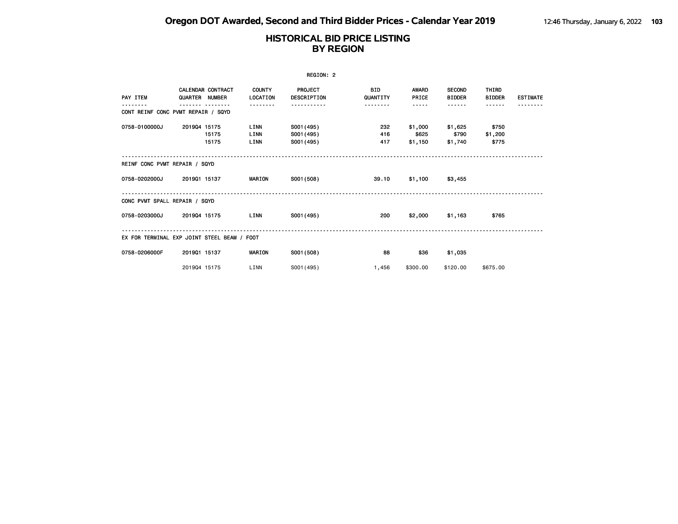|                               |                                             |                             | REGION: 2                              |                        |                             |                                |                           |                 |
|-------------------------------|---------------------------------------------|-----------------------------|----------------------------------------|------------------------|-----------------------------|--------------------------------|---------------------------|-----------------|
| PAY ITEM                      | <b>CALENDAR CONTRACT</b><br>QUARTER NUMBER  | <b>COUNTY</b><br>LOCATION   | <b>PROJECT</b><br>DESCRIPTION          | <b>BID</b><br>QUANTITY | <b>AWARD</b><br>PRICE       | <b>SECOND</b><br><b>BIDDER</b> | THIRD<br><b>BIDDER</b>    | <b>ESTIMATE</b> |
|                               | CONT REINF CONC PVMT REPAIR / SQYD          |                             |                                        | .                      | -----                       | ------                         | ------                    |                 |
| 0758-0100000J                 | 201904 15175<br>15175<br>15175              | <b>LINN</b><br>LINN<br>LINN | S001 (495)<br>S001 (495)<br>S001 (495) | 232<br>416<br>417      | \$1,000<br>\$625<br>\$1,150 | \$1,625<br>\$790<br>\$1,740    | \$750<br>\$1,200<br>\$775 |                 |
| REINF CONC PVMT REPAIR / SQYD |                                             |                             |                                        |                        |                             |                                |                           |                 |
| 0758-0202000J                 | 2019Q1 15137                                | MARION                      | S001 (508)                             | 39.10                  | \$1,100                     | \$3,455                        |                           |                 |
| CONC PVMT SPALL REPAIR / SQYD |                                             |                             |                                        |                        |                             |                                |                           |                 |
| 0758-0203000J                 | 201904 15175                                | LINN                        | S001 (495)                             | 200                    | \$2,000                     | \$1,163                        | \$765                     |                 |
|                               | EX FOR TERMINAL EXP JOINT STEEL BEAM / FOOT |                             |                                        |                        |                             |                                |                           |                 |
| 0758-0206000F                 | 201901 15137                                | <b>MARION</b>               | S001 (508)                             | 88                     | \$36                        | \$1,035                        |                           |                 |
|                               | 201904 15175                                | LINN                        | S001 (495)                             | 1,456                  | \$300,00                    | \$120.00                       | \$675.00                  |                 |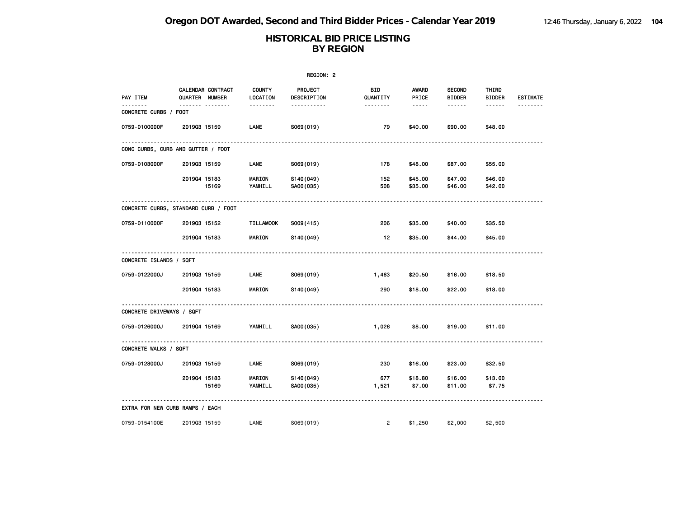|                                 |                                      |                           | REGION: 2              |                 |                       |                                |                        |                 |
|---------------------------------|--------------------------------------|---------------------------|------------------------|-----------------|-----------------------|--------------------------------|------------------------|-----------------|
| PAY ITEM                        | CALENDAR CONTRACT<br>QUARTER NUMBER  | <b>COUNTY</b><br>LOCATION | PROJECT<br>DESCRIPTION | BID<br>QUANTITY | <b>AWARD</b><br>PRICE | <b>SECOND</b><br><b>BIDDER</b> | THIRD<br><b>BIDDER</b> | <b>ESTIMATE</b> |
| .<br>CONCRETE CURBS / FOOT      | ------- --------                     | --------                  | <u>.</u>               | --------        | -----                 | ------                         | $\cdots\cdots\cdots$   | .               |
| 0759-0100000F                   | 201903 15159                         | LANE                      | S069(019)              | 79              | \$40.00               | \$90.00                        | \$48.00                |                 |
|                                 | CONC CURBS, CURB AND GUTTER / FOOT   |                           |                        |                 |                       |                                |                        |                 |
| 0759-0103000F                   | 201903 15159                         | LANE                      | S069(019)              | 178             | \$48.00               | \$87.00                        | \$55.00                |                 |
|                                 | 201904 15183<br>15169                | <b>MARION</b><br>YAMHILL  | S140(049)<br>SA00(035) | 152<br>508      | \$45.00<br>\$35.00    | \$47.00<br>\$46.00             | \$46.00<br>\$42.00     |                 |
|                                 | CONCRETE CURBS, STANDARD CURB / FOOT |                           |                        |                 |                       |                                |                        |                 |
| 0759-0110000F                   | 201903 15152                         | <b>TILLAMOOK</b>          | S009(415)              | 206             | \$35.00               | \$40.00                        | \$35.50                |                 |
|                                 | 201904 15183                         | <b>MARION</b>             | S140(049)              | 12              | \$35.00               | \$44.00                        | \$45.00                |                 |
| CONCRETE ISLANDS / SQFT         |                                      |                           |                        |                 |                       |                                |                        |                 |
| 0759-0122000J                   | 201903 15159                         | LANE                      | S069(019)              | 1,463           | \$20.50               | \$16.00                        | \$18.50                |                 |
|                                 | 201904 15183                         | <b>MARION</b>             | S140(049)              | 290             | \$18.00               | \$22.00                        | \$18.00                |                 |
| CONCRETE DRIVEWAYS / SQFT       |                                      |                           |                        |                 |                       |                                |                        |                 |
| 0759-0126000J                   | 201904 15169                         | YAMHILL                   | SA00(035)              | 1,026           | \$8.00                | \$19.00                        | \$11.00                |                 |
| CONCRETE WALKS / SQFT           |                                      |                           |                        |                 |                       |                                |                        |                 |
| 0759-0128000J                   | 201903 15159                         | LANE                      | S069(019)              | 230             | \$16.00               | \$23.00                        | \$32.50                |                 |
|                                 | 201904 15183<br>15169                | <b>MARION</b><br>YAMHILL  | S140(049)<br>SA00(035) | 677<br>1,521    | \$18.80<br>\$7.00     | \$16.00<br>\$11.00             | \$13.00<br>\$7.75      |                 |
| EXTRA FOR NEW CURB RAMPS / EACH |                                      |                           |                        |                 |                       |                                |                        |                 |
| 0759-0154100E                   | 201903 15159                         | LANE                      | S069(019)              | $\overline{2}$  | \$1,250               | \$2,000                        | \$2,500                |                 |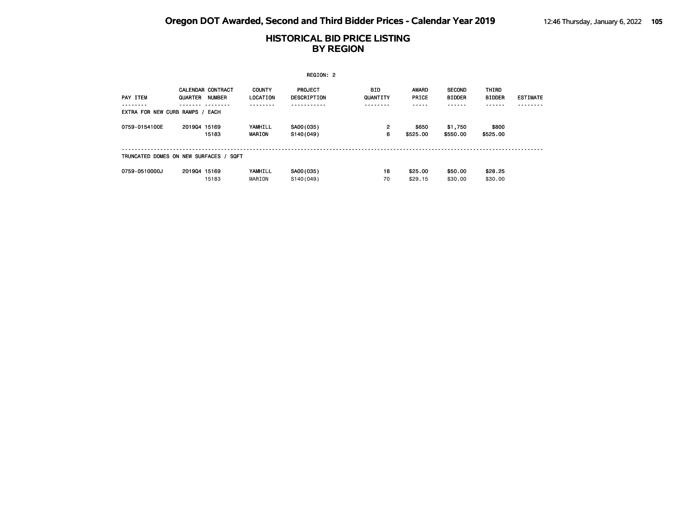|                                        | REGION: 2    |                                           |                           |                               |                   |                       |                                |                        |                 |  |  |
|----------------------------------------|--------------|-------------------------------------------|---------------------------|-------------------------------|-------------------|-----------------------|--------------------------------|------------------------|-----------------|--|--|
| PAY ITEM                               | QUARTER      | <b>CALENDAR CONTRACT</b><br><b>NUMBER</b> | <b>COUNTY</b><br>LOCATION | <b>PROJECT</b><br>DESCRIPTION | BID<br>QUANTITY   | <b>AWARD</b><br>PRICE | <b>SECOND</b><br><b>BIDDER</b> | THIRD<br><b>BIDDER</b> | <b>ESTIMATE</b> |  |  |
| EXTRA FOR NEW CURB RAMPS / EACH        |              |                                           |                           |                               |                   |                       |                                |                        |                 |  |  |
| 0759-0154100E                          | 201904 15169 | 15183                                     | YAMHILL<br><b>MARION</b>  | SA00(035)<br>S140(049)        | $\mathbf{2}$<br>6 | \$650<br>\$525.00     | \$1,750<br>\$550.00            | \$800<br>\$525,00      |                 |  |  |
| TRUNCATED DOMES ON NEW SURFACES / SQFT |              |                                           |                           |                               |                   |                       |                                |                        |                 |  |  |
| 0759-0510000J                          | 201904 15169 | 15183                                     | YAMHILL<br>MARION         | SA00(035)<br>S140(049)        | 18<br>70          | \$25.00<br>\$29.15    | \$50.00<br>\$30,00             | \$28.25<br>\$30,00     |                 |  |  |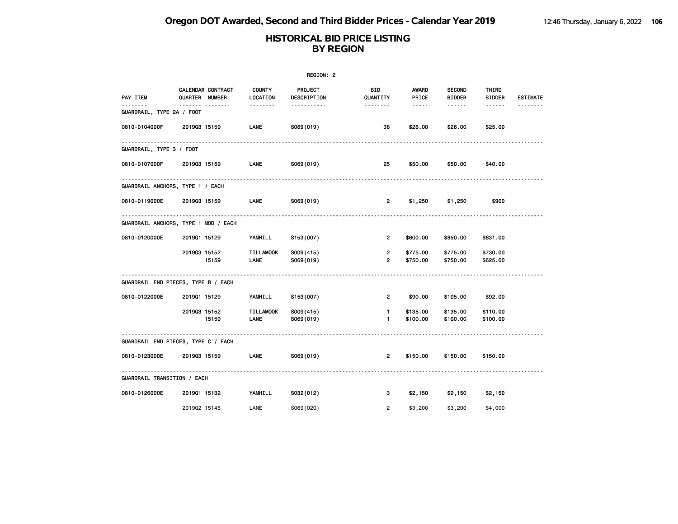|                                        |                |                   |                           | REGION: 2              |                                  |                       |                                |                        |                 |
|----------------------------------------|----------------|-------------------|---------------------------|------------------------|----------------------------------|-----------------------|--------------------------------|------------------------|-----------------|
| PAY ITEM                               | QUARTER NUMBER | CALENDAR CONTRACT | <b>COUNTY</b><br>LOCATION | PROJECT<br>DESCRIPTION | BID<br>QUANTITY                  | <b>AWARD</b><br>PRICE | <b>SECOND</b><br><b>BIDDER</b> | THIRD<br><b>BIDDER</b> | <b>ESTIMATE</b> |
| $- - - -$<br>GUARDRAIL, TYPE 2A / FOOT |                | <b>.</b>          | --------                  | .                      | --------                         | -----                 | ------                         | ------                 |                 |
| 0810-0104000F                          | 201903 15159   |                   | LANE                      | S069(019)              | 38                               | \$26.00               | \$26.00                        | \$25.00                |                 |
| GUARDRAIL, TYPE 3 / FOOT               |                |                   |                           |                        |                                  |                       |                                |                        |                 |
| 0810-0107000F                          | 201903 15159   |                   | LANE                      | S069(019)              | 25                               | \$50.00               | \$50.00                        | \$40.00                |                 |
| GUARDRAIL ANCHORS, TYPE 1 / EACH       |                |                   |                           |                        |                                  |                       |                                |                        |                 |
| 0810-0119000E                          | 201903 15159   |                   | LANE                      | S069(019)              | $\overline{2}$                   | \$1,250               | \$1,250                        | \$900                  |                 |
| GUARDRAIL ANCHORS, TYPE 1 MOD / EACH   |                |                   |                           |                        |                                  |                       |                                |                        |                 |
| 0810-0120000E                          | 201901 15129   |                   | YAMHILL                   | S153(007)              | $\overline{2}$                   | \$600.00              | \$850.00                       | \$631.00               |                 |
|                                        | 201903 15152   | 15159             | <b>TILLAMOOK</b><br>LANE  | S009(415)<br>S069(019) | $\overline{2}$<br>$\overline{2}$ | \$775.00<br>\$750.00  | \$775.00<br>\$750.00           | \$730.00<br>\$625.00   |                 |
| GUARDRAIL END PIECES, TYPE B / EACH    |                |                   |                           |                        |                                  |                       |                                |                        |                 |
| 0810-0122000E                          | 201901 15129   |                   | YAMHILL                   | S153(007)              | $\overline{2}$                   | \$90.00               | \$105.00                       | \$92.00                |                 |
|                                        | 201903 15152   | 15159             | <b>TILLAMOOK</b><br>LANE  | S009(415)<br>S069(019) | $\mathbf{1}$<br>$\mathbf{1}$     | \$135.00<br>\$100.00  | \$135.00<br>\$100.00           | \$110.00<br>\$100.00   |                 |
| GUARDRAIL END PIECES, TYPE C / EACH    |                |                   |                           |                        |                                  |                       |                                |                        |                 |
| 0810-0123000E                          | 201903 15159   |                   | LANE                      | S069(019)              | $\overline{2}$                   | \$150.00              | \$150.00                       | \$150.00               |                 |
| GUARDRAIL TRANSITION / EACH            |                |                   |                           |                        |                                  |                       |                                |                        |                 |
| 0810-0126000E                          | 201901 15132   |                   | YAMHILL                   | S032(012)              | з                                | \$2,150               | \$2,150                        | \$2,150                |                 |
|                                        | 201902 15145   |                   | LANE                      | S069(020)              | $\overline{2}$                   | \$3,200               | \$3,200                        | \$4,000                |                 |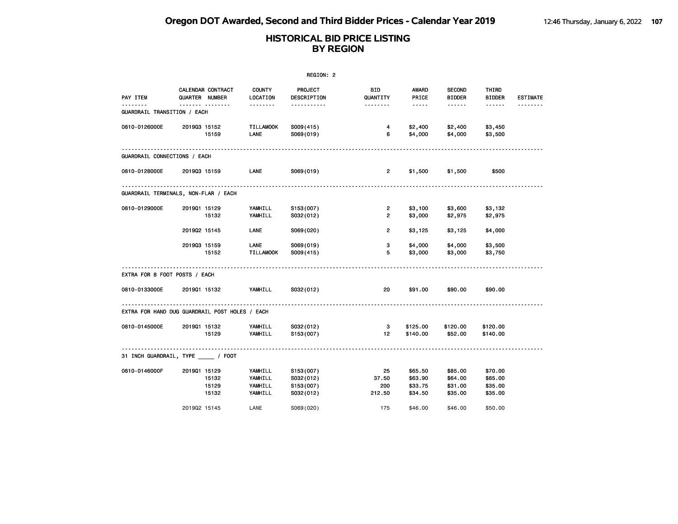| REGION: 2                                      |              |                                     |                                          |                                                  |                                  |                                                                                                                                                      |                                          |                                          |                 |
|------------------------------------------------|--------------|-------------------------------------|------------------------------------------|--------------------------------------------------|----------------------------------|------------------------------------------------------------------------------------------------------------------------------------------------------|------------------------------------------|------------------------------------------|-----------------|
| PAY ITEM                                       |              | CALENDAR CONTRACT<br>QUARTER NUMBER | <b>COUNTY</b><br>LOCATION                | PROJECT<br>DESCRIPTION                           | <b>BID</b><br>QUANTITY           | AWARD<br>PRICE                                                                                                                                       | <b>SECOND</b><br><b>BIDDER</b>           | THIRD<br><b>BIDDER</b>                   | <b>ESTIMATE</b> |
| .<br>GUARDRAIL TRANSITION / EACH               |              | <u></u>                             | <u>.</u>                                 | <u>.</u>                                         | <u>.</u>                         | $\frac{1}{2} \left( \frac{1}{2} \right) \left( \frac{1}{2} \right) \left( \frac{1}{2} \right) \left( \frac{1}{2} \right) \left( \frac{1}{2} \right)$ | $- - - - - -$                            |                                          | .               |
| 0810-0126000E                                  | 201903 15152 | 15159                               | <b>TILLAMOOK</b><br>LANE                 | S009(415)<br>S069(019)                           | $\overline{4}$<br>6              | \$2,400<br>\$4,000                                                                                                                                   | \$2,400<br>\$4,000                       | \$3,450<br>\$3,500                       |                 |
| GUARDRAIL CONNECTIONS / EACH                   |              |                                     |                                          |                                                  |                                  |                                                                                                                                                      |                                          |                                          |                 |
| 0810-0128000E                                  | 201903 15159 |                                     | LANE                                     | S069(019)                                        | $\overline{2}$                   | \$1,500                                                                                                                                              | \$1,500                                  | \$500                                    |                 |
| GUARDRAIL TERMINALS, NON-FLAR / EACH           |              |                                     |                                          |                                                  |                                  |                                                                                                                                                      |                                          |                                          |                 |
| 0810-0129000E                                  | 201901 15129 | 15132                               | YAMHILL<br>YAMHILL                       | S153(007)<br>S032(012)                           | $\overline{2}$<br>$\overline{2}$ | \$3,100<br>\$3,000                                                                                                                                   | \$3,600<br>\$2,975                       | \$3,132<br>\$2,975                       |                 |
|                                                | 201902 15145 |                                     | LANE                                     | S069(020)                                        | $\overline{2}$                   | \$3,125                                                                                                                                              | \$3,125                                  | \$4,000                                  |                 |
|                                                | 201903 15159 | 15152                               | LANE<br>TILLAMOOK                        | S069(019)<br>S009(415)                           | 3<br>5                           | \$4,000<br>\$3,000                                                                                                                                   | \$4,000<br>\$3,000                       | \$3,500<br>\$3,750                       |                 |
| EXTRA FOR 8 FOOT POSTS / EACH                  |              |                                     |                                          |                                                  |                                  |                                                                                                                                                      |                                          |                                          |                 |
| 0810-0133000E                                  | 201901 15132 |                                     | YAMHILL                                  | S032(012)                                        | 20                               | \$91.00                                                                                                                                              | \$90.00                                  | \$90.00                                  |                 |
| EXTRA FOR HAND DUG GUARDRAIL POST HOLES / EACH |              |                                     |                                          |                                                  |                                  |                                                                                                                                                      |                                          |                                          |                 |
| 0810-0145000E                                  | 201901 15132 | 15129                               | YAMHILL<br>YAMHILL                       | S032(012)<br>S153(007)                           | 3<br>12 <sub>1</sub>             | \$125.00<br>\$140.00                                                                                                                                 | \$120.00<br>\$52.00                      | \$120.00<br>\$140.00                     |                 |
| 31 INCH GUARDRAIL, TYPE ___ / FOOT             |              |                                     |                                          |                                                  |                                  |                                                                                                                                                      |                                          |                                          |                 |
| 0810-0146000F                                  | 201901 15129 | 15132<br>15129<br>15132             | YAMHILL<br>YAMHILL<br>YAMHILL<br>YAMHILL | S153(007)<br>S032(012)<br>S153(007)<br>S032(012) | 25<br>37.50<br>200<br>212.50     | \$65.50<br>\$63.90<br>\$33.75<br>\$34.50                                                                                                             | \$85.00<br>\$64.00<br>\$31.00<br>\$35.00 | \$70.00<br>\$65.00<br>\$35.00<br>\$35.00 |                 |
|                                                | 201902 15145 |                                     | LANE                                     | S069(020)                                        | 175                              | \$46,00                                                                                                                                              | \$46,00                                  | \$50,00                                  |                 |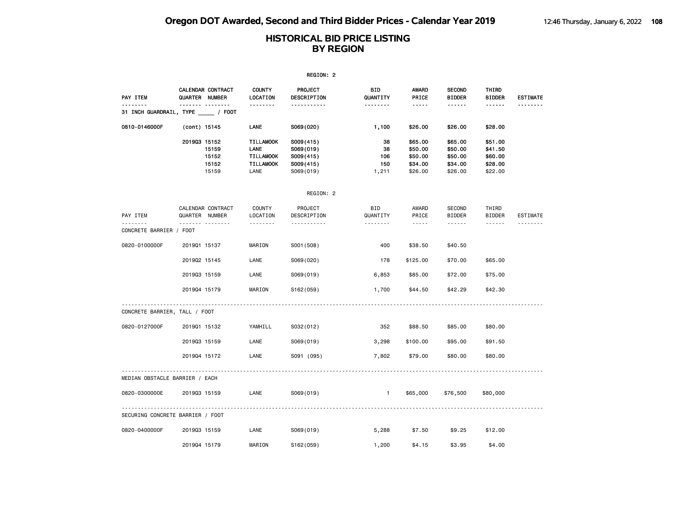|                                  |                                                  |                                                                          | REGION: 2                                                     |                                 |                                                     |                                                     |                                                     |                 |
|----------------------------------|--------------------------------------------------|--------------------------------------------------------------------------|---------------------------------------------------------------|---------------------------------|-----------------------------------------------------|-----------------------------------------------------|-----------------------------------------------------|-----------------|
| PAY ITEM                         | CALENDAR CONTRACT<br>QUARTER NUMBER              | <b>COUNTY</b><br>LOCATION                                                | PROJECT<br>DESCRIPTION                                        | BID<br>QUANTITY                 | AWARD<br>PRICE                                      | <b>SECOND</b><br><b>BIDDER</b>                      | THIRD<br><b>BIDDER</b>                              | <b>ESTIMATE</b> |
|                                  | <b>.</b><br>31 INCH GUARDRAIL, TYPE _____ / FOOT | - - - - - - - -                                                          | .                                                             | --------                        | .                                                   | ------                                              | ------                                              |                 |
| 0810-0146000F                    | (cont) 15145                                     | LANE                                                                     | S069(020)                                                     | 1,100                           | \$26.00                                             | \$26.00                                             | \$28.00                                             |                 |
|                                  | 201903 15152<br>15159<br>15152<br>15152<br>15159 | <b>TILLAMOOK</b><br>LANE<br><b>TILLAMOOK</b><br><b>TILLAMOOK</b><br>LANE | S009(415)<br>S069(019)<br>S009(415)<br>S009(415)<br>S069(019) | 38<br>38<br>106<br>150<br>1,211 | \$65.00<br>\$50.00<br>\$50.00<br>\$34.00<br>\$26.00 | \$65.00<br>\$50.00<br>\$50.00<br>\$34.00<br>\$26.00 | \$51.00<br>\$41.50<br>\$60.00<br>\$28.00<br>\$22.00 |                 |
|                                  |                                                  |                                                                          | REGION: 2                                                     |                                 |                                                     |                                                     |                                                     |                 |
| PAY ITEM                         | CALENDAR CONTRACT<br>QUARTER NUMBER              | COUNTY<br>LOCATION                                                       | PROJECT<br>DESCRIPTION                                        | <b>BID</b><br>QUANTITY          | AWARD<br>PRICE                                      | <b>SECOND</b><br><b>BIDDER</b>                      | THIRD<br><b>BIDDER</b>                              | <b>ESTIMATE</b> |
| CONCRETE BARRIER / FOOT          | <b>.</b>                                         | .                                                                        | .                                                             | <u>.</u>                        | $\sim$ $\sim$ $\sim$ $\sim$ $\sim$                  | ------                                              | ------                                              |                 |
| 0820-0100000F                    | 201901 15137                                     | MARION                                                                   | S001 (508)                                                    | 400                             | \$38.50                                             | \$40.50                                             |                                                     |                 |
|                                  | 201902 15145                                     | LANE                                                                     | S069(020)                                                     | 178                             | \$125.00                                            | \$70.00                                             | \$65.00                                             |                 |
|                                  | 201903 15159                                     | LANE                                                                     | S069(019)                                                     | 6,853                           | \$85.00                                             | \$72.00                                             | \$75.00                                             |                 |
|                                  | 201904 15179                                     | MARION                                                                   | S162(059)                                                     | 1,700                           | \$44.50                                             | \$42.29                                             | \$42.30                                             |                 |
| CONCRETE BARRIER, TALL / FOOT    |                                                  |                                                                          |                                                               |                                 |                                                     |                                                     |                                                     |                 |
| 0820-0127000F                    | 201901 15132                                     | YAMHILL                                                                  | S032(012)                                                     | 352                             | \$88.50                                             | \$85.00                                             | \$80.00                                             |                 |
|                                  | 201903 15159                                     | LANE                                                                     | S069(019)                                                     | 3,298                           | \$100.00                                            | \$95.00                                             | \$91.50                                             |                 |
|                                  | 201904 15172                                     | LANE                                                                     | S091 (095)                                                    | 7,802                           | \$79.00                                             | \$80.00                                             | \$80.00                                             |                 |
| MEDIAN OBSTACLE BARRIER / EACH   |                                                  |                                                                          |                                                               |                                 |                                                     |                                                     |                                                     |                 |
| 0820-0300000E                    | 201903 15159                                     | LANE                                                                     | S069(019)                                                     | $\mathbf{1}$                    | \$65,000                                            | \$76,500                                            | \$80,000                                            |                 |
| SECURING CONCRETE BARRIER / FOOT |                                                  |                                                                          |                                                               |                                 |                                                     |                                                     |                                                     |                 |
| 0820-0400000F                    | 201903 15159                                     | LANE                                                                     | S069(019)                                                     | 5,288                           | \$7.50                                              | \$9.25                                              | \$12.00                                             |                 |
|                                  | 201904 15179                                     | MARION                                                                   | S162(059)                                                     | 1,200                           | \$4.15                                              | \$3.95                                              | \$4.00                                              |                 |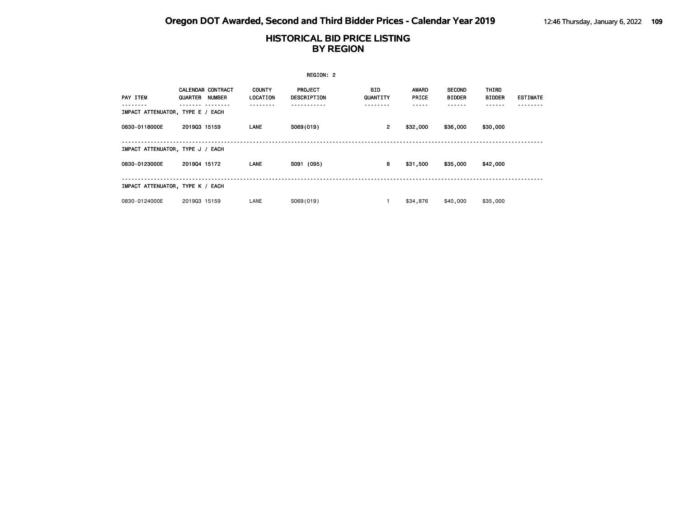|                                  |                                            |                           | REGION: 2                            |                        |                       |                                |                               |                 |
|----------------------------------|--------------------------------------------|---------------------------|--------------------------------------|------------------------|-----------------------|--------------------------------|-------------------------------|-----------------|
| PAY ITEM                         | <b>CALENDAR CONTRACT</b><br>QUARTER NUMBER | <b>COUNTY</b><br>LOCATION | <b>PROJECT</b><br><b>DESCRIPTION</b> | <b>BID</b><br>QUANTITY | <b>AWARD</b><br>PRICE | <b>SECOND</b><br><b>BIDDER</b> | <b>THIRD</b><br><b>BIDDER</b> | <b>ESTIMATE</b> |
| IMPACT ATTENUATOR, TYPE E / EACH |                                            |                           |                                      |                        |                       |                                |                               |                 |
| 0830-0118000E                    | 201903 15159                               | <b>LANE</b>               | S069(019)                            | $\overline{2}$         | \$32,000              | \$36,000                       | \$30,000                      |                 |
| IMPACT ATTENUATOR, TYPE J / EACH |                                            |                           |                                      |                        |                       |                                |                               |                 |
| 0830-0123000E                    | 201904 15172                               | LANE                      | S091 (095)                           | 8                      | \$31,500              | \$35,000                       | \$42,000                      |                 |
| IMPACT ATTENUATOR, TYPE K / EACH |                                            |                           |                                      |                        |                       |                                |                               |                 |
| 0830-0124000E                    | 201903 15159                               | LANE                      | S069(019)                            |                        | \$34,876              | \$40,000                       | \$35,000                      |                 |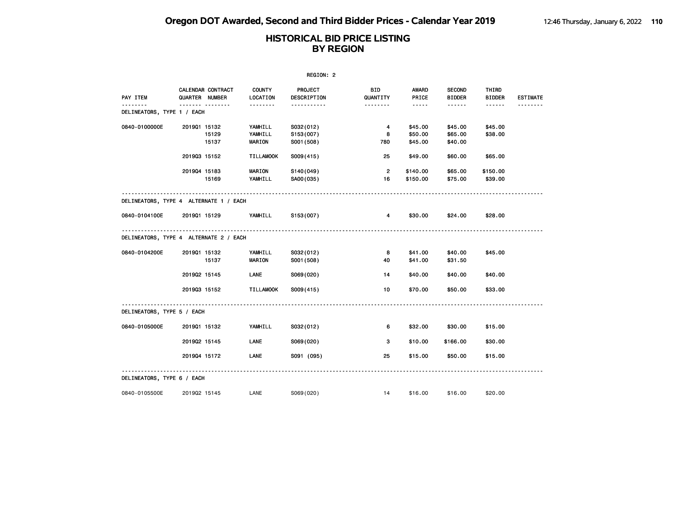| REGION: 2                              |              |                                            |                                     |                                      |                      |                               |                                |                        |                 |  |
|----------------------------------------|--------------|--------------------------------------------|-------------------------------------|--------------------------------------|----------------------|-------------------------------|--------------------------------|------------------------|-----------------|--|
| PAY ITEM                               |              | CALENDAR CONTRACT<br><b>QUARTER NUMBER</b> | <b>COUNTY</b><br>LOCATION           | PROJECT<br>DESCRIPTION               | BID<br>QUANTITY      | AWARD<br>PRICE                | <b>SECOND</b><br><b>BIDDER</b> | THIRD<br><b>BIDDER</b> | <b>ESTIMATE</b> |  |
| DELINEATORS, TYPE 1 / EACH             |              |                                            | <u>.</u>                            | <u>.</u>                             | <u>.</u>             | $- - - - -$                   | ------                         | $- - - - - -$          |                 |  |
| 0840-0100000E                          | 201901 15132 | 15129<br>15137                             | YAMHILL<br>YAMHILL<br><b>MARION</b> | S032(012)<br>S153(007)<br>S001 (508) | 4<br>8<br>780        | \$45.00<br>\$50.00<br>\$45.00 | \$45.00<br>\$65.00<br>\$40.00  | \$45.00<br>\$38.00     |                 |  |
|                                        | 201903 15152 |                                            | <b>TILLAMOOK</b>                    | S009(415)                            | 25                   | \$49.00                       | \$60.00                        | \$65.00                |                 |  |
|                                        | 201904 15183 | 15169                                      | <b>MARION</b><br>YAMHILL            | S140(049)<br>SA00(035)               | $\overline{2}$<br>16 | \$140.00<br>\$150.00          | \$65.00<br>\$75.00             | \$150.00<br>\$39.00    |                 |  |
| DELINEATORS, TYPE 4 ALTERNATE 1 / EACH |              |                                            |                                     |                                      |                      |                               |                                |                        |                 |  |
| 0840-0104100E                          | 201901 15129 |                                            | YAMHILL                             | S153(007)                            | $\overline{4}$       | \$30.00                       | \$24.00                        | \$28.00                |                 |  |
| DELINEATORS, TYPE 4 ALTERNATE 2 / EACH |              |                                            |                                     |                                      |                      |                               |                                |                        |                 |  |
| 0840-0104200E                          | 201901 15132 | 15137                                      | YAMHILL<br><b>MARION</b>            | S032(012)<br>S001 (508)              | 8<br>40              | \$41.00<br>\$41.00            | \$40.00<br>\$31.50             | \$45.00                |                 |  |
|                                        | 201902 15145 |                                            | LANE                                | S069(020)                            | 14                   | \$40.00                       | \$40.00                        | \$40.00                |                 |  |
|                                        | 201903 15152 |                                            | <b>TILLAMOOK</b>                    | S009(415)                            | 10                   | \$70.00                       | \$50.00                        | \$33.00                |                 |  |
| DELINEATORS, TYPE 5 / EACH             |              |                                            |                                     |                                      |                      |                               |                                |                        |                 |  |
| 0840-0105000E                          | 201901 15132 |                                            | YAMHILL                             | S032(012)                            | 6                    | \$32.00                       | \$30.00                        | \$15.00                |                 |  |
|                                        | 201902 15145 |                                            | LANE                                | S069(020)                            | 3                    | \$10.00                       | \$166.00                       | \$30.00                |                 |  |
|                                        | 201904 15172 |                                            | LANE                                | S091 (095)                           | 25                   | \$15.00                       | \$50.00                        | \$15.00                |                 |  |
| DELINEATORS, TYPE 6 / EACH             |              |                                            |                                     |                                      |                      |                               |                                |                        |                 |  |
| 0840-0105500E                          | 201902 15145 |                                            | LANE                                | S069(020)                            | 14                   | \$16.00                       | \$16.00                        | \$20.00                |                 |  |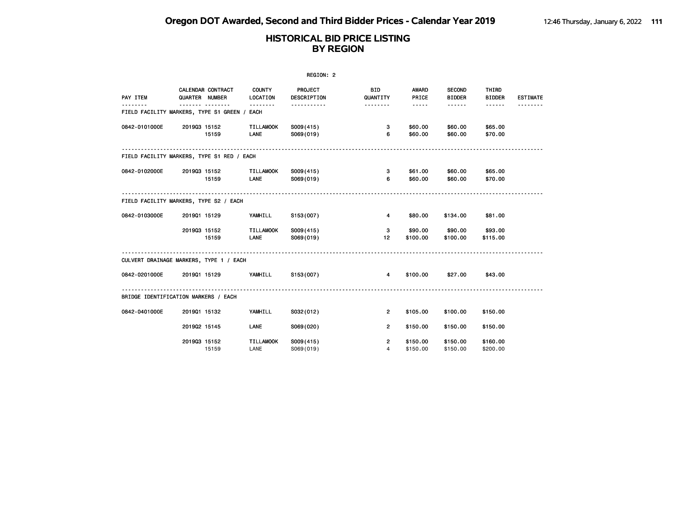| REGION: 2                                    |                     |                          |                                 |                        |                                  |                                                                                                                                                      |                                |                        |                 |  |  |
|----------------------------------------------|---------------------|--------------------------|---------------------------------|------------------------|----------------------------------|------------------------------------------------------------------------------------------------------------------------------------------------------|--------------------------------|------------------------|-----------------|--|--|
| PAY ITEM                                     | QUARTER NUMBER<br>. | <b>CALENDAR CONTRACT</b> | <b>COUNTY</b><br>LOCATION       | PROJECT<br>DESCRIPTION | <b>BID</b><br>QUANTITY           | <b>AWARD</b><br>PRICE                                                                                                                                | <b>SECOND</b><br><b>BIDDER</b> | THIRD<br><b>BIDDER</b> | <b>ESTIMATE</b> |  |  |
| FIELD FACILITY MARKERS, TYPE S1 GREEN / EACH |                     |                          |                                 | .                      |                                  | $\frac{1}{2} \left( \frac{1}{2} \right) \left( \frac{1}{2} \right) \left( \frac{1}{2} \right) \left( \frac{1}{2} \right) \left( \frac{1}{2} \right)$ | $- - - - - -$                  | $- - - - - -$          |                 |  |  |
| 0842-0101000E                                | 201903 15152        | 15159                    | TILLAMOOK<br>LANE               | S009(415)<br>S069(019) | 3<br>6                           | \$60.00<br>\$60.00                                                                                                                                   | \$60.00<br>\$60.00             | \$65.00<br>\$70.00     |                 |  |  |
| FIELD FACILITY MARKERS, TYPE S1 RED / EACH   |                     |                          |                                 |                        |                                  |                                                                                                                                                      |                                |                        |                 |  |  |
| 0842-0102000E                                | 201903 15152        | 15159                    | <b>TILLAMOOK</b><br><b>LANE</b> | S009(415)<br>S069(019) | 3<br>6                           | \$61.00<br>\$60.00                                                                                                                                   | \$60.00<br>\$60.00             | \$65.00<br>\$70.00     |                 |  |  |
| FIELD FACILITY MARKERS, TYPE S2 / EACH       |                     |                          |                                 |                        |                                  |                                                                                                                                                      |                                |                        |                 |  |  |
| 0842-0103000E                                | 201901 15129        |                          | YAMHILL                         | S153(007)              | 4                                | \$80.00                                                                                                                                              | \$134.00                       | \$81.00                |                 |  |  |
|                                              | 201903 15152        | 15159                    | <b>TILLAMOOK</b><br>LANE        | S009(415)<br>S069(019) | 3<br>12 <sup>2</sup>             | \$90.00<br>\$100.00                                                                                                                                  | \$90.00<br>\$100.00            | \$93.00<br>\$115.00    |                 |  |  |
| CULVERT DRAINAGE MARKERS, TYPE 1 / EACH      |                     |                          |                                 |                        |                                  |                                                                                                                                                      |                                |                        |                 |  |  |
| 0842-0201000E                                |                     | 201901 15129             | YAMHILL                         | S153(007)              | $\overline{4}$                   | \$100.00                                                                                                                                             | \$27.00                        | \$43.00                |                 |  |  |
| BRIDGE IDENTIFICATION MARKERS / EACH         |                     |                          |                                 |                        |                                  |                                                                                                                                                      |                                |                        |                 |  |  |
| 0842-0401000E                                | 201901 15132        |                          | YAMHILL                         | S032(012)              | $\overline{2}$                   | \$105.00                                                                                                                                             | \$100.00                       | \$150.00               |                 |  |  |
|                                              | 201902 15145        |                          | LANE                            | S069(020)              | $\overline{2}$                   | \$150.00                                                                                                                                             | \$150.00                       | \$150.00               |                 |  |  |
|                                              | 201903 15152        | 15159                    | <b>TILLAMOOK</b><br>LANE        | S009(415)<br>S069(019) | $\overline{2}$<br>$\overline{4}$ | \$150.00<br>\$150.00                                                                                                                                 | \$150.00<br>\$150.00           | \$160.00<br>\$200.00   |                 |  |  |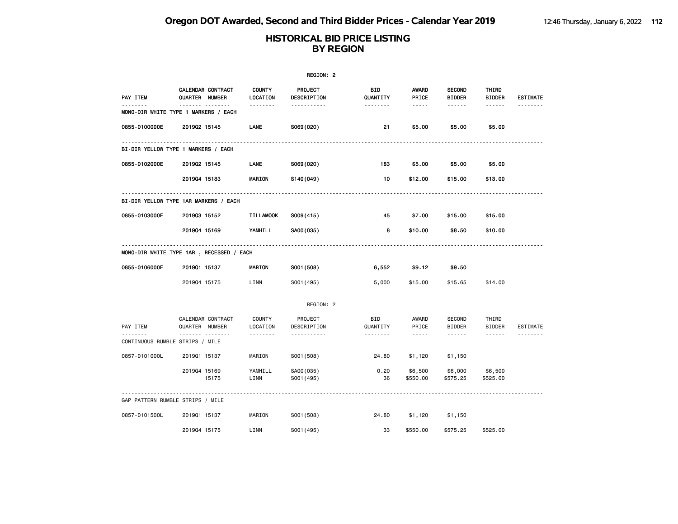|                                  |                                           |                           | REGION: 2               |                        |                     |                                |                        |                 |
|----------------------------------|-------------------------------------------|---------------------------|-------------------------|------------------------|---------------------|--------------------------------|------------------------|-----------------|
| PAY ITEM                         | CALENDAR CONTRACT<br>QUARTER NUMBER       | <b>COUNTY</b><br>LOCATION | PROJECT<br>DESCRIPTION  | <b>BID</b><br>QUANTITY | AWARD<br>PRICE      | <b>SECOND</b><br><b>BIDDER</b> | THIRD<br><b>BIDDER</b> | <b>ESTIMATE</b> |
| <u>.</u>                         | .<br>MONO-DIR WHITE TYPE 1 MARKERS / EACH | <u>.</u>                  | <u>.</u>                | <u>.</u>               | $- - - - -$         | ------                         | ------                 |                 |
| 0855-0100000E                    | 201902 15145                              | LANE                      | S069(020)               | 21                     | \$5.00              | \$5.00                         | \$5.00                 |                 |
|                                  | BI-DIR YELLOW TYPE 1 MARKERS / EACH       |                           |                         |                        |                     |                                |                        |                 |
| 0855-0102000E                    | 201902 15145                              | LANE                      | S069(020)               | 183                    | \$5.00              | \$5.00                         | \$5.00                 |                 |
|                                  | 201904 15183                              | MARION                    | S140(049)               | 10                     | \$12.00             | \$15.00                        | \$13.00                |                 |
|                                  | BI-DIR YELLOW TYPE 1AR MARKERS / EACH     |                           |                         |                        |                     |                                |                        |                 |
| 0855-0103000E                    | 201903 15152                              | <b>TILLAMOOK</b>          | S009(415)               | 45                     | \$7.00              | \$15.00                        | \$15.00                |                 |
|                                  | 201904 15169                              | YAMHILL                   | SA00(035)               | 8                      | \$10.00             | \$8.50                         | \$10.00                |                 |
|                                  | MONO-DIR WHITE TYPE 1AR , RECESSED / EACH |                           |                         |                        |                     |                                |                        |                 |
| 0855-0106000E                    | 201901 15137                              | <b>MARION</b>             | S001 (508)              | 6,552                  | \$9.12              | \$9.50                         |                        |                 |
|                                  | 201904 15175                              | LINN                      | S001 (495)              | 5,000                  | \$15.00             | \$15.65                        | \$14.00                |                 |
|                                  |                                           |                           | REGION: 2               |                        |                     |                                |                        |                 |
| PAY ITEM                         | CALENDAR CONTRACT<br>QUARTER NUMBER       | <b>COUNTY</b><br>LOCATION | PROJECT<br>DESCRIPTION  | <b>BID</b><br>QUANTITY | AWARD<br>PRICE      | SECOND<br><b>BIDDER</b>        | THIRD<br><b>BIDDER</b> | ESTIMATE        |
| CONTINUOUS RUMBLE STRIPS / MILE  | .                                         | .                         | <u>.</u>                | .                      | $- - - - -$         | ------                         | ------                 |                 |
| 0857-0101000L                    | 201901 15137                              | MARION                    | S001 (508)              | 24.80                  | \$1,120             | \$1,150                        |                        |                 |
|                                  | 201904 15169<br>15175                     | YAMHILL<br>LINN           | SA00(035)<br>S001 (495) | 0.20<br>36             | \$6,500<br>\$550.00 | \$6,000<br>\$575.25            | \$6,500<br>\$525.00    |                 |
| GAP PATTERN RUMBLE STRIPS / MILE |                                           |                           |                         |                        |                     |                                |                        |                 |
| 0857-0101500L                    | 201901 15137                              | MARION                    | S001 (508)              | 24.80                  | \$1,120             | \$1,150                        |                        |                 |
|                                  | 201904 15175                              | LINN                      | S001 (495)              | 33                     | \$550.00            | \$575.25                       | \$525.00               |                 |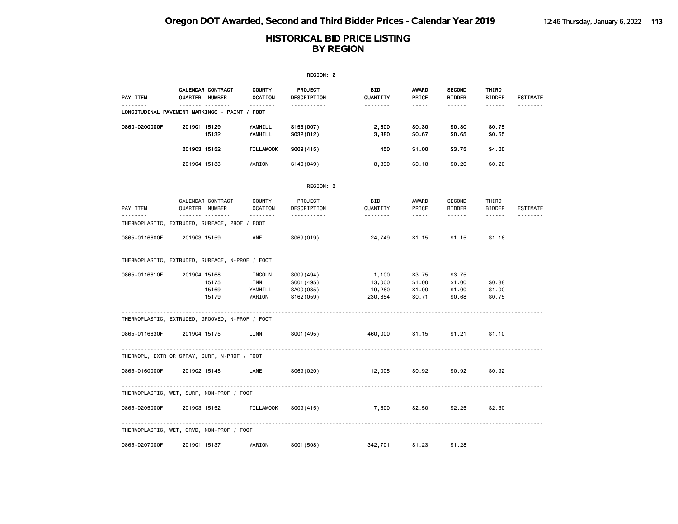|                                                 |                                         |                                      | REGION: 2                                          |                                      |                                      |                                                                                                                                                                                                            |                            |                 |
|-------------------------------------------------|-----------------------------------------|--------------------------------------|----------------------------------------------------|--------------------------------------|--------------------------------------|------------------------------------------------------------------------------------------------------------------------------------------------------------------------------------------------------------|----------------------------|-----------------|
| PAY ITEM                                        | CALENDAR CONTRACT<br>QUARTER NUMBER     | <b>COUNTY</b><br>LOCATION            | PROJECT<br>DESCRIPTION                             | <b>BID</b><br>QUANTITY               | AWARD<br>PRICE                       | <b>SECOND</b><br><b>BIDDER</b>                                                                                                                                                                             | THIRD<br><b>BIDDER</b>     | <b>ESTIMATE</b> |
| LONGITUDINAL PAVEMENT MARKINGS - PAINT / FOOT   | . <sub>.</sub>                          | .                                    | <u>.</u>                                           | <u>.</u>                             | -----                                | ------                                                                                                                                                                                                     | ------                     |                 |
| 0860-0200000F                                   | 201901 15129<br>15132                   | YAMHILL<br>YAMHILL                   | S153(007)<br>S032(012)                             | 2,600<br>3,880                       | \$0.30<br>\$0.67                     | \$0.30<br>\$0.65                                                                                                                                                                                           | \$0.75<br>\$0.65           |                 |
|                                                 | 201903 15152                            | <b>TILLAMOOK</b>                     | S009(415)                                          | 450                                  | \$1.00                               | \$3.75                                                                                                                                                                                                     | \$4.00                     |                 |
|                                                 | 201904 15183                            | MARION                               | S140(049)                                          | 8,890                                | \$0.18                               | \$0.20                                                                                                                                                                                                     | \$0.20                     |                 |
|                                                 |                                         |                                      | REGION: 2                                          |                                      |                                      |                                                                                                                                                                                                            |                            |                 |
| PAY ITEM<br><u>.</u>                            | CALENDAR CONTRACT<br>QUARTER NUMBER     | COUNTY<br>LOCATION                   | PROJECT<br>DESCRIPTION                             | <b>BID</b><br>QUANTITY               | AWARD<br>PRICE                       | SECOND<br><b>BIDDER</b>                                                                                                                                                                                    | THIRD<br><b>BIDDER</b>     | ESTIMATE        |
| THERMOPLASTIC, EXTRUDED, SURFACE, PROF / FOOT   | <b>.</b>                                | .                                    | <u>.</u>                                           | <u>.</u>                             | $\sim$ $\sim$ $\sim$ $\sim$ $\sim$   | $\frac{1}{2} \left( \frac{1}{2} \right) \left( \frac{1}{2} \right) \left( \frac{1}{2} \right) \left( \frac{1}{2} \right) \left( \frac{1}{2} \right) \left( \frac{1}{2} \right) \left( \frac{1}{2} \right)$ | ------                     | <u>.</u>        |
| 0865-0116600F                                   | 201903 15159                            | LANE                                 | S069(019)                                          | 24,749                               | \$1.15                               | \$1.15                                                                                                                                                                                                     | \$1.16                     |                 |
| THERMOPLASTIC, EXTRUDED, SURFACE, N-PROF / FOOT |                                         |                                      |                                                    |                                      |                                      |                                                                                                                                                                                                            |                            |                 |
| 0865-0116610F                                   | 201904 15168<br>15175<br>15169<br>15179 | LINCOLN<br>LINN<br>YAMHILL<br>MARION | S009(494)<br>S001 (495)<br>SA00 (035)<br>S162(059) | 1,100<br>13,000<br>19,260<br>230,854 | \$3.75<br>\$1.00<br>\$1.00<br>\$0.71 | \$3.75<br>\$1.00<br>\$1.00<br>\$0.68                                                                                                                                                                       | \$0.88<br>\$1.00<br>\$0.75 |                 |
| THERMOPLASTIC, EXTRUDED, GROOVED, N-PROF / FOOT |                                         |                                      |                                                    |                                      |                                      |                                                                                                                                                                                                            |                            |                 |
| 0865-0116630F                                   | 201904 15175                            | LINN                                 | S001 (495)                                         | 460,000                              | \$1.15                               | \$1.21                                                                                                                                                                                                     | \$1.10                     |                 |
| THERMOPL, EXTR OR SPRAY, SURF, N-PROF / FOOT    |                                         |                                      |                                                    |                                      |                                      |                                                                                                                                                                                                            |                            |                 |
| 0865-0160000F                                   | 201902 15145                            | LANE                                 | S069(020)                                          | 12,005                               | \$0.92                               | \$0.92                                                                                                                                                                                                     | \$0.92                     |                 |
| THERMOPLASTIC, WET, SURF, NON-PROF / FOOT       |                                         |                                      |                                                    |                                      |                                      |                                                                                                                                                                                                            |                            |                 |
| 0865-0205000F                                   | 201903 15152                            | <b>TILLAMOOK</b>                     | S009(415)                                          | 7,600                                | \$2.50                               | \$2.25                                                                                                                                                                                                     | \$2.30                     |                 |
| THERMOPLASTIC, WET, GRVD, NON-PROF / FOOT       |                                         | .                                    |                                                    |                                      |                                      |                                                                                                                                                                                                            |                            |                 |
| 0865-0207000F                                   | 201901 15137                            | MARION                               | S001 (508)                                         | 342,701                              | \$1.23                               | \$1.28                                                                                                                                                                                                     |                            |                 |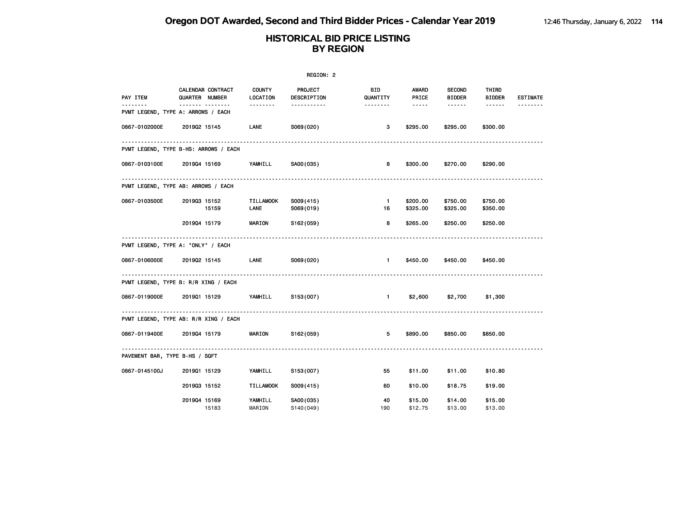|                                    |                                                                |                           | REGION: 2                                                      |                             |                                   |                                          |                                  |                             |
|------------------------------------|----------------------------------------------------------------|---------------------------|----------------------------------------------------------------|-----------------------------|-----------------------------------|------------------------------------------|----------------------------------|-----------------------------|
| PAY ITEM<br>.                      | <b>CALENDAR CONTRACT</b><br>QUARTER NUMBER<br>------- -------- | <b>COUNTY</b><br>LOCATION | <b>PROJECT</b><br>DESCRIPTION<br><u> - - - - - - - - - - -</u> | BID<br>QUANTITY<br><u>.</u> | AWARD<br>PRICE<br>$\cdots \cdots$ | <b>SECOND</b><br><b>BIDDER</b><br>------ | THIRD<br><b>BIDDER</b><br>------ | <b>ESTIMATE</b><br><u>.</u> |
| PVMT LEGEND, TYPE A: ARROWS / EACH |                                                                |                           |                                                                |                             |                                   |                                          |                                  |                             |
| 0867-0102000E                      | 201902 15145                                                   | LANE                      | S069(020)                                                      | 3                           | \$295.00                          | \$295,00                                 | \$300.00                         |                             |
|                                    | PVMT LEGEND, TYPE B-HS: ARROWS / EACH                          |                           |                                                                |                             |                                   |                                          |                                  |                             |
| 0867-0103100E                      | 201904 15169                                                   | YAMHILL                   | SA00(035)                                                      | 8                           | \$300.00                          | \$270.00                                 | \$290.00                         |                             |
|                                    | PVMT LEGEND, TYPE AB: ARROWS / EACH                            |                           |                                                                |                             |                                   |                                          |                                  |                             |
| 0867-0103500E                      | 201903 15152<br>15159                                          | TILLAMOOK<br>LANE         | S009(415)<br>S069(019)                                         | $\blacksquare$<br>16        | \$200.00<br>\$325.00              | \$750.00<br>\$325.00                     | \$750.00<br>\$350.00             |                             |
|                                    | 201904 15179                                                   | <b>MARION</b>             | S162(059)                                                      | 8                           | \$265.00                          | \$250.00                                 | \$250.00                         |                             |
| PVMT LEGEND, TYPE A: "ONLY" / EACH |                                                                |                           |                                                                |                             |                                   |                                          |                                  |                             |
| 0867-0106000E                      | 201902 15145                                                   | LANE                      | S069(020)                                                      | $\blacksquare$              | \$450.00                          | \$450.00                                 | \$450.00                         |                             |
|                                    | PVMT LEGEND, TYPE B: R/R XING / EACH                           |                           |                                                                |                             |                                   |                                          |                                  |                             |
| 0867-0119000E                      | 2019Q1 15129 YAMHILL S153(007)                                 |                           |                                                                | $\sim$ 1.                   | \$2,600                           | \$2,700                                  | \$1,300                          |                             |
|                                    | PVMT LEGEND, TYPE AB: R/R XING / EACH                          |                           |                                                                |                             |                                   |                                          |                                  |                             |
| 0867-0119400E                      | 201904 15179                                                   |                           | MARION S162(059)                                               | 5                           | \$890.00                          | \$850.00                                 | \$850.00                         |                             |
| PAVEMENT BAR, TYPE B-HS / SQFT     |                                                                |                           |                                                                |                             |                                   |                                          |                                  |                             |
| 0867-0145100J                      | 201901 15129                                                   | YAMHILL                   | S153(007)                                                      | 55                          | \$11.00                           | \$11.00                                  | \$10.80                          |                             |
|                                    | 201903 15152                                                   | <b>TILLAMOOK</b>          | S009(415)                                                      | 60                          | \$10.00                           | \$18.75                                  | \$19.00                          |                             |
|                                    | 201904 15169<br>15183                                          | YAMHILL<br>MARION         | SA00(035)<br>S140(049)                                         | 40<br>190                   | \$15.00<br>\$12.75                | \$14.00<br>\$13.00                       | \$15.00<br>\$13.00               |                             |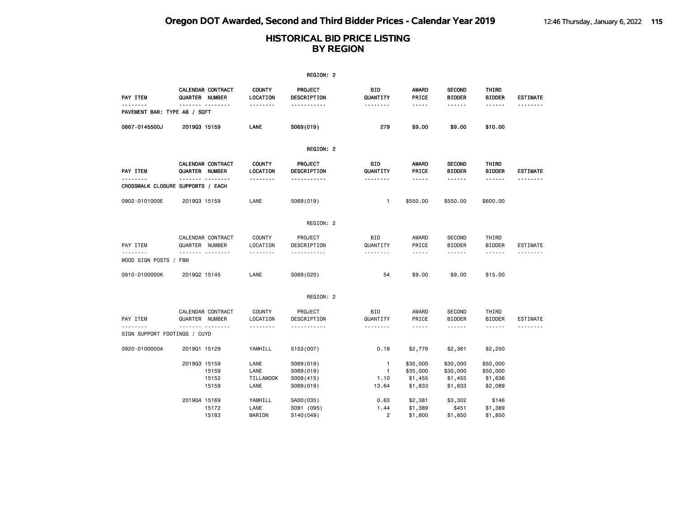|                                          |                                                     |                                          | REGION: 2                                        |                                    |                                                                                                                                 |                                            |                                            |                      |
|------------------------------------------|-----------------------------------------------------|------------------------------------------|--------------------------------------------------|------------------------------------|---------------------------------------------------------------------------------------------------------------------------------|--------------------------------------------|--------------------------------------------|----------------------|
| PAY ITEM                                 | CALENDAR CONTRACT<br>QUARTER NUMBER                 | <b>COUNTY</b><br>LOCATION                | PROJECT<br>DESCRIPTION                           | BID<br>QUANTITY                    | <b>AWARD</b><br>PRICE                                                                                                           | <b>SECOND</b><br><b>BIDDER</b>             | THIRD<br><b>BIDDER</b>                     | <b>ESTIMATE</b>      |
| <u>.</u><br>PAVEMENT BAR: TYPE AB / SQFT | <u></u>                                             | --------                                 | <u>.</u>                                         | --------                           | $- - - - -$                                                                                                                     | ------                                     | ------                                     |                      |
| 0867-0145500J                            | 201903 15159                                        | LANE                                     | S069(019)                                        | 279                                | \$9.00                                                                                                                          | \$9.00                                     | \$10.00                                    |                      |
|                                          |                                                     |                                          | REGION: 2                                        |                                    |                                                                                                                                 |                                            |                                            |                      |
| PAY ITEM                                 | CALENDAR CONTRACT<br>QUARTER NUMBER                 | <b>COUNTY</b><br>LOCATION                | <b>PROJECT</b><br>DESCRIPTION                    | BID<br>QUANTITY                    | <b>AWARD</b><br>PRICE                                                                                                           | <b>SECOND</b><br><b>BIDDER</b>             | THIRD<br><b>BIDDER</b>                     | <b>ESTIMATE</b>      |
| <u>.</u>                                 | . <sub>.</sub><br>CROSSWALK CLOSURE SUPPORTS / EACH | --------                                 | <u>.</u>                                         | --------                           | -----                                                                                                                           | ------                                     | ------                                     | .                    |
| 0902-0101000E                            | 201903 15159                                        | LANE                                     | S069(019)                                        | 1                                  | \$550.00                                                                                                                        | \$550.00                                   | \$600.00                                   |                      |
|                                          |                                                     |                                          | REGION: 2                                        |                                    |                                                                                                                                 |                                            |                                            |                      |
| PAY ITEM                                 | CALENDAR CONTRACT<br>QUARTER NUMBER                 | <b>COUNTY</b><br>LOCATION                | PROJECT<br>DESCRIPTION                           | BID<br>QUANTITY                    | AWARD<br>PRICE                                                                                                                  | <b>SECOND</b><br><b>BIDDER</b>             | THIRD<br><b>BIDDER</b>                     | <b>ESTIMATE</b>      |
| .<br>WOOD SIGN POSTS / FBM               | <b>.</b>                                            | .                                        | .                                                | .                                  | $\frac{1}{2} \frac{1}{2} \frac{1}{2} \frac{1}{2} \frac{1}{2} \frac{1}{2} \frac{1}{2} \frac{1}{2} \frac{1}{2}$                   | ------                                     | ------                                     | .                    |
| 0910-0100000K                            | 201902 15145                                        | LANE                                     | S069(020)                                        | 54                                 | \$9.00                                                                                                                          | \$9.00                                     | \$15.00                                    |                      |
|                                          |                                                     |                                          | REGION: 2                                        |                                    |                                                                                                                                 |                                            |                                            |                      |
| PAY ITEM<br>.                            | CALENDAR CONTRACT<br>QUARTER NUMBER<br><b>.</b>     | <b>COUNTY</b><br>LOCATION<br>.           | PROJECT<br>DESCRIPTION<br>.                      | BID<br>QUANTITY<br>.               | AWARD<br>PRICE<br>$\frac{1}{2} \frac{1}{2} \frac{1}{2} \frac{1}{2} \frac{1}{2} \frac{1}{2} \frac{1}{2} \frac{1}{2} \frac{1}{2}$ | <b>SECOND</b><br><b>BIDDER</b><br>------   | THIRD<br><b>BIDDER</b><br>------           | <b>ESTIMATE</b><br>. |
| SIGN SUPPORT FOOTINGS / CUYD             |                                                     |                                          |                                                  |                                    |                                                                                                                                 |                                            |                                            |                      |
| 0920-0100000A                            | 201901 15129                                        | YAMHILL                                  | S153 (007)                                       | 0.18                               | \$2,778                                                                                                                         | \$2,361                                    | \$2,250                                    |                      |
|                                          | 201903 15159<br>15159<br>15152<br>15159             | LANE<br>LANE<br><b>TILLAMOOK</b><br>LANE | S069(019)<br>S069(019)<br>S009(415)<br>S069(019) | $\mathbf{1}$<br>1<br>1.10<br>13.64 | \$35,000<br>\$35,000<br>\$1,455<br>\$1,833                                                                                      | \$30,000<br>\$30,000<br>\$1,455<br>\$1,833 | \$50,000<br>\$50,000<br>\$1,636<br>\$2,089 |                      |
|                                          | 201904 15169<br>15172<br>15183                      | YAMHILL<br>LANE<br>MARION                | SA00 (035)<br>S091 (095)<br>S140(049)            | 0.63<br>1.44<br>$\overline{2}$     | \$2,381<br>\$1,389<br>\$1,800                                                                                                   | \$3,302<br>\$451<br>\$1,850                | \$146<br>\$1,389<br>\$1,850                |                      |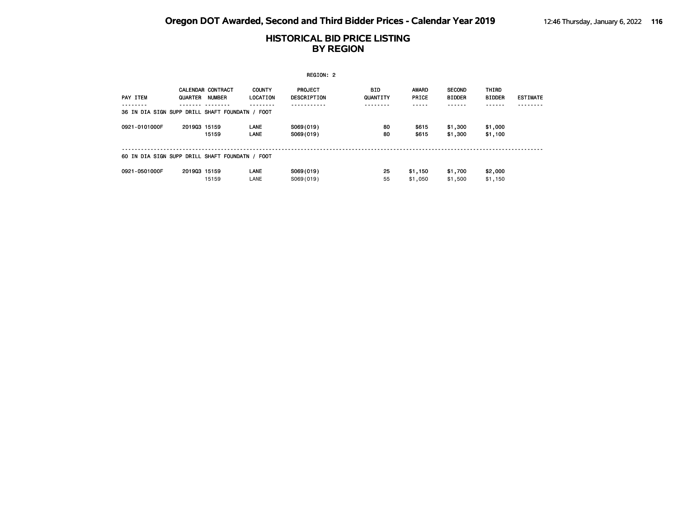|                                                 |              |                                           |                                  | REGION: 2              |                 |                       |                                |                               |                 |
|-------------------------------------------------|--------------|-------------------------------------------|----------------------------------|------------------------|-----------------|-----------------------|--------------------------------|-------------------------------|-----------------|
| PAY ITEM                                        | QUARTER      | <b>CALENDAR CONTRACT</b><br><b>NUMBER</b> | <b>COUNTY</b><br><b>LOCATION</b> | PROJECT<br>DESCRIPTION | BID<br>QUANTITY | <b>AWARD</b><br>PRICE | <b>SECOND</b><br><b>BIDDER</b> | <b>THIRD</b><br><b>BIDDER</b> | <b>ESTIMATE</b> |
|                                                 |              |                                           |                                  |                        |                 |                       |                                |                               |                 |
| 36 IN DIA SIGN SUPP DRILL SHAFT FOUNDATN / FOOT |              |                                           |                                  |                        |                 |                       |                                |                               |                 |
| 0921-0101000F                                   | 201903 15159 |                                           | LANE                             | S069(019)              | 80              | \$615                 | \$1,300                        | \$1,000                       |                 |
|                                                 |              | 15159                                     | <b>LANE</b>                      | S069(019)              | 80              | \$615                 | \$1,300                        | \$1,100                       |                 |
|                                                 |              |                                           |                                  |                        |                 |                       |                                |                               |                 |
| 60 IN DIA SIGN SUPP DRILL SHAFT FOUNDATN / FOOT |              |                                           |                                  |                        |                 |                       |                                |                               |                 |
| 0921-0501000F                                   | 201903 15159 |                                           | <b>LANE</b>                      | S069(019)              | 25              | \$1,150               | \$1,700                        | \$2,000                       |                 |
|                                                 |              | 15159                                     | LANE                             | S069(019)              | 55              | \$1,050               | \$1,500                        | \$1,150                       |                 |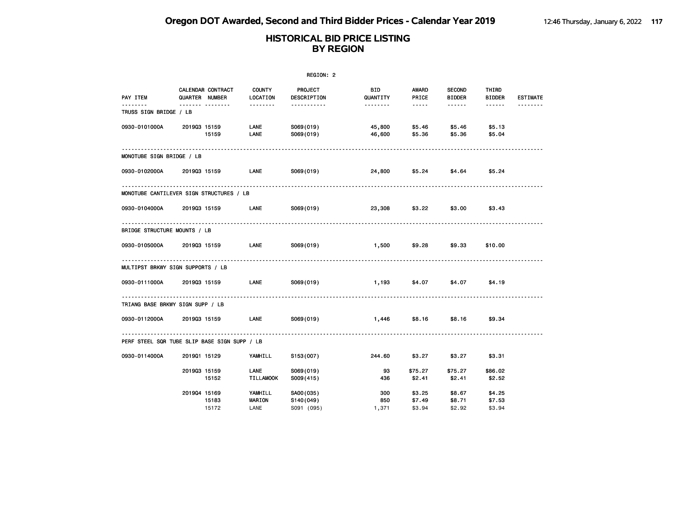|                                              | REGION: 2    |                                     |                                  |                                      |                     |                                                                                                                                                      |                                |                            |                 |  |  |
|----------------------------------------------|--------------|-------------------------------------|----------------------------------|--------------------------------------|---------------------|------------------------------------------------------------------------------------------------------------------------------------------------------|--------------------------------|----------------------------|-----------------|--|--|
| PAY ITEM                                     |              | CALENDAR CONTRACT<br>QUARTER NUMBER | <b>COUNTY</b><br>LOCATION        | PROJECT<br>DESCRIPTION               | BID<br>QUANTITY     | AWARD<br>PRICE                                                                                                                                       | <b>SECOND</b><br><b>BIDDER</b> | THIRD<br><b>BIDDER</b>     | <b>ESTIMATE</b> |  |  |
| .<br>TRUSS SIGN BRIDGE / LB                  |              | . <sub>.</sub>                      | <u> - - - - - - -</u>            | -----------                          | .                   | $\frac{1}{2} \left( \frac{1}{2} \right) \left( \frac{1}{2} \right) \left( \frac{1}{2} \right) \left( \frac{1}{2} \right) \left( \frac{1}{2} \right)$ | .                              |                            |                 |  |  |
| 0930-0101000A                                |              | 201903 15159<br>15159               | LANE<br>LANE                     | S069(019)<br>S069(019)               | 45,800<br>46,600    | \$5.46<br>\$5.36                                                                                                                                     | \$5.46<br>\$5.36               | \$5.13<br>\$5.04           |                 |  |  |
| MONOTUBE SIGN BRIDGE / LB                    |              |                                     |                                  |                                      |                     |                                                                                                                                                      |                                |                            |                 |  |  |
| 0930-0102000A                                | 201903 15159 |                                     | <b>LANE</b>                      | S069(019)                            | 24,800              | \$5.24                                                                                                                                               |                                | $$4.64$ $$5.24$            |                 |  |  |
| MONOTUBE CANTILEVER SIGN STRUCTURES / LB     |              |                                     |                                  |                                      |                     |                                                                                                                                                      |                                |                            |                 |  |  |
| 0930-0104000A                                | 201903 15159 |                                     | <b>LANE</b>                      | S069(019)                            | 23,308              | \$3.22                                                                                                                                               | \$3.00                         | \$3.43                     |                 |  |  |
| BRIDGE STRUCTURE MOUNTS / LB                 |              |                                     |                                  |                                      |                     |                                                                                                                                                      |                                |                            |                 |  |  |
| 0930-0105000A                                |              | 201903 15159                        | LANE                             | S069(019)                            | 1,500               | \$9.28                                                                                                                                               | \$9.33                         | \$10.00                    |                 |  |  |
| MULTIPST BRKWY SIGN SUPPORTS / LB            |              |                                     |                                  |                                      |                     |                                                                                                                                                      |                                |                            |                 |  |  |
| 0930-0111000A 2019Q3 15159 LANE              |              |                                     |                                  | S069(019)                            | 1,193               | \$4.07                                                                                                                                               | \$4.07                         | \$4.19                     |                 |  |  |
| TRIANG BASE BRKWY SIGN SUPP / LB             |              |                                     |                                  |                                      |                     |                                                                                                                                                      |                                |                            |                 |  |  |
| 0930-0112000A                                |              | 201903 15159 LANE                   |                                  | S069(019)                            | 1,446               | \$8.16                                                                                                                                               | \$8.16                         | \$9.34                     |                 |  |  |
| PERF STEEL SQR TUBE SLIP BASE SIGN SUPP / LB |              |                                     |                                  |                                      |                     |                                                                                                                                                      |                                |                            |                 |  |  |
| 0930-0114000A                                | 201901 15129 |                                     | YAMHILL                          | S153(007)                            | 244.60              | \$3.27                                                                                                                                               | \$3.27                         | \$3.31                     |                 |  |  |
|                                              | 201903 15159 | 15152                               | LANE<br><b>TILLAMOOK</b>         | S069(019)<br>S009(415)               | 93<br>436           | \$75.27<br>\$2.41                                                                                                                                    | \$75.27<br>\$2.41              | \$86.02<br>\$2.52          |                 |  |  |
|                                              | 201904 15169 | 15183<br>15172                      | YAMHILL<br><b>MARION</b><br>LANE | SA00(035)<br>S140(049)<br>S091 (095) | 300<br>850<br>1,371 | \$3.25<br>\$7.49<br>\$3.94                                                                                                                           | \$8.67<br>\$8.71<br>\$2.92     | \$4.25<br>\$7.53<br>\$3.94 |                 |  |  |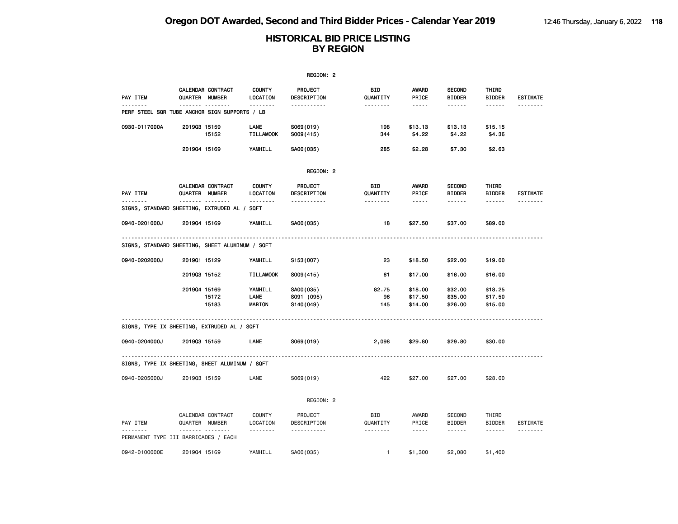|                                                 |                                     |                          |                           | REGION: 2               |                 |                                                                                                                                                      |                                |                        |                 |
|-------------------------------------------------|-------------------------------------|--------------------------|---------------------------|-------------------------|-----------------|------------------------------------------------------------------------------------------------------------------------------------------------------|--------------------------------|------------------------|-----------------|
| <b>PAY ITEM</b>                                 | QUARTER NUMBER                      | CALENDAR CONTRACT        | <b>COUNTY</b><br>LOCATION | PROJECT<br>DESCRIPTION  | BID<br>QUANTITY | AWARD<br>PRICE                                                                                                                                       | <b>SECOND</b><br><b>BIDDER</b> | THIRD<br><b>BIDDER</b> | <b>ESTIMATE</b> |
| PERF STEEL SQR TUBE ANCHOR SIGN SUPPORTS / LB   | <b>.</b>                            |                          | .                         | -----------             | --------        | $\cdots \cdots \cdots$                                                                                                                               | ------                         | ------                 |                 |
| 0930-0117000A                                   | 201903 15159                        | 15152                    | LANE<br><b>TILLAMOOK</b>  | S069(019)<br>S009(415)  | 198<br>344      | \$13.13<br>\$4.22                                                                                                                                    | \$13.13<br>\$4.22              | \$15.15<br>\$4.36      |                 |
|                                                 | 201904 15169                        |                          | YAMHILL                   | SA00(035)               | 285             | \$2.28                                                                                                                                               | \$7.30                         | \$2.63                 |                 |
|                                                 |                                     |                          |                           | REGION: 2               |                 |                                                                                                                                                      |                                |                        |                 |
| <b>PAY ITEM</b><br><u>.</u>                     | QUARTER NUMBER<br>                  | <b>CALENDAR CONTRACT</b> | <b>COUNTY</b><br>LOCATION | PROJECT<br>DESCRIPTION  | BID<br>QUANTITY | AWARD<br>PRICE                                                                                                                                       | <b>SECOND</b><br><b>BIDDER</b> | THIRD<br><b>BIDDER</b> | <b>ESTIMATE</b> |
| SIGNS, STANDARD SHEETING, EXTRUDED AL / SQFT    |                                     |                          | <u> - - - - - - -</u>     | .                       | <u>.</u>        | -----                                                                                                                                                | .                              | $- - - - - -$          | <u>.</u>        |
| 0940-0201000J                                   | 201904 15169                        |                          | YAMHILL                   | SA00(035)               | 18              | \$27.50                                                                                                                                              | \$37.00                        | \$89.00                |                 |
| SIGNS, STANDARD SHEETING, SHEET ALUMINUM / SQFT |                                     |                          |                           |                         |                 |                                                                                                                                                      |                                |                        |                 |
| 0940-0202000J                                   | 201901 15129                        |                          | YAMHILL                   | S153(007)               | 23              | \$18.50                                                                                                                                              | \$22.00                        | \$19.00                |                 |
|                                                 | 201903 15152                        |                          | <b>TILLAMOOK</b>          | S009(415)               | 61              | \$17.00                                                                                                                                              | \$16.00                        | \$16.00                |                 |
|                                                 | 201904 15169                        |                          | YAMHILL                   | SA00(035)               | 82.75           | \$18.00                                                                                                                                              | \$32.00                        | \$18.25                |                 |
|                                                 |                                     | 15172<br>15183           | LANE<br>MARION            | S091 (095)<br>S140(049) | 96<br>145       | \$17.50<br>\$14.00                                                                                                                                   | \$35.00<br>\$26.00             | \$17.50<br>\$15.00     |                 |
| SIGNS, TYPE IX SHEETING, EXTRUDED AL / SQFT     |                                     |                          |                           |                         |                 |                                                                                                                                                      |                                |                        |                 |
| 0940-0204000J                                   | 201903 15159                        |                          | LANE                      | S069(019)               | 2,098           | \$29.80                                                                                                                                              | \$29.80                        | \$30.00                |                 |
| SIGNS, TYPE IX SHEETING, SHEET ALUMINUM / SQFT  | ----------------------------------- |                          |                           |                         |                 |                                                                                                                                                      |                                |                        |                 |
| 0940-0205000J                                   | 201903 15159                        |                          | LANE                      | S069(019)               | 422             | \$27.00                                                                                                                                              | \$27.00                        | \$28.00                |                 |
|                                                 |                                     |                          |                           | REGION: 2               |                 |                                                                                                                                                      |                                |                        |                 |
| PAY ITEM                                        | QUARTER NUMBER                      | CALENDAR CONTRACT        | <b>COUNTY</b><br>LOCATION | PROJECT<br>DESCRIPTION  | BID<br>QUANTITY | AWARD<br>PRICE                                                                                                                                       | <b>SECOND</b><br><b>BIDDER</b> | THIRD<br><b>BIDDER</b> | <b>ESTIMATE</b> |
| PERMANENT TYPE III BARRICADES / EACH            | .                                   |                          | .                         | .                       | <u>.</u>        | $\frac{1}{2} \left( \frac{1}{2} \right) \left( \frac{1}{2} \right) \left( \frac{1}{2} \right) \left( \frac{1}{2} \right) \left( \frac{1}{2} \right)$ | ------                         | ------                 | .               |
| 0942-0100000E                                   | 201904 15169                        |                          | YAMHILL                   | SA00(035)               | $\mathbf{1}$    | \$1,300                                                                                                                                              | \$2,080                        | \$1,400                |                 |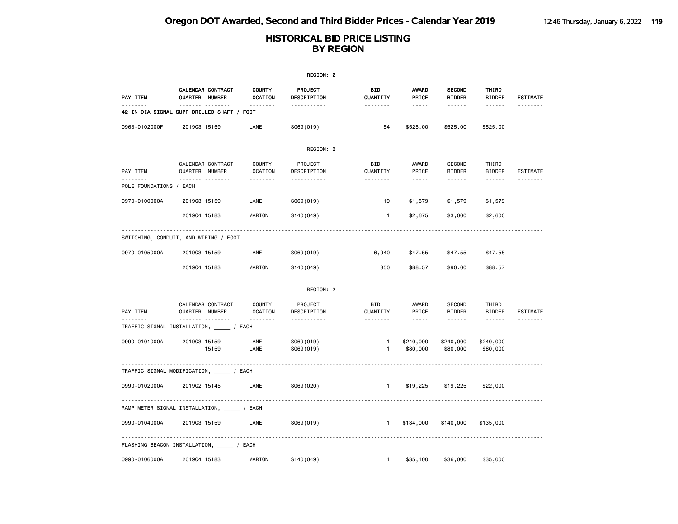|                              |                                                         |                           | REGION: 2              |                        |                                                                                                                                                      |                                |                        |                 |
|------------------------------|---------------------------------------------------------|---------------------------|------------------------|------------------------|------------------------------------------------------------------------------------------------------------------------------------------------------|--------------------------------|------------------------|-----------------|
| PAY ITEM                     | <b>CALENDAR CONTRACT</b><br>QUARTER NUMBER              | <b>COUNTY</b><br>LOCATION | PROJECT<br>DESCRIPTION | <b>BID</b><br>QUANTITY | <b>AWARD</b><br>PRICE                                                                                                                                | <b>SECOND</b><br><b>BIDDER</b> | THIRD<br><b>BIDDER</b> | <b>ESTIMATE</b> |
| --------                     | <br>42 IN DIA SIGNAL SUPP DRILLED SHAFT / FOOT          |                           | <u>.</u>               | .                      | $- - - - -$                                                                                                                                          |                                | ------                 | --------        |
| 0963-0102000F                | 201903 15159                                            | LANE                      | S069(019)              | 54                     | \$525.00                                                                                                                                             | \$525.00                       | \$525.00               |                 |
|                              |                                                         |                           | REGION: 2              |                        |                                                                                                                                                      |                                |                        |                 |
| PAY ITEM                     | CALENDAR CONTRACT<br>QUARTER NUMBER                     | <b>COUNTY</b><br>LOCATION | PROJECT<br>DESCRIPTION | <b>BID</b><br>QUANTITY | AWARD<br>PRICE                                                                                                                                       | <b>SECOND</b><br><b>BIDDER</b> | THIRD<br><b>BIDDER</b> | ESTIMATE        |
| .<br>POLE FOUNDATIONS / EACH | .                                                       | <u>.</u>                  | <u>.</u>               | .                      | $\frac{1}{2} \left( \frac{1}{2} \right) \left( \frac{1}{2} \right) \left( \frac{1}{2} \right) \left( \frac{1}{2} \right) \left( \frac{1}{2} \right)$ | .                              | ------                 |                 |
| 0970-0100000A                | 201903 15159                                            | LANE                      | S069(019)              | 19                     | \$1,579                                                                                                                                              | \$1,579                        | \$1,579                |                 |
|                              | 201904 15183                                            | MARION                    | S140(049)              | $\mathbf{1}$           | \$2,675                                                                                                                                              | \$3,000                        | \$2,600                |                 |
|                              | SWITCHING, CONDUIT, AND WIRING / FOOT                   |                           |                        |                        |                                                                                                                                                      |                                |                        |                 |
| 0970-0105000A                | 201903 15159                                            | LANE                      | S069(019)              | 6,940                  | \$47.55                                                                                                                                              | \$47.55                        | \$47.55                |                 |
|                              | 201904 15183                                            | MARION                    | S140(049)              | 350                    | \$88.57                                                                                                                                              | \$90.00                        | \$88.57                |                 |
|                              |                                                         |                           | REGION: 2              |                        |                                                                                                                                                      |                                |                        |                 |
| PAY ITEM                     | CALENDAR CONTRACT<br>QUARTER NUMBER                     | <b>COUNTY</b><br>LOCATION | PROJECT<br>DESCRIPTION | <b>BID</b><br>QUANTITY | AWARD<br>PRICE                                                                                                                                       | <b>SECOND</b><br><b>BIDDER</b> | THIRD<br><b>BIDDER</b> | <b>ESTIMATE</b> |
| --------                     | <u> </u><br>TRAFFIC SIGNAL INSTALLATION, _______ / EACH | <u>.</u>                  | <u>.</u>               | .                      | $\frac{1}{2}$                                                                                                                                        |                                |                        | --------        |
| 0990-0101000A                | 201903 15159<br>15159                                   | LANE<br>LANE              | S069(019)<br>S069(019) | 1<br>1                 | \$240,000<br>\$80,000                                                                                                                                | \$240,000<br>\$80,000          | \$240,000<br>\$80,000  |                 |
|                              | TRAFFIC SIGNAL MODIFICATION, __________/ EACH           |                           |                        |                        |                                                                                                                                                      |                                |                        |                 |
| 0990-0102000A                | 201902 15145                                            | LANE                      | S069(020)              | $\mathbf{1}$           | \$19,225                                                                                                                                             | \$19,225                       | \$22,000               |                 |
|                              |                                                         |                           |                        |                        |                                                                                                                                                      |                                |                        |                 |
|                              | RAMP METER SIGNAL INSTALLATION, ______ / EACH           |                           |                        |                        |                                                                                                                                                      |                                |                        |                 |
| 0990-0104000A                | 201903 15159                                            | LANE                      | S069(019)              | $\mathbf{1}$           | \$134,000                                                                                                                                            | \$140,000                      | \$135,000              |                 |
|                              | FLASHING BEACON INSTALLATION, _____ / EACH              |                           |                        |                        |                                                                                                                                                      |                                |                        |                 |
| 0990-0106000A                | 201904 15183                                            | MARION                    | S140(049)              | $\mathbf{1}$           | \$35,100                                                                                                                                             | \$36,000                       | \$35,000               |                 |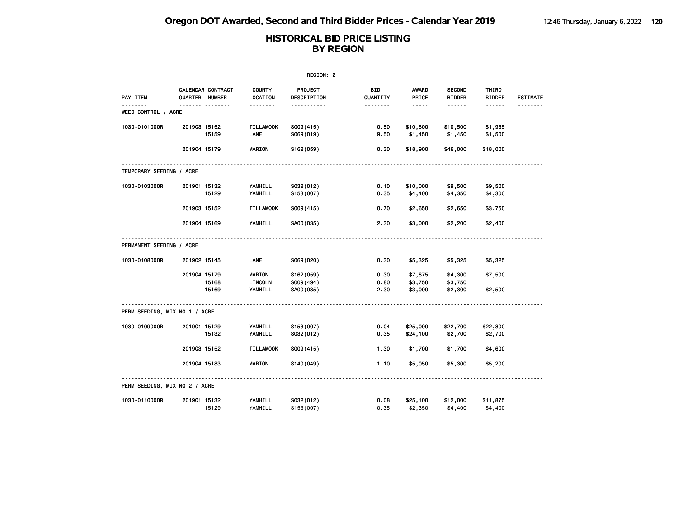|                               |                                     |       |                           | REGION: 2                     |                        |                       |                                |                        |                 |
|-------------------------------|-------------------------------------|-------|---------------------------|-------------------------------|------------------------|-----------------------|--------------------------------|------------------------|-----------------|
| PAY ITEM                      | CALENDAR CONTRACT<br>QUARTER NUMBER |       | <b>COUNTY</b><br>LOCATION | <b>PROJECT</b><br>DESCRIPTION | <b>BID</b><br>QUANTITY | <b>AWARD</b><br>PRICE | <b>SECOND</b><br><b>BIDDER</b> | THIRD<br><b>BIDDER</b> | <b>ESTIMATE</b> |
| WEED CONTROL / ACRE           | <b>.</b>                            |       | <u>.</u>                  | .                             | <u>.</u>               | $- - - - -$           | ------                         | $- - - - - -$          |                 |
| 1030-0101000R                 | 201903 15152                        |       | <b>TILLAMOOK</b><br>LANE  | S009(415)                     | 0.50                   | \$10,500              | \$10,500                       | \$1,955                |                 |
|                               | 201904 15179                        | 15159 | <b>MARION</b>             | S069(019)<br>S162(059)        | 9.50<br>0.30           | \$1,450<br>\$18,900   | \$1,450<br>\$46,000            | \$1,500<br>\$18,000    |                 |
|                               |                                     |       |                           |                               |                        |                       |                                |                        |                 |
| TEMPORARY SEEDING / ACRE      |                                     |       |                           |                               |                        |                       |                                |                        |                 |
| 1030-0103000R                 | 201901 15132                        | 15129 | YAMHILL<br>YAMHILL        | S032(012)<br>S153(007)        | 0.10<br>0.35           | \$10,000<br>\$4,400   | \$9,500<br>\$4,350             | \$9,500<br>\$4,300     |                 |
|                               | 201903 15152                        |       | <b>TILLAMOOK</b>          | S009(415)                     | 0.70                   | \$2,650               | \$2,650                        | \$3,750                |                 |
|                               | 201904 15169                        |       | YAMHILL                   | SA00(035)                     | 2.30                   | \$3,000               | \$2,200                        | \$2,400                |                 |
| PERMANENT SEEDING / ACRE      |                                     |       |                           |                               |                        |                       |                                |                        |                 |
| 1030-0108000R                 | 201902 15145                        |       | <b>LANE</b>               | S069(020)                     | 0.30                   | \$5,325               | \$5,325                        | \$5,325                |                 |
|                               | 201904 15179                        | 15168 | MARION<br>LINCOLN         | S162(059)<br>S009(494)        | 0.30<br>0.80           | \$7,875<br>\$3,750    | \$4,300<br>\$3,750             | \$7,500                |                 |
|                               |                                     | 15169 | YAMHILL                   | SA00(035)                     | 2.30                   | \$3,000               | \$2,300                        | \$2,500                |                 |
| PERM SEEDING, MIX NO 1 / ACRE |                                     |       |                           |                               |                        |                       |                                |                        |                 |
| 1030-0109000R                 | 201901 15129                        | 15132 | YAMHILL<br>YAMHILL        | S153(007)<br>S032(012)        | 0.04<br>0.35           | \$25,000<br>\$24,100  | \$22,700<br>\$2,700            | \$22,800<br>\$2,700    |                 |
|                               | 201903 15152                        |       | <b>TILLAMOOK</b>          | S009(415)                     | 1.30                   | \$1,700               | \$1,700                        | \$4,600                |                 |
|                               | 201904 15183                        |       | <b>MARION</b>             | S140(049)                     | 1.10                   | \$5,050               | \$5,300                        | \$5,200                |                 |
| PERM SEEDING, MIX NO 2 / ACRE |                                     |       |                           |                               |                        |                       |                                |                        |                 |
| 1030-0110000R                 | 201901 15132                        | 15129 | YAMHILL<br>YAMHILL        | S032(012)<br>S153 (007)       | 0.08<br>0.35           | \$25,100<br>\$2,350   | \$12,000<br>\$4,400            | \$11,875<br>\$4,400    |                 |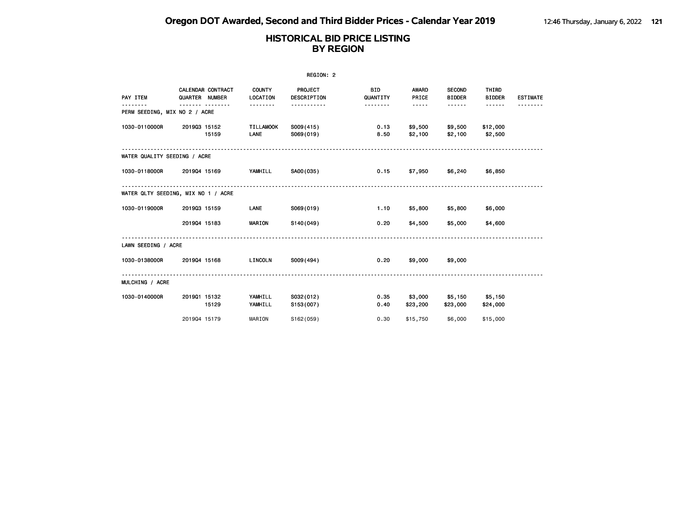|                               |                                     |                           | REGION: 2                     |                        |                     |                                |                        |                 |
|-------------------------------|-------------------------------------|---------------------------|-------------------------------|------------------------|---------------------|--------------------------------|------------------------|-----------------|
| PAY ITEM                      | CALENDAR CONTRACT<br>QUARTER NUMBER | <b>COUNTY</b><br>LOCATION | PROJECT<br><b>DESCRIPTION</b> | <b>BID</b><br>QUANTITY | AWARD<br>PRICE      | <b>SECOND</b><br><b>BIDDER</b> | THIRD<br><b>BIDDER</b> | <b>ESTIMATE</b> |
| PERM SEEDING, MIX NO 2 / ACRE | <u> - - - - - - - -</u><br><u>.</u> | <u>.</u>                  | <u>.</u>                      | .                      | $- - - - -$         |                                |                        |                 |
| 1030-0110000R                 | 201903 15152<br>15159               | <b>TILLAMOOK</b><br>LANE  | S009(415)<br>S069(019)        | 0.13<br>8.50           | \$9,500<br>\$2,100  | \$9,500<br>\$2,100             | \$12,000<br>\$2,500    |                 |
| WATER QUALITY SEEDING / ACRE  |                                     |                           |                               |                        |                     |                                |                        |                 |
| 1030-0118000R                 | 201904 15169                        | YAMHILL                   | SA00(035)                     | 0.15                   |                     | \$7,950 \$6,240                | \$6,850                |                 |
|                               | WATER QLTY SEEDING, MIX NO 1 / ACRE |                           |                               |                        |                     |                                |                        |                 |
| 1030-0119000R                 | 201903 15159                        | LANE                      | S069(019)                     | 1.10                   | \$5,800             | \$5,800                        | \$6,000                |                 |
|                               | 201904 15183                        | <b>MARION</b>             | S140(049)                     | 0.20                   | \$4,500             | \$5,000                        | \$4,600                |                 |
| LAWN SEEDING / ACRE           |                                     |                           |                               |                        |                     |                                |                        |                 |
| 1030-0138000R                 | 201904 15168                        | LINCOLN                   | S009(494)                     | 0.20                   | \$9,000             | \$9,000                        |                        |                 |
| MULCHING / ACRE               |                                     |                           |                               |                        |                     |                                |                        |                 |
| 1030-0140000R                 | 201901 15132<br>15129               | YAMHILL<br>YAMHILL        | S032(012)<br>S153(007)        | 0.35<br>0.40           | \$3,000<br>\$23,200 | \$5,150<br>\$23,000            | \$5,150<br>\$24,000    |                 |
|                               | 201904 15179                        | MARION                    | S162(059)                     | 0.30                   | \$15,750            | \$6,000                        | \$15,000               |                 |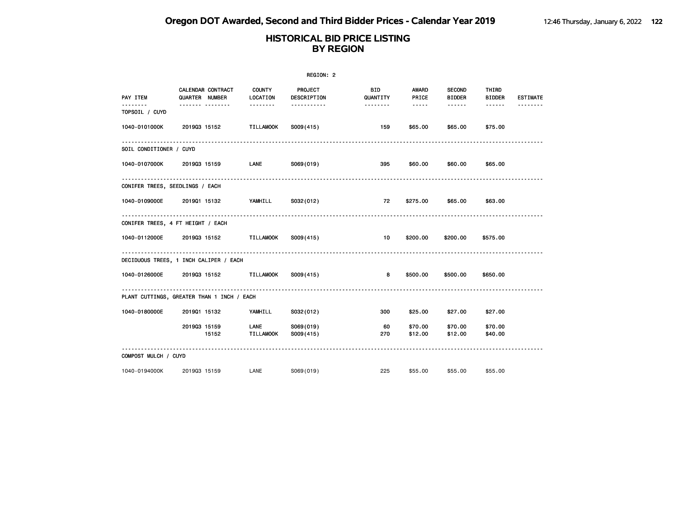|                                 |                                            |                           | REGION: 2                     |                  |                                                                                                   |                                |                        |                 |
|---------------------------------|--------------------------------------------|---------------------------|-------------------------------|------------------|---------------------------------------------------------------------------------------------------|--------------------------------|------------------------|-----------------|
| PAY ITEM                        | CALENDAR CONTRACT<br>QUARTER NUMBER        | <b>COUNTY</b><br>LOCATION | PROJECT<br><b>DESCRIPTION</b> | BID.<br>QUANTITY | AWARD<br>PRICE                                                                                    | <b>SECOND</b><br><b>BIDDER</b> | THIRD<br><b>BIDDER</b> | <b>ESTIMATE</b> |
| TOPSOIL / CUYD                  | .                                          | <u>.</u>                  | -----------                   | <u>.</u>         | $\begin{array}{cccccccccc} \bullet & \bullet & \bullet & \bullet & \bullet & \bullet \end{array}$ | ------                         | ------                 |                 |
| 1040-0101000K                   | 201903 15152                               | TILLAMOOK                 | S009(415)                     | 159              | \$65.00                                                                                           | \$65.00                        | \$75.00                |                 |
| SOIL CONDITIONER / CUYD         |                                            |                           |                               |                  |                                                                                                   |                                |                        |                 |
| 1040-0107000K                   | 201903 15159                               | LANE                      | S069(019)                     | 395              | \$60.00                                                                                           | \$60.00                        | \$65.00                |                 |
| CONIFER TREES, SEEDLINGS / EACH |                                            |                           |                               |                  |                                                                                                   |                                |                        |                 |
| 1040-0109000E 2019Q1 15132      |                                            | YAMHILL                   | S032(012)                     | 72               | \$275.00                                                                                          | \$65.00                        | \$63.00                |                 |
|                                 | CONIFER TREES, 4 FT HEIGHT / EACH          |                           |                               |                  |                                                                                                   |                                |                        |                 |
| 1040-0112000E                   | 201903 15152                               | <b>TILLAMOOK</b>          | S009(415)                     | 10               | \$200.00                                                                                          | \$200.00                       | \$575.00               |                 |
|                                 | DECIDUOUS TREES, 1 INCH CALIPER / EACH     |                           |                               |                  |                                                                                                   |                                |                        |                 |
|                                 | 1040-0126000E 2019Q3 15152 TILLAMOOK       |                           | S009(415)                     | 8                | \$500.00                                                                                          | \$500.00                       | \$650.00               |                 |
|                                 | PLANT CUTTINGS, GREATER THAN 1 INCH / EACH |                           |                               |                  |                                                                                                   |                                |                        |                 |
| 1040-0180000E                   | 201901 15132                               | YAMHILL                   | S032(012)                     | 300              | \$25.00                                                                                           | \$27.00                        | \$27.00                |                 |
|                                 | 201903 15159<br>15152                      | LANE<br>TILLAMOOK         | S069(019)<br>S009(415)        | 60<br>270        | \$70.00<br>\$12.00                                                                                | \$70.00<br>\$12.00             | \$70.00<br>\$40.00     |                 |
| COMPOST MULCH / CUYD            |                                            |                           |                               |                  |                                                                                                   |                                |                        |                 |
| 1040-0194000K                   | 201903 15159                               | LANE                      | S069(019)                     | 225              | \$55,00                                                                                           | \$55.00                        | \$55,00                |                 |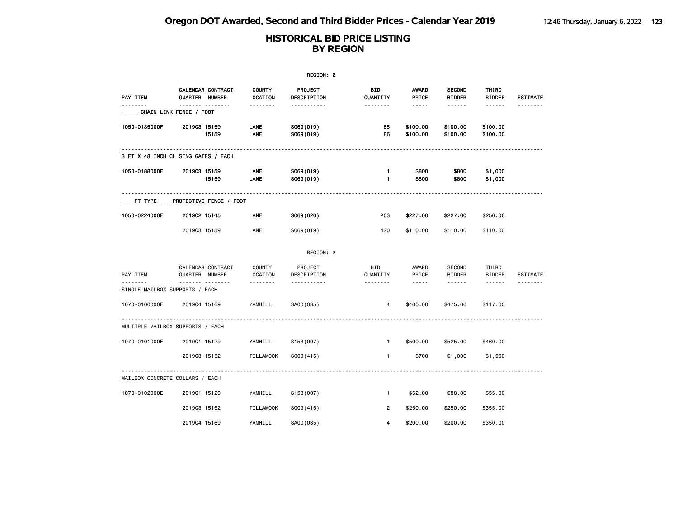|                                 |                                            |                           | REGION: 2              |                              |                                                                                                               |                                |                                                                                                                                                                                                                                                                                                                                                                                                                                                                            |                 |
|---------------------------------|--------------------------------------------|---------------------------|------------------------|------------------------------|---------------------------------------------------------------------------------------------------------------|--------------------------------|----------------------------------------------------------------------------------------------------------------------------------------------------------------------------------------------------------------------------------------------------------------------------------------------------------------------------------------------------------------------------------------------------------------------------------------------------------------------------|-----------------|
| PAY ITEM                        | CALENDAR CONTRACT<br><b>QUARTER NUMBER</b> | <b>COUNTY</b><br>LOCATION | PROJECT<br>DESCRIPTION | BID<br>QUANTITY              | AWARD<br>PRICE                                                                                                | <b>SECOND</b><br><b>BIDDER</b> | THIRD<br><b>BIDDER</b>                                                                                                                                                                                                                                                                                                                                                                                                                                                     | <b>ESTIMATE</b> |
|                                 | <u> </u><br>CHAIN LINK FENCE / FOOT        | <u> - - - - - - -</u>     | -----------            | <u>.</u>                     | $\frac{1}{2} \frac{1}{2} \frac{1}{2} \frac{1}{2} \frac{1}{2} \frac{1}{2} \frac{1}{2} \frac{1}{2} \frac{1}{2}$ | ------                         | ------                                                                                                                                                                                                                                                                                                                                                                                                                                                                     | <u>.</u>        |
| 1050-0135000F                   | 201903 15159<br>15159                      | LANE<br>LANE              | S069(019)<br>S069(019) | 65<br>86                     | \$100.00<br>\$100.00                                                                                          | \$100.00<br>\$100.00           | \$100.00<br>\$100.00                                                                                                                                                                                                                                                                                                                                                                                                                                                       |                 |
|                                 | 3 FT X 48 INCH CL SING GATES / EACH        |                           |                        |                              |                                                                                                               |                                |                                                                                                                                                                                                                                                                                                                                                                                                                                                                            |                 |
| 1050-0188000E                   | 201903 15159<br>15159                      | LANE<br>LANE              | S069(019)<br>S069(019) | $\mathbf{1}$<br>$\mathbf{1}$ | \$800<br>\$800                                                                                                | \$800<br>\$800                 | \$1,000<br>\$1,000                                                                                                                                                                                                                                                                                                                                                                                                                                                         |                 |
|                                 | _ FT TYPE ___ PROTECTIVE FENCE / FOOT      |                           |                        |                              |                                                                                                               |                                |                                                                                                                                                                                                                                                                                                                                                                                                                                                                            |                 |
| 1050-0224000F                   | 201902 15145                               | LANE                      | S069(020)              | 203                          | \$227.00                                                                                                      | \$227.00                       | \$250.00                                                                                                                                                                                                                                                                                                                                                                                                                                                                   |                 |
|                                 | 201903 15159                               | LANE                      | S069(019)              | 420                          | \$110.00                                                                                                      | \$110.00                       | \$110.00                                                                                                                                                                                                                                                                                                                                                                                                                                                                   |                 |
|                                 |                                            |                           | REGION: 2              |                              |                                                                                                               |                                |                                                                                                                                                                                                                                                                                                                                                                                                                                                                            |                 |
| PAY ITEM                        | CALENDAR CONTRACT<br>QUARTER NUMBER        | COUNTY<br>LOCATION        | PROJECT<br>DESCRIPTION | <b>BID</b><br>QUANTITY       | AWARD<br>PRICE                                                                                                | SECOND<br><b>BIDDER</b>        | THIRD<br><b>BIDDER</b>                                                                                                                                                                                                                                                                                                                                                                                                                                                     | <b>ESTIMATE</b> |
| SINGLE MAILBOX SUPPORTS / EACH  |                                            | .                         | -----------            | .                            | $\sim$ $\sim$ $\sim$ $\sim$ $\sim$                                                                            |                                | $\frac{1}{2} \left( \frac{1}{2} \right) \left( \frac{1}{2} \right) \left( \frac{1}{2} \right) \left( \frac{1}{2} \right) \left( \frac{1}{2} \right) \left( \frac{1}{2} \right) \left( \frac{1}{2} \right) \left( \frac{1}{2} \right) \left( \frac{1}{2} \right) \left( \frac{1}{2} \right) \left( \frac{1}{2} \right) \left( \frac{1}{2} \right) \left( \frac{1}{2} \right) \left( \frac{1}{2} \right) \left( \frac{1}{2} \right) \left( \frac{1}{2} \right) \left( \frac$ |                 |
| 1070-0100000E                   | 201904 15169                               | YAMHILL                   | SA00(035)              | $\overline{4}$               | \$400.00                                                                                                      | \$475.00                       | \$117.00                                                                                                                                                                                                                                                                                                                                                                                                                                                                   |                 |
|                                 | MULTIPLE MAILBOX SUPPORTS / EACH           |                           |                        |                              |                                                                                                               |                                |                                                                                                                                                                                                                                                                                                                                                                                                                                                                            |                 |
| 1070-0101000E                   | 201901 15129                               | YAMHILL                   | S153(007)              | $\mathbf{1}$                 | \$500.00                                                                                                      | \$525.00                       | \$460.00                                                                                                                                                                                                                                                                                                                                                                                                                                                                   |                 |
|                                 | 201903 15152                               | <b>TILLAMOOK</b>          | S009(415)              | $\mathbf{1}$                 | \$700                                                                                                         | \$1,000                        | \$1,550                                                                                                                                                                                                                                                                                                                                                                                                                                                                    |                 |
| MAILBOX CONCRETE COLLARS / EACH |                                            |                           |                        |                              |                                                                                                               |                                |                                                                                                                                                                                                                                                                                                                                                                                                                                                                            |                 |
| 1070-0102000E                   | 201901 15129                               | YAMHILL                   | S153(007)              | $\mathbf{1}$                 | \$52.00                                                                                                       | \$88.00                        | \$55.00                                                                                                                                                                                                                                                                                                                                                                                                                                                                    |                 |
|                                 | 201903 15152                               | <b>TILLAMOOK</b>          | S009(415)              | $\overline{2}$               | \$250.00                                                                                                      | \$250.00                       | \$355.00                                                                                                                                                                                                                                                                                                                                                                                                                                                                   |                 |
|                                 | 201904 15169                               | YAMHILL                   | SA00(035)              | $\overline{4}$               | \$200.00                                                                                                      | \$200.00                       | \$350.00                                                                                                                                                                                                                                                                                                                                                                                                                                                                   |                 |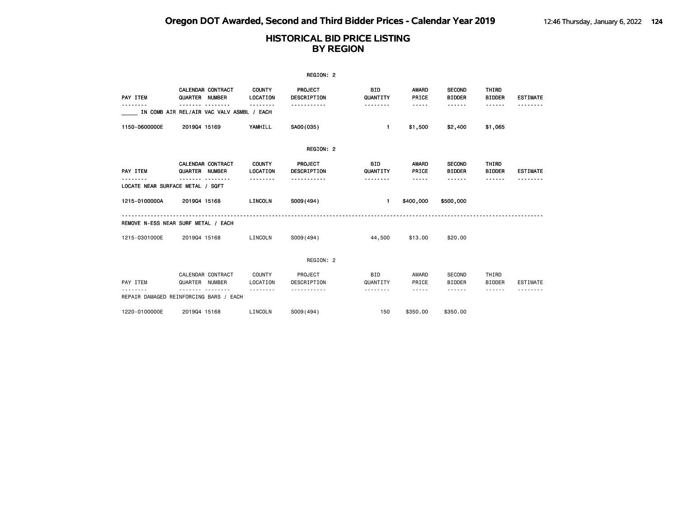|               |                                                                                |                                              | REGION: 2                                              |                                    |                               |                                          |                                  |                 |
|---------------|--------------------------------------------------------------------------------|----------------------------------------------|--------------------------------------------------------|------------------------------------|-------------------------------|------------------------------------------|----------------------------------|-----------------|
| PAY ITEM      | CALENDAR CONTRACT<br>QUARTER NUMBER                                            | <b>COUNTY</b><br>LOCATION<br>.               | PROJECT<br>DESCRIPTION<br>.                            | <b>BID</b><br>QUANTITY<br><b>.</b> | AWARD<br>PRICE<br>$- - - - -$ | <b>SECOND</b><br><b>BIDDER</b><br>------ | THIRD<br><b>BIDDER</b><br>------ | <b>ESTIMATE</b> |
|               | IN COMB AIR REL/AIR VAC VALV ASMBL / EACH                                      |                                              |                                                        |                                    |                               |                                          |                                  |                 |
| 1150-0600000E | 201904 15169                                                                   | YAMHILL                                      | SA00(035)                                              | $\blacksquare$                     | \$1,500                       | \$2,400                                  | \$1,065                          |                 |
|               |                                                                                |                                              | REGION: 2                                              |                                    |                               |                                          |                                  |                 |
| PAY ITEM      | <b>CALENDAR CONTRACT</b><br>QUARTER NUMBER<br>LOCATE NEAR SURFACE METAL / SQFT | <b>COUNTY</b><br>LOCATION<br>- - - - - - - - | PROJECT<br><b>DESCRIPTION</b><br>- - - - - - - - - - - | BID<br>QUANTITY<br>--------        | AWARD<br>PRICE<br>-----       | <b>SECOND</b><br><b>BIDDER</b><br>------ | THIRD<br><b>BIDDER</b><br>------ | <b>ESTIMATE</b> |
| 1215-0100000A | 201904 15168                                                                   | LINCOLN                                      | S009(494)                                              | $\mathbf{1}$                       | \$400,000                     | \$500,000                                |                                  |                 |
|               | REMOVE N-ESS NEAR SURF METAL / EACH                                            |                                              |                                                        |                                    |                               |                                          |                                  |                 |
| 1215-0301000E | 201904 15168                                                                   | LINCOLN                                      | S009(494)                                              | 44,500                             | \$13.00                       | \$20.00                                  |                                  |                 |
|               |                                                                                |                                              | REGION: 2                                              |                                    |                               |                                          |                                  |                 |
| PAY ITEM      | CALENDAR CONTRACT<br>QUARTER NUMBER<br>REPAIR DAMAGED REINFORCING BARS / EACH  | COUNTY<br>LOCATION                           | PROJECT<br>DESCRIPTION                                 | <b>BID</b><br>QUANTITY<br>.        | AWARD<br>PRICE<br>-----       | SECOND<br><b>BIDDER</b><br>- - - - - -   | THIRD<br><b>BIDDER</b><br>------ | <b>ESTIMATE</b> |
| 1220-0100000E | 201904 15168                                                                   | LINCOLN                                      | S009(494)                                              | 150                                | \$350,00                      | \$350,00                                 |                                  |                 |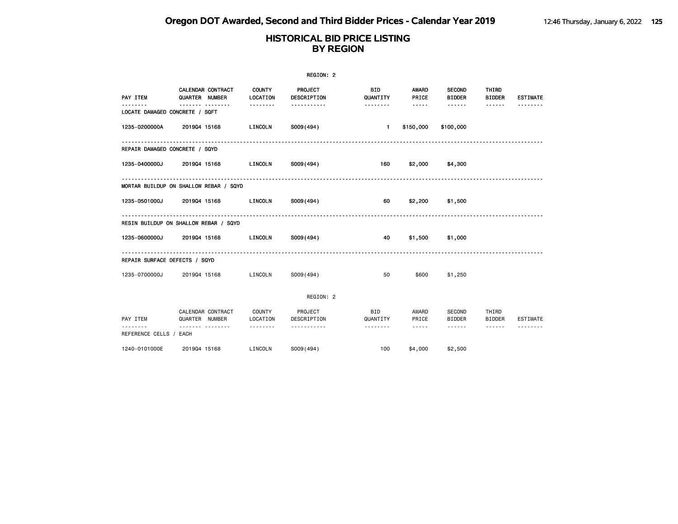|                                           |                |                          |                           | REGION: 2              |                        |                       |                                |                        |                 |
|-------------------------------------------|----------------|--------------------------|---------------------------|------------------------|------------------------|-----------------------|--------------------------------|------------------------|-----------------|
| PAY ITEM                                  | QUARTER NUMBER | <b>CALENDAR CONTRACT</b> | <b>COUNTY</b><br>LOCATION | PROJECT<br>DESCRIPTION | <b>BID</b><br>QUANTITY | <b>AWARD</b><br>PRICE | <b>SECOND</b><br><b>BIDDER</b> | THIRD<br><b>BIDDER</b> | <b>ESTIMATE</b> |
| <b></b><br>LOCATE DAMAGED CONCRETE / SQFT |                | <u></u>                  | --------                  | <u>.</u>               | .                      | $\cdots$              | .                              | ------                 |                 |
| 1235-0200000A                             | 201904 15168   |                          | LINCOLN                   | S009(494)              | $\mathbf{1}$           | \$150,000             | \$100,000                      |                        |                 |
| REPAIR DAMAGED CONCRETE / SQYD            |                |                          |                           |                        |                        |                       |                                |                        |                 |
| 1235-0400000J                             | 201904 15168   |                          | LINCOLN                   | SO09(494)              | 160                    |                       | $$2,000$ $$4,300$              |                        |                 |
| MORTAR BUILDUP ON SHALLOW REBAR / SQYD    |                |                          |                           |                        |                        |                       |                                |                        |                 |
| 1235-0501000J 2019Q4 15168                |                |                          | LINCOLN                   | S009 (494)             | 60                     |                       | $$2,200$ $$1,500$              |                        |                 |
| RESIN BUILDUP ON SHALLOW REBAR / SQYD     |                |                          |                           |                        |                        |                       |                                |                        |                 |
| 1235-0600000J                             |                | 201904 15168             | LINCOLN                   | S009(494)              | 40                     |                       | \$1,500 \$1,000                |                        |                 |
| REPAIR SURFACE DEFECTS / SQYD             |                |                          |                           |                        |                        |                       |                                |                        |                 |
| 1235-0700000J                             | 201904 15168   |                          | LINCOLN                   | S009(494)              | 50                     | \$600                 | \$1,250                        |                        |                 |
|                                           |                |                          |                           | REGION: 2              |                        |                       |                                |                        |                 |
| PAY ITEM                                  | QUARTER NUMBER | CALENDAR CONTRACT        | <b>COUNTY</b><br>LOCATION | PROJECT<br>DESCRIPTION | <b>BID</b><br>QUANTITY | AWARD<br>PRICE        | SECOND<br><b>BIDDER</b>        | THIRD<br><b>BIDDER</b> | <b>ESTIMATE</b> |
| REFERENCE CELLS / EACH                    |                | -------- --------        | --------                  | -----------            | --------               | $\cdots$              | ------                         | ------                 |                 |
| 1240-0101000E                             |                | 201904 15168             | LINCOLN                   | S009(494)              | 100                    | \$4,000               | \$2,500                        |                        |                 |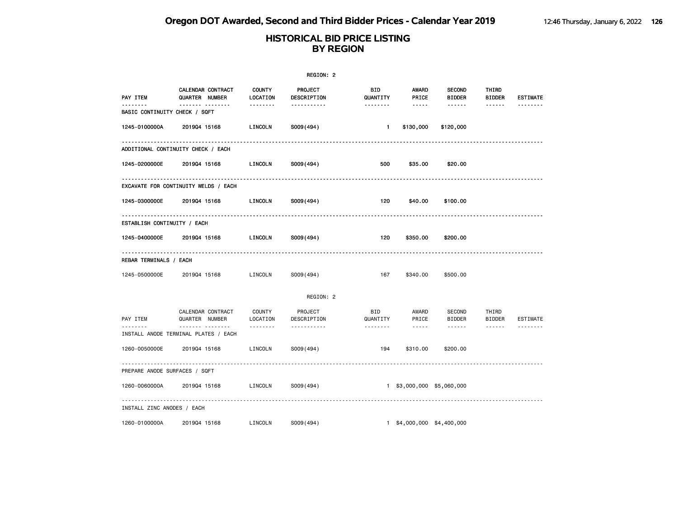|                               |                                                  |                           | REGION: 2              |                 |                                                                                                                                                                                 |                                |                        |                 |
|-------------------------------|--------------------------------------------------|---------------------------|------------------------|-----------------|---------------------------------------------------------------------------------------------------------------------------------------------------------------------------------|--------------------------------|------------------------|-----------------|
| PAY ITEM                      | CALENDAR CONTRACT<br>QUARTER NUMBER              | <b>COUNTY</b><br>LOCATION | PROJECT<br>DESCRIPTION | BID<br>QUANTITY | AWARD<br>PRICE                                                                                                                                                                  | <b>SECOND</b><br><b>BIDDER</b> | THIRD<br><b>BIDDER</b> | <b>ESTIMATE</b> |
| BASIC CONTINUITY CHECK / SQFT | ------- --------                                 | --------                  | -----------            | --------        | $\cdots \cdots \cdots$                                                                                                                                                          | ------                         | ------                 | <u>.</u>        |
| 1245-0100000A                 | 201904 15168                                     | LINCOLN                   | S009(494)              | $\blacksquare$  | \$130,000                                                                                                                                                                       | \$120,000                      |                        |                 |
|                               | ADDITIONAL CONTINUITY CHECK / EACH               |                           |                        |                 |                                                                                                                                                                                 |                                |                        |                 |
| 1245-0200000E                 | 201904 15168                                     | LINCOLN                   | S009(494)              | 500             | \$35.00                                                                                                                                                                         | \$20.00                        |                        |                 |
|                               | EXCAVATE FOR CONTINUITY WELDS / EACH             |                           |                        |                 |                                                                                                                                                                                 |                                |                        |                 |
| 1245-0300000E                 | 201904 15168                                     | LINCOLN                   | S009(494)              | 120             | \$40.00                                                                                                                                                                         | \$100.00                       |                        |                 |
| ESTABLISH CONTINUITY / EACH   | .                                                |                           |                        |                 |                                                                                                                                                                                 |                                |                        |                 |
| 1245-0400000E                 | 201904 15168                                     | LINCOLN                   | S009(494)              | 120             | \$350.00                                                                                                                                                                        | \$200.00                       |                        |                 |
| REBAR TERMINALS / EACH        |                                                  |                           |                        |                 |                                                                                                                                                                                 |                                |                        |                 |
| 1245-0500000E                 | 201904 15168                                     | LINCOLN                   | S009(494)              | 167             | \$340.00                                                                                                                                                                        | \$500.00                       |                        |                 |
|                               |                                                  |                           | REGION: 2              |                 |                                                                                                                                                                                 |                                |                        |                 |
| PAY ITEM                      | CALENDAR CONTRACT<br>QUARTER NUMBER              | COUNTY<br>LOCATION        | PROJECT<br>DESCRIPTION | BID<br>QUANTITY | AWARD<br>PRICE                                                                                                                                                                  | SECOND<br><b>BIDDER</b>        | THIRD<br>BIDDER        | ESTIMATE        |
|                               | <u> </u><br>INSTALL ANODE TERMINAL PLATES / EACH |                           | <u>.</u>               | --------        | $\frac{1}{2} \left( \frac{1}{2} \right) \left( \frac{1}{2} \right) \left( \frac{1}{2} \right) \left( \frac{1}{2} \right) \left( \frac{1}{2} \right) \left( \frac{1}{2} \right)$ | $\cdots \cdots \cdots$         | $\cdots \cdots \cdots$ | --------        |
| 1260-0050000E                 | 201904 15168                                     | LINCOLN                   | S009(494)              | 194             | \$310.00                                                                                                                                                                        | \$200.00                       |                        |                 |
| PREPARE ANODE SURFACES / SQFT | <u>.</u>                                         |                           |                        |                 |                                                                                                                                                                                 |                                |                        |                 |
| 1260-0060000A                 | 201904 15168                                     | LINCOLN                   | S009(494)              |                 | 1 \$3,000,000 \$5,060,000                                                                                                                                                       |                                |                        |                 |
| INSTALL ZINC ANODES / EACH    |                                                  |                           |                        |                 |                                                                                                                                                                                 |                                |                        |                 |
| 1260-0100000A                 | 201904 15168                                     | LINCOLN                   | S009(494)              |                 | 1 \$4,000,000 \$4,400,000                                                                                                                                                       |                                |                        |                 |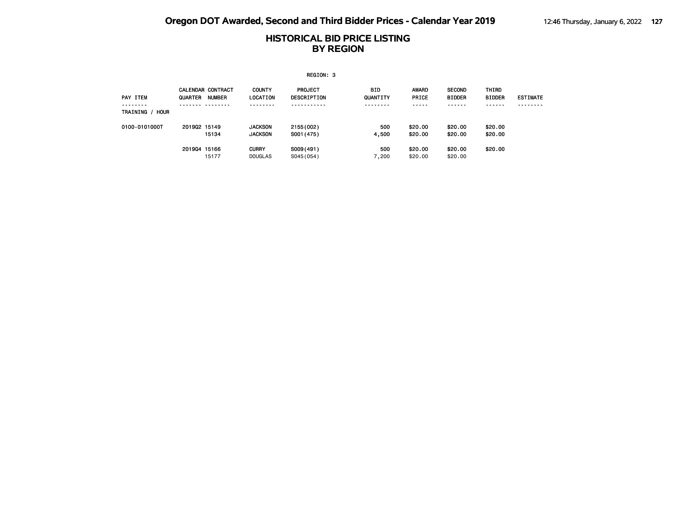|                  |              |                                           |                                  | REGION: 3                            |                 |                       |                                |                        |                 |
|------------------|--------------|-------------------------------------------|----------------------------------|--------------------------------------|-----------------|-----------------------|--------------------------------|------------------------|-----------------|
| PAY ITEM         | QUARTER      | <b>CALENDAR CONTRACT</b><br><b>NUMBER</b> | <b>COUNTY</b><br>LOCATION        | <b>PROJECT</b><br><b>DESCRIPTION</b> | BID<br>QUANTITY | <b>AWARD</b><br>PRICE | <b>SECOND</b><br><b>BIDDER</b> | THIRD<br><b>BIDDER</b> | <b>ESTIMATE</b> |
| TRAINING<br>HOUR |              |                                           | - - - -                          |                                      | -----           | -----                 | - - - - - -                    | - - - - - -            |                 |
| 0100-0101000T    | 201902 15149 | 15134                                     | <b>JACKSON</b><br><b>JACKSON</b> | 2155 (002)<br>S001 (475)             | 500<br>4,500    | \$20.00<br>\$20.00    | \$20.00<br>\$20.00             | \$20.00<br>\$20.00     |                 |
|                  | 201904 15166 | 15177                                     | <b>CURRY</b><br><b>DOUGLAS</b>   | S009(491)<br>S045(054)               | 500<br>7,200    | \$20.00<br>\$20,00    | \$20.00<br>\$20.00             | \$20.00                |                 |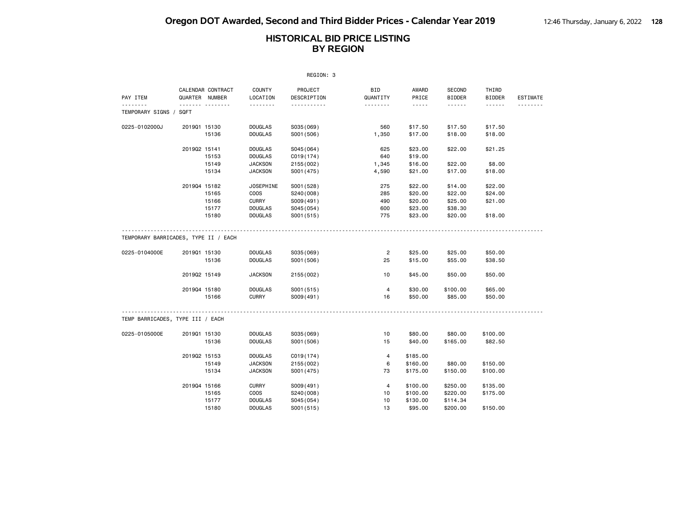|                                                       |              |                                     |                                  | REGION: 3               |                      |                    |                         |                                    |                 |
|-------------------------------------------------------|--------------|-------------------------------------|----------------------------------|-------------------------|----------------------|--------------------|-------------------------|------------------------------------|-----------------|
| PAY ITEM                                              |              | CALENDAR CONTRACT<br>QUARTER NUMBER | <b>COUNTY</b><br>LOCATION        | PROJECT<br>DESCRIPTION  | BID<br>QUANTITY      | AWARD<br>PRICE     | SECOND<br><b>BIDDER</b> | THIRD<br><b>BIDDER</b>             | <b>ESTIMATE</b> |
| .<br>TEMPORARY SIGNS / SQFT                           |              | . <sub>.</sub>                      | .                                | .                       | .                    | .                  | .                       | $\sim$ $\sim$ $\sim$ $\sim$ $\sim$ | .               |
|                                                       |              |                                     |                                  |                         |                      |                    |                         |                                    |                 |
| 0225-0102000J                                         | 201901 15130 |                                     | <b>DOUGLAS</b>                   | S035(069)               | 560                  | \$17.50            | \$17.50                 | \$17.50                            |                 |
|                                                       |              | 15136                               | <b>DOUGLAS</b>                   | S001 (506)              | 1,350                | \$17.00            | \$18.00                 | \$18.00                            |                 |
|                                                       | 201902 15141 |                                     | <b>DOUGLAS</b>                   | S045(064)               | 625                  | \$23.00            | \$22.00                 | \$21.25                            |                 |
|                                                       |              | 15153                               | <b>DOUGLAS</b>                   | C019(174)               | 640                  | \$19.00            |                         |                                    |                 |
|                                                       |              | 15149                               | <b>JACKSON</b>                   | 2155 (002)              | 1,345                | \$16.00            | \$22.00                 | \$8.00                             |                 |
|                                                       |              | 15134                               | <b>JACKSON</b>                   | S001 (475)              | 4,590                | \$21.00            | \$17.00                 | \$18.00                            |                 |
|                                                       | 201904 15182 |                                     | <b>JOSEPHINE</b>                 | S001 (528)              | 275                  | \$22.00            | \$14.00                 | \$22.00                            |                 |
|                                                       |              | 15165                               | COOS                             | S240(008)               | 285                  | \$20.00            | \$22.00                 | \$24.00                            |                 |
|                                                       |              | 15166                               | <b>CURRY</b>                     | S009(491)               | 490                  | \$20.00            | \$25.00                 | \$21.00                            |                 |
|                                                       |              | 15177                               | <b>DOUGLAS</b>                   | S045 (054)              | 600                  | \$23.00            | \$38.30                 |                                    |                 |
|                                                       |              | 15180                               | <b>DOUGLAS</b>                   | S001 (515)              | 775                  | \$23.00            | \$20.00                 | \$18.00                            |                 |
| TEMPORARY BARRICADES, TYPE II / EACH<br>0225-0104000E | 201901 15130 | 15136                               | <b>DOUGLAS</b><br><b>DOUGLAS</b> | S035(069)<br>S001 (506) | $\overline{2}$<br>25 | \$25.00<br>\$15.00 | \$25.00<br>\$55.00      | \$50.00<br>\$38.50                 |                 |
|                                                       | 201902 15149 |                                     | <b>JACKSON</b>                   | 2155 (002)              | 10                   | \$45.00            | \$50.00                 | \$50.00                            |                 |
|                                                       | 201904 15180 |                                     | <b>DOUGLAS</b>                   | S001(515)               | 4                    | \$30.00            | \$100.00                | \$65.00                            |                 |
|                                                       |              | 15166                               | <b>CURRY</b>                     | S009(491)               | 16                   | \$50.00            | \$85.00                 | \$50.00                            |                 |
|                                                       |              |                                     |                                  |                         |                      |                    |                         |                                    |                 |
| TEMP BARRICADES, TYPE III / EACH                      |              |                                     |                                  |                         |                      |                    |                         |                                    |                 |
| 0225-0105000E                                         | 201901 15130 |                                     | <b>DOUGLAS</b>                   | S035(069)               | 10                   | \$80.00            | \$80.00                 | \$100.00                           |                 |
|                                                       |              | 15136                               | <b>DOUGLAS</b>                   | S001 (506)              | 15                   | \$40.00            | \$165.00                | \$82.50                            |                 |
|                                                       | 201902 15153 |                                     | <b>DOUGLAS</b>                   | C <sub>019(174)</sub>   | $\overline{4}$       | \$185.00           |                         |                                    |                 |
|                                                       |              | 15149                               | <b>JACKSON</b>                   | 2155 (002)              | 6                    | \$160.00           | \$80.00                 | \$150.00                           |                 |
|                                                       |              | 15134                               | <b>JACKSON</b>                   | S001 (475)              | 73                   | \$175.00           | \$150.00                | \$100.00                           |                 |
|                                                       | 201904 15166 |                                     | <b>CURRY</b>                     | S009(491)               | 4                    | \$100.00           | \$250.00                | \$135.00                           |                 |
|                                                       |              | 15165                               | <b>COOS</b>                      | S240(008)               | 10                   | \$100.00           | \$220.00                | \$175.00                           |                 |
|                                                       |              | 15177                               | <b>DOUGLAS</b>                   | S045 (054)              | 10                   | \$130.00           | \$114.34                |                                    |                 |
|                                                       |              | 15180                               | <b>DOUGLAS</b>                   | S001 (515)              | 13                   | \$95.00            | \$200.00                | \$150.00                           |                 |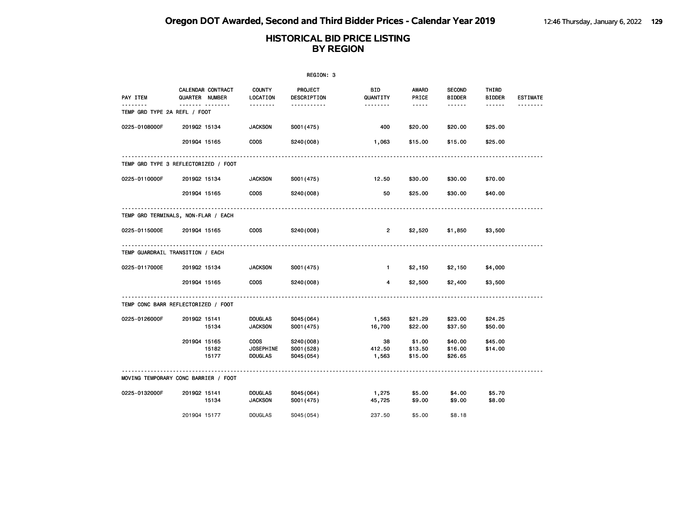|                                      |                       |                   |                                                   | REGION: 3                             |                        |                                                                                                                                                      |                                |                        |                 |
|--------------------------------------|-----------------------|-------------------|---------------------------------------------------|---------------------------------------|------------------------|------------------------------------------------------------------------------------------------------------------------------------------------------|--------------------------------|------------------------|-----------------|
| PAY ITEM                             | <b>QUARTER NUMBER</b> | CALENDAR CONTRACT | <b>COUNTY</b><br>LOCATION                         | PROJECT<br>DESCRIPTION                | <b>BID</b><br>QUANTITY | AWARD<br>PRICE                                                                                                                                       | <b>SECOND</b><br><b>BIDDER</b> | THIRD<br><b>BIDDER</b> | <b>ESTIMATE</b> |
| TEMP GRD TYPE 2A REFL / FOOT         |                       | .                 | .                                                 | .                                     | <u>.</u>               | $\frac{1}{2} \left( \frac{1}{2} \right) \left( \frac{1}{2} \right) \left( \frac{1}{2} \right) \left( \frac{1}{2} \right) \left( \frac{1}{2} \right)$ |                                |                        | <u>.</u>        |
| 0225-0108000F                        | 201902 15134          |                   | <b>JACKSON</b>                                    | S001 (475)                            | 400                    | \$20.00                                                                                                                                              | \$20.00                        | \$25.00                |                 |
|                                      | 201904 15165          |                   | <b>COOS</b>                                       | S240(008)                             | 1,063                  | \$15.00                                                                                                                                              | \$15.00                        | \$25.00                |                 |
| TEMP GRD TYPE 3 REFLECTORIZED / FOOT |                       |                   |                                                   |                                       |                        |                                                                                                                                                      |                                |                        |                 |
| 0225-0110000F                        | 201902 15134          |                   | <b>JACKSON</b>                                    | S001 (475)                            | 12.50                  | \$30.00                                                                                                                                              | \$30.00                        | \$70.00                |                 |
|                                      | 201904 15165          |                   | <b>COOS</b>                                       | S240(008)                             | 50                     | \$25.00                                                                                                                                              | \$30.00                        | \$40.00                |                 |
| TEMP GRD TERMINALS, NON-FLAR / EACH  |                       |                   |                                                   |                                       |                        |                                                                                                                                                      |                                |                        |                 |
| 0225-0115000E                        | 201904 15165          |                   | <b>COOS</b>                                       | S240(008)                             | $\overline{2}$         | \$2,520                                                                                                                                              | \$1,850                        | \$3,500                |                 |
| TEMP GUARDRAIL TRANSITION / EACH     |                       |                   |                                                   |                                       |                        |                                                                                                                                                      |                                |                        |                 |
| 0225-0117000E                        | 201902 15134          |                   | <b>JACKSON</b>                                    | S001 (475)                            | $\mathbf{1}$           | \$2,150                                                                                                                                              | \$2,150                        | \$4,000                |                 |
|                                      | 201904 15165          |                   | <b>COOS</b>                                       | S240(008)                             | 4                      | \$2,500                                                                                                                                              | \$2,400                        | \$3,500                |                 |
| TEMP CONC BARR REFLECTORIZED / FOOT  |                       |                   |                                                   |                                       |                        |                                                                                                                                                      |                                |                        |                 |
| 0225-0126000F                        | 201902 15141          | 15134             | <b>DOUGLAS</b><br><b>JACKSON</b>                  | S045(064)<br>S001 (475)               | 1,563<br>16,700        | \$21.29<br>\$22.00                                                                                                                                   | \$23.00<br>\$37.50             | \$24.25<br>\$50.00     |                 |
|                                      | 201904 15165          | 15182<br>15177    | <b>COOS</b><br><b>JOSEPHINE</b><br><b>DOUGLAS</b> | S240(008)<br>S001 (528)<br>S045 (054) | 38<br>412.50<br>1,563  | \$1.00<br>\$13.50<br>\$15.00                                                                                                                         | \$40.00<br>\$16.00<br>\$26.65  | \$45.00<br>\$14.00     |                 |
| MOVING TEMPORARY CONC BARRIER / FOOT |                       |                   |                                                   |                                       |                        |                                                                                                                                                      |                                |                        |                 |
| 0225-0132000F                        | 201902 15141          | 15134             | <b>DOUGLAS</b><br><b>JACKSON</b>                  | S045(064)<br>S001 (475)               | 1,275<br>45,725        | \$5.00<br>\$9.00                                                                                                                                     | \$4.00<br>\$9.00               | \$5.70<br>\$8.00       |                 |
|                                      | 201904 15177          |                   | <b>DOUGLAS</b>                                    | S045 (054)                            | 237.50                 | \$5,00                                                                                                                                               | \$8.18                         |                        |                 |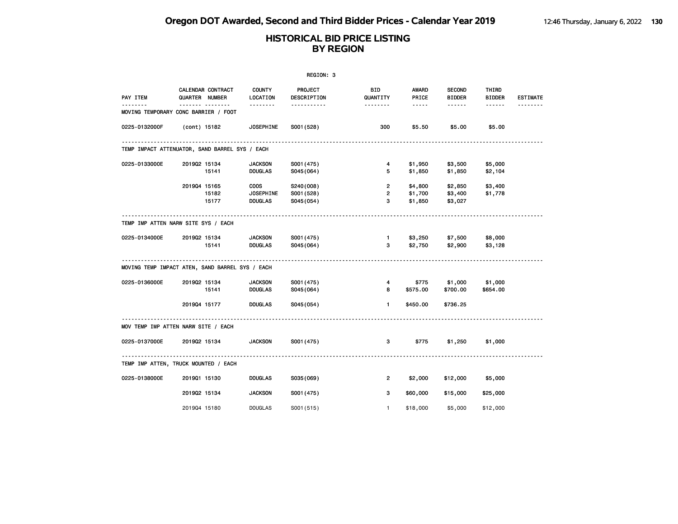|               |                                                 |                                                   | REGION: 3                            |                                       |                                                                                                                                                      |                                |                        |                 |
|---------------|-------------------------------------------------|---------------------------------------------------|--------------------------------------|---------------------------------------|------------------------------------------------------------------------------------------------------------------------------------------------------|--------------------------------|------------------------|-----------------|
| PAY ITEM      | CALENDAR CONTRACT<br><b>QUARTER NUMBER</b>      | COUNTY<br>LOCATION                                | <b>PROJECT</b><br>DESCRIPTION        | BID.<br>QUANTITY                      | AWARD<br>PRICE                                                                                                                                       | <b>SECOND</b><br><b>BIDDER</b> | THIRD<br><b>BIDDER</b> | <b>ESTIMATE</b> |
|               | <br>MOVING TEMPORARY CONC BARRIER / FOOT        | .                                                 | .                                    | <u> - - - - - - -</u>                 | $\frac{1}{2} \left( \frac{1}{2} \right) \left( \frac{1}{2} \right) \left( \frac{1}{2} \right) \left( \frac{1}{2} \right) \left( \frac{1}{2} \right)$ |                                |                        |                 |
| 0225-0132000F | (cont) 15182                                    | <b>JOSEPHINE</b>                                  | S001 (528)                           | 300                                   | \$5.50                                                                                                                                               | \$5.00                         | \$5.00                 |                 |
|               | TEMP IMPACT ATTENUATOR, SAND BARREL SYS / EACH  |                                                   |                                      |                                       |                                                                                                                                                      |                                |                        |                 |
| 0225-0133000E | 201902 15134<br>15141                           | <b>JACKSON</b><br><b>DOUGLAS</b>                  | S001 (475)<br>S045(064)              | $\overline{4}$<br>5                   | \$1,950<br>\$1,850                                                                                                                                   | \$3,500<br>\$1,850             | \$5,000<br>\$2,104     |                 |
|               | 201904 15165<br>15182<br>15177                  | <b>COOS</b><br><b>JOSEPHINE</b><br><b>DOUGLAS</b> | S240(008)<br>S001 (528)<br>S045(054) | $\overline{2}$<br>$\overline{2}$<br>3 | \$4,800<br>\$1,700<br>\$1,850                                                                                                                        | \$2,850<br>\$3,400<br>\$3,027  | \$3,400<br>\$1,778     |                 |
|               | TEMP IMP ATTEN NARW SITE SYS / EACH             |                                                   |                                      |                                       |                                                                                                                                                      |                                |                        |                 |
| 0225-0134000E | 201902 15134<br>15141                           | <b>JACKSON</b><br><b>DOUGLAS</b>                  | S001 (475)<br>S045(064)              | $\blacksquare$<br>3                   | \$2,750                                                                                                                                              | \$3,250 \$7,500<br>\$2,900     | \$8,000<br>\$3,128     |                 |
|               | MOVING TEMP IMPACT ATEN, SAND BARREL SYS / EACH |                                                   |                                      |                                       |                                                                                                                                                      |                                |                        |                 |
| 0225-0136000E | 201902 15134<br>15141                           | <b>JACKSON</b><br><b>DOUGLAS</b>                  | S001 (475)<br>S045(064)              | 4<br>8                                | \$775<br>\$575.00                                                                                                                                    | \$1,000<br>\$700.00            | \$1,000<br>\$654.00    |                 |
|               | 201904 15177                                    | <b>DOUGLAS</b>                                    | S045(054)                            | $\mathbf{1}$                          | \$450.00                                                                                                                                             | \$736.25                       |                        |                 |
|               | MOV TEMP IMP ATTEN NARW SITE / EACH             |                                                   |                                      |                                       |                                                                                                                                                      |                                |                        |                 |
| 0225-0137000E | 201902 15134                                    | <b>JACKSON</b>                                    | S001 (475)                           | 3                                     | \$775                                                                                                                                                | \$1,250                        | \$1,000                |                 |
|               | TEMP IMP ATTEN, TRUCK MOUNTED / EACH            | .                                                 |                                      |                                       |                                                                                                                                                      |                                |                        |                 |
| 0225-0138000E | 201901 15130                                    | <b>DOUGLAS</b>                                    | S035(069)                            | $\overline{2}$                        | \$2,000                                                                                                                                              | \$12,000                       | \$5,000                |                 |
|               | 201902 15134                                    | <b>JACKSON</b>                                    | S001 (475)                           | 3                                     | \$60,000                                                                                                                                             | \$15,000                       | \$25,000               |                 |
|               | 201904 15180                                    | <b>DOUGLAS</b>                                    | S001 (515)                           | $\mathbf{1}$                          | \$18,000                                                                                                                                             | \$5,000                        | \$12,000               |                 |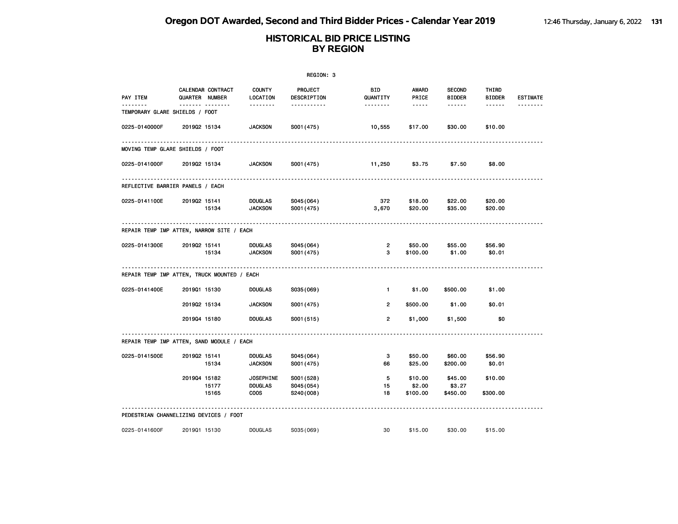|                                             |              |                                            |                                  | REGION: 3                     |                       |                                                                                                               |                                |                        |                 |
|---------------------------------------------|--------------|--------------------------------------------|----------------------------------|-------------------------------|-----------------------|---------------------------------------------------------------------------------------------------------------|--------------------------------|------------------------|-----------------|
| PAY ITEM                                    |              | <b>CALENDAR CONTRACT</b><br>QUARTER NUMBER | <b>COUNTY</b><br>LOCATION        | <b>PROJECT</b><br>DESCRIPTION | BID<br>QUANTITY       | AWARD<br>PRICE                                                                                                | <b>SECOND</b><br><b>BIDDER</b> | THIRD<br><b>BIDDER</b> | <b>ESTIMATE</b> |
| TEMPORARY GLARE SHIELDS / FOOT              |              | <u> </u>                                   | <u> - - - - - - -</u>            | -----------                   | <u> - - - - - - -</u> | $\frac{1}{2} \frac{1}{2} \frac{1}{2} \frac{1}{2} \frac{1}{2} \frac{1}{2} \frac{1}{2} \frac{1}{2} \frac{1}{2}$ | ------                         | ------                 |                 |
| 0225-0140000F                               | 201902 15134 |                                            | <b>JACKSON</b>                   | S001 (475)                    | 10,555                | \$17.00                                                                                                       | \$30.00                        | \$10.00                |                 |
| MOVING TEMP GLARE SHIELDS / FOOT            |              |                                            |                                  |                               |                       |                                                                                                               |                                |                        |                 |
| 0225-0141000F                               | 201902 15134 |                                            | <b>JACKSON</b>                   | S001 (475)                    | 11,250                | \$3.75                                                                                                        | \$7.50                         | \$8.00                 |                 |
| REFLECTIVE BARRIER PANELS / EACH            |              |                                            |                                  |                               |                       |                                                                                                               |                                |                        |                 |
| 0225-0141100E                               | 201902 15141 | 15134                                      | <b>DOUGLAS</b><br><b>JACKSON</b> | S045(064)<br>S001 (475)       | 372<br>3,670          | \$18.00<br>\$20.00                                                                                            | \$22.00<br>\$35.00             | \$20.00<br>\$20.00     |                 |
| REPAIR TEMP IMP ATTEN, NARROW SITE / EACH   |              |                                            |                                  |                               |                       |                                                                                                               |                                |                        |                 |
| 0225-0141300E                               | 201902 15141 | 15134                                      | <b>DOUGLAS</b><br><b>JACKSON</b> | S045(064)<br>S001 (475)       | $\overline{2}$<br>3   | \$50.00<br>\$100.00                                                                                           | \$55.00<br>\$1.00              | \$56.90<br>\$0.01      |                 |
| REPAIR TEMP IMP ATTEN, TRUCK MOUNTED / EACH |              |                                            |                                  |                               |                       |                                                                                                               |                                |                        |                 |
| 0225-0141400E                               | 201901 15130 |                                            | <b>DOUGLAS</b>                   | S035(069)                     | $\mathbf{1}$          | \$1.00                                                                                                        | \$500.00                       | \$1.00                 |                 |
|                                             | 201902 15134 |                                            | <b>JACKSON</b>                   | S001 (475)                    | $\overline{2}$        | \$500.00                                                                                                      | \$1.00                         | \$0.01                 |                 |
|                                             | 2019Q4 15180 |                                            | <b>DOUGLAS</b>                   | S001 (515)                    | $\overline{2}$        | \$1,000                                                                                                       | \$1,500                        | \$0                    |                 |
| REPAIR TEMP IMP ATTEN, SAND MODULE / EACH   |              |                                            |                                  |                               |                       |                                                                                                               |                                |                        |                 |
| 0225-0141500E                               | 201902 15141 |                                            | <b>DOUGLAS</b>                   | S045(064)                     | 3                     | \$50.00                                                                                                       | \$60.00                        | \$56.90                |                 |
|                                             |              | 15134                                      | <b>JACKSON</b>                   | S001 (475)                    | 66                    | \$25.00                                                                                                       | \$200.00                       | \$0.01                 |                 |
|                                             | 201904 15182 |                                            | <b>JOSEPHINE</b>                 | S001 (528)                    | 5                     | \$10.00                                                                                                       | \$45.00                        | \$10.00                |                 |
|                                             |              | 15177<br>15165                             | <b>DOUGLAS</b><br><b>COOS</b>    | S045(054)<br>S240(008)        | 15<br>18              | \$2.00<br>\$100.00                                                                                            | \$3.27<br>\$450.00             | \$300.00               |                 |
| PEDESTRIAN CHANNELIZING DEVICES / FOOT      |              |                                            |                                  |                               |                       |                                                                                                               |                                |                        |                 |
| 0225-0141600F                               | 201901 15130 |                                            | <b>DOUGLAS</b>                   | S035(069)                     | 30                    | \$15.00                                                                                                       | \$30.00                        | \$15.00                |                 |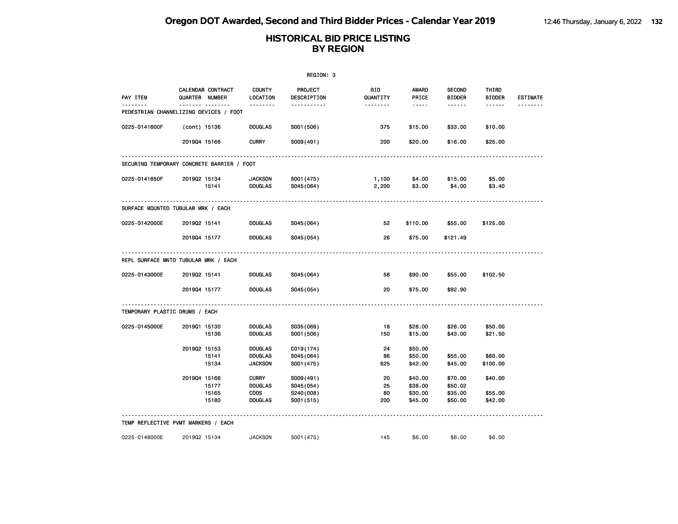|                                            |                |                       |                                       | REGION: 3                          |                                    |                                      |                                          |                                                |                 |
|--------------------------------------------|----------------|-----------------------|---------------------------------------|------------------------------------|------------------------------------|--------------------------------------|------------------------------------------|------------------------------------------------|-----------------|
| PAY ITEM<br><u>.</u>                       | QUARTER NUMBER | CALENDAR CONTRACT<br> | <b>COUNTY</b><br>LOCATION<br><u>.</u> | PROJECT<br>DESCRIPTION<br><u>.</u> | <b>BID</b><br>QUANTITY<br>-------- | <b>AWARD</b><br>PRICE<br>$- - - - -$ | <b>SECOND</b><br><b>BIDDER</b><br>------ | THIRD<br><b>BIDDER</b><br>$\cdots\cdots\cdots$ | <b>ESTIMATE</b> |
| PEDESTRIAN CHANNELIZING DEVICES / FOOT     |                |                       |                                       |                                    |                                    |                                      |                                          |                                                |                 |
| 0225-0141600F                              | (cont) 15136   |                       | <b>DOUGLAS</b>                        | S001 (506)                         | 375                                | \$15.00                              | \$33.00                                  | \$10.00                                        |                 |
|                                            | 201904 15166   |                       | <b>CURRY</b>                          | S009(491)                          | 200                                | \$20.00                              | \$16.00                                  | \$25.00                                        |                 |
| SECURING TEMPORARY CONCRETE BARRIER / FOOT |                |                       |                                       |                                    |                                    |                                      |                                          |                                                |                 |
| 0225-0141650F                              | 201902 15134   |                       | <b>JACKSON</b>                        | S001 (475)                         | 1,100                              | \$4.00                               | \$15.00                                  | \$5.00                                         |                 |
|                                            |                | 15141                 | <b>DOUGLAS</b>                        | S045 (064)                         | 2,200                              | \$3.00                               | \$4.00                                   | \$3.40                                         |                 |
| SURFACE MOUNTED TUBULAR MRK / EACH         |                |                       |                                       |                                    |                                    |                                      |                                          |                                                |                 |
| 0225-0142000E                              | 201902 15141   |                       | <b>DOUGLAS</b>                        | S045(064)                          | 52                                 | \$110.00                             | \$55.00                                  | \$125.00                                       |                 |
|                                            | 201904 15177   |                       | <b>DOUGLAS</b>                        | S045(054)                          | 26                                 | \$75.00                              | \$121.49                                 |                                                |                 |
| REPL SURFACE MNTD TUBULAR MRK / EACH       |                |                       |                                       |                                    |                                    |                                      |                                          |                                                |                 |
| 0225-0143000E                              | 201902 15141   |                       | <b>DOUGLAS</b>                        | S045(064)                          | 58                                 | \$90.00                              | \$55.00                                  | \$102.50                                       |                 |
|                                            | 201904 15177   |                       | <b>DOUGLAS</b>                        | S045(054)                          | 20                                 | \$75.00                              | \$92.90                                  |                                                |                 |
| TEMPORARY PLASTIC DRUMS / EACH             |                |                       |                                       |                                    |                                    |                                      |                                          |                                                |                 |
| 0225-0145000E                              | 201901 15130   |                       | <b>DOUGLAS</b>                        | S035(069)                          | 18                                 | \$28.00                              | \$28.00                                  | \$50.00                                        |                 |
|                                            |                | 15136                 | <b>DOUGLAS</b>                        | S001 (506)                         | 150                                | \$15.00                              | \$43.00                                  | \$21.50                                        |                 |
|                                            | 201902 15153   |                       | <b>DOUGLAS</b>                        | C019(174)                          | 24                                 | \$50.00                              |                                          |                                                |                 |
|                                            |                | 15141                 | <b>DOUGLAS</b>                        | S045(064)                          | 86                                 | \$50.00                              | \$55.00                                  | \$60.00                                        |                 |
|                                            |                | 15134                 | <b>JACKSON</b>                        | S001 (475)                         | 625                                | \$42.00                              | \$45.00                                  | \$100.00                                       |                 |
|                                            | 201904 15166   |                       | <b>CURRY</b>                          | S009(491)                          | 20                                 | \$40.00                              | \$70.00                                  | \$40.00                                        |                 |
|                                            |                | 15177                 | <b>DOUGLAS</b>                        | S045(054)                          | 25                                 | \$38.00                              | \$50.02                                  |                                                |                 |
|                                            |                | 15165                 | <b>COOS</b>                           | S240(008)                          | 80                                 | \$30.00                              | \$35.00                                  | \$55.00                                        |                 |
|                                            |                | 15180                 | <b>DOUGLAS</b>                        | S001 (515)                         | 200                                | \$45.00                              | \$50.00                                  | \$42.00                                        |                 |
| TEMP REFLECTIVE PVMT MARKERS / EACH        |                |                       |                                       |                                    |                                    |                                      |                                          |                                                |                 |
| 0225-0148000E                              | 201902 15134   |                       | <b>JACKSON</b>                        | S001 (475)                         | 145                                | \$6.00                               | \$6.00                                   | \$6.00                                         |                 |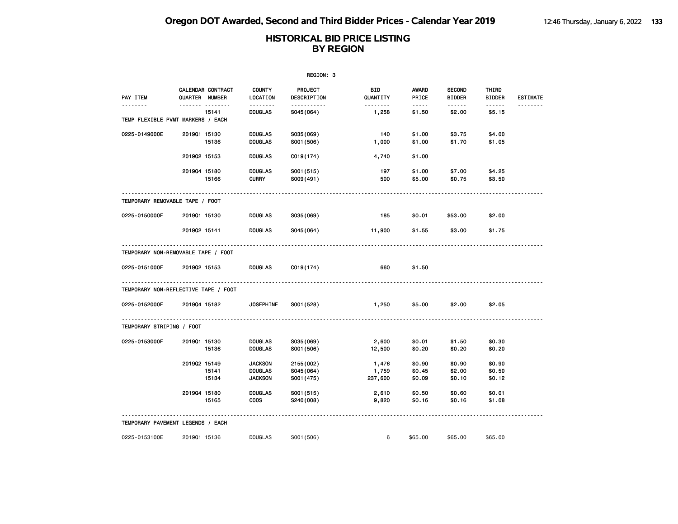|                                              | REGION: 3      |                   |                           |                               |                        |                       |                                |                         |                 |  |
|----------------------------------------------|----------------|-------------------|---------------------------|-------------------------------|------------------------|-----------------------|--------------------------------|-------------------------|-----------------|--|
| PAY ITEM                                     | QUARTER NUMBER | CALENDAR CONTRACT | <b>COUNTY</b><br>LOCATION | <b>PROJECT</b><br>DESCRIPTION | <b>BID</b><br>QUANTITY | AWARD<br>PRICE        | <b>SECOND</b><br><b>BIDDER</b> | THIRD<br><b>BIDDER</b>  | <b>ESTIMATE</b> |  |
| -------<br>TEMP FLEXIBLE PVMT MARKERS / EACH |                | .<br>15141        | <b>DOUGLAS</b>            | <u>.</u><br>S045(064)         | 1,258                  | $- - - - -$<br>\$1.50 | \$2.00                         | $- - - - - -$<br>\$5.15 | <u>.</u>        |  |
| 0225-0149000E                                | 201901 15130   |                   | <b>DOUGLAS</b>            | S035(069)                     | 140                    | \$1.00                | \$3.75                         | \$4.00                  |                 |  |
|                                              |                | 15136             | <b>DOUGLAS</b>            | S001 (506)                    | 1,000                  | \$1.00                | \$1.70                         | \$1.05                  |                 |  |
|                                              | 201902 15153   |                   | <b>DOUGLAS</b>            | C019(174)                     | 4,740                  | \$1.00                |                                |                         |                 |  |
|                                              | 201904 15180   |                   | <b>DOUGLAS</b>            | S001 (515)                    | 197                    | \$1.00                | \$7.00                         | \$4.25                  |                 |  |
|                                              |                | 15166             | <b>CURRY</b>              | S009(491)                     | 500                    | \$5.00                | \$0.75                         | \$3.50                  |                 |  |
| TEMPORARY REMOVABLE TAPE / FOOT              |                |                   |                           |                               |                        |                       |                                |                         |                 |  |
| 0225-0150000F                                | 201901 15130   |                   | <b>DOUGLAS</b>            | S035(069)                     | 185                    | \$0.01                | \$53.00                        | \$2.00                  |                 |  |
|                                              | 201902 15141   |                   | <b>DOUGLAS</b>            | S045(064)                     | 11,900                 | \$1.55                | \$3.00                         | \$1.75                  |                 |  |
| TEMPORARY NON-REMOVABLE TAPE / FOOT          |                |                   |                           |                               |                        |                       |                                |                         |                 |  |
| 0225-0151000F                                | 201902 15153   |                   | <b>DOUGLAS</b>            | C019(174)                     | 660                    | \$1.50                |                                |                         |                 |  |
| TEMPORARY NON-REFLECTIVE TAPE / FOOT         |                |                   |                           |                               |                        |                       |                                |                         |                 |  |
| 0225-0152000F                                | 201904 15182   |                   | <b>JOSEPHINE</b>          | S001 (528)                    | 1,250                  | \$5.00                | \$2.00                         | \$2.05                  |                 |  |
| TEMPORARY STRIPING / FOOT                    |                |                   |                           |                               |                        |                       |                                |                         |                 |  |
| 0225-0153000F                                | 201901 15130   |                   | <b>DOUGLAS</b>            | S035(069)                     | 2,600                  | \$0.01                | \$1.50                         | \$0.30                  |                 |  |
|                                              |                | 15136             | <b>DOUGLAS</b>            | S001 (506)                    | 12,500                 | \$0.20                | \$0.20                         | \$0.20                  |                 |  |
|                                              | 201902 15149   |                   | <b>JACKSON</b>            | 2155 (002)                    | 1,476                  | \$0.90                | \$0.90                         | \$0.90                  |                 |  |
|                                              |                | 15141             | <b>DOUGLAS</b>            | S045(064)                     | 1,759                  | \$0.45                | \$2.00                         | \$0.50                  |                 |  |
|                                              |                | 15134             | <b>JACKSON</b>            | S001 (475)                    | 237,600                | \$0.09                | \$0.10                         | \$0.12                  |                 |  |
|                                              | 201904 15180   |                   | <b>DOUGLAS</b>            | S001 (515)                    | 2,610                  | \$0.50                | \$0.60                         | \$0.01                  |                 |  |
|                                              |                | 15165             | <b>COOS</b>               | S240(008)                     | 9,820                  | \$0.16                | \$0.16                         | \$1.08                  |                 |  |
| TEMPORARY PAVEMENT LEGENDS / EACH            |                |                   |                           |                               |                        |                       |                                |                         |                 |  |
| 0225-0153100E                                | 201901 15136   |                   | <b>DOUGLAS</b>            | S001 (506)                    | 6                      | \$65.00               | \$65.00                        | \$65.00                 |                 |  |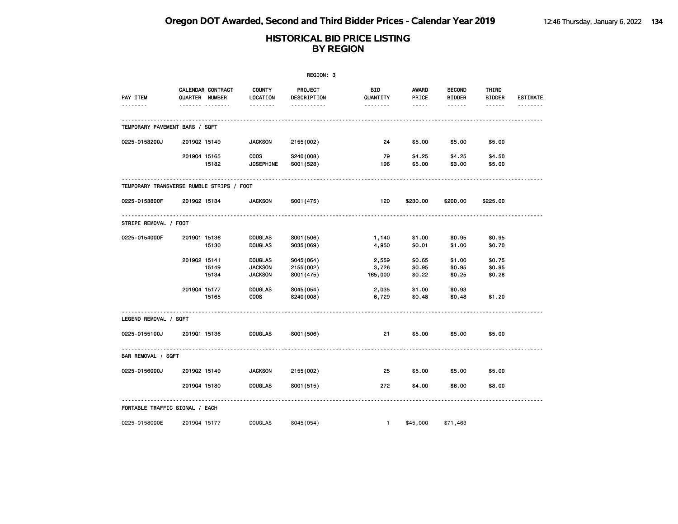|                                           | REGION: 3    |                                                |                                                    |                                       |                                          |                                   |                                          |                                  |                             |  |  |
|-------------------------------------------|--------------|------------------------------------------------|----------------------------------------------------|---------------------------------------|------------------------------------------|-----------------------------------|------------------------------------------|----------------------------------|-----------------------------|--|--|
| PAY ITEM<br>.                             |              | CALENDAR CONTRACT<br><b>QUARTER NUMBER</b><br> | <b>COUNTY</b><br>LOCATION<br><u> - - - - - - -</u> | PROJECT<br>DESCRIPTION<br>----------- | BID<br>QUANTITY<br><u> - - - - - - -</u> | AWARD<br>PRICE<br>$\cdots \cdots$ | <b>SECOND</b><br><b>BIDDER</b><br>------ | THIRD<br><b>BIDDER</b><br>------ | <b>ESTIMATE</b><br><u>.</u> |  |  |
| TEMPORARY PAVEMENT BARS / SQFT            |              |                                                |                                                    |                                       |                                          |                                   |                                          |                                  |                             |  |  |
| 0225-0153200J                             | 201902 15149 |                                                | <b>JACKSON</b>                                     | 2155 (002)                            | 24                                       | \$5.00                            | \$5.00                                   | \$5.00                           |                             |  |  |
|                                           | 201904 15165 | 15182                                          | <b>COOS</b><br><b>JOSEPHINE</b>                    | S240(008)<br>S001 (528)               | 79<br>196                                | \$4.25<br>\$5.00                  | \$4.25<br>\$3.00                         | \$4.50<br>\$5.00                 |                             |  |  |
| TEMPORARY TRANSVERSE RUMBLE STRIPS / FOOT |              |                                                |                                                    |                                       |                                          |                                   |                                          |                                  |                             |  |  |
| 0225-0153800F                             | 201902 15134 |                                                | <b>JACKSON</b>                                     | S001 (475)                            | 120                                      | \$230.00                          | \$200.00                                 | \$225.00                         |                             |  |  |
| STRIPE REMOVAL / FOOT                     |              |                                                |                                                    |                                       |                                          |                                   |                                          |                                  |                             |  |  |
| 0225-0154000F                             | 201901 15136 | 15130                                          | <b>DOUGLAS</b><br><b>DOUGLAS</b>                   | S001 (506)<br>S035(069)               | 1,140<br>4,950                           | \$1.00<br>\$0.01                  | \$0.95<br>\$1.00                         | \$0.95<br>\$0.70                 |                             |  |  |
|                                           | 201902 15141 | 15149<br>15134                                 | <b>DOUGLAS</b><br><b>JACKSON</b><br><b>JACKSON</b> | S045(064)<br>2155 (002)<br>S001 (475) | 2,559<br>3,726<br>165,000                | \$0.65<br>\$0.95<br>\$0.22        | \$1.00<br>\$0.95<br>\$0.25               | \$0.75<br>\$0.95<br>\$0.28       |                             |  |  |
|                                           | 201904 15177 | 15165                                          | <b>DOUGLAS</b><br><b>COOS</b>                      | S045(054)<br>S240(008)                | 2,035<br>6,729                           | \$1.00<br>\$0.48                  | \$0.93<br>\$0.48                         | \$1.20                           |                             |  |  |
| LEGEND REMOVAL / SQFT                     |              |                                                |                                                    |                                       |                                          |                                   |                                          |                                  |                             |  |  |
| 0225-0155100J                             | 201901 15136 |                                                | <b>DOUGLAS</b>                                     | S001 (506)                            | 21                                       | \$5.00                            | \$5.00                                   | \$5.00                           |                             |  |  |
| BAR REMOVAL / SQFT                        |              |                                                |                                                    |                                       |                                          |                                   |                                          |                                  |                             |  |  |
| 0225-0156000J                             | 201902 15149 |                                                | <b>JACKSON</b>                                     | 2155 (002)                            | 25                                       | \$5.00                            | \$5.00                                   | \$5.00                           |                             |  |  |
|                                           | 201904 15180 |                                                | <b>DOUGLAS</b>                                     | S001 (515)                            | 272                                      | \$4.00                            | \$6.00                                   | \$8.00                           |                             |  |  |
| PORTABLE TRAFFIC SIGNAL / EACH            |              |                                                |                                                    |                                       |                                          |                                   |                                          |                                  |                             |  |  |
| 0225-0158000E                             | 201904 15177 |                                                | <b>DOUGLAS</b>                                     | S045 (054)                            | $\mathbf{1}$                             | \$45,000                          | \$71,463                                 |                                  |                             |  |  |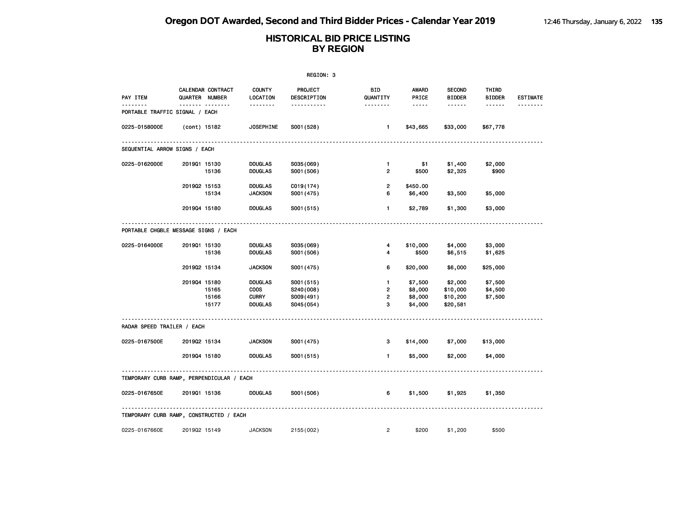|                                           |                |                         |                                                                 | REGION: 3                                         |                                          |                                          |                                                 |                                         |                             |
|-------------------------------------------|----------------|-------------------------|-----------------------------------------------------------------|---------------------------------------------------|------------------------------------------|------------------------------------------|-------------------------------------------------|-----------------------------------------|-----------------------------|
| PAY ITEM<br>.                             | QUARTER NUMBER | CALENDAR CONTRACT<br>.  | <b>COUNTY</b><br>LOCATION<br><u>.</u>                           | PROJECT<br>DESCRIPTION<br><u>.</u>                | <b>BID</b><br>QUANTITY<br><u>.</u>       | <b>AWARD</b><br>PRICE<br>$- - - - -$     | <b>SECOND</b><br><b>BIDDER</b><br>$- - - - - -$ | THIRD<br><b>BIDDER</b><br>$- - - - - -$ | <b>ESTIMATE</b><br><u>.</u> |
| PORTABLE TRAFFIC SIGNAL / EACH            |                |                         |                                                                 |                                                   |                                          |                                          |                                                 |                                         |                             |
| 0225-0158000E                             | (cont) 15182   |                         | <b>JOSEPHINE</b>                                                | S001 (528)                                        | $\blacksquare$                           | \$43,665                                 | \$33,000                                        | \$67,778                                |                             |
| SEQUENTIAL ARROW SIGNS / EACH             |                |                         |                                                                 |                                                   |                                          |                                          |                                                 |                                         |                             |
| 0225-0162000E                             | 201901 15130   | 15136                   | <b>DOUGLAS</b><br><b>DOUGLAS</b>                                | S035(069)<br>S001 (506)                           | $\mathbf{1}$<br>2                        | \$1<br>\$500                             | \$1,400<br>\$2,325                              | \$2,000<br>\$900                        |                             |
|                                           | 201902 15153   | 15134                   | <b>DOUGLAS</b><br><b>JACKSON</b>                                | C019(174)<br>S001 (475)                           | $\overline{2}$<br>6                      | \$450.00<br>\$6,400                      | \$3,500                                         | \$5,000                                 |                             |
|                                           | 201904 15180   |                         | <b>DOUGLAS</b>                                                  | S001 (515)                                        | $\mathbf{1}$                             | \$2,789                                  | \$1,300                                         | \$3,000                                 |                             |
| PORTABLE CHGBLE MESSAGE SIGNS / EACH      |                |                         |                                                                 |                                                   |                                          |                                          |                                                 |                                         |                             |
| 0225-0164000E                             | 201901 15130   | 15136                   | <b>DOUGLAS</b><br><b>DOUGLAS</b>                                | S035(069)<br>S001 (506)                           | 4<br>4                                   | \$10,000<br>\$500                        | \$4,000<br>\$6,515                              | \$3,000<br>\$1,625                      |                             |
|                                           | 201902 15134   |                         | <b>JACKSON</b>                                                  | S001 (475)                                        | 6                                        | \$20,000                                 | \$6,000                                         | \$25,000                                |                             |
|                                           | 201904 15180   | 15165<br>15166<br>15177 | <b>DOUGLAS</b><br><b>COOS</b><br><b>CURRY</b><br><b>DOUGLAS</b> | S001 (515)<br>S240(008)<br>S009(491)<br>S045(054) | $\mathbf{1}$<br>2<br>$\overline{2}$<br>3 | \$7,500<br>\$8,000<br>\$8,000<br>\$4,000 | \$2,000<br>\$10,000<br>\$10,200<br>\$20,581     | \$7,500<br>\$4,500<br>\$7,500           |                             |
| RADAR SPEED TRAILER / EACH                |                |                         |                                                                 |                                                   |                                          |                                          |                                                 |                                         |                             |
| 0225-0167500E                             | 201902 15134   |                         | <b>JACKSON</b>                                                  | S001 (475)                                        | 3                                        | \$14,000                                 | \$7,000                                         | \$13,000                                |                             |
|                                           | 201904 15180   |                         | <b>DOUGLAS</b>                                                  | S001 (515)                                        | $\blacksquare$                           | \$5,000                                  | \$2,000                                         | \$4,000                                 |                             |
| TEMPORARY CURB RAMP, PERPENDICULAR / EACH |                |                         |                                                                 |                                                   |                                          |                                          |                                                 |                                         |                             |
| 0225-0167650E                             | 201901 15136   |                         | <b>DOUGLAS</b>                                                  | S001 (506)                                        | 6                                        | \$1,500                                  | \$1,925                                         | \$1,350                                 |                             |
| TEMPORARY CURB RAMP, CONSTRUCTED / EACH   |                |                         |                                                                 |                                                   |                                          |                                          |                                                 |                                         |                             |
| 0225-0167660E                             | 201902 15149   |                         | <b>JACKSON</b>                                                  | 2155 (002)                                        | $\overline{2}$                           | \$200                                    | \$1,200                                         | \$500                                   |                             |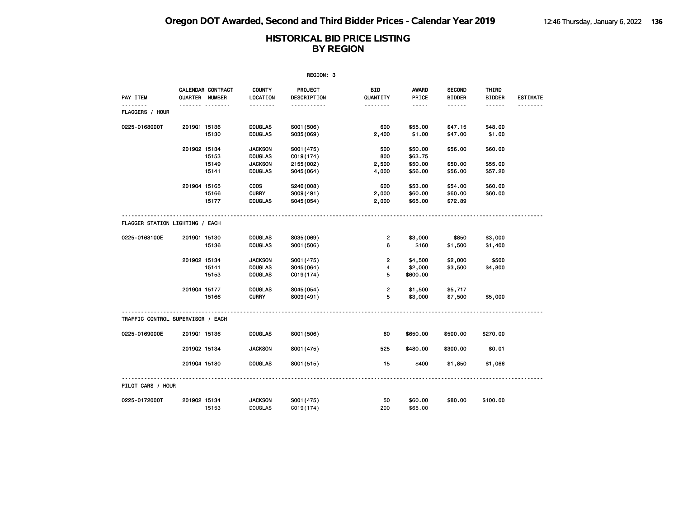|                                   |                                     |       |                           | REGION: 3              |                      |                                                                                                                           |                                |                        |                 |
|-----------------------------------|-------------------------------------|-------|---------------------------|------------------------|----------------------|---------------------------------------------------------------------------------------------------------------------------|--------------------------------|------------------------|-----------------|
| <b>PAY ITEM</b>                   | CALENDAR CONTRACT<br>QUARTER NUMBER |       | <b>COUNTY</b><br>LOCATION | PROJECT<br>DESCRIPTION | BID<br>QUANTITY      | AWARD<br>PRICE                                                                                                            | <b>SECOND</b><br><b>BIDDER</b> | THIRD<br><b>BIDDER</b> | <b>ESTIMATE</b> |
| <u>.</u><br>FLAGGERS / HOUR       |                                     |       | .                         | <u>.</u>               | <u>.</u>             | $\frac{1}{2} \left( \frac{1}{2} \right) \left( \frac{1}{2} \right) \left( \frac{1}{2} \right) \left( \frac{1}{2} \right)$ |                                |                        | <u>.</u>        |
| 0225-0168000T                     | 201901 15136                        |       | <b>DOUGLAS</b>            | S001 (506)             | 600                  | \$55.00                                                                                                                   | \$47.15                        | \$48.00                |                 |
|                                   |                                     | 15130 | <b>DOUGLAS</b>            | S035(069)              | 2,400                | \$1.00                                                                                                                    | \$47.00                        | \$1.00                 |                 |
|                                   | 201902 15134                        |       | <b>JACKSON</b>            | S001 (475)             | 500                  | \$50.00                                                                                                                   | \$56.00                        | \$60.00                |                 |
|                                   |                                     | 15153 | <b>DOUGLAS</b>            | C019(174)              | 800                  | \$63.75                                                                                                                   |                                |                        |                 |
|                                   |                                     | 15149 | <b>JACKSON</b>            | 2155 (002)             | 2,500                | \$50.00                                                                                                                   | \$50.00                        | \$55.00                |                 |
|                                   |                                     | 15141 | <b>DOUGLAS</b>            | S045(064)              | 4,000                | \$56.00                                                                                                                   | \$56.00                        | \$57.20                |                 |
|                                   | 201904 15165                        |       | <b>COOS</b>               | S240(008)              | 600                  | \$53.00                                                                                                                   | \$54.00                        | \$60.00                |                 |
|                                   |                                     | 15166 | <b>CURRY</b>              | S009(491)              | 2,000                | \$60.00                                                                                                                   | \$60.00                        | \$60.00                |                 |
|                                   |                                     | 15177 | <b>DOUGLAS</b>            | S045(054)              | 2,000                | \$65.00                                                                                                                   | \$72.89                        |                        |                 |
| FLAGGER STATION LIGHTING / EACH   |                                     |       |                           |                        |                      |                                                                                                                           |                                |                        |                 |
| 0225-0168100E                     | 201901 15130                        |       | <b>DOUGLAS</b>            | S035(069)              | $\overline{2}$       | \$3,000                                                                                                                   | \$850                          | \$3,000                |                 |
|                                   |                                     | 15136 | <b>DOUGLAS</b>            | S001 (506)             | 6                    | \$160                                                                                                                     | \$1,500                        | \$1,400                |                 |
|                                   | 201902 15134                        |       | <b>JACKSON</b>            | S001 (475)             | 2                    | \$4,500                                                                                                                   | \$2,000                        | \$500                  |                 |
|                                   |                                     | 15141 | <b>DOUGLAS</b>            | S045(064)              | $\blacktriangleleft$ | \$2,000                                                                                                                   | \$3,500                        | \$4,800                |                 |
|                                   |                                     | 15153 | <b>DOUGLAS</b>            | C019(174)              | 5                    | \$600.00                                                                                                                  |                                |                        |                 |
|                                   | 201904 15177                        |       | <b>DOUGLAS</b>            | S045(054)              | 2                    | \$1,500                                                                                                                   | \$5,717                        |                        |                 |
|                                   |                                     | 15166 | <b>CURRY</b>              | S009(491)              | 5                    | \$3,000                                                                                                                   | \$7,500                        | \$5,000                |                 |
| TRAFFIC CONTROL SUPERVISOR / EACH |                                     |       |                           |                        |                      |                                                                                                                           |                                |                        |                 |
| 0225-0169000E                     | 201901 15136                        |       | <b>DOUGLAS</b>            | S001 (506)             | 60                   | \$650.00                                                                                                                  | \$500.00                       | \$270.00               |                 |
|                                   | 201902 15134                        |       | <b>JACKSON</b>            | S001 (475)             | 525                  | \$480.00                                                                                                                  | \$300.00                       | \$0.01                 |                 |
|                                   | 201904 15180                        |       | <b>DOUGLAS</b>            | S001 (515)             | 15                   | \$400                                                                                                                     | \$1,850                        | \$1,066                |                 |
| PILOT CARS / HOUR                 |                                     |       |                           |                        |                      |                                                                                                                           |                                |                        |                 |
| 0225-0172000T                     | 201902 15134                        |       | <b>JACKSON</b>            | S001 (475)             | 50                   | \$60.00                                                                                                                   | \$80.00                        | \$100.00               |                 |
|                                   |                                     | 15153 | <b>DOUGLAS</b>            | C <sub>019(174)</sub>  | 200                  | \$65,00                                                                                                                   |                                |                        |                 |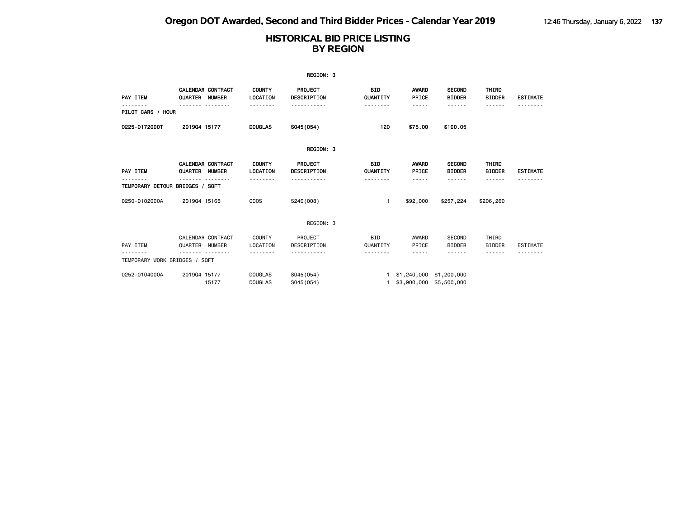|                                 |                |                                           |                                  | REGION: 3                |                        |                                                      |                                |                        |                 |
|---------------------------------|----------------|-------------------------------------------|----------------------------------|--------------------------|------------------------|------------------------------------------------------|--------------------------------|------------------------|-----------------|
| PAY ITEM                        | QUARTER        | <b>CALENDAR CONTRACT</b><br><b>NUMBER</b> | <b>COUNTY</b><br><b>LOCATION</b> | PROJECT<br>DESCRIPTION   | BID<br>QUANTITY        | <b>AWARD</b><br>PRICE                                | <b>SECOND</b><br><b>BIDDER</b> | THIRD<br><b>BIDDER</b> | <b>ESTIMATE</b> |
| PILOT CARS / HOUR               |                |                                           |                                  |                          | -------                | -----                                                | <b>.</b>                       | ------                 |                 |
| 0225-0172000T                   | 201904 15177   |                                           | <b>DOUGLAS</b>                   | S045 (054)               | 120                    | \$75.00                                              | \$100.05                       |                        |                 |
|                                 |                |                                           |                                  | REGION: 3                |                        |                                                      |                                |                        |                 |
| PAY ITEM                        | QUARTER NUMBER | <b>CALENDAR CONTRACT</b>                  | <b>COUNTY</b><br>LOCATION        | PROJECT<br>DESCRIPTION   | <b>BID</b><br>QUANTITY | <b>AWARD</b><br>PRICE                                | <b>SECOND</b><br><b>BIDDER</b> | THIRD<br><b>BIDDER</b> | <b>ESTIMATE</b> |
| TEMPORARY DETOUR BRIDGES / SQFT |                |                                           |                                  |                          |                        | -----                                                | .                              | <b>.</b>               |                 |
| 0250-0102000A                   | 201904 15165   |                                           | COO <sub>S</sub>                 | S240(008)                | 1                      | \$92,000                                             | \$257,224                      | \$206,260              |                 |
|                                 |                |                                           |                                  | REGION: 3                |                        |                                                      |                                |                        |                 |
| PAY ITEM                        | QUARTER NUMBER | CALENDAR CONTRACT                         | <b>COUNTY</b><br>LOCATION        | PROJECT<br>DESCRIPTION   | <b>BID</b><br>QUANTITY | AWARD<br>PRICE                                       | <b>SECOND</b><br><b>BIDDER</b> | THIRD<br><b>BIDDER</b> | <b>ESTIMATE</b> |
| TEMPORARY WORK BRIDGES / SQFT   |                |                                           |                                  |                          | .                      | -----                                                | - - - - - -                    | - - - - - -            |                 |
| 0252-0104000A                   | 201904 15177   | 15177                                     | <b>DOUGLAS</b><br><b>DOUGLAS</b> | S045 (054)<br>S045 (054) | 1.                     | 1 \$1,240,000 \$1,200,000<br>\$3,900,000 \$5,500,000 |                                |                        |                 |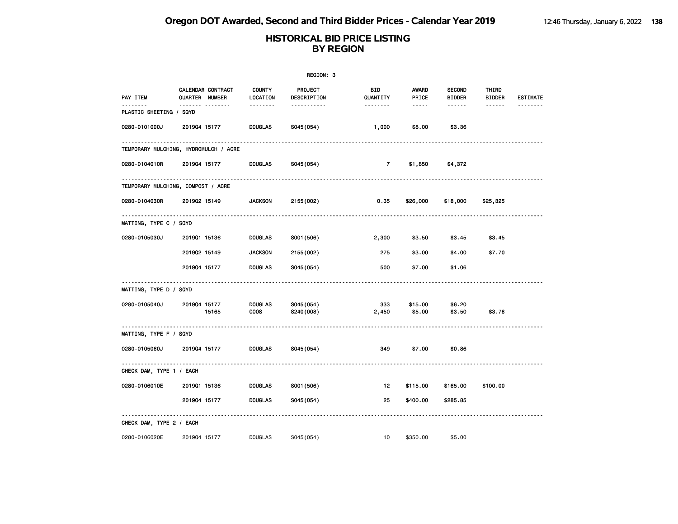|                                |                                       |                               | REGION: 3              |                        |                                                                                                               |                                |                        |                             |
|--------------------------------|---------------------------------------|-------------------------------|------------------------|------------------------|---------------------------------------------------------------------------------------------------------------|--------------------------------|------------------------|-----------------------------|
| PAY ITEM<br><u>.</u>           | CALENDAR CONTRACT<br>QUARTER NUMBER   | <b>COUNTY</b><br>LOCATION     | PROJECT<br>DESCRIPTION | <b>BID</b><br>QUANTITY | <b>AWARD</b><br>PRICE                                                                                         | <b>SECOND</b><br><b>BIDDER</b> | THIRD<br><b>BIDDER</b> | <b>ESTIMATE</b><br><u>.</u> |
| <b>PLASTIC SHEETING / SQYD</b> | ------- --------                      | .                             | -----------            | --------               | $\frac{1}{2} \frac{1}{2} \frac{1}{2} \frac{1}{2} \frac{1}{2} \frac{1}{2} \frac{1}{2} \frac{1}{2} \frac{1}{2}$ | ------                         | ------                 |                             |
| 0280-0101000J                  | 201904 15177                          | <b>DOUGLAS</b>                | S045 (054)             | 1,000                  | \$8.00                                                                                                        | \$3.36                         |                        |                             |
|                                | TEMPORARY MULCHING, HYDROMULCH / ACRE |                               |                        |                        |                                                                                                               |                                |                        |                             |
| 0280-0104010R                  | 201904 15177                          | <b>DOUGLAS</b>                | S045 (054)             | 7                      | \$1,850                                                                                                       | \$4,372                        |                        |                             |
|                                | TEMPORARY MULCHING, COMPOST / ACRE    |                               |                        |                        |                                                                                                               |                                |                        |                             |
| 0280-0104030R                  | 201902 15149                          | <b>JACKSON</b>                | 2155 (002)             | 0.35                   | \$26,000                                                                                                      | \$18,000                       | \$25,325               |                             |
| MATTING, TYPE C / SQYD         |                                       |                               |                        |                        |                                                                                                               |                                |                        |                             |
| 0280-0105030J                  | 201901 15136                          | <b>DOUGLAS</b>                | S001 (506)             | 2,300                  | \$3.50                                                                                                        | \$3.45                         | \$3.45                 |                             |
|                                | 201902 15149                          | <b>JACKSON</b>                | 2155 (002)             | 275                    | \$3.00                                                                                                        | \$4.00                         | \$7.70                 |                             |
|                                | 201904 15177                          | <b>DOUGLAS</b>                | S045(054)              | 500                    | \$7.00                                                                                                        | \$1.06                         |                        |                             |
| MATTING, TYPE D / SQYD         |                                       |                               |                        |                        |                                                                                                               |                                |                        |                             |
| 0280-0105040J                  | 201904 15177<br>15165                 | <b>DOUGLAS</b><br><b>COOS</b> | S045(054)<br>S240(008) | 333<br>2,450           | \$15.00<br>\$5.00                                                                                             | \$6.20<br>\$3.50               | \$3.78                 |                             |
| MATTING, TYPE F / SQYD         |                                       |                               |                        |                        |                                                                                                               |                                |                        |                             |
| 0280-0105060J                  | 201904 15177                          | <b>DOUGLAS</b>                | S045 (054)             | 349                    | \$7.00                                                                                                        | \$0.86                         |                        |                             |
| CHECK DAM, TYPE 1 / EACH       |                                       |                               |                        |                        |                                                                                                               |                                |                        |                             |
| 0280-0106010E                  | 201901 15136                          | <b>DOUGLAS</b>                | S001 (506)             | 12                     | \$115.00                                                                                                      | \$165.00                       | \$100.00               |                             |
|                                | 201904 15177                          | <b>DOUGLAS</b>                | S045 (054)             | 25                     | \$400.00                                                                                                      | \$285.85                       |                        |                             |
| CHECK DAM, TYPE 2 / EACH       |                                       |                               |                        |                        |                                                                                                               |                                |                        |                             |
| 0280-0106020E                  | 201904 15177                          | <b>DOUGLAS</b>                | S045 (054)             | 10                     | \$350.00                                                                                                      | \$5.00                         |                        |                             |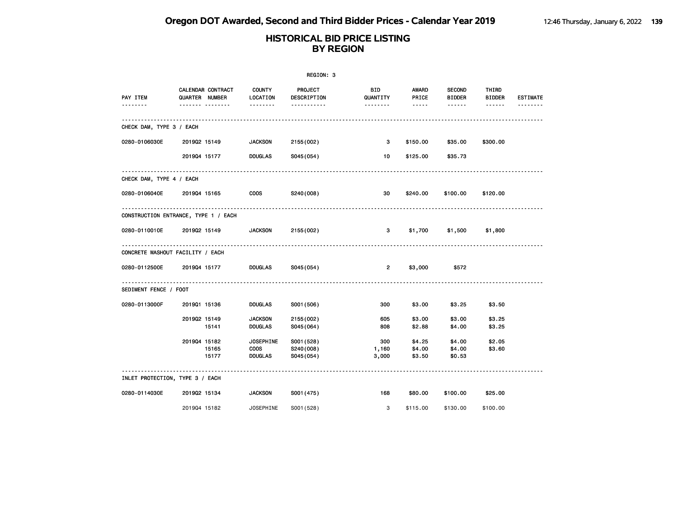|                                  |                                                         |                                            | REGION: 3                             |                              |                                          |                                           |                        |                             |
|----------------------------------|---------------------------------------------------------|--------------------------------------------|---------------------------------------|------------------------------|------------------------------------------|-------------------------------------------|------------------------|-----------------------------|
| PAY ITEM<br>.                    | CALENDAR CONTRACT<br>QUARTER NUMBER<br>------- -------- | <b>COUNTY</b><br>LOCATION<br>1.1.1.1.1.1.1 | PROJECT<br>DESCRIPTION<br>----------- | BID.<br>QUANTITY<br><u>.</u> | AWARD<br>PRICE<br>$\cdots \cdots \cdots$ | <b>SECOND</b><br><b>BIDDER</b><br><b></b> | THIRD<br><b>BIDDER</b> | <b>ESTIMATE</b><br><u>.</u> |
| CHECK DAM, TYPE 3 / EACH         |                                                         |                                            |                                       |                              |                                          |                                           |                        |                             |
| 0280-0106030E                    | 201902 15149                                            | <b>JACKSON</b>                             | 2155 (002)                            | 3                            | \$150.00                                 | \$35.00                                   | \$300.00               |                             |
|                                  | 201904 15177                                            | <b>DOUGLAS</b>                             | S045(054)                             | 10                           | \$125.00                                 | \$35.73                                   |                        |                             |
| CHECK DAM, TYPE 4 / EACH         |                                                         |                                            |                                       |                              |                                          |                                           |                        |                             |
| 0280-0106040E 2019Q4 15165       |                                                         | <b>COOS</b>                                | S240(008)                             | 30                           | \$240.00                                 | \$100.00                                  | \$120.00               |                             |
|                                  | CONSTRUCTION ENTRANCE, TYPE 1 / EACH                    |                                            |                                       |                              |                                          |                                           |                        |                             |
| 0280-0110010E                    | 201902 15149                                            | <b>JACKSON</b>                             | 2155 (002)                            | 3                            | \$1,700                                  | \$1,500                                   | \$1,800                |                             |
| CONCRETE WASHOUT FACILITY / EACH |                                                         |                                            |                                       |                              |                                          |                                           |                        |                             |
| 0280-0112500E                    | 201904 15177                                            | <b>DOUGLAS</b>                             | S045(054)                             | $\overline{2}$               | \$3,000                                  | \$572                                     |                        |                             |
| SEDIMENT FENCE / FOOT            |                                                         |                                            |                                       |                              |                                          |                                           |                        |                             |
| 0280-0113000F                    | 201901 15136                                            | DOUGLAS                                    | S001 (506)                            | 300                          | \$3.00                                   | \$3.25                                    | \$3.50                 |                             |
|                                  | 201902 15149<br>15141                                   | <b>JACKSON</b><br><b>DOUGLAS</b>           | 2155 (002)<br>S045(064)               | 605<br>808                   | \$3.00<br>\$2.88                         | \$3.00<br>\$4.00                          | \$3.25<br>\$3.25       |                             |
|                                  | 201904 15182<br>15165                                   | <b>JOSEPHINE</b><br><b>COOS</b>            | S001 (528)<br>S240(008)               | 300<br>1,160                 | \$4.25<br>\$4.00                         | \$4.00<br>\$4.00                          | \$2.05<br>\$3.60       |                             |
|                                  | 15177                                                   | <b>DOUGLAS</b>                             | S045(054)                             | 3,000                        | \$3.50                                   | \$0.53                                    |                        |                             |
| INLET PROTECTION, TYPE 3 / EACH  |                                                         |                                            |                                       |                              |                                          |                                           |                        |                             |
| 0280-0114030E                    | 201902 15134                                            | <b>JACKSON</b>                             | S001 (475)                            | 168                          | \$80.00                                  | \$100.00                                  | \$25.00                |                             |
|                                  | 201904 15182                                            | <b>JOSEPHINE</b>                           | S001 (528)                            | 3                            | \$115.00                                 | \$130.00                                  | \$100.00               |                             |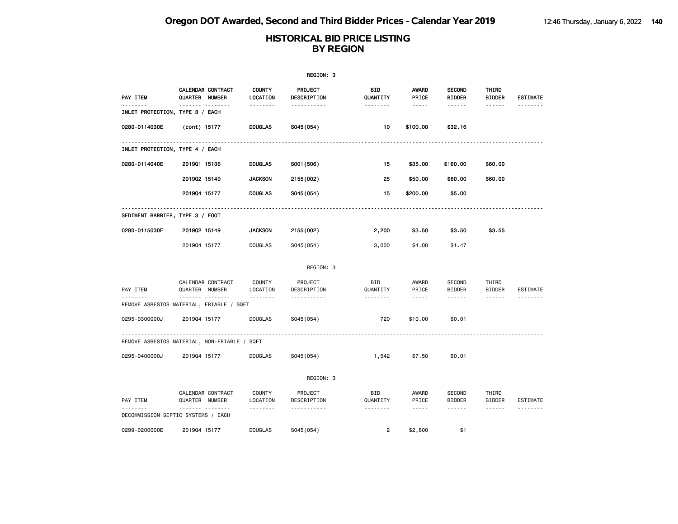|                                                          |                |                   |                           | REGION: 3              |                 |                                                                                                                                                      |                                |                        |                 |
|----------------------------------------------------------|----------------|-------------------|---------------------------|------------------------|-----------------|------------------------------------------------------------------------------------------------------------------------------------------------------|--------------------------------|------------------------|-----------------|
| PAY ITEM                                                 | QUARTER NUMBER | CALENDAR CONTRACT | <b>COUNTY</b><br>LOCATION | PROJECT<br>DESCRIPTION | BID<br>QUANTITY | <b>AWARD</b><br>PRICE                                                                                                                                | <b>SECOND</b><br><b>BIDDER</b> | THIRD<br><b>BIDDER</b> | <b>ESTIMATE</b> |
| <u> - - - - - - -</u><br>INLET PROTECTION, TYPE 3 / EACH |                | <b>.</b>          | <u>.</u>                  | -----------            | <u>.</u>        | $\frac{1}{2} \frac{1}{2} \frac{1}{2} \frac{1}{2} \frac{1}{2} \frac{1}{2} \frac{1}{2} \frac{1}{2} \frac{1}{2}$                                        | ------                         | ------                 | .               |
| 0280-0114030E                                            | (cont) 15177   |                   | <b>DOUGLAS</b>            | S045(054)              | 10              | \$100.00                                                                                                                                             | \$32.16                        |                        |                 |
| INLET PROTECTION, TYPE 4 / EACH                          |                |                   |                           |                        |                 |                                                                                                                                                      |                                |                        |                 |
| 0280-0114040E                                            | 201901 15136   |                   | <b>DOUGLAS</b>            | S001 (506)             | 15              | \$35.00                                                                                                                                              | \$160.00                       | \$60.00                |                 |
|                                                          | 201902 15149   |                   | <b>JACKSON</b>            | 2155 (002)             | 25              | \$50.00                                                                                                                                              | \$60.00                        | \$60.00                |                 |
|                                                          | 201904 15177   |                   | <b>DOUGLAS</b>            | S045(054)              | 15              | \$200.00                                                                                                                                             | \$5.00                         |                        |                 |
| SEDIMENT BARRIER, TYPE 3 / FOOT                          |                |                   |                           |                        |                 |                                                                                                                                                      |                                |                        |                 |
| 0280-0115030F                                            | 201902 15149   |                   | <b>JACKSON</b>            | 2155 (002)             | 2,200           | \$3.50                                                                                                                                               | \$3.50                         | \$3.55                 |                 |
|                                                          | 201904 15177   |                   | <b>DOUGLAS</b>            | S045 (054)             | 3,000           | \$4.00                                                                                                                                               | \$1.47                         |                        |                 |
|                                                          |                |                   |                           | REGION: 3              |                 |                                                                                                                                                      |                                |                        |                 |
| PAY ITEM                                                 | QUARTER NUMBER | CALENDAR CONTRACT | <b>COUNTY</b><br>LOCATION | PROJECT<br>DESCRIPTION | BID<br>QUANTITY | AWARD<br>PRICE                                                                                                                                       | <b>SECOND</b><br><b>BIDDER</b> | THIRD<br>BIDDER        | <b>ESTIMATE</b> |
| <u>.</u><br>REMOVE ASBESTOS MATERIAL, FRIABLE / SQFT     |                | <b>.</b>          | <u>.</u>                  | <u>.</u>               | .               | $\frac{1}{2} \left( \frac{1}{2} \right) \left( \frac{1}{2} \right) \left( \frac{1}{2} \right) \left( \frac{1}{2} \right) \left( \frac{1}{2} \right)$ | ------                         | ------                 | .               |
| 0295-0300000J                                            | 201904 15177   |                   | <b>DOUGLAS</b>            | S045 (054)             | 720             | \$10.00                                                                                                                                              | \$0.01                         |                        |                 |
| REMOVE ASBESTOS MATERIAL, NON-FRIABLE / SQFT             |                |                   |                           |                        |                 |                                                                                                                                                      |                                |                        |                 |
| 0295-0400000J                                            | 201904 15177   |                   | <b>DOUGLAS</b>            | S045 (054)             | 1,542           | \$7.50                                                                                                                                               | \$0.01                         |                        |                 |
|                                                          |                |                   |                           | REGION: 3              |                 |                                                                                                                                                      |                                |                        |                 |
| PAY ITEM                                                 | QUARTER NUMBER | CALENDAR CONTRACT | <b>COUNTY</b><br>LOCATION | PROJECT<br>DESCRIPTION | BID<br>QUANTITY | AWARD<br>PRICE                                                                                                                                       | <b>SECOND</b><br><b>BIDDER</b> | THIRD<br>BIDDER        | ESTIMATE        |
| DECOMMISSION SEPTIC SYSTEMS / EACH                       | .              | .                 | .                         | .                      | <u>.</u>        | $\frac{1}{2} \left( \frac{1}{2} \right) \left( \frac{1}{2} \right) \left( \frac{1}{2} \right) \left( \frac{1}{2} \right) \left( \frac{1}{2} \right)$ | ------                         | ------                 | .               |
| 0299-0200000E                                            | 201904 15177   |                   | <b>DOUGLAS</b>            | S045 (054)             | $\overline{2}$  | \$2,800                                                                                                                                              | \$1                            |                        |                 |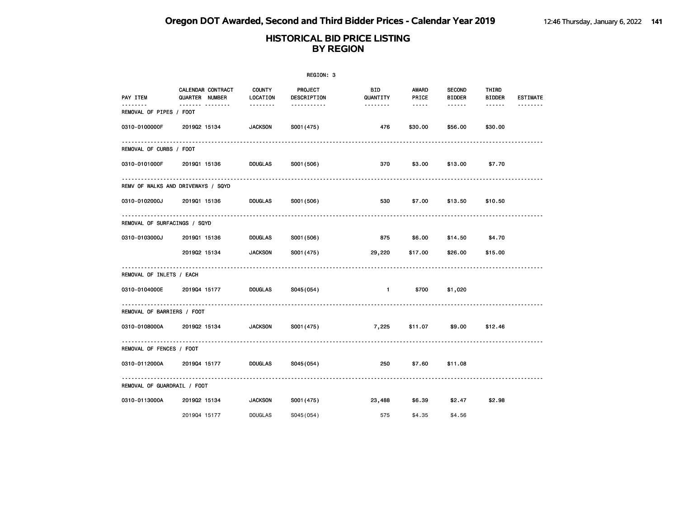|                              |                                     |                           | REGION: 3              |                        |                        |                                |                        |                 |
|------------------------------|-------------------------------------|---------------------------|------------------------|------------------------|------------------------|--------------------------------|------------------------|-----------------|
| PAY ITEM                     | CALENDAR CONTRACT<br>QUARTER NUMBER | <b>COUNTY</b><br>LOCATION | PROJECT<br>DESCRIPTION | <b>BID</b><br>QUANTITY | AWARD<br>PRICE         | <b>SECOND</b><br><b>BIDDER</b> | THIRD<br><b>BIDDER</b> | <b>ESTIMATE</b> |
| REMOVAL OF PIPES / FOOT      | <u> </u>                            | --------                  | .                      | --------               | $\cdots \cdots \cdots$ | ------                         | $- - - - - -$          |                 |
| 0310-0100000F                | 201902 15134                        | <b>JACKSON</b>            | S001 (475)             | 476                    | \$30.00                | \$56.00                        | \$30.00                |                 |
| REMOVAL OF CURBS / FOOT      |                                     |                           |                        |                        |                        |                                |                        |                 |
| 0310-0101000F                | 201901 15136                        | <b>DOUGLAS</b>            | S001 (506)             | 370                    | \$3.00                 | \$13.00                        | \$7.70                 |                 |
|                              | REMV OF WALKS AND DRIVEWAYS / SQYD  |                           |                        |                        |                        |                                |                        |                 |
| 0310-0102000J                | 201901 15136                        | <b>DOUGLAS</b>            | S001 (506)             | 530                    | \$7.00                 | \$13.50                        | \$10.50                |                 |
| REMOVAL OF SURFACINGS / SQYD |                                     |                           |                        |                        |                        |                                |                        |                 |
| 0310-0103000J                | 201901 15136                        | <b>DOUGLAS</b>            | S001 (506)             | 875                    | \$6.00                 | \$14.50                        | \$4.70                 |                 |
|                              | 201902 15134                        | <b>JACKSON</b>            | S001 (475)             | 29,220                 | \$17.00                | \$26.00                        | \$15.00                |                 |
| REMOVAL OF INLETS / EACH     |                                     |                           |                        |                        |                        |                                |                        |                 |
| 0310-0104000E                | 201904 15177                        | <b>DOUGLAS</b>            | S045(054)              | $\blacksquare$         | \$700                  | \$1,020                        |                        |                 |
| REMOVAL OF BARRIERS / FOOT   |                                     |                           |                        |                        |                        |                                |                        |                 |
| 0310-0108000A                | 201902 15134                        | <b>JACKSON</b>            | S001 (475)             | 7,225                  | \$11.07                | \$9.00                         | \$12.46                |                 |
| REMOVAL OF FENCES / FOOT     |                                     |                           |                        |                        |                        |                                |                        |                 |
| 0310-0112000A                | 201904 15177                        | <b>DOUGLAS</b>            | S045(054)              | 250                    | \$7.60                 | \$11.08                        |                        |                 |
| REMOVAL OF GUARDRAIL / FOOT  |                                     |                           |                        |                        |                        |                                |                        |                 |
| 0310-0113000A                | 201902 15134                        | <b>JACKSON</b>            | S001 (475)             | 23,488                 | \$6.39                 | \$2.47                         | \$2.98                 |                 |
|                              | 201904 15177                        | <b>DOUGLAS</b>            | S045 (054)             | 575                    | \$4.35                 | \$4.56                         |                        |                 |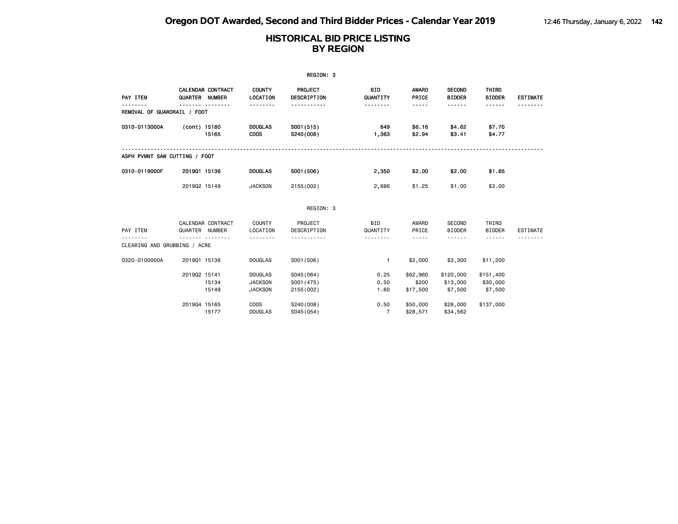|                               |                                     |                |                                                    | REGION: 3                             |                                    |                                                                                                                                                      |                                     |                                  |                 |
|-------------------------------|-------------------------------------|----------------|----------------------------------------------------|---------------------------------------|------------------------------------|------------------------------------------------------------------------------------------------------------------------------------------------------|-------------------------------------|----------------------------------|-----------------|
| PAY ITEM                      | CALENDAR CONTRACT<br>QUARTER NUMBER |                | <b>COUNTY</b><br>LOCATION<br>.                     | <b>PROJECT</b><br>DESCRIPTION<br>.    | <b>BID</b><br>QUANTITY<br><u>.</u> | <b>AWARD</b><br>PRICE<br>-----                                                                                                                       | <b>SECOND</b><br><b>BIDDER</b><br>. | THIRD<br><b>BIDDER</b><br>------ | <b>ESTIMATE</b> |
| REMOVAL OF GUARDRAIL / FOOT   |                                     |                |                                                    |                                       |                                    |                                                                                                                                                      |                                     |                                  |                 |
| 0310-0113000A                 | (cont) 15180                        | 15165          | <b>DOUGLAS</b><br><b>COOS</b>                      | S001 (515)<br>S240(008)               | 649<br>1,363                       | \$6.16<br>\$2.94                                                                                                                                     | \$4.62<br>\$3.41                    | \$7.70<br>\$4.77                 |                 |
| ASPH PVMNT SAW CUTTING / FOOT |                                     |                |                                                    |                                       |                                    |                                                                                                                                                      |                                     |                                  |                 |
| 0310-0119000F                 | 201901 15136                        |                | <b>DOUGLAS</b>                                     | S001 (506)                            | 2,350                              | \$2.00                                                                                                                                               | \$2.00                              | \$1.65                           |                 |
|                               | 201902 15149                        |                | <b>JACKSON</b>                                     | 2155 (002)                            | 2,686                              | \$1.25                                                                                                                                               | \$1.00                              | \$3.00                           |                 |
|                               |                                     |                |                                                    | REGION: 3                             |                                    |                                                                                                                                                      |                                     |                                  |                 |
| PAY ITEM                      | CALENDAR CONTRACT<br>QUARTER NUMBER |                | <b>COUNTY</b><br>LOCATION                          | PROJECT<br>DESCRIPTION                | <b>BID</b><br>QUANTITY             | AWARD<br>PRICE                                                                                                                                       | SECOND<br><b>BIDDER</b>             | THIRD<br><b>BIDDER</b>           | ESTIMATE        |
| CLEARING AND GRUBBING / ACRE  |                                     |                | .                                                  |                                       | .                                  | $\frac{1}{2} \left( \frac{1}{2} \right) \left( \frac{1}{2} \right) \left( \frac{1}{2} \right) \left( \frac{1}{2} \right) \left( \frac{1}{2} \right)$ | .                                   | .                                |                 |
| 0320-0100000A                 | 201901 15136                        |                | <b>DOUGLAS</b>                                     | S001 (506)                            | $\mathbf{1}$                       | \$2,000                                                                                                                                              | \$3,300                             | \$11,200                         |                 |
|                               | 201902 15141                        | 15134<br>15149 | <b>DOUGLAS</b><br><b>JACKSON</b><br><b>JACKSON</b> | S045(064)<br>S001 (475)<br>2155 (002) | 0.25<br>0.50<br>1.60               | \$62,960<br>\$200<br>\$17,500                                                                                                                        | \$120,000<br>\$13,000<br>\$7,500    | \$151,400<br>\$30,000<br>\$7,500 |                 |
|                               | 201904 15165                        | 15177          | <b>COOS</b><br><b>DOUGLAS</b>                      | S240(008)<br>S045(054)                | 0.50<br>$\overline{7}$             | \$50,000<br>\$28,571                                                                                                                                 | \$28,000<br>\$34,562                | \$137,000                        |                 |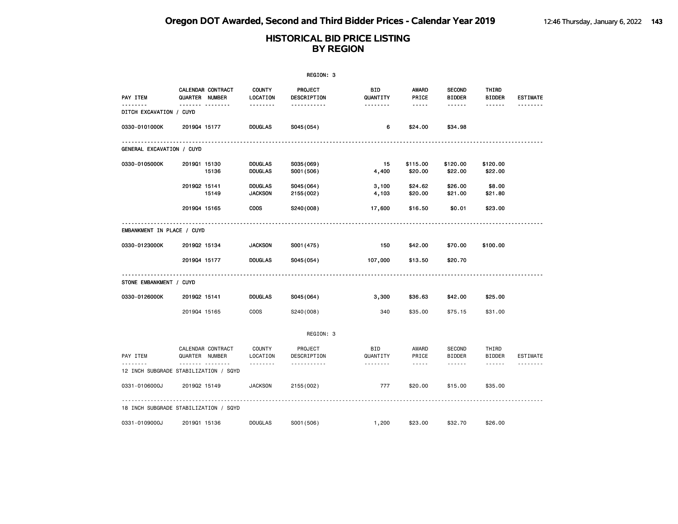|                                       |                                          |                                  | REGION: 3                          |                             |                                                                                                                                                                        |                                                 |                                                                                                                                                                                                    |                      |
|---------------------------------------|------------------------------------------|----------------------------------|------------------------------------|-----------------------------|------------------------------------------------------------------------------------------------------------------------------------------------------------------------|-------------------------------------------------|----------------------------------------------------------------------------------------------------------------------------------------------------------------------------------------------------|----------------------|
| PAY ITEM                              | CALENDAR CONTRACT<br>QUARTER NUMBER      | <b>COUNTY</b><br>LOCATION        | PROJECT<br>DESCRIPTION             | BID<br>QUANTITY             | <b>AWARD</b><br>PRICE                                                                                                                                                  | <b>SECOND</b><br><b>BIDDER</b>                  | THIRD<br><b>BIDDER</b>                                                                                                                                                                             | <b>ESTIMATE</b>      |
| <u>.</u><br>DITCH EXCAVATION / CUYD   | ------- --------                         | --------                         | -----------                        | <u>.</u>                    | $- - - - -$                                                                                                                                                            | ------                                          | ------                                                                                                                                                                                             | <u>.</u>             |
| 0330-0101000K                         | 201904 15177                             | <b>DOUGLAS</b>                   | S045(054)                          | 6                           | \$24.00                                                                                                                                                                | \$34.98                                         |                                                                                                                                                                                                    |                      |
| GENERAL EXCAVATION / CUYD             |                                          |                                  |                                    |                             |                                                                                                                                                                        |                                                 |                                                                                                                                                                                                    |                      |
| 0330-0105000K                         | 201901 15130<br>15136                    | <b>DOUGLAS</b><br><b>DOUGLAS</b> | S035(069)<br>S001 (506)            | 15<br>4,400                 | \$115.00<br>\$20.00                                                                                                                                                    | \$120.00<br>\$22.00                             | \$120.00<br>\$22.00                                                                                                                                                                                |                      |
|                                       | 201902 15141<br>15149                    | <b>DOUGLAS</b><br><b>JACKSON</b> | S045(064)<br>2155 (002)            | 3,100<br>4,103              | \$24.62<br>\$20.00                                                                                                                                                     | \$26.00<br>\$21.00                              | \$8.00<br>\$21.80                                                                                                                                                                                  |                      |
|                                       | 201904 15165                             | <b>COOS</b>                      | S240(008)                          | 17,600                      | \$16.50                                                                                                                                                                | \$0.01                                          | \$23.00                                                                                                                                                                                            |                      |
| EMBANKMENT IN PLACE / CUYD            |                                          |                                  |                                    |                             |                                                                                                                                                                        |                                                 |                                                                                                                                                                                                    |                      |
| 0330-0123000K                         | 201902 15134                             | <b>JACKSON</b>                   | S001 (475)                         | 150                         | \$42.00                                                                                                                                                                | \$70.00                                         | \$100.00                                                                                                                                                                                           |                      |
|                                       | 201904 15177                             | <b>DOUGLAS</b>                   | S045 (054)                         | 107,000                     | \$13.50                                                                                                                                                                | \$20.70                                         |                                                                                                                                                                                                    |                      |
| STONE EMBANKMENT / CUYD               |                                          |                                  |                                    |                             |                                                                                                                                                                        |                                                 |                                                                                                                                                                                                    |                      |
| 0330-0126000K                         | 201902 15141                             | <b>DOUGLAS</b>                   | S045(064)                          | 3,300                       | \$36.63                                                                                                                                                                | \$42.00                                         | \$25.00                                                                                                                                                                                            |                      |
|                                       | 201904 15165                             | <b>COOS</b>                      | S240(008)                          | 340                         | \$35.00                                                                                                                                                                | \$75.15                                         | \$31.00                                                                                                                                                                                            |                      |
|                                       |                                          |                                  | REGION: 3                          |                             |                                                                                                                                                                        |                                                 |                                                                                                                                                                                                    |                      |
| PAY ITEM                              | CALENDAR CONTRACT<br>QUARTER NUMBER<br>. | COUNTY<br>LOCATION<br>.          | PROJECT<br>DESCRIPTION<br><u>.</u> | <b>BID</b><br>QUANTITY<br>. | AWARD<br>PRICE<br>$\frac{1}{2} \left( \frac{1}{2} \right) \left( \frac{1}{2} \right) \left( \frac{1}{2} \right) \left( \frac{1}{2} \right) \left( \frac{1}{2} \right)$ | <b>SECOND</b><br><b>BIDDER</b><br>$- - - - - -$ | THIRD<br>BIDDER<br>$\frac{1}{2} \left( \frac{1}{2} \right) \left( \frac{1}{2} \right) \left( \frac{1}{2} \right) \left( \frac{1}{2} \right) \left( \frac{1}{2} \right) \left( \frac{1}{2} \right)$ | ESTIMATE<br><u>.</u> |
| 12 INCH SUBGRADE STABILIZATION / SQYD |                                          |                                  |                                    |                             |                                                                                                                                                                        |                                                 |                                                                                                                                                                                                    |                      |
| 0331-0106000J                         | 201902 15149                             | <b>JACKSON</b>                   | 2155 (002)                         | 777                         | \$20.00                                                                                                                                                                | \$15.00                                         | \$35.00                                                                                                                                                                                            |                      |
| 18 INCH SUBGRADE STABILIZATION / SQYD |                                          |                                  |                                    |                             |                                                                                                                                                                        |                                                 |                                                                                                                                                                                                    |                      |
| 0331-0109000J                         | 201901 15136                             | <b>DOUGLAS</b>                   | S001 (506)                         | 1,200                       | \$23.00                                                                                                                                                                | \$32.70                                         | \$26.00                                                                                                                                                                                            |                      |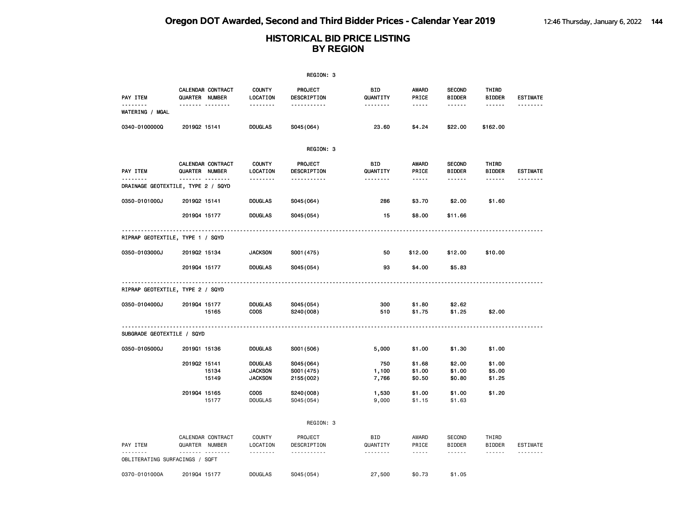|                                         |                                     |                                                    | REGION: 3                             |                        |                                 |                                                 |                                  |                             |
|-----------------------------------------|-------------------------------------|----------------------------------------------------|---------------------------------------|------------------------|---------------------------------|-------------------------------------------------|----------------------------------|-----------------------------|
| PAY ITEM                                | CALENDAR CONTRACT<br>QUARTER NUMBER | <b>COUNTY</b><br>LOCATION                          | <b>PROJECT</b><br>DESCRIPTION         | BID.<br>QUANTITY       | <b>AWARD</b><br>PRICE           | <b>SECOND</b><br><b>BIDDER</b>                  | THIRD<br><b>BIDDER</b>           | <b>ESTIMATE</b><br><u>.</u> |
| <b>WATERING / MGAL</b>                  | <b>.</b>                            | <u>.</u>                                           | <u>.</u>                              | .                      | $- - - -$                       | .                                               | $- - - - - -$                    |                             |
| 0340-0100000Q                           | 201902 15141                        | <b>DOUGLAS</b>                                     | S045(064)                             | 23.60                  | \$4.24                          | \$22.00                                         | \$162.00                         |                             |
|                                         |                                     |                                                    | REGION: 3                             |                        |                                 |                                                 |                                  |                             |
| PAY ITEM                                | CALENDAR CONTRACT<br>QUARTER NUMBER | <b>COUNTY</b><br>LOCATION                          | PROJECT<br>DESCRIPTION                | <b>BID</b><br>QUANTITY | <b>AWARD</b><br>PRICE           | <b>SECOND</b><br><b>BIDDER</b>                  | THIRD<br><b>BIDDER</b>           | <b>ESTIMATE</b>             |
| .<br>DRAINAGE GEOTEXTILE, TYPE 2 / SQYD | .                                   | .                                                  | <u></u>                               | .                      | $- - - - -$                     | .                                               | ------                           | .                           |
| 0350-0101000J                           | 201902 15141                        | <b>DOUGLAS</b>                                     | S045(064)                             | 286                    | \$3.70                          | \$2.00                                          | \$1.60                           |                             |
|                                         | 201904 15177                        | <b>DOUGLAS</b>                                     | S045(054)                             | 15                     | \$8.00                          | \$11.66                                         |                                  |                             |
| RIPRAP GEOTEXTILE, TYPE 1 / SQYD        |                                     |                                                    |                                       |                        |                                 |                                                 |                                  |                             |
| 0350-0103000J                           | 201902 15134                        | <b>JACKSON</b>                                     | S001 (475)                            | 50                     | \$12.00                         | \$12.00                                         | \$10.00                          |                             |
|                                         | 201904 15177                        | <b>DOUGLAS</b>                                     | S045(054)                             | 93                     | \$4.00                          | \$5.83                                          |                                  |                             |
| RIPRAP GEOTEXTILE, TYPE 2 / SQYD        |                                     |                                                    |                                       |                        |                                 |                                                 |                                  |                             |
| 0350-0104000J                           | 201904 15177<br>15165               | <b>DOUGLAS</b><br><b>COOS</b>                      | S045(054)<br>S240(008)                | 300<br>510             | \$1.80<br>\$1.75                | \$2.62<br>\$1.25                                | \$2.00                           |                             |
| SUBGRADE GEOTEXTILE / SQYD              |                                     |                                                    |                                       |                        |                                 |                                                 |                                  | <u>.</u>                    |
| 0350-0105000J                           | 201901 15136                        | <b>DOUGLAS</b>                                     | S001 (506)                            | 5,000                  | \$1.00                          | \$1.30                                          | \$1.00                           |                             |
|                                         | 201902 15141<br>15134<br>15149      | <b>DOUGLAS</b><br><b>JACKSON</b><br><b>JACKSON</b> | S045(064)<br>S001 (475)<br>2155 (002) | 750<br>1,100<br>7,766  | \$1.68<br>\$1.00<br>\$0.50      | \$2.00<br>\$1.00<br>\$0.80                      | \$1.00<br>\$5.00<br>\$1.25       |                             |
|                                         | 201904 15165<br>15177               | COOS<br><b>DOUGLAS</b>                             | S240(008)<br>S045 (054)               | 1,530<br>9,000         | \$1.00<br>\$1.15                | \$1.00<br>\$1.63                                | \$1.20                           |                             |
|                                         |                                     |                                                    | REGION: 3                             |                        |                                 |                                                 |                                  |                             |
| PAY ITEM                                | CALENDAR CONTRACT<br>QUARTER NUMBER | <b>COUNTY</b><br>LOCATION<br>.                     | PROJECT<br>DESCRIPTION<br>----------- | <b>BID</b><br>QUANTITY | AWARD<br>PRICE<br>$\frac{1}{2}$ | <b>SECOND</b><br><b>BIDDER</b><br>$- - - - - -$ | THIRD<br><b>BIDDER</b><br>------ | ESTIMATE                    |
| OBLITERATING SURFACINGS / SQFT          |                                     |                                                    |                                       |                        |                                 |                                                 |                                  |                             |
| 0370-0101000A                           | 201904 15177                        | <b>DOUGLAS</b>                                     | S045 (054)                            | 27,500                 | \$0.73                          | \$1.05                                          |                                  |                             |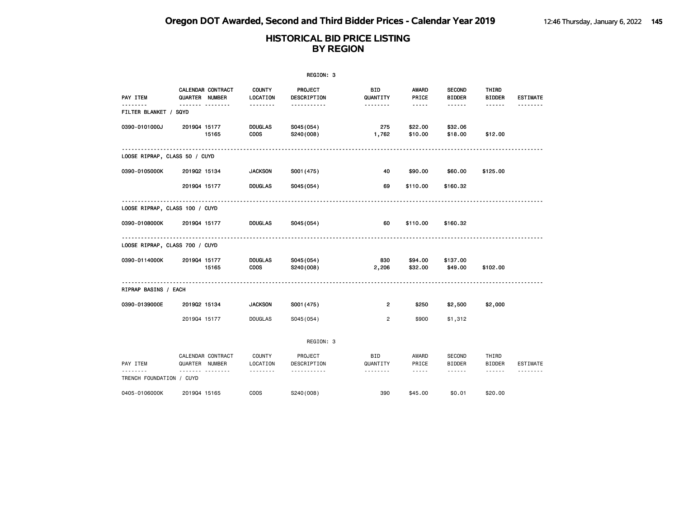|                                |                |                                     |                               | REGION: 3              |                         |                       |                                |                                                                                                                                                                                                                                                                                                                                                                                                                                                                            |                 |
|--------------------------------|----------------|-------------------------------------|-------------------------------|------------------------|-------------------------|-----------------------|--------------------------------|----------------------------------------------------------------------------------------------------------------------------------------------------------------------------------------------------------------------------------------------------------------------------------------------------------------------------------------------------------------------------------------------------------------------------------------------------------------------------|-----------------|
| PAY ITEM                       |                | CALENDAR CONTRACT<br>QUARTER NUMBER | <b>COUNTY</b><br>LOCATION     | PROJECT<br>DESCRIPTION | <b>BID</b><br>QUANTITY  | <b>AWARD</b><br>PRICE | <b>SECOND</b><br><b>BIDDER</b> | THIRD<br><b>BIDDER</b>                                                                                                                                                                                                                                                                                                                                                                                                                                                     | <b>ESTIMATE</b> |
| FILTER BLANKET / SQYD          |                | <u> </u>                            | .                             | -----------            | --------                | $- - - - -$           | ------                         | ------                                                                                                                                                                                                                                                                                                                                                                                                                                                                     |                 |
| 0390-0101000J                  | 201904 15177   | 15165                               | <b>DOUGLAS</b><br><b>COOS</b> | S045(054)<br>S240(008) | 275<br>1,762            | \$22.00<br>\$10.00    | \$32.06<br>\$18.00             | \$12.00                                                                                                                                                                                                                                                                                                                                                                                                                                                                    |                 |
| LOOSE RIPRAP, CLASS 50 / CUYD  |                |                                     |                               |                        |                         |                       |                                |                                                                                                                                                                                                                                                                                                                                                                                                                                                                            |                 |
| 0390-0105000K                  | 201902 15134   |                                     | <b>JACKSON</b>                | S001 (475)             | 40                      | \$90.00               | \$60.00                        | \$125.00                                                                                                                                                                                                                                                                                                                                                                                                                                                                   |                 |
|                                | 201904 15177   |                                     | <b>DOUGLAS</b>                | S045(054)              | 69                      | \$110.00              | \$160.32                       |                                                                                                                                                                                                                                                                                                                                                                                                                                                                            |                 |
| LOOSE RIPRAP, CLASS 100 / CUYD |                |                                     |                               |                        |                         |                       |                                |                                                                                                                                                                                                                                                                                                                                                                                                                                                                            |                 |
| 0390-0108000K                  | 201904 15177   |                                     | <b>DOUGLAS</b>                | S045(054)              | 60                      | \$110.00              | \$160.32                       |                                                                                                                                                                                                                                                                                                                                                                                                                                                                            |                 |
| LOOSE RIPRAP, CLASS 700 / CUYD |                |                                     |                               |                        |                         |                       |                                |                                                                                                                                                                                                                                                                                                                                                                                                                                                                            |                 |
| 0390-0114000K                  | 201904 15177   | 15165                               | <b>DOUGLAS</b><br><b>COOS</b> | S045(054)<br>S240(008) | 830<br>2,206            | \$94.00<br>\$32.00    | \$137.00<br>\$49.00            | \$102.00                                                                                                                                                                                                                                                                                                                                                                                                                                                                   |                 |
| RIPRAP BASINS / EACH           |                |                                     |                               |                        |                         |                       |                                |                                                                                                                                                                                                                                                                                                                                                                                                                                                                            |                 |
| 0390-0139000E                  | 201902 15134   |                                     | <b>JACKSON</b>                | S001 (475)             | $\overline{\mathbf{c}}$ | \$250                 | \$2,500                        | \$2,000                                                                                                                                                                                                                                                                                                                                                                                                                                                                    |                 |
|                                | 201904 15177   |                                     | <b>DOUGLAS</b>                | SO45(054)              | $\overline{2}$          | \$900                 | \$1,312                        |                                                                                                                                                                                                                                                                                                                                                                                                                                                                            |                 |
|                                |                |                                     |                               | REGION: 3              |                         |                       |                                |                                                                                                                                                                                                                                                                                                                                                                                                                                                                            |                 |
| PAY ITEM                       | QUARTER NUMBER | CALENDAR CONTRACT<br>.              | <b>COUNTY</b><br>LOCATION     | PROJECT<br>DESCRIPTION | <b>BID</b><br>QUANTITY  | AWARD<br>PRICE        | <b>SECOND</b><br><b>BIDDER</b> | THIRD<br><b>BIDDER</b>                                                                                                                                                                                                                                                                                                                                                                                                                                                     | ESTIMATE        |
| TRENCH FOUNDATION / CUYD       |                |                                     | <u>.</u>                      | <u>.</u>               | .                       | $\frac{1}{2}$         | .                              | $\frac{1}{2} \left( \frac{1}{2} \right) \left( \frac{1}{2} \right) \left( \frac{1}{2} \right) \left( \frac{1}{2} \right) \left( \frac{1}{2} \right) \left( \frac{1}{2} \right) \left( \frac{1}{2} \right) \left( \frac{1}{2} \right) \left( \frac{1}{2} \right) \left( \frac{1}{2} \right) \left( \frac{1}{2} \right) \left( \frac{1}{2} \right) \left( \frac{1}{2} \right) \left( \frac{1}{2} \right) \left( \frac{1}{2} \right) \left( \frac{1}{2} \right) \left( \frac$ |                 |
| 0405-0106000K                  | 201904 15165   |                                     | <b>COOS</b>                   | S240(008)              | 390                     | \$45.00               | \$0.01                         | \$20.00                                                                                                                                                                                                                                                                                                                                                                                                                                                                    |                 |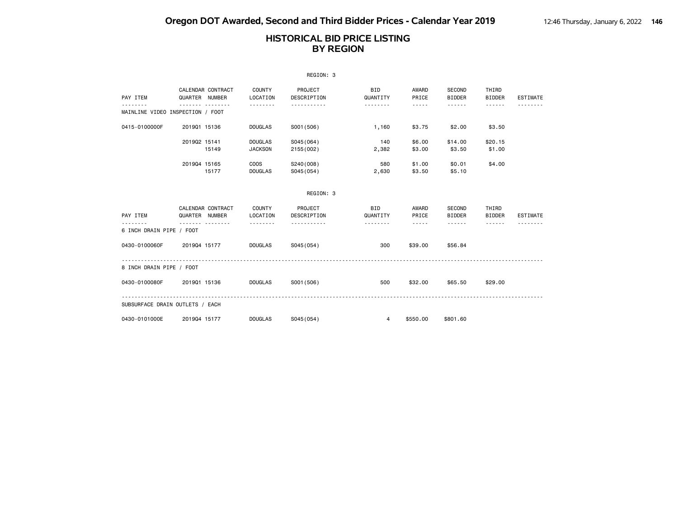|                                  |                                     |                                  | REGION: 3               |                        |                                                                                                                                                                                 |                         |                        |                 |
|----------------------------------|-------------------------------------|----------------------------------|-------------------------|------------------------|---------------------------------------------------------------------------------------------------------------------------------------------------------------------------------|-------------------------|------------------------|-----------------|
| PAY ITEM                         | CALENDAR CONTRACT<br>QUARTER NUMBER | COUNTY<br>LOCATION               | PROJECT<br>DESCRIPTION  | BID<br>QUANTITY        | AWARD<br>PRICE                                                                                                                                                                  | SECOND<br><b>BIDDER</b> | THIRD<br><b>BIDDER</b> | <b>ESTIMATE</b> |
| MAINLINE VIDEO INSPECTION / FOOT |                                     | --------                         | <u>.</u>                | <u>.</u>               | $- - - - -$                                                                                                                                                                     |                         | $- - - - - -$          |                 |
| 0415-0100000F                    | 201901 15136                        | <b>DOUGLAS</b>                   | S001 (506)              | 1,160                  | \$3.75                                                                                                                                                                          | \$2.00                  | \$3.50                 |                 |
|                                  | 201902 15141<br>15149               | <b>DOUGLAS</b><br><b>JACKSON</b> | S045(064)<br>2155 (002) | 140<br>2,382           | \$6.00<br>\$3.00                                                                                                                                                                | \$14.00<br>\$3.50       | \$20.15<br>\$1.00      |                 |
|                                  | 201904 15165<br>15177               | <b>COOS</b><br><b>DOUGLAS</b>    | S240(008)<br>S045(054)  | 580<br>2,630           | \$1.00<br>\$3.50                                                                                                                                                                | \$0.01<br>\$5.10        | \$4,00                 |                 |
|                                  |                                     |                                  | REGION: 3               |                        |                                                                                                                                                                                 |                         |                        |                 |
| PAY ITEM                         | CALENDAR CONTRACT<br>QUARTER NUMBER | COUNTY<br>LOCATION               | PROJECT<br>DESCRIPTION  | <b>BID</b><br>QUANTITY | AWARD<br>PRICE                                                                                                                                                                  | SECOND<br><b>BIDDER</b> | THIRD<br><b>BIDDER</b> | <b>ESTIMATE</b> |
| 6 INCH DRAIN PIPE / FOOT         |                                     | .                                |                         | .                      | $\frac{1}{2} \left( \frac{1}{2} \right) \left( \frac{1}{2} \right) \left( \frac{1}{2} \right) \left( \frac{1}{2} \right) \left( \frac{1}{2} \right) \left( \frac{1}{2} \right)$ | ------                  | ------                 |                 |
| 0430-0100060F                    | 201904 15177                        | <b>DOUGLAS</b>                   | S045(054)               | 300                    | \$39,00                                                                                                                                                                         | \$56.84                 |                        |                 |
| 8 INCH DRAIN PIPE / FOOT         |                                     |                                  |                         |                        |                                                                                                                                                                                 |                         |                        |                 |
| 0430-0100080F                    | 201901 15136                        | <b>DOUGLAS</b>                   | S001 (506)              | 500                    | \$32.00                                                                                                                                                                         | \$65.50                 | \$29.00                |                 |
| SUBSURFACE DRAIN OUTLETS / EACH  |                                     |                                  |                         |                        |                                                                                                                                                                                 |                         |                        |                 |
| 0430-0101000E                    | 201904 15177                        | <b>DOUGLAS</b>                   | S045(054)               | $\overline{4}$         | \$550,00                                                                                                                                                                        | \$801.60                |                        |                 |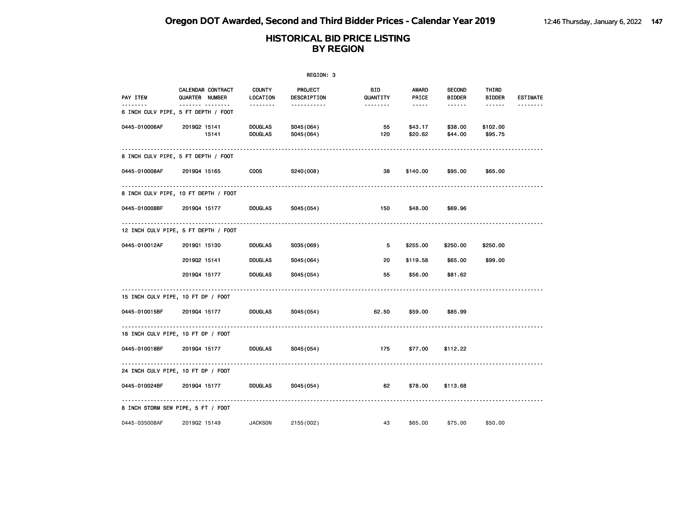|               |                                                         |                                  | REGION: 3              |                 |                    |                                |                        |                 |
|---------------|---------------------------------------------------------|----------------------------------|------------------------|-----------------|--------------------|--------------------------------|------------------------|-----------------|
| PAY ITEM      | CALENDAR CONTRACT<br>QUARTER NUMBER                     | <b>COUNTY</b><br>LOCATION        | PROJECT<br>DESCRIPTION | BID<br>QUANTITY | AWARD<br>PRICE     | <b>SECOND</b><br><b>BIDDER</b> | THIRD<br><b>BIDDER</b> | <b>ESTIMATE</b> |
| .             | ------- --------<br>6 INCH CULV PIPE, 5 FT DEPTH / FOOT | --------                         | -----------            | --------        | -----              | ------                         | ------                 |                 |
| 0445-010006AF | 201902 15141<br>15141                                   | <b>DOUGLAS</b><br><b>DOUGLAS</b> | S045(064)<br>S045(064) | 55<br>120       | \$43.17<br>\$20.62 | \$38.00<br>\$44.00             | \$102.00<br>\$95.75    |                 |
|               | 8 INCH CULV PIPE, 5 FT DEPTH / FOOT                     |                                  |                        |                 |                    |                                |                        |                 |
| 0445-010008AF | 201904 15165                                            | <b>COOS</b>                      | S240(008)              | 38              | \$140.00           | \$95.00                        | \$65.00                |                 |
|               | 8 INCH CULV PIPE, 10 FT DEPTH / FOOT                    |                                  |                        |                 |                    |                                |                        |                 |
| 0445-010008BF | 201904 15177                                            | <b>DOUGLAS</b>                   | S045(054)              | 150             | \$48.00            | \$69.96                        |                        |                 |
|               | 12 INCH CULV PIPE, 5 FT DEPTH / FOOT                    |                                  |                        |                 |                    |                                |                        |                 |
| 0445-010012AF | 201901 15130                                            | <b>DOUGLAS</b>                   | S035(069)              | 5               | \$255.00           | \$250.00                       | \$250.00               |                 |
|               | 201902 15141                                            | <b>DOUGLAS</b>                   | S045(064)              | 20              | \$119.58           | \$65.00                        | \$99.00                |                 |
|               | 201904 15177                                            | <b>DOUGLAS</b>                   | S045(054)              | 55              | \$56.00            | \$81.62                        |                        |                 |
|               | 15 INCH CULV PIPE, 10 FT DP / FOOT                      |                                  |                        |                 |                    |                                |                        |                 |
| 0445-010015BF | 201904 15177                                            | <b>DOUGLAS</b>                   | S045(054)              | 62.50           | \$59.00            | \$85.99                        |                        |                 |
|               | 18 INCH CULV PIPE, 10 FT DP / FOOT                      |                                  |                        |                 |                    |                                |                        |                 |
| 0445-010018BF | 201904 15177                                            | <b>DOUGLAS</b>                   | S045(054)              | 175             | \$77.00            | \$112.22                       |                        |                 |
|               | 24 INCH CULV PIPE, 10 FT DP / FOOT                      |                                  |                        |                 |                    |                                |                        |                 |
| 0445-010024BF | 201904 15177                                            | <b>DOUGLAS</b>                   | S045(054)              | 62              | \$78.00            | \$113.68                       |                        |                 |
|               | 8 INCH STORM SEW PIPE, 5 FT / FOOT                      |                                  |                        |                 |                    |                                |                        |                 |
| 0445-035008AF | 201902 15149                                            | <b>JACKSON</b>                   | 2155 (002)             | 43              | \$65.00            | \$75.00                        | \$50.00                |                 |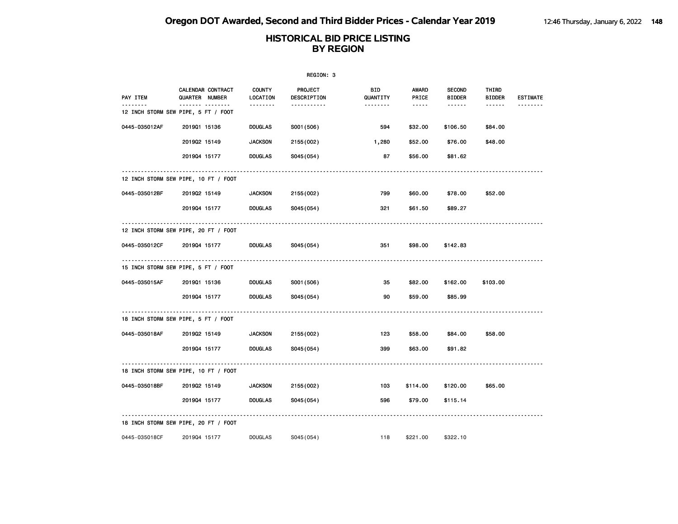|               |                                          |                    | REGION: 3                     |                 |                |                                |                 |                 |
|---------------|------------------------------------------|--------------------|-------------------------------|-----------------|----------------|--------------------------------|-----------------|-----------------|
| PAY ITEM      | CALENDAR CONTRACT<br>QUARTER NUMBER      | COUNTY<br>LOCATION | <b>PROJECT</b><br>DESCRIPTION | BID<br>QUANTITY | AWARD<br>PRICE | <b>SECOND</b><br><b>BIDDER</b> | THIRD<br>BIDDER | <b>ESTIMATE</b> |
|               | .<br>12 INCH STORM SEW PIPE, 5 FT / FOOT | .                  | -----------                   | --------        | -----          | ------                         | ------          |                 |
| 0445-035012AF | 201901 15136                             | <b>DOUGLAS</b>     | S001 (506)                    | 594             | \$32.00        | \$106.50                       | \$84.00         |                 |
|               | 201902 15149                             | <b>JACKSON</b>     | 2155 (002)                    | 1,280           | \$52.00        | \$76.00                        | \$48.00         |                 |
|               | 201904 15177                             | <b>DOUGLAS</b>     | S045(054)                     | 87              | \$56.00        | \$81.62                        |                 |                 |
|               | 12 INCH STORM SEW PIPE, 10 FT / FOOT     |                    |                               |                 |                |                                |                 |                 |
| 0445-035012BF | 201902 15149                             | <b>JACKSON</b>     | 2155 (002)                    | 799             | \$60.00        | \$78.00                        | \$52.00         |                 |
|               | 201904 15177                             | <b>DOUGLAS</b>     | S045(054)                     | 321             | \$61.50        | \$89.27                        |                 |                 |
|               | 12 INCH STORM SEW PIPE, 20 FT / FOOT     |                    |                               |                 |                |                                |                 |                 |
| 0445-035012CF | 201904 15177                             | <b>DOUGLAS</b>     | S045(054)                     | 351             | \$98.00        | \$142.83                       |                 |                 |
|               | 15 INCH STORM SEW PIPE, 5 FT / FOOT      |                    |                               |                 |                |                                |                 |                 |
| 0445-035015AF | 201901 15136                             | <b>DOUGLAS</b>     | S001 (506)                    | 35              | \$82.00        | \$162.00                       | \$103.00        |                 |
|               | 201904 15177                             | <b>DOUGLAS</b>     | S045(054)                     | 90              | \$59.00        | \$85.99                        |                 |                 |
|               | 18 INCH STORM SEW PIPE, 5 FT / FOOT      |                    |                               |                 |                |                                |                 |                 |
| 0445-035018AF | 201902 15149                             | <b>JACKSON</b>     | 2155 (002)                    | 123             | \$58.00        | \$84.00                        | \$58.00         |                 |
|               | 201904 15177                             | <b>DOUGLAS</b>     | S045(054)                     | 399             | \$63.00        | \$91.82                        |                 |                 |
|               | 18 INCH STORM SEW PIPE, 10 FT / FOOT     |                    |                               |                 |                |                                |                 |                 |
| 0445-035018BF | 201902 15149                             | <b>JACKSON</b>     | 2155 (002)                    | 103             | \$114.00       | \$120.00                       | \$65.00         |                 |
|               | 201904 15177                             | <b>DOUGLAS</b>     | S045(054)                     | 596             | \$79.00        | \$115.14                       |                 |                 |
|               | 18 INCH STORM SEW PIPE, 20 FT / FOOT     |                    |                               |                 |                |                                |                 |                 |
| 0445-035018CF | 201904 15177                             | <b>DOUGLAS</b>     | S045 (054)                    | 118             | \$221.00       | \$322.10                       |                 |                 |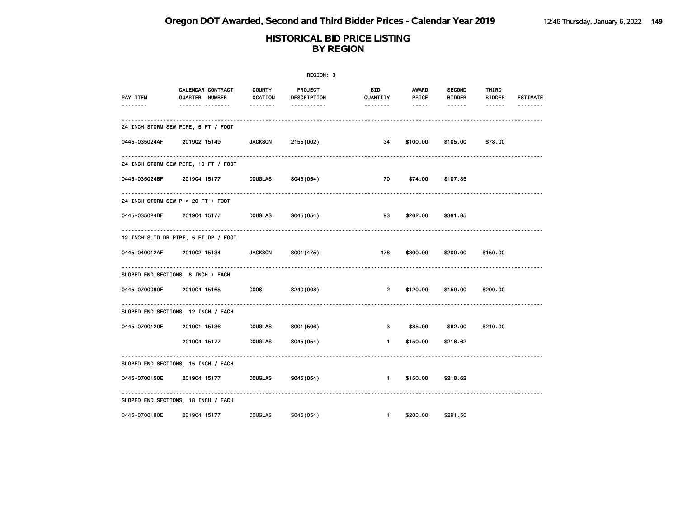|               |                                                                   |                | REGION: 3                             |                                                                                                                                       |                       |                            |                                                |                                              |
|---------------|-------------------------------------------------------------------|----------------|---------------------------------------|---------------------------------------------------------------------------------------------------------------------------------------|-----------------------|----------------------------|------------------------------------------------|----------------------------------------------|
| PAY ITEM<br>. | CALENDAR CONTRACT COUNTY<br>QUARTER NUMBER<br>------- --------    | LOCATION<br>.  | PROJECT<br>DESCRIPTION<br>----------- | BID and the set of the set of the set of the set of the set of the set of the set of the set of the set of the<br>QUANTITY<br><b></b> | AWARD<br><b>PRICE</b> | SECOND<br>BIDDER<br>------ | THIRD<br>BIDDER<br><b><i><u>AAAAAA</u></i></b> | <b>ESTIMATE</b><br><u>       - - - - - -</u> |
|               | 24 INCH STORM SEW PIPE, 5 FT / FOOT                               |                |                                       |                                                                                                                                       |                       |                            |                                                |                                              |
|               | 0445-035024AF 2019Q2 15149 JACKSON                                |                | 2155 (002)                            | 34                                                                                                                                    | \$100.00              | \$105.00                   | \$78.00                                        |                                              |
|               | 24 INCH STORM SEW PIPE, 10 FT / FOOT                              |                |                                       |                                                                                                                                       |                       |                            |                                                |                                              |
|               | 0445-035024BF 2019Q4 15177 DOUGLAS S045 (054)                     |                |                                       | 70 —                                                                                                                                  |                       | \$74.00 \$107.85           |                                                |                                              |
|               | 24 INCH STORM SEW P > 20 FT / FOOT                                |                |                                       |                                                                                                                                       |                       |                            |                                                |                                              |
|               | 0445-035024DF 2019Q4 15177 DOUGLAS S045(054)                      |                |                                       | 93                                                                                                                                    | \$262.00              | \$381.85                   |                                                |                                              |
|               | 12 INCH SLTD DR PIPE, 5 FT DP / FOOT                              |                |                                       |                                                                                                                                       |                       |                            |                                                |                                              |
|               | 0445-040012AF 2019Q2 15134 JACKSON S001 (475)                     |                |                                       | 478                                                                                                                                   |                       | \$300.00 \$200.00          | \$150.00                                       |                                              |
|               | SLOPED END SECTIONS, 8 INCH / EACH                                |                |                                       |                                                                                                                                       |                       |                            |                                                |                                              |
|               | 0445-0700080E 2019Q4 15165 COOS S240(008)                         |                |                                       | $2^{\circ}$                                                                                                                           |                       | \$120.00 \$150.00 \$200.00 |                                                |                                              |
|               | SLOPED END SECTIONS, 12 INCH / EACH                               |                |                                       |                                                                                                                                       |                       |                            |                                                |                                              |
|               | 0445-0700120E  2019Q1 15136  DOUGLAS                              |                | S001 (506)                            | 3                                                                                                                                     |                       | \$85.00 \$82.00 \$210.00   |                                                |                                              |
|               | 201904 15177 DOUGLAS                                              |                | S045(054)                             | $1 \sim$                                                                                                                              | \$150.00 \$218.62     |                            |                                                |                                              |
|               | SLOPED END SECTIONS, 15 INCH / EACH                               |                |                                       |                                                                                                                                       |                       |                            |                                                |                                              |
|               | 0445-0700150E   2019Q4 15177     DOUGLAS   S045(054)            1 |                |                                       |                                                                                                                                       | \$150.00              | \$218.62                   |                                                |                                              |
|               | SLOPED END SECTIONS, 18 INCH / EACH                               |                |                                       |                                                                                                                                       |                       |                            |                                                |                                              |
| 0445-0700180E | 201904 15177                                                      | <b>DOUGLAS</b> | S045(054)                             | $\sim$ 1                                                                                                                              | \$200.00              | \$291.50                   |                                                |                                              |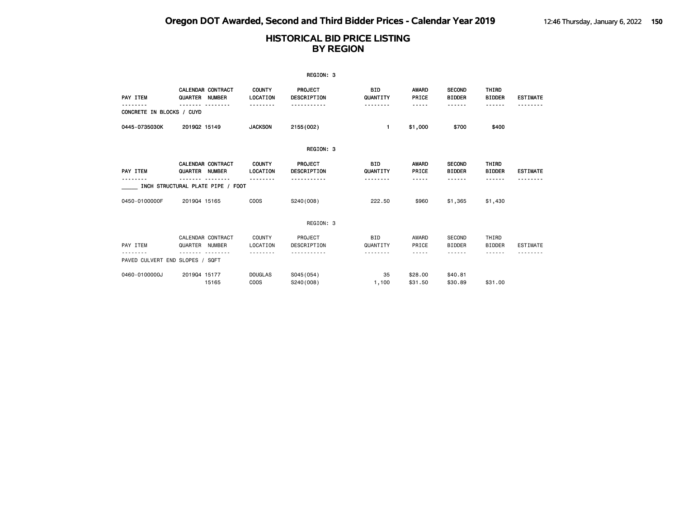|                                 |                |                                    |                               | REGION: 3                     |                        |                       |                                |                        |                 |
|---------------------------------|----------------|------------------------------------|-------------------------------|-------------------------------|------------------------|-----------------------|--------------------------------|------------------------|-----------------|
| PAY ITEM                        | QUARTER        | CALENDAR CONTRACT<br><b>NUMBER</b> | <b>COUNTY</b><br>LOCATION     | PROJECT<br><b>DESCRIPTION</b> | BID<br>QUANTITY        | AWARD<br>PRICE        | <b>SECOND</b><br><b>BIDDER</b> | THIRD<br><b>BIDDER</b> | <b>ESTIMATE</b> |
| CONCRETE IN BLOCKS / CUYD       |                |                                    |                               |                               | -------                | -----                 | <b>.</b>                       | ------                 |                 |
| 0445-0735030K                   | 201902 15149   |                                    | <b>JACKSON</b>                | 2155 (002)                    | 1.                     | \$1,000               | \$700                          | \$400                  |                 |
|                                 |                |                                    |                               | REGION: 3                     |                        |                       |                                |                        |                 |
| PAY ITEM                        | QUARTER NUMBER | <b>CALENDAR CONTRACT</b>           | <b>COUNTY</b><br>LOCATION     | <b>PROJECT</b><br>DESCRIPTION | <b>BID</b><br>QUANTITY | <b>AWARD</b><br>PRICE | <b>SECOND</b><br><b>BIDDER</b> | THIRD<br><b>BIDDER</b> | <b>ESTIMATE</b> |
|                                 |                | INCH STRUCTURAL PLATE PIPE / FOOT  |                               |                               | -------                | -----                 | - - - - - -                    | ------                 |                 |
| 0450-0100000F                   | 201904 15165   |                                    | COO <sub>S</sub>              | S240(008)                     | 222.50                 | \$960                 | \$1,365                        | \$1,430                |                 |
|                                 |                |                                    |                               | REGION: 3                     |                        |                       |                                |                        |                 |
| PAY ITEM                        | QUARTER NUMBER | CALENDAR CONTRACT                  | <b>COUNTY</b><br>LOCATION     | PROJECT<br>DESCRIPTION        | <b>BID</b><br>QUANTITY | AWARD<br>PRICE        | <b>SECOND</b><br><b>BIDDER</b> | THIRD<br><b>BIDDER</b> | <b>ESTIMATE</b> |
| PAVED CULVERT END SLOPES / SQFT |                |                                    |                               |                               |                        | -----                 | .                              | .                      |                 |
| 0460-0100000J                   | 201904 15177   | 15165                              | <b>DOUGLAS</b><br><b>COOS</b> | S045 (054)<br>S240(008)       | 35<br>1,100            | \$28,00<br>\$31.50    | \$40.81<br>\$30.89             | \$31,00                |                 |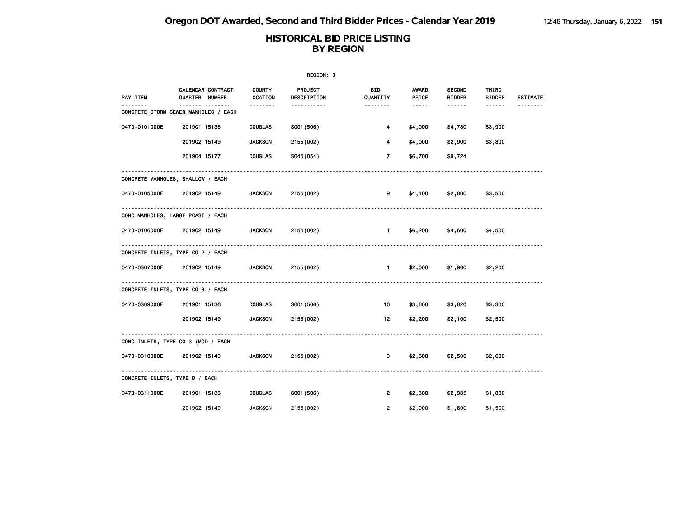|                                |                                                  |                       | REGION: 3              |                        |                 |                                |                        |                 |
|--------------------------------|--------------------------------------------------|-----------------------|------------------------|------------------------|-----------------|--------------------------------|------------------------|-----------------|
| PAY ITEM<br><u>.</u>           | CALENDAR CONTRACT<br>QUARTER NUMBER              | COUNTY<br>LOCATION    | PROJECT<br>DESCRIPTION | <b>BID</b><br>QUANTITY | AWARD<br>PRICE  | <b>SECOND</b><br><b>BIDDER</b> | THIRD<br><b>BIDDER</b> | <b>ESTIMATE</b> |
|                                | <u> </u><br>CONCRETE STORM SEWER MANHOLES / EACH | <u> - - - - - - -</u> | -----------            | <u>.</u>               | $\cdots \cdots$ | .                              | $- - - - - -$          | <u>.</u>        |
| 0470-0101000E                  | 201901 15136                                     | <b>DOUGLAS</b>        | S001 (506)             | 4                      | \$4,000         | \$4,780                        | \$3,900                |                 |
|                                | 201902 15149                                     | <b>JACKSON</b>        | 2155 (002)             | 4                      | \$4,000         | \$2,900                        | \$3,800                |                 |
|                                | 201904 15177                                     | <b>DOUGLAS</b>        | S045(054)              | $7^{\circ}$            | \$6,700         | \$9,724                        |                        |                 |
|                                | CONCRETE MANHOLES, SHALLOW / EACH                |                       |                        |                        |                 |                                |                        |                 |
| 0470-0105000E 2019Q2 15149     |                                                  | <b>JACKSON</b>        | 2155 (002)             | 9                      |                 | \$4,100 \$2,800                | \$3,500                |                 |
|                                | CONC MANHOLES, LARGE PCAST / EACH                |                       |                        |                        |                 |                                |                        |                 |
|                                | 0470-0106000E 2019Q2 15149                       | <b>JACKSON</b>        | 2155 (002)             |                        |                 | 1 \$6,200 \$4,600              | \$4,500                |                 |
|                                | CONCRETE INLETS, TYPE CG-2 / EACH                |                       |                        |                        |                 |                                |                        |                 |
|                                | 0470-0307000E 2019Q2 15149 JACKSON               |                       | 2155 (002)             |                        |                 | $1$ \$2,000 \$1,900            | \$2,200                |                 |
|                                | CONCRETE INLETS, TYPE CG-3 / EACH                |                       |                        |                        |                 |                                |                        |                 |
| 0470-0309000E                  | 201901 15136                                     | <b>DOUGLAS</b>        | S001 (506)             | 10                     |                 | \$3,600 \$3,020                | \$3,300                |                 |
|                                | 201902 15149                                     | <b>JACKSON</b>        | 2155 (002)             | 12 <sub>1</sub>        | \$2,200         | \$2,100                        | \$2,500                |                 |
|                                | CONC INLETS, TYPE CG-3 (MOD / EACH               |                       |                        |                        |                 |                                |                        |                 |
| 0470-0310000E                  | 201902 15149                                     | <b>JACKSON</b>        | 2155 (002)             | 3                      | \$2,600         | \$2,500                        | \$2,600                |                 |
| CONCRETE INLETS, TYPE D / EACH |                                                  |                       |                        |                        |                 |                                |                        |                 |
| 0470-0311000E                  | 201901 15136                                     | <b>DOUGLAS</b>        | S001 (506)             | $2^{\circ}$            | \$2,300         | \$2,935                        | \$1,800                |                 |
|                                | 201902 15149                                     | <b>JACKSON</b>        | 2155 (002)             | $\overline{2}$         | \$2,000         | \$1,800                        | \$1,500                |                 |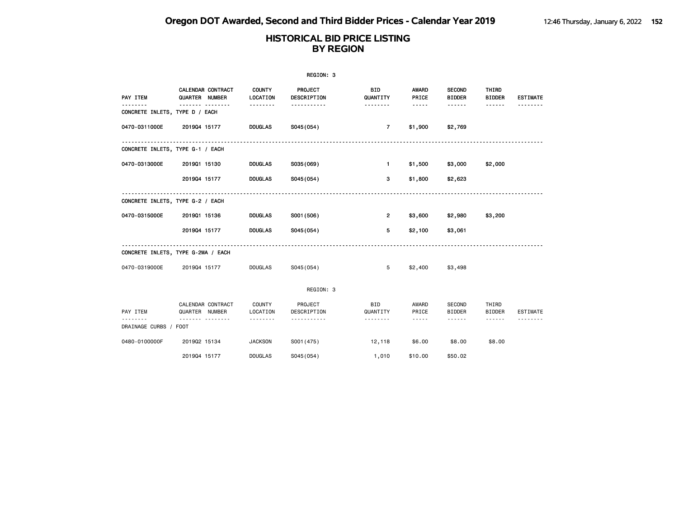|                                     |                                     |                           | REGION: 3              |                        |                                                                                                                                                                                 |                                |                        |                 |
|-------------------------------------|-------------------------------------|---------------------------|------------------------|------------------------|---------------------------------------------------------------------------------------------------------------------------------------------------------------------------------|--------------------------------|------------------------|-----------------|
| PAY ITEM                            | CALENDAR CONTRACT<br>QUARTER NUMBER | <b>COUNTY</b><br>LOCATION | PROJECT<br>DESCRIPTION | <b>BID</b><br>QUANTITY | <b>AWARD</b><br>PRICE                                                                                                                                                           | <b>SECOND</b><br><b>BIDDER</b> | THIRD<br><b>BIDDER</b> | <b>ESTIMATE</b> |
| .<br>CONCRETE INLETS, TYPE D / EACH | .                                   | .                         | -----------            | <u>.</u>               | -----                                                                                                                                                                           | ------                         |                        |                 |
| 0470-0311000E                       | 201904 15177                        | <b>DOUGLAS</b>            | S045(054)              | $\overline{7}$         | \$1,900                                                                                                                                                                         | \$2,769                        |                        |                 |
| CONCRETE INLETS, TYPE G-1 / EACH    |                                     |                           |                        |                        |                                                                                                                                                                                 |                                |                        |                 |
| 0470-0313000E                       | 201901 15130                        | <b>DOUGLAS</b>            | S035(069)              | $\mathbf{1}$           | \$1,500                                                                                                                                                                         | \$3,000                        | \$2,000                |                 |
|                                     | 201904 15177                        | <b>DOUGLAS</b>            | S045(054)              | 3                      | \$1,800                                                                                                                                                                         | \$2,623                        |                        |                 |
| CONCRETE INLETS, TYPE G-2 / EACH    |                                     |                           |                        |                        |                                                                                                                                                                                 |                                |                        |                 |
| 0470-0315000E                       | 201901 15136                        | <b>DOUGLAS</b>            | S001 (506)             | $\overline{2}$         | \$3,600                                                                                                                                                                         | \$2,980                        | \$3,200                |                 |
|                                     | 201904 15177                        | <b>DOUGLAS</b>            | S045(054)              | 5                      | \$2,100                                                                                                                                                                         | \$3,061                        |                        |                 |
|                                     | CONCRETE INLETS, TYPE G-2MA / EACH  |                           |                        |                        |                                                                                                                                                                                 |                                |                        |                 |
| 0470-0319000E                       | 201904 15177                        | <b>DOUGLAS</b>            | S045(054)              | 5                      | \$2,400                                                                                                                                                                         | \$3,498                        |                        |                 |
|                                     |                                     |                           | REGION: 3              |                        |                                                                                                                                                                                 |                                |                        |                 |
| PAY ITEM                            | CALENDAR CONTRACT<br>QUARTER NUMBER | <b>COUNTY</b><br>LOCATION | PROJECT<br>DESCRIPTION | <b>BID</b><br>QUANTITY | AWARD<br>PRICE                                                                                                                                                                  | <b>SECOND</b><br><b>BIDDER</b> | THIRD<br><b>BIDDER</b> | ESTIMATE        |
| DRAINAGE CURBS / FOOT               | .                                   |                           |                        | .                      | $\frac{1}{2} \left( \frac{1}{2} \right) \left( \frac{1}{2} \right) \left( \frac{1}{2} \right) \left( \frac{1}{2} \right) \left( \frac{1}{2} \right) \left( \frac{1}{2} \right)$ | ------                         | ------                 |                 |
| 0480-0100000F                       | 201902 15134                        | <b>JACKSON</b>            | S001 (475)             | 12,118                 | \$6.00                                                                                                                                                                          | \$8.00                         | \$8.00                 |                 |
|                                     | 201904 15177                        | <b>DOUGLAS</b>            | S045 (054)             | 1,010                  | \$10.00                                                                                                                                                                         | \$50.02                        |                        |                 |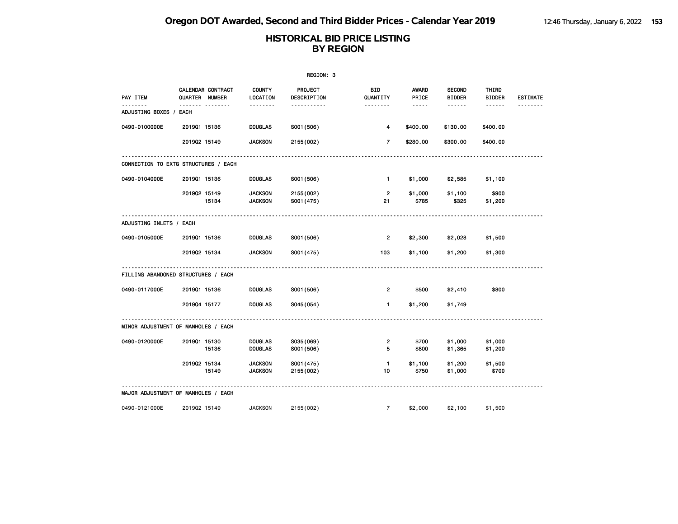|                                      |                |                               |                                       | REGION: 3                          |                             |                                        |                                          |                                  |                      |
|--------------------------------------|----------------|-------------------------------|---------------------------------------|------------------------------------|-----------------------------|----------------------------------------|------------------------------------------|----------------------------------|----------------------|
| PAY ITEM                             | QUARTER NUMBER | CALENDAR CONTRACT<br><b>.</b> | <b>COUNTY</b><br>LOCATION<br><u>.</u> | <b>PROJECT</b><br>DESCRIPTION<br>. | BID<br>QUANTITY<br><u>.</u> | <b>AWARD</b><br>PRICE<br>$\frac{1}{2}$ | <b>SECOND</b><br><b>BIDDER</b><br>------ | THIRD<br><b>BIDDER</b><br>------ | <b>ESTIMATE</b><br>. |
| ADJUSTING BOXES / EACH               |                |                               |                                       |                                    |                             |                                        |                                          |                                  |                      |
| 0490-0100000E                        | 201901 15136   |                               | <b>DOUGLAS</b>                        | S001 (506)                         | 4                           | \$400.00                               | \$130.00                                 | \$400.00                         |                      |
|                                      | 201902 15149   |                               | <b>JACKSON</b>                        | 2155 (002)                         | $\overline{7}$              | \$280.00                               | \$300.00                                 | \$400.00                         |                      |
| CONNECTION TO EXTG STRUCTURES / EACH |                |                               |                                       |                                    |                             |                                        |                                          |                                  |                      |
| 0490-0104000E                        | 201901 15136   |                               | <b>DOUGLAS</b>                        | S001 (506)                         | $\mathbf{1}$                | \$1,000                                | \$2,585                                  | \$1,100                          |                      |
|                                      | 201902 15149   | 15134                         | <b>JACKSON</b><br><b>JACKSON</b>      | 2155 (002)<br>S001 (475)           | $\overline{2}$<br>21        | \$1,000<br>\$785                       | \$1,100<br>\$325                         | \$900<br>\$1,200                 |                      |
| ADJUSTING INLETS / EACH              |                |                               |                                       |                                    |                             |                                        |                                          |                                  |                      |
| 0490-0105000E                        | 201901 15136   |                               | <b>DOUGLAS</b>                        | S001 (506)                         | 2                           | \$2,300                                | \$2,028                                  | \$1,500                          |                      |
|                                      | 201902 15134   |                               | <b>JACKSON</b>                        | S001 (475)                         | 103                         | \$1,100                                | \$1,200                                  | \$1,300                          |                      |
| FILLING ABANDONED STRUCTURES / EACH  |                |                               |                                       |                                    |                             |                                        |                                          |                                  |                      |
| 0490-0117000E                        | 201901 15136   |                               | <b>DOUGLAS</b>                        | S001 (506)                         | 2                           | \$500                                  | \$2,410                                  | \$800                            |                      |
|                                      | 201904 15177   |                               | <b>DOUGLAS</b>                        | S045 (054)                         | $\mathbf{1}$                | \$1,200                                | \$1,749                                  |                                  |                      |
| MINOR ADJUSTMENT OF MANHOLES / EACH  |                |                               |                                       |                                    |                             |                                        |                                          |                                  |                      |
| 0490-0120000E                        | 201901 15130   | 15136                         | <b>DOUGLAS</b><br><b>DOUGLAS</b>      | S035(069)<br>S001 (506)            | 2<br>5                      | \$700<br>\$800                         | \$1,000<br>\$1,365                       | \$1,000<br>\$1,200               |                      |
|                                      | 201902 15134   | 15149                         | <b>JACKSON</b><br><b>JACKSON</b>      | S001 (475)<br>2155 (002)           | $\mathbf{1}$<br>10          | \$1,100<br>\$750                       | \$1,200<br>\$1,000                       | \$1,500<br>\$700                 |                      |
|                                      |                |                               |                                       |                                    |                             |                                        |                                          |                                  |                      |
| MAJOR ADJUSTMENT OF MANHOLES / EACH  |                |                               |                                       |                                    |                             |                                        |                                          |                                  |                      |
| 0490-0121000E                        | 201902 15149   |                               | <b>JACKSON</b>                        | 2155 (002)                         | $\overline{7}$              | \$2,000                                | \$2,100                                  | \$1,500                          |                      |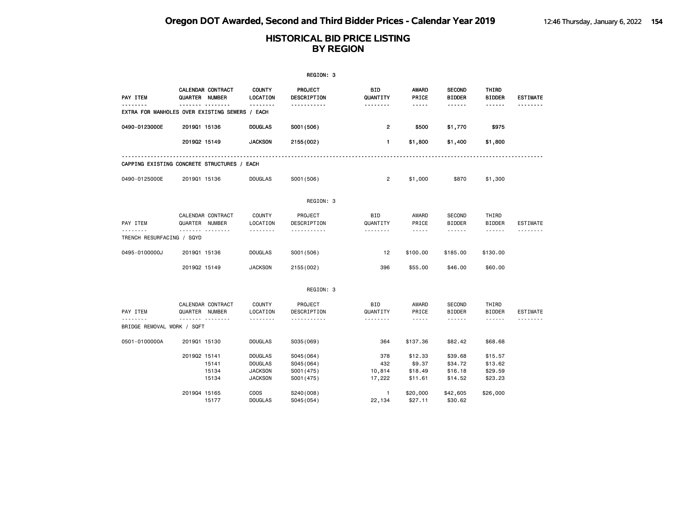|                                                |              |                                                       |                                                                      | REGION: 3                                            |                                |                                                                                                                                                      |                                          |                                          |                 |
|------------------------------------------------|--------------|-------------------------------------------------------|----------------------------------------------------------------------|------------------------------------------------------|--------------------------------|------------------------------------------------------------------------------------------------------------------------------------------------------|------------------------------------------|------------------------------------------|-----------------|
| PAY ITEM                                       |              | CALENDAR CONTRACT<br>QUARTER NUMBER<br>. <sub>.</sub> | <b>COUNTY</b><br>LOCATION<br>.                                       | <b>PROJECT</b><br>DESCRIPTION                        | BID<br>QUANTITY                | <b>AWARD</b><br>PRICE                                                                                                                                | <b>SECOND</b><br><b>BIDDER</b>           | THIRD<br><b>BIDDER</b>                   | <b>ESTIMATE</b> |
| EXTRA FOR MANHOLES OVER EXISTING SEWERS / EACH |              |                                                       |                                                                      | .                                                    | <u>.</u>                       | .                                                                                                                                                    | ------                                   | ------                                   |                 |
| 0490-0123000E                                  | 201901 15136 |                                                       | <b>DOUGLAS</b>                                                       | S001 (506)                                           | $\overline{\mathbf{c}}$        | \$500                                                                                                                                                | \$1,770                                  | \$975                                    |                 |
|                                                | 201902 15149 |                                                       | <b>JACKSON</b>                                                       | 2155 (002)                                           | 1                              | \$1,800                                                                                                                                              | \$1,400                                  | \$1,800                                  |                 |
| CAPPING EXISTING CONCRETE STRUCTURES / EACH    |              |                                                       |                                                                      |                                                      |                                |                                                                                                                                                      |                                          |                                          |                 |
| 0490-0125000E                                  | 201901 15136 |                                                       | <b>DOUGLAS</b>                                                       | S001 (506)                                           | $\overline{2}$                 | \$1,000                                                                                                                                              | \$870                                    | \$1,300                                  |                 |
|                                                |              |                                                       |                                                                      | REGION: 3                                            |                                |                                                                                                                                                      |                                          |                                          |                 |
| PAY ITEM                                       |              | CALENDAR CONTRACT<br>QUARTER NUMBER                   | <b>COUNTY</b><br>LOCATION                                            | PROJECT<br>DESCRIPTION                               | <b>BID</b><br>QUANTITY         | AWARD<br>PRICE                                                                                                                                       | SECOND<br><b>BIDDER</b>                  | THIRD<br><b>BIDDER</b>                   | <b>ESTIMATE</b> |
| TRENCH RESURFACING / SQYD                      |              |                                                       | .                                                                    | .                                                    | .                              | .                                                                                                                                                    | ------                                   | ------                                   |                 |
| 0495-0100000J                                  | 201901 15136 |                                                       | <b>DOUGLAS</b>                                                       | S001 (506)                                           | 12                             | \$100.00                                                                                                                                             | \$185.00                                 | \$130.00                                 |                 |
|                                                | 201902 15149 |                                                       | <b>JACKSON</b>                                                       | 2155 (002)                                           | 396                            | \$55.00                                                                                                                                              | \$46.00                                  | \$60.00                                  |                 |
|                                                |              |                                                       |                                                                      | REGION: 3                                            |                                |                                                                                                                                                      |                                          |                                          |                 |
| PAY ITEM                                       |              | CALENDAR CONTRACT<br>QUARTER NUMBER                   | <b>COUNTY</b><br>LOCATION                                            | PROJECT<br>DESCRIPTION                               | <b>BID</b><br>QUANTITY         | AWARD<br>PRICE                                                                                                                                       | SECOND<br><b>BIDDER</b>                  | THIRD<br><b>BIDDER</b>                   | <b>ESTIMATE</b> |
| BRIDGE REMOVAL WORK / SQFT                     |              | <b>.</b>                                              | <u>.</u>                                                             | .                                                    | <u>.</u>                       | $\frac{1}{2} \left( \frac{1}{2} \right) \left( \frac{1}{2} \right) \left( \frac{1}{2} \right) \left( \frac{1}{2} \right) \left( \frac{1}{2} \right)$ | ------                                   | ------                                   | <u>.</u>        |
| 0501-0100000A                                  | 201901 15130 |                                                       | <b>DOUGLAS</b>                                                       | S035 (069)                                           | 364                            | \$137.36                                                                                                                                             | \$82.42                                  | \$68.68                                  |                 |
|                                                | 201902 15141 | 15141<br>15134<br>15134                               | <b>DOUGLAS</b><br><b>DOUGLAS</b><br><b>JACKSON</b><br><b>JACKSON</b> | S045 (064)<br>S045 (064)<br>S001 (475)<br>S001 (475) | 378<br>432<br>10,814<br>17,222 | \$12.33<br>\$9.37<br>\$18.49<br>\$11.61                                                                                                              | \$39.68<br>\$34.72<br>\$16.18<br>\$14.52 | \$15.57<br>\$13.62<br>\$29.59<br>\$23.23 |                 |
|                                                | 201904 15165 | 15177                                                 | <b>COOS</b><br><b>DOUGLAS</b>                                        | S240(008)<br>S045 (054)                              | $\mathbf{1}$<br>22,134         | \$20,000<br>\$27.11                                                                                                                                  | \$42,605<br>\$30.62                      | \$26,000                                 |                 |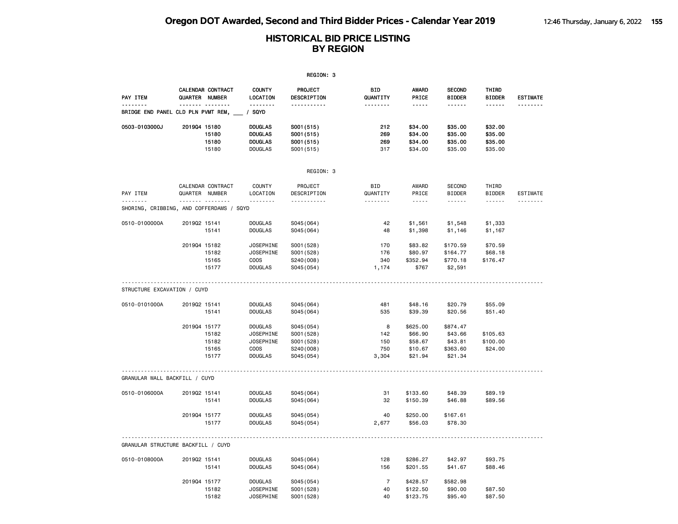|                                                      |                |                                  |                                                                                  | REGION: 3                                                         |                                 |                                                      |                                                       |                                          |                 |
|------------------------------------------------------|----------------|----------------------------------|----------------------------------------------------------------------------------|-------------------------------------------------------------------|---------------------------------|------------------------------------------------------|-------------------------------------------------------|------------------------------------------|-----------------|
| PAY ITEM                                             | QUARTER NUMBER | <b>CALENDAR CONTRACT</b>         | <b>COUNTY</b><br>LOCATION                                                        | PROJECT<br>DESCRIPTION                                            | BID<br>QUANTITY                 | AWARD<br>PRICE                                       | <b>SECOND</b><br><b>BIDDER</b>                        | THIRD<br><b>BIDDER</b>                   | <b>ESTIMATE</b> |
| BRIDGE END PANEL CLD PLN PVMT REM,                   |                |                                  | <u>.</u><br>/ SQYD                                                               | <u>.</u>                                                          | <u>.</u>                        | -----                                                | .                                                     | ------                                   |                 |
| 0503-0103000J                                        | 201904 15180   | 15180<br>15180<br>15180          | <b>DOUGLAS</b><br><b>DOUGLAS</b><br><b>DOUGLAS</b><br><b>DOUGLAS</b>             | S001 (515)<br>S001 (515)<br>S001 (515)<br>S001 (515)              | 212<br>269<br>269<br>317        | \$34.00<br>\$34.00<br>\$34.00<br>\$34.00             | \$35.00<br>\$35.00<br>\$35.00<br>\$35.00              | \$32.00<br>\$35.00<br>\$35.00<br>\$35.00 |                 |
|                                                      |                |                                  |                                                                                  | REGION: 3                                                         |                                 |                                                      |                                                       |                                          |                 |
| PAY ITEM                                             | QUARTER NUMBER | CALENDAR CONTRACT                | <b>COUNTY</b><br>LOCATION                                                        | PROJECT<br>DESCRIPTION                                            | <b>BID</b><br>QUANTITY          | AWARD<br>PRICE                                       | <b>SECOND</b><br><b>BIDDER</b>                        | THIRD<br><b>BIDDER</b>                   | <b>ESTIMATE</b> |
| <u>.</u><br>SHORING, CRIBBING, AND COFFERDAMS / SQYD |                | .                                | .                                                                                | .                                                                 | .                               | $- - - -$                                            | .                                                     | $- - - - - -$                            | <u>.</u>        |
| 0510-0100000A                                        | 201902 15141   | 15141                            | <b>DOUGLAS</b><br><b>DOUGLAS</b>                                                 | S045 (064)<br>S045 (064)                                          | 42<br>48                        | \$1,561<br>\$1,398                                   | \$1,548<br>\$1,146                                    | \$1,333<br>\$1,167                       |                 |
|                                                      | 201904 15182   | 15182<br>15165<br>15177          | JOSEPHINE<br><b>JOSEPHINE</b><br><b>COOS</b><br><b>DOUGLAS</b>                   | S001 (528)<br>S001 (528)<br>S240(008)<br>S045 (054)               | 170<br>176<br>340<br>1,174      | \$83.82<br>\$80.97<br>\$352.94<br>\$767              | \$170.59<br>\$164.77<br>\$770.18<br>\$2,591           | \$70.59<br>\$68.18<br>\$176.47           |                 |
| STRUCTURE EXCAVATION / CUYD                          |                |                                  |                                                                                  |                                                                   |                                 |                                                      |                                                       |                                          |                 |
| 0510-0101000A                                        | 201902 15141   | 15141                            | <b>DOUGLAS</b><br><b>DOUGLAS</b>                                                 | S045 (064)<br>S045 (064)                                          | 481<br>535                      | \$48.16<br>\$39.39                                   | \$20.79<br>\$20.56                                    | \$55.09<br>\$51.40                       |                 |
|                                                      | 201904 15177   | 15182<br>15182<br>15165<br>15177 | <b>DOUGLAS</b><br><b>JOSEPHINE</b><br>JOSEPHINE<br><b>COOS</b><br><b>DOUGLAS</b> | S045 (054)<br>S001 (528)<br>S001 (528)<br>S240(008)<br>S045 (054) | 8<br>142<br>150<br>750<br>3,304 | \$625.00<br>\$66.90<br>\$58.67<br>\$10.67<br>\$21.94 | \$874.47<br>\$43.66<br>\$43.81<br>\$363.60<br>\$21.34 | \$105.63<br>\$100.00<br>\$24.00          |                 |
| GRANULAR WALL BACKFILL / CUYD                        |                |                                  |                                                                                  |                                                                   |                                 |                                                      |                                                       |                                          |                 |
| 0510-0106000A                                        | 201902 15141   | 15141                            | <b>DOUGLAS</b><br><b>DOUGLAS</b>                                                 | S045 (064)<br>S045 (064)                                          | 31<br>32                        | \$133.60<br>\$150.39                                 | \$48.39<br>\$46.88                                    | \$89.19<br>\$89.56                       |                 |
|                                                      | 201904 15177   | 15177                            | <b>DOUGLAS</b><br><b>DOUGLAS</b>                                                 | S045 (054)<br>S045 (054)                                          | 40<br>2,677                     | \$250.00<br>\$56.03                                  | \$167.61<br>\$78.30                                   |                                          |                 |
| GRANULAR STRUCTURE BACKFILL / CUYD                   |                |                                  |                                                                                  |                                                                   |                                 |                                                      |                                                       |                                          |                 |
| 0510-0108000A                                        | 201902 15141   | 15141                            | <b>DOUGLAS</b><br><b>DOUGLAS</b>                                                 | S045 (064)<br>S045(064)                                           | 128<br>156                      | \$286.27<br>\$201.55                                 | \$42.97<br>\$41.67                                    | \$93.75<br>\$88.46                       |                 |
|                                                      | 201904 15177   | 15182<br>15182                   | <b>DOUGLAS</b><br><b>JOSEPHINE</b><br><b>JOSEPHINE</b>                           | S045 (054)<br>S001 (528)<br>S001 (528)                            | $\overline{7}$<br>40<br>40      | \$428.57<br>\$122.50<br>\$123.75                     | \$582.98<br>\$90.00<br>\$95.40                        | \$87.50<br>\$87.50                       |                 |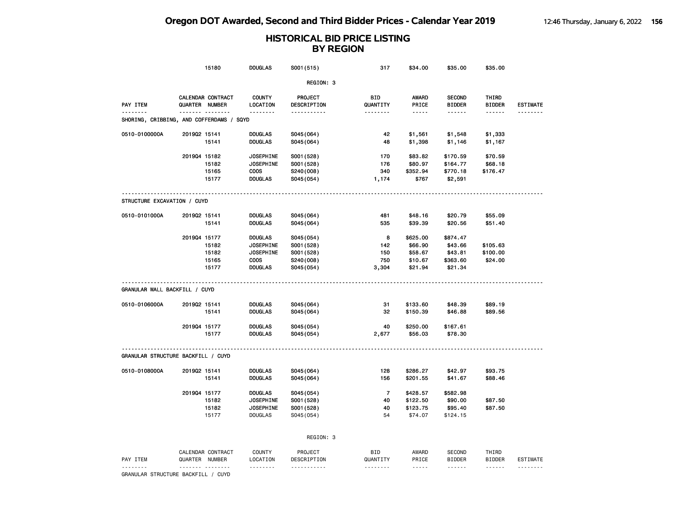|                                          |              | 15180                            | <b>DOUGLAS</b>       | S001 (515)              | 317                  | \$34.00        | \$35.00                 | \$35.00                 |                             |
|------------------------------------------|--------------|----------------------------------|----------------------|-------------------------|----------------------|----------------|-------------------------|-------------------------|-----------------------------|
|                                          |              |                                  |                      | REGION: 3               |                      |                |                         |                         |                             |
|                                          |              | <b>CALENDAR CONTRACT</b>         | <b>COUNTY</b>        | PROJECT                 | BID                  | AWARD          | <b>SECOND</b>           | THIRD                   |                             |
| PAY ITEM<br><u>.</u>                     |              | QUARTER NUMBER<br>. <sub>.</sub> | LOCATION<br><u>.</u> | DESCRIPTION<br>.        | QUANTITY<br><u>.</u> | PRICE<br>----- | <b>BIDDER</b><br>------ | <b>BIDDER</b><br>------ | <b>ESTIMATE</b><br>-------- |
| SHORING, CRIBBING, AND COFFERDAMS / SQYD |              |                                  |                      |                         |                      |                |                         |                         |                             |
| 0510-0100000A                            | 201902 15141 |                                  | <b>DOUGLAS</b>       | S045(064)               | 42                   | \$1,561        | \$1,548                 | \$1,333                 |                             |
|                                          |              | 15141                            | <b>DOUGLAS</b>       | S045 (064)              | 48                   | \$1,398        | \$1,146                 | \$1,167                 |                             |
|                                          | 201904 15182 |                                  | <b>JOSEPHINE</b>     | S001 (528)              | 170                  | \$83.82        | \$170.59                | \$70.59                 |                             |
|                                          |              | 15182                            | <b>JOSEPHINE</b>     | S001 (528)              | 176                  | \$80.97        | \$164.77                | \$68.18                 |                             |
|                                          |              | 15165                            | <b>COOS</b>          | S240(008)               | 340                  | \$352.94       | \$770.18                | \$176.47                |                             |
|                                          |              | 15177                            | <b>DOUGLAS</b>       | S045(054)               | 1,174                | \$767          | \$2,591                 |                         |                             |
| STRUCTURE EXCAVATION / CUYD              |              |                                  |                      |                         |                      |                |                         |                         |                             |
| 0510-0101000A                            | 201902 15141 |                                  | <b>DOUGLAS</b>       | S045(064)               | 481                  | \$48.16        | \$20.79                 | \$55.09                 |                             |
|                                          |              | 15141                            | <b>DOUGLAS</b>       | S045(064)               | 535                  | \$39.39        | \$20.56                 | \$51.40                 |                             |
|                                          | 201904 15177 |                                  | <b>DOUGLAS</b>       | S045(054)               | 8                    | \$625.00       | \$874.47                |                         |                             |
|                                          |              | 15182                            | <b>JOSEPHINE</b>     | S001 (528)              | 142                  | \$66.90        | \$43.66                 | \$105.63                |                             |
|                                          |              | 15182                            | <b>JOSEPHINE</b>     | S001 (528)              | 150                  | \$58.67        | \$43.81                 | \$100.00                |                             |
|                                          |              | 15165                            | <b>COOS</b>          | S240(008)               | 750                  | \$10.67        | \$363.60                | \$24.00                 |                             |
|                                          |              | 15177                            | DOUGLAS              | S045(054)               | 3,304                | \$21.94        | \$21.34                 |                         |                             |
| GRANULAR WALL BACKFILL / CUYD            |              |                                  |                      |                         |                      |                |                         |                         |                             |
| 0510-0106000A                            | 201902 15141 |                                  | <b>DOUGLAS</b>       | S045(064)               | 31                   | \$133.60       | \$48.39                 | \$89.19                 |                             |
|                                          |              | 15141                            | DOUGLAS              | S045(064)               | 32                   | \$150.39       | \$46.88                 | \$89.56                 |                             |
|                                          | 201904 15177 |                                  | <b>DOUGLAS</b>       | S045(054)               | 40                   | \$250.00       | \$167.61                |                         |                             |
|                                          |              | 15177                            | <b>DOUGLAS</b>       | S045(054)               | 2,677                | \$56.03        | \$78.30                 |                         |                             |
| GRANULAR STRUCTURE BACKFILL / CUYD       |              |                                  |                      |                         |                      |                |                         |                         |                             |
| 0510-0108000A                            | 201902 15141 |                                  | <b>DOUGLAS</b>       | S045(064)               | 128                  | \$286.27       | \$42.97                 | \$93.75                 |                             |
|                                          |              | 15141                            | <b>DOUGLAS</b>       | S045(064)               | 156                  | \$201.55       | \$41.67                 | \$88.46                 |                             |
|                                          | 201904 15177 |                                  | <b>DOUGLAS</b>       | S045(054)               | $\overline{7}$       | \$428.57       | \$582.98                |                         |                             |
|                                          |              | 15182                            | <b>JOSEPHINE</b>     | S001 (528)              | 40                   | \$122.50       | \$90.00                 | \$87.50                 |                             |
|                                          |              | 15182                            | <b>JOSEPHINE</b>     | S001 (528)              | 40                   | \$123.75       | \$95.40                 | \$87.50                 |                             |
|                                          |              | 15177                            | <b>DOUGLAS</b>       | S045 (054)              | 54                   | \$74.07        | \$124.15                |                         |                             |
|                                          |              |                                  |                      | REGION: 3               |                      |                |                         |                         |                             |
|                                          |              | CALENDAR CONTRACT                | COUNTY               | PROJECT                 | <b>BID</b>           | AWARD          | <b>SECOND</b>           | THIRD                   |                             |
| PAY ITEM                                 |              | QUARTER NUMBER<br>.              | LOCATION<br>.        | DESCRIPTION<br><u>.</u> | QUANTITY<br>.        | PRICE<br>----- | <b>BIDDER</b><br>.      | <b>BIDDER</b><br>------ | <b>ESTIMATE</b><br>.        |
| GRANULAR STRUCTURE BACKFILL / CUYD       |              |                                  |                      |                         |                      |                |                         |                         |                             |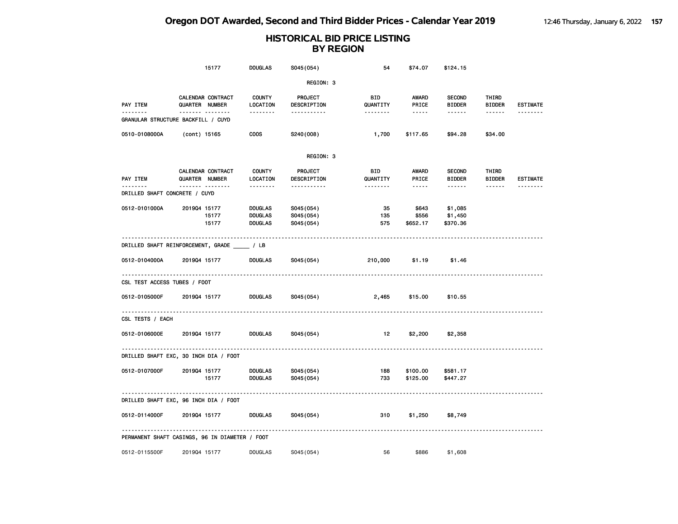|                                          | 15177                                          | <b>DOUGLAS</b>                                     | S045 (054)                          | 54               | \$74.07                    | \$124.15                       |                        |                 |
|------------------------------------------|------------------------------------------------|----------------------------------------------------|-------------------------------------|------------------|----------------------------|--------------------------------|------------------------|-----------------|
|                                          |                                                |                                                    | REGION: 3                           |                  |                            |                                |                        |                 |
| PAY ITEM                                 | <b>CALENDAR CONTRACT</b><br>QUARTER NUMBER     | <b>COUNTY</b><br>LOCATION                          | <b>PROJECT</b><br>DESCRIPTION       | BID<br>QUANTITY  | AWARD<br>PRICE             | <b>SECOND</b><br><b>BIDDER</b> | THIRD<br><b>BIDDER</b> | <b>ESTIMATE</b> |
|                                          | <b>.</b><br>GRANULAR STRUCTURE BACKFILL / CUYD | .                                                  | .                                   | <u>.</u>         | $\cdots \cdots$            | ------                         | $- - - - - -$          | <u>.</u>        |
| 0510-0108000A                            | (cont) 15165                                   | <b>COOS</b>                                        | S240(008)                           | 1,700            | \$117.65                   | \$94.28                        | \$34.00                |                 |
|                                          |                                                |                                                    | REGION: 3                           |                  |                            |                                |                        |                 |
| PAY ITEM                                 | CALENDAR CONTRACT<br>QUARTER NUMBER            | <b>COUNTY</b><br>LOCATION                          | <b>PROJECT</b><br>DESCRIPTION       | BID<br>QUANTITY  | AWARD<br>PRICE             | <b>SECOND</b><br><b>BIDDER</b> | THIRD<br><b>BIDDER</b> | <b>ESTIMATE</b> |
| -------<br>DRILLED SHAFT CONCRETE / CUYD | . <sub>.</sub>                                 | --------                                           | -----------                         | --------         | $\cdots\cdots\cdots$       | ------                         | $\cdots\cdots\cdots$   | <u>.</u>        |
| 0512-0101000A                            | 201904 15177<br>15177<br>15177                 | <b>DOUGLAS</b><br><b>DOUGLAS</b><br><b>DOUGLAS</b> | S045(054)<br>S045(054)<br>S045(054) | 35<br>135<br>575 | \$643<br>\$556<br>\$652.17 | \$1,085<br>\$1,450<br>\$370.36 |                        |                 |
|                                          | DRILLED SHAFT REINFORCEMENT, GRADE _____ / LB  |                                                    |                                     |                  |                            |                                |                        |                 |
| 0512-0104000A                            | 201904 15177                                   | <b>DOUGLAS</b>                                     | S045(054)                           | 210,000          | \$1.19                     | \$1.46                         |                        |                 |
| CSL TEST ACCESS TUBES / FOOT             |                                                |                                                    |                                     |                  |                            |                                |                        |                 |
| 0512-0105000F                            | 201904 15177                                   | <b>DOUGLAS</b>                                     | S045(054)                           | 2,465            | \$15.00                    | \$10.55                        |                        |                 |
| CSL TESTS / EACH                         |                                                |                                                    |                                     |                  |                            |                                |                        |                 |
| 0512-0106000E                            | 201904 15177                                   | <b>DOUGLAS</b>                                     | S045(054)                           | 12               | \$2,200                    | \$2,358                        |                        |                 |
|                                          | DRILLED SHAFT EXC, 30 INCH DIA / FOOT          |                                                    |                                     |                  |                            |                                |                        |                 |
| 0512-0107000F                            | 201904 15177<br>15177                          | <b>DOUGLAS</b><br><b>DOUGLAS</b>                   | S045(054)<br>S045(054)              | 188<br>733       | \$100.00<br>\$125.00       | \$581.17<br>\$447.27           |                        |                 |
|                                          | DRILLED SHAFT EXC, 96 INCH DIA / FOOT          |                                                    |                                     |                  |                            |                                |                        |                 |
| 0512-0114000F                            | 201904 15177                                   | <b>DOUGLAS</b>                                     | S045(054)                           | 310              | \$1,250                    | \$8,749                        |                        |                 |
|                                          | PERMANENT SHAFT CASINGS, 96 IN DIAMETER / FOOT |                                                    |                                     |                  |                            |                                |                        |                 |
| 0512-0115500F                            | 201904 15177                                   | <b>DOUGLAS</b>                                     | S045 (054)                          | 56               | \$886                      | \$1,608                        |                        |                 |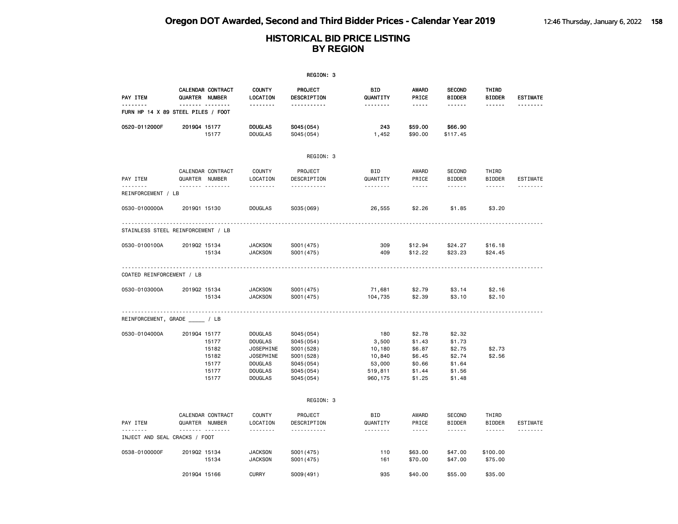| REGION: 3                     |                                                                    |                                                                                                                                |                                                                                               |                                                                  |                                                                    |                                                                    |                                         |                      |  |  |
|-------------------------------|--------------------------------------------------------------------|--------------------------------------------------------------------------------------------------------------------------------|-----------------------------------------------------------------------------------------------|------------------------------------------------------------------|--------------------------------------------------------------------|--------------------------------------------------------------------|-----------------------------------------|----------------------|--|--|
| PAY ITEM                      | CALENDAR CONTRACT<br>QUARTER NUMBER                                | <b>COUNTY</b><br>LOCATION                                                                                                      | PROJECT<br>DESCRIPTION                                                                        | BID<br>QUANTITY                                                  | <b>AWARD</b><br>PRICE                                              | <b>SECOND</b><br><b>BIDDER</b>                                     | THIRD<br><b>BIDDER</b>                  | <b>ESTIMATE</b>      |  |  |
| --------                      | . <sub>.</sub><br>FURN HP 14 X 89 STEEL PILES / FOOT               | .                                                                                                                              | <u>.</u>                                                                                      | .                                                                | -----                                                              | .                                                                  | ------                                  | --------             |  |  |
| 0520-0112000F                 | 201904 15177<br>15177                                              | <b>DOUGLAS</b><br><b>DOUGLAS</b>                                                                                               | S045(054)<br>S045 (054)                                                                       | 243<br>1,452                                                     | \$59.00<br>\$90.00                                                 | \$66.90<br>\$117.45                                                |                                         |                      |  |  |
|                               |                                                                    |                                                                                                                                | REGION: 3                                                                                     |                                                                  |                                                                    |                                                                    |                                         |                      |  |  |
| PAY ITEM<br><u>.</u>          | CALENDAR CONTRACT<br>QUARTER NUMBER<br><u>.</u>                    | <b>COUNTY</b><br>LOCATION<br><u>.</u>                                                                                          | PROJECT<br>DESCRIPTION<br><u>.</u>                                                            | <b>BID</b><br>QUANTITY<br>.                                      | AWARD<br>PRICE<br>$- - - - -$                                      | <b>SECOND</b><br><b>BIDDER</b><br><u>.</u>                         | THIRD<br><b>BIDDER</b><br>$- - - - - -$ | ESTIMATE<br><u>.</u> |  |  |
| REINFORCEMENT / LB            |                                                                    |                                                                                                                                |                                                                                               |                                                                  |                                                                    |                                                                    |                                         |                      |  |  |
| 0530-0100000A                 | 201901 15130                                                       | <b>DOUGLAS</b>                                                                                                                 | S035 (069)                                                                                    | 26,555                                                           | \$2.26                                                             | \$1.85                                                             | \$3.20                                  |                      |  |  |
|                               | STAINLESS STEEL REINFORCEMENT / LB                                 |                                                                                                                                |                                                                                               |                                                                  |                                                                    |                                                                    |                                         |                      |  |  |
| 0530-0100100A                 | 201902 15134<br>15134                                              | <b>JACKSON</b><br><b>JACKSON</b>                                                                                               | S001 (475)<br>S001 (475)                                                                      | 309<br>409                                                       | \$12.94<br>\$12.22                                                 | \$24.27<br>\$23.23                                                 | \$16.18<br>\$24.45                      |                      |  |  |
| COATED REINFORCEMENT / LB     |                                                                    |                                                                                                                                |                                                                                               |                                                                  |                                                                    |                                                                    |                                         |                      |  |  |
| 0530-0103000A                 | 201902 15134<br>15134                                              | <b>JACKSON</b><br><b>JACKSON</b>                                                                                               | S001 (475)<br>S001 (475)                                                                      | 71,681<br>104,735                                                | \$2.79<br>\$2.39                                                   | \$3.14<br>\$3.10                                                   | \$2.16<br>\$2.10                        |                      |  |  |
|                               | REINFORCEMENT, GRADE _____ / LB                                    |                                                                                                                                |                                                                                               |                                                                  |                                                                    |                                                                    |                                         |                      |  |  |
| 0530-0104000A                 | 201904 15177<br>15177<br>15182<br>15182<br>15177<br>15177<br>15177 | <b>DOUGLAS</b><br><b>DOUGLAS</b><br><b>JOSEPHINE</b><br><b>JOSEPHINE</b><br><b>DOUGLAS</b><br><b>DOUGLAS</b><br><b>DOUGLAS</b> | S045 (054)<br>S045(054)<br>S001 (528)<br>S001 (528)<br>S045 (054)<br>S045 (054)<br>S045 (054) | 180<br>3,500<br>10,180<br>10,840<br>53,000<br>519,811<br>960,175 | \$2.78<br>\$1.43<br>\$6.87<br>\$6.45<br>\$0.66<br>\$1.44<br>\$1.25 | \$2.32<br>\$1.73<br>\$2.75<br>\$2.74<br>\$1.64<br>\$1.56<br>\$1.48 | \$2.73<br>\$2.56                        |                      |  |  |
|                               |                                                                    |                                                                                                                                | REGION: 3                                                                                     |                                                                  |                                                                    |                                                                    |                                         |                      |  |  |
| PAY ITEM                      | CALENDAR CONTRACT<br>QUARTER NUMBER<br><u></u>                     | <b>COUNTY</b><br>LOCATION                                                                                                      | PROJECT<br>DESCRIPTION                                                                        | <b>BID</b><br>QUANTITY                                           | AWARD<br>PRICE                                                     | <b>SECOND</b><br><b>BIDDER</b>                                     | THIRD<br><b>BIDDER</b>                  | ESTIMATE             |  |  |
| INJECT AND SEAL CRACKS / FOOT |                                                                    | .                                                                                                                              | .                                                                                             | .                                                                | $- - - - -$                                                        | .                                                                  | ------                                  |                      |  |  |
| 0538-0100000F                 | 201902 15134<br>15134                                              | <b>JACKSON</b><br><b>JACKSON</b>                                                                                               | S001 (475)<br>S001 (475)                                                                      | 110<br>161                                                       | \$63.00<br>\$70.00                                                 | \$47.00<br>\$47.00                                                 | \$100.00<br>\$75.00                     |                      |  |  |
|                               | 201904 15166                                                       | <b>CURRY</b>                                                                                                                   | S009(491)                                                                                     | 935                                                              | \$40.00                                                            | \$55.00                                                            | \$35.00                                 |                      |  |  |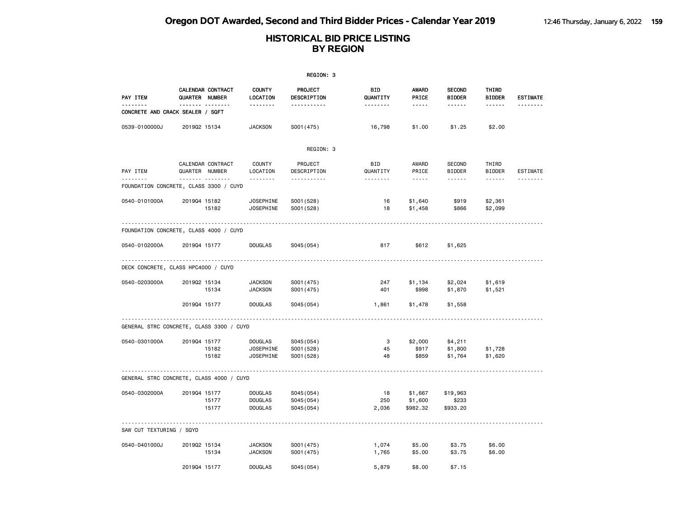|                                          |                |                        |                                                        | REGION: 3                              |                                    |                                                                                                                                                                               |                                          |                                  |                 |
|------------------------------------------|----------------|------------------------|--------------------------------------------------------|----------------------------------------|------------------------------------|-------------------------------------------------------------------------------------------------------------------------------------------------------------------------------|------------------------------------------|----------------------------------|-----------------|
| PAY ITEM                                 | QUARTER NUMBER | CALENDAR CONTRACT      | <b>COUNTY</b><br>LOCATION                              | PROJECT<br>DESCRIPTION                 | BID<br>QUANTITY                    | <b>AWARD</b><br>PRICE                                                                                                                                                         | <b>SECOND</b><br><b>BIDDER</b>           | THIRD<br><b>BIDDER</b>           | <b>ESTIMATE</b> |
| CONCRETE AND CRACK SEALER / SQFT         |                |                        | .                                                      | <u>.</u>                               | <u>.</u>                           | -----                                                                                                                                                                         | .                                        | ------                           |                 |
| 0539-0100000J                            | 201902 15134   |                        | <b>JACKSON</b>                                         | S001 (475)                             | 16,798                             | \$1.00                                                                                                                                                                        | \$1.25                                   | \$2.00                           |                 |
|                                          |                |                        |                                                        | REGION: 3                              |                                    |                                                                                                                                                                               |                                          |                                  |                 |
| PAY ITEM                                 | QUARTER NUMBER | CALENDAR CONTRACT<br>. | COUNTY<br>LOCATION<br>.                                | PROJECT<br>DESCRIPTION<br>.            | <b>BID</b><br>QUANTITY<br><u>.</u> | <b>AWARD</b><br>PRICE<br>$\frac{1}{2} \left( \frac{1}{2} \right) \left( \frac{1}{2} \right) \left( \frac{1}{2} \right) \left( \frac{1}{2} \right) \left( \frac{1}{2} \right)$ | <b>SECOND</b><br><b>BIDDER</b><br>------ | THIRD<br><b>BIDDER</b><br>------ | ESTIMATE        |
| FOUNDATION CONCRETE, CLASS 3300 / CUYD   |                |                        |                                                        |                                        |                                    |                                                                                                                                                                               |                                          |                                  |                 |
| 0540-0101000A                            | 201904 15182   | 15182                  | <b>JOSEPHINE</b><br><b>JOSEPHINE</b>                   | S001 (528)<br>S001 (528)               | 16<br>18                           | \$1,640<br>\$1,458                                                                                                                                                            | \$919<br>\$866                           | \$2,361<br>\$2,099               |                 |
| FOUNDATION CONCRETE, CLASS 4000 / CUYD   |                |                        |                                                        |                                        |                                    |                                                                                                                                                                               |                                          |                                  |                 |
| 0540-0102000A                            | 201904 15177   |                        | <b>DOUGLAS</b>                                         | S045 (054)                             | 817                                | \$612                                                                                                                                                                         | \$1,625                                  |                                  |                 |
| DECK CONCRETE, CLASS HPC4000 / CUYD      |                |                        |                                                        |                                        |                                    |                                                                                                                                                                               |                                          |                                  |                 |
| 0540-0203000A                            | 201902 15134   | 15134                  | <b>JACKSON</b><br><b>JACKSON</b>                       | S001 (475)<br>S001 (475)               | 247<br>401                         | \$1,134<br>\$998                                                                                                                                                              | \$2,024<br>\$1,870                       | \$1,619<br>\$1,521               |                 |
|                                          | 201904 15177   |                        | <b>DOUGLAS</b>                                         | S045(054)                              | 1,861                              | \$1,478                                                                                                                                                                       | \$1,558                                  |                                  |                 |
| GENERAL STRC CONCRETE, CLASS 3300 / CUYD |                |                        |                                                        |                                        |                                    |                                                                                                                                                                               |                                          |                                  |                 |
| 0540-0301000A                            | 201904 15177   | 15182<br>15182         | <b>DOUGLAS</b><br><b>JOSEPHINE</b><br><b>JOSEPHINE</b> | S045 (054)<br>S001 (528)<br>S001 (528) | 3<br>45<br>48                      | \$2,000<br>\$917<br>\$859                                                                                                                                                     | \$4,211<br>\$1,800<br>\$1,764            | \$1,728<br>\$1,620               |                 |
| GENERAL STRC CONCRETE, CLASS 4000 / CUYD |                |                        |                                                        |                                        |                                    |                                                                                                                                                                               |                                          |                                  |                 |
| 0540-0302000A                            | 201904 15177   | 15177<br>15177         | <b>DOUGLAS</b><br><b>DOUGLAS</b><br><b>DOUGLAS</b>     | S045 (054)<br>S045 (054)<br>S045(054)  | 18<br>250<br>2,036                 | \$1,667<br>\$1,600<br>\$982.32                                                                                                                                                | \$19,963<br>\$233<br>\$933.20            |                                  |                 |
| SAW CUT TEXTURING / SQYD                 |                |                        |                                                        |                                        |                                    |                                                                                                                                                                               |                                          |                                  |                 |
| 0540-0401000J                            | 201902 15134   | 15134                  | <b>JACKSON</b><br><b>JACKSON</b>                       | S001 (475)<br>S001 (475)               | 1,074<br>1,765                     | \$5.00<br>\$5.00                                                                                                                                                              | \$3.75<br>\$3.75                         | \$6.00<br>\$6.00                 |                 |
|                                          | 201904 15177   |                        | <b>DOUGLAS</b>                                         | S045 (054)                             | 5,879                              | \$8,00                                                                                                                                                                        | \$7.15                                   |                                  |                 |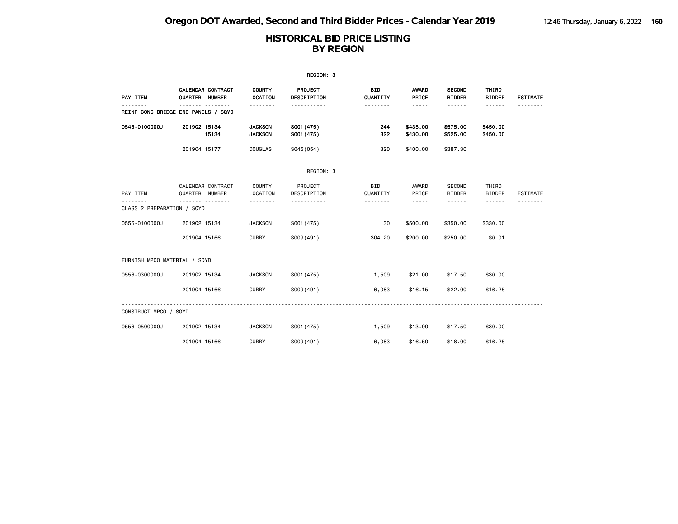|                                     |                |                          |                                  | REGION: 3                     |                        |                                                                                                                                                      |                                |                        |                 |
|-------------------------------------|----------------|--------------------------|----------------------------------|-------------------------------|------------------------|------------------------------------------------------------------------------------------------------------------------------------------------------|--------------------------------|------------------------|-----------------|
| PAY ITEM                            | QUARTER NUMBER | <b>CALENDAR CONTRACT</b> | <b>COUNTY</b><br><b>LOCATION</b> | <b>PROJECT</b><br>DESCRIPTION | <b>BID</b><br>QUANTITY | AWARD<br>PRICE                                                                                                                                       | <b>SECOND</b><br><b>BIDDER</b> | THIRD<br><b>BIDDER</b> | <b>ESTIMATE</b> |
| REINF CONC BRIDGE END PANELS / SQYD |                |                          |                                  | <u>.</u>                      | <u>.</u>               | $- - - - -$                                                                                                                                          | ------                         | $- - - - - -$          |                 |
| 0545-0100000J                       | 201902 15134   | 15134                    | <b>JACKSON</b><br><b>JACKSON</b> | S001 (475)<br>S001 (475)      | 244<br>322             | \$435.00<br>\$430.00                                                                                                                                 | \$575.00<br>\$525.00           | \$450.00<br>\$450.00   |                 |
|                                     | 201904 15177   |                          | <b>DOUGLAS</b>                   | S045 (054)                    | 320                    | \$400.00                                                                                                                                             | \$387.30                       |                        |                 |
|                                     |                |                          |                                  | REGION: 3                     |                        |                                                                                                                                                      |                                |                        |                 |
| PAY ITEM                            | QUARTER NUMBER | CALENDAR CONTRACT        | COUNTY<br>LOCATION               | PROJECT<br>DESCRIPTION        | <b>BID</b><br>QUANTITY | AWARD<br>PRICE                                                                                                                                       | SECOND<br><b>BIDDER</b>        | THIRD<br><b>BIDDER</b> | <b>ESTIMATE</b> |
| CLASS 2 PREPARATION / SQYD          |                | <u>.</u>                 | .                                | <u>.</u>                      | .                      | $\frac{1}{2} \left( \frac{1}{2} \right) \left( \frac{1}{2} \right) \left( \frac{1}{2} \right) \left( \frac{1}{2} \right) \left( \frac{1}{2} \right)$ | <b>.</b>                       | .                      |                 |
| 0556-0100000J                       | 201902 15134   |                          | <b>JACKSON</b>                   | S001 (475)                    | 30                     | \$500.00                                                                                                                                             | \$350.00                       | \$330.00               |                 |
|                                     | 201904 15166   |                          | <b>CURRY</b>                     | S009(491)                     | 304.20                 | \$200.00                                                                                                                                             | \$250.00                       | \$0.01                 |                 |
| FURNISH MPCO MATERIAL / SQYD        |                |                          |                                  |                               |                        |                                                                                                                                                      |                                |                        |                 |
| 0556-0300000J                       | 201902 15134   |                          | <b>JACKSON</b>                   | S001 (475)                    | 1,509                  | \$21.00                                                                                                                                              | \$17.50                        | \$30.00                |                 |
|                                     | 201904 15166   |                          | <b>CURRY</b>                     | S009(491)                     | 6,083                  | \$16.15                                                                                                                                              | \$22.00                        | \$16.25                |                 |
| CONSTRUCT MPCO / SQYD               |                |                          |                                  |                               |                        |                                                                                                                                                      |                                |                        |                 |
| 0556-0500000J                       | 201902 15134   |                          | <b>JACKSON</b>                   | S001 (475)                    | 1,509                  | \$13.00                                                                                                                                              | \$17.50                        | \$30,00                |                 |
|                                     | 201904 15166   |                          | <b>CURRY</b>                     | S009(491)                     | 6,083                  | \$16.50                                                                                                                                              | \$18.00                        | \$16.25                |                 |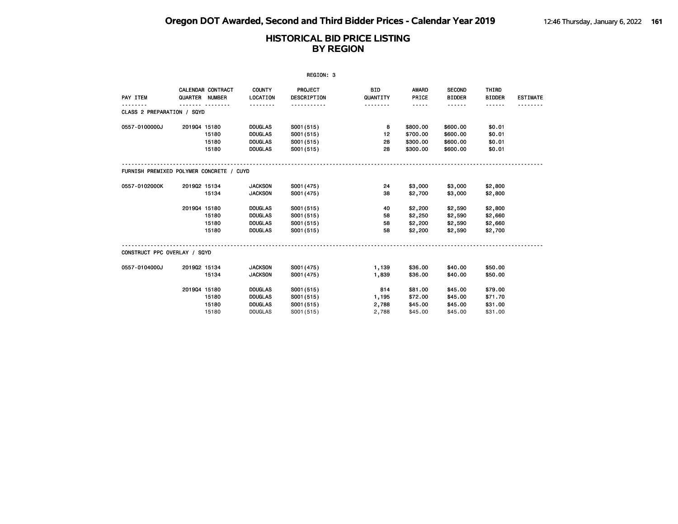| REGION: 3                                |                |                   |                           |                               |                        |                |                                |                        |                 |  |
|------------------------------------------|----------------|-------------------|---------------------------|-------------------------------|------------------------|----------------|--------------------------------|------------------------|-----------------|--|
| PAY ITEM                                 | QUARTER NUMBER | CALENDAR CONTRACT | <b>COUNTY</b><br>LOCATION | PROJECT<br><b>DESCRIPTION</b> | <b>BID</b><br>QUANTITY | AWARD<br>PRICE | <b>SECOND</b><br><b>BIDDER</b> | THIRD<br><b>BIDDER</b> | <b>ESTIMATE</b> |  |
| CLASS 2 PREPARATION / SQYD               |                |                   | .                         | .                             | <u> - - - - - - -</u>  | -----          | .                              | ------                 |                 |  |
| 0557-0100000J                            | 201904 15180   |                   | <b>DOUGLAS</b>            | S001 (515)                    | 8                      | \$800.00       | \$600.00                       | \$0.01                 |                 |  |
|                                          |                | 15180             | <b>DOUGLAS</b>            | S001 (515)                    | 12                     | \$700.00       | \$600.00                       | \$0.01                 |                 |  |
|                                          |                | 15180             | <b>DOUGLAS</b>            | S001 (515)                    | 28                     | \$300.00       | \$600.00                       | \$0.01                 |                 |  |
|                                          |                | 15180             | <b>DOUGLAS</b>            | S001(515)                     | 28                     | \$300.00       | \$600.00                       | \$0.01                 |                 |  |
| FURNISH PREMIXED POLYMER CONCRETE / CUYD |                |                   |                           |                               |                        |                |                                |                        |                 |  |
| 0557-0102000K                            | 201902 15134   |                   | <b>JACKSON</b>            | S001 (475)                    | 24                     | \$3,000        | \$3,000                        | \$2,800                |                 |  |
|                                          |                | 15134             | <b>JACKSON</b>            | S001 (475)                    | 38                     | \$2,700        | \$3,000                        | \$2,800                |                 |  |
|                                          | 201904 15180   |                   | <b>DOUGLAS</b>            | S001 (515)                    | 40                     | \$2,200        | \$2,590                        | \$2,800                |                 |  |
|                                          |                | 15180             | <b>DOUGLAS</b>            | S001 (515)                    | 58                     | \$2,250        | \$2,590                        | \$2,660                |                 |  |
|                                          |                | 15180             | <b>DOUGLAS</b>            | S001 (515)                    | 58                     | \$2,200        | \$2,590                        | \$2,660                |                 |  |
|                                          |                | 15180             | <b>DOUGLAS</b>            | S001(515)                     | 58                     | \$2,200        | \$2,590                        | \$2,700                |                 |  |
| CONSTRUCT PPC OVERLAY / SQYD             |                |                   |                           |                               |                        |                |                                |                        |                 |  |
| 0557-0104000J                            | 201902 15134   |                   | <b>JACKSON</b>            | S001 (475)                    | 1,139                  | \$36.00        | \$40.00                        | \$50.00                |                 |  |
|                                          |                | 15134             | <b>JACKSON</b>            | S001 (475)                    | 1,839                  | \$36.00        | \$40.00                        | \$50.00                |                 |  |
|                                          | 201904 15180   |                   | <b>DOUGLAS</b>            | S001 (515)                    | 814                    | \$81.00        | \$45.00                        | \$79.00                |                 |  |
|                                          |                | 15180             | <b>DOUGLAS</b>            | S001(515)                     | 1,195                  | \$72.00        | \$45.00                        | \$71.70                |                 |  |
|                                          |                | 15180             | <b>DOUGLAS</b>            | S001 (515)                    | 2,788                  | \$45.00        | \$45.00                        | \$31.00                |                 |  |
|                                          |                | 15180             | <b>DOUGLAS</b>            | S001 (515)                    | 2,788                  | \$45.00        | \$45.00                        | \$31.00                |                 |  |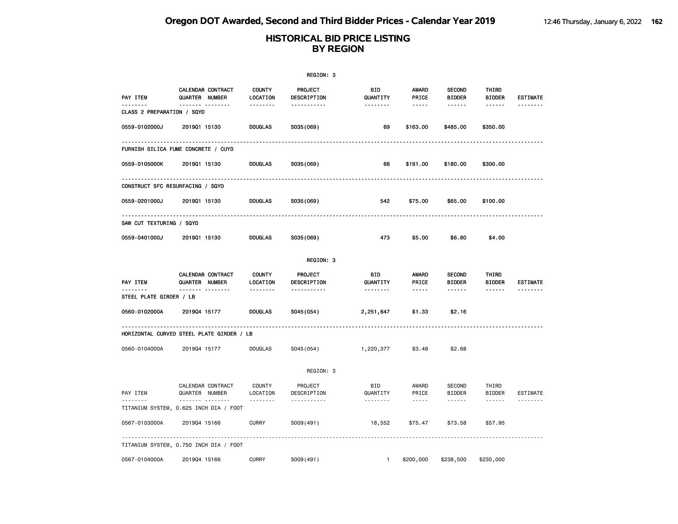|                                     |                                                    |                           | REGION: 3              |                 |                       |                                |                        |                 |
|-------------------------------------|----------------------------------------------------|---------------------------|------------------------|-----------------|-----------------------|--------------------------------|------------------------|-----------------|
| PAY ITEM                            | CALENDAR CONTRACT<br><b>QUARTER NUMBER</b>         | <b>COUNTY</b><br>LOCATION | PROJECT<br>DESCRIPTION | BID<br>QUANTITY | <b>AWARD</b><br>PRICE | <b>SECOND</b><br><b>BIDDER</b> | THIRD<br><b>BIDDER</b> | <b>ESTIMATE</b> |
| CLASS 2 PREPARATION / SQYD          | --------                                           | --------                  | -----------            | --------        | $\cdots \cdots$       | ------                         | ------                 |                 |
| 0559-0102000J                       | 201901 15130                                       | <b>DOUGLAS</b>            | S035(069)              | 69              | \$163.00              | \$485.00                       | \$350.00               |                 |
|                                     | FURNISH SILICA FUME CONCRETE / CUYD                |                           |                        |                 |                       |                                |                        |                 |
| 0559-0105000K                       | 201901 15130                                       | <b>DOUGLAS</b>            | S035(069)              | 66              | \$191.00              | \$180.00                       | \$300.00               |                 |
|                                     | CONSTRUCT SFC RESURFACING / SQYD                   |                           |                        |                 |                       |                                |                        |                 |
| 0559-0201000J                       | 201901 15130                                       | <b>DOUGLAS</b>            | S035(069)              | 542             | \$75.00               | \$65.00                        | \$100.00               |                 |
| SAW CUT TEXTURING / SQYD            |                                                    |                           |                        |                 |                       |                                |                        |                 |
| 0559-0401000J                       | 201901 15130                                       | <b>DOUGLAS</b>            | S035(069)              | 473             | \$5.00                | \$6.80                         | \$4.00                 |                 |
|                                     |                                                    |                           | REGION: 3              |                 |                       |                                |                        |                 |
| PAY ITEM                            | CALENDAR CONTRACT<br><b>QUARTER NUMBER</b>         | <b>COUNTY</b><br>LOCATION | PROJECT<br>DESCRIPTION | BID<br>QUANTITY | <b>AWARD</b><br>PRICE | <b>SECOND</b><br><b>BIDDER</b> | THIRD<br><b>BIDDER</b> | <b>ESTIMATE</b> |
| --------<br>STEEL PLATE GIRDER / LB | ------- --------                                   | <u>.</u>                  | <u>.</u>               | .               |                       | ------                         | ------                 | --------        |
| 0560-0102000A                       | 201904 15177                                       | <b>DOUGLAS</b>            | S045(054)              | 2,251,647       | \$1.33                | \$2.16                         |                        |                 |
|                                     | .<br>HORIZONTAL CURVED STEEL PLATE GIRDER / LB     |                           |                        |                 |                       |                                |                        |                 |
| 0560-0104000A                       | 201904 15177                                       | <b>DOUGLAS</b>            | S045 (054)             | 1,220,377       | \$3.48                | \$2.68                         |                        |                 |
|                                     |                                                    |                           | REGION: 3              |                 |                       |                                |                        |                 |
| PAY ITEM                            | CALENDAR CONTRACT<br>QUARTER NUMBER                | <b>COUNTY</b><br>LOCATION | PROJECT<br>DESCRIPTION | BID<br>QUANTITY | AWARD<br>PRICE        | <b>SECOND</b><br><b>BIDDER</b> | THIRD<br>BIDDER        | <b>ESTIMATE</b> |
| .                                   | <b>.</b><br>TITANIUM SYSTEM, 0.625 INCH DIA / FOOT | .                         | .                      | .               | $\dots$               | ------                         | ------                 |                 |
| 0567-0103000A                       | 201904 15166                                       | <b>CURRY</b>              | S009(491)              | 18,552          | \$75.47               | \$73.58                        | \$57.95                |                 |
|                                     | TITANIUM SYSTEM, 0.750 INCH DIA / FOOT             |                           |                        |                 |                       |                                |                        |                 |
| 0567-0104000A                       | 201904 15166                                       | <b>CURRY</b>              | S009(491)              | $\mathbf{1}$    | \$200,000             | \$238,500                      | \$230,000              |                 |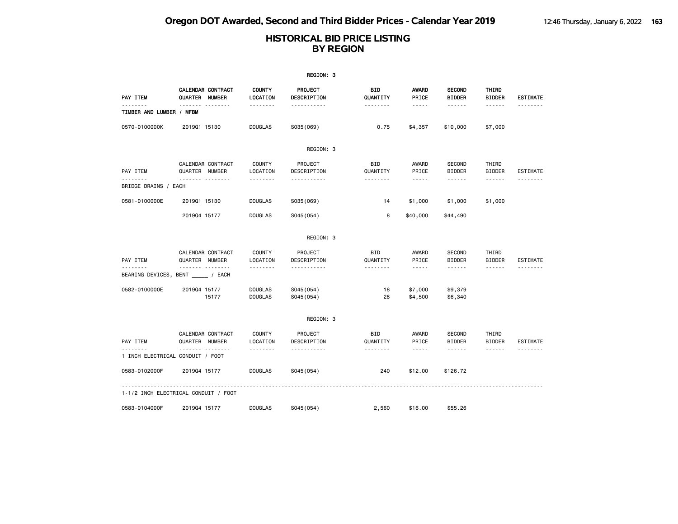|                                          |                                     |                                    |                                  | REGION: 3                |                        |                                                                                                               |                                |                                                                                                                                                                                                                                                                                                                                                                                                                                                                            |                 |
|------------------------------------------|-------------------------------------|------------------------------------|----------------------------------|--------------------------|------------------------|---------------------------------------------------------------------------------------------------------------|--------------------------------|----------------------------------------------------------------------------------------------------------------------------------------------------------------------------------------------------------------------------------------------------------------------------------------------------------------------------------------------------------------------------------------------------------------------------------------------------------------------------|-----------------|
| PAY ITEM                                 | QUARTER                             | CALENDAR CONTRACT<br><b>NUMBER</b> | <b>COUNTY</b><br>LOCATION        | PROJECT<br>DESCRIPTION   | BID<br>QUANTITY        | <b>AWARD</b><br>PRICE                                                                                         | <b>SECOND</b><br><b>BIDDER</b> | THIRD<br><b>BIDDER</b>                                                                                                                                                                                                                                                                                                                                                                                                                                                     | <b>ESTIMATE</b> |
| .<br>TIMBER AND LUMBER / MFBM            |                                     | <u>.</u>                           | .                                | <u>.</u>                 | .                      | $- - - - -$                                                                                                   | $- - - - - -$                  | $- - - - - -$                                                                                                                                                                                                                                                                                                                                                                                                                                                              | <u>.</u>        |
| 0570-0100000K                            | 201901 15130                        |                                    | <b>DOUGLAS</b>                   | S035 (069)               | 0.75                   | \$4,357                                                                                                       | \$10,000                       | \$7,000                                                                                                                                                                                                                                                                                                                                                                                                                                                                    |                 |
|                                          |                                     |                                    |                                  | REGION: 3                |                        |                                                                                                               |                                |                                                                                                                                                                                                                                                                                                                                                                                                                                                                            |                 |
| PAY ITEM                                 | QUARTER NUMBER                      | CALENDAR CONTRACT                  | COUNTY<br>LOCATION               | PROJECT<br>DESCRIPTION   | <b>BID</b><br>QUANTITY | AWARD<br>PRICE                                                                                                | <b>SECOND</b><br><b>BIDDER</b> | THIRD<br><b>BIDDER</b>                                                                                                                                                                                                                                                                                                                                                                                                                                                     | <b>ESTIMATE</b> |
| <u>.</u><br>BRIDGE DRAINS / EACH         | .                                   |                                    | .                                | <u>.</u>                 | .                      | $- - - - -$                                                                                                   | $- - - - - -$                  | $\frac{1}{2} \left( \frac{1}{2} \right) \left( \frac{1}{2} \right) \left( \frac{1}{2} \right) \left( \frac{1}{2} \right) \left( \frac{1}{2} \right) \left( \frac{1}{2} \right) \left( \frac{1}{2} \right) \left( \frac{1}{2} \right) \left( \frac{1}{2} \right) \left( \frac{1}{2} \right) \left( \frac{1}{2} \right) \left( \frac{1}{2} \right) \left( \frac{1}{2} \right) \left( \frac{1}{2} \right) \left( \frac{1}{2} \right) \left( \frac{1}{2} \right) \left( \frac$ | <u>.</u>        |
| 0581-0100000E                            | 201901 15130                        |                                    | <b>DOUGLAS</b>                   | S035 (069)               | 14                     | \$1,000                                                                                                       | \$1,000                        | \$1,000                                                                                                                                                                                                                                                                                                                                                                                                                                                                    |                 |
|                                          | 201904 15177                        |                                    | <b>DOUGLAS</b>                   | S045 (054)               | 8                      | \$40,000                                                                                                      | \$44,490                       |                                                                                                                                                                                                                                                                                                                                                                                                                                                                            |                 |
|                                          |                                     |                                    |                                  | REGION: 3                |                        |                                                                                                               |                                |                                                                                                                                                                                                                                                                                                                                                                                                                                                                            |                 |
| PAY ITEM                                 | CALENDAR CONTRACT<br>QUARTER NUMBER |                                    | <b>COUNTY</b><br>LOCATION        | PROJECT<br>DESCRIPTION   | <b>BID</b><br>QUANTITY | AWARD<br>PRICE                                                                                                | <b>SECOND</b><br><b>BIDDER</b> | THIRD<br><b>BIDDER</b>                                                                                                                                                                                                                                                                                                                                                                                                                                                     | <b>ESTIMATE</b> |
| --------<br>BEARING DEVICES, BENT / EACH | <b>.</b>                            |                                    | .                                | .                        | .                      | $- - - - -$                                                                                                   |                                | ------                                                                                                                                                                                                                                                                                                                                                                                                                                                                     |                 |
| 0582-0100000E                            | 201904 15177                        | 15177                              | <b>DOUGLAS</b><br><b>DOUGLAS</b> | S045 (054)<br>S045 (054) | 18<br>28               | \$7,000<br>\$4,500                                                                                            | \$9,379<br>\$6,340             |                                                                                                                                                                                                                                                                                                                                                                                                                                                                            |                 |
|                                          |                                     |                                    |                                  | REGION: 3                |                        |                                                                                                               |                                |                                                                                                                                                                                                                                                                                                                                                                                                                                                                            |                 |
| PAY ITEM                                 | CALENDAR CONTRACT<br>QUARTER NUMBER |                                    | <b>COUNTY</b><br>LOCATION        | PROJECT<br>DESCRIPTION   | BID<br>QUANTITY        | AWARD<br>PRICE                                                                                                | <b>SECOND</b><br><b>BIDDER</b> | THIRD<br><b>BIDDER</b>                                                                                                                                                                                                                                                                                                                                                                                                                                                     | <b>ESTIMATE</b> |
| 1 INCH ELECTRICAL CONDUIT / FOOT         | .                                   |                                    | .                                | .                        | .                      | $\frac{1}{2} \frac{1}{2} \frac{1}{2} \frac{1}{2} \frac{1}{2} \frac{1}{2} \frac{1}{2} \frac{1}{2} \frac{1}{2}$ |                                | ------                                                                                                                                                                                                                                                                                                                                                                                                                                                                     | <u>.</u>        |
| 0583-0102000F                            | 201904 15177                        |                                    | <b>DOUGLAS</b>                   | S045 (054)               | 240                    | \$12.00                                                                                                       | \$126.72                       |                                                                                                                                                                                                                                                                                                                                                                                                                                                                            |                 |
| 1-1/2 INCH ELECTRICAL CONDUIT / FOOT     |                                     |                                    |                                  |                          |                        |                                                                                                               |                                |                                                                                                                                                                                                                                                                                                                                                                                                                                                                            |                 |
| 0583-0104000F                            | 201904 15177                        |                                    | <b>DOUGLAS</b>                   | S045 (054)               | 2,560                  | \$16.00                                                                                                       | \$55,26                        |                                                                                                                                                                                                                                                                                                                                                                                                                                                                            |                 |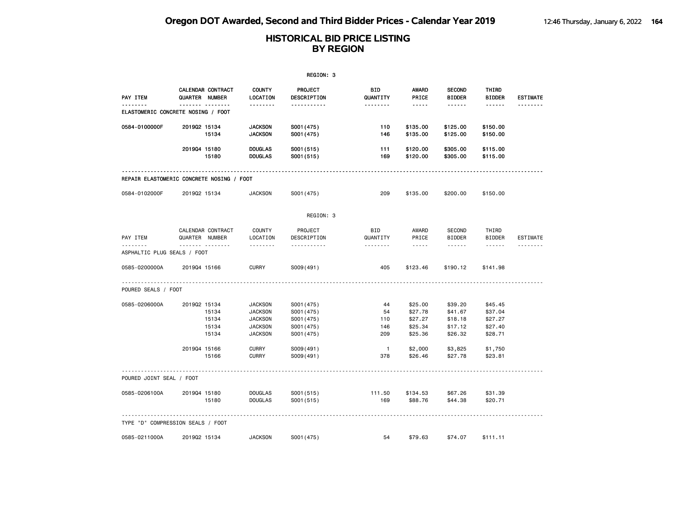|                                                |              |                                     |                                                                                        | REGION: 3                                                          |                               |                                                                                                               |                                                     |                                                                                                                       |                 |
|------------------------------------------------|--------------|-------------------------------------|----------------------------------------------------------------------------------------|--------------------------------------------------------------------|-------------------------------|---------------------------------------------------------------------------------------------------------------|-----------------------------------------------------|-----------------------------------------------------------------------------------------------------------------------|-----------------|
| PAY ITEM                                       |              | CALENDAR CONTRACT<br>QUARTER NUMBER | <b>COUNTY</b><br>LOCATION                                                              | <b>PROJECT</b><br>DESCRIPTION                                      | BID<br>QUANTITY               | AWARD<br>PRICE                                                                                                | <b>SECOND</b><br><b>BIDDER</b>                      | THIRD<br><b>BIDDER</b>                                                                                                | <b>ESTIMATE</b> |
| --------<br>ELASTOMERIC CONCRETE NOSING / FOOT |              | .                                   | .                                                                                      | -----------                                                        | <u>.</u>                      | $\frac{1}{2} \frac{1}{2} \frac{1}{2} \frac{1}{2} \frac{1}{2} \frac{1}{2} \frac{1}{2} \frac{1}{2} \frac{1}{2}$ | .                                                   | $- - - - - -$                                                                                                         | --------        |
| 0584-0100000F                                  | 201902 15134 | 15134                               | <b>JACKSON</b><br><b>JACKSON</b>                                                       | S001 (475)<br>S001 (475)                                           | 110<br>146                    | \$135.00<br>\$135.00                                                                                          | \$125.00<br>\$125.00                                | \$150.00<br>\$150.00                                                                                                  |                 |
|                                                | 201904 15180 | 15180                               | <b>DOUGLAS</b><br><b>DOUGLAS</b>                                                       | S001 (515)<br>S001 (515)                                           | 111<br>169                    | \$120.00<br>\$120.00                                                                                          | \$305.00<br>\$305.00                                | \$115.00<br>\$115.00                                                                                                  |                 |
| REPAIR ELASTOMERIC CONCRETE NOSING / FOOT      |              |                                     |                                                                                        |                                                                    |                               |                                                                                                               |                                                     |                                                                                                                       |                 |
| 0584-0102000F                                  | 201902 15134 |                                     | <b>JACKSON</b>                                                                         | S001 (475)                                                         | 209                           | \$135.00                                                                                                      | \$200.00                                            | \$150.00                                                                                                              |                 |
|                                                |              |                                     |                                                                                        | REGION: 3                                                          |                               |                                                                                                               |                                                     |                                                                                                                       |                 |
| PAY ITEM                                       |              | CALENDAR CONTRACT<br>QUARTER NUMBER | <b>COUNTY</b><br>LOCATION                                                              | PROJECT<br>DESCRIPTION                                             | BID<br>QUANTITY               | AWARD<br>PRICE                                                                                                | SECOND<br><b>BIDDER</b>                             | THIRD<br><b>BIDDER</b>                                                                                                | <b>ESTIMATE</b> |
| ASPHALTIC PLUG SEALS / FOOT                    |              | .                                   | .                                                                                      | <u> - - - - - - - - - -</u>                                        | .                             | $- - - -$                                                                                                     | .                                                   | $\begin{array}{cccccccccc} \bullet & \bullet & \bullet & \bullet & \bullet & \bullet & \bullet & \bullet \end{array}$ | --------        |
| 0585-0200000A                                  | 201904 15166 |                                     | <b>CURRY</b>                                                                           | S009(491)                                                          | 405                           | \$123.46                                                                                                      | \$190.12                                            | \$141.98                                                                                                              |                 |
| POURED SEALS / FOOT                            |              |                                     |                                                                                        |                                                                    |                               |                                                                                                               |                                                     |                                                                                                                       |                 |
| 0585-0206000A                                  | 201902 15134 | 15134<br>15134<br>15134<br>15134    | <b>JACKSON</b><br><b>JACKSON</b><br><b>JACKSON</b><br><b>JACKSON</b><br><b>JACKSON</b> | S001 (475)<br>S001 (475)<br>S001 (475)<br>S001 (475)<br>S001 (475) | 44<br>54<br>110<br>146<br>209 | \$25.00<br>\$27.78<br>\$27.27<br>\$25.34<br>\$25.36                                                           | \$39.20<br>\$41.67<br>\$18.18<br>\$17.12<br>\$26.32 | \$45.45<br>\$37.04<br>\$27.27<br>\$27.40<br>\$28.71                                                                   |                 |
|                                                | 201904 15166 | 15166                               | <b>CURRY</b><br><b>CURRY</b>                                                           | S009(491)<br>S009(491)                                             | $\overline{1}$<br>378         | \$2,000<br>\$26.46                                                                                            | \$3,825<br>\$27.78                                  | \$1,750<br>\$23.81                                                                                                    |                 |
| POURED JOINT SEAL / FOOT                       |              |                                     |                                                                                        |                                                                    |                               |                                                                                                               |                                                     |                                                                                                                       |                 |
| 0585-0206100A                                  | 201904 15180 | 15180                               | <b>DOUGLAS</b><br><b>DOUGLAS</b>                                                       | S001(515)<br>S001(515)                                             | 111.50<br>169                 | \$134.53<br>\$88.76                                                                                           | \$67.26<br>\$44.38                                  | \$31.39<br>\$20.71                                                                                                    |                 |
| TYPE "D" COMPRESSION SEALS / FOOT              |              |                                     |                                                                                        |                                                                    |                               |                                                                                                               |                                                     |                                                                                                                       |                 |
| 0585-0211000A                                  | 201902 15134 |                                     | <b>JACKSON</b>                                                                         | S001 (475)                                                         | 54                            | \$79.63                                                                                                       | \$74.07                                             | \$111.11                                                                                                              |                 |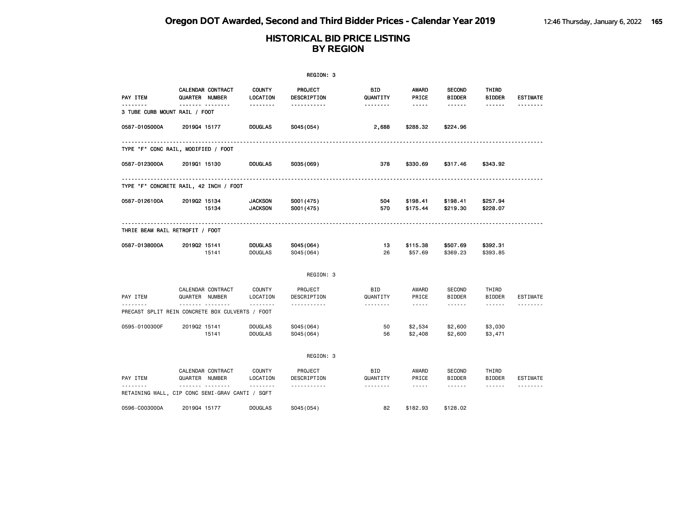|                                    |                                                      |                                  | REGION: 3                          |                        |                                                                                                                                                                        |                                                 |                                                                                                                                                                                                                                                                                                                                                                                                                                                                                                      |                 |
|------------------------------------|------------------------------------------------------|----------------------------------|------------------------------------|------------------------|------------------------------------------------------------------------------------------------------------------------------------------------------------------------|-------------------------------------------------|------------------------------------------------------------------------------------------------------------------------------------------------------------------------------------------------------------------------------------------------------------------------------------------------------------------------------------------------------------------------------------------------------------------------------------------------------------------------------------------------------|-----------------|
| PAY ITEM                           | CALENDAR CONTRACT<br>QUARTER NUMBER                  | <b>COUNTY</b><br>LOCATION        | PROJECT<br>DESCRIPTION             | <b>BID</b><br>QUANTITY | AWARD<br>PRICE                                                                                                                                                         | <b>SECOND</b><br><b>BIDDER</b>                  | THIRD<br><b>BIDDER</b>                                                                                                                                                                                                                                                                                                                                                                                                                                                                               | <b>ESTIMATE</b> |
| .<br>3 TUBE CURB MOUNT RAIL / FOOT |                                                      | .                                | -----------                        | .                      | $\frac{1}{2} \frac{1}{2} \frac{1}{2} \frac{1}{2} \frac{1}{2} \frac{1}{2} \frac{1}{2} \frac{1}{2} \frac{1}{2}$                                                          | ------                                          | ------                                                                                                                                                                                                                                                                                                                                                                                                                                                                                               | <u>.</u>        |
| 0587-0105000A                      | 201904 15177                                         | <b>DOUGLAS</b>                   | S045(054)                          | 2,688                  | \$288.32                                                                                                                                                               | \$224.96                                        |                                                                                                                                                                                                                                                                                                                                                                                                                                                                                                      |                 |
|                                    | TYPE "F" CONC RAIL, MODIFIED / FOOT                  |                                  | -------------------------------    |                        |                                                                                                                                                                        |                                                 |                                                                                                                                                                                                                                                                                                                                                                                                                                                                                                      |                 |
| 0587-0123000A                      | 201901 15130                                         | <b>DOUGLAS</b>                   | S035(069)                          | 378                    | \$330.69                                                                                                                                                               | \$317.46                                        | \$343.92                                                                                                                                                                                                                                                                                                                                                                                                                                                                                             |                 |
|                                    | TYPE "F" CONCRETE RAIL, 42 INCH / FOOT               |                                  |                                    |                        |                                                                                                                                                                        |                                                 |                                                                                                                                                                                                                                                                                                                                                                                                                                                                                                      |                 |
| 0587-0126100A                      | 201902 15134<br>15134                                | <b>JACKSON</b><br><b>JACKSON</b> | S001 (475)<br>S001 (475)           | 504<br>570             | \$198.41<br>\$175.44                                                                                                                                                   | \$198.41<br>\$219.30                            | \$257.94<br>\$228.07                                                                                                                                                                                                                                                                                                                                                                                                                                                                                 |                 |
|                                    | THRIE BEAM RAIL RETROFIT / FOOT                      |                                  |                                    |                        |                                                                                                                                                                        |                                                 |                                                                                                                                                                                                                                                                                                                                                                                                                                                                                                      |                 |
| 0587-0138000A                      | 201902 15141<br>15141                                | <b>DOUGLAS</b><br><b>DOUGLAS</b> | S045(064)<br>SO45(064)             | 13<br>26               | \$115.38<br>\$57.69                                                                                                                                                    | \$507.69<br>\$369.23                            | \$392.31<br>\$393.85                                                                                                                                                                                                                                                                                                                                                                                                                                                                                 |                 |
|                                    |                                                      |                                  | REGION: 3                          |                        |                                                                                                                                                                        |                                                 |                                                                                                                                                                                                                                                                                                                                                                                                                                                                                                      |                 |
| PAY ITEM                           | CALENDAR CONTRACT<br>QUARTER NUMBER                  | COUNTY<br>LOCATION               | PROJECT<br>DESCRIPTION             | <b>BID</b><br>QUANTITY | AWARD<br>PRICE                                                                                                                                                         | <b>SECOND</b><br><b>BIDDER</b>                  | THIRD<br><b>BIDDER</b>                                                                                                                                                                                                                                                                                                                                                                                                                                                                               | <b>ESTIMATE</b> |
|                                    | .<br>PRECAST SPLIT REIN CONCRETE BOX CULVERTS / FOOT | .                                | .                                  | .                      | $\frac{1}{2} \left( \frac{1}{2} \right) \left( \frac{1}{2} \right) \left( \frac{1}{2} \right) \left( \frac{1}{2} \right) \left( \frac{1}{2} \right)$                   | ------                                          | ------                                                                                                                                                                                                                                                                                                                                                                                                                                                                                               | .               |
| 0595-0100300F                      | 201902 15141<br>15141                                | <b>DOUGLAS</b><br><b>DOUGLAS</b> | S045(064)<br>S045(064)             | 50<br>56               | \$2,534<br>\$2,408                                                                                                                                                     | \$2,600<br>\$2,600                              | \$3,030<br>\$3,471                                                                                                                                                                                                                                                                                                                                                                                                                                                                                   |                 |
|                                    |                                                      |                                  | REGION: 3                          |                        |                                                                                                                                                                        |                                                 |                                                                                                                                                                                                                                                                                                                                                                                                                                                                                                      |                 |
| PAY ITEM                           | CALENDAR CONTRACT<br>QUARTER NUMBER<br><u>.</u>      | COUNTY<br>LOCATION<br><u>.</u>   | PROJECT<br>DESCRIPTION<br><u>.</u> | BID<br>QUANTITY<br>.   | AWARD<br>PRICE<br>$\frac{1}{2} \left( \frac{1}{2} \right) \left( \frac{1}{2} \right) \left( \frac{1}{2} \right) \left( \frac{1}{2} \right) \left( \frac{1}{2} \right)$ | <b>SECOND</b><br><b>BIDDER</b><br>$- - - - - -$ | THIRD<br><b>BIDDER</b><br>$\frac{1}{2} \left( \frac{1}{2} \right) \left( \frac{1}{2} \right) \left( \frac{1}{2} \right) \left( \frac{1}{2} \right) \left( \frac{1}{2} \right) \left( \frac{1}{2} \right) \left( \frac{1}{2} \right) \left( \frac{1}{2} \right) \left( \frac{1}{2} \right) \left( \frac{1}{2} \right) \left( \frac{1}{2} \right) \left( \frac{1}{2} \right) \left( \frac{1}{2} \right) \left( \frac{1}{2} \right) \left( \frac{1}{2} \right) \left( \frac{1}{2} \right) \left( \frac$ | <b>ESTIMATE</b> |
|                                    | RETAINING WALL, CIP CONC SEMI-GRAV CANTI / SQFT      |                                  |                                    |                        |                                                                                                                                                                        |                                                 |                                                                                                                                                                                                                                                                                                                                                                                                                                                                                                      |                 |
| 0596-C003000A                      | 201904 15177                                         | <b>DOUGLAS</b>                   | S045 (054)                         | 82                     | \$182.93                                                                                                                                                               | \$128.02                                        |                                                                                                                                                                                                                                                                                                                                                                                                                                                                                                      |                 |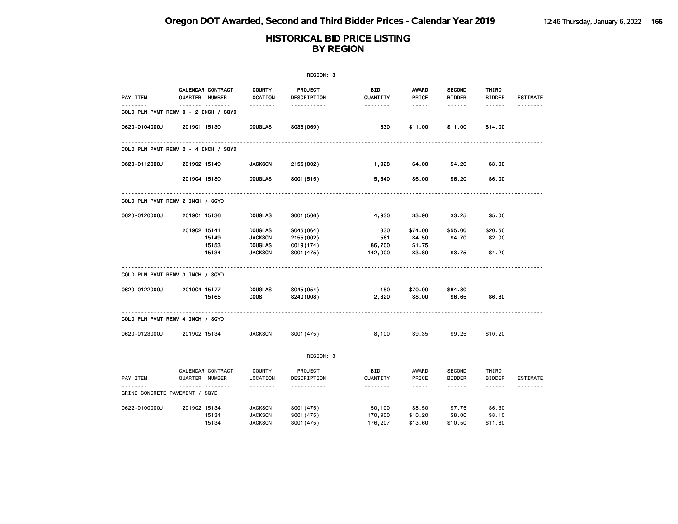|                                |                                                          |                                  | REGION: 3                     |                        |                                                                                                               |                                |                               |                      |
|--------------------------------|----------------------------------------------------------|----------------------------------|-------------------------------|------------------------|---------------------------------------------------------------------------------------------------------------|--------------------------------|-------------------------------|----------------------|
| PAY ITEM<br><u>.</u>           | CALENDAR CONTRACT<br>QUARTER NUMBER                      | <b>COUNTY</b><br>LOCATION        | <b>PROJECT</b><br>DESCRIPTION | <b>BID</b><br>QUANTITY | <b>AWARD</b><br>PRICE                                                                                         | <b>SECOND</b><br><b>BIDDER</b> | <b>THIRD</b><br><b>BIDDER</b> | <b>ESTIMATE</b><br>. |
|                                | ------- --------<br>COLD PLN PVMT REMV 0 - 2 INCH / SQYD | <u>.</u>                         | -----------                   | <u>.</u>               | $\frac{1}{2} \frac{1}{2} \frac{1}{2} \frac{1}{2} \frac{1}{2} \frac{1}{2} \frac{1}{2} \frac{1}{2} \frac{1}{2}$ | ------                         | ------                        |                      |
| 0620-0104000J                  | 201901 15130                                             | <b>DOUGLAS</b>                   | S035(069)                     | 830                    | \$11.00                                                                                                       | \$11.00                        | \$14.00                       |                      |
|                                | COLD PLN PVMT REMV 2 - 4 INCH / SQYD                     |                                  |                               |                        |                                                                                                               |                                |                               |                      |
| 0620-0112000J                  | 201902 15149                                             | <b>JACKSON</b>                   | 2155 (002)                    | 1,928                  | \$4.00                                                                                                        | \$4.20                         | \$3.00                        |                      |
|                                | 201904 15180                                             | <b>DOUGLAS</b>                   | S001 (515)                    | 5,540                  | \$6.00                                                                                                        | \$6.20                         | \$6.00                        |                      |
|                                | COLD PLN PVMT REMV 2 INCH / SQYD                         |                                  |                               |                        |                                                                                                               |                                |                               |                      |
| 0620-0120000J                  | 201901 15136                                             | <b>DOUGLAS</b>                   | S001 (506)                    | 4,930                  | \$3.90                                                                                                        | \$3.25                         | \$5.00                        |                      |
|                                | 201902 15141                                             | <b>DOUGLAS</b>                   | S045(064)                     | 330                    | \$74.00                                                                                                       | \$55.00                        | \$20.50                       |                      |
|                                | 15149                                                    | <b>JACKSON</b>                   | 2155 (002)                    | 561                    | \$4.50                                                                                                        | \$4.70                         | \$2.00                        |                      |
|                                | 15153                                                    | <b>DOUGLAS</b>                   | C019(174)                     | 86,700                 | \$1.75                                                                                                        |                                |                               |                      |
|                                | 15134                                                    | <b>JACKSON</b>                   | S001 (475)                    | 142,000                | \$3.80                                                                                                        | \$3.75                         | \$4.20                        |                      |
|                                | COLD PLN PVMT REMV 3 INCH / SQYD                         |                                  |                               |                        |                                                                                                               |                                |                               |                      |
| 0620-0122000J                  | 201904 15177                                             | <b>DOUGLAS</b>                   | S045(054)                     | 150                    | \$70.00                                                                                                       | \$84.80                        |                               |                      |
|                                | 15165                                                    | <b>COOS</b>                      | S240(008)                     | 2,320                  | \$8.00                                                                                                        | \$6.65                         | \$6.80                        |                      |
|                                | COLD PLN PVMT REMV 4 INCH / SQYD                         | .                                |                               |                        |                                                                                                               |                                |                               |                      |
| 0620-0123000J                  | 201902 15134                                             | <b>JACKSON</b>                   | S001 (475)                    | 8,100                  | \$9.35                                                                                                        | \$9.25                         | \$10.20                       |                      |
|                                |                                                          |                                  | REGION: 3                     |                        |                                                                                                               |                                |                               |                      |
| PAY ITEM                       | CALENDAR CONTRACT<br>QUARTER NUMBER                      | <b>COUNTY</b><br>LOCATION        | PROJECT<br>DESCRIPTION        | <b>BID</b><br>QUANTITY | AWARD<br>PRICE                                                                                                | <b>SECOND</b><br><b>BIDDER</b> | THIRD<br><b>BIDDER</b>        | <b>ESTIMATE</b>      |
| GRIND CONCRETE PAVEMENT / SQYD | .                                                        | .                                | <u>.</u>                      | .                      | $\frac{1}{2}$                                                                                                 | ------                         | $- - - - - -$                 | . <b>.</b>           |
|                                |                                                          |                                  |                               |                        |                                                                                                               |                                |                               |                      |
| 0622-0100000J                  | 201902 15134                                             | <b>JACKSON</b>                   | S001 (475)                    | 50,100                 | \$8.50                                                                                                        | \$7.75                         | \$6.30                        |                      |
|                                | 15134<br>15134                                           | <b>JACKSON</b><br><b>JACKSON</b> | S001 (475)<br>S001 (475)      | 170,900<br>176,207     | \$10.20<br>\$13.60                                                                                            | \$8.00<br>\$10.50              | \$8.10<br>\$11.80             |                      |
|                                |                                                          |                                  |                               |                        |                                                                                                               |                                |                               |                      |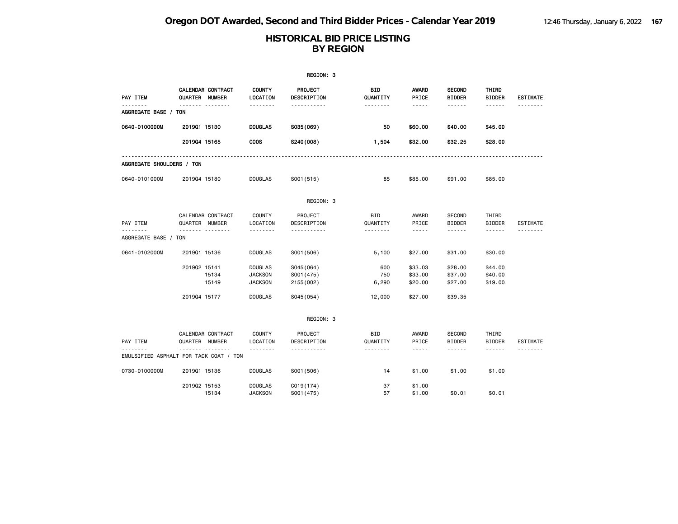|                                        |                |                   |                                                    | REGION: 3                             |                      |                                                                                                                                                                        |                                                 |                                                                                                                                                                                                                                                                                                                                                                                                                                                                                                      |                 |
|----------------------------------------|----------------|-------------------|----------------------------------------------------|---------------------------------------|----------------------|------------------------------------------------------------------------------------------------------------------------------------------------------------------------|-------------------------------------------------|------------------------------------------------------------------------------------------------------------------------------------------------------------------------------------------------------------------------------------------------------------------------------------------------------------------------------------------------------------------------------------------------------------------------------------------------------------------------------------------------------|-----------------|
| PAY ITEM<br>.                          | QUARTER NUMBER | CALENDAR CONTRACT | <b>COUNTY</b><br>LOCATION                          | <b>PROJECT</b><br>DESCRIPTION         | BID<br>QUANTITY      | AWARD<br>PRICE                                                                                                                                                         | <b>SECOND</b><br><b>BIDDER</b>                  | THIRD<br><b>BIDDER</b>                                                                                                                                                                                                                                                                                                                                                                                                                                                                               | <b>ESTIMATE</b> |
| AGGREGATE BASE / TON                   |                | <u> </u>          | .                                                  | .                                     | <u>.</u>             | -----                                                                                                                                                                  | .                                               | ------                                                                                                                                                                                                                                                                                                                                                                                                                                                                                               |                 |
| 0640-0100000M                          | 2019Q1 15130   |                   | <b>DOUGLAS</b>                                     | S035(069)                             | 50                   | \$60.00                                                                                                                                                                | \$40.00                                         | \$45.00                                                                                                                                                                                                                                                                                                                                                                                                                                                                                              |                 |
|                                        | 201904 15165   |                   | <b>COOS</b>                                        | S240(008)                             | 1,504                | \$32.00                                                                                                                                                                | \$32.25                                         | \$28.00                                                                                                                                                                                                                                                                                                                                                                                                                                                                                              |                 |
| AGGREGATE SHOULDERS / TON              |                |                   |                                                    |                                       |                      |                                                                                                                                                                        |                                                 |                                                                                                                                                                                                                                                                                                                                                                                                                                                                                                      |                 |
| 0640-0101000M                          | 201904 15180   |                   | <b>DOUGLAS</b>                                     | S001(515)                             | 85                   | \$85,00                                                                                                                                                                | \$91,00                                         | \$85,00                                                                                                                                                                                                                                                                                                                                                                                                                                                                                              |                 |
|                                        |                |                   |                                                    | REGION: 3                             |                      |                                                                                                                                                                        |                                                 |                                                                                                                                                                                                                                                                                                                                                                                                                                                                                                      |                 |
| PAY ITEM                               | QUARTER NUMBER | CALENDAR CONTRACT | <b>COUNTY</b><br>LOCATION                          | PROJECT<br>DESCRIPTION                | BID<br>QUANTITY      | AWARD<br>PRICE                                                                                                                                                         | <b>SECOND</b><br><b>BIDDER</b>                  | THIRD<br><b>BIDDER</b>                                                                                                                                                                                                                                                                                                                                                                                                                                                                               | <b>ESTIMATE</b> |
| AGGREGATE BASE / TON                   |                | .                 |                                                    | .                                     | .                    | $\cdots$                                                                                                                                                               | ------                                          | ------                                                                                                                                                                                                                                                                                                                                                                                                                                                                                               |                 |
| 0641-0102000M                          | 201901 15136   |                   | <b>DOUGLAS</b>                                     | S001 (506)                            | 5,100                | \$27.00                                                                                                                                                                | \$31.00                                         | \$30.00                                                                                                                                                                                                                                                                                                                                                                                                                                                                                              |                 |
|                                        | 201902 15141   | 15134<br>15149    | <b>DOUGLAS</b><br><b>JACKSON</b><br><b>JACKSON</b> | S045(064)<br>S001 (475)<br>2155 (002) | 600<br>750<br>6,290  | \$33.03<br>\$33.00<br>\$20.00                                                                                                                                          | \$28.00<br>\$37.00<br>\$27.00                   | \$44.00<br>\$40.00<br>\$19.00                                                                                                                                                                                                                                                                                                                                                                                                                                                                        |                 |
|                                        | 201904 15177   |                   | <b>DOUGLAS</b>                                     | S045 (054)                            | 12,000               | \$27.00                                                                                                                                                                | \$39.35                                         |                                                                                                                                                                                                                                                                                                                                                                                                                                                                                                      |                 |
|                                        |                |                   |                                                    | REGION: 3                             |                      |                                                                                                                                                                        |                                                 |                                                                                                                                                                                                                                                                                                                                                                                                                                                                                                      |                 |
| PAY ITEM                               | QUARTER NUMBER | CALENDAR CONTRACT | <b>COUNTY</b><br>LOCATION                          | PROJECT<br>DESCRIPTION<br><u>.</u>    | BID<br>QUANTITY<br>. | AWARD<br>PRICE<br>$\frac{1}{2} \left( \frac{1}{2} \right) \left( \frac{1}{2} \right) \left( \frac{1}{2} \right) \left( \frac{1}{2} \right) \left( \frac{1}{2} \right)$ | <b>SECOND</b><br><b>BIDDER</b><br>$- - - - - -$ | THIRD<br><b>BIDDER</b><br>$\frac{1}{2} \left( \frac{1}{2} \right) \left( \frac{1}{2} \right) \left( \frac{1}{2} \right) \left( \frac{1}{2} \right) \left( \frac{1}{2} \right) \left( \frac{1}{2} \right) \left( \frac{1}{2} \right) \left( \frac{1}{2} \right) \left( \frac{1}{2} \right) \left( \frac{1}{2} \right) \left( \frac{1}{2} \right) \left( \frac{1}{2} \right) \left( \frac{1}{2} \right) \left( \frac{1}{2} \right) \left( \frac{1}{2} \right) \left( \frac{1}{2} \right) \left( \frac$ | <b>ESTIMATE</b> |
| EMULSIFIED ASPHALT FOR TACK COAT / TON |                |                   |                                                    |                                       |                      |                                                                                                                                                                        |                                                 |                                                                                                                                                                                                                                                                                                                                                                                                                                                                                                      |                 |
| 0730-0100000M                          | 201901 15136   |                   | <b>DOUGLAS</b>                                     | S001 (506)                            | 14                   | \$1.00                                                                                                                                                                 | \$1.00                                          | \$1.00                                                                                                                                                                                                                                                                                                                                                                                                                                                                                               |                 |
|                                        | 201902 15153   | 15134             | <b>DOUGLAS</b><br><b>JACKSON</b>                   | C019(174)<br>S001 (475)               | 37<br>57             | \$1.00<br>\$1.00                                                                                                                                                       | \$0.01                                          | \$0.01                                                                                                                                                                                                                                                                                                                                                                                                                                                                                               |                 |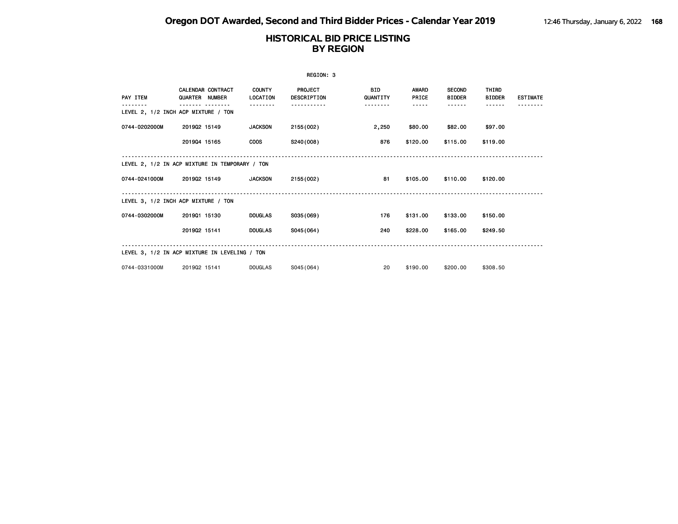| REGION: 3                                      |                                            |  |                           |                                      |                        |                |                                |                               |                 |  |  |
|------------------------------------------------|--------------------------------------------|--|---------------------------|--------------------------------------|------------------------|----------------|--------------------------------|-------------------------------|-----------------|--|--|
| PAY ITEM                                       | <b>CALENDAR CONTRACT</b><br>QUARTER NUMBER |  | <b>COUNTY</b><br>LOCATION | <b>PROJECT</b><br><b>DESCRIPTION</b> | <b>BID</b><br>QUANTITY | AWARD<br>PRICE | <b>SECOND</b><br><b>BIDDER</b> | <b>THIRD</b><br><b>BIDDER</b> | <b>ESTIMATE</b> |  |  |
| LEVEL 2, 1/2 INCH ACP MIXTURE / TON            |                                            |  |                           |                                      | .                      | -----          | .                              | ------                        |                 |  |  |
| 0744-0202000M                                  | 201902 15149                               |  | <b>JACKSON</b>            | 2155 (002)                           | 2,250                  | \$80.00        | \$82.00                        | \$97.00                       |                 |  |  |
|                                                | 201904 15165                               |  | <b>COOS</b>               | S240(008)                            | 876                    | \$120.00       | \$115.00                       | \$119.00                      |                 |  |  |
| LEVEL 2, 1/2 IN ACP MIXTURE IN TEMPORARY / TON |                                            |  |                           |                                      |                        |                |                                |                               |                 |  |  |
| 0744-0241000M                                  | 201902 15149                               |  | <b>JACKSON</b>            | 2155 (002)                           | 81                     | \$105.00       | \$110.00                       | \$120.00                      |                 |  |  |
| LEVEL 3, 1/2 INCH ACP MIXTURE / TON            |                                            |  |                           |                                      |                        |                |                                |                               |                 |  |  |
| 0744-0302000M                                  | 201901 15130                               |  | <b>DOUGLAS</b>            | S035(069)                            | 176                    | \$131.00       | \$133.00                       | \$150.00                      |                 |  |  |
|                                                | 201902 15141                               |  | <b>DOUGLAS</b>            | S045(064)                            | 240                    | \$228.00       | \$165.00                       | \$249.50                      |                 |  |  |
| LEVEL 3, 1/2 IN ACP MIXTURE IN LEVELING / TON  |                                            |  |                           |                                      |                        |                |                                |                               |                 |  |  |
| 0744-0331000M                                  | 201902 15141                               |  | <b>DOUGLAS</b>            | S045(064)                            | 20                     | \$190.00       | \$200.00                       | \$308.50                      |                 |  |  |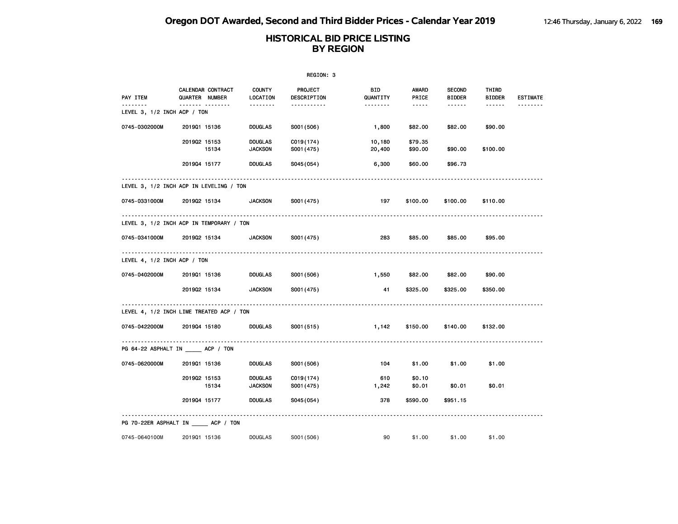|                                 |                                          |                                  | REGION: 3               |                  |                                                                                                               |                                |                        |                 |
|---------------------------------|------------------------------------------|----------------------------------|-------------------------|------------------|---------------------------------------------------------------------------------------------------------------|--------------------------------|------------------------|-----------------|
| PAY ITEM                        | CALENDAR CONTRACT<br>QUARTER NUMBER      | <b>COUNTY</b><br>LOCATION        | PROJECT<br>DESCRIPTION  | BID<br>QUANTITY  | AWARD<br>PRICE                                                                                                | <b>SECOND</b><br><b>BIDDER</b> | THIRD<br><b>BIDDER</b> | <b>ESTIMATE</b> |
| LEVEL 3, $1/2$ INCH ACP $/$ TON |                                          |                                  | <u>.</u>                |                  | $\frac{1}{2} \frac{1}{2} \frac{1}{2} \frac{1}{2} \frac{1}{2} \frac{1}{2} \frac{1}{2} \frac{1}{2} \frac{1}{2}$ | ------                         |                        |                 |
| 0745-0302000M                   | 201901 15136                             | <b>DOUGLAS</b>                   | S001 (506)              | 1,800            | \$82.00                                                                                                       | \$82.00                        | \$90.00                |                 |
|                                 | 201902 15153<br>15134                    | <b>DOUGLAS</b><br><b>JACKSON</b> | C019(174)<br>S001 (475) | 10,180<br>20,400 | \$79.35<br>\$90.00                                                                                            | \$90.00                        | \$100.00               |                 |
|                                 | 201904 15177                             | <b>DOUGLAS</b>                   | S045 (054)              | 6,300            | \$60.00                                                                                                       | \$96.73                        |                        |                 |
|                                 | LEVEL 3, 1/2 INCH ACP IN LEVELING / TON  |                                  |                         |                  |                                                                                                               |                                |                        |                 |
| 0745-0331000M                   | 201902 15134                             | <b>JACKSON</b>                   | S001 (475)              | 197              | \$100.00                                                                                                      | \$100.00                       | \$110.00               |                 |
|                                 | LEVEL 3, 1/2 INCH ACP IN TEMPORARY / TON |                                  |                         |                  |                                                                                                               |                                |                        |                 |
| 0745-0341000M                   | 201902 15134                             | <b>JACKSON</b>                   | S001 (475)              | 283              | \$85.00                                                                                                       | \$85.00                        | \$95.00                |                 |
| LEVEL 4, $1/2$ INCH ACP $/$ TON |                                          |                                  |                         |                  |                                                                                                               |                                |                        |                 |
| 0745-0402000M                   | 201901 15136                             | <b>DOUGLAS</b>                   | S001 (506)              | 1,550            | \$82.00                                                                                                       | \$82.00                        | \$90.00                |                 |
|                                 | 201902 15134                             | <b>JACKSON</b>                   | S001 (475)              | 41               | \$325.00                                                                                                      | \$325.00                       | \$350.00               |                 |
|                                 | LEVEL 4, 1/2 INCH LIME TREATED ACP / TON |                                  |                         |                  |                                                                                                               |                                |                        |                 |
| 0745-0422000M                   | 201904 15180                             | <b>DOUGLAS</b>                   | S001 (515)              | 1,142            | \$150.00                                                                                                      | \$140.00                       | \$132.00               |                 |
|                                 | PG 64-22 ASPHALT IN _____ ACP / TON      |                                  |                         |                  |                                                                                                               |                                |                        |                 |
| 0745-0620000M                   | 201901 15136                             | <b>DOUGLAS</b>                   | S001 (506)              | 104              | \$1.00                                                                                                        | \$1.00                         | \$1.00                 |                 |
|                                 | 201902 15153<br>15134                    | <b>DOUGLAS</b><br><b>JACKSON</b> | C019(174)<br>S001 (475) | 610<br>1,242     | \$0.10<br>\$0.01                                                                                              | \$0.01                         | \$0.01                 |                 |
|                                 | 201904 15177                             | <b>DOUGLAS</b>                   | S045(054)               | 378              | \$590.00                                                                                                      | \$951.15                       |                        |                 |
|                                 | PG 70-22ER ASPHALT IN _____ ACP / TON    |                                  |                         |                  |                                                                                                               |                                |                        |                 |
| 0745-0640100M                   | 201901 15136                             | <b>DOUGLAS</b>                   | S001 (506)              | 90               | \$1.00                                                                                                        | \$1.00                         | \$1.00                 |                 |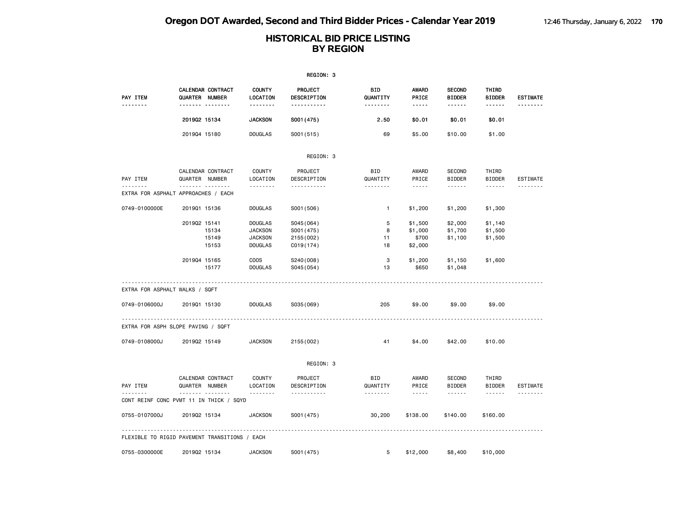|                                               |                |                                     |                                                                      | REGION: 3                                           |                             |                                                                                                                                                         |                                          |                                         |                 |
|-----------------------------------------------|----------------|-------------------------------------|----------------------------------------------------------------------|-----------------------------------------------------|-----------------------------|---------------------------------------------------------------------------------------------------------------------------------------------------------|------------------------------------------|-----------------------------------------|-----------------|
| <b>PAY ITEM</b>                               | QUARTER NUMBER | CALENDAR CONTRACT<br>.              | <b>COUNTY</b><br>LOCATION<br><u>.</u>                                | <b>PROJECT</b><br>DESCRIPTION<br><u></u>            | BID<br>QUANTITY<br>-------- | AWARD<br>PRICE<br>-----                                                                                                                                 | <b>SECOND</b><br><b>BIDDER</b><br>------ | THIRD<br><b>BIDDER</b><br>------        | <b>ESTIMATE</b> |
|                                               | 201902 15134   |                                     | <b>JACKSON</b>                                                       | S001 (475)                                          | 2.50                        | \$0.01                                                                                                                                                  | \$0.01                                   | \$0.01                                  |                 |
|                                               | 201904 15180   |                                     | <b>DOUGLAS</b>                                                       | S001 (515)                                          | 69                          | \$5.00                                                                                                                                                  | \$10.00                                  | \$1.00                                  |                 |
|                                               |                |                                     |                                                                      | REGION: 3                                           |                             |                                                                                                                                                         |                                          |                                         |                 |
| PAY ITEM                                      | QUARTER NUMBER | CALENDAR CONTRACT                   | <b>COUNTY</b><br>LOCATION                                            | PROJECT<br>DESCRIPTION                              | <b>BID</b><br>QUANTITY      | AWARD<br>PRICE                                                                                                                                          | <b>SECOND</b><br><b>BIDDER</b>           | THIRD<br><b>BIDDER</b>                  | ESTIMATE        |
| .<br>EXTRA FOR ASPHALT APPROACHES / EACH      |                | .                                   | .                                                                    | -----------                                         | .                           | $- - - -$                                                                                                                                               | .                                        | ------                                  | <u>.</u>        |
| 0749-0100000E                                 | 201901 15136   |                                     | <b>DOUGLAS</b>                                                       | S001 (506)                                          | $\mathbf{1}$                | \$1,200                                                                                                                                                 | \$1,200                                  | \$1,300                                 |                 |
|                                               | 201902 15141   | 15134<br>15149<br>15153             | <b>DOUGLAS</b><br><b>JACKSON</b><br><b>JACKSON</b><br><b>DOUGLAS</b> | S045 (064)<br>S001 (475)<br>2155 (002)<br>C019(174) | 5<br>8<br>11<br>18          | \$1,500<br>\$1,000<br>\$700<br>\$2,000                                                                                                                  | \$2,000<br>\$1,700<br>\$1,100            | \$1,140<br>\$1,500<br>\$1,500           |                 |
|                                               | 201904 15165   | 15177                               | <b>COOS</b><br><b>DOUGLAS</b>                                        | S240(008)<br>S045 (054)                             | 3<br>13                     | \$1,200<br>\$650                                                                                                                                        | \$1,150<br>\$1,048                       | \$1,600                                 |                 |
| EXTRA FOR ASPHALT WALKS / SQFT                |                |                                     |                                                                      |                                                     |                             |                                                                                                                                                         |                                          |                                         |                 |
| 0749-0106000J                                 | 201901 15130   |                                     | <b>DOUGLAS</b>                                                       | S035 (069)                                          | 205                         | \$9.00                                                                                                                                                  | \$9.00                                   | \$9.00                                  |                 |
| EXTRA FOR ASPH SLOPE PAVING / SQFT            |                |                                     |                                                                      |                                                     |                             |                                                                                                                                                         |                                          |                                         |                 |
| 0749-0108000J                                 | 201902 15149   |                                     | <b>JACKSON</b>                                                       | 2155 (002)                                          | 41                          | \$4.00                                                                                                                                                  | \$42.00                                  | \$10.00                                 |                 |
|                                               |                |                                     |                                                                      | REGION: 3                                           |                             |                                                                                                                                                         |                                          |                                         |                 |
| PAY ITEM                                      | QUARTER NUMBER | CALENDAR CONTRACT<br>. <sub>.</sub> | <b>COUNTY</b><br>LOCATION<br>.                                       | PROJECT<br>DESCRIPTION<br>-----------               | <b>BID</b><br>QUANTITY<br>. | AWARD<br>PRICE<br>$\frac{1}{2} \frac{1}{2} \frac{1}{2} \frac{1}{2} \frac{1}{2} \frac{1}{2} \frac{1}{2} \frac{1}{2} \frac{1}{2} \frac{1}{2} \frac{1}{2}$ | <b>SECOND</b><br><b>BIDDER</b><br>------ | THIRD<br><b>BIDDER</b><br>$- - - - - -$ | ESTIMATE<br>.   |
| CONT REINF CONC PVMT 11 IN THICK / SQYD       |                |                                     |                                                                      |                                                     |                             |                                                                                                                                                         |                                          |                                         |                 |
| 0755-0107000J                                 | 201902 15134   |                                     | <b>JACKSON</b>                                                       | S001 (475)                                          | 30,200                      | \$138.00                                                                                                                                                | \$140.00                                 | \$160.00                                |                 |
| FLEXIBLE TO RIGID PAVEMENT TRANSITIONS / EACH |                |                                     |                                                                      |                                                     |                             |                                                                                                                                                         |                                          |                                         |                 |
| 0755-0300000E                                 | 201902 15134   |                                     | <b>JACKSON</b>                                                       | S001 (475)                                          | 5                           | \$12,000                                                                                                                                                | \$8,400                                  | \$10,000                                |                 |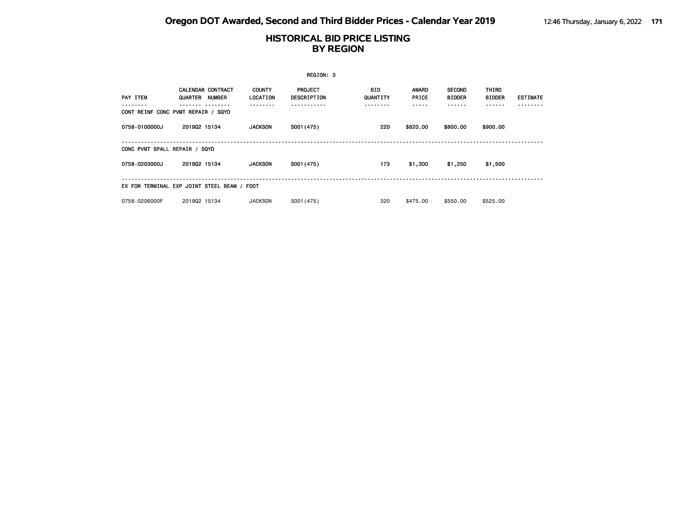|                               |                                                                                     |                           | REGION: 3                            |                               |                |                                        |                        |                 |
|-------------------------------|-------------------------------------------------------------------------------------|---------------------------|--------------------------------------|-------------------------------|----------------|----------------------------------------|------------------------|-----------------|
| <b>PAY ITEM</b>               | <b>CALENDAR CONTRACT</b><br>QUARTER<br>NUMBER<br>CONT REINF CONC PVMT REPAIR / SQYD | <b>COUNTY</b><br>LOCATION | <b>PROJECT</b><br><b>DESCRIPTION</b> | BID.<br>QUANTITY<br>- - - - - | AWARD<br>PRICE | <b>SECOND</b><br><b>BIDDER</b><br>---- | THIRD<br><b>BIDDER</b> | <b>ESTIMATE</b> |
| 0758-0100000J                 | 201902 15134                                                                        | <b>JACKSON</b>            | S001 (475)                           | 220                           | \$820,00       | \$800.00                               | \$900.00               |                 |
| CONC PVMT SPALL REPAIR / SQYD |                                                                                     |                           |                                      |                               |                |                                        |                        |                 |
| 0758-0203000J                 | 201902 15134                                                                        | <b>JACKSON</b>            | S001 (475)                           | 173                           | \$1,300        | \$1,250                                | \$1,500                |                 |
|                               | EX FOR TERMINAL EXP JOINT STEEL BEAM / FOOT                                         |                           |                                      |                               |                |                                        |                        |                 |
| 0758-0206000F                 | 201902 15134                                                                        | <b>JACKSON</b>            | S001 (475)                           | 320                           | \$475,00       | \$550.00                               | \$525.00               |                 |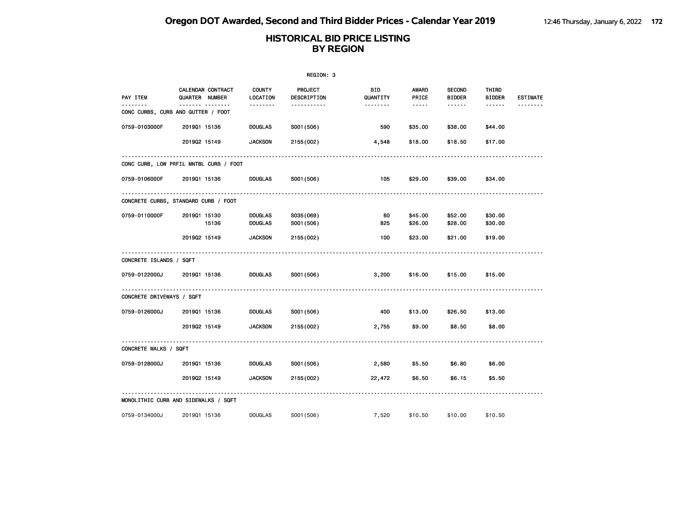|                                         |                                            |                                  | REGION: 3                     |                       |                        |                                |                        |                 |
|-----------------------------------------|--------------------------------------------|----------------------------------|-------------------------------|-----------------------|------------------------|--------------------------------|------------------------|-----------------|
| PAY ITEM                                | <b>CALENDAR CONTRACT</b><br>QUARTER NUMBER | <b>COUNTY</b><br>LOCATION        | <b>PROJECT</b><br>DESCRIPTION | BID<br>QUANTITY       | <b>AWARD</b><br>PRICE  | <b>SECOND</b><br><b>BIDDER</b> | THIRD<br><b>BIDDER</b> | <b>ESTIMATE</b> |
| .<br>CONC CURBS, CURB AND GUTTER / FOOT | ------- --------                           | <u>.</u>                         | -----------                   | <u> - - - - - - -</u> | $\cdots \cdots \cdots$ | ------                         | ------                 | <u>.</u>        |
| 0759-0103000F                           | 201901 15136                               | <b>DOUGLAS</b>                   | S001 (506)                    | 590                   | \$35.00                | \$38.00                        | \$44.00                |                 |
|                                         | 201902 15149                               | <b>JACKSON</b>                   | 2155 (002)                    | 4,548                 | \$18.00                | \$18.50                        | \$17.00                |                 |
|                                         | CONC CURB, LOW PRFIL MNTBL CURB / FOOT     |                                  |                               |                       |                        |                                |                        |                 |
| 0759-0106000F                           | 201901 15136                               | DOUGLAS                          | S001 (506)                    | 105                   | \$29.00                | \$39.00                        | \$34.00                |                 |
|                                         | CONCRETE CURBS, STANDARD CURB / FOOT       |                                  |                               |                       |                        |                                |                        |                 |
| 0759-0110000F                           | 201901 15130<br>15136                      | <b>DOUGLAS</b><br><b>DOUGLAS</b> | S035(069)<br>S001 (506)       | 60<br>825             | \$45.00<br>\$26.00     | \$52.00<br>\$28.00             | \$30.00<br>\$30.00     |                 |
|                                         | 201902 15149                               | <b>JACKSON</b>                   | 2155 (002)                    | 100                   | \$23.00                | \$21.00                        | \$19.00                |                 |
| CONCRETE ISLANDS / SQFT                 |                                            |                                  |                               |                       |                        |                                |                        |                 |
| 0759-0122000J                           | 201901 15136                               | DOUGLAS                          | S001 (506)                    | 3,200                 | \$16.00                | \$15.00                        | \$15.00                |                 |
| CONCRETE DRIVEWAYS / SQFT               |                                            |                                  |                               |                       |                        |                                |                        |                 |
| 0759-0126000J                           | 201901 15136                               | DOUGLAS                          | S001 (506)                    | 400                   | \$13.00                | \$26.50                        | \$13.00                |                 |
|                                         | 201902 15149                               | <b>JACKSON</b>                   | 2155 (002)                    | 2,755                 | \$9.00                 | \$8.50                         | \$8.00                 |                 |
| CONCRETE WALKS / SQFT                   |                                            |                                  |                               |                       |                        |                                |                        |                 |
| 0759-0128000J                           | 201901 15136                               | <b>DOUGLAS</b>                   | S001 (506)                    | 2,580                 | \$5.50                 | \$6.80                         | \$6.00                 |                 |
|                                         | 201902 15149                               | <b>JACKSON</b>                   | 2155 (002)                    | 22,472                | \$6.50                 | \$6.15                         | \$5.50                 |                 |
|                                         | MONOLITHIC CURB AND SIDEWALKS / SQFT       |                                  |                               |                       |                        |                                |                        |                 |
| 0759-0134000J                           | 201901 15136                               | DOUGLAS                          | S001 (506)                    | 7,520                 | \$10.50                | \$10.00                        | \$10.50                |                 |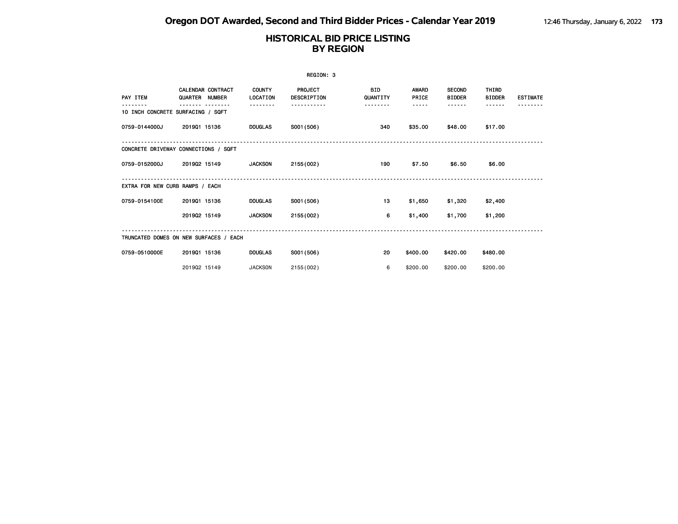|                                   |                                            |                           | REGION: 3                     |                        |                       |                                |                               |                 |
|-----------------------------------|--------------------------------------------|---------------------------|-------------------------------|------------------------|-----------------------|--------------------------------|-------------------------------|-----------------|
| PAY ITEM                          | <b>CALENDAR CONTRACT</b><br>QUARTER NUMBER | <b>COUNTY</b><br>LOCATION | <b>PROJECT</b><br>DESCRIPTION | <b>BID</b><br>QUANTITY | <b>AWARD</b><br>PRICE | <b>SECOND</b><br><b>BIDDER</b> | <b>THIRD</b><br><b>BIDDER</b> | <b>ESTIMATE</b> |
| 10 INCH CONCRETE SURFACING / SQFT |                                            | <u>.</u>                  |                               | --------               | -----                 | ------                         | - - - - - -                   |                 |
| 0759-0144000J                     | 201901 15136                               | <b>DOUGLAS</b>            | S001 (506)                    | 340                    | \$35.00               | \$48.00                        | \$17.00                       |                 |
|                                   | CONCRETE DRIVEWAY CONNECTIONS / SQFT       |                           |                               |                        |                       |                                |                               |                 |
| 0759-0152000J                     | 201902 15149                               | <b>JACKSON</b>            | 2155 (002)                    | 190                    | \$7.50                | \$6.50                         | \$6.00                        |                 |
| EXTRA FOR NEW CURB RAMPS / EACH   |                                            |                           |                               |                        |                       |                                |                               |                 |
| 0759-0154100E                     | 201901 15136                               | <b>DOUGLAS</b>            | S001 (506)                    | 13                     | \$1,650               | \$1,320                        | \$2,400                       |                 |
|                                   | 201902 15149                               | <b>JACKSON</b>            | 2155 (002)                    | 6                      | \$1,400               | \$1,700                        | \$1,200                       |                 |
|                                   | TRUNCATED DOMES ON NEW SURFACES / EACH     |                           |                               |                        |                       |                                |                               |                 |
| 0759-0510000E                     | 201901 15136                               | <b>DOUGLAS</b>            | S001 (506)                    | 20                     | \$400.00              | \$420.00                       | \$480.00                      |                 |
|                                   | 201902 15149                               | <b>JACKSON</b>            | 2155 (002)                    | 6                      | \$200,00              | \$200.00                       | \$200.00                      |                 |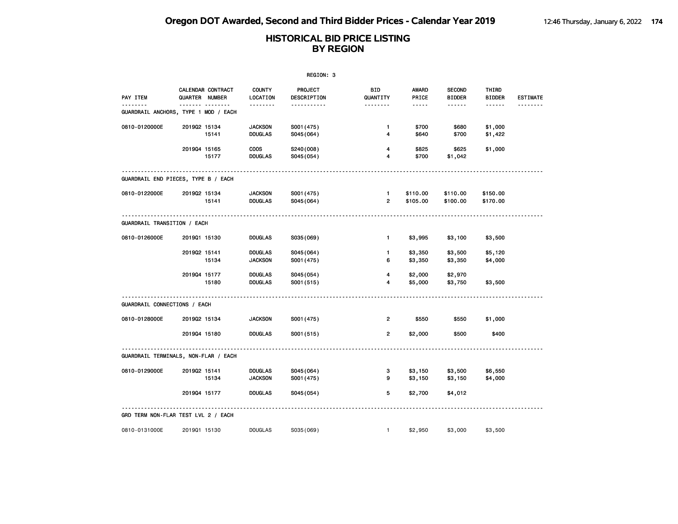|                                           |                |                   |                                  | REGION: 3               |                                |                      |                                |                        |                      |
|-------------------------------------------|----------------|-------------------|----------------------------------|-------------------------|--------------------------------|----------------------|--------------------------------|------------------------|----------------------|
| PAY ITEM                                  | QUARTER NUMBER | CALENDAR CONTRACT | <b>COUNTY</b><br>LOCATION        | PROJECT<br>DESCRIPTION  | BID<br>QUANTITY                | AWARD<br>PRICE       | <b>SECOND</b><br><b>BIDDER</b> | THIRD<br><b>BIDDER</b> | <b>ESTIMATE</b><br>. |
| .<br>GUARDRAIL ANCHORS, TYPE 1 MOD / EACH |                |                   | <u>.</u>                         | .                       | <u> - - - - - - -</u>          | -----                | ------                         | ------                 |                      |
| 0810-0120000E                             | 201902 15134   | 15141             | <b>JACKSON</b><br><b>DOUGLAS</b> | S001 (475)<br>S045(064) | 1<br>4                         | \$700<br>\$640       | \$680<br>\$700                 | \$1,000<br>\$1,422     |                      |
|                                           | 201904 15165   | 15177             | <b>COOS</b><br><b>DOUGLAS</b>    | S240(008)<br>S045(054)  | 4<br>4                         | \$825<br>\$700       | \$625<br>\$1,042               | \$1,000                |                      |
| GUARDRAIL END PIECES, TYPE B / EACH       |                |                   |                                  |                         |                                |                      |                                |                        |                      |
| 0810-0122000E                             | 201902 15134   | 15141             | <b>JACKSON</b><br><b>DOUGLAS</b> | S001 (475)<br>S045(064) | $\mathbf{1}$<br>$\overline{2}$ | \$110.00<br>\$105.00 | \$110.00<br>\$100.00           | \$150.00<br>\$170.00   |                      |
| <b>GUARDRAIL TRANSITION / EACH</b>        |                |                   |                                  |                         |                                |                      |                                |                        |                      |
| 0810-0126000E                             | 201901 15130   |                   | <b>DOUGLAS</b>                   | S035(069)               | $\mathbf{1}$                   | \$3,995              | \$3,100                        | \$3,500                |                      |
|                                           | 201902 15141   | 15134             | <b>DOUGLAS</b><br><b>JACKSON</b> | S045(064)<br>S001 (475) | 1.<br>6                        | \$3,350<br>\$3,350   | \$3,500<br>\$3,350             | \$5,120<br>\$4,000     |                      |
|                                           | 201904 15177   | 15180             | <b>DOUGLAS</b><br><b>DOUGLAS</b> | S045(054)<br>S001 (515) | 4<br>4                         | \$2,000<br>\$5,000   | \$2,970<br>\$3,750             | \$3,500                |                      |
| GUARDRAIL CONNECTIONS / EACH              |                |                   |                                  |                         |                                |                      |                                |                        |                      |
| 0810-0128000E                             | 201902 15134   |                   | <b>JACKSON</b>                   | S001 (475)              | $\overline{2}$                 | \$550                | \$550                          | \$1,000                |                      |
|                                           | 201904 15180   |                   | <b>DOUGLAS</b>                   | S001 (515)              | $\overline{2}$                 | \$2,000              | \$500                          | \$400                  |                      |
| GUARDRAIL TERMINALS, NON-FLAR / EACH      |                |                   |                                  |                         |                                |                      |                                |                        |                      |
| 0810-0129000E                             | 201902 15141   | 15134             | <b>DOUGLAS</b><br><b>JACKSON</b> | S045(064)<br>S001 (475) | 3<br>9                         | \$3,150<br>\$3,150   | \$3,500<br>\$3,150             | \$6,550<br>\$4,000     |                      |
|                                           | 201904 15177   |                   | <b>DOUGLAS</b>                   | S045(054)               | 5                              | \$2,700              | \$4,012                        |                        |                      |
| GRD TERM NON-FLAR TEST LVL 2 / EACH       |                |                   |                                  |                         |                                |                      |                                |                        |                      |
| 0810-0131000E                             | 201901 15130   |                   | <b>DOUGLAS</b>                   | S035(069)               | $\mathbf{1}$                   | \$2,950              | \$3,000                        | \$3,500                |                      |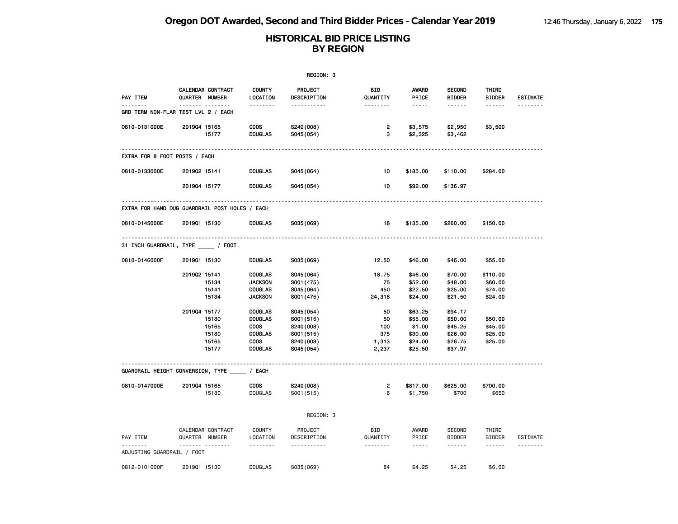|                                                 |                |                                           |                                                                                                    | REGION: 3                                                                     |                                          |                                                                                                                                                                        |                                                                |                                           |                             |
|-------------------------------------------------|----------------|-------------------------------------------|----------------------------------------------------------------------------------------------------|-------------------------------------------------------------------------------|------------------------------------------|------------------------------------------------------------------------------------------------------------------------------------------------------------------------|----------------------------------------------------------------|-------------------------------------------|-----------------------------|
| PAY ITEM                                        | QUARTER NUMBER | CALENDAR CONTRACT<br><u> </u>             | <b>COUNTY</b><br>LOCATION                                                                          | PROJECT<br>DESCRIPTION                                                        | BID<br>QUANTITY                          | <b>AWARD</b><br>PRICE                                                                                                                                                  | <b>SECOND</b><br><b>BIDDER</b>                                 | THIRD<br><b>BIDDER</b><br>$- - - - - -$   | <b>ESTIMATE</b>             |
| --------<br>GRD TERM NON-FLAR TEST LVL 2 / EACH |                |                                           | .                                                                                                  | -----------                                                                   | <u>.</u>                                 | $- - - - -$                                                                                                                                                            | ------                                                         |                                           | <u>.</u>                    |
| 0810-0131000E                                   | 201904 15165   | 15177                                     | <b>COOS</b><br><b>DOUGLAS</b>                                                                      | S240(008)<br>S045 (054)                                                       | $\overline{2}$<br>з                      | \$3,575<br>\$2,325                                                                                                                                                     | \$2,950<br>\$3,462                                             | \$3,500                                   |                             |
| EXTRA FOR 8 FOOT POSTS / EACH                   |                |                                           |                                                                                                    |                                                                               |                                          |                                                                                                                                                                        |                                                                |                                           |                             |
| 0810-0133000E                                   | 201902 15141   |                                           | <b>DOUGLAS</b>                                                                                     | S045(064)                                                                     | 10                                       | \$185.00                                                                                                                                                               | \$110.00                                                       | \$284.00                                  |                             |
|                                                 | 201904 15177   |                                           | <b>DOUGLAS</b>                                                                                     | S045 (054)                                                                    | 10                                       | \$92.00                                                                                                                                                                | \$136.97                                                       |                                           |                             |
| EXTRA FOR HAND DUG GUARDRAIL POST HOLES / EACH  |                |                                           |                                                                                                    |                                                                               |                                          |                                                                                                                                                                        |                                                                |                                           |                             |
| 0810-0145000E                                   | 201901 15130   |                                           | <b>DOUGLAS</b>                                                                                     | S035(069)                                                                     | 18                                       | \$135.00                                                                                                                                                               | \$260.00                                                       | \$150.00                                  |                             |
| 31 INCH GUARDRAIL, TYPE _____ / FOOT            |                |                                           |                                                                                                    |                                                                               |                                          |                                                                                                                                                                        |                                                                |                                           |                             |
| 0810-0146000F                                   | 201901 15130   |                                           | <b>DOUGLAS</b>                                                                                     | S035(069)                                                                     | 12.50                                    | \$46.00                                                                                                                                                                | \$46.00                                                        | \$55.00                                   |                             |
|                                                 | 201902 15141   | 15134<br>15141<br>15134                   | <b>DOUGLAS</b><br><b>JACKSON</b><br><b>DOUGLAS</b><br><b>JACKSON</b>                               | S045(064)<br>S001 (475)<br>S045(064)<br>S001 (475)                            | 18.75<br>75<br>450<br>24,318             | \$46.00<br>\$52.00<br>\$22.50<br>\$24.00                                                                                                                               | \$70.00<br>\$48.00<br>\$25.00<br>\$21.50                       | \$110.00<br>\$60.00<br>\$74.00<br>\$24.00 |                             |
|                                                 | 201904 15177   | 15180<br>15165<br>15180<br>15165<br>15177 | <b>DOUGLAS</b><br><b>DOUGLAS</b><br><b>COOS</b><br><b>DOUGLAS</b><br><b>COOS</b><br><b>DOUGLAS</b> | S045(054)<br>S001 (515)<br>S240(008)<br>S001 (515)<br>S240(008)<br>S045 (054) | 50<br>50<br>100<br>375<br>1,313<br>2,237 | \$63.25<br>\$55.00<br>\$1.00<br>\$30.00<br>\$24.00<br>\$25.50                                                                                                          | \$94.17<br>\$50.00<br>\$45.25<br>\$26.00<br>\$26.75<br>\$37.97 | \$50.00<br>\$45.00<br>\$25.00<br>\$25.00  |                             |
| GUARDRAIL HEIGHT CONVERSION, TYPE _____ / EACH  |                |                                           |                                                                                                    |                                                                               |                                          |                                                                                                                                                                        |                                                                |                                           |                             |
| 0810-0147000E                                   | 201904 15165   | 15180                                     | <b>COOS</b><br><b>DOUGLAS</b>                                                                      | S240(008)<br>S001(515)                                                        | $\overline{2}$<br>6                      | \$817.00<br>\$1,750                                                                                                                                                    | \$625.00<br>\$700                                              | \$700.00<br>\$650                         |                             |
|                                                 |                |                                           |                                                                                                    | REGION: 3                                                                     |                                          |                                                                                                                                                                        |                                                                |                                           |                             |
| PAY ITEM<br>--------                            | QUARTER NUMBER | CALENDAR CONTRACT<br><u>.</u>             | COUNTY<br>LOCATION<br><u>.</u>                                                                     | PROJECT<br>DESCRIPTION<br><u>.</u>                                            | <b>BID</b><br>QUANTITY<br>.              | AWARD<br>PRICE<br>$\frac{1}{2} \left( \frac{1}{2} \right) \left( \frac{1}{2} \right) \left( \frac{1}{2} \right) \left( \frac{1}{2} \right) \left( \frac{1}{2} \right)$ | SECOND<br><b>BIDDER</b><br>$- - - - - -$                       | THIRD<br><b>BIDDER</b><br>$- - - - - -$   | <b>ESTIMATE</b><br><u>.</u> |
| ADJUSTING GUARDRAIL / FOOT                      |                |                                           |                                                                                                    |                                                                               |                                          |                                                                                                                                                                        |                                                                |                                           |                             |
| 0812-0101000F                                   | 201901 15130   |                                           | <b>DOUGLAS</b>                                                                                     | S035 (069)                                                                    | 84                                       | \$4.25                                                                                                                                                                 | \$4.25                                                         | \$6.00                                    |                             |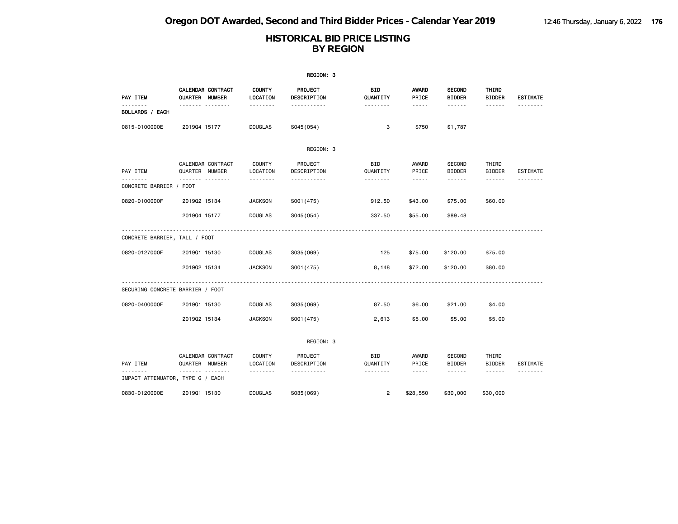|                                     |                |                   |                           | REGION: 3              |                 |                        |                                |                        |                 |
|-------------------------------------|----------------|-------------------|---------------------------|------------------------|-----------------|------------------------|--------------------------------|------------------------|-----------------|
| PAY ITEM                            | QUARTER NUMBER | CALENDAR CONTRACT | <b>COUNTY</b><br>LOCATION | PROJECT<br>DESCRIPTION | BID<br>QUANTITY | AWARD<br>PRICE         | <b>SECOND</b><br><b>BIDDER</b> | THIRD<br><b>BIDDER</b> | <b>ESTIMATE</b> |
| BOLLARDS / EACH                     |                | . <sub>.</sub>    | .                         | -----------            | --------        | $\cdots \cdots \cdots$ | ------                         | ------                 |                 |
| 0815-0100000E                       | 201904 15177   |                   | <b>DOUGLAS</b>            | S045 (054)             | 3               | \$750                  | \$1,787                        |                        |                 |
|                                     |                |                   |                           | REGION: 3              |                 |                        |                                |                        |                 |
| PAY ITEM                            | QUARTER NUMBER | CALENDAR CONTRACT | <b>COUNTY</b><br>LOCATION | PROJECT<br>DESCRIPTION | BID<br>QUANTITY | AWARD<br>PRICE         | <b>SECOND</b><br><b>BIDDER</b> | THIRD<br><b>BIDDER</b> | <b>ESTIMATE</b> |
| <u>.</u><br>CONCRETE BARRIER / FOOT |                |                   |                           | <u>.</u>               | .               | $- - - - -$            | ------                         | ------                 |                 |
| 0820-0100000F                       | 201902 15134   |                   | <b>JACKSON</b>            | S001 (475)             | 912.50          | \$43.00                | \$75.00                        | \$60.00                |                 |
|                                     | 201904 15177   |                   | <b>DOUGLAS</b>            | S045 (054)             | 337.50          | \$55.00                | \$89.48                        |                        |                 |
| CONCRETE BARRIER, TALL / FOOT       |                |                   |                           |                        |                 |                        |                                |                        |                 |
| 0820-0127000F                       | 201901 15130   |                   | <b>DOUGLAS</b>            | S035 (069)             | 125             | \$75.00                | \$120.00                       | \$75.00                |                 |
|                                     | 201902 15134   |                   | <b>JACKSON</b>            | S001 (475)             | 8,148           | \$72.00                | \$120.00                       | \$80.00                |                 |
| SECURING CONCRETE BARRIER / FOOT    |                |                   |                           |                        |                 |                        |                                |                        |                 |
| 0820-0400000F                       | 201901 15130   |                   | <b>DOUGLAS</b>            | S035 (069)             | 87.50           | \$6.00                 | \$21.00                        | \$4.00                 |                 |
|                                     | 201902 15134   |                   | <b>JACKSON</b>            | S001 (475)             | 2,613           | \$5.00                 | \$5.00                         | \$5.00                 |                 |
|                                     |                |                   |                           | REGION: 3              |                 |                        |                                |                        |                 |
| PAY ITEM                            | QUARTER NUMBER | CALENDAR CONTRACT | <b>COUNTY</b><br>LOCATION | PROJECT<br>DESCRIPTION | BID<br>QUANTITY | AWARD<br>PRICE         | <b>SECOND</b><br><b>BIDDER</b> | THIRD<br><b>BIDDER</b> | ESTIMATE        |
| IMPACT ATTENUATOR, TYPE G / EACH    |                | .                 | .                         | <u>.</u>               | .               | $- - - - -$            | ------                         | ------                 | - - - - - - - - |
| 0830-0120000E                       | 201901 15130   |                   | <b>DOUGLAS</b>            | S035 (069)             | $\overline{2}$  | \$28,550               | \$30,000                       | \$30,000               |                 |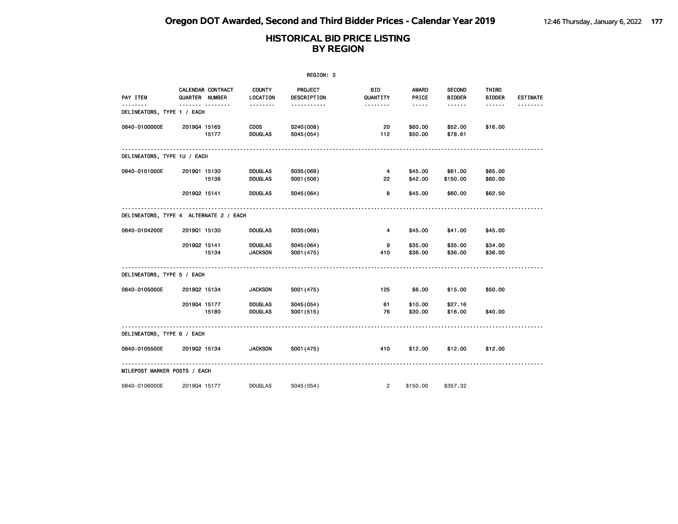|                                        |                              |                                     |                                                    | REGION: 3                            |                           |                                                                                                               |                                |                               |                 |
|----------------------------------------|------------------------------|-------------------------------------|----------------------------------------------------|--------------------------------------|---------------------------|---------------------------------------------------------------------------------------------------------------|--------------------------------|-------------------------------|-----------------|
| PAY ITEM                               |                              | CALENDAR CONTRACT<br>QUARTER NUMBER | <b>COUNTY</b><br>LOCATION                          | PROJECT<br>DESCRIPTION               | <b>BID</b><br>QUANTITY    | AWARD<br>PRICE                                                                                                | <b>SECOND</b><br><b>BIDDER</b> | THIRD<br><b>BIDDER</b>        | <b>ESTIMATE</b> |
| .<br>DELINEATORS, TYPE 1 / EACH        |                              | .                                   | <u> - - - - - - -</u>                              | -----------                          | <u> - - - - - - -</u>     | $\frac{1}{2} \frac{1}{2} \frac{1}{2} \frac{1}{2} \frac{1}{2} \frac{1}{2} \frac{1}{2} \frac{1}{2} \frac{1}{2}$ | ------                         | ------                        |                 |
| 0840-0100000E                          | 201904 15165                 | 15177                               | <b>COOS</b><br><b>DOUGLAS</b>                      | S240(008)<br>S045(054)               | 20<br>112                 | \$60.00<br>\$50.00                                                                                            | \$52.00<br>\$78.61             | \$16.00                       |                 |
| DELINEATORS, TYPE 1U / EACH            |                              |                                     |                                                    |                                      |                           |                                                                                                               |                                |                               |                 |
| 0840-0101000E                          | 201901 15130<br>201902 15141 | 15136                               | <b>DOUGLAS</b><br><b>DOUGLAS</b><br><b>DOUGLAS</b> | S035(069)<br>S001 (506)<br>S045(064) | $\overline{4}$<br>22<br>8 | \$45.00<br>\$42.00<br>\$45.00                                                                                 | \$61.00<br>\$150.00<br>\$60.00 | \$65.00<br>\$60.00<br>\$62.50 |                 |
| DELINEATORS, TYPE 4 ALTERNATE 2 / EACH |                              |                                     |                                                    |                                      |                           |                                                                                                               |                                |                               |                 |
| 0840-0104200E                          | 201901 15130                 |                                     | <b>DOUGLAS</b>                                     | S035(069)                            | 4                         | \$45.00                                                                                                       | \$41.00                        | \$45.00                       |                 |
|                                        | 201902 15141                 | 15134                               | <b>DOUGLAS</b><br><b>JACKSON</b>                   | S045(064)<br>S001 (475)              | 9<br>410                  | \$35.00<br>\$36.00                                                                                            | \$35.00<br>\$36.00             | \$34.00<br>\$36.00            |                 |
| DELINEATORS, TYPE 5 / EACH             |                              |                                     |                                                    |                                      |                           |                                                                                                               |                                |                               |                 |
| 0840-0105000E                          | 201902 15134                 |                                     | <b>JACKSON</b>                                     | S001 (475)                           | 125                       | \$6.00                                                                                                        | \$15.00                        | \$50.00                       |                 |
|                                        | 201904 15177                 | 15180                               | <b>DOUGLAS</b><br><b>DOUGLAS</b>                   | S045 (054)<br>S001 (515)             | 61<br>76                  | \$10.00<br>\$30.00                                                                                            | \$27.16<br>\$16.00             | \$40.00                       |                 |
| DELINEATORS, TYPE 6 / EACH             |                              |                                     |                                                    |                                      |                           |                                                                                                               |                                |                               |                 |
| 0840-0105500E                          | 201902 15134                 |                                     | <b>JACKSON</b>                                     | S001 (475)                           | 410                       | \$12.00                                                                                                       | \$12.00                        | \$12.00                       |                 |
| MILEPOST MARKER POSTS / EACH           |                              |                                     |                                                    |                                      |                           |                                                                                                               |                                |                               |                 |
| 0840-0106000E                          | 201904 15177                 |                                     | <b>DOUGLAS</b>                                     | S045(054)                            | $\overline{2}$            | \$150.00                                                                                                      | \$357.32                       |                               |                 |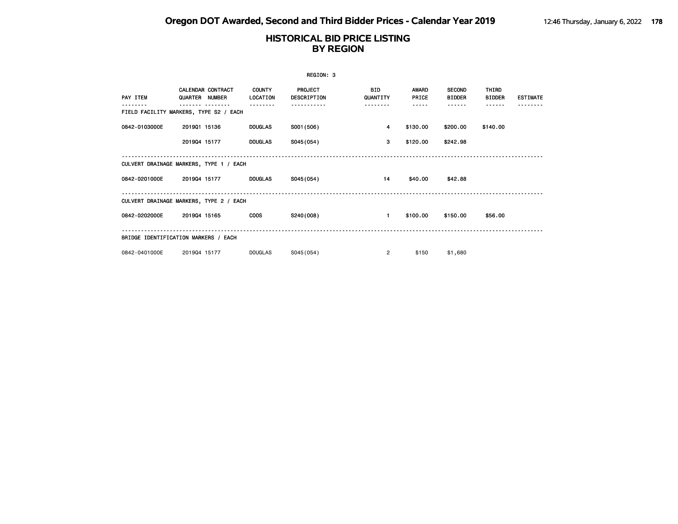|               |                                         |                           | REGION: 3                     |                        |                       |                                |                        |                 |
|---------------|-----------------------------------------|---------------------------|-------------------------------|------------------------|-----------------------|--------------------------------|------------------------|-----------------|
| PAY ITEM      | CALENDAR CONTRACT<br>QUARTER NUMBER     | <b>COUNTY</b><br>LOCATION | <b>PROJECT</b><br>DESCRIPTION | <b>BID</b><br>QUANTITY | <b>AWARD</b><br>PRICE | <b>SECOND</b><br><b>BIDDER</b> | THIRD<br><b>BIDDER</b> | <b>ESTIMATE</b> |
|               | FIELD FACILITY MARKERS, TYPE S2 / EACH  |                           |                               | -----                  | -----                 | - - - - - -                    |                        |                 |
| 0842-0103000E | 201901 15136                            | <b>DOUGLAS</b>            | S001 (506)                    | 4                      | \$130.00              | \$200.00                       | \$140.00               |                 |
|               | 201904 15177                            | <b>DOUGLAS</b>            | S045(054)                     | 3                      | \$120.00              | \$242.98                       |                        |                 |
|               | CULVERT DRAINAGE MARKERS, TYPE 1 / EACH |                           |                               |                        |                       |                                |                        |                 |
| 0842-0201000E | 201904 15177                            | <b>DOUGLAS</b>            | S045(054)                     | 14                     | \$40.00               | \$42.88                        |                        |                 |
|               | CULVERT DRAINAGE MARKERS, TYPE 2 / EACH |                           |                               |                        |                       |                                |                        |                 |
| 0842-0202000E | 201904 15165                            | <b>COOS</b>               | S240(008)                     | $\blacksquare$         | \$100.00              | \$150.00                       | \$56.00                |                 |
|               | BRIDGE IDENTIFICATION MARKERS / EACH    |                           |                               |                        |                       |                                |                        |                 |
| 0842-0401000E | 201904 15177                            | DOUGLAS                   | S045(054)                     | $\overline{2}$         | \$150                 | \$1,680                        |                        |                 |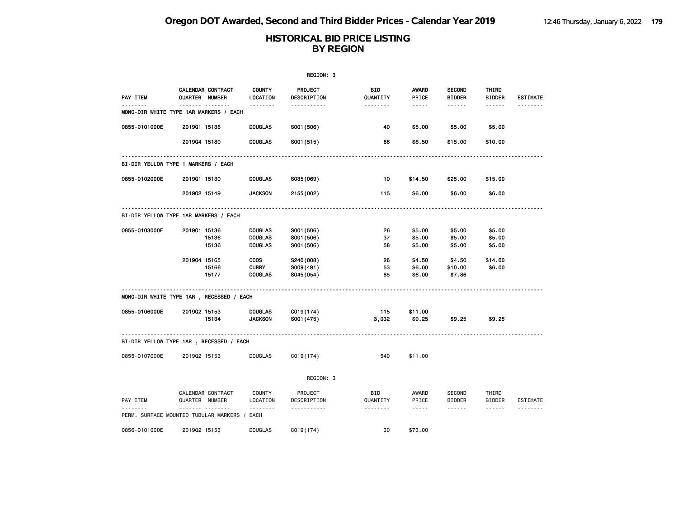|                                              |              |                                     |                           | REGION: 3              |                 |                                    |                                |                        |                 |
|----------------------------------------------|--------------|-------------------------------------|---------------------------|------------------------|-----------------|------------------------------------|--------------------------------|------------------------|-----------------|
| PAY ITEM                                     |              | CALENDAR CONTRACT<br>QUARTER NUMBER | <b>COUNTY</b><br>LOCATION | PROJECT<br>DESCRIPTION | BID<br>QUANTITY | AWARD<br>PRICE                     | <b>SECOND</b><br><b>BIDDER</b> | THIRD<br><b>BIDDER</b> | <b>ESTIMATE</b> |
| .<br>MONO-DIR WHITE TYPE 1AR MARKERS / EACH  |              | <b>.</b>                            | <u>.</u>                  | -----------            | .               | $- - - -$                          | .                              | ------                 | <u>.</u>        |
| 0855-0101000E                                | 201901 15136 |                                     | <b>DOUGLAS</b>            | S001 (506)             | 40              | \$5.00                             | \$5.00                         | \$5.00                 |                 |
|                                              | 201904 15180 |                                     | <b>DOUGLAS</b>            | S001 (515)             | 66              | \$6.50                             | \$15.00                        | \$10.00                |                 |
| BI-DIR YELLOW TYPE 1 MARKERS / EACH          |              |                                     |                           |                        |                 |                                    |                                |                        |                 |
| 0855-0102000E                                | 201901 15130 |                                     | <b>DOUGLAS</b>            | S035(069)              | 10              | \$14.50                            | \$25.00                        | \$15.00                |                 |
|                                              | 201902 15149 |                                     | <b>JACKSON</b>            | 2155 (002)             | 115             | \$6.00                             | \$6.00                         | \$6.00                 |                 |
| BI-DIR YELLOW TYPE 1AR MARKERS / EACH        |              |                                     |                           |                        |                 |                                    |                                |                        |                 |
| 0855-0103000E                                | 201901 15136 |                                     | <b>DOUGLAS</b>            | S001 (506)             | 26              | \$5.00                             | \$5.00                         | \$5.00                 |                 |
|                                              |              | 15136                               | <b>DOUGLAS</b>            | S001 (506)             | 37              | \$5.00                             | \$5.00                         | \$5.00                 |                 |
|                                              |              | 15136                               | <b>DOUGLAS</b>            | S001 (506)             | 58              | \$5.00                             | \$5.00                         | \$5.00                 |                 |
|                                              | 201904 15165 |                                     | <b>COOS</b>               | S240(008)              | 26              | \$4.50                             | \$4.50                         | \$14.00                |                 |
|                                              |              | 15166                               | <b>CURRY</b>              | S009(491)              | 53              | \$6.00                             | \$10.00                        | \$6.00                 |                 |
|                                              |              | 15177                               | <b>DOUGLAS</b>            | S045(054)              | 85              | \$6.00                             | \$7.86                         |                        |                 |
| MONO-DIR WHITE TYPE 1AR, RECESSED / EACH     |              |                                     |                           |                        |                 |                                    |                                |                        |                 |
| 0855-0106000E                                | 201902 15153 |                                     | <b>DOUGLAS</b>            | C019(174)              | 115             | \$11.00                            |                                |                        |                 |
|                                              |              | 15134                               | <b>JACKSON</b>            | S001 (475)             | 3,032           | \$9.25                             | \$9.25                         | \$9.25                 |                 |
| BI-DIR YELLOW TYPE 1AR, RECESSED / EACH      |              |                                     |                           |                        |                 |                                    |                                |                        |                 |
| 0855-0107000E                                | 201902 15153 |                                     | <b>DOUGLAS</b>            | C019(174)              | 540             | \$11.00                            |                                |                        |                 |
|                                              |              |                                     |                           | REGION: 3              |                 |                                    |                                |                        |                 |
| PAY ITEM                                     |              | CALENDAR CONTRACT<br>QUARTER NUMBER | COUNTY<br>LOCATION        | PROJECT<br>DESCRIPTION | BID<br>QUANTITY | AWARD<br>PRICE                     | SECOND<br><b>BIDDER</b>        | THIRD<br><b>BIDDER</b> | ESTIMATE        |
| PERM. SURFACE MOUNTED TUBULAR MARKERS / EACH |              | <u> - - - - - - -</u>               | <u>.</u>                  | .                      | .               | $\sim$ $\sim$ $\sim$ $\sim$ $\sim$ | ------                         | ------                 | .               |
| 0856-0101000E                                | 201902 15153 |                                     | <b>DOUGLAS</b>            | C <sub>019(174)</sub>  | 30              | \$73.00                            |                                |                        |                 |
|                                              |              |                                     |                           |                        |                 |                                    |                                |                        |                 |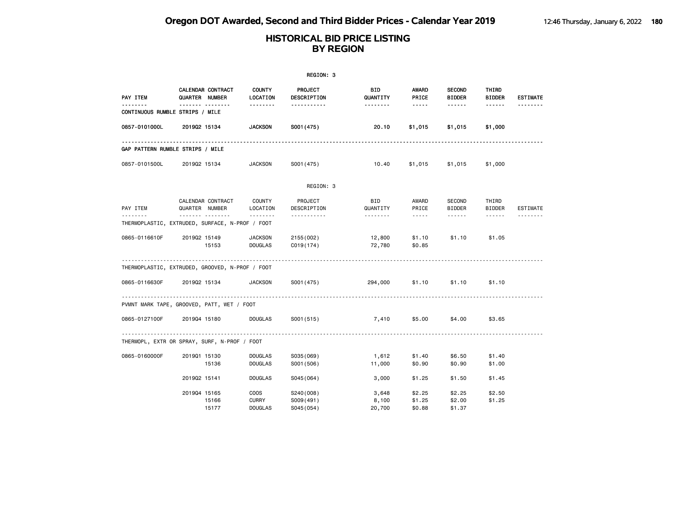|               |                                                      |                                               | REGION: 3                            |                          |                            |                                |                        |                 |
|---------------|------------------------------------------------------|-----------------------------------------------|--------------------------------------|--------------------------|----------------------------|--------------------------------|------------------------|-----------------|
| PAY ITEM      | CALENDAR CONTRACT<br><b>QUARTER NUMBER</b>           | <b>COUNTY</b><br>LOCATION                     | PROJECT<br>DESCRIPTION               | <b>BID</b><br>QUANTITY   | AWARD<br>PRICE             | <b>SECOND</b><br><b>BIDDER</b> | THIRD<br><b>BIDDER</b> | <b>ESTIMATE</b> |
| - - - - - -   | <b>.</b><br>CONTINUOUS RUMBLE STRIPS / MILE          | .                                             | .                                    | --------                 | -----                      | ------                         | ------                 | .               |
| 0857-0101000L | 201902 15134                                         | <b>JACKSON</b>                                | S001 (475)                           | 20.10                    | \$1,015                    | \$1,015                        | \$1,000                |                 |
|               | GAP PATTERN RUMBLE STRIPS / MILE                     |                                               |                                      |                          |                            |                                |                        |                 |
| 0857-0101500L | 201902 15134                                         | <b>JACKSON</b>                                | S001(475)                            | 10.40                    | \$1,015                    | \$1,015                        | \$1,000                |                 |
|               |                                                      |                                               | REGION: 3                            |                          |                            |                                |                        |                 |
| PAY ITEM      | CALENDAR CONTRACT<br>QUARTER NUMBER                  | COUNTY<br>LOCATION                            | PROJECT<br>DESCRIPTION               | <b>BID</b><br>QUANTITY   | AWARD<br>PRICE             | SECOND<br><b>BIDDER</b>        | THIRD<br><b>BIDDER</b> | <b>ESTIMATE</b> |
| .             | .<br>THERMOPLASTIC, EXTRUDED, SURFACE, N-PROF / FOOT | <u>.</u>                                      | <u>.</u>                             |                          | $- - - - -$                | <b>.</b>                       | $- - - - - -$          | .               |
| 0865-0116610F | 201902 15149<br>15153                                | <b>JACKSON</b><br><b>DOUGLAS</b>              | 2155 (002)<br>C <sub>019(174)</sub>  | 12,800<br>72,780         | \$1.10<br>\$0.85           | \$1.10                         | \$1.05                 |                 |
|               | THERMOPLASTIC, EXTRUDED, GROOVED, N-PROF / FOOT      |                                               |                                      |                          |                            |                                |                        |                 |
| 0865-0116630F | 201902 15134                                         | <b>JACKSON</b>                                | S001 (475)                           | 294,000                  | \$1.10                     | \$1.10                         | \$1.10                 |                 |
|               | PVMNT MARK TAPE, GROOVED, PATT, WET / FOOT           |                                               |                                      |                          |                            |                                |                        |                 |
| 0865-0127100F | 201904 15180                                         | <b>DOUGLAS</b>                                | S001 (515)                           | 7,410                    | \$5.00                     | \$4.00                         | \$3.65                 |                 |
|               | THERMOPL, EXTR OR SPRAY, SURF, N-PROF / FOOT         |                                               |                                      |                          |                            |                                |                        |                 |
| 0865-0160000F | 201901 15130<br>15136                                | <b>DOUGLAS</b><br><b>DOUGLAS</b>              | S035(069)<br>S001 (506)              | 1,612<br>11,000          | \$1.40<br>\$0.90           | \$6.50<br>\$0.90               | \$1.40<br>\$1.00       |                 |
|               | 201902 15141                                         | <b>DOUGLAS</b>                                | S045 (064)                           | 3,000                    | \$1.25                     | \$1.50                         | \$1.45                 |                 |
|               | 201904 15165<br>15166<br>15177                       | <b>COOS</b><br><b>CURRY</b><br><b>DOUGLAS</b> | S240(008)<br>S009(491)<br>S045 (054) | 3,648<br>8,100<br>20,700 | \$2.25<br>\$1.25<br>\$0.88 | \$2.25<br>\$2.00<br>\$1.37     | \$2.50<br>\$1.25       |                 |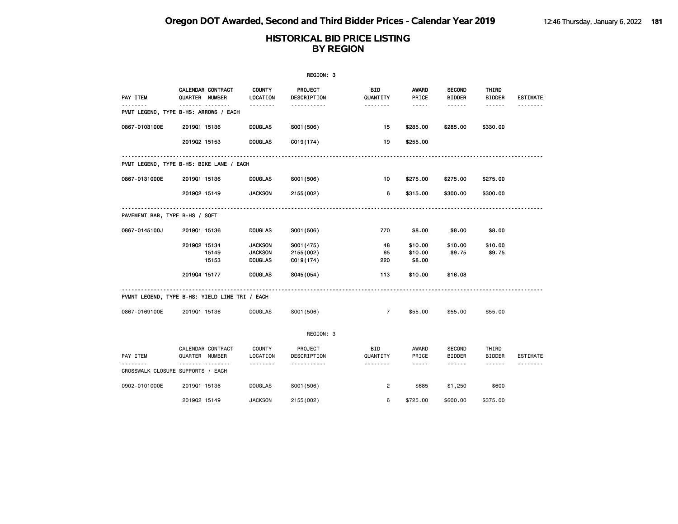|                                |                                                |                                                    | REGION: 3                             |                        |                                                                                                                                                                                 |                                |                                                                                                                           |                 |
|--------------------------------|------------------------------------------------|----------------------------------------------------|---------------------------------------|------------------------|---------------------------------------------------------------------------------------------------------------------------------------------------------------------------------|--------------------------------|---------------------------------------------------------------------------------------------------------------------------|-----------------|
| PAY ITEM                       | CALENDAR CONTRACT<br>QUARTER NUMBER            | <b>COUNTY</b><br>LOCATION                          | PROJECT<br>DESCRIPTION                | <b>BID</b><br>QUANTITY | AWARD<br>PRICE                                                                                                                                                                  | <b>SECOND</b><br><b>BIDDER</b> | THIRD<br><b>BIDDER</b>                                                                                                    | <b>ESTIMATE</b> |
|                                | .<br>PVMT LEGEND, TYPE B-HS: ARROWS / EACH     | <u>.</u>                                           | <u>.</u>                              |                        | $\frac{1}{2} \frac{1}{2} \frac{1}{2} \frac{1}{2} \frac{1}{2} \frac{1}{2} \frac{1}{2} \frac{1}{2} \frac{1}{2}$                                                                   | ------                         | $- - - - - -$                                                                                                             | <u>.</u>        |
| 0867-0103100E                  | 201901 15136                                   | <b>DOUGLAS</b>                                     | S001 (506)                            | 15                     | \$285.00                                                                                                                                                                        | \$285.00                       | \$330.00                                                                                                                  |                 |
|                                | 201902 15153                                   | <b>DOUGLAS</b>                                     | C019(174)                             | 19                     | \$255.00                                                                                                                                                                        |                                |                                                                                                                           |                 |
|                                | PVMT LEGEND, TYPE B-HS: BIKE LANE / EACH       |                                                    |                                       |                        |                                                                                                                                                                                 |                                |                                                                                                                           |                 |
| 0867-0131000E                  | 201901 15136                                   | <b>DOUGLAS</b>                                     | S001 (506)                            | 10                     | \$275.00                                                                                                                                                                        | \$275.00                       | \$275.00                                                                                                                  |                 |
|                                | 201902 15149                                   | <b>JACKSON</b>                                     | 2155 (002)                            | 6                      | \$315.00                                                                                                                                                                        | \$300.00                       | \$300.00                                                                                                                  |                 |
| PAVEMENT BAR, TYPE B-HS / SQFT |                                                |                                                    |                                       |                        |                                                                                                                                                                                 |                                |                                                                                                                           |                 |
| 0867-0145100J                  | 201901 15136                                   | <b>DOUGLAS</b>                                     | S001 (506)                            | 770                    | \$8.00                                                                                                                                                                          | \$8.00                         | \$8.00                                                                                                                    |                 |
|                                | 201902 15134<br>15149<br>15153                 | <b>JACKSON</b><br><b>JACKSON</b><br><b>DOUGLAS</b> | S001 (475)<br>2155 (002)<br>C019(174) | 48<br>65<br>220        | \$10.00<br>\$10.00<br>\$8.00                                                                                                                                                    | \$10.00<br>\$9.75              | \$10.00<br>\$9.75                                                                                                         |                 |
|                                | 201904 15177                                   | <b>DOUGLAS</b>                                     | S045(054)                             | 113                    | \$10.00                                                                                                                                                                         | \$16.08                        |                                                                                                                           |                 |
|                                | PVMNT LEGEND, TYPE B-HS: YIELD LINE TRI / EACH |                                                    |                                       |                        |                                                                                                                                                                                 |                                |                                                                                                                           |                 |
| 0867-0169100E                  | 201901 15136                                   | <b>DOUGLAS</b>                                     | S001 (506)                            | $\overline{7}$         | \$55.00                                                                                                                                                                         | \$55.00                        | \$55.00                                                                                                                   |                 |
|                                |                                                |                                                    | REGION: 3                             |                        |                                                                                                                                                                                 |                                |                                                                                                                           |                 |
| PAY ITEM<br>--------           | CALENDAR CONTRACT<br>QUARTER NUMBER<br>.       | <b>COUNTY</b><br>LOCATION                          | PROJECT<br>DESCRIPTION                | <b>BID</b><br>QUANTITY | AWARD<br>PRICE                                                                                                                                                                  | <b>SECOND</b><br><b>BIDDER</b> | THIRD<br><b>BIDDER</b>                                                                                                    | ESTIMATE        |
|                                | CROSSWALK CLOSURE SUPPORTS / EACH              |                                                    | .                                     | .                      | $\frac{1}{2} \left( \frac{1}{2} \right) \left( \frac{1}{2} \right) \left( \frac{1}{2} \right) \left( \frac{1}{2} \right) \left( \frac{1}{2} \right) \left( \frac{1}{2} \right)$ | $\cdots \cdots \cdots$         | $\begin{array}{cccccccccccccc} \bullet & \bullet & \bullet & \bullet & \bullet & \bullet & \bullet & \bullet \end{array}$ | .               |
| 0902-0101000E                  | 201901 15136                                   | <b>DOUGLAS</b>                                     | S001 (506)                            | $\overline{2}$         | \$685                                                                                                                                                                           | \$1,250                        | \$600                                                                                                                     |                 |
|                                | 201902 15149                                   | <b>JACKSON</b>                                     | 2155 (002)                            | 6                      | \$725.00                                                                                                                                                                        | \$600.00                       | \$375.00                                                                                                                  |                 |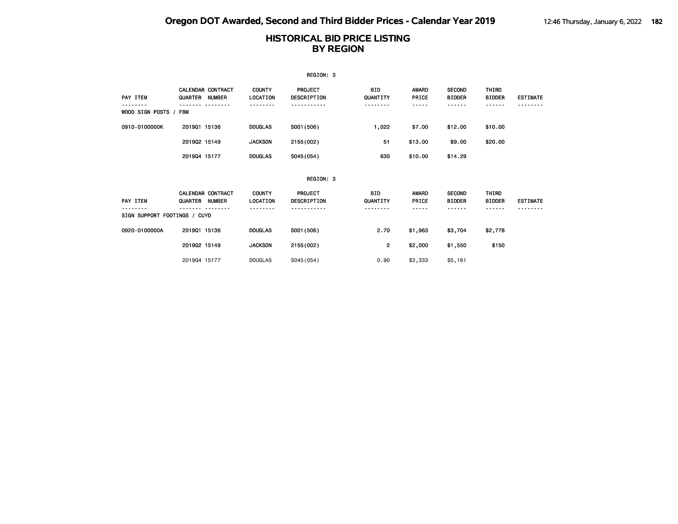|                              |                                            |                           | REGION: 3                            |                        |                       |                                |                                       |                 |
|------------------------------|--------------------------------------------|---------------------------|--------------------------------------|------------------------|-----------------------|--------------------------------|---------------------------------------|-----------------|
| PAY ITEM                     | <b>CALENDAR CONTRACT</b><br>QUARTER NUMBER | <b>COUNTY</b><br>LOCATION | <b>PROJECT</b><br>DESCRIPTION        | <b>BID</b><br>QUANTITY | <b>AWARD</b><br>PRICE | <b>SECOND</b><br><b>BIDDER</b> | THIRD<br><b>BIDDER</b>                | <b>ESTIMATE</b> |
| WOOD SIGN POSTS / FBM        |                                            |                           |                                      |                        | <b>.</b>              |                                | ------                                |                 |
| 0910-0100000K                | 201901 15136                               | <b>DOUGLAS</b>            | S001 (506)                           | 1,022                  | \$7.00                | \$12.00                        | \$10.00                               |                 |
|                              | 201902 15149                               | <b>JACKSON</b>            | 2155 (002)                           | 51                     | \$13.00               | \$9.00                         | \$20.00                               |                 |
|                              | 201904 15177                               | <b>DOUGLAS</b>            | S045(054)                            | 630                    | \$10.00               | \$14.29                        |                                       |                 |
|                              |                                            |                           | REGION: 3                            |                        |                       |                                |                                       |                 |
| PAY ITEM                     | <b>CALENDAR CONTRACT</b><br>QUARTER NUMBER | <b>COUNTY</b><br>LOCATION | <b>PROJECT</b><br><b>DESCRIPTION</b> | BID.<br>QUANTITY       | AWARD<br>PRICE        | <b>SECOND</b><br><b>BIDDER</b> | THIRD<br><b>BIDDER</b><br>- - - - - - | <b>ESTIMATE</b> |
| SIGN SUPPORT FOOTINGS / CUYD |                                            |                           |                                      |                        |                       |                                |                                       |                 |
| 0920-0100000A                | 201901 15136                               | <b>DOUGLAS</b>            | S001 (506)                           | 2.70                   | \$1,963               | \$3,704                        | \$2,778                               |                 |
|                              | 201902 15149                               | <b>JACKSON</b>            | 2155 (002)                           | 2                      | \$2,000               | \$1,550                        | \$150                                 |                 |
|                              | 201904 15177                               | <b>DOUGLAS</b>            | SO45(054)                            | 0.90                   | \$3,333               | \$5,161                        |                                       |                 |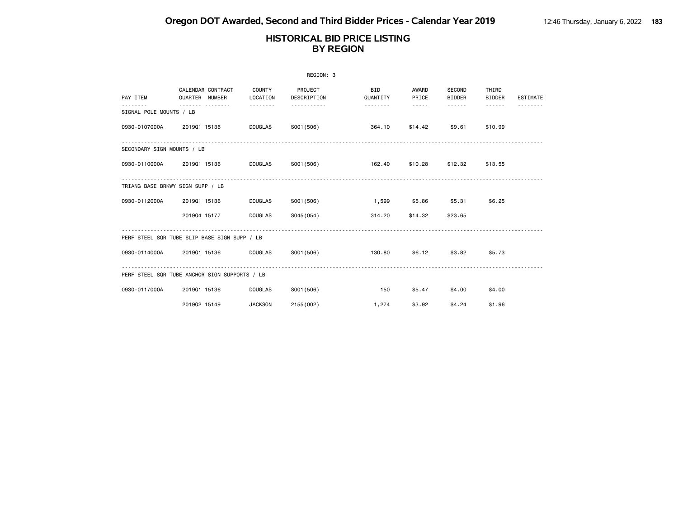|                                                                                                                                                                                                                                                                                                                                                                                                                                                                                                       | REGION: 3                                     |                    |                        |                        |                |                         |                        |                 |  |  |  |
|-------------------------------------------------------------------------------------------------------------------------------------------------------------------------------------------------------------------------------------------------------------------------------------------------------------------------------------------------------------------------------------------------------------------------------------------------------------------------------------------------------|-----------------------------------------------|--------------------|------------------------|------------------------|----------------|-------------------------|------------------------|-----------------|--|--|--|
| PAY ITEM                                                                                                                                                                                                                                                                                                                                                                                                                                                                                              | CALENDAR CONTRACT<br>QUARTER NUMBER           | COUNTY<br>LOCATION | PROJECT<br>DESCRIPTION | <b>BID</b><br>QUANTITY | AWARD<br>PRICE | SECOND<br><b>BIDDER</b> | THIRD<br><b>BIDDER</b> | <b>ESTIMATE</b> |  |  |  |
| $\frac{1}{2} \left( \frac{1}{2} \right) \left( \frac{1}{2} \right) \left( \frac{1}{2} \right) \left( \frac{1}{2} \right) \left( \frac{1}{2} \right) \left( \frac{1}{2} \right) \left( \frac{1}{2} \right) \left( \frac{1}{2} \right) \left( \frac{1}{2} \right) \left( \frac{1}{2} \right) \left( \frac{1}{2} \right) \left( \frac{1}{2} \right) \left( \frac{1}{2} \right) \left( \frac{1}{2} \right) \left( \frac{1}{2} \right) \left( \frac{1}{2} \right) \left( \frac$<br>SIGNAL POLE MOUNTS / LB |                                               | .                  |                        | .                      | $- - - - -$    |                         | .                      |                 |  |  |  |
| 0930-0107000A                                                                                                                                                                                                                                                                                                                                                                                                                                                                                         | 201901 15136                                  | DOUGLAS            | S001 (506)             | 364.10                 | \$14.42        | \$9.61                  | \$10.99                |                 |  |  |  |
| SECONDARY SIGN MOUNTS / LB                                                                                                                                                                                                                                                                                                                                                                                                                                                                            |                                               |                    |                        |                        |                |                         |                        |                 |  |  |  |
|                                                                                                                                                                                                                                                                                                                                                                                                                                                                                                       | 0930-0110000A 2019Q1 15136                    | <b>DOUGLAS</b>     | S001 (506)             | 162.40                 |                | \$10.28 \$12.32         | \$13.55                |                 |  |  |  |
|                                                                                                                                                                                                                                                                                                                                                                                                                                                                                                       | TRIANG BASE BRKWY SIGN SUPP / LB              |                    |                        |                        |                |                         |                        |                 |  |  |  |
| 0930-0112000A                                                                                                                                                                                                                                                                                                                                                                                                                                                                                         | 201901 15136                                  | DOUGLAS            | S001(506)              | 1,599                  | \$5.86         | \$5.31                  | \$6.25                 |                 |  |  |  |
|                                                                                                                                                                                                                                                                                                                                                                                                                                                                                                       | 201904 15177                                  | DOUGLAS            | S045(054)              | 314.20                 | \$14.32        | \$23.65                 |                        |                 |  |  |  |
|                                                                                                                                                                                                                                                                                                                                                                                                                                                                                                       | PERF STEEL SQR TUBE SLIP BASE SIGN SUPP / LB  |                    |                        |                        |                |                         |                        |                 |  |  |  |
|                                                                                                                                                                                                                                                                                                                                                                                                                                                                                                       | 0930-0114000A 2019Q1 15136                    | <b>DOUGLAS</b>     | S001 (506)             | 130.80                 | \$6.12         | \$3.82                  | \$5.73                 |                 |  |  |  |
|                                                                                                                                                                                                                                                                                                                                                                                                                                                                                                       | PERF STEEL SQR TUBE ANCHOR SIGN SUPPORTS / LB |                    |                        |                        |                |                         |                        |                 |  |  |  |
| 0930-0117000A                                                                                                                                                                                                                                                                                                                                                                                                                                                                                         | 201901 15136                                  | <b>DOUGLAS</b>     | S001 (506)             | 150                    | \$5.47         | \$4,00                  | \$4,00                 |                 |  |  |  |
|                                                                                                                                                                                                                                                                                                                                                                                                                                                                                                       | 201902 15149                                  | <b>JACKSON</b>     | 2155 (002)             | 1,274                  | \$3.92         | \$4.24                  | \$1.96                 |                 |  |  |  |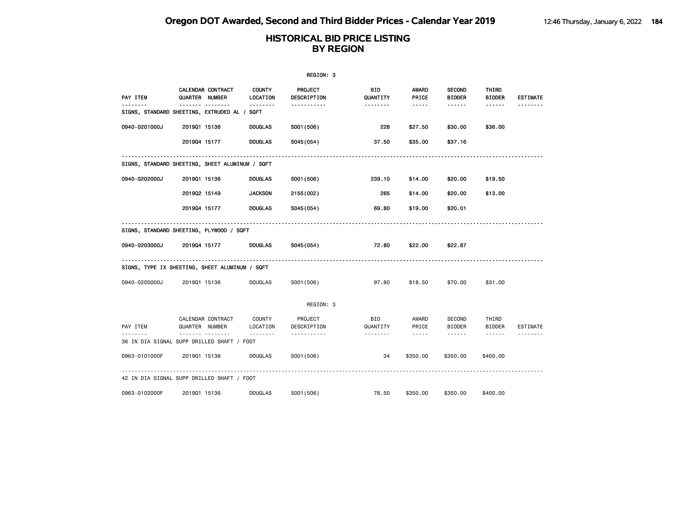|               | REGION: 3                                                |                           |                               |                        |                                                                                                                                                                                 |                                |                        |                 |  |  |  |
|---------------|----------------------------------------------------------|---------------------------|-------------------------------|------------------------|---------------------------------------------------------------------------------------------------------------------------------------------------------------------------------|--------------------------------|------------------------|-----------------|--|--|--|
| PAY ITEM      | CALENDAR CONTRACT<br>QUARTER NUMBER                      | <b>COUNTY</b><br>LOCATION | <b>PROJECT</b><br>DESCRIPTION | BID<br>QUANTITY        | AWARD<br>PRICE                                                                                                                                                                  | <b>SECOND</b><br><b>BIDDER</b> | THIRD<br><b>BIDDER</b> | <b>ESTIMATE</b> |  |  |  |
|               | <u> </u><br>SIGNS, STANDARD SHEETING, EXTRUDED AL / SQFT |                           | <u>.</u>                      |                        | $- - - - -$                                                                                                                                                                     | ------                         |                        |                 |  |  |  |
| 0940-0201000J | 201901 15136                                             | <b>DOUGLAS</b>            | S001 (506)                    | 228                    | \$27.50                                                                                                                                                                         | \$30.00                        | \$36.00                |                 |  |  |  |
|               | 201904 15177                                             | <b>DOUGLAS</b>            | S045(054)                     | 37.50                  | \$35.00                                                                                                                                                                         | \$37.16                        |                        |                 |  |  |  |
|               | SIGNS, STANDARD SHEETING, SHEET ALUMINUM / SQFT          |                           |                               |                        |                                                                                                                                                                                 |                                |                        |                 |  |  |  |
| 0940-0202000J | 201901 15136                                             | <b>DOUGLAS</b>            | S001 (506)                    | 239.10                 | \$14.00                                                                                                                                                                         | \$20.00                        | \$19.50                |                 |  |  |  |
|               | 201902 15149                                             | <b>JACKSON</b>            | 2155 (002)                    | 265                    | \$14.00                                                                                                                                                                         | \$20.00                        | \$13.00                |                 |  |  |  |
|               | 201904 15177                                             | <b>DOUGLAS</b>            | S045(054)                     | 69.80                  | \$19.00                                                                                                                                                                         | \$20.01                        |                        |                 |  |  |  |
|               | SIGNS, STANDARD SHEETING, PLYWOOD / SQFT                 |                           |                               |                        |                                                                                                                                                                                 |                                |                        |                 |  |  |  |
| 0940-0203000J | 201904 15177                                             | <b>DOUGLAS</b>            | S045 (054)                    | 72.80                  | \$22.00                                                                                                                                                                         | \$22.87                        |                        |                 |  |  |  |
|               | SIGNS, TYPE IX SHEETING, SHEET ALUMINUM / SQFT           |                           |                               |                        |                                                                                                                                                                                 |                                |                        |                 |  |  |  |
| 0940-0205000J | 201901 15136                                             | <b>DOUGLAS</b>            | S001 (506)                    | 97.80                  | \$18.50                                                                                                                                                                         | \$70.00                        | \$31.00                |                 |  |  |  |
|               |                                                          |                           | REGION: 3                     |                        |                                                                                                                                                                                 |                                |                        |                 |  |  |  |
| PAY ITEM      | CALENDAR CONTRACT<br>QUARTER NUMBER<br><u>.</u>          | COUNTY<br>LOCATION        | PROJECT<br>DESCRIPTION        | <b>BID</b><br>QUANTITY | AWARD<br>PRICE                                                                                                                                                                  | SECOND<br><b>BIDDER</b>        | THIRD<br><b>BIDDER</b> | <b>ESTIMATE</b> |  |  |  |
|               | 36 IN DIA SIGNAL SUPP DRILLED SHAFT / FOOT               | .                         | .                             | --------               | $\frac{1}{2} \left( \frac{1}{2} \right) \left( \frac{1}{2} \right) \left( \frac{1}{2} \right) \left( \frac{1}{2} \right) \left( \frac{1}{2} \right) \left( \frac{1}{2} \right)$ | ------                         | $\cdots \cdots \cdots$ |                 |  |  |  |
| 0963-0101000F | 201901 15136                                             | DOUGLAS                   | S001 (506)                    | 34                     | \$350.00                                                                                                                                                                        | \$350.00                       | \$400.00               |                 |  |  |  |
|               | 42 IN DIA SIGNAL SUPP DRILLED SHAFT / FOOT               |                           |                               |                        |                                                                                                                                                                                 |                                |                        |                 |  |  |  |
| 0963-0102000F | 201901 15136                                             | <b>DOUGLAS</b>            | S001 (506)                    | 76.50                  | \$350.00                                                                                                                                                                        | \$350.00                       | \$400,00               |                 |  |  |  |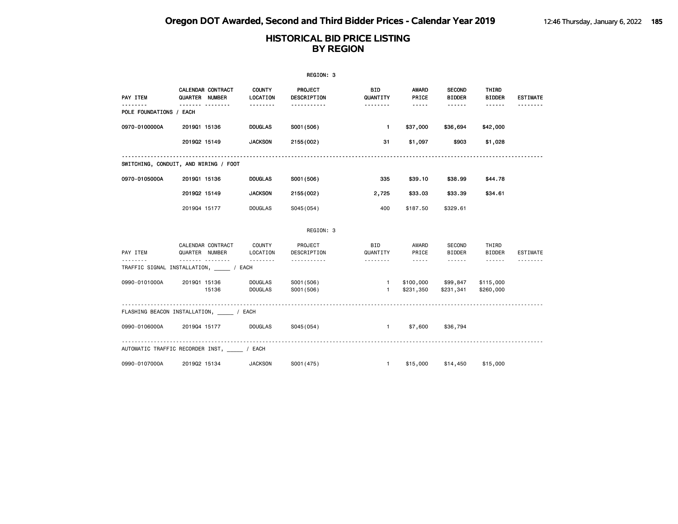|                         |                                                  |                                  | REGION: 3                     |                              |                                    |                                |                        |                 |
|-------------------------|--------------------------------------------------|----------------------------------|-------------------------------|------------------------------|------------------------------------|--------------------------------|------------------------|-----------------|
| PAY ITEM                | CALENDAR CONTRACT<br>QUARTER NUMBER              | <b>COUNTY</b><br><b>LOCATION</b> | PROJECT<br><b>DESCRIPTION</b> | <b>BID</b><br>QUANTITY       | AWARD<br>PRICE                     | <b>SECOND</b><br><b>BIDDER</b> | THIRD<br><b>BIDDER</b> | <b>ESTIMATE</b> |
| POLE FOUNDATIONS / EACH | . <sub>.</sub>                                   | .                                | .                             | <u>.</u>                     | $- - - - -$                        |                                | $- - - - - -$          |                 |
| 0970-0100000A           | 201901 15136                                     | <b>DOUGLAS</b>                   | S001 (506)                    | $\mathbf{1}$                 | \$37,000                           | \$36,694                       | \$42,000               |                 |
|                         | 201902 15149                                     | <b>JACKSON</b>                   | 2155 (002)                    | 31                           | \$1,097                            | \$903                          | \$1,028                |                 |
|                         | SWITCHING, CONDUIT, AND WIRING / FOOT            |                                  |                               |                              |                                    |                                |                        |                 |
| 0970-0105000A           | 201901 15136                                     | <b>DOUGLAS</b>                   | S001 (506)                    | 335                          | \$39.10                            | \$38.99                        | \$44.78                |                 |
|                         | 201902 15149                                     | <b>JACKSON</b>                   | 2155 (002)                    | 2,725                        | \$33.03                            | \$33.39                        | \$34.61                |                 |
|                         | 201904 15177                                     | <b>DOUGLAS</b>                   | S045(054)                     | 400                          | \$187.50                           | \$329.61                       |                        |                 |
|                         |                                                  |                                  | REGION: 3                     |                              |                                    |                                |                        |                 |
| PAY ITEM                | CALENDAR CONTRACT<br>QUARTER NUMBER              | COUNTY<br>LOCATION               | PROJECT<br>DESCRIPTION        | BID<br>QUANTITY              | AWARD<br>PRICE                     | SECOND<br><b>BIDDER</b>        | THIRD<br><b>BIDDER</b> | ESTIMATE        |
|                         | .<br>TRAFFIC SIGNAL INSTALLATION, _______ / EACH | .                                | .                             | .                            | $\sim$ $\sim$ $\sim$ $\sim$ $\sim$ | <b>.</b>                       | $\cdots \cdots \cdots$ |                 |
| 0990-0101000A           | 201901 15136<br>15136                            | <b>DOUGLAS</b><br><b>DOUGLAS</b> | S001 (506)<br>S001 (506)      | $\mathbf{1}$<br>$\mathbf{1}$ | \$100,000<br>\$231,350             | \$99,847<br>\$231,341          | \$115,000<br>\$260,000 |                 |
|                         | FLASHING BEACON INSTALLATION, ________ / EACH    |                                  |                               |                              |                                    |                                |                        |                 |
| 0990-0106000A           | 201904 15177                                     | DOUGLAS                          | S045(054)                     | $1 \quad \cdots$             | \$7,600                            | \$36,794                       |                        |                 |
|                         | AUTOMATIC TRAFFIC RECORDER INST, / EACH          |                                  |                               |                              |                                    |                                |                        |                 |
| 0990-0107000A           | 201902 15134                                     | <b>JACKSON</b>                   | S001 (475)                    | $\mathbf{1}$                 | \$15,000                           | \$14,450                       | \$15,000               |                 |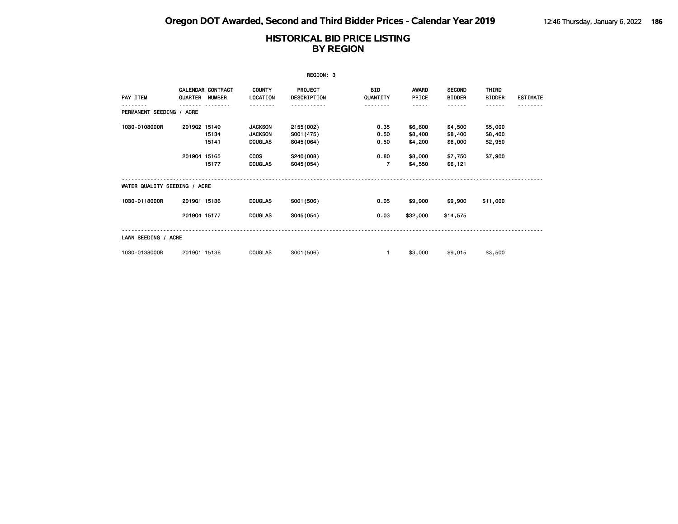| REGION: 3                    |                              |                          |                                                                                     |                                                                 |                                                |                                                     |                                                     |                                          |                 |
|------------------------------|------------------------------|--------------------------|-------------------------------------------------------------------------------------|-----------------------------------------------------------------|------------------------------------------------|-----------------------------------------------------|-----------------------------------------------------|------------------------------------------|-----------------|
| PAY ITEM                     | QUARTER NUMBER               | <b>CALENDAR CONTRACT</b> | <b>COUNTY</b><br>LOCATION                                                           | PROJECT<br>DESCRIPTION                                          | <b>BID</b><br>QUANTITY                         | <b>AWARD</b><br>PRICE                               | <b>SECOND</b><br><b>BIDDER</b>                      | THIRD<br><b>BIDDER</b>                   | <b>ESTIMATE</b> |
| PERMANENT SEEDING / ACRE     |                              |                          |                                                                                     |                                                                 | .                                              | -----                                               | - - - - - -                                         | ------                                   |                 |
| 1030-0108000R                | 201902 15149<br>201904 15165 | 15134<br>15141<br>15177  | <b>JACKSON</b><br><b>JACKSON</b><br><b>DOUGLAS</b><br><b>COOS</b><br><b>DOUGLAS</b> | 2155 (002)<br>S001 (475)<br>S045(064)<br>S240(008)<br>S045(054) | 0.35<br>0.50<br>0.50<br>0.80<br>$\overline{7}$ | \$6,600<br>\$8,400<br>\$4,200<br>\$8,000<br>\$4,550 | \$4,500<br>\$8,400<br>\$6,000<br>\$7,750<br>\$6,121 | \$5,000<br>\$8,400<br>\$2,950<br>\$7,900 |                 |
| WATER QUALITY SEEDING / ACRE |                              |                          |                                                                                     |                                                                 |                                                |                                                     |                                                     |                                          |                 |
| 1030-0118000R                | 201901 15136                 |                          | <b>DOUGLAS</b>                                                                      | S001 (506)                                                      | 0.05                                           | \$9,900                                             | \$9,900                                             | \$11,000                                 |                 |
|                              | 201904 15177                 |                          | <b>DOUGLAS</b>                                                                      | S045(054)                                                       | 0.03                                           | \$32,000                                            | \$14,575                                            |                                          |                 |
| LAWN SEEDING / ACRE          |                              |                          |                                                                                     |                                                                 |                                                |                                                     |                                                     |                                          |                 |
| 1030-0138000R                | 201901 15136                 |                          | <b>DOUGLAS</b>                                                                      | S001 (506)                                                      | $\mathbf{1}$                                   | \$3,000                                             | \$9,015                                             | \$3,500                                  |                 |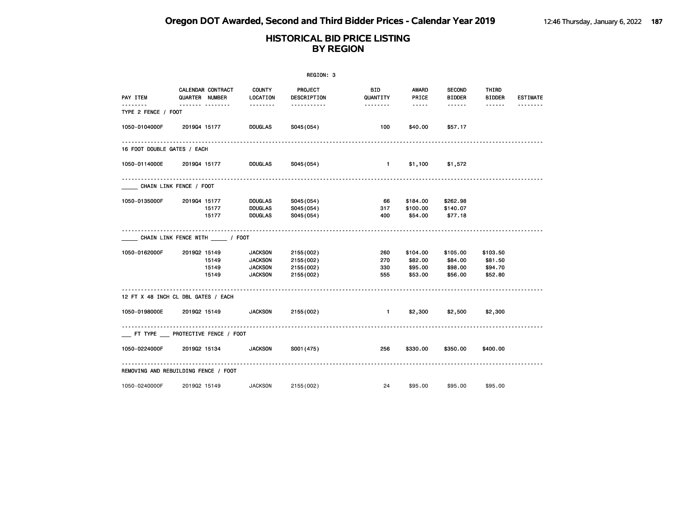|                             | REGION: 3                             |                           |                        |                              |                                                                                                   |                                |                        |                 |  |  |
|-----------------------------|---------------------------------------|---------------------------|------------------------|------------------------------|---------------------------------------------------------------------------------------------------|--------------------------------|------------------------|-----------------|--|--|
| PAY ITEM                    | CALENDAR CONTRACT<br>QUARTER NUMBER   | <b>COUNTY</b><br>LOCATION | PROJECT<br>DESCRIPTION | <b>BID</b><br>QUANTITY       | AWARD<br>PRICE                                                                                    | <b>SECOND</b><br><b>BIDDER</b> | THIRD<br><b>BIDDER</b> | <b>ESTIMATE</b> |  |  |
| TYPE 2 FENCE / FOOT         | ------- --------                      | <b></b>                   | -----------            | <u> - - - - - - -</u>        | $\begin{array}{cccccccccc} \bullet & \bullet & \bullet & \bullet & \bullet & \bullet \end{array}$ | ------                         |                        | <u>.</u>        |  |  |
| 1050-0104000F               | 201904 15177                          | <b>DOUGLAS</b>            | S045(054)              | 100                          | \$40.00                                                                                           | \$57.17                        |                        |                 |  |  |
| 16 FOOT DOUBLE GATES / EACH |                                       |                           |                        |                              |                                                                                                   |                                |                        |                 |  |  |
|                             | 1050-0114000E 2019Q4 15177            | <b>DOUGLAS</b>            | S045(054)              | $\sim$ 1.0 $\sim$ 1.0 $\sim$ |                                                                                                   | $$1,100$ $$1,572$              |                        |                 |  |  |
| CHAIN LINK FENCE / FOOT     |                                       |                           |                        |                              |                                                                                                   |                                |                        |                 |  |  |
| 1050-0135000F               | 201904 15177                          | DOUGLAS                   | S045(054)              | 66                           | \$184.00                                                                                          | \$262.98                       |                        |                 |  |  |
|                             | 15177                                 | <b>DOUGLAS</b>            | S045(054)              | 317                          | \$100.00                                                                                          | \$140.07                       |                        |                 |  |  |
|                             | 15177                                 | DOUGLAS                   | S045(054)              | 400                          | \$54.00                                                                                           | \$77.18                        |                        |                 |  |  |
|                             | CHAIN LINK FENCE WITH ________ / FOOT |                           |                        |                              |                                                                                                   |                                |                        |                 |  |  |
| 1050-0162000F               | 201902 15149                          | <b>JACKSON</b>            | 2155 (002)             | 260                          | \$104.00                                                                                          | \$105.00                       | \$103.50               |                 |  |  |
|                             | 15149                                 | <b>JACKSON</b>            | 2155 (002)             | 270                          | \$82.00                                                                                           | \$84.00                        | \$81.50                |                 |  |  |
|                             | 15149                                 | <b>JACKSON</b>            | 2155 (002)             | 330                          | \$95.00                                                                                           | \$98.00                        | \$94.70                |                 |  |  |
|                             | 15149                                 | <b>JACKSON</b>            | 2155 (002)             | 555                          | \$53.00                                                                                           | \$56.00                        | \$52.80                |                 |  |  |
|                             | 12 FT X 48 INCH CL DBL GATES / EACH   |                           |                        |                              |                                                                                                   |                                |                        |                 |  |  |
|                             | 1050-0198000E 2019Q2 15149 JACKSON    |                           | 2155 (002)             | $\sim$ 1.                    | \$2,300                                                                                           | \$2,500                        | \$2,300                |                 |  |  |
|                             | FT TYPE PROTECTIVE FENCE / FOOT       |                           |                        |                              |                                                                                                   |                                |                        |                 |  |  |
|                             | 1050-0224000F 2019Q2 15134            | <b>JACKSON</b>            | S001 (475)             | 256                          |                                                                                                   | \$330.00 \$350.00              | \$400.00               |                 |  |  |
|                             | REMOVING AND REBUILDING FENCE / FOOT  |                           |                        |                              |                                                                                                   |                                |                        |                 |  |  |
| 1050-0240000F               | 201902 15149                          | <b>JACKSON</b>            | 2155 (002)             | 24                           | \$95.00                                                                                           | \$95.00                        | \$95.00                |                 |  |  |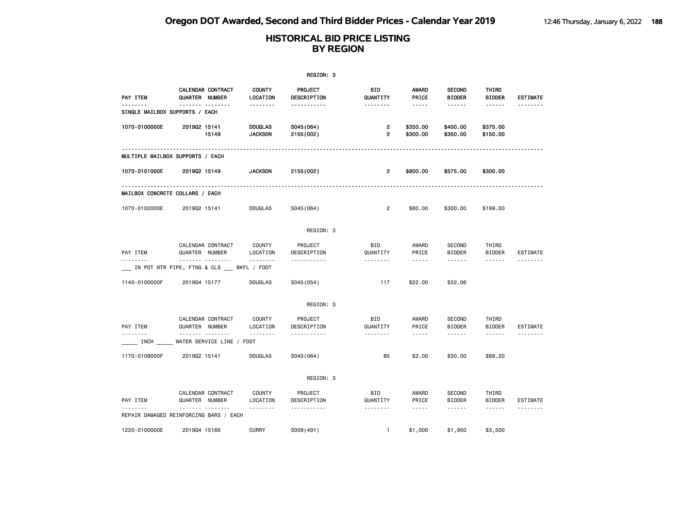|                                |                                                    |                                  | REGION: 3               |                                           |                                                                                                                                                      |                                |                        |                 |
|--------------------------------|----------------------------------------------------|----------------------------------|-------------------------|-------------------------------------------|------------------------------------------------------------------------------------------------------------------------------------------------------|--------------------------------|------------------------|-----------------|
| PAY ITEM                       | <b>CALENDAR CONTRACT</b><br>QUARTER NUMBER         | <b>COUNTY</b><br>LOCATION        | PROJECT<br>DESCRIPTION  | BID<br>QUANTITY                           | AWARD<br>PRICE                                                                                                                                       | <b>SECOND</b><br><b>BIDDER</b> | THIRD<br><b>BIDDER</b> | <b>ESTIMATE</b> |
| SINGLE MAILBOX SUPPORTS / EACH |                                                    | <u>.</u>                         | .                       | .                                         | -----                                                                                                                                                | ------                         | $- - - - - -$          | <u>.</u>        |
| 1070-0100000E                  | 201902 15141<br>15149                              | <b>DOUGLAS</b><br><b>JACKSON</b> | S045(064)<br>2155 (002) | $\overline{\mathbf{c}}$<br>$\overline{2}$ | \$350.00<br>\$300.00                                                                                                                                 | \$400.00<br>\$350.00           | \$375.00<br>\$150.00   |                 |
|                                | MULTIPLE MAILBOX SUPPORTS / EACH                   |                                  |                         |                                           |                                                                                                                                                      |                                |                        |                 |
| 1070-0101000E                  | 201902 15149                                       | <b>JACKSON</b>                   | 2155 (002)              | $\overline{2}$                            | \$800.00                                                                                                                                             | \$575.00                       | \$300.00               |                 |
|                                | MAILBOX CONCRETE COLLARS / EACH                    |                                  |                         |                                           |                                                                                                                                                      |                                |                        |                 |
| 1070-0102000E                  | 201902 15141                                       | <b>DOUGLAS</b>                   | S045 (064)              | $\overline{2}$                            | \$80.00                                                                                                                                              | \$300.00                       | \$199.00               |                 |
|                                |                                                    |                                  | REGION: 3               |                                           |                                                                                                                                                      |                                |                        |                 |
| PAY ITEM                       | CALENDAR CONTRACT<br>QUARTER NUMBER                | <b>COUNTY</b><br>LOCATION        | PROJECT<br>DESCRIPTION  | <b>BID</b><br>QUANTITY                    | AWARD<br>PRICE                                                                                                                                       | <b>SECOND</b><br><b>BIDDER</b> | THIRD<br><b>BIDDER</b> | <b>ESTIMATE</b> |
| .                              | .<br>IN POT WTR PIPE, FTNG & CLS BKFL / FOOT       | <u>.</u>                         | .                       | .                                         | $\frac{1}{2} \left( \frac{1}{2} \right) \left( \frac{1}{2} \right) \left( \frac{1}{2} \right) \left( \frac{1}{2} \right) \left( \frac{1}{2} \right)$ | .                              | ------                 | .               |
| 1140-0100000F                  | 201904 15177                                       | <b>DOUGLAS</b>                   | S045 (054)              | 117                                       | \$22.00                                                                                                                                              | \$32,06                        |                        |                 |
|                                |                                                    |                                  | REGION: 3               |                                           |                                                                                                                                                      |                                |                        |                 |
| PAY ITEM                       | CALENDAR CONTRACT<br>QUARTER NUMBER                | <b>COUNTY</b><br>LOCATION        | PROJECT<br>DESCRIPTION  | <b>BID</b><br>QUANTITY                    | AWARD<br>PRICE                                                                                                                                       | <b>SECOND</b><br><b>BIDDER</b> | THIRD<br><b>BIDDER</b> | <b>ESTIMATE</b> |
| .<br>INCH                      | .<br>WATER SERVICE LINE / FOOT                     | .                                | .                       | <u>.</u>                                  | $\sim$ $\sim$ $\sim$ $\sim$ $\sim$                                                                                                                   | ------                         | ------                 | <u>.</u>        |
| 1170-0109000F                  | 201902 15141                                       | <b>DOUGLAS</b>                   | S045 (064)              | 85                                        | \$2.00                                                                                                                                               | \$30.00                        | \$89.20                |                 |
|                                |                                                    |                                  | REGION: 3               |                                           |                                                                                                                                                      |                                |                        |                 |
| PAY ITEM                       | CALENDAR CONTRACT<br>QUARTER NUMBER                | <b>COUNTY</b><br>LOCATION        | PROJECT<br>DESCRIPTION  | <b>BID</b><br>QUANTITY                    | AWARD<br>PRICE                                                                                                                                       | <b>SECOND</b><br><b>BIDDER</b> | THIRD<br><b>BIDDER</b> | ESTIMATE        |
|                                | <u>.</u><br>REPAIR DAMAGED REINFORCING BARS / EACH | .                                | .                       | .                                         | $\frac{1}{2}$                                                                                                                                        | ------                         | $- - - - - -$          | <u>.</u>        |
| 1220-0100000E                  | 201904 15166                                       | <b>CURRY</b>                     | S009(491)               | $\mathbf{1}$                              | \$1,000                                                                                                                                              | \$1,950                        | \$3,500                |                 |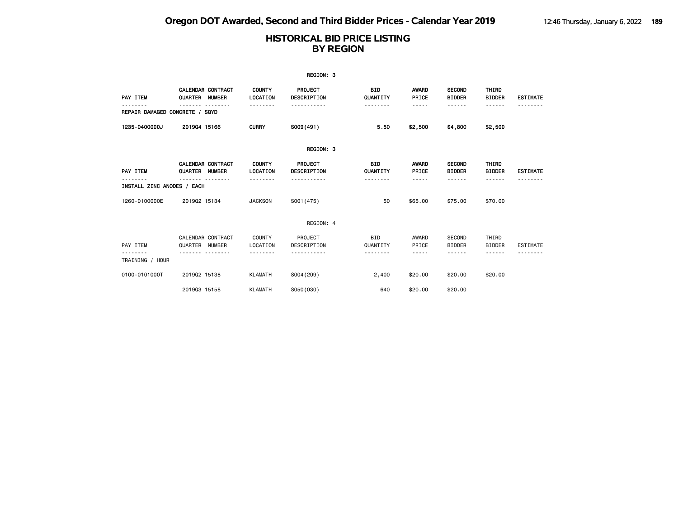|                                |                                            |                                  | REGION: 3                     |                        |                         |                                |                                       |                 |
|--------------------------------|--------------------------------------------|----------------------------------|-------------------------------|------------------------|-------------------------|--------------------------------|---------------------------------------|-----------------|
| PAY ITEM                       | <b>CALENDAR CONTRACT</b><br>QUARTER NUMBER | <b>COUNTY</b><br><b>LOCATION</b> | PROJECT<br>DESCRIPTION        | <b>BID</b><br>QUANTITY | AWARD<br>PRICE          | <b>SECOND</b><br><b>BIDDER</b> | THIRD<br><b>BIDDER</b>                | <b>ESTIMATE</b> |
| REPAIR DAMAGED CONCRETE / SQYD |                                            |                                  |                               |                        | -----                   | <b>.</b>                       | ------                                |                 |
| 1235-0400000J                  | 201904 15166                               | <b>CURRY</b>                     | S009(491)                     | 5.50                   | \$2,500                 | \$4,800                        | \$2,500                               |                 |
|                                |                                            |                                  | REGION: 3                     |                        |                         |                                |                                       |                 |
| PAY ITEM                       | <b>CALENDAR CONTRACT</b><br>QUARTER NUMBER | <b>COUNTY</b><br><b>LOCATION</b> | <b>PROJECT</b><br>DESCRIPTION | <b>BID</b><br>QUANTITY | <b>AWARD</b><br>PRICE   | <b>SECOND</b><br><b>BIDDER</b> | THIRD<br><b>BIDDER</b>                | <b>ESTIMATE</b> |
| INSTALL ZINC ANODES / EACH     |                                            | --------                         | .                             | .                      | -----                   | - - - - - -                    | ------                                |                 |
| 1260-0100000E                  | 201902 15134                               | <b>JACKSON</b>                   | S001 (475)                    | 50                     | \$65.00                 | \$75,00                        | \$70.00                               |                 |
|                                |                                            |                                  | REGION: 4                     |                        |                         |                                |                                       |                 |
| PAY ITEM<br>TRAINING / HOUR    | CALENDAR CONTRACT<br>QUARTER NUMBER        | <b>COUNTY</b><br>LOCATION        | PROJECT<br>DESCRIPTION        | BID<br>QUANTITY        | AWARD<br>PRICE<br>----- | SECOND<br><b>BIDDER</b><br>.   | THIRD<br><b>BIDDER</b><br>- - - - - - | <b>ESTIMATE</b> |
| 0100-0101000T                  | 201902 15138                               | <b>KLAMATH</b>                   | S004 (209)                    | 2,400                  | \$20.00                 | \$20.00                        | \$20,00                               |                 |
|                                | 201903 15158                               | <b>KLAMATH</b>                   | S050(030)                     | 640                    | \$20.00                 | \$20.00                        |                                       |                 |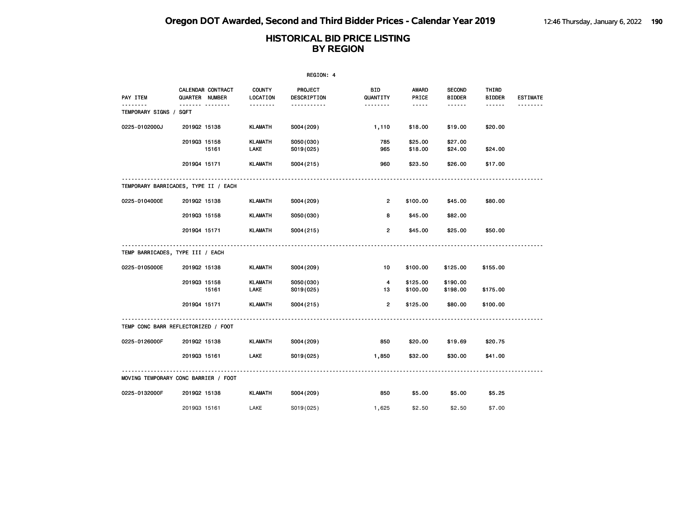|                        |                                      |                               | REGION: 4              |                      |                                                                                                               |                                |                        |                 |
|------------------------|--------------------------------------|-------------------------------|------------------------|----------------------|---------------------------------------------------------------------------------------------------------------|--------------------------------|------------------------|-----------------|
| PAY ITEM               | CALENDAR CONTRACT<br>QUARTER NUMBER  | <b>COUNTY</b><br>LOCATION     | PROJECT<br>DESCRIPTION | BID<br>QUANTITY      | AWARD<br>PRICE                                                                                                | <b>SECOND</b><br><b>BIDDER</b> | THIRD<br><b>BIDDER</b> | <b>ESTIMATE</b> |
| TEMPORARY SIGNS / SQFT | <b>.</b>                             | <u>.</u>                      | .                      | <u>.</u>             | $\frac{1}{2} \frac{1}{2} \frac{1}{2} \frac{1}{2} \frac{1}{2} \frac{1}{2} \frac{1}{2} \frac{1}{2} \frac{1}{2}$ | ------                         | ------                 |                 |
| 0225-0102000J          | 201902 15138                         | <b>KLAMATH</b>                | S004 (209)             | 1,110                | \$18.00                                                                                                       | \$19.00                        | \$20.00                |                 |
|                        | 201903 15158<br>15161                | <b>KLAMATH</b><br><b>LAKE</b> | S050(030)<br>S019(025) | 785<br>965           | \$25.00<br>\$18.00                                                                                            | \$27.00<br>\$24.00             | \$24.00                |                 |
|                        | 201904 15171                         | <b>KLAMATH</b>                | S004(215)              | 960                  | \$23.50                                                                                                       | \$26.00                        | \$17.00                |                 |
|                        | TEMPORARY BARRICADES, TYPE II / EACH |                               |                        |                      |                                                                                                               |                                |                        |                 |
| 0225-0104000E          | 201902 15138                         | KLAMATH                       | S004 (209)             | $\overline{2}$       | \$100.00                                                                                                      | \$45.00                        | \$80.00                |                 |
|                        | 201903 15158                         | <b>KLAMATH</b>                | S050(030)              | 8                    | \$45.00                                                                                                       | \$82.00                        |                        |                 |
|                        | 201904 15171                         | <b>KLAMATH</b>                | S004(215)              | $\overline{2}$       | \$45.00                                                                                                       | \$25.00                        | \$50.00                |                 |
|                        | TEMP BARRICADES, TYPE III / EACH     |                               |                        |                      |                                                                                                               |                                |                        |                 |
| 0225-0105000E          | 201902 15138                         | <b>KLAMATH</b>                | S004 (209)             | 10                   | \$100.00                                                                                                      | \$125.00                       | \$155.00               |                 |
|                        | 201903 15158<br>15161                | <b>KLAMATH</b><br><b>LAKE</b> | S050(030)<br>S019(025) | $\overline{4}$<br>13 | \$125.00<br>\$100.00                                                                                          | \$190.00<br>\$198.00           | \$175.00               |                 |
|                        | 201904 15171                         | <b>KLAMATH</b>                | S004(215)              | $\overline{2}$       | \$125.00                                                                                                      | \$80.00                        | \$100.00               |                 |
|                        | TEMP CONC BARR REFLECTORIZED / FOOT  |                               |                        |                      |                                                                                                               |                                |                        |                 |
| 0225-0126000F          | 201902 15138                         | KLAMATH                       | S004 (209)             | 850                  | \$20.00                                                                                                       | \$19.69                        | \$20.75                |                 |
|                        | 201903 15161                         | <b>LAKE</b>                   | S019(025)              | 1,850                | \$32.00                                                                                                       | \$30.00                        | \$41.00                |                 |
|                        | MOVING TEMPORARY CONC BARRIER / FOOT |                               |                        |                      |                                                                                                               |                                |                        |                 |
| 0225-0132000F          | 201902 15138                         | KLAMATH                       | S004 (209)             | 850                  | \$5.00                                                                                                        | \$5.00                         | \$5.25                 |                 |
|                        | 201903 15161                         | LAKE                          | S019(025)              | 1,625                | \$2.50                                                                                                        | \$2.50                         | \$7.00                 |                 |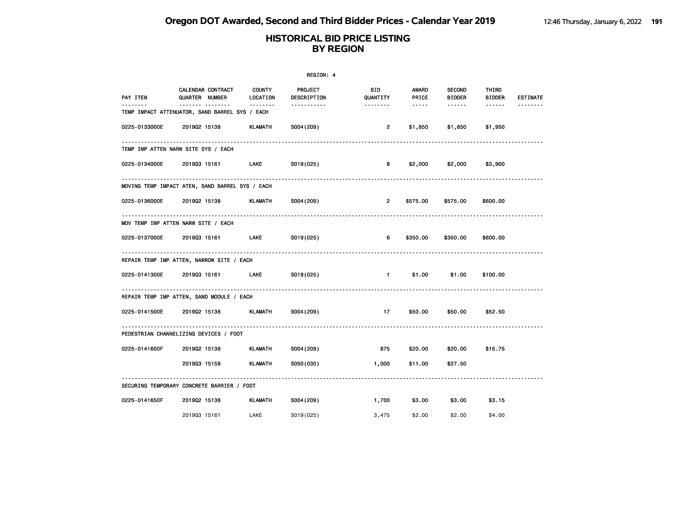|               | REGION: 4                                          |                           |                               |                             |                        |                                |                 |                 |  |
|---------------|----------------------------------------------------|---------------------------|-------------------------------|-----------------------------|------------------------|--------------------------------|-----------------|-----------------|--|
| PAY ITEM      | CALENDAR CONTRACT<br>QUARTER NUMBER                | <b>COUNTY</b><br>LOCATION | <b>PROJECT</b><br>DESCRIPTION | <b>BID</b><br>QUANTITY      | AWARD<br>PRICE         | <b>SECOND</b><br><b>BIDDER</b> | THIRD<br>BIDDER | <b>ESTIMATE</b> |  |
| .             | <br>TEMP IMPACT ATTENUATOR, SAND BARREL SYS / EACH | --------                  |                               | --------                    | $\cdots \cdots \cdots$ | ------                         | ------          |                 |  |
| 0225-0133000E | 201902 15138                                       | KLAMATH                   | S004(209)                     | $\overline{2}$              | \$1,850                | \$1,850                        | \$1,950         |                 |  |
|               | TEMP IMP ATTEN NARW SITE SYS / EACH                |                           |                               |                             |                        |                                |                 |                 |  |
| 0225-0134000E | 201903 15161                                       | LAKE S019(025)            |                               | 8                           | \$2,000                | \$2,000                        | \$3,900         |                 |  |
|               | MOVING TEMP IMPACT ATEN, SAND BARREL SYS / EACH    |                           |                               |                             |                        |                                |                 |                 |  |
| 0225-0136000E | 2019Q2 15138 KLAMATH                               |                           | S004(209)                     | $2^{\circ}$                 | \$575.00               | \$575.00                       | \$600.00        |                 |  |
|               | MOV TEMP IMP ATTEN NARW SITE / EACH                |                           |                               |                             |                        |                                |                 |                 |  |
| 0225-0137000E | 2019Q3 15161 LAKE S019(025)                        |                           |                               | 6                           | \$350.00               | \$350.00                       | \$600.00        |                 |  |
|               | REPAIR TEMP IMP ATTEN, NARROW SITE / EACH          |                           |                               |                             |                        |                                |                 |                 |  |
| 0225-0141300E | 2019Q3 15161 LAKE S019(025)                        |                           |                               | $\mathbf 1$ and $\mathbf 1$ | \$1.00                 | \$1.00                         | \$100.00        |                 |  |
|               | REPAIR TEMP IMP ATTEN, SAND MODULE / EACH          |                           |                               |                             |                        |                                |                 |                 |  |
|               | 0225-0141500E 2019Q2 15138 KLAMATH S004 (209)      |                           |                               | 17                          | \$50.00                | \$50.00                        | \$52.50         |                 |  |
|               | PEDESTRIAN CHANNELIZING DEVICES / FOOT             |                           |                               |                             |                        |                                |                 |                 |  |
| 0225-0141600F | 201902 15138                                       |                           | KLAMATH S004 (209)            | 875                         | \$20.00                |                                | \$20.00 \$15.75 |                 |  |
|               | 201903 15158                                       | KLAMATH                   | S050(030)                     | 1,000                       | \$11.00                | \$27.50                        |                 |                 |  |
|               | SECURING TEMPORARY CONCRETE BARRIER / FOOT         |                           |                               |                             |                        |                                |                 |                 |  |
| 0225-0141650F | 201902 15138                                       | KLAMATH                   | S004 (209)                    | 1,700 11                    | \$3.00                 | \$3.00                         | \$3.15          |                 |  |
|               | 201903 15161                                       | LAKE                      | S019(025)                     | 3,475                       | \$2.00                 | \$2.00                         | \$4,00          |                 |  |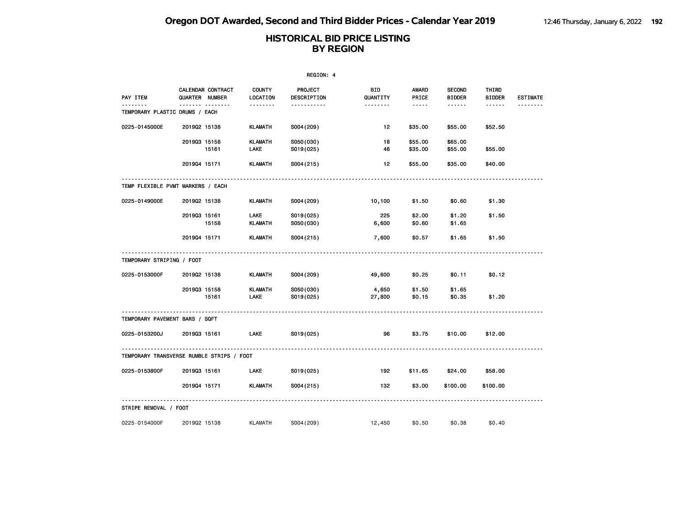|                                | REGION: 4                                 |                           |                        |                       |                    |                                |                        |                 |  |  |
|--------------------------------|-------------------------------------------|---------------------------|------------------------|-----------------------|--------------------|--------------------------------|------------------------|-----------------|--|--|
| PAY ITEM                       | CALENDAR CONTRACT<br>QUARTER NUMBER       | <b>COUNTY</b><br>LOCATION | PROJECT<br>DESCRIPTION | BID<br>QUANTITY       | AWARD<br>PRICE     | <b>SECOND</b><br><b>BIDDER</b> | THIRD<br><b>BIDDER</b> | <b>ESTIMATE</b> |  |  |
| TEMPORARY PLASTIC DRUMS / EACH |                                           | .                         | <u>.</u>               | <u> - - - - - - -</u> | $- - - - -$        | $- - - - - -$                  | ------                 |                 |  |  |
| 0225-0145000E                  | 201902 15138                              | <b>KLAMATH</b>            | S004 (209)             | 12                    | \$35.00            | \$55.00                        | \$52.50                |                 |  |  |
|                                | 201903 15158<br>15161                     | <b>KLAMATH</b><br>LAKE    | S050(030)<br>S019(025) | 18<br>48              | \$55.00<br>\$35.00 | \$65,00<br>\$55.00             | \$55.00                |                 |  |  |
|                                | 201904 15171                              | <b>KLAMATH</b>            | S004(215)              | 12                    | \$55.00            | \$35.00                        | \$40.00                |                 |  |  |
|                                | TEMP FLEXIBLE PVMT MARKERS / EACH         |                           |                        |                       |                    |                                |                        |                 |  |  |
| 0225-0149000E                  | 201902 15138                              | <b>KLAMATH</b>            | S004 (209)             | 10,100                | \$1.50             | \$0.60                         | \$1.30                 |                 |  |  |
|                                | 201903 15161<br>15158                     | LAKE<br>KLAMATH           | S019(025)<br>S050(030) | 225<br>6,600          | \$2.00<br>\$0.60   | \$1.20<br>\$1.65               | \$1.50                 |                 |  |  |
|                                | 201904 15171                              | <b>KLAMATH</b>            | S004(215)              | 7,600                 | \$0.57             | \$1.65                         | \$1.50                 |                 |  |  |
| TEMPORARY STRIPING / FOOT      |                                           |                           |                        |                       |                    |                                |                        |                 |  |  |
| 0225-0153000F                  | 201902 15138                              | KLAMATH                   | S004 (209)             | 49,600                | \$0.25             | \$0.11                         | \$0.12                 |                 |  |  |
|                                | 201903 15158<br>15161                     | <b>KLAMATH</b><br>LAKE    | S050(030)<br>S019(025) | 4,650<br>27,800       | \$1.50<br>\$0.15   | \$1.65<br>\$0.35               | \$1.20                 |                 |  |  |
| TEMPORARY PAVEMENT BARS / SQFT |                                           |                           |                        |                       |                    |                                |                        |                 |  |  |
| 0225-0153200J                  | 201903 15161                              | <b>LAKE</b>               | S019(025)              | 96                    | \$3.75             | \$10.00                        | \$12.00                |                 |  |  |
|                                | TEMPORARY TRANSVERSE RUMBLE STRIPS / FOOT |                           |                        |                       |                    |                                |                        |                 |  |  |
| 0225-0153800F                  | 201903 15161                              | LAKE                      | S019(025)              | 192                   | \$11.65            | \$24.00                        | \$58.00                |                 |  |  |
|                                | 201904 15171                              | <b>KLAMATH</b>            | S004(215)              | 132                   | \$3.00             | \$100.00                       | \$100.00               |                 |  |  |
| STRIPE REMOVAL / FOOT          |                                           |                           |                        |                       |                    |                                |                        |                 |  |  |
| 0225-0154000F                  | 201902 15138                              | <b>KLAMATH</b>            | S004 (209)             | 12,450                | \$0.50             | \$0.38                         | \$0.40                 |                 |  |  |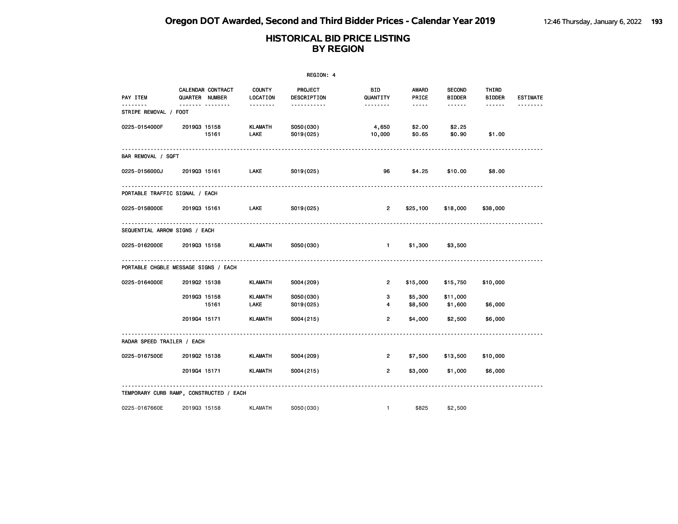|                               |                                         |                           | REGION: 4              |                     |                                                                                                                                                      |                                |                        |                 |
|-------------------------------|-----------------------------------------|---------------------------|------------------------|---------------------|------------------------------------------------------------------------------------------------------------------------------------------------------|--------------------------------|------------------------|-----------------|
| PAY ITEM                      | CALENDAR CONTRACT<br>QUARTER NUMBER     | <b>COUNTY</b><br>LOCATION | PROJECT<br>DESCRIPTION | BID<br>QUANTITY     | AWARD<br>PRICE                                                                                                                                       | <b>SECOND</b><br><b>BIDDER</b> | THIRD<br><b>BIDDER</b> | <b>ESTIMATE</b> |
| .<br>STRIPE REMOVAL / FOOT    | .                                       | <u> - - - - - - -</u>     | <u>.</u>               | .                   | $\frac{1}{2} \left( \frac{1}{2} \right) \left( \frac{1}{2} \right) \left( \frac{1}{2} \right) \left( \frac{1}{2} \right) \left( \frac{1}{2} \right)$ | $- - - - - -$                  |                        | .               |
| 0225-0154000F                 | 201903 15158<br>15161                   | KLAMATH<br><b>LAKE</b>    | S050(030)<br>S019(025) | 4,650<br>10,000     | \$2.00<br>\$0.65                                                                                                                                     | \$2.25<br>\$0.90               | \$1.00                 |                 |
| BAR REMOVAL / SQFT            |                                         |                           |                        |                     |                                                                                                                                                      |                                |                        |                 |
| 0225-0156000J                 | 201903 15161                            | <b>LAKE</b>               | S019(025)              | 96                  | \$4.25                                                                                                                                               | \$10.00                        | \$8.00                 |                 |
|                               | PORTABLE TRAFFIC SIGNAL / EACH          |                           |                        |                     |                                                                                                                                                      |                                |                        |                 |
|                               | 0225-0158000E 201903 15161              | <b>LAKE</b>               | S019(025)              | $\overline{2}$      |                                                                                                                                                      | \$25,100 \$18,000              | \$38,000               |                 |
| SEQUENTIAL ARROW SIGNS / EACH |                                         |                           |                        |                     |                                                                                                                                                      |                                |                        |                 |
|                               | 0225-0162000E 2019Q3 15158              | <b>KLAMATH</b>            | S050(030)              | $\sim$ 1.000 $\sim$ | \$1,300                                                                                                                                              | \$3,500                        |                        |                 |
|                               | PORTABLE CHGBLE MESSAGE SIGNS / EACH    |                           |                        |                     |                                                                                                                                                      |                                |                        |                 |
| 0225-0164000E                 | 201902 15138                            | <b>KLAMATH</b>            | S004 (209)             | $\overline{2}$      | \$15,000                                                                                                                                             | \$15,750                       | \$10,000               |                 |
|                               | 201903 15158<br>15161                   | <b>KLAMATH</b><br>LAKE    | S050(030)<br>S019(025) | 3<br>4              | \$5,300<br>\$8,500                                                                                                                                   | \$11,000<br>\$1,600            | \$6,000                |                 |
|                               | 201904 15171                            | <b>KLAMATH</b>            | S004(215)              | 2                   | \$4,000                                                                                                                                              | \$2,500                        | \$6,000                |                 |
| RADAR SPEED TRAILER / EACH    |                                         |                           |                        |                     |                                                                                                                                                      |                                |                        |                 |
| 0225-0167500E                 | 201902 15138                            | KLAMATH                   | S004 (209)             | $\overline{2}$      | \$7,500                                                                                                                                              | \$13,500                       | \$10,000               |                 |
|                               | 201904 15171                            | KLAMATH                   | S004(215)              | $\overline{2}$      | \$3,000                                                                                                                                              | \$1,000                        | \$6,000                |                 |
|                               | TEMPORARY CURB RAMP, CONSTRUCTED / EACH |                           |                        |                     |                                                                                                                                                      |                                |                        |                 |
| 0225-0167660E                 | 201903 15158                            | <b>KLAMATH</b>            | S050(030)              | $\mathbf{1}$        | \$825                                                                                                                                                | \$2,500                        |                        |                 |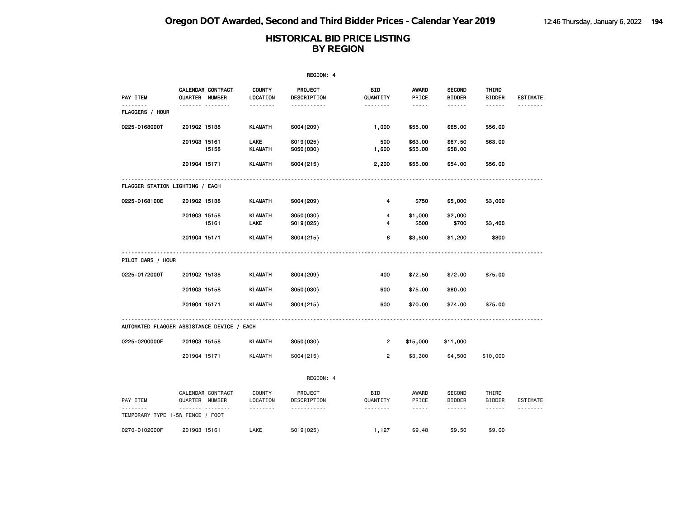|                                            |                                                 |       |                               | REGION: 4                     |                             |                               |                                |                        |                 |
|--------------------------------------------|-------------------------------------------------|-------|-------------------------------|-------------------------------|-----------------------------|-------------------------------|--------------------------------|------------------------|-----------------|
| PAY ITEM                                   | CALENDAR CONTRACT<br>QUARTER NUMBER             |       | <b>COUNTY</b><br>LOCATION     | <b>PROJECT</b><br>DESCRIPTION | BID<br>QUANTITY             | AWARD<br>PRICE                | <b>SECOND</b><br><b>BIDDER</b> | THIRD<br><b>BIDDER</b> | <b>ESTIMATE</b> |
| FLAGGERS / HOUR                            |                                                 |       | .                             | -----------                   | --------                    | $- - - - -$                   | ------                         | ------                 |                 |
| 0225-0168000T                              | 201902 15138                                    |       | <b>KLAMATH</b>                | S004 (209)                    | 1,000                       | \$55.00                       | \$65.00                        | \$56.00                |                 |
|                                            | 201903 15161                                    | 15158 | <b>LAKE</b><br><b>KLAMATH</b> | S019(025)<br>S050(030)        | 500<br>1,600                | \$63.00<br>\$55.00            | \$67.50<br>\$58.00             | \$63.00                |                 |
|                                            | 201904 15171                                    |       | <b>KLAMATH</b>                | S004(215)                     | 2,200                       | \$55.00                       | \$54.00                        | \$56.00                |                 |
| FLAGGER STATION LIGHTING / EACH            |                                                 |       |                               |                               |                             |                               |                                |                        |                 |
| 0225-0168100E                              | 201902 15138                                    |       | <b>KLAMATH</b>                | S004 (209)                    | 4                           | \$750                         | \$5,000                        | \$3,000                |                 |
|                                            | 201903 15158                                    | 15161 | <b>KLAMATH</b><br>LAKE        | S050(030)<br>S019(025)        | 4<br>4                      | \$1,000<br>\$500              | \$2,000<br>\$700               | \$3,400                |                 |
|                                            | 201904 15171                                    |       | <b>KLAMATH</b>                | S004(215)                     | 6                           | \$3,500                       | \$1,200                        | \$800                  |                 |
| PILOT CARS / HOUR                          |                                                 |       |                               |                               |                             |                               |                                |                        |                 |
| 0225-0172000T                              | 201902 15138                                    |       | <b>KLAMATH</b>                | S004 (209)                    | 400                         | \$72.50                       | \$72.00                        | \$75.00                |                 |
|                                            | 201903 15158                                    |       | <b>KLAMATH</b>                | S050(030)                     | 600                         | \$75.00                       | \$80.00                        |                        |                 |
|                                            | 201904 15171                                    |       | <b>KLAMATH</b>                | S004(215)                     | 600                         | \$70.00                       | \$74.00                        | \$75.00                |                 |
| AUTOMATED FLAGGER ASSISTANCE DEVICE / EACH |                                                 |       |                               |                               |                             |                               |                                |                        |                 |
| 0225-0200000E                              | 201903 15158                                    |       | <b>KLAMATH</b>                | S050(030)                     | $\overline{2}$              | \$15,000                      | \$11,000                       |                        |                 |
|                                            | 201904 15171                                    |       | <b>KLAMATH</b>                | S004(215)                     | $\overline{2}$              | \$3,300                       | \$4,500                        | \$10,000               |                 |
|                                            |                                                 |       |                               | REGION: 4                     |                             |                               |                                |                        |                 |
| PAY ITEM                                   | CALENDAR CONTRACT<br>QUARTER NUMBER<br><u>.</u> |       | COUNTY<br>LOCATION            | PROJECT<br>DESCRIPTION        | BID<br>QUANTITY<br><u>.</u> | AWARD<br>PRICE<br>$- - - - -$ | <b>SECOND</b><br><b>BIDDER</b> | THIRD<br><b>BIDDER</b> | ESTIMATE        |
| TEMPORARY TYPE 1-5W FENCE / FOOT           |                                                 |       | .                             | .                             |                             |                               | ------                         | ------                 | <u>.</u>        |
| 0270-0102000F                              | 201903 15161                                    |       | LAKE                          | S019(025)                     | 1,127                       | \$9.48                        | \$9.50                         | \$9.00                 |                 |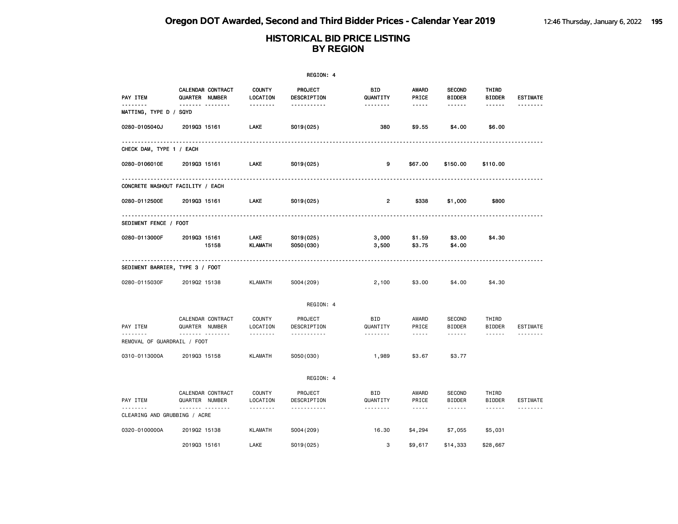|                                   |                                     |                           | REGION: 4              |                         |                  |                                |                                                                                                                                                                                                                                                                                                                                                                                                                                                                            |                 |
|-----------------------------------|-------------------------------------|---------------------------|------------------------|-------------------------|------------------|--------------------------------|----------------------------------------------------------------------------------------------------------------------------------------------------------------------------------------------------------------------------------------------------------------------------------------------------------------------------------------------------------------------------------------------------------------------------------------------------------------------------|-----------------|
| PAY ITEM                          | CALENDAR CONTRACT<br>QUARTER NUMBER | <b>COUNTY</b><br>LOCATION | PROJECT<br>DESCRIPTION | BID<br>QUANTITY         | AWARD<br>PRICE   | <b>SECOND</b><br><b>BIDDER</b> | THIRD<br><b>BIDDER</b>                                                                                                                                                                                                                                                                                                                                                                                                                                                     | <b>ESTIMATE</b> |
| .<br>MATTING, TYPE D / SQYD       | <b>.</b>                            | <u>.</u>                  | -----------            | <u>.</u>                | -----            | ------                         | ------                                                                                                                                                                                                                                                                                                                                                                                                                                                                     | <u>.</u>        |
| 0280-0105040J                     | 201903 15161                        | LAKE                      | S019(025)              | 380                     | \$9.55           | \$4.00                         | \$6.00                                                                                                                                                                                                                                                                                                                                                                                                                                                                     |                 |
| CHECK DAM, TYPE 1 / EACH          |                                     |                           |                        |                         |                  |                                |                                                                                                                                                                                                                                                                                                                                                                                                                                                                            |                 |
| 0280-0106010E                     | 201903 15161                        | LAKE                      | S019(025)              | 9                       | \$67.00          | \$150.00                       | \$110.00                                                                                                                                                                                                                                                                                                                                                                                                                                                                   |                 |
|                                   | CONCRETE WASHOUT FACILITY / EACH    |                           |                        |                         |                  |                                |                                                                                                                                                                                                                                                                                                                                                                                                                                                                            |                 |
| 0280-0112500E                     | 201903 15161                        | LAKE                      | S019(025)              | $\overline{\mathbf{2}}$ | \$338            | \$1,000                        | \$800                                                                                                                                                                                                                                                                                                                                                                                                                                                                      |                 |
| SEDIMENT FENCE / FOOT             |                                     |                           |                        |                         |                  |                                |                                                                                                                                                                                                                                                                                                                                                                                                                                                                            |                 |
| 0280-0113000F                     | 201903 15161<br>15158               | LAKE<br>KLAMATH           | S019(025)<br>S050(030) | 3,000<br>3,500          | \$1.59<br>\$3.75 | \$3.00<br>\$4.00               | \$4.30                                                                                                                                                                                                                                                                                                                                                                                                                                                                     |                 |
|                                   | SEDIMENT BARRIER, TYPE 3 / FOOT     |                           |                        |                         |                  |                                |                                                                                                                                                                                                                                                                                                                                                                                                                                                                            |                 |
| 0280-0115030F                     | 201902 15138                        | <b>KLAMATH</b>            | S004 (209)             | 2,100                   | \$3.00           | \$4.00                         | \$4.30                                                                                                                                                                                                                                                                                                                                                                                                                                                                     |                 |
|                                   |                                     |                           | REGION: 4              |                         |                  |                                |                                                                                                                                                                                                                                                                                                                                                                                                                                                                            |                 |
| PAY ITEM                          | CALENDAR CONTRACT<br>QUARTER NUMBER | <b>COUNTY</b><br>LOCATION | PROJECT<br>DESCRIPTION | <b>BID</b><br>QUANTITY  | AWARD<br>PRICE   | <b>SECOND</b><br><b>BIDDER</b> | THIRD<br><b>BIDDER</b>                                                                                                                                                                                                                                                                                                                                                                                                                                                     | ESTIMATE        |
| REMOVAL OF GUARDRAIL / FOOT       | .                                   | .                         | .                      | --------                | $\frac{1}{2}$    | ------                         | .                                                                                                                                                                                                                                                                                                                                                                                                                                                                          |                 |
| 0310-0113000A                     | 201903 15158                        | <b>KLAMATH</b>            | S050(030)              | 1,989                   | \$3.67           | \$3.77                         |                                                                                                                                                                                                                                                                                                                                                                                                                                                                            |                 |
|                                   |                                     |                           | REGION: 4              |                         |                  |                                |                                                                                                                                                                                                                                                                                                                                                                                                                                                                            |                 |
| PAY ITEM                          | CALENDAR CONTRACT<br>QUARTER NUMBER | <b>COUNTY</b><br>LOCATION | PROJECT<br>DESCRIPTION | <b>BID</b><br>QUANTITY  | AWARD<br>PRICE   | <b>SECOND</b><br><b>BIDDER</b> | THIRD<br><b>BIDDER</b>                                                                                                                                                                                                                                                                                                                                                                                                                                                     | <b>ESTIMATE</b> |
| .<br>CLEARING AND GRUBBING / ACRE | .                                   | .                         | <u>.</u>               | <u>.</u>                | $\frac{1}{2}$    | $- - - - - -$                  | $\frac{1}{2} \left( \frac{1}{2} \right) \left( \frac{1}{2} \right) \left( \frac{1}{2} \right) \left( \frac{1}{2} \right) \left( \frac{1}{2} \right) \left( \frac{1}{2} \right) \left( \frac{1}{2} \right) \left( \frac{1}{2} \right) \left( \frac{1}{2} \right) \left( \frac{1}{2} \right) \left( \frac{1}{2} \right) \left( \frac{1}{2} \right) \left( \frac{1}{2} \right) \left( \frac{1}{2} \right) \left( \frac{1}{2} \right) \left( \frac{1}{2} \right) \left( \frac$ | <u>.</u>        |
| 0320-0100000A                     | 201902 15138                        | <b>KLAMATH</b>            | S004 (209)             | 16.30                   | \$4,294          | \$7,055                        | \$5,031                                                                                                                                                                                                                                                                                                                                                                                                                                                                    |                 |
|                                   | 201903 15161                        | LAKE                      | S019(025)              | 3                       | \$9,617          | \$14,333                       | \$28,667                                                                                                                                                                                                                                                                                                                                                                                                                                                                   |                 |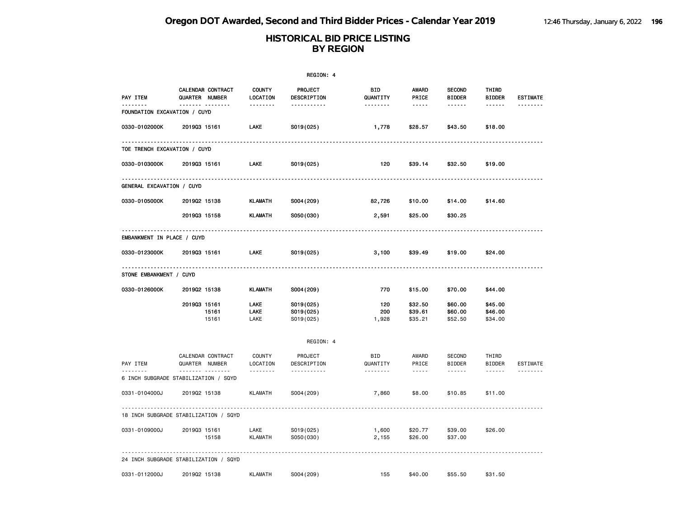|                              |                                          |                           | REGION: 4                           |                      |                               |                                |                               |                 |
|------------------------------|------------------------------------------|---------------------------|-------------------------------------|----------------------|-------------------------------|--------------------------------|-------------------------------|-----------------|
| PAY ITEM                     | CALENDAR CONTRACT<br>QUARTER NUMBER      | <b>COUNTY</b><br>LOCATION | PROJECT<br>DESCRIPTION              | BID<br>QUANTITY      | AWARD<br>PRICE                | <b>SECOND</b><br><b>BIDDER</b> | THIRD<br><b>BIDDER</b>        | <b>ESTIMATE</b> |
| FOUNDATION EXCAVATION / CUYD | <u>.</u>                                 | .                         | .                                   | .                    | $- - - - -$                   | ------                         |                               |                 |
| 0330-0102000K                | 201903 15161                             | LAKE                      | S019(025)                           | 1,778                | \$28.57                       | \$43.50                        | \$18.00                       |                 |
| TOE TRENCH EXCAVATION / CUYD |                                          |                           |                                     |                      |                               |                                |                               |                 |
| 0330-0103000K                | 201903 15161                             | LAKE                      | S019(025)                           | 120                  | \$39.14                       | \$32.50                        | \$19.00                       |                 |
| GENERAL EXCAVATION / CUYD    |                                          |                           |                                     |                      |                               |                                |                               |                 |
| 0330-0105000K                | 201902 15138                             | <b>KLAMATH</b>            | S004 (209)                          | 82,726               | \$10.00                       | \$14.00                        | \$14.60                       |                 |
|                              | 201903 15158                             | <b>KLAMATH</b>            | S050(030)                           | 2,591                | \$25.00                       | \$30.25                        |                               |                 |
| EMBANKMENT IN PLACE / CUYD   |                                          |                           |                                     |                      |                               |                                |                               |                 |
| 0330-0123000K                | 201903 15161                             | LAKE                      | S019(025)                           | 3,100                | \$39.49                       | \$19.00                        | \$24.00                       |                 |
| STONE EMBANKMENT / CUYD      |                                          |                           |                                     |                      |                               |                                |                               |                 |
| 0330-0126000K                | 201902 15138                             | <b>KLAMATH</b>            | S004 (209)                          | 770                  | \$15.00                       | \$70.00                        | \$44.00                       |                 |
|                              | 201903 15161<br>15161<br>15161           | LAKE<br>LAKE<br>LAKE      | S019(025)<br>S019(025)<br>S019(025) | 120<br>200<br>1,928  | \$32.50<br>\$39.61<br>\$35.21 | \$60.00<br>\$60.00<br>\$52.50  | \$45.00<br>\$46.00<br>\$34.00 |                 |
|                              |                                          |                           | REGION: 4                           |                      |                               |                                |                               |                 |
| PAY ITEM                     | CALENDAR CONTRACT<br>QUARTER NUMBER<br>. | COUNTY<br>LOCATION<br>.   | PROJECT<br>DESCRIPTION<br>.         | BID<br>QUANTITY<br>. | AWARD<br>PRICE<br>$- - - - -$ | <b>SECOND</b><br><b>BIDDER</b> | THIRD<br><b>BIDDER</b>        | <b>ESTIMATE</b> |
|                              | 6 INCH SUBGRADE STABILIZATION / SQYD     |                           |                                     |                      |                               | .                              | ------                        | .               |
| 0331-0104000J                | 201902 15138                             | <b>KLAMATH</b>            | S004 (209)                          | 7,860                | \$8.00                        | \$10.85                        | \$11.00                       |                 |
|                              | 18 INCH SUBGRADE STABILIZATION / SQYD    |                           |                                     |                      |                               |                                |                               |                 |
| 0331-0109000J                | 201903 15161<br>15158                    | LAKE<br><b>KLAMATH</b>    | S019(025)<br>S050(030)              | 1,600<br>2,155       | \$20.77<br>\$26.00            | \$39.00<br>\$37.00             | \$26.00                       |                 |
|                              | 24 INCH SUBGRADE STABILIZATION / SQYD    |                           |                                     |                      |                               |                                |                               |                 |
| 0331-0112000J                | 201902 15138                             | <b>KLAMATH</b>            | S004 (209)                          | 155                  | \$40.00                       | \$55.50                        | \$31.50                       |                 |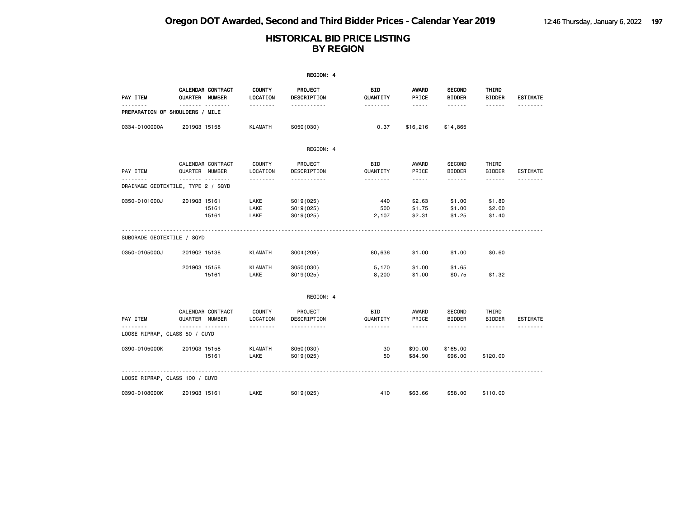|                                         |                |                   |                           | REGION: 4                           |                     |                            |                                |                            |                 |
|-----------------------------------------|----------------|-------------------|---------------------------|-------------------------------------|---------------------|----------------------------|--------------------------------|----------------------------|-----------------|
| PAY ITEM                                | QUARTER NUMBER | CALENDAR CONTRACT | <b>COUNTY</b><br>LOCATION | PROJECT<br>DESCRIPTION              | BID<br>QUANTITY     | <b>AWARD</b><br>PRICE      | <b>SECOND</b><br><b>BIDDER</b> | THIRD<br><b>BIDDER</b>     | <b>ESTIMATE</b> |
| PREPARATION OF SHOULDERS / MILE         |                |                   | --------                  | -----------                         | --------            | $- - - - -$                | ------                         | ------                     |                 |
| 0334-0100000A                           | 201903 15158   |                   | <b>KLAMATH</b>            | S050(030)                           | 0.37                | \$16,216                   | \$14,865                       |                            |                 |
|                                         |                |                   |                           | REGION: 4                           |                     |                            |                                |                            |                 |
| PAY ITEM                                | QUARTER NUMBER | CALENDAR CONTRACT | COUNTY<br>LOCATION        | PROJECT<br>DESCRIPTION              | BID<br>QUANTITY     | AWARD<br>PRICE             | SECOND<br><b>BIDDER</b>        | THIRD<br><b>BIDDER</b>     | ESTIMATE        |
| .<br>DRAINAGE GEOTEXTILE, TYPE 2 / SQYD | .              |                   | <u>.</u>                  | .                                   | .                   | $\frac{1}{2}$              | ------                         | ------                     |                 |
| 0350-0101000J                           | 201903 15161   | 15161<br>15161    | LAKE<br>LAKE<br>LAKE      | S019(025)<br>S019(025)<br>S019(025) | 440<br>500<br>2,107 | \$2.63<br>\$1.75<br>\$2.31 | \$1.00<br>\$1.00<br>\$1.25     | \$1.80<br>\$2.00<br>\$1.40 |                 |
| SUBGRADE GEOTEXTILE / SQYD              |                |                   |                           |                                     |                     |                            |                                |                            |                 |
| 0350-0105000J                           | 201902 15138   |                   | <b>KLAMATH</b>            | S004 (209)                          | 80,636              | \$1.00                     | \$1.00                         | \$0.60                     |                 |
|                                         | 201903 15158   | 15161             | <b>KLAMATH</b><br>LAKE    | S050(030)<br>S019(025)              | 5,170<br>8,200      | \$1.00<br>\$1.00           | \$1.65<br>\$0.75               | \$1.32                     |                 |
|                                         |                |                   |                           | REGION: 4                           |                     |                            |                                |                            |                 |
| PAY ITEM                                | QUARTER NUMBER | CALENDAR CONTRACT | COUNTY<br>LOCATION        | PROJECT<br>DESCRIPTION              | BID<br>QUANTITY     | AWARD<br>PRICE             | SECOND<br><b>BIDDER</b>        | THIRD<br><b>BIDDER</b>     | ESTIMATE        |
| LOOSE RIPRAP, CLASS 50 / CUYD           | . <sub>.</sub> |                   | --------                  | .                                   | .                   | $\cdots$                   | ------                         | $\cdots \cdots \cdots$     |                 |
| 0390-0105000K                           | 201903 15158   | 15161             | <b>KLAMATH</b><br>LAKE    | S050(030)<br>S019(025)              | 30<br>50            | \$90.00<br>\$84.90         | \$165.00<br>\$96.00            | \$120.00                   |                 |
| LOOSE RIPRAP, CLASS 100 / CUYD          |                |                   |                           |                                     |                     |                            |                                |                            |                 |
| 0390-0108000K                           | 201903 15161   |                   | LAKE                      | S019(025)                           | 410                 | \$63.66                    | \$58.00                        | \$110.00                   |                 |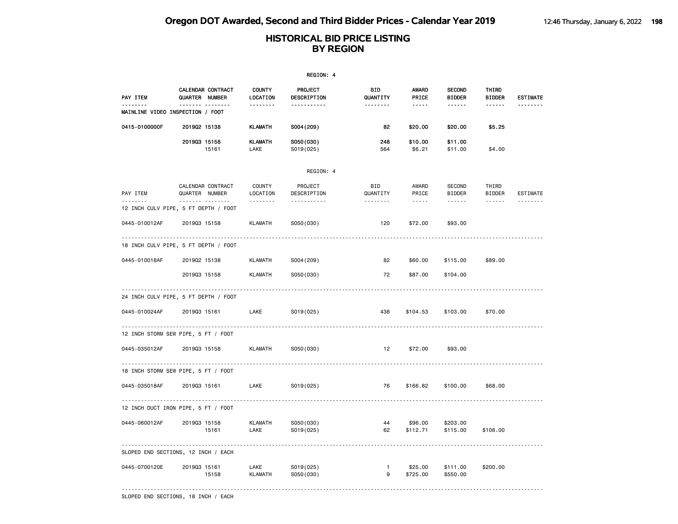|                                           |                                          |       |                           | REGION: 4              |                        |                                 |                                |                        |                 |
|-------------------------------------------|------------------------------------------|-------|---------------------------|------------------------|------------------------|---------------------------------|--------------------------------|------------------------|-----------------|
| PAY ITEM                                  | CALENDAR CONTRACT<br>QUARTER NUMBER      |       | <b>COUNTY</b><br>LOCATION | PROJECT<br>DESCRIPTION | <b>BID</b><br>QUANTITY | <b>AWARD</b><br>PRICE           | <b>SECOND</b><br><b>BIDDER</b> | THIRD<br><b>BIDDER</b> | <b>ESTIMATE</b> |
| .<br>MAINLINE VIDEO INSPECTION / FOOT     | .                                        |       | .                         | <u></u>                | <u> - - - - - - -</u>  | $- - - - -$                     | ------                         | <u>.</u>               | <u>.</u>        |
| 0415-0100000F                             | 201902 15138                             |       | <b>KLAMATH</b>            | S004 (209)             | 82                     | \$20.00                         | \$20.00                        | \$5.25                 |                 |
|                                           | 201903 15158                             | 15161 | <b>KLAMATH</b><br>LAKE    | S050(030)<br>S019(025) | 248<br>564             | \$10.00<br>\$6.21               | \$11.00<br>\$11.00             | \$4.00                 |                 |
|                                           |                                          |       |                           | REGION: 4              |                        |                                 |                                |                        |                 |
| PAY ITEM                                  | CALENDAR CONTRACT<br>QUARTER NUMBER<br>. |       | COUNTY<br>LOCATION<br>.   | PROJECT<br>DESCRIPTION | BID<br>QUANTITY        | AWARD<br>PRICE<br>$\frac{1}{2}$ | SECOND<br><b>BIDDER</b>        | THIRD<br><b>BIDDER</b> | ESTIMATE        |
| .<br>12 INCH CULV PIPE, 5 FT DEPTH / FOOT |                                          |       |                           | -----------            |                        |                                 | .                              | ------                 |                 |
| 0445-010012AF                             | 201903 15158                             |       | KLAMATH                   | S050(030)              | 120                    | \$72.00                         | \$93.00                        |                        |                 |
| 18 INCH CULV PIPE, 5 FT DEPTH / FOOT      |                                          |       |                           |                        |                        |                                 |                                |                        |                 |
| 0445-010018AF                             | 201902 15138                             |       | KLAMATH                   | S004 (209)             | 82                     | \$60.00                         | \$115.00                       | \$89.00                |                 |
|                                           | 201903 15158                             |       | <b>KLAMATH</b>            | S050(030)              | 72                     | \$87.00                         | \$104.00                       |                        |                 |
| 24 INCH CULV PIPE, 5 FT DEPTH / FOOT      |                                          |       |                           |                        |                        |                                 |                                |                        |                 |
| 0445-010024AF                             | 201903 15161                             |       | LAKE                      | S019(025)              | 438                    | \$104.53                        | \$103.00                       | \$70.00                |                 |
| 12 INCH STORM SEW PIPE, 5 FT / FOOT       |                                          |       |                           |                        |                        |                                 |                                |                        |                 |
| 0445-035012AF                             | 201903 15158                             |       | <b>KLAMATH</b>            | S050(030)              | 12                     | \$72.00                         | \$93.00                        |                        |                 |
| 18 INCH STORM SEW PIPE, 5 FT / FOOT       |                                          |       |                           |                        |                        |                                 |                                |                        |                 |
| 0445-035018AF                             | 201903 15161                             |       | LAKE                      | S019(025)              | 76                     | \$166.82                        | \$100.00                       | \$68.00                |                 |
| 12 INCH DUCT IRON PIPE, 5 FT / FOOT       |                                          |       |                           |                        |                        |                                 |                                |                        |                 |
| 0445-060012AF                             | 201903 15158                             | 15161 | <b>KLAMATH</b><br>LAKE    | S050(030)<br>S019(025) | 44<br>62               | \$96.00<br>\$112.71             | \$203.00<br>\$115.00           | \$106.00               |                 |
| SLOPED END SECTIONS, 12 INCH / EACH       |                                          |       |                           |                        |                        |                                 |                                |                        |                 |
| 0445-0700120E                             | 201903 15161                             | 15158 | LAKE<br>KLAMATH           | S019(025)<br>S050(030) | $\mathbf{1}$<br>9      | \$25.00<br>\$725.00             | \$111.00<br>\$550.00           | \$200.00               |                 |
| SLOPED END SECTIONS, 18 INCH / EACH       |                                          |       |                           |                        |                        |                                 |                                |                        |                 |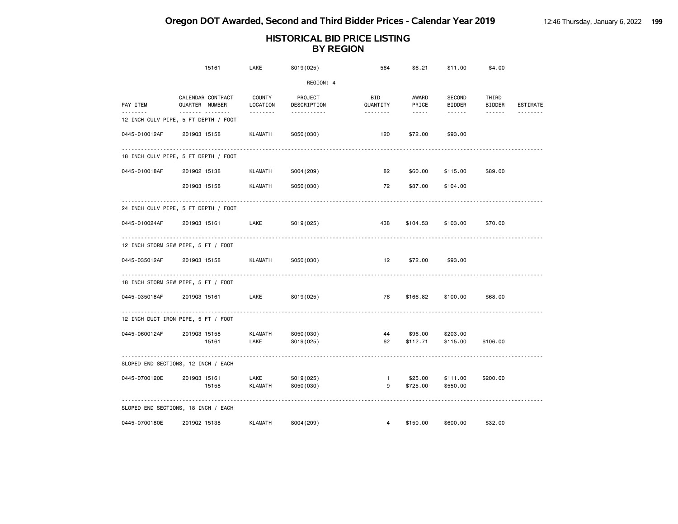|               | 15161                                    | LAKE                    | S019(025)              | 564                 | \$6.21                                 | \$11.00                 | \$4.00                                           |                       |
|---------------|------------------------------------------|-------------------------|------------------------|---------------------|----------------------------------------|-------------------------|--------------------------------------------------|-----------------------|
|               |                                          |                         | REGION: 4              |                     |                                        |                         |                                                  |                       |
| PAY ITEM<br>. | CALENDAR CONTRACT<br>QUARTER NUMBER<br>. | COUNTY<br>LOCATION<br>. | PROJECT<br>DESCRIPTION | BID<br>QUANTITY     | AWARD<br>PRICE<br>$\omega$ is a set of | SECOND<br><b>BIDDER</b> | THIRD<br><b>BIDDER</b><br>$\omega$ is a single . | ESTIMATE              |
|               | 12 INCH CULV PIPE, 5 FT DEPTH / FOOT     |                         | .                      | .                   |                                        | <b></b>                 |                                                  | <u> - - - - - - -</u> |
| 0445-010012AF | 201903 15158                             | KLAMATH                 | S050(030)              | 120                 | \$72.00                                | \$93.00                 |                                                  |                       |
|               | 18 INCH CULV PIPE, 5 FT DEPTH / FOOT     |                         |                        |                     |                                        |                         |                                                  |                       |
| 0445-010018AF | 201902 15138                             | KLAMATH                 | S004 (209)             | 82                  | \$60.00                                | \$115.00                | \$89.00                                          |                       |
|               | 201903 15158                             | <b>KLAMATH</b>          | S050(030)              | 72                  | \$87,00                                | \$104.00                |                                                  |                       |
|               | 24 INCH CULV PIPE, 5 FT DEPTH / FOOT     |                         |                        |                     |                                        |                         |                                                  |                       |
| 0445-010024AF | 201903 15161                             | LAKE                    | SO19(025)              | 438                 | \$104.53                               | \$103.00                | \$70.00                                          |                       |
|               | .<br>12 INCH STORM SEW PIPE, 5 FT / FOOT |                         |                        |                     |                                        |                         |                                                  |                       |
| 0445-035012AF | 201903 15158                             | KLAMATH                 | S050(030)              | 12                  | \$72.00                                | \$93.00                 |                                                  |                       |
|               | 18 INCH STORM SEW PIPE, 5 FT / FOOT      |                         |                        |                     |                                        |                         |                                                  |                       |
| 0445-035018AF | 201903 15161                             | LAKE                    | S019(025)              | 76                  | \$166.82                               | \$100.00                | \$68.00                                          |                       |
|               | 12 INCH DUCT IRON PIPE, 5 FT / FOOT      |                         |                        |                     |                                        |                         |                                                  |                       |
| 0445-060012AF | 201903 15158                             | <b>KLAMATH</b>          | S050(030)              | 44                  | \$96.00                                | \$203.00                |                                                  |                       |
|               | 15161                                    | LAKE                    | S019(025)              | 62                  | \$112.71                               | \$115.00                | \$106.00                                         |                       |
|               | SLOPED END SECTIONS, 12 INCH / EACH      |                         |                        |                     |                                        |                         |                                                  |                       |
| 0445-0700120E | 201903 15161<br>15158                    | LAKE<br><b>KLAMATH</b>  | S019(025)<br>S050(030) | $\overline{1}$<br>9 | \$25.00<br>\$725.00                    | \$111.00<br>\$550.00    | \$200.00                                         |                       |
|               | SLOPED END SECTIONS, 18 INCH / EACH      |                         |                        |                     |                                        |                         |                                                  |                       |
| 0445-0700180E | 201902 15138                             | <b>KLAMATH</b>          | S004 (209)             | $\overline{4}$      | \$150.00                               | \$600.00                | \$32.00                                          |                       |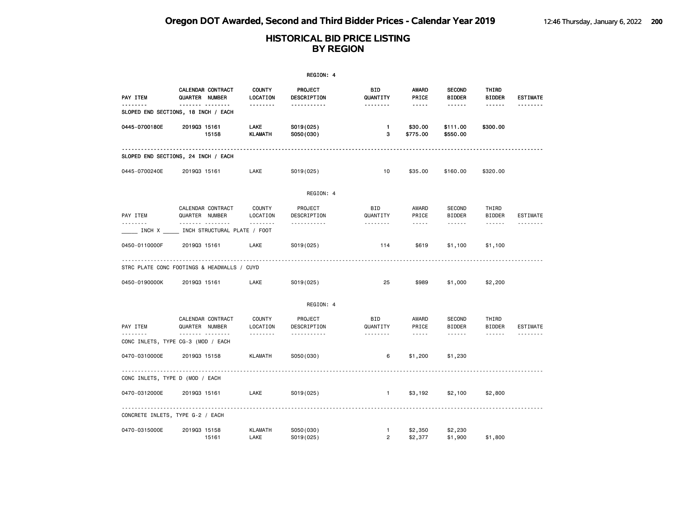|                                             |                |                                          |                           | REGION: 4              |                                |                                                                                                                                                      |                                |                        |                 |
|---------------------------------------------|----------------|------------------------------------------|---------------------------|------------------------|--------------------------------|------------------------------------------------------------------------------------------------------------------------------------------------------|--------------------------------|------------------------|-----------------|
| PAY ITEM                                    | QUARTER NUMBER | CALENDAR CONTRACT                        | <b>COUNTY</b><br>LOCATION | PROJECT<br>DESCRIPTION | BID<br>QUANTITY                | AWARD<br>PRICE                                                                                                                                       | <b>SECOND</b><br><b>BIDDER</b> | THIRD<br><b>BIDDER</b> | <b>ESTIMATE</b> |
| SLOPED END SECTIONS, 18 INCH / EACH         |                | <b>.</b>                                 | <u>.</u>                  | <u>.</u>               | <u>.</u>                       | $- - - - -$                                                                                                                                          | ------                         | ------                 |                 |
| 0445-0700180E                               | 201903 15161   | 15158                                    | LAKE<br><b>KLAMATH</b>    | S019(025)<br>S050(030) | $\mathbf{1}$<br>3              | \$30.00<br>\$775.00                                                                                                                                  | \$111.00<br>\$550.00           | \$300.00               |                 |
| SLOPED END SECTIONS, 24 INCH / EACH         |                |                                          |                           |                        |                                |                                                                                                                                                      |                                |                        |                 |
| 0445-0700240E                               | 201903 15161   |                                          | LAKE                      | S019(025)              | 10                             | \$35.00                                                                                                                                              | \$160.00                       | \$320.00               |                 |
|                                             |                |                                          |                           | REGION: 4              |                                |                                                                                                                                                      |                                |                        |                 |
| PAY ITEM                                    | QUARTER NUMBER | CALENDAR CONTRACT                        | <b>COUNTY</b><br>LOCATION | PROJECT<br>DESCRIPTION | <b>BID</b><br>QUANTITY         | AWARD<br>PRICE                                                                                                                                       | SECOND<br><b>BIDDER</b>        | THIRD<br><b>BIDDER</b> | ESTIMATE        |
| INCH X                                      |                | <u>.</u><br>INCH STRUCTURAL PLATE / FOOT | <u>.</u>                  | .                      | <u>.</u>                       | $\frac{1}{2} \left( \frac{1}{2} \right) \left( \frac{1}{2} \right) \left( \frac{1}{2} \right) \left( \frac{1}{2} \right) \left( \frac{1}{2} \right)$ | ------                         | ------                 |                 |
| 0450-0110000F                               | 201903 15161   |                                          | LAKE                      | S019(025)              | 114                            | \$619                                                                                                                                                | \$1,100                        | \$1,100                |                 |
| STRC PLATE CONC FOOTINGS & HEADWALLS / CUYD |                |                                          |                           |                        |                                |                                                                                                                                                      |                                |                        |                 |
| 0450-0190000K                               | 201903 15161   |                                          | LAKE                      | S019(025)              | 25                             | \$989                                                                                                                                                | \$1,000                        | \$2,200                |                 |
|                                             |                |                                          |                           | REGION: 4              |                                |                                                                                                                                                      |                                |                        |                 |
| PAY ITEM                                    | QUARTER NUMBER | CALENDAR CONTRACT                        | <b>COUNTY</b><br>LOCATION | PROJECT<br>DESCRIPTION | <b>BID</b><br>QUANTITY         | AWARD<br>PRICE                                                                                                                                       | SECOND<br><b>BIDDER</b>        | THIRD<br><b>BIDDER</b> | ESTIMATE        |
| .<br>CONC INLETS, TYPE CG-3 (MOD / EACH     |                | .                                        | <u>.</u>                  | .                      | <u>.</u>                       | $\frac{1}{2} \left( \frac{1}{2} \right) \left( \frac{1}{2} \right) \left( \frac{1}{2} \right) \left( \frac{1}{2} \right) \left( \frac{1}{2} \right)$ | ------                         | $- - - - - -$          | <u>.</u>        |
| 0470-0310000E                               | 201903 15158   |                                          | <b>KLAMATH</b>            | S050(030)              | 6                              | \$1,200                                                                                                                                              | \$1,230                        |                        |                 |
| CONC INLETS, TYPE D (MOD / EACH             |                |                                          |                           |                        |                                |                                                                                                                                                      |                                |                        |                 |
| 0470-0312000E                               | 201903 15161   |                                          | LAKE                      | S019(025)              | $\mathbf{1}$                   | \$3,192                                                                                                                                              | \$2,100                        | \$2,800                |                 |
| CONCRETE INLETS, TYPE G-2 / EACH            |                |                                          |                           |                        |                                |                                                                                                                                                      |                                |                        |                 |
| 0470-0315000E                               | 201903 15158   | 15161                                    | <b>KLAMATH</b><br>LAKE    | S050(030)<br>S019(025) | $\mathbf{1}$<br>$\overline{2}$ | \$2,350<br>\$2,377                                                                                                                                   | \$2,230<br>\$1,900             | \$1,800                |                 |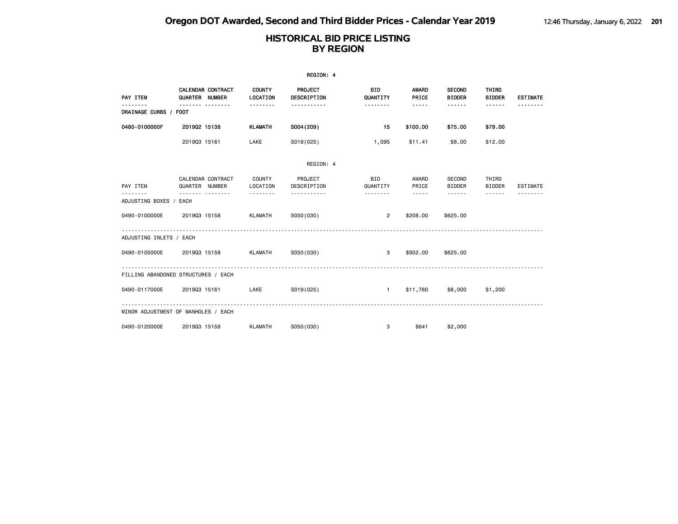|                                     |                |                   |                           | REGION: 4                     |                        |                                                                                                                                                      |                                |                                                                                                                                                                                 |                 |
|-------------------------------------|----------------|-------------------|---------------------------|-------------------------------|------------------------|------------------------------------------------------------------------------------------------------------------------------------------------------|--------------------------------|---------------------------------------------------------------------------------------------------------------------------------------------------------------------------------|-----------------|
| PAY ITEM                            | QUARTER NUMBER | CALENDAR CONTRACT | <b>COUNTY</b><br>LOCATION | <b>PROJECT</b><br>DESCRIPTION | <b>BID</b><br>QUANTITY | <b>AWARD</b><br>PRICE                                                                                                                                | <b>SECOND</b><br><b>BIDDER</b> | THIRD<br><b>BIDDER</b>                                                                                                                                                          | <b>ESTIMATE</b> |
| <u>.</u><br>DRAINAGE CURBS / FOOT   | <u></u>        |                   | .                         | <u>.</u>                      | .                      | -----                                                                                                                                                | .                              | ------                                                                                                                                                                          |                 |
| 0480-0100000F                       | 201902 15138   |                   | <b>KLAMATH</b>            | S004 (209)                    | - 15                   | \$100.00                                                                                                                                             | \$75.00                        | \$79.00                                                                                                                                                                         |                 |
|                                     | 201903 15161   |                   | LAKE                      | S019(025)                     | 1,095                  | \$11.41                                                                                                                                              | \$8.00                         | \$12.00                                                                                                                                                                         |                 |
|                                     |                |                   |                           | REGION: 4                     |                        |                                                                                                                                                      |                                |                                                                                                                                                                                 |                 |
| PAY ITEM                            | QUARTER NUMBER | CALENDAR CONTRACT | COUNTY<br>LOCATION        | PROJECT<br>DESCRIPTION        | <b>BID</b><br>QUANTITY | AWARD<br>PRICE                                                                                                                                       | SECOND<br><b>BIDDER</b>        | THIRD<br><b>BIDDER</b>                                                                                                                                                          | <b>ESTIMATE</b> |
| ADJUSTING BOXES / EACH              | . <sub>.</sub> |                   | <u> - - - - - - - -</u>   | <u>.</u>                      | .                      | $\frac{1}{2} \left( \frac{1}{2} \right) \left( \frac{1}{2} \right) \left( \frac{1}{2} \right) \left( \frac{1}{2} \right) \left( \frac{1}{2} \right)$ | $- - - - - - -$                | $\frac{1}{2} \left( \frac{1}{2} \right) \left( \frac{1}{2} \right) \left( \frac{1}{2} \right) \left( \frac{1}{2} \right) \left( \frac{1}{2} \right) \left( \frac{1}{2} \right)$ | --------        |
| 0490-0100000E                       | 201903 15158   |                   | KLAMATH                   | S050(030)                     | $\overline{2}$         | \$208,00                                                                                                                                             | \$625.00                       |                                                                                                                                                                                 |                 |
| ADJUSTING INLETS / EACH             |                |                   |                           |                               |                        |                                                                                                                                                      |                                |                                                                                                                                                                                 |                 |
| 0490-0105000E                       | 201903 15158   |                   | <b>KLAMATH</b>            | S050(030)                     | 3                      | \$902.00                                                                                                                                             | \$625.00                       |                                                                                                                                                                                 |                 |
| FILLING ABANDONED STRUCTURES / EACH |                |                   |                           |                               |                        |                                                                                                                                                      |                                |                                                                                                                                                                                 |                 |
| 0490-0117000E                       | 201903 15161   |                   | LAKE                      | S019(025)                     | $1 -$                  |                                                                                                                                                      | \$11,760 \$8,000               | \$1,200                                                                                                                                                                         |                 |
| MINOR ADJUSTMENT OF MANHOLES / EACH |                |                   |                           |                               |                        |                                                                                                                                                      |                                |                                                                                                                                                                                 |                 |
| 0490-0120000E                       | 201903 15158   |                   | KLAMATH                   | S050(030)                     | 3                      | \$641                                                                                                                                                | \$2,000                        |                                                                                                                                                                                 |                 |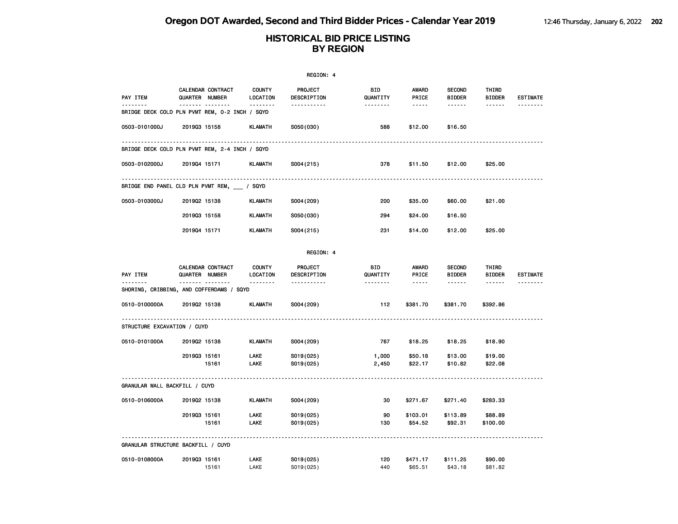|                                                |              |                                                 |                                       | REGION: 4                          |                             |                                      |                                            |                                  |                             |
|------------------------------------------------|--------------|-------------------------------------------------|---------------------------------------|------------------------------------|-----------------------------|--------------------------------------|--------------------------------------------|----------------------------------|-----------------------------|
| PAY ITEM<br><u>.</u>                           |              | CALENDAR CONTRACT<br>QUARTER NUMBER<br><u> </u> | <b>COUNTY</b><br>LOCATION<br><u>.</u> | PROJECT<br>DESCRIPTION<br><u>.</u> | <b>BID</b><br>QUANTITY      | <b>AWARD</b><br>PRICE<br>$- - - - -$ | <b>SECOND</b><br><b>BIDDER</b>             | THIRD<br><b>BIDDER</b>           | <b>ESTIMATE</b><br><u>.</u> |
| BRIDGE DECK COLD PLN PVMT REM, 0-2 INCH / SQYD |              |                                                 |                                       |                                    |                             |                                      |                                            |                                  |                             |
| 0503-0101000J                                  | 201903 15158 |                                                 | <b>KLAMATH</b>                        | S050(030)                          | 588                         | \$12.00                              | \$16.50                                    |                                  |                             |
| BRIDGE DECK COLD PLN PVMT REM, 2-4 INCH / SQYD |              |                                                 |                                       |                                    |                             |                                      |                                            |                                  |                             |
| 0503-0102000J                                  | 201904 15171 |                                                 | <b>KLAMATH</b>                        | S004 (215)                         | 378                         | \$11.50                              | \$12.00                                    | \$25.00                          |                             |
| BRIDGE END PANEL CLD PLN PVMT REM, / SQYD      |              |                                                 |                                       |                                    |                             |                                      |                                            |                                  |                             |
| 0503-0103000J                                  | 201902 15138 |                                                 | KLAMATH                               | S004 (209)                         | 200                         | \$35.00                              | \$60.00                                    | \$21.00                          |                             |
|                                                | 201903 15158 |                                                 | <b>KLAMATH</b>                        | S050(030)                          | 294                         | \$24.00                              | \$16.50                                    |                                  |                             |
|                                                | 201904 15171 |                                                 | <b>KLAMATH</b>                        | S004(215)                          | 231                         | \$14.00                              | \$12.00                                    | \$25.00                          |                             |
|                                                |              |                                                 |                                       | REGION: 4                          |                             |                                      |                                            |                                  |                             |
| PAY ITEM<br><u>.</u>                           |              | CALENDAR CONTRACT<br>QUARTER NUMBER             | <b>COUNTY</b><br>LOCATION<br><u>.</u> | PROJECT<br>DESCRIPTION<br><u>.</u> | BID<br>QUANTITY<br><u>.</u> | AWARD<br>PRICE<br>$- - - - -$        | <b>SECOND</b><br><b>BIDDER</b><br><u>.</u> | THIRD<br><b>BIDDER</b><br>------ | <b>ESTIMATE</b><br>-------- |
| SHORING, CRIBBING, AND COFFERDAMS / SQYD       |              | ------- --------                                |                                       |                                    |                             |                                      |                                            |                                  |                             |
| 0510-0100000A                                  | 201902 15138 |                                                 | <b>KLAMATH</b>                        | S004 (209)                         | 112                         | \$381.70                             | \$381.70                                   | \$392.86                         |                             |
| STRUCTURE EXCAVATION / CUYD                    |              |                                                 |                                       |                                    |                             |                                      |                                            |                                  |                             |
| 0510-0101000A                                  | 201902 15138 |                                                 | <b>KLAMATH</b>                        | S004 (209)                         | 767                         | \$18.25                              | \$18.25                                    | \$18.90                          |                             |
|                                                | 201903 15161 | 15161                                           | LAKE<br>LAKE                          | S019(025)<br>S019(025)             | 1,000<br>2,450              | \$50.18<br>\$22.17                   | \$13.00<br>\$10.82                         | \$19.00<br>\$22.08               |                             |
| GRANULAR WALL BACKFILL / CUYD                  |              |                                                 |                                       |                                    |                             |                                      |                                            |                                  |                             |
| 0510-0106000A                                  | 201902 15138 |                                                 | <b>KLAMATH</b>                        | S004 (209)                         | 30                          | \$271.67                             | \$271.40                                   | \$283.33                         |                             |
|                                                | 201903 15161 | 15161                                           | LAKE<br>LAKE                          | S019(025)<br>S019(025)             | 90<br>130                   | \$103.01<br>\$54.52                  | \$113.89<br>\$92.31                        | \$88.89<br>\$100.00              |                             |
| GRANULAR STRUCTURE BACKFILL / CUYD             |              |                                                 |                                       |                                    |                             |                                      |                                            |                                  |                             |
| 0510-0108000A                                  | 201903 15161 | 15161                                           | LAKE<br>LAKE                          | S019(025)<br>S019(025)             | 120<br>440                  | \$471.17<br>\$65.51                  | \$111.25<br>\$43.18                        | \$90.00<br>\$81.82               |                             |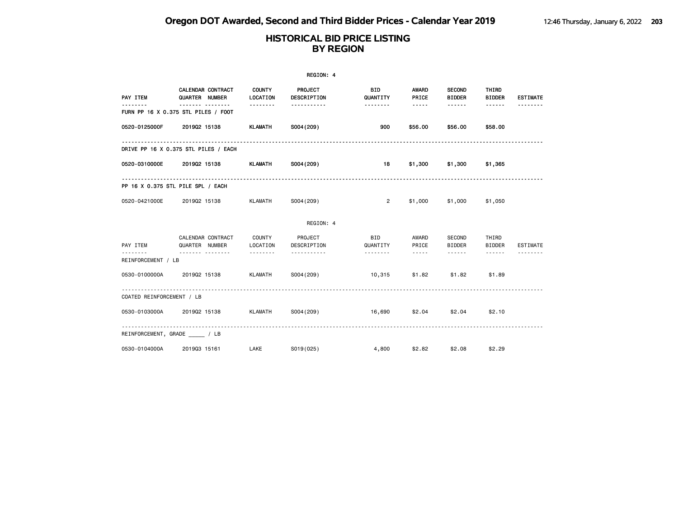|                           |                                                |                           | REGION: 4              |                        |                       |                                |                        |                 |
|---------------------------|------------------------------------------------|---------------------------|------------------------|------------------------|-----------------------|--------------------------------|------------------------|-----------------|
| PAY ITEM                  | CALENDAR CONTRACT<br>QUARTER NUMBER            | <b>COUNTY</b><br>LOCATION | PROJECT<br>DESCRIPTION | <b>BID</b><br>QUANTITY | <b>AWARD</b><br>PRICE | <b>SECOND</b><br><b>BIDDER</b> | THIRD<br><b>BIDDER</b> | <b>ESTIMATE</b> |
| ------                    | <u></u><br>FURN PP 16 X 0.375 STL PILES / FOOT | .                         | -----------            | .                      | $- - - - -$           |                                |                        |                 |
| 0520-0125000F             | 201902 15138                                   | <b>KLAMATH</b>            | S004 (209)             | 900                    | \$56.00               | \$56.00                        | \$58.00                |                 |
|                           | DRIVE PP 16 X 0.375 STL PILES / EACH           |                           |                        |                        |                       |                                |                        |                 |
| 0520-0310000E             | 201902 15138                                   | KLAMATH                   | S004 (209)             | 18                     | \$1,300               | \$1,300                        | \$1,365                |                 |
|                           | PP 16 X 0.375 STL PILE SPL / EACH              |                           |                        |                        |                       |                                |                        |                 |
| 0520-0421000E             | 201902 15138                                   | KLAMATH                   | S004 (209)             | $\overline{2}$         | \$1,000               | \$1,000                        | \$1,050                |                 |
|                           |                                                |                           | REGION: 4              |                        |                       |                                |                        |                 |
| PAY ITEM                  | CALENDAR CONTRACT<br>QUARTER NUMBER            | COUNTY<br>LOCATION        | PROJECT<br>DESCRIPTION | BID<br>QUANTITY        | AWARD<br>PRICE        | SECOND<br><b>BIDDER</b>        | THIRD<br><b>BIDDER</b> | <b>ESTIMATE</b> |
| REINFORCEMENT / LB        | .                                              | .                         | <u>.</u>               | .                      | $\cdots$              | $\cdots \cdots \cdots$         | ------                 | <u>.</u>        |
| 0530-0100000A             | 201902 15138                                   | <b>KLAMATH</b>            | S004 (209)             | 10,315                 | \$1.82                | \$1.82                         | \$1,89                 |                 |
| COATED REINFORCEMENT / LB |                                                |                           |                        |                        |                       |                                |                        |                 |
| 0530-0103000A             | 201902 15138                                   | <b>KLAMATH</b>            | S004 (209)             | 16,690                 | \$2.04                | \$2.04                         | \$2.10                 |                 |
|                           | REINFORCEMENT, GRADE / LB                      |                           |                        |                        |                       |                                |                        |                 |
| 0530-0104000A             | 201903 15161                                   | LAKE                      | S019(025)              | 4,800                  | \$2.82                | \$2.08                         | \$2.29                 |                 |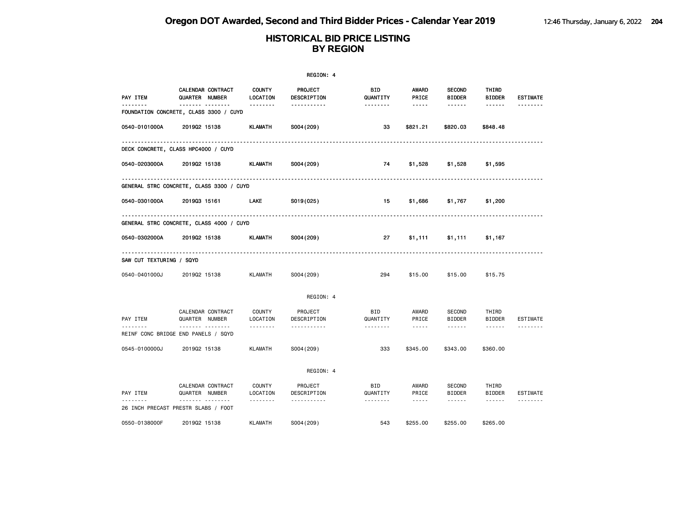|                          |                                                                   |                           | REGION: 4                     |                        |                                                                                                                                                   |                                |                            |                 |
|--------------------------|-------------------------------------------------------------------|---------------------------|-------------------------------|------------------------|---------------------------------------------------------------------------------------------------------------------------------------------------|--------------------------------|----------------------------|-----------------|
| <b>PAY ITEM</b>          | CALENDAR CONTRACT<br>QUARTER NUMBER                               | <b>COUNTY</b><br>LOCATION | <b>PROJECT</b><br>DESCRIPTION | BID<br>QUANTITY        | AWARD<br>PRICE                                                                                                                                    | <b>SECOND</b><br><b>BIDDER</b> | THIRD<br><b>BIDDER</b>     | <b>ESTIMATE</b> |
|                          | <u>------- --------</u><br>FOUNDATION CONCRETE, CLASS 3300 / CUYD | --------                  | <u>.</u>                      | --------               | $\cdots\cdots\cdots$                                                                                                                              | ------                         | ------                     | .               |
| 0540-0101000A            | 201902 15138                                                      | <b>KLAMATH</b>            | S004 (209)                    | 33                     | \$821.21                                                                                                                                          | \$820.03                       | \$848.48                   |                 |
|                          | .<br>DECK CONCRETE, CLASS HPC4000 / CUYD                          |                           |                               |                        |                                                                                                                                                   |                                |                            |                 |
| 0540-0203000A            | 201902 15138                                                      | <b>KLAMATH</b>            | S004 (209)                    | 74                     | \$1,528                                                                                                                                           | \$1,528                        | \$1,595                    |                 |
|                          | GENERAL STRC CONCRETE, CLASS 3300 / CUYD                          |                           |                               |                        |                                                                                                                                                   |                                |                            |                 |
| 0540-0301000A            | 201903 15161                                                      | <b>LAKE</b>               | S019(025)                     | 15                     | \$1,686                                                                                                                                           | \$1,767                        | \$1,200                    |                 |
|                          | GENERAL STRC CONCRETE, CLASS 4000 / CUYD                          |                           |                               |                        |                                                                                                                                                   |                                |                            |                 |
| 0540-0302000A            | 201902 15138                                                      | KLAMATH                   | S004 (209)                    | 27                     | \$1,111                                                                                                                                           | \$1,111                        | \$1,167                    |                 |
| SAW CUT TEXTURING / SQYD |                                                                   |                           |                               |                        |                                                                                                                                                   |                                |                            |                 |
| 0540-0401000J            | 201902 15138                                                      | KLAMATH                   | S004 (209)                    | 294                    | \$15.00                                                                                                                                           | \$15.00                        | \$15.75                    |                 |
|                          |                                                                   |                           | REGION: 4                     |                        |                                                                                                                                                   |                                |                            |                 |
| PAY ITEM                 | CALENDAR CONTRACT<br>QUARTER NUMBER                               | <b>COUNTY</b><br>LOCATION | PROJECT<br>DESCRIPTION        | <b>BID</b><br>QUANTITY | AWARD<br>PRICE                                                                                                                                    | SECOND<br><b>BIDDER</b>        | THIRD<br><b>BIDDER</b>     | <b>ESTIMATE</b> |
|                          | <br>REINF CONC BRIDGE END PANELS / SQYD                           | .                         | -----------                   | .                      | $\frac{1}{2} \frac{1}{2} \frac{1}{2} \frac{1}{2} \frac{1}{2} \frac{1}{2} \frac{1}{2} \frac{1}{2} \frac{1}{2} \frac{1}{2} \frac{1}{2} \frac{1}{2}$ | $\cdots \cdots \cdots$         | $\cdots\cdots\cdots\cdots$ | .               |
| 0545-0100000J            | 201902 15138                                                      | <b>KLAMATH</b>            | S004 (209)                    | 333                    | \$345.00                                                                                                                                          | \$343.00                       | \$360.00                   |                 |
|                          |                                                                   |                           | REGION: 4                     |                        |                                                                                                                                                   |                                |                            |                 |
| PAY ITEM                 | CALENDAR CONTRACT<br>QUARTER NUMBER                               | <b>COUNTY</b><br>LOCATION | PROJECT<br>DESCRIPTION        | BID<br>QUANTITY        | AWARD<br>PRICE                                                                                                                                    | SECOND<br><b>BIDDER</b>        | THIRD<br><b>BIDDER</b>     | <b>ESTIMATE</b> |
|                          | <u>.</u><br>26 INCH PRECAST PRESTR SLABS / FOOT                   | .                         | .                             | --------               | $\frac{1}{2} \frac{1}{2} \frac{1}{2} \frac{1}{2} \frac{1}{2} \frac{1}{2} \frac{1}{2} \frac{1}{2} \frac{1}{2}$                                     | ------                         | ------                     | <u>.</u>        |
| 0550-0138000F            | 201902 15138                                                      | <b>KLAMATH</b>            | S004 (209)                    | 543                    | \$255.00                                                                                                                                          | \$255.00                       | \$265.00                   |                 |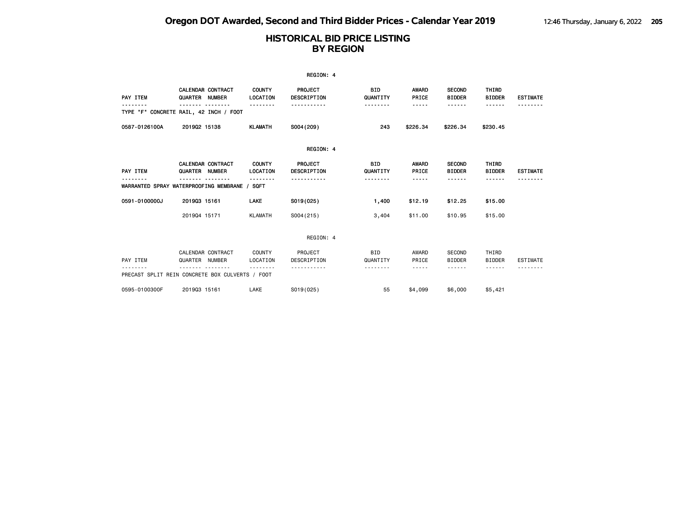|                                                             |                                            |                           | REGION: 4                            |                        |                         |                                               |                                  |                 |
|-------------------------------------------------------------|--------------------------------------------|---------------------------|--------------------------------------|------------------------|-------------------------|-----------------------------------------------|----------------------------------|-----------------|
| PAY ITEM                                                    | <b>CALENDAR CONTRACT</b><br>QUARTER NUMBER | <b>COUNTY</b><br>LOCATION | <b>PROJECT</b><br><b>DESCRIPTION</b> | <b>BID</b><br>QUANTITY | <b>AWARD</b><br>PRICE   | <b>SECOND</b><br><b>BIDDER</b>                | THIRD<br><b>BIDDER</b>           | <b>ESTIMATE</b> |
| TYPE "F" CONCRETE RAIL, 42 INCH / FOOT                      |                                            |                           |                                      | <u>.</u>               | -----                   | - - - - - -                                   | <b>.</b>                         |                 |
| 0587-0126100A                                               | 201902 15138                               | <b>KLAMATH</b>            | S004 (209)                           | 243                    | \$226.34                | \$226.34                                      | \$230.45                         |                 |
|                                                             |                                            |                           | REGION: 4                            |                        |                         |                                               |                                  |                 |
| PAY ITEM                                                    | <b>CALENDAR CONTRACT</b><br>QUARTER NUMBER | <b>COUNTY</b><br>LOCATION | PROJECT<br><b>DESCRIPTION</b>        | <b>BID</b><br>QUANTITY | <b>AWARD</b><br>PRICE   | <b>SECOND</b><br><b>BIDDER</b>                | THIRD<br><b>BIDDER</b>           | <b>ESTIMATE</b> |
| WARRANTED SPRAY WATERPROOFING MEMBRANE / SQFT               |                                            | . <b>.</b>                |                                      | .                      | -----                   | - - - - - -                                   | ------                           |                 |
| 0591-0100000J                                               | 201903 15161                               | LAKE                      | S019(025)                            | 1,400                  | \$12.19                 | \$12.25                                       | \$15.00                          |                 |
|                                                             | 201904 15171                               | <b>KLAMATH</b>            | S004(215)                            | 3,404                  | \$11.00                 | \$10.95                                       | \$15.00                          |                 |
|                                                             |                                            |                           | REGION: 4                            |                        |                         |                                               |                                  |                 |
| PAY ITEM<br>PRECAST SPLIT REIN CONCRETE BOX CULVERTS / FOOT | CALENDAR CONTRACT<br>QUARTER NUMBER        | COUNTY<br>LOCATION        | PROJECT<br>DESCRIPTION               | <b>BID</b><br>QUANTITY | AWARD<br>PRICE<br>----- | <b>SECOND</b><br><b>BIDDER</b><br>- - - - - - | THIRD<br><b>BIDDER</b><br>------ | <b>ESTIMATE</b> |
|                                                             |                                            |                           |                                      |                        |                         |                                               |                                  |                 |
| 0595-0100300F                                               | 201903 15161                               | LAKE                      | S019(025)                            | 55                     | \$4,099                 | \$6,000                                       | \$5,421                          |                 |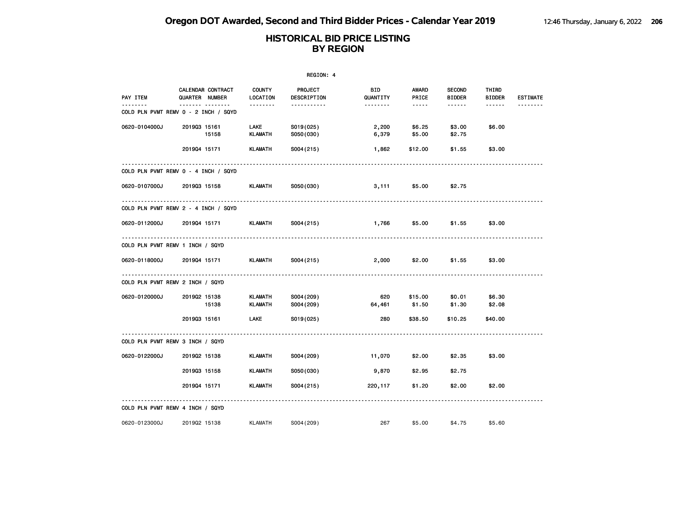|               |                                                          |                                  | REGION: 4                     |                 |                                                                                                                                                      |                                |                        |                 |
|---------------|----------------------------------------------------------|----------------------------------|-------------------------------|-----------------|------------------------------------------------------------------------------------------------------------------------------------------------------|--------------------------------|------------------------|-----------------|
| PAY ITEM      | CALENDAR CONTRACT<br>QUARTER NUMBER                      | <b>COUNTY</b><br>LOCATION        | <b>PROJECT</b><br>DESCRIPTION | BID<br>QUANTITY | AWARD<br>PRICE                                                                                                                                       | <b>SECOND</b><br><b>BIDDER</b> | THIRD<br><b>BIDDER</b> | <b>ESTIMATE</b> |
| .             | ------- --------<br>COLD PLN PVMT REMV 0 - 2 INCH / SQYD | --------                         | -----------                   | --------        | $\frac{1}{2} \left( \frac{1}{2} \right) \left( \frac{1}{2} \right) \left( \frac{1}{2} \right) \left( \frac{1}{2} \right) \left( \frac{1}{2} \right)$ | ------                         | ------                 |                 |
| 0620-0104000J | 201903 15161<br>15158                                    | <b>LAKE</b><br><b>KLAMATH</b>    | S019(025)<br>S050(030)        | 2,200<br>6,379  | \$6.25<br>\$5.00                                                                                                                                     | \$3.00<br>\$2.75               | \$6.00                 |                 |
|               | 201904 15171                                             | <b>KLAMATH</b>                   | S004(215)                     | 1,862           | \$12.00                                                                                                                                              | \$1.55                         | \$3.00                 |                 |
|               | COLD PLN PVMT REMV 0 - 4 INCH / SQYD                     |                                  |                               |                 |                                                                                                                                                      |                                |                        |                 |
| 0620-0107000J | 201903 15158                                             | KLAMATH                          | S050(030)                     | 3,111           | \$5.00                                                                                                                                               | \$2.75                         |                        |                 |
|               | COLD PLN PVMT REMV 2 - 4 INCH / SQYD                     |                                  |                               |                 |                                                                                                                                                      |                                |                        |                 |
| 0620-0112000J | 201904 15171                                             | KLAMATH                          | S004 (215)                    | 1,766           | \$5.00                                                                                                                                               | \$1.55                         | \$3.00                 |                 |
|               | COLD PLN PVMT REMV 1 INCH / SQYD                         |                                  |                               |                 |                                                                                                                                                      |                                |                        |                 |
| 0620-0118000J | 201904 15171                                             | KLAMATH                          | S004 (215)                    | 2,000           | \$2.00                                                                                                                                               | \$1.55                         | \$3.00                 |                 |
|               | COLD PLN PVMT REMV 2 INCH / SQYD                         |                                  |                               |                 |                                                                                                                                                      |                                |                        |                 |
| 0620-0120000J | 201902 15138<br>15138                                    | <b>KLAMATH</b><br><b>KLAMATH</b> | S004(209)<br>S004 (209)       | 620<br>64,461   | \$15.00<br>\$1.50                                                                                                                                    | \$0.01<br>\$1.30               | \$6.30<br>\$2.08       |                 |
|               | 201903 15161                                             | LAKE                             | S019(025)                     | 280             | \$38.50                                                                                                                                              | \$10.25                        | \$40.00                |                 |
|               | COLD PLN PVMT REMV 3 INCH / SQYD                         |                                  |                               |                 |                                                                                                                                                      |                                |                        |                 |
| 0620-0122000J | 201902 15138                                             | <b>KLAMATH</b>                   | S004 (209)                    | 11,070          | \$2.00                                                                                                                                               | \$2.35                         | \$3.00                 |                 |
|               | 201903 15158                                             | <b>KLAMATH</b>                   | S050(030)                     | 9,870           | \$2.95                                                                                                                                               | \$2.75                         |                        |                 |
|               | 201904 15171                                             | <b>KLAMATH</b>                   | S004(215)                     | 220,117         | \$1.20                                                                                                                                               | \$2.00                         | \$2.00                 |                 |
|               | COLD PLN PVMT REMV 4 INCH / SQYD                         |                                  |                               |                 |                                                                                                                                                      |                                |                        |                 |
| 0620-0123000J | 201902 15138                                             | <b>KLAMATH</b>                   | S004 (209)                    | 267             | \$5.00                                                                                                                                               | \$4.75                         | \$5,60                 |                 |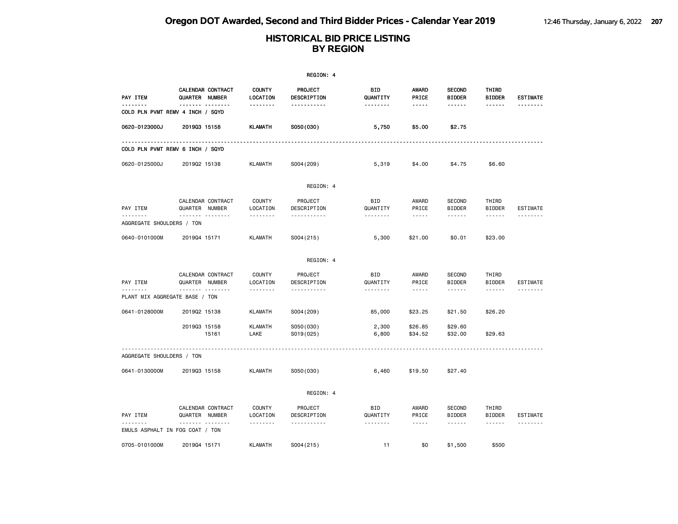|                                |                                                      |                                | <b>REGION: 4</b>                                        |                             |                                 |                                                 |                                                                                                                                                                                                                                                                                                                                                                                                                                                                                                      |                             |
|--------------------------------|------------------------------------------------------|--------------------------------|---------------------------------------------------------|-----------------------------|---------------------------------|-------------------------------------------------|------------------------------------------------------------------------------------------------------------------------------------------------------------------------------------------------------------------------------------------------------------------------------------------------------------------------------------------------------------------------------------------------------------------------------------------------------------------------------------------------------|-----------------------------|
| PAY ITEM<br><u>.</u>           | CALENDAR CONTRACT<br>QUARTER NUMBER<br><u> </u>      | <b>COUNTY</b><br>LOCATION      | PROJECT<br>DESCRIPTION                                  | <b>BID</b><br>QUANTITY      | <b>AWARD</b><br>PRICE           | <b>SECOND</b><br><b>BIDDER</b>                  | THIRD<br><b>BIDDER</b>                                                                                                                                                                                                                                                                                                                                                                                                                                                                               | <b>ESTIMATE</b><br><u>.</u> |
|                                | COLD PLN PVMT REMV 4 INCH / SQYD                     | .                              | .                                                       | <u> - - - - - - -</u>       | -----                           | <u>.</u>                                        | ------                                                                                                                                                                                                                                                                                                                                                                                                                                                                                               |                             |
| 0620-0123000J                  | 201903 15158                                         | <b>KLAMATH</b>                 | S050(030)                                               | 5,750                       | \$5.00                          | \$2.75                                          |                                                                                                                                                                                                                                                                                                                                                                                                                                                                                                      |                             |
|                                | COLD PLN PVMT REMV 6 INCH / SQYD                     |                                |                                                         |                             |                                 |                                                 |                                                                                                                                                                                                                                                                                                                                                                                                                                                                                                      |                             |
| 0620-0125000J                  | 201902 15138                                         | <b>KLAMATH</b>                 | S004 (209)                                              | 5,319                       | \$4.00                          | \$4.75                                          | \$6.60                                                                                                                                                                                                                                                                                                                                                                                                                                                                                               |                             |
|                                |                                                      |                                | REGION: 4                                               |                             |                                 |                                                 |                                                                                                                                                                                                                                                                                                                                                                                                                                                                                                      |                             |
| PAY ITEM<br><u>.</u>           | CALENDAR CONTRACT<br>QUARTER NUMBER<br>.             | <b>COUNTY</b><br>LOCATION      | PROJECT<br>DESCRIPTION<br><u> - - - - - - - - - - -</u> | <b>BID</b><br>QUANTITY<br>. | AWARD<br>PRICE<br>$\frac{1}{2}$ | <b>SECOND</b><br><b>BIDDER</b><br>$- - - - - -$ | THIRD<br><b>BIDDER</b><br>$\frac{1}{2} \left( \frac{1}{2} \right) \left( \frac{1}{2} \right) \left( \frac{1}{2} \right) \left( \frac{1}{2} \right) \left( \frac{1}{2} \right) \left( \frac{1}{2} \right) \left( \frac{1}{2} \right) \left( \frac{1}{2} \right) \left( \frac{1}{2} \right) \left( \frac{1}{2} \right) \left( \frac{1}{2} \right) \left( \frac{1}{2} \right) \left( \frac{1}{2} \right) \left( \frac{1}{2} \right) \left( \frac{1}{2} \right) \left( \frac{1}{2} \right) \left( \frac$ | ESTIMATE                    |
| AGGREGATE SHOULDERS / TON      |                                                      |                                |                                                         |                             |                                 |                                                 |                                                                                                                                                                                                                                                                                                                                                                                                                                                                                                      |                             |
| 0640-0101000M                  | 201904 15171                                         | <b>KLAMATH</b>                 | S004(215)                                               | 5,300                       | \$21.00                         | \$0.01                                          | \$23.00                                                                                                                                                                                                                                                                                                                                                                                                                                                                                              |                             |
|                                |                                                      |                                | REGION: 4                                               |                             |                                 |                                                 |                                                                                                                                                                                                                                                                                                                                                                                                                                                                                                      |                             |
| PAY ITEM<br><u>.</u>           | CALENDAR CONTRACT<br>QUARTER NUMBER<br><u>.</u><br>. | <b>COUNTY</b><br>LOCATION<br>. | PROJECT<br>DESCRIPTION<br>.                             | BID<br>QUANTITY<br>.        | AWARD<br>PRICE<br>-----         | <b>SECOND</b><br><b>BIDDER</b><br>------        | THIRD<br><b>BIDDER</b><br>------                                                                                                                                                                                                                                                                                                                                                                                                                                                                     | ESTIMATE<br><u>.</u>        |
| PLANT MIX AGGREGATE BASE / TON |                                                      |                                |                                                         |                             |                                 |                                                 |                                                                                                                                                                                                                                                                                                                                                                                                                                                                                                      |                             |
| 0641-0128000M                  | 201902 15138                                         | <b>KLAMATH</b>                 | S004 (209)                                              | 85,000                      | \$23.25                         | \$21.50                                         | \$26.20                                                                                                                                                                                                                                                                                                                                                                                                                                                                                              |                             |
|                                | 201903 15158<br>15161                                | <b>KLAMATH</b><br>LAKE         | S050(030)<br>S019(025)                                  | 2,300<br>6,800              | \$26.85<br>\$34.52              | \$29.60<br>\$32.00                              | \$29.63                                                                                                                                                                                                                                                                                                                                                                                                                                                                                              |                             |
| AGGREGATE SHOULDERS / TON      |                                                      |                                |                                                         |                             |                                 |                                                 |                                                                                                                                                                                                                                                                                                                                                                                                                                                                                                      |                             |
| 0641-0130000M                  | 201903 15158                                         | <b>KLAMATH</b>                 | S050(030)                                               | 6,460                       | \$19.50                         | \$27.40                                         |                                                                                                                                                                                                                                                                                                                                                                                                                                                                                                      |                             |
|                                |                                                      |                                | REGION: 4                                               |                             |                                 |                                                 |                                                                                                                                                                                                                                                                                                                                                                                                                                                                                                      |                             |
| PAY ITEM                       | CALENDAR CONTRACT<br>QUARTER NUMBER                  | <b>COUNTY</b><br>LOCATION      | PROJECT<br>DESCRIPTION                                  | <b>BID</b><br>QUANTITY      | AWARD<br>PRICE                  | <b>SECOND</b><br><b>BIDDER</b>                  | THIRD<br><b>BIDDER</b>                                                                                                                                                                                                                                                                                                                                                                                                                                                                               | ESTIMATE                    |
|                                | .<br>EMULS ASPHALT IN FOG COAT / TON                 |                                | -----------                                             | --------                    | $\frac{1}{2}$                   | ------                                          | ------                                                                                                                                                                                                                                                                                                                                                                                                                                                                                               | <u>.</u>                    |
| 0705-0101000M                  | 201904 15171                                         | <b>KLAMATH</b>                 | S004(215)                                               | 11                          | \$0                             | \$1,500                                         | \$500                                                                                                                                                                                                                                                                                                                                                                                                                                                                                                |                             |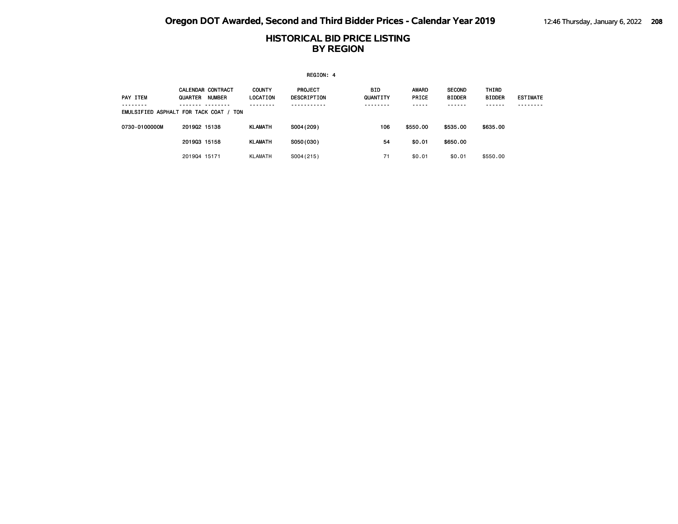|               |                                                                                                |                                  | REGION: 4                     |                                 |                                           |                                               |                                       |                            |
|---------------|------------------------------------------------------------------------------------------------|----------------------------------|-------------------------------|---------------------------------|-------------------------------------------|-----------------------------------------------|---------------------------------------|----------------------------|
| PAY ITEM      | CALENDAR CONTRACT<br><b>QUARTER</b><br><b>NUMBER</b><br>EMULSIFIED ASPHALT FOR TACK COAT / TON | <b>COUNTY</b><br><b>LOCATION</b> | PROJECT<br><b>DESCRIPTION</b> | <b>BID</b><br>QUANTITY<br>----- | <b>AWARD</b><br><b>PRICE</b><br>- - - - - | <b>SECOND</b><br><b>BIDDER</b><br>- - - - - - | THIRD<br><b>BIDDER</b><br>- - - - - - | <b>ESTIMATE</b><br>------- |
| 0730-0100000M | 201902 15138                                                                                   | <b>KLAMATH</b>                   | S004 (209)                    | 106                             | \$550.00                                  | \$535.00                                      | \$635.00                              |                            |
|               | 201903 15158                                                                                   | <b>KLAMATH</b>                   | S050(030)                     | 54                              | \$0.01                                    | \$650.00                                      |                                       |                            |
|               | 201904 15171                                                                                   | <b>KLAMATH</b>                   | S004(215)                     | 71                              | \$0.01                                    | \$0.01                                        | \$550.00                              |                            |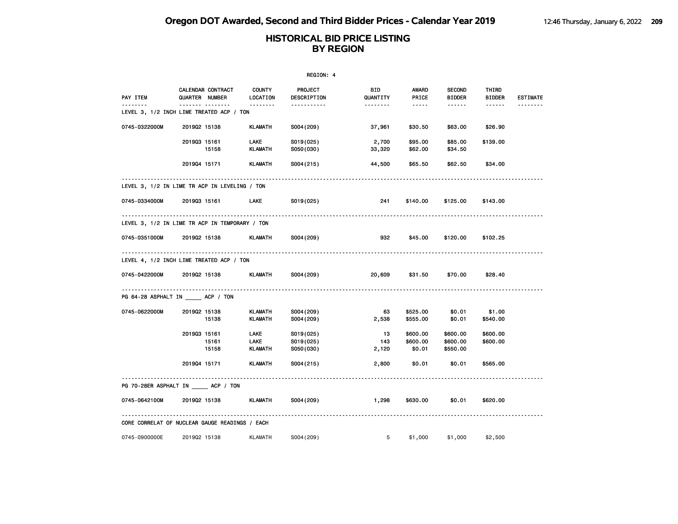| REGION: 4     |                                                      |                           |                                     |                    |                                                                                                   |                                  |                        |                 |  |
|---------------|------------------------------------------------------|---------------------------|-------------------------------------|--------------------|---------------------------------------------------------------------------------------------------|----------------------------------|------------------------|-----------------|--|
| PAY ITEM      | CALENDAR CONTRACT<br>QUARTER NUMBER                  | <b>COUNTY</b><br>LOCATION | PROJECT<br>DESCRIPTION              | BID<br>QUANTITY    | AWARD<br>PRICE                                                                                    | <b>SECOND</b><br><b>BIDDER</b>   | THIRD<br><b>BIDDER</b> | <b>ESTIMATE</b> |  |
| <u>.</u>      | <b>.</b><br>LEVEL 3, 1/2 INCH LIME TREATED ACP / TON | .                         | -----------                         | --------           | $\begin{array}{cccccccccc} \bullet & \bullet & \bullet & \bullet & \bullet & \bullet \end{array}$ | $- - - - - -$                    | $- - - - - -$          | --------        |  |
| 0745-0322000M | 201902 15138                                         | KLAMATH                   | S004 (209)                          | 37,961             | \$30.50                                                                                           | \$63.00                          | \$26.90                |                 |  |
|               | 201903 15161<br>15158                                | LAKE<br><b>KLAMATH</b>    | S019(025)<br>S050(030)              | 2,700<br>33,320    | \$95.00<br>\$62.00                                                                                | \$85.00<br>\$34.50               | \$139.00               |                 |  |
|               | 201904 15171                                         | KLAMATH                   | S004(215)                           | 44,500             | \$65.50                                                                                           | \$62.50                          | \$34.00                |                 |  |
|               | LEVEL 3, 1/2 IN LIME TR ACP IN LEVELING / TON        |                           |                                     |                    |                                                                                                   |                                  |                        |                 |  |
|               | 0745-0334000M 2019Q3 15161                           | LAKE                      | S019(025)                           | 241                | \$140.00                                                                                          | \$125.00                         | \$143.00               |                 |  |
|               | LEVEL 3, 1/2 IN LIME TR ACP IN TEMPORARY / TON       |                           |                                     |                    |                                                                                                   |                                  |                        |                 |  |
| 0745-0351000M | 201902 15138                                         | KLAMATH                   | S004 (209)                          | 932                | \$45.00                                                                                           | \$120.00                         | \$102.25               |                 |  |
|               | LEVEL 4, 1/2 INCH LIME TREATED ACP / TON             |                           |                                     |                    |                                                                                                   |                                  |                        |                 |  |
| 0745-0422000M | 201902 15138                                         | KLAMATH                   | S004 (209)                          | 20,609             | \$31.50                                                                                           | \$70.00                          | \$28.40                |                 |  |
|               | PG 64-28 ASPHALT IN ACP / TON                        |                           |                                     |                    |                                                                                                   |                                  |                        |                 |  |
| 0745-0622000M | 201902 15138<br>15138                                | KLAMATH<br>KLAMATH        | S004 (209)<br>S004 (209)            | 63<br>2,538        | \$525.00<br>\$555.00                                                                              | \$0.01<br>\$0.01                 | \$1.00<br>\$540.00     |                 |  |
|               | 201903 15161<br>15161<br>15158                       | LAKE<br>LAKE<br>KLAMATH   | S019(025)<br>S019(025)<br>S050(030) | 13<br>143<br>2,120 | \$600.00<br>\$600.00<br>\$0.01                                                                    | \$600.00<br>\$600.00<br>\$550.00 | \$600.00<br>\$600.00   |                 |  |
|               | 201904 15171                                         | <b>KLAMATH</b>            | S004(215)                           | 2,800              | \$0.01                                                                                            | \$0.01                           | \$565.00               |                 |  |
|               | PG 70-28ER ASPHALT IN ACP / TON                      |                           |                                     |                    |                                                                                                   |                                  |                        |                 |  |
| 0745-0642100M | 201902 15138                                         | KLAMATH                   | S004 (209)                          | 1,298              | \$630.00                                                                                          | \$0.01                           | \$620.00               |                 |  |
|               | CORE CORRELAT OF NUCLEAR GAUGE READINGS / EACH       |                           |                                     |                    |                                                                                                   |                                  |                        |                 |  |
| 0745-0900000E | 201902 15138                                         | KLAMATH                   | S004(209)                           | $5^{\circ}$        | \$1,000                                                                                           | \$1,000                          | \$2,500                |                 |  |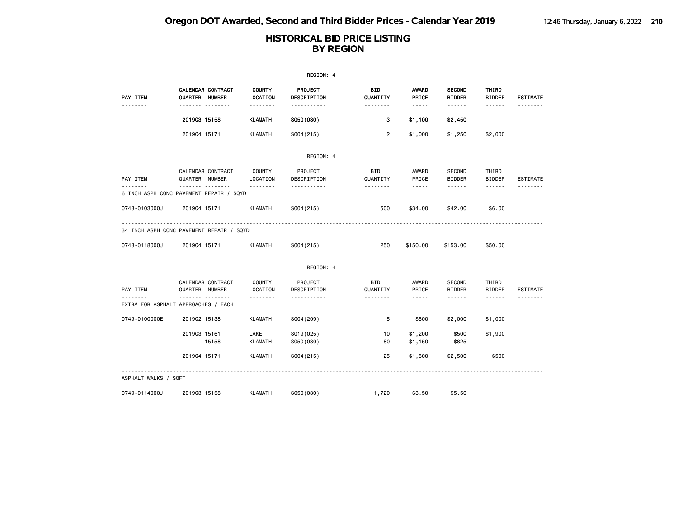|                                                       |                                            |                           | REGION: 4                     |                       |                                                                                                                                                                                 |                                |                        |                 |
|-------------------------------------------------------|--------------------------------------------|---------------------------|-------------------------------|-----------------------|---------------------------------------------------------------------------------------------------------------------------------------------------------------------------------|--------------------------------|------------------------|-----------------|
| PAY ITEM                                              | CALENDAR CONTRACT<br><b>QUARTER NUMBER</b> | <b>COUNTY</b><br>LOCATION | PROJECT<br><b>DESCRIPTION</b> | BID<br>QUANTITY       | AWARD<br>PRICE                                                                                                                                                                  | <b>SECOND</b><br><b>BIDDER</b> | THIRD<br><b>BIDDER</b> | <b>ESTIMATE</b> |
| -------                                               | <b>.</b>                                   | <u>.</u>                  | -----------                   | <u> - - - - - - -</u> | $\frac{1}{2} \frac{1}{2} \frac{1}{2} \frac{1}{2} \frac{1}{2} \frac{1}{2} \frac{1}{2} \frac{1}{2} \frac{1}{2}$                                                                   | ------                         | $- - - - - -$          |                 |
|                                                       | 201903 15158                               | KLAMATH                   | S050(030)                     | 3                     | \$1,100                                                                                                                                                                         | \$2,450                        |                        |                 |
|                                                       | 201904 15171                               | <b>KLAMATH</b>            | S004(215)                     | $\overline{2}$        | \$1,000                                                                                                                                                                         | \$1,250                        | \$2,000                |                 |
|                                                       |                                            |                           | REGION: 4                     |                       |                                                                                                                                                                                 |                                |                        |                 |
|                                                       | CALENDAR CONTRACT                          | COUNTY                    | PROJECT                       | BID                   | AWARD                                                                                                                                                                           | SECOND                         | THIRD                  |                 |
| PAY ITEM                                              | QUARTER NUMBER                             | LOCATION                  | DESCRIPTION                   | QUANTITY              | PRICE                                                                                                                                                                           | <b>BIDDER</b>                  | <b>BIDDER</b>          | <b>ESTIMATE</b> |
| . <u>.</u><br>6 INCH ASPH CONC PAVEMENT REPAIR / SQYD | -------- --------                          | --------                  | .                             | .                     | $\frac{1}{2} \left( \frac{1}{2} \right) \left( \frac{1}{2} \right) \left( \frac{1}{2} \right) \left( \frac{1}{2} \right) \left( \frac{1}{2} \right) \left( \frac{1}{2} \right)$ | ------                         | $\cdots \cdots \cdots$ | --------        |
| 0748-0103000J                                         | 201904 15171                               | <b>KLAMATH</b>            | S004(215)                     | 500                   | \$34.00                                                                                                                                                                         | \$42.00                        | \$6.00                 |                 |
| 34 INCH ASPH CONC PAVEMENT REPAIR / SQYD              |                                            |                           |                               |                       |                                                                                                                                                                                 |                                |                        |                 |
| 0748-0118000J                                         | 201904 15171                               | <b>KLAMATH</b>            | S004(215)                     | 250                   | \$150.00                                                                                                                                                                        | \$153.00                       | \$50.00                |                 |
|                                                       |                                            |                           | REGION: 4                     |                       |                                                                                                                                                                                 |                                |                        |                 |
| PAY ITEM                                              | CALENDAR CONTRACT<br>QUARTER NUMBER        | COUNTY<br>LOCATION        | PROJECT<br>DESCRIPTION        | BID<br>QUANTITY       | AWARD<br>PRICE                                                                                                                                                                  | <b>SECOND</b><br><b>BIDDER</b> | THIRD<br><b>BIDDER</b> | <b>ESTIMATE</b> |
| .<br>EXTRA FOR ASPHALT APPROACHES / EACH              | .                                          | .                         | .                             | .                     | $\sim$ $\sim$ $\sim$ $\sim$ $\sim$                                                                                                                                              | <b>.</b>                       | ------                 |                 |
| 0749-0100000E                                         | 201902 15138                               | KLAMATH                   | S004 (209)                    | 5                     | \$500                                                                                                                                                                           | \$2,000                        | \$1,000                |                 |
|                                                       | 201903 15161<br>15158                      | LAKE<br><b>KLAMATH</b>    | S019(025)<br>S050(030)        | 10<br>80              | \$1,200<br>\$1,150                                                                                                                                                              | \$500<br>\$825                 | \$1,900                |                 |
|                                                       | 201904 15171                               | <b>KLAMATH</b>            | S004(215)                     | 25                    | \$1,500                                                                                                                                                                         | \$2,500                        | \$500                  |                 |
| ASPHALT WALKS / SQFT                                  |                                            |                           |                               |                       |                                                                                                                                                                                 |                                |                        |                 |
| 0749-0114000J                                         | 201903 15158                               | <b>KLAMATH</b>            | S050(030)                     | 1,720                 | \$3.50                                                                                                                                                                          | \$5.50                         |                        |                 |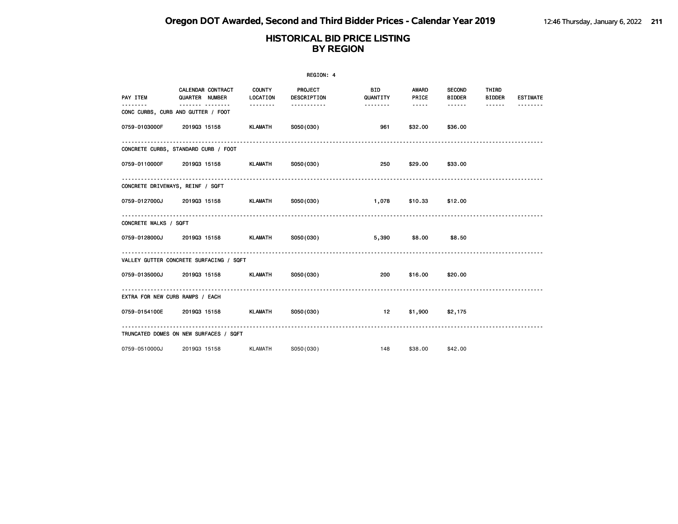|                                 |                                                        |                 | REGION: 4              |                        |                              |                                |                        |                 |
|---------------------------------|--------------------------------------------------------|-----------------|------------------------|------------------------|------------------------------|--------------------------------|------------------------|-----------------|
| PAY ITEM                        | CALENDAR CONTRACT COUNTY<br>QUARTER NUMBER             | <b>LOCATION</b> | PROJECT<br>DESCRIPTION | <b>BID</b><br>QUANTITY | <b>AWARD</b><br><b>PRICE</b> | <b>SECOND</b><br><b>BIDDER</b> | THIRD<br><b>BIDDER</b> | <b>ESTIMATE</b> |
| .                               | ------- --------<br>CONC CURBS, CURB AND GUTTER / FOOT | .               | -----------            | .                      | $\cdots \cdots \cdots$       | . <sub>.</sub>                 | ------                 |                 |
|                                 | 0759-0103000F 201903 15158                             | KLAMATH         | S050(030)              | 961                    | \$32.00                      | \$36.00                        |                        |                 |
|                                 | CONCRETE CURBS, STANDARD CURB / FOOT                   |                 |                        |                        |                              |                                |                        |                 |
|                                 | 0759-0110000F 2019Q3 15158                             | <b>KLAMATH</b>  | SO50(030)              | 250                    | \$29.00                      | \$33.00                        |                        |                 |
|                                 | CONCRETE DRIVEWAYS, REINF / SQFT                       |                 |                        |                        |                              |                                |                        |                 |
|                                 |                                                        |                 |                        | 1,078                  | \$10.33 \$12.00              |                                |                        |                 |
| CONCRETE WALKS / SQFT           |                                                        |                 |                        |                        |                              |                                |                        |                 |
|                                 | 0759-0128000J 2019Q3 15158 KLAMATH S050(030)           |                 |                        |                        | 5,390 \$8.00                 | \$8.50                         |                        |                 |
|                                 | VALLEY GUTTER CONCRETE SURFACING / SQFT                |                 |                        |                        |                              |                                |                        |                 |
|                                 | 0759-0135000J 2019Q3 15158 KLAMATH S050(030)           |                 |                        | 200                    | \$16.00 \$20.00              |                                |                        |                 |
| EXTRA FOR NEW CURB RAMPS / EACH |                                                        |                 |                        |                        |                              |                                |                        |                 |
|                                 | 0759-0154100E 2019Q3 15158 KLAMATH S050(030)           |                 |                        | 12                     | $$1,900$ $$2,175$            |                                |                        |                 |
|                                 | TRUNCATED DOMES ON NEW SURFACES / SQFT                 |                 |                        |                        |                              |                                |                        |                 |
| 0759-0510000J                   | 201903 15158                                           | <b>KLAMATH</b>  | S050(030)              | 148                    | \$38.00                      | \$42.00                        |                        |                 |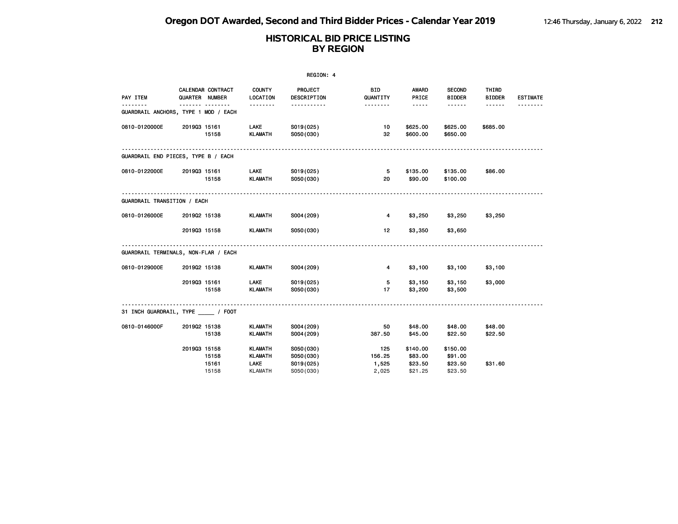|                                           |              |                                     |                                          | REGION: 4                           |                        |                                |                                |                        |                 |
|-------------------------------------------|--------------|-------------------------------------|------------------------------------------|-------------------------------------|------------------------|--------------------------------|--------------------------------|------------------------|-----------------|
| PAY ITEM                                  |              | CALENDAR CONTRACT<br>QUARTER NUMBER | <b>COUNTY</b><br>LOCATION                | <b>PROJECT</b><br>DESCRIPTION       | BID<br>QUANTITY        | <b>AWARD</b><br>PRICE          | <b>SECOND</b><br><b>BIDDER</b> | THIRD<br><b>BIDDER</b> | <b>ESTIMATE</b> |
| .<br>GUARDRAIL ANCHORS, TYPE 1 MOD / EACH |              | .                                   | <u>.</u>                                 | <u>.</u>                            | <u>.</u>               | $- - - - -$                    |                                | $- - - - - -$          | <u>.</u>        |
| 0810-0120000E                             | 201903 15161 | 15158                               | <b>LAKE</b><br>KLAMATH                   | S019(025)<br>S050(030)              | 10<br>32               | \$625.00<br>\$600.00           | \$625.00<br>\$650.00           | \$685.00               |                 |
| GUARDRAIL END PIECES, TYPE B / EACH       |              |                                     |                                          |                                     |                        |                                |                                |                        |                 |
| 0810-0122000E                             | 201903 15161 | 15158                               | LAKE<br>KLAMATH                          | S019(025)<br>S050(030)              | 5<br>20                | \$135.00<br>\$90.00            | \$135.00<br>\$100.00           | \$86.00                |                 |
| GUARDRAIL TRANSITION / EACH               |              |                                     |                                          |                                     |                        |                                |                                |                        |                 |
| 0810-0126000E                             | 201902 15138 |                                     | KLAMATH                                  | S004 (209)                          | $\overline{4}$         | \$3,250                        | \$3,250                        | \$3,250                |                 |
|                                           | 201903 15158 |                                     | KLAMATH                                  | S050(030)                           | 12 <sup>12</sup>       | \$3,350                        | \$3,650                        |                        |                 |
| GUARDRAIL TERMINALS, NON-FLAR / EACH      |              |                                     |                                          |                                     |                        |                                |                                |                        |                 |
| 0810-0129000E                             | 201902 15138 |                                     | KLAMATH                                  | S004 (209)                          | $\overline{4}$         | \$3,100                        | \$3,100                        | \$3,100                |                 |
|                                           | 201903 15161 | 15158                               | <b>LAKE</b><br><b>KLAMATH</b>            | S019(025)<br>S050(030)              | 5<br>17                | \$3,150<br>\$3,200             | \$3,150<br>\$3,500             | \$3,000                |                 |
| 31 INCH GUARDRAIL, TYPE / FOOT            |              |                                     |                                          |                                     |                        |                                |                                |                        |                 |
| 0810-0146000F                             | 201902 15138 | 15138                               | <b>KLAMATH</b><br><b>KLAMATH</b>         | S004(209)<br>S004 (209)             | 50<br>387.50           | \$48.00<br>\$45.00             | \$48.00<br>\$22.50             | \$48.00<br>\$22.50     |                 |
|                                           | 201903 15158 | 15158<br>15161                      | <b>KLAMATH</b><br><b>KLAMATH</b><br>LAKE | S050(030)<br>S050(030)<br>S019(025) | 125<br>156.25<br>1,525 | \$140.00<br>\$83.00<br>\$23.50 | \$150.00<br>\$91.00<br>\$23.50 | \$31.60                |                 |
|                                           |              | 15158                               | <b>KLAMATH</b>                           | S050(030)                           | 2,025                  | \$21.25                        | \$23.50                        |                        |                 |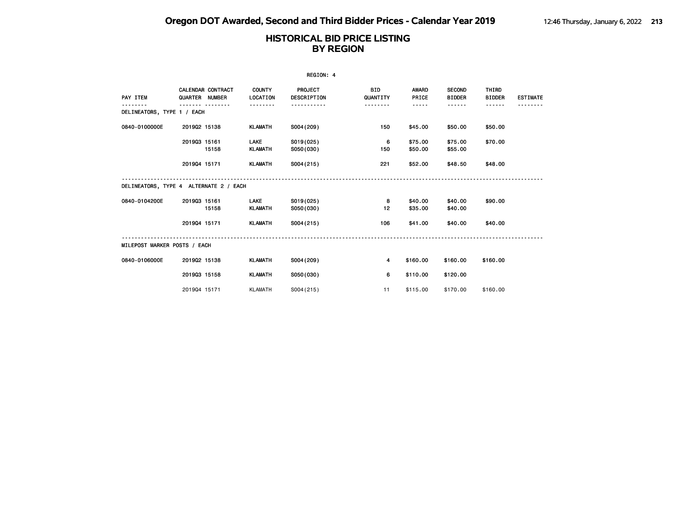| REGION: 4                              |                |                          |                               |                               |                        |                       |                                |                        |                 |
|----------------------------------------|----------------|--------------------------|-------------------------------|-------------------------------|------------------------|-----------------------|--------------------------------|------------------------|-----------------|
| PAY ITEM                               | QUARTER NUMBER | <b>CALENDAR CONTRACT</b> | <b>COUNTY</b><br>LOCATION     | <b>PROJECT</b><br>DESCRIPTION | <b>BID</b><br>QUANTITY | <b>AWARD</b><br>PRICE | <b>SECOND</b><br><b>BIDDER</b> | THIRD<br><b>BIDDER</b> | <b>ESTIMATE</b> |
| DELINEATORS, TYPE 1 / EACH             |                |                          | .                             |                               | --------               | -----                 | ------                         | ------                 |                 |
| 0840-0100000E                          | 201902 15138   |                          | <b>KLAMATH</b>                | S004 (209)                    | 150                    | \$45.00               | \$50.00                        | \$50.00                |                 |
|                                        | 201903 15161   | 15158                    | <b>LAKE</b><br><b>KLAMATH</b> | S019(025)<br>S050(030)        | 6<br>150               | \$75.00<br>\$50.00    | \$75.00<br>\$55.00             | \$70.00                |                 |
|                                        | 201904 15171   |                          | KLAMATH                       | S004(215)                     | 221                    | \$52.00               | \$48.50                        | \$48.00                |                 |
| DELINEATORS, TYPE 4 ALTERNATE 2 / EACH |                |                          |                               |                               |                        |                       |                                |                        |                 |
| 0840-0104200E                          | 201903 15161   | 15158                    | <b>LAKE</b><br><b>KLAMATH</b> | S019(025)<br>S050(030)        | 8<br>12                | \$40.00<br>\$35.00    | \$40.00<br>\$40.00             | \$90.00                |                 |
|                                        | 201904 15171   |                          | <b>KLAMATH</b>                | S004(215)                     | 106                    | \$41.00               | \$40.00                        | \$40.00                |                 |
| MILEPOST MARKER POSTS / EACH           |                |                          |                               |                               |                        |                       |                                |                        |                 |
| 0840-0106000E                          | 201902 15138   |                          | <b>KLAMATH</b>                | S004 (209)                    | $\overline{4}$         | \$160.00              | \$160.00                       | \$160.00               |                 |
|                                        | 201903 15158   |                          | <b>KLAMATH</b>                | S050(030)                     | 6                      | \$110.00              | \$120.00                       |                        |                 |
|                                        | 201904 15171   |                          | <b>KLAMATH</b>                | S004(215)                     | 11                     | \$115.00              | \$170.00                       | \$160.00               |                 |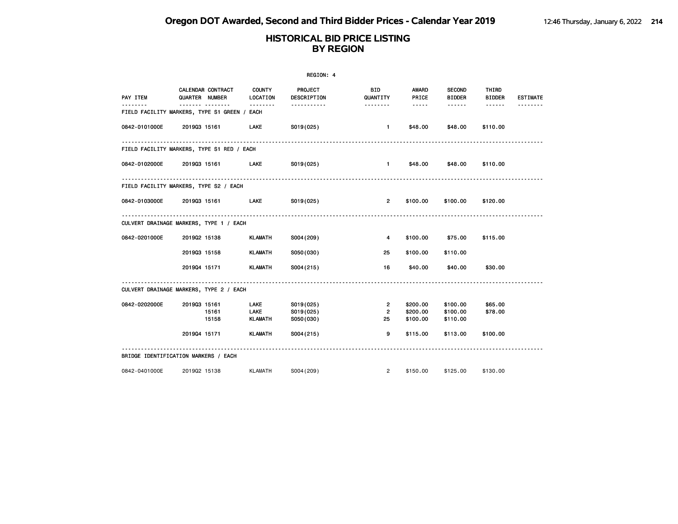| REGION: 4     |                                                |                           |                        |                     |                 |                                |                        |                 |  |
|---------------|------------------------------------------------|---------------------------|------------------------|---------------------|-----------------|--------------------------------|------------------------|-----------------|--|
| PAY ITEM      | CALENDAR CONTRACT<br>QUARTER NUMBER<br><u></u> | <b>COUNTY</b><br>LOCATION | PROJECT<br>DESCRIPTION | BID<br>QUANTITY     | AWARD<br>PRICE  | <b>SECOND</b><br><b>BIDDER</b> | THIRD<br><b>BIDDER</b> | <b>ESTIMATE</b> |  |
|               | FIELD FACILITY MARKERS, TYPE S1 GREEN / EACH   |                           | <u>.</u>               |                     | $\cdots \cdots$ | ------                         | $- - - - - -$          |                 |  |
| 0842-0101000E | 201903 15161                                   | LAKE                      | S019(025)              | $\mathbf{1}$        | \$48.00         | \$48.00                        | \$110.00               |                 |  |
|               | FIELD FACILITY MARKERS, TYPE S1 RED / EACH     |                           |                        |                     |                 |                                |                        |                 |  |
|               | 0842-0102000E 201903 15161                     | <b>LAKE</b>               | S019(025)              | $\sim$ 1.000 $\sim$ | \$48.00         | \$48.00                        | \$110.00               |                 |  |
|               | FIELD FACILITY MARKERS, TYPE S2 / EACH         |                           |                        |                     |                 |                                |                        |                 |  |
|               | 0842-0103000E 2019Q3 15161                     | <b>Example 12</b>         | SO19(025)              | $2^{\circ}$         | \$100.00        | \$100.00                       | \$120.00               |                 |  |
|               | CULVERT DRAINAGE MARKERS, TYPE 1 / EACH        |                           |                        |                     |                 |                                |                        |                 |  |
| 0842-0201000E | 201902 15138                                   | KLAMATH                   | S004(209)              | 4                   | \$100.00        | \$75.00                        | \$115.00               |                 |  |
|               | 201903 15158                                   | <b>KLAMATH</b>            | S050(030)              | 25                  | \$100.00        | \$110.00                       |                        |                 |  |
|               | 201904 15171                                   | KLAMATH                   | S004(215)              | 16                  | \$40.00         | \$40.00                        | \$30.00                |                 |  |
|               | CULVERT DRAINAGE MARKERS, TYPE 2 / EACH        |                           |                        |                     |                 |                                |                        |                 |  |
| 0842-0202000E | 201903 15161                                   | <b>LAKE</b>               | S019(025)              | $\mathbf{2}$        | \$200.00        | \$100.00                       | \$65.00                |                 |  |
|               | 15161                                          | LAKE                      | S019(025)              | $\overline{2}$      | \$200.00        | \$100.00                       | \$78.00                |                 |  |
|               | 15158                                          | KLAMATH                   | S050(030)              | 25                  | \$100.00        | \$110.00                       |                        |                 |  |
|               | 201904 15171                                   | KLAMATH                   | S004(215)              | 9                   | \$115.00        | \$113.00                       | \$100.00               |                 |  |
|               | BRIDGE IDENTIFICATION MARKERS / EACH           |                           |                        |                     |                 |                                |                        |                 |  |
| 0842-0401000E | 201902 15138                                   | <b>KLAMATH</b>            | S004(209)              | $^{2}$              | \$150.00        | \$125.00                       | \$130.00               |                 |  |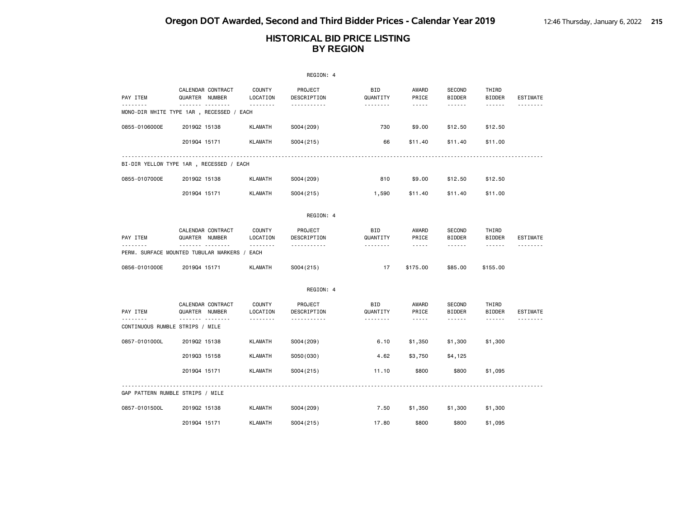|               |                                                |                           | REGION: 4              |                 |                                    |                         |                        |          |
|---------------|------------------------------------------------|---------------------------|------------------------|-----------------|------------------------------------|-------------------------|------------------------|----------|
| PAY ITEM      | CALENDAR CONTRACT<br>QUARTER NUMBER            | <b>COUNTY</b><br>LOCATION | PROJECT<br>DESCRIPTION | BID<br>QUANTITY | AWARD<br>PRICE                     | SECOND<br><b>BIDDER</b> | THIRD<br><b>BIDDER</b> | ESTIMATE |
| .             | .<br>MONO-DIR WHITE TYPE 1AR , RECESSED / EACH | .                         | .                      | <u>.</u>        | $\sim$ $\sim$ $\sim$ $\sim$ $\sim$ | .                       | <b>.</b>               | .        |
| 0855-0106000E | 201902 15138                                   | <b>KLAMATH</b>            | S004 (209)             | 730             | \$9.00                             | \$12.50                 | \$12.50                |          |
|               | 201904 15171                                   | <b>KLAMATH</b>            | S004(215)              | 66              | \$11.40                            | \$11.40                 | \$11.00                |          |
|               | BI-DIR YELLOW TYPE 1AR, RECESSED / EACH        |                           |                        |                 |                                    |                         |                        |          |
| 0855-0107000E | 201902 15138                                   | <b>KLAMATH</b>            | S004 (209)             | 810             | \$9.00                             | \$12.50                 | \$12.50                |          |
|               | 201904 15171                                   | <b>KLAMATH</b>            | S004(215)              | 1,590           | \$11.40                            | \$11.40                 | \$11.00                |          |
|               |                                                |                           | REGION: 4              |                 |                                    |                         |                        |          |
| PAY ITEM      | CALENDAR CONTRACT<br>QUARTER NUMBER            | <b>COUNTY</b><br>LOCATION | PROJECT<br>DESCRIPTION | BID<br>QUANTITY | AWARD<br>PRICE                     | SECOND<br><b>BIDDER</b> | THIRD<br><b>BIDDER</b> | ESTIMATE |
|               | .<br>PERM. SURFACE MOUNTED TUBULAR MARKERS /   | .<br>EACH                 | .                      | <u>.</u>        | $\sim$ $\sim$ $\sim$ $\sim$ $\sim$ | .                       | ------                 | <u>.</u> |
| 0856-0101000E | 201904 15171                                   | <b>KLAMATH</b>            | S004(215)              | 17              | \$175.00                           | \$85.00                 | \$155.00               |          |
|               |                                                |                           | REGION: 4              |                 |                                    |                         |                        |          |
| PAY ITEM      | CALENDAR CONTRACT<br>QUARTER NUMBER            | <b>COUNTY</b><br>LOCATION | PROJECT<br>DESCRIPTION | BID<br>QUANTITY | AWARD<br>PRICE                     | SECOND<br><b>BIDDER</b> | THIRD<br><b>BIDDER</b> | ESTIMATE |
| <u>.</u>      | <b>.</b><br>CONTINUOUS RUMBLE STRIPS / MILE    | .                         | .                      | --------        | $\sim$ $\sim$ $\sim$ $\sim$ $\sim$ | ------                  | ------                 |          |
| 0857-0101000L | 201902 15138                                   | <b>KLAMATH</b>            | S004 (209)             | 6.10            | \$1,350                            | \$1,300                 | \$1,300                |          |
|               | 201903 15158                                   | <b>KLAMATH</b>            | S050(030)              | 4.62            | \$3,750                            | \$4,125                 |                        |          |
|               | 201904 15171                                   | <b>KLAMATH</b>            | S004(215)              | 11.10           | \$800                              | \$800                   | \$1,095                |          |
|               | GAP PATTERN RUMBLE STRIPS / MILE               |                           |                        |                 |                                    |                         |                        |          |
| 0857-0101500L | 201902 15138                                   | <b>KLAMATH</b>            | S004 (209)             | 7.50            | \$1,350                            | \$1,300                 | \$1,300                |          |
|               | 201904 15171                                   | <b>KLAMATH</b>            | S004(215)              | 17.80           | \$800                              | \$800                   | \$1,095                |          |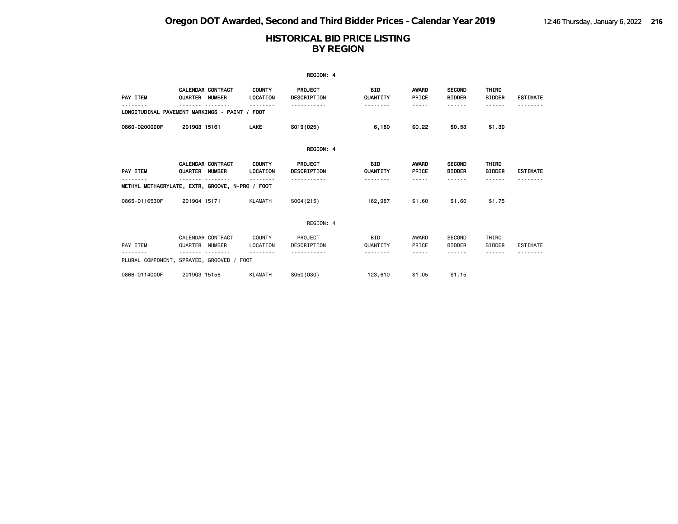|                                                      |                |                          |                           | REGION: 4                     |                        |                       |                                |                        |                 |
|------------------------------------------------------|----------------|--------------------------|---------------------------|-------------------------------|------------------------|-----------------------|--------------------------------|------------------------|-----------------|
| PAY ITEM                                             | QUARTER NUMBER | <b>CALENDAR CONTRACT</b> | <b>COUNTY</b><br>LOCATION | PROJECT<br>DESCRIPTION        | BID<br>QUANTITY        | AWARD<br>PRICE        | <b>SECOND</b><br><b>BIDDER</b> | THIRD<br><b>BIDDER</b> | <b>ESTIMATE</b> |
| LONGITUDINAL PAVEMENT MARKINGS - PAINT / FOOT        |                |                          | <u>.</u>                  | .                             | .                      | -----                 | - - - - - -                    | ------                 |                 |
| 0860-0200000F                                        | 201903 15161   |                          | LAKE                      | S019(025)                     | 6,180                  | \$0.22                | \$0.53                         | \$1.30                 |                 |
|                                                      |                |                          |                           | REGION: 4                     |                        |                       |                                |                        |                 |
| PAY ITEM                                             | QUARTER NUMBER | <b>CALENDAR CONTRACT</b> | <b>COUNTY</b><br>LOCATION | <b>PROJECT</b><br>DESCRIPTION | <b>BID</b><br>QUANTITY | <b>AWARD</b><br>PRICE | <b>SECOND</b><br><b>BIDDER</b> | THIRD<br><b>BIDDER</b> | <b>ESTIMATE</b> |
| .<br>METHYL METHACRYLATE, EXTR, GROOVE, N-PRO / FOOT |                |                          | --------                  | .                             | .                      | -----                 | <b>.</b>                       | ------                 |                 |
| 0865-0116530F                                        | 201904 15171   |                          | <b>KLAMATH</b>            | S004(215)                     | 162,987                | \$1.60                | \$1.60                         | \$1.75                 |                 |
|                                                      |                |                          |                           | REGION: 4                     |                        |                       |                                |                        |                 |
| PAY ITEM                                             | QUARTER NUMBER | CALENDAR CONTRACT        | COUNTY<br>LOCATION        | PROJECT<br>DESCRIPTION        | BID<br>QUANTITY        | AWARD<br>PRICE        | <b>SECOND</b><br><b>BIDDER</b> | THIRD<br><b>BIDDER</b> | <b>ESTIMATE</b> |
| PLURAL COMPONENT, SPRAYED, GROOVED / FOOT            |                |                          |                           |                               |                        | -----                 |                                |                        |                 |
| 0866-0114000F                                        | 201903 15158   |                          | <b>KLAMATH</b>            | S050(030)                     | 123,610                | \$1.05                | \$1.15                         |                        |                 |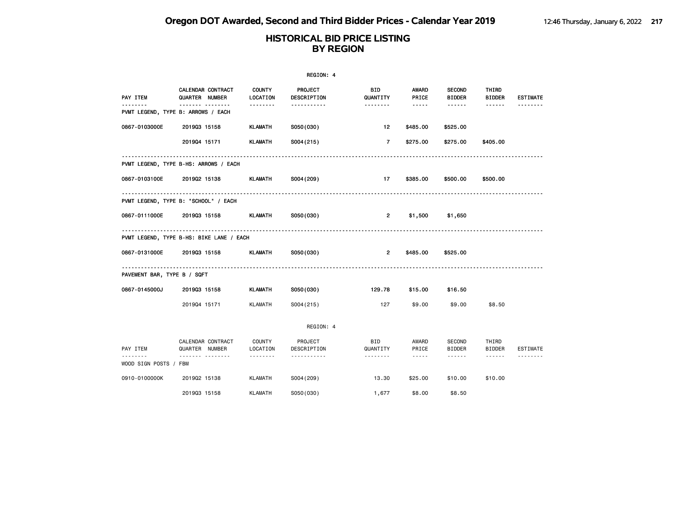|                             |                                                        |                    | REGION: 4              |                       |                                                                                                                                                                                 |                                |                        |                 |
|-----------------------------|--------------------------------------------------------|--------------------|------------------------|-----------------------|---------------------------------------------------------------------------------------------------------------------------------------------------------------------------------|--------------------------------|------------------------|-----------------|
| PAY ITEM                    | CALENDAR CONTRACT<br><b>QUARTER NUMBER</b>             | COUNTY<br>LOCATION | PROJECT<br>DESCRIPTION | BID<br>QUANTITY       | AWARD<br>PRICE                                                                                                                                                                  | <b>SECOND</b><br><b>BIDDER</b> | THIRD<br><b>BIDDER</b> | <b>ESTIMATE</b> |
| .                           | ------- --------<br>PVMT LEGEND, TYPE B: ARROWS / EACH | --------           | -----------            | <u> - - - - - - -</u> | $\cdots \cdots \cdots$                                                                                                                                                          | ------                         | ------                 |                 |
| 0867-0103000E               | 201903 15158                                           | KLAMATH            | S050(030)              | 12 <sub>2</sub>       | \$485.00                                                                                                                                                                        | \$525.00                       |                        |                 |
|                             | 201904 15171                                           | <b>KLAMATH</b>     | S004(215)              | $7^{\circ}$           | \$275.00                                                                                                                                                                        | \$275.00                       | \$405.00               |                 |
|                             | PVMT LEGEND, TYPE B-HS: ARROWS / EACH                  |                    |                        |                       |                                                                                                                                                                                 |                                |                        |                 |
| 0867-0103100E               | 201902 15138                                           | KLAMATH            | S004 (209)             | 17                    | \$385.00                                                                                                                                                                        | \$500.00                       | \$500.00               |                 |
|                             | .<br>PVMT LEGEND, TYPE B: "SCHOOL" / EACH              |                    |                        |                       |                                                                                                                                                                                 |                                |                        |                 |
| 0867-0111000E               | 201903 15158                                           | KLAMATH            | S050(030)              | $\mathbf{2}$          | \$1,500                                                                                                                                                                         | \$1,650                        |                        |                 |
|                             | PVMT LEGEND, TYPE B-HS: BIKE LANE / EACH               |                    |                        |                       |                                                                                                                                                                                 |                                |                        |                 |
| 0867-0131000E               | 201903 15158                                           | KLAMATH            | S050(030)              | $\overline{2}$        | \$485.00                                                                                                                                                                        | \$525.00                       |                        |                 |
| PAVEMENT BAR, TYPE B / SQFT |                                                        |                    |                        |                       |                                                                                                                                                                                 |                                |                        |                 |
| 0867-0145000J               | 201903 15158                                           | <b>KLAMATH</b>     | S050(030)              | 129.78                | \$15.00                                                                                                                                                                         | \$16.50                        |                        |                 |
|                             | 201904 15171                                           | KLAMATH            | S004(215)              | 127                   | \$9.00                                                                                                                                                                          | \$9.00                         | \$8.50                 |                 |
|                             |                                                        |                    | REGION: 4              |                       |                                                                                                                                                                                 |                                |                        |                 |
| PAY ITEM                    | CALENDAR CONTRACT<br>QUARTER NUMBER                    | COUNTY<br>LOCATION | PROJECT<br>DESCRIPTION | BID<br>QUANTITY       | AWARD<br>PRICE                                                                                                                                                                  | SECOND<br><b>BIDDER</b>        | THIRD<br><b>BIDDER</b> | ESTIMATE        |
| .<br>WOOD SIGN POSTS / FBM  |                                                        | --------           | -----------            | .                     | $\frac{1}{2} \left( \frac{1}{2} \right) \left( \frac{1}{2} \right) \left( \frac{1}{2} \right) \left( \frac{1}{2} \right) \left( \frac{1}{2} \right) \left( \frac{1}{2} \right)$ | ------                         | $\cdots \cdots \cdots$ | .               |
| 0910-0100000K               | 201902 15138                                           | <b>KLAMATH</b>     | S004 (209)             | 13.30                 | \$25.00                                                                                                                                                                         | \$10.00                        | \$10.00                |                 |
|                             | 201903 15158                                           | <b>KLAMATH</b>     | S050(030)              | 1,677                 | \$8,00                                                                                                                                                                          | \$8,50                         |                        |                 |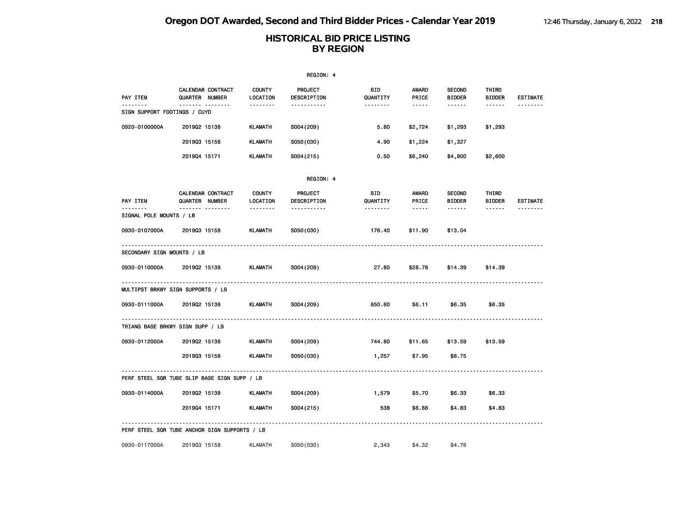|                                         |                                                   |                           | REGION: 4                     |                        |                                                                                                               |                                |                        |                 |
|-----------------------------------------|---------------------------------------------------|---------------------------|-------------------------------|------------------------|---------------------------------------------------------------------------------------------------------------|--------------------------------|------------------------|-----------------|
| PAY ITEM                                | <b>CALENDAR CONTRACT</b><br><b>QUARTER NUMBER</b> | <b>COUNTY</b><br>LOCATION | <b>PROJECT</b><br>DESCRIPTION | BID<br>QUANTITY        | AWARD<br>PRICE                                                                                                | <b>SECOND</b><br><b>BIDDER</b> | THIRD<br><b>BIDDER</b> | <b>ESTIMATE</b> |
| -------<br>SIGN SUPPORT FOOTINGS / CUYD | <u> </u>                                          | <u>.</u>                  | -----------                   | <u> - - - - - - -</u>  | $\frac{1}{2} \frac{1}{2} \frac{1}{2} \frac{1}{2} \frac{1}{2} \frac{1}{2} \frac{1}{2} \frac{1}{2} \frac{1}{2}$ | $- - - - - -$                  | $- - - - - -$          | <u>.</u>        |
| 0920-0100000A                           | 201902 15138                                      | <b>KLAMATH</b>            | S004 (209)                    | 5.80                   | \$2,724                                                                                                       | \$1,293                        | \$1,293                |                 |
|                                         | 201903 15158                                      | <b>KLAMATH</b>            | S050(030)                     | 4.90                   | \$1,224                                                                                                       | \$1,327                        |                        |                 |
|                                         | 201904 15171                                      | <b>KLAMATH</b>            | S004(215)                     | 0.50                   | \$6,240                                                                                                       | \$4,800                        | \$2,600                |                 |
|                                         |                                                   |                           | REGION: 4                     |                        |                                                                                                               |                                |                        |                 |
| PAY ITEM                                | CALENDAR CONTRACT<br>QUARTER NUMBER               | <b>COUNTY</b><br>LOCATION | <b>PROJECT</b><br>DESCRIPTION | <b>BID</b><br>QUANTITY | AWARD<br>PRICE                                                                                                | <b>SECOND</b><br><b>BIDDER</b> | THIRD<br><b>BIDDER</b> | <b>ESTIMATE</b> |
| <u>.</u><br>SIGNAL POLE MOUNTS / LB     | <b>.</b>                                          | <u>.</u>                  | -----------                   | <u> - - - - - - -</u>  | $\frac{1}{2} \frac{1}{2} \frac{1}{2} \frac{1}{2} \frac{1}{2} \frac{1}{2} \frac{1}{2} \frac{1}{2} \frac{1}{2}$ | ------                         | ------                 | <u>.</u>        |
| 0930-0107000A                           | 201903 15158                                      | <b>KLAMATH</b>            | S050(030)                     | 176.40                 | \$11.90                                                                                                       | \$13.04                        |                        |                 |
| SECONDARY SIGN MOUNTS / LB              |                                                   |                           |                               |                        |                                                                                                               |                                |                        |                 |
| 0930-0110000A                           | 201902 15138                                      | <b>KLAMATH</b>            | S004 (209)                    | 27.80                  | \$28.78                                                                                                       | \$14.39                        | \$14.39                |                 |
|                                         | .<br>MULTIPST BRKWY SIGN SUPPORTS / LB            |                           |                               |                        |                                                                                                               |                                |                        |                 |
| 0930-0111000A                           | 201902 15138                                      | <b>KLAMATH</b>            | S004 (209)                    | 850.60                 | \$6.11                                                                                                        | \$6.35                         | \$6.35                 |                 |
|                                         | TRIANG BASE BRKWY SIGN SUPP / LB                  | .                         |                               |                        |                                                                                                               |                                |                        |                 |
| 0930-0112000A                           | 201902 15138                                      | <b>KLAMATH</b>            | S004 (209)                    | 744.80                 | \$11.65                                                                                                       | \$13.59                        | \$13.59                |                 |
|                                         | 201903 15158                                      | <b>KLAMATH</b>            | S050(030)                     | 1,257                  | \$7.95                                                                                                        | \$8.75                         |                        |                 |
|                                         | PERF STEEL SQR TUBE SLIP BASE SIGN SUPP / LB      |                           |                               |                        |                                                                                                               |                                |                        |                 |
| 0930-0114000A                           | 201902 15138                                      | KLAMATH                   | S004 (209)                    | 1,579                  | \$5.70                                                                                                        | \$6.33                         | \$6.33                 |                 |
|                                         | 201904 15171                                      | KLAMATH                   | S004 (215)                    | 538                    | \$6.88                                                                                                        | \$4.83                         | \$4.83                 |                 |
|                                         | PERF STEEL SQR TUBE ANCHOR SIGN SUPPORTS / LB     |                           |                               |                        |                                                                                                               |                                |                        |                 |
| 0930-0117000A                           | 201903 15158                                      | KLAMATH                   | S050(030)                     | 2,343                  | \$4.32                                                                                                        | \$4.76                         |                        |                 |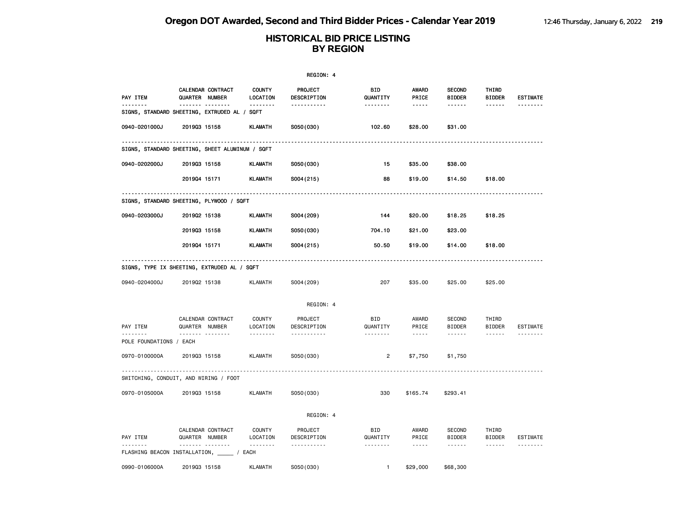|                                                                          |                |                        |                                | REGION: 4                          |                        |                                                                                                                                                      |                                |                        |                             |
|--------------------------------------------------------------------------|----------------|------------------------|--------------------------------|------------------------------------|------------------------|------------------------------------------------------------------------------------------------------------------------------------------------------|--------------------------------|------------------------|-----------------------------|
| PAY ITEM<br>.                                                            | QUARTER NUMBER | CALENDAR CONTRACT<br>. | <b>COUNTY</b><br>LOCATION<br>. | PROJECT<br>DESCRIPTION             | BID<br>QUANTITY        | <b>AWARD</b><br>PRICE                                                                                                                                | <b>SECOND</b><br><b>BIDDER</b> | THIRD<br><b>BIDDER</b> | <b>ESTIMATE</b><br><u>.</u> |
| SIGNS, STANDARD SHEETING, EXTRUDED AL / SQFT                             |                |                        |                                | .                                  | <u>.</u>               | -----                                                                                                                                                | ------                         | ------                 |                             |
| 0940-0201000J                                                            | 201903 15158   |                        | <b>KLAMATH</b>                 | S050(030)                          | 102.60                 | \$28.00                                                                                                                                              | \$31.00                        |                        |                             |
| SIGNS, STANDARD SHEETING, SHEET ALUMINUM / SQFT                          |                |                        |                                |                                    |                        |                                                                                                                                                      |                                |                        |                             |
| 0940-0202000J                                                            | 201903 15158   |                        | <b>KLAMATH</b>                 | S050(030)                          | 15                     | \$35.00                                                                                                                                              | \$38.00                        |                        |                             |
|                                                                          | 201904 15171   |                        | <b>KLAMATH</b>                 | S004(215)                          | 88                     | \$19.00                                                                                                                                              | \$14.50                        | \$18.00                |                             |
| ----------------------------<br>SIGNS, STANDARD SHEETING, PLYWOOD / SQFT |                |                        |                                | ---------------------------------- |                        |                                                                                                                                                      |                                |                        |                             |
| 0940-0203000J                                                            | 201902 15138   |                        | <b>KLAMATH</b>                 | S004 (209)                         | 144                    | \$20.00                                                                                                                                              | \$18.25                        | \$18.25                |                             |
|                                                                          | 201903 15158   |                        | <b>KLAMATH</b>                 | S050(030)                          | 704.10                 | \$21.00                                                                                                                                              | \$23.00                        |                        |                             |
|                                                                          | 201904 15171   |                        | <b>KLAMATH</b>                 | S004(215)                          | 50.50                  | \$19.00                                                                                                                                              | \$14.00                        | \$18.00                |                             |
| SIGNS, TYPE IX SHEETING, EXTRUDED AL / SQFT                              |                |                        |                                |                                    |                        |                                                                                                                                                      |                                |                        | .                           |
| 0940-0204000J                                                            | 201902 15138   |                        | <b>KLAMATH</b>                 | S004 (209)                         | 207                    | \$35.00                                                                                                                                              | \$25.00                        | \$25.00                |                             |
|                                                                          |                |                        |                                | REGION: 4                          |                        |                                                                                                                                                      |                                |                        |                             |
| PAY ITEM                                                                 | QUARTER NUMBER | CALENDAR CONTRACT      | COUNTY<br>LOCATION             | PROJECT<br>DESCRIPTION             | <b>BID</b><br>QUANTITY | AWARD<br>PRICE                                                                                                                                       | SECOND<br><b>BIDDER</b>        | THIRD<br><b>BIDDER</b> | <b>ESTIMATE</b>             |
| .<br>POLE FOUNDATIONS / EACH                                             |                | .                      | .                              | .                                  | .                      | $\frac{1}{2} \left( \frac{1}{2} \right) \left( \frac{1}{2} \right) \left( \frac{1}{2} \right) \left( \frac{1}{2} \right) \left( \frac{1}{2} \right)$ | ------                         | ------                 | <u>.</u>                    |
| 0970-0100000A                                                            | 201903 15158   |                        | <b>KLAMATH</b>                 | S050(030)                          | $\overline{2}$         | \$7,750                                                                                                                                              | \$1,750                        |                        |                             |
| SWITCHING, CONDUIT, AND WIRING / FOOT                                    |                |                        |                                |                                    |                        |                                                                                                                                                      |                                |                        |                             |
| 0970-0105000A                                                            | 201903 15158   |                        | <b>KLAMATH</b>                 | S050(030)                          | 330                    | \$165.74                                                                                                                                             | \$293.41                       |                        |                             |
|                                                                          |                |                        |                                | REGION: 4                          |                        |                                                                                                                                                      |                                |                        |                             |
| PAY ITEM                                                                 | QUARTER NUMBER | CALENDAR CONTRACT      | <b>COUNTY</b><br>LOCATION      | PROJECT<br>DESCRIPTION             | BID<br>QUANTITY        | AWARD<br>PRICE                                                                                                                                       | <b>SECOND</b><br><b>BIDDER</b> | THIRD<br><b>BIDDER</b> | <b>ESTIMATE</b>             |
| FLASHING BEACON INSTALLATION, _____ / EACH                               |                | .                      | .                              | .                                  | .                      | $- - - - -$                                                                                                                                          | ------                         | ------                 | .                           |
| 0990-0106000A                                                            | 201903 15158   |                        | <b>KLAMATH</b>                 | S050(030)                          | $\mathbf{1}$           | \$29,000                                                                                                                                             | \$68,300                       |                        |                             |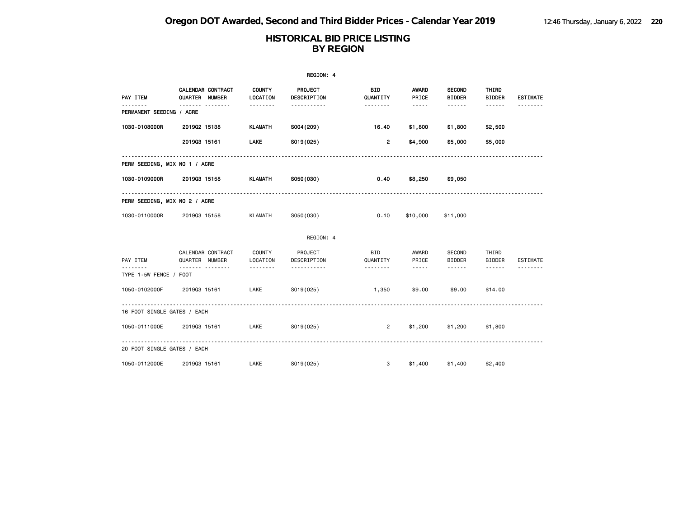|                               | REGION: 4                                |                           |                        |                        |                       |                                |                                                                                                                                                                                                                                                                                                                                                                                                                                                                            |                 |  |  |  |
|-------------------------------|------------------------------------------|---------------------------|------------------------|------------------------|-----------------------|--------------------------------|----------------------------------------------------------------------------------------------------------------------------------------------------------------------------------------------------------------------------------------------------------------------------------------------------------------------------------------------------------------------------------------------------------------------------------------------------------------------------|-----------------|--|--|--|
| PAY ITEM                      | CALENDAR CONTRACT<br>QUARTER NUMBER<br>. | <b>COUNTY</b><br>LOCATION | PROJECT<br>DESCRIPTION | <b>BID</b><br>QUANTITY | <b>AWARD</b><br>PRICE | <b>SECOND</b><br><b>BIDDER</b> | THIRD<br><b>BIDDER</b>                                                                                                                                                                                                                                                                                                                                                                                                                                                     | <b>ESTIMATE</b> |  |  |  |
| PERMANENT SEEDING / ACRE      |                                          | .                         | .                      | --------               | $- - - - -$           | ------                         | ------                                                                                                                                                                                                                                                                                                                                                                                                                                                                     |                 |  |  |  |
| 1030-0108000R                 | 201902 15138                             | <b>KLAMATH</b>            | S004 (209)             | 16.40                  | \$1,800               | \$1,800                        | \$2,500                                                                                                                                                                                                                                                                                                                                                                                                                                                                    |                 |  |  |  |
|                               | 201903 15161                             | LAKE                      | S019(025)              | $\overline{2}$         | \$4,900               | \$5,000                        | \$5,000                                                                                                                                                                                                                                                                                                                                                                                                                                                                    |                 |  |  |  |
| PERM SEEDING, MIX NO 1 / ACRE |                                          |                           |                        |                        |                       |                                |                                                                                                                                                                                                                                                                                                                                                                                                                                                                            |                 |  |  |  |
| 1030-0109000R                 | 201903 15158                             | KLAMATH                   | S050(030)              | 0.40                   | \$8,250               | \$9,050                        |                                                                                                                                                                                                                                                                                                                                                                                                                                                                            |                 |  |  |  |
| PERM SEEDING, MIX NO 2 / ACRE |                                          |                           |                        |                        |                       |                                |                                                                                                                                                                                                                                                                                                                                                                                                                                                                            |                 |  |  |  |
| 1030-0110000R                 | 201903 15158                             | KLAMATH                   | S050(030)              | 0.10                   | \$10,000              | \$11,000                       |                                                                                                                                                                                                                                                                                                                                                                                                                                                                            |                 |  |  |  |
|                               |                                          |                           | REGION: 4              |                        |                       |                                |                                                                                                                                                                                                                                                                                                                                                                                                                                                                            |                 |  |  |  |
| PAY ITEM<br>$- - - - - - - -$ | CALENDAR CONTRACT<br>QUARTER NUMBER      | COUNTY<br>LOCATION        | PROJECT<br>DESCRIPTION | <b>BID</b><br>QUANTITY | AWARD<br>PRICE        | SECOND<br><b>BIDDER</b>        | THIRD<br><b>BIDDER</b>                                                                                                                                                                                                                                                                                                                                                                                                                                                     | <b>ESTIMATE</b> |  |  |  |
| TYPE 1-5W FENCE / FOOT        | .                                        | .                         | <u>.</u>               |                        | $- - - - -$           | $- - - - - -$                  | $\frac{1}{2} \left( \frac{1}{2} \right) \left( \frac{1}{2} \right) \left( \frac{1}{2} \right) \left( \frac{1}{2} \right) \left( \frac{1}{2} \right) \left( \frac{1}{2} \right) \left( \frac{1}{2} \right) \left( \frac{1}{2} \right) \left( \frac{1}{2} \right) \left( \frac{1}{2} \right) \left( \frac{1}{2} \right) \left( \frac{1}{2} \right) \left( \frac{1}{2} \right) \left( \frac{1}{2} \right) \left( \frac{1}{2} \right) \left( \frac{1}{2} \right) \left( \frac$ |                 |  |  |  |
| 1050-0102000F                 | 201903 15161                             | LAKE                      | S019(025)              | 1,350                  | \$9.00                | \$9,00                         | \$14,00                                                                                                                                                                                                                                                                                                                                                                                                                                                                    |                 |  |  |  |
| 16 FOOT SINGLE GATES / EACH   |                                          |                           |                        |                        |                       |                                |                                                                                                                                                                                                                                                                                                                                                                                                                                                                            |                 |  |  |  |
| 1050-0111000E                 | 201903 15161                             | LAKE                      | S019(025)              | $\overline{2}$         | \$1,200               | \$1,200                        | \$1,800                                                                                                                                                                                                                                                                                                                                                                                                                                                                    |                 |  |  |  |
| 20 FOOT SINGLE GATES / EACH   |                                          |                           |                        |                        |                       |                                |                                                                                                                                                                                                                                                                                                                                                                                                                                                                            |                 |  |  |  |
| 1050-0112000E                 | 201903 15161                             | LAKE                      | S019(025)              | $\mathbf{3}$           |                       | \$1,400 \$1,400                | \$2,400                                                                                                                                                                                                                                                                                                                                                                                                                                                                    |                 |  |  |  |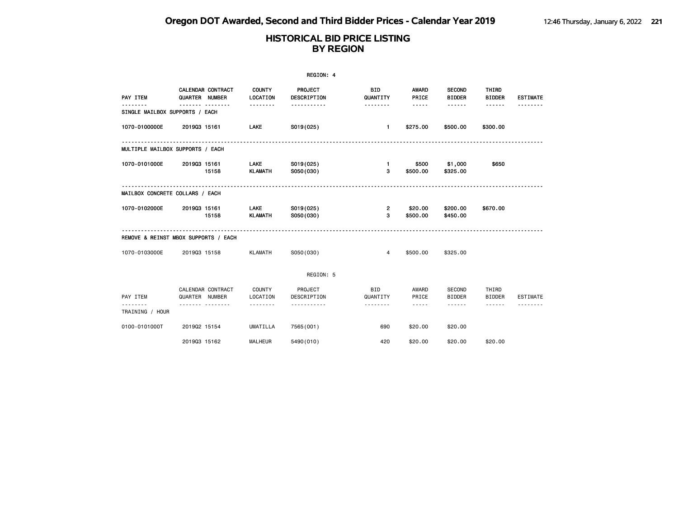|                                      |                |                          |                               | REGION: 4              |                        |                                                                                                                                                      |                                |                                                                                                                                                                                                                                                                                                                                                                                                                                                                            |                 |
|--------------------------------------|----------------|--------------------------|-------------------------------|------------------------|------------------------|------------------------------------------------------------------------------------------------------------------------------------------------------|--------------------------------|----------------------------------------------------------------------------------------------------------------------------------------------------------------------------------------------------------------------------------------------------------------------------------------------------------------------------------------------------------------------------------------------------------------------------------------------------------------------------|-----------------|
| PAY ITEM                             | QUARTER NUMBER | <b>CALENDAR CONTRACT</b> | <b>COUNTY</b><br>LOCATION     | PROJECT<br>DESCRIPTION | <b>BID</b><br>QUANTITY | AWARD<br>PRICE                                                                                                                                       | <b>SECOND</b><br><b>BIDDER</b> | THIRD<br><b>BIDDER</b>                                                                                                                                                                                                                                                                                                                                                                                                                                                     | <b>ESTIMATE</b> |
| SINGLE MAILBOX SUPPORTS / EACH       |                |                          | .                             |                        | .                      | $- - - - -$                                                                                                                                          | ------                         | ------                                                                                                                                                                                                                                                                                                                                                                                                                                                                     |                 |
| 1070-0100000E                        | 201903 15161   |                          | <b>LAKE</b>                   | S019(025)              | $\blacksquare$         | \$275.00                                                                                                                                             | \$500.00                       | \$300.00                                                                                                                                                                                                                                                                                                                                                                                                                                                                   |                 |
| MULTIPLE MAILBOX SUPPORTS / EACH     |                |                          |                               |                        |                        |                                                                                                                                                      |                                |                                                                                                                                                                                                                                                                                                                                                                                                                                                                            |                 |
| 1070-0101000E                        | 201903 15161   | 15158                    | LAKE<br><b>KLAMATH</b>        | S019(025)<br>S050(030) | $\mathbf{1}$<br>3      | \$500<br>\$500.00                                                                                                                                    | \$1,000<br>\$325.00            | \$650                                                                                                                                                                                                                                                                                                                                                                                                                                                                      |                 |
| MAILBOX CONCRETE COLLARS / EACH      |                |                          |                               |                        |                        |                                                                                                                                                      |                                |                                                                                                                                                                                                                                                                                                                                                                                                                                                                            |                 |
| 1070-0102000E                        | 201903 15161   | 15158                    | <b>LAKE</b><br><b>KLAMATH</b> | S019(025)<br>S050(030) | $\overline{2}$<br>3    | \$20.00<br>\$500.00                                                                                                                                  | \$200.00<br>\$450.00           | \$670.00                                                                                                                                                                                                                                                                                                                                                                                                                                                                   |                 |
| REMOVE & REINST MBOX SUPPORTS / EACH |                |                          |                               |                        |                        |                                                                                                                                                      |                                |                                                                                                                                                                                                                                                                                                                                                                                                                                                                            |                 |
| 1070-0103000E                        | 201903 15158   |                          | <b>KLAMATH</b>                | S050(030)              | 4                      | \$500.00                                                                                                                                             | \$325.00                       |                                                                                                                                                                                                                                                                                                                                                                                                                                                                            |                 |
|                                      |                |                          |                               | REGION: 5              |                        |                                                                                                                                                      |                                |                                                                                                                                                                                                                                                                                                                                                                                                                                                                            |                 |
| PAY ITEM                             | QUARTER NUMBER | CALENDAR CONTRACT        | COUNTY<br>LOCATION            | PROJECT<br>DESCRIPTION | <b>BID</b><br>QUANTITY | AWARD<br>PRICE                                                                                                                                       | <b>SECOND</b><br><b>BIDDER</b> | THIRD<br><b>BIDDER</b>                                                                                                                                                                                                                                                                                                                                                                                                                                                     | ESTIMATE        |
| TRAINING / HOUR                      | .              |                          | .                             | .                      | .                      | $\frac{1}{2} \left( \frac{1}{2} \right) \left( \frac{1}{2} \right) \left( \frac{1}{2} \right) \left( \frac{1}{2} \right) \left( \frac{1}{2} \right)$ | ------                         | $\frac{1}{2} \left( \frac{1}{2} \right) \left( \frac{1}{2} \right) \left( \frac{1}{2} \right) \left( \frac{1}{2} \right) \left( \frac{1}{2} \right) \left( \frac{1}{2} \right) \left( \frac{1}{2} \right) \left( \frac{1}{2} \right) \left( \frac{1}{2} \right) \left( \frac{1}{2} \right) \left( \frac{1}{2} \right) \left( \frac{1}{2} \right) \left( \frac{1}{2} \right) \left( \frac{1}{2} \right) \left( \frac{1}{2} \right) \left( \frac{1}{2} \right) \left( \frac$ |                 |
| 0100-0101000T                        | 201902 15154   |                          | <b>UMATILLA</b>               | 7565(001)              | 690                    | \$20,00                                                                                                                                              | \$20,00                        |                                                                                                                                                                                                                                                                                                                                                                                                                                                                            |                 |
|                                      | 201903 15162   |                          | <b>MALHEUR</b>                | 5490 (010)             | 420                    | \$20.00                                                                                                                                              | \$20.00                        | \$20.00                                                                                                                                                                                                                                                                                                                                                                                                                                                                    |                 |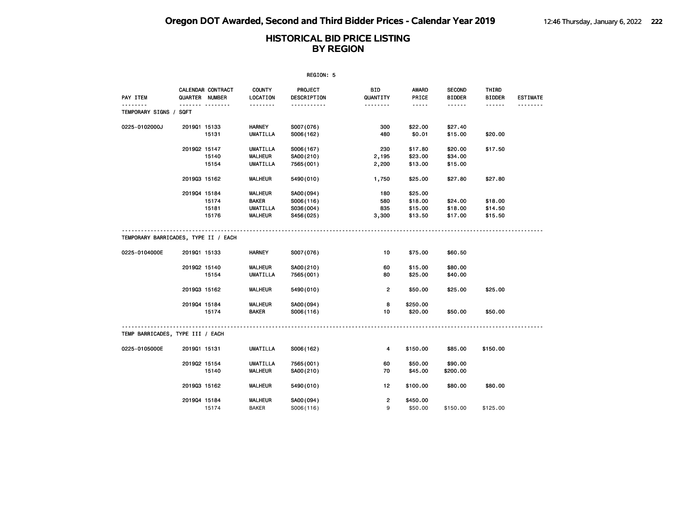|                                      |              |                                     |                           | REGION: 5              |                 |                       |                                |                        |                 |
|--------------------------------------|--------------|-------------------------------------|---------------------------|------------------------|-----------------|-----------------------|--------------------------------|------------------------|-----------------|
| PAY ITEM                             |              | CALENDAR CONTRACT<br>QUARTER NUMBER | <b>COUNTY</b><br>LOCATION | PROJECT<br>DESCRIPTION | BID<br>QUANTITY | <b>AWARD</b><br>PRICE | <b>SECOND</b><br><b>BIDDER</b> | THIRD<br><b>BIDDER</b> | <b>ESTIMATE</b> |
| .<br>TEMPORARY SIGNS /               | SQFT         |                                     | <u>.</u>                  | .                      |                 | $- - - - -$           | ------                         | ------                 | <u>.</u>        |
| 0225-0102000J                        | 201901 15133 |                                     | <b>HARNEY</b>             | S007(076)              | 300             | \$22.00               | \$27.40                        |                        |                 |
|                                      |              | 15131                               | <b>UMATILLA</b>           | S006(162)              | 480             | \$0.01                | \$15.00                        | \$20.00                |                 |
|                                      | 201902 15147 |                                     | <b>UMATILLA</b>           | S006(167)              | 230             | \$17.80               | \$20.00                        | \$17.50                |                 |
|                                      |              | 15140                               | <b>MALHEUR</b>            | SA00(210)              | 2,195           | \$23.00               | \$34.00                        |                        |                 |
|                                      |              | 15154                               | <b>UMATILLA</b>           | 7565 (001)             | 2,200           | \$13.00               | \$15.00                        |                        |                 |
|                                      | 201903 15162 |                                     | <b>MALHEUR</b>            | 5490 (010)             | 1,750           | \$25.00               | \$27.80                        | \$27.80                |                 |
|                                      | 201904 15184 |                                     | <b>MALHEUR</b>            | SA00(094)              | 180             | \$25.00               |                                |                        |                 |
|                                      |              | 15174                               | <b>BAKER</b>              | S006(116)              | 580             | \$18.00               | \$24.00                        | \$18.00                |                 |
|                                      |              | 15181                               | <b>UMATILLA</b>           | S036(004)              | 835             | \$15.00               | \$18.00                        | \$14.50                |                 |
|                                      |              | 15176                               | <b>MALHEUR</b>            | S456(025)              | 3,300           | \$13.50               | \$17.00                        | \$15.50                |                 |
| TEMPORARY BARRICADES, TYPE II / EACH |              |                                     |                           |                        |                 |                       |                                |                        |                 |
| 0225-0104000E                        | 201901 15133 |                                     | <b>HARNEY</b>             | S007(076)              | 10              | \$75.00               | \$60.50                        |                        |                 |
|                                      | 201902 15140 |                                     | <b>MALHEUR</b>            | SA00(210)              | 60              | \$15.00               | \$80.00                        |                        |                 |
|                                      |              | 15154                               | <b>UMATILLA</b>           | 7565 (001)             | 80              | \$25.00               | \$40.00                        |                        |                 |
|                                      | 201903 15162 |                                     | <b>MALHEUR</b>            | 5490 (010)             | $\overline{2}$  | \$50.00               | \$25.00                        | \$25.00                |                 |
|                                      | 201904 15184 |                                     | <b>MALHEUR</b>            | SA00(094)              | 8               | \$250.00              |                                |                        |                 |
|                                      |              | 15174                               | <b>BAKER</b>              | S006(116)              | 10              | \$20.00               | \$50.00                        | \$50.00                |                 |
| TEMP BARRICADES, TYPE III / EACH     |              |                                     | .                         |                        |                 |                       |                                |                        |                 |
| 0225-0105000E                        | 201901 15131 |                                     | <b>UMATILLA</b>           | S006(162)              | 4               | \$150.00              | \$85.00                        | \$150.00               |                 |
|                                      | 201902 15154 |                                     | <b>UMATILLA</b>           | 7565 (001)             | 60              | \$50.00               | \$90.00                        |                        |                 |
|                                      |              | 15140                               | <b>MALHEUR</b>            | SA00(210)              | 70              | \$45.00               | \$200.00                       |                        |                 |
|                                      | 201903 15162 |                                     | <b>MALHEUR</b>            | 5490 (010)             | 12              | \$100.00              | \$80.00                        | \$80.00                |                 |
|                                      | 201904 15184 |                                     | <b>MALHEUR</b>            | SA00 (094)             | 2               | \$450.00              |                                |                        |                 |
|                                      |              | 15174                               | <b>BAKER</b>              | S006(116)              | 9               | \$50.00               | \$150.00                       | \$125,00               |                 |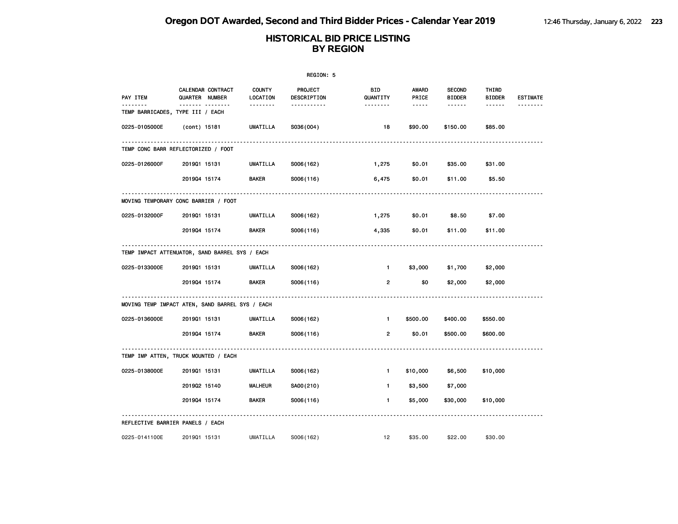|               |                                                         |                           | REGION: 5              |                        |                       |                                |                        |                 |
|---------------|---------------------------------------------------------|---------------------------|------------------------|------------------------|-----------------------|--------------------------------|------------------------|-----------------|
| PAY ITEM      | CALENDAR CONTRACT<br>QUARTER NUMBER                     | <b>COUNTY</b><br>LOCATION | PROJECT<br>DESCRIPTION | <b>BID</b><br>QUANTITY | <b>AWARD</b><br>PRICE | <b>SECOND</b><br><b>BIDDER</b> | THIRD<br><b>BIDDER</b> | <b>ESTIMATE</b> |
|               | <u>--- --------</u><br>TEMP BARRICADES, TYPE III / EACH | .                         | .                      | <u>.</u>               | -----                 | ------                         | ------                 |                 |
| 0225-0105000E | (cont) 15181                                            | UMATILLA                  | S036(004)              | 18                     | \$90.00               | \$150.00                       | \$85.00                |                 |
|               | TEMP CONC BARR REFLECTORIZED / FOOT                     |                           |                        |                        |                       |                                |                        |                 |
| 0225-0126000F | 201901 15131                                            | <b>UMATILLA</b>           | S006(162)              | 1,275                  | \$0.01                | \$35.00                        | \$31.00                |                 |
|               | 201904 15174                                            | <b>BAKER</b>              | S006(116)              | 6,475                  | \$0.01                | \$11.00                        | \$5.50                 |                 |
|               | MOVING TEMPORARY CONC BARRIER / FOOT                    |                           |                        |                        |                       |                                |                        |                 |
| 0225-0132000F | 201901 15131                                            | UMATILLA                  | S006(162)              | 1,275                  | \$0.01                | \$8.50                         | \$7.00                 |                 |
|               | 201904 15174                                            | BAKER                     | S006(116)              | 4,335                  | \$0.01                | \$11.00                        | \$11.00                |                 |
|               | TEMP IMPACT ATTENUATOR, SAND BARREL SYS / EACH          |                           |                        |                        |                       |                                |                        |                 |
| 0225-0133000E | 201901 15131                                            | <b>UMATILLA</b>           | S006(162)              | $\mathbf{1}$           | \$3,000               | \$1,700                        | \$2,000                |                 |
|               | 201904 15174                                            | <b>BAKER</b>              | S006(116)              | $\overline{2}$         | \$0                   | \$2,000                        | \$2,000                |                 |
|               | MOVING TEMP IMPACT ATEN, SAND BARREL SYS / EACH         |                           |                        |                        |                       |                                |                        |                 |
| 0225-0136000E | 201901 15131                                            | UMATILLA                  | S006(162)              | $\mathbf{1}$           | \$500.00              | \$400.00                       | \$550.00               |                 |
|               | 201904 15174                                            | <b>BAKER</b>              | S006(116)              | 2                      | \$0.01                | \$500.00                       | \$600.00               |                 |
|               | TEMP IMP ATTEN, TRUCK MOUNTED / EACH                    |                           |                        |                        |                       |                                |                        |                 |
| 0225-0138000E | 201901 15131                                            | <b>UMATILLA</b>           | S006(162)              | $\mathbf{1}$           | \$10,000              | \$6,500                        | \$10,000               |                 |
|               | 201902 15140                                            | <b>MALHEUR</b>            | SA00(210)              | $\mathbf{1}$           | \$3,500               | \$7,000                        |                        |                 |
|               | 201904 15174                                            | <b>BAKER</b>              | S006(116)              | $\mathbf{1}$           | \$5,000               | \$30,000                       | \$10,000               |                 |
|               | REFLECTIVE BARRIER PANELS / EACH                        |                           |                        |                        |                       |                                |                        |                 |
| 0225-0141100E | 201901 15131                                            | UMATILLA                  | S006(162)              | 12                     | \$35.00               | \$22.00                        | \$30.00                |                 |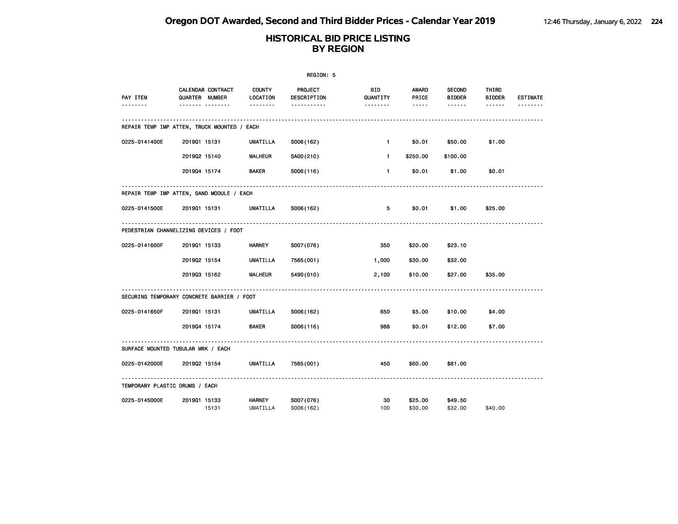|                                             |                       |                       |                           | REGION: 5                          |                      |                               |                                     |                        |                             |
|---------------------------------------------|-----------------------|-----------------------|---------------------------|------------------------------------|----------------------|-------------------------------|-------------------------------------|------------------------|-----------------------------|
| PAY ITEM                                    | <b>QUARTER NUMBER</b> | CALENDAR CONTRACT<br> | COUNTY<br>LOCATION        | PROJECT<br>DESCRIPTION<br><u>.</u> | BID<br>QUANTITY<br>. | AWARD<br>PRICE<br>$- - - - -$ | <b>SECOND</b><br><b>BIDDER</b><br>. | THIRD<br><b>BIDDER</b> | <b>ESTIMATE</b><br><u>.</u> |
| REPAIR TEMP IMP ATTEN, TRUCK MOUNTED / EACH |                       |                       |                           |                                    |                      |                               |                                     |                        |                             |
| 0225-0141400E                               | 201901 15131          |                       | UMATILLA                  | S006(162)                          | $\mathbf{1}$         | \$0.01                        | \$50.00                             | \$1.00                 |                             |
|                                             | 201902 15140          |                       | <b>MALHEUR</b>            | SA00(210)                          | $\mathbf{1}$         | \$250.00                      | \$100.00                            |                        |                             |
|                                             | 201904 15174          |                       | <b>BAKER</b>              | S006(116)                          | $\mathbf{1}$         | \$0.01                        | \$1.00                              | \$0.01                 |                             |
| REPAIR TEMP IMP ATTEN, SAND MODULE / EACH   |                       |                       |                           |                                    |                      |                               |                                     |                        |                             |
| 0225-0141500E                               | 201901 15131          |                       | UMATILLA                  | S006(162)                          | 5                    | \$0.01                        | \$1.00                              | \$25.00                |                             |
| PEDESTRIAN CHANNELIZING DEVICES / FOOT      |                       |                       |                           |                                    |                      |                               |                                     |                        |                             |
| 0225-0141600F                               | 201901 15133          |                       | <b>HARNEY</b>             | S007(076)                          | 350                  | \$20.00                       | \$23.10                             |                        |                             |
|                                             | 201902 15154          |                       | <b>UMATILLA</b>           | 7565 (001)                         | 1,000                | \$30.00                       | \$32.00                             |                        |                             |
|                                             | 201903 15162          |                       | <b>MALHEUR</b>            | 5490 (010)                         | 2,100                | \$10.00                       | \$27.00                             | \$35.00                |                             |
| SECURING TEMPORARY CONCRETE BARRIER / FOOT  |                       |                       |                           |                                    |                      |                               |                                     |                        |                             |
| 0225-0141650F                               | 201901 15131          |                       | UMATILLA                  | S006(162)                          | 650                  | \$5.00                        | \$10.00                             | \$4.00                 |                             |
|                                             | 201904 15174          |                       | <b>BAKER</b>              | S006(116)                          | 988                  | \$0.01                        | \$12.00                             | \$7.00                 |                             |
| SURFACE MOUNTED TUBULAR MRK / EACH          |                       |                       |                           |                                    |                      |                               |                                     |                        |                             |
| 0225-0142000E                               | 201902 15154          |                       | <b>UMATILLA</b>           | 7565 (001)                         | 450                  | \$60.00                       | \$81.00                             |                        |                             |
| TEMPORARY PLASTIC DRUMS / EACH              |                       |                       |                           |                                    |                      |                               |                                     |                        |                             |
| 0225-0145000E                               | 201901 15133          | 15131                 | <b>HARNEY</b><br>UMATILLA | S007(076)<br>S006(162)             | 30<br>100            | \$25.00<br>\$30,00            | \$49.50<br>\$32.00                  | \$40.00                |                             |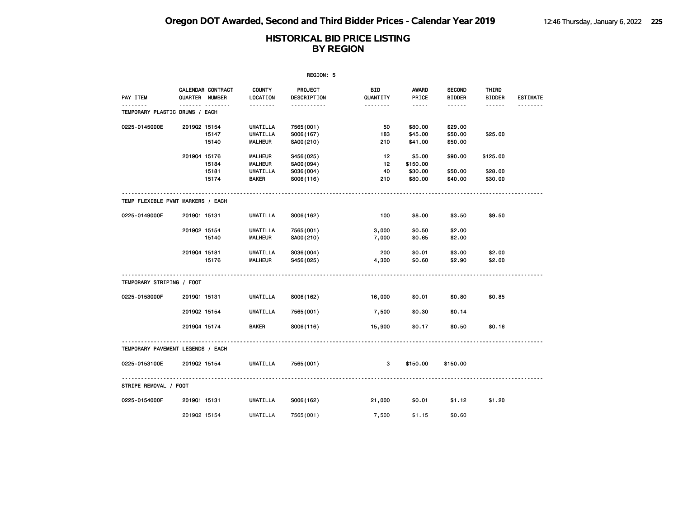|                                            |              |                                     |                                                              | REGION: 5                                        |                       |                                                                                                                                                      |                                |                                |                 |
|--------------------------------------------|--------------|-------------------------------------|--------------------------------------------------------------|--------------------------------------------------|-----------------------|------------------------------------------------------------------------------------------------------------------------------------------------------|--------------------------------|--------------------------------|-----------------|
| PAY ITEM                                   |              | CALENDAR CONTRACT<br>QUARTER NUMBER | <b>COUNTY</b><br>LOCATION                                    | <b>PROJECT</b><br>DESCRIPTION                    | BID<br>QUANTITY       | <b>AWARD</b><br>PRICE                                                                                                                                | <b>SECOND</b><br><b>BIDDER</b> | THIRD<br><b>BIDDER</b>         | <b>ESTIMATE</b> |
| <u>.</u><br>TEMPORARY PLASTIC DRUMS / EACH |              |                                     | <u>.</u>                                                     | <u>.</u>                                         | <u>.</u>              | $\frac{1}{2} \left( \frac{1}{2} \right) \left( \frac{1}{2} \right) \left( \frac{1}{2} \right) \left( \frac{1}{2} \right) \left( \frac{1}{2} \right)$ |                                |                                | <u>.</u>        |
| 0225-0145000E                              | 201902 15154 | 15147<br>15140                      | UMATILLA<br><b>UMATILLA</b><br><b>MALHEUR</b>                | 7565 (001)<br>S006(167)<br>SA00(210)             | 50<br>183<br>210      | \$80.00<br>\$45.00<br>\$41.00                                                                                                                        | \$29.00<br>\$50.00<br>\$50.00  | \$25.00                        |                 |
|                                            | 201904 15176 | 15184<br>15181<br>15174             | <b>MALHEUR</b><br><b>MALHEUR</b><br>UMATILLA<br><b>BAKER</b> | S456(025)<br>SA00(094)<br>S036(004)<br>S006(116) | 12<br>12<br>40<br>210 | \$5.00<br>\$150.00<br>\$30.00<br>\$80.00                                                                                                             | \$90.00<br>\$50.00<br>\$40.00  | \$125.00<br>\$28.00<br>\$30.00 |                 |
| TEMP FLEXIBLE PVMT MARKERS / EACH          |              |                                     |                                                              |                                                  |                       |                                                                                                                                                      |                                |                                |                 |
| 0225-0149000E                              | 201901 15131 |                                     | UMATILLA                                                     | S006(162)                                        | 100                   | \$8.00                                                                                                                                               | \$3.50                         | \$9.50                         |                 |
|                                            | 201902 15154 | 15140                               | UMATILLA<br><b>MALHEUR</b>                                   | 7565 (001)<br>SA00(210)                          | 3,000<br>7,000        | \$0.50<br>\$0.65                                                                                                                                     | \$2.00<br>\$2.00               |                                |                 |
|                                            | 201904 15181 | 15176                               | UMATILLA<br><b>MALHEUR</b>                                   | S036(004)<br>S456(025)                           | 200<br>4,300          | \$0.01<br>\$0.60                                                                                                                                     | \$3.00<br>\$2.90               | \$2.00<br>\$2.00               |                 |
| TEMPORARY STRIPING / FOOT                  |              |                                     |                                                              |                                                  |                       |                                                                                                                                                      |                                |                                |                 |
| 0225-0153000F                              | 201901 15131 |                                     | <b>UMATILLA</b>                                              | S006(162)                                        | 16,000                | \$0.01                                                                                                                                               | \$0.80                         | \$0.85                         |                 |
|                                            | 201902 15154 |                                     | <b>UMATILLA</b>                                              | 7565(001)                                        | 7,500                 | \$0.30                                                                                                                                               | \$0.14                         |                                |                 |
|                                            | 201904 15174 |                                     | <b>BAKER</b>                                                 | S006(116)                                        | 15,900                | \$0.17                                                                                                                                               | \$0.50                         | \$0.16                         |                 |
| TEMPORARY PAVEMENT LEGENDS / EACH          |              |                                     |                                                              |                                                  |                       |                                                                                                                                                      |                                |                                |                 |
| 0225-0153100E                              | 201902 15154 |                                     | UMATILLA                                                     | 7565 (001)                                       | 3                     | \$150.00                                                                                                                                             | \$150.00                       |                                |                 |
| STRIPE REMOVAL / FOOT                      |              |                                     |                                                              |                                                  |                       |                                                                                                                                                      |                                |                                |                 |
| 0225-0154000F                              | 201901 15131 |                                     | UMATILLA                                                     | S006(162)                                        | 21,000                | \$0.01                                                                                                                                               | \$1.12                         | \$1.20                         |                 |
|                                            | 201902 15154 |                                     | <b>UMATILLA</b>                                              | 7565 (001)                                       | 7,500                 | \$1.15                                                                                                                                               | \$0.60                         |                                |                 |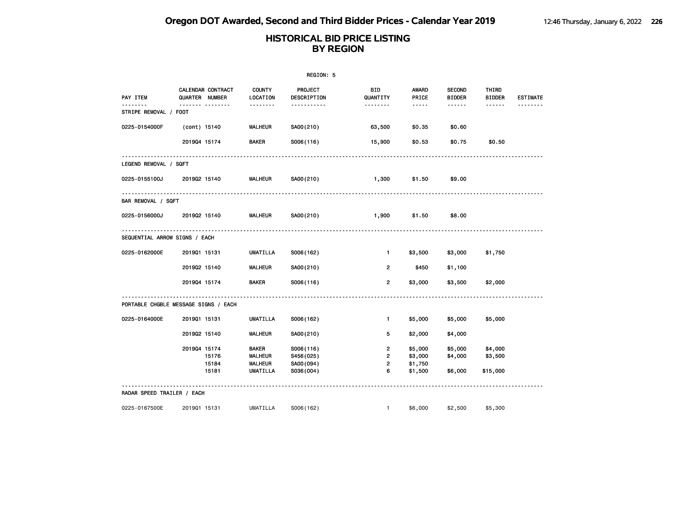|                                     |                                      |                           | REGION: 5              |                        |                                                                                                                                                      |                                |                        |                 |
|-------------------------------------|--------------------------------------|---------------------------|------------------------|------------------------|------------------------------------------------------------------------------------------------------------------------------------------------------|--------------------------------|------------------------|-----------------|
| PAY ITEM                            | CALENDAR CONTRACT<br>QUARTER NUMBER  | <b>COUNTY</b><br>LOCATION | PROJECT<br>DESCRIPTION | <b>BID</b><br>QUANTITY | <b>AWARD</b><br>PRICE                                                                                                                                | <b>SECOND</b><br><b>BIDDER</b> | THIRD<br><b>BIDDER</b> | <b>ESTIMATE</b> |
| . <b>.</b><br>STRIPE REMOVAL / FOOT | . <sub>.</sub>                       | --------                  | .                      | .                      | $\frac{1}{2} \left( \frac{1}{2} \right) \left( \frac{1}{2} \right) \left( \frac{1}{2} \right) \left( \frac{1}{2} \right) \left( \frac{1}{2} \right)$ | ------                         | ------                 |                 |
| 0225-0154000F                       | (cont) 15140                         | <b>MALHEUR</b>            | SA00(210)              | 63,500                 | \$0.35                                                                                                                                               | \$0.60                         |                        |                 |
|                                     | 201904 15174                         | <b>BAKER</b>              | S006(116)              | 15,900                 | \$0.53                                                                                                                                               | \$0.75                         | \$0.50                 |                 |
| LEGEND REMOVAL / SQFT               |                                      |                           |                        |                        |                                                                                                                                                      |                                |                        |                 |
| 0225-0155100J                       | 201902 15140                         | <b>MALHEUR</b>            | SA00(210)              | 1,300                  | \$1.50                                                                                                                                               | \$9.00                         |                        |                 |
| BAR REMOVAL / SQFT                  |                                      |                           |                        |                        |                                                                                                                                                      |                                |                        |                 |
| 0225-0156000J                       | 201902 15140                         | <b>MALHEUR</b>            | SA00(210)              | 1,900                  | \$1.50                                                                                                                                               | \$8.00                         |                        |                 |
| SEQUENTIAL ARROW SIGNS / EACH       |                                      |                           |                        |                        |                                                                                                                                                      |                                |                        |                 |
| 0225-0162000E                       | 201901 15131                         | UMATILLA                  | S006(162)              | $\mathbf{1}$           | \$3,500                                                                                                                                              | \$3,000                        | \$1,750                |                 |
|                                     | 201902 15140                         | <b>MALHEUR</b>            | SA00(210)              | $\overline{2}$         | \$450                                                                                                                                                | \$1,100                        |                        |                 |
|                                     | 201904 15174                         | <b>BAKER</b>              | S006(116)              | $\overline{2}$         | \$3,000                                                                                                                                              | \$3,500                        | \$2,000                |                 |
|                                     | PORTABLE CHGBLE MESSAGE SIGNS / EACH |                           |                        |                        |                                                                                                                                                      |                                |                        |                 |
| 0225-0164000E                       | 201901 15131                         | UMATILLA                  | S006(162)              | $\mathbf{1}$           | \$5,000                                                                                                                                              | \$5,000                        | \$5,000                |                 |
|                                     | 201902 15140                         | <b>MALHEUR</b>            | SA00(210)              | 5                      | \$2,000                                                                                                                                              | \$4,000                        |                        |                 |
|                                     | 201904 15174                         | <b>BAKER</b>              | S006(116)              | $\overline{2}$         | \$5,000                                                                                                                                              | \$5,000                        | \$4,000                |                 |
|                                     | 15176                                | <b>MALHEUR</b>            | S456(025)              | $\overline{2}$         | \$3,000                                                                                                                                              | \$4,000                        | \$3,500                |                 |
|                                     | 15184                                | <b>MALHEUR</b>            | SA00(094)              | $\overline{2}$         | \$1,750                                                                                                                                              |                                |                        |                 |
|                                     | 15181                                | UMATILLA                  | S036(004)              | 6                      | \$1,500                                                                                                                                              | \$6,000                        | \$15,000               |                 |
| RADAR SPEED TRAILER / EACH          |                                      |                           |                        |                        |                                                                                                                                                      |                                |                        |                 |
| 0225-0167500E                       | 201901 15131                         | UMATILLA                  | S006(162)              | $\mathbf{1}$           | \$6,000                                                                                                                                              | \$2,500                        | \$5,300                |                 |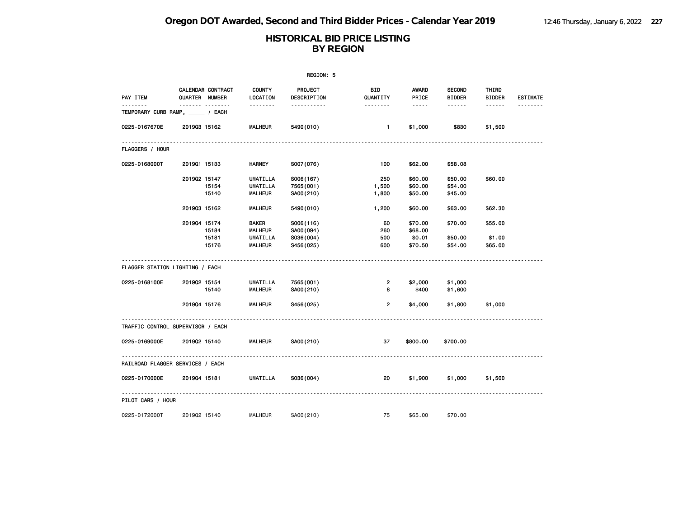|                                   |                              |                                            |                                                                     | REGION: 5                                        |                                       |                                         |                                |                              |                 |
|-----------------------------------|------------------------------|--------------------------------------------|---------------------------------------------------------------------|--------------------------------------------------|---------------------------------------|-----------------------------------------|--------------------------------|------------------------------|-----------------|
| PAY ITEM                          |                              | CALENDAR CONTRACT<br><b>QUARTER NUMBER</b> | <b>COUNTY</b><br>LOCATION                                           | <b>PROJECT</b><br>DESCRIPTION                    | BID<br>QUANTITY                       | AWARD<br>PRICE                          | <b>SECOND</b><br><b>BIDDER</b> | THIRD<br><b>BIDDER</b>       | <b>ESTIMATE</b> |
| TEMPORARY CURB RAMP, _____ / EACH |                              | .                                          | <u> - - - - - - -</u>                                               | -----------                                      | <u> - - - - - - -</u>                 | $\cdots \cdots$                         | $\cdots\cdots\cdots$           | $- - - - - -$                | <u>.</u>        |
| 0225-0167670E                     | 201903 15162                 |                                            | <b>MALHEUR</b>                                                      | 5490 (010)                                       | $\mathbf{1}$                          | \$1,000                                 | \$830                          | \$1,500                      |                 |
| <b>FLAGGERS / HOUR</b>            |                              |                                            |                                                                     |                                                  |                                       |                                         |                                |                              |                 |
| 0225-0168000T                     | 201901 15133                 |                                            | <b>HARNEY</b>                                                       | S007(076)                                        | 100                                   | \$62.00                                 | \$58.08                        |                              |                 |
|                                   | 201902 15147                 | 15154<br>15140                             | UMATILLA<br><b>UMATILLA</b><br><b>MALHEUR</b>                       | S006(167)<br>7565 (001)<br>SA00(210)             | 250<br>1,500<br>1,800                 | \$60.00<br>\$60.00<br>\$50.00           | \$50.00<br>\$54.00<br>\$45.00  | \$60.00                      |                 |
|                                   | 201903 15162                 |                                            | <b>MALHEUR</b>                                                      | 5490 (010)                                       | 1,200                                 | \$60.00                                 | \$63.00                        | \$62.30                      |                 |
|                                   | 201904 15174                 | 15184<br>15181<br>15176                    | <b>BAKER</b><br><b>MALHEUR</b><br><b>UMATILLA</b><br><b>MALHEUR</b> | S006(116)<br>SA00(094)<br>S036(004)<br>S456(025) | 60<br>260<br>500<br>600               | \$70.00<br>\$68.00<br>\$0.01<br>\$70.50 | \$70.00<br>\$50.00<br>\$54.00  | \$55.00<br>\$1.00<br>\$65.00 |                 |
| FLAGGER STATION LIGHTING / EACH   |                              |                                            |                                                                     |                                                  |                                       |                                         |                                |                              |                 |
| 0225-0168100E                     | 201902 15154<br>201904 15176 | 15140                                      | UMATILLA<br><b>MALHEUR</b>                                          | 7565 (001)<br>SA00(210)                          | $\overline{2}$<br>8<br>$\overline{2}$ | \$2,000<br>\$400                        | \$1,000<br>\$1,600             |                              |                 |
|                                   |                              |                                            | <b>MALHEUR</b>                                                      | S456(025)                                        |                                       | \$4,000                                 | \$1,800                        | \$1,000                      |                 |
| TRAFFIC CONTROL SUPERVISOR / EACH |                              |                                            |                                                                     |                                                  |                                       |                                         |                                |                              |                 |
| 0225-0169000E                     | 201902 15140                 |                                            | <b>MALHEUR</b>                                                      | SA00(210)                                        | 37                                    | \$800.00                                | \$700.00                       |                              |                 |
| RAILROAD FLAGGER SERVICES / EACH  |                              |                                            |                                                                     |                                                  |                                       |                                         |                                |                              |                 |
| 0225-0170000E                     | 201904 15181                 |                                            | UMATILLA                                                            | S036(004)                                        | 20                                    | \$1,900                                 | \$1,000                        | \$1,500                      |                 |
| PILOT CARS / HOUR                 |                              |                                            |                                                                     |                                                  |                                       |                                         |                                |                              |                 |
| 0225-0172000T                     | 201902 15140                 |                                            | <b>MALHEUR</b>                                                      | SA00(210)                                        | 75                                    | \$65.00                                 | \$70.00                        |                              |                 |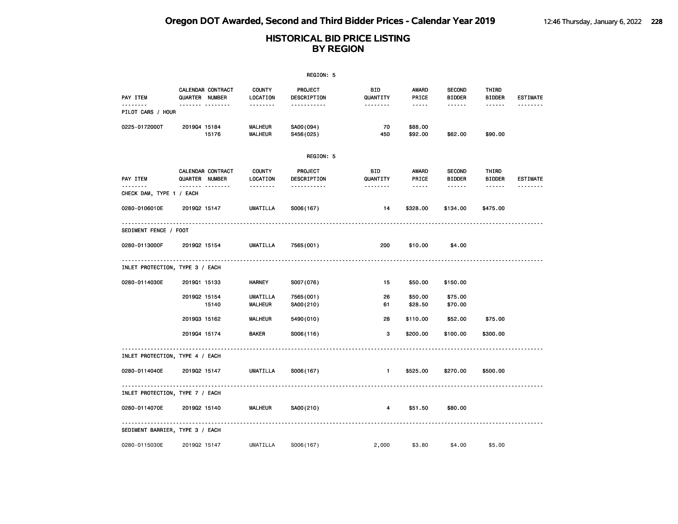|                                 |                  |                          |                           | REGION: 5                     |                 |                                                                                                               |                                |                        |                 |
|---------------------------------|------------------|--------------------------|---------------------------|-------------------------------|-----------------|---------------------------------------------------------------------------------------------------------------|--------------------------------|------------------------|-----------------|
| PAY ITEM                        | QUARTER NUMBER   | <b>CALENDAR CONTRACT</b> | <b>COUNTY</b><br>LOCATION | PROJECT<br>DESCRIPTION        | BID<br>QUANTITY | AWARD<br>PRICE                                                                                                | <b>SECOND</b><br><b>BIDDER</b> | THIRD<br><b>BIDDER</b> | <b>ESTIMATE</b> |
| <u>.</u><br>PILOT CARS / HOUR   | <b>.</b>         |                          | --------                  | -----------                   | --------        | $\cdots \cdots \cdots$                                                                                        | ------                         | ------                 | .               |
| 0225-0172000T                   | 201904 15184     | 15176                    | MALHEUR<br>MALHEUR        | SA00(094)<br>S456(025)        | 70<br>450       | \$88.00<br>\$92.00                                                                                            | \$62.00                        | \$90.00                |                 |
|                                 |                  |                          |                           | REGION: 5                     |                 |                                                                                                               |                                |                        |                 |
| PAY ITEM                        | QUARTER NUMBER   | CALENDAR CONTRACT        | <b>COUNTY</b><br>LOCATION | <b>PROJECT</b><br>DESCRIPTION | BID<br>QUANTITY | <b>AWARD</b><br>PRICE                                                                                         | <b>SECOND</b><br><b>BIDDER</b> | THIRD<br><b>BIDDER</b> | <b>ESTIMATE</b> |
| .<br>CHECK DAM, TYPE 1 / EACH   | ------- -------- |                          | <u>.</u>                  | -----------                   | <u>.</u>        | $\frac{1}{2} \frac{1}{2} \frac{1}{2} \frac{1}{2} \frac{1}{2} \frac{1}{2} \frac{1}{2} \frac{1}{2} \frac{1}{2}$ | ------                         | ------                 | .               |
| 0280-0106010E                   | 201902 15147     |                          | UMATILLA                  | S006(167)                     | 14              | \$328.00                                                                                                      | \$134.00                       | \$475.00               |                 |
| SEDIMENT FENCE / FOOT           |                  |                          |                           |                               |                 |                                                                                                               |                                |                        |                 |
| 0280-0113000F                   | 201902 15154     |                          | <b>UMATILLA</b>           | 7565 (001)                    | 200             | \$10.00                                                                                                       | \$4.00                         |                        |                 |
| INLET PROTECTION, TYPE 3 / EACH |                  |                          |                           |                               |                 |                                                                                                               |                                |                        |                 |
| 0280-0114030E                   | 201901 15133     |                          | <b>HARNEY</b>             | S007(076)                     | 15              | \$50.00                                                                                                       | \$150.00                       |                        |                 |
|                                 | 201902 15154     | 15140                    | UMATILLA<br>MALHEUR       | 7565 (001)<br>SA00(210)       | 26<br>61        | \$50.00<br>\$28.50                                                                                            | \$75.00<br>\$70.00             |                        |                 |
|                                 | 201903 15162     |                          | <b>MALHEUR</b>            | 5490 (010)                    | 28              | \$110.00                                                                                                      | \$52.00                        | \$75.00                |                 |
|                                 | 201904 15174     |                          | BAKER                     | S006(116)                     | 3               | \$200.00                                                                                                      | \$100.00                       | \$300.00               |                 |
| INLET PROTECTION, TYPE 4 / EACH |                  |                          |                           |                               |                 |                                                                                                               |                                |                        |                 |
| 0280-0114040E                   | 201902 15147     |                          | <b>UMATILLA</b>           | S006(167)                     | $\mathbf{1}$    | \$525.00                                                                                                      | \$270.00                       | \$500.00               |                 |
| INLET PROTECTION, TYPE 7 / EACH |                  |                          |                           |                               |                 |                                                                                                               |                                |                        |                 |
| 0280-0114070E                   | 201902 15140     |                          | MALHEUR                   | SA00(210)                     | 4               | \$51.50                                                                                                       | \$80.00                        |                        |                 |
| SEDIMENT BARRIER, TYPE 3 / EACH |                  |                          |                           |                               |                 |                                                                                                               |                                |                        |                 |
| 0280-0115030E                   | 201902 15147     |                          | UMATILLA                  | S006(167)                     | 2,000           | \$3.80                                                                                                        | \$4.00                         | \$5.00                 |                 |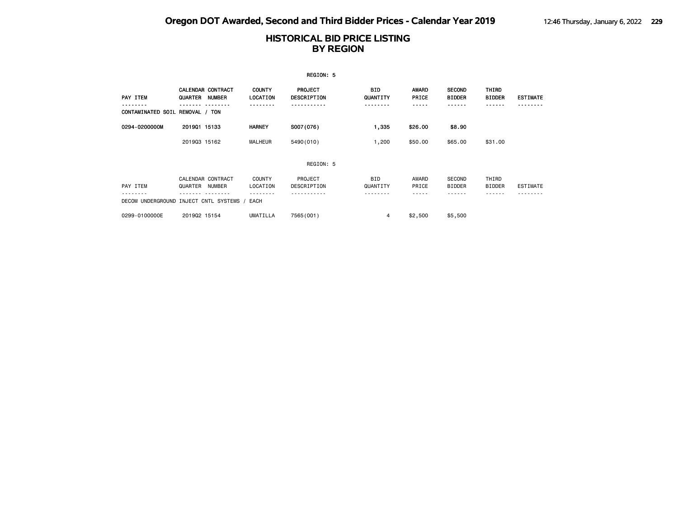|                                         |              |                                           |                           | REGION: 5                     |                        |                       |                                |                        |                 |
|-----------------------------------------|--------------|-------------------------------------------|---------------------------|-------------------------------|------------------------|-----------------------|--------------------------------|------------------------|-----------------|
| PAY ITEM                                | QUARTER      | <b>CALENDAR CONTRACT</b><br><b>NUMBER</b> | <b>COUNTY</b><br>LOCATION | <b>PROJECT</b><br>DESCRIPTION | <b>BID</b><br>QUANTITY | <b>AWARD</b><br>PRICE | <b>SECOND</b><br><b>BIDDER</b> | THIRD<br><b>BIDDER</b> | <b>ESTIMATE</b> |
| CONTAMINATED SOIL REMOVAL / TON         |              |                                           |                           |                               | .                      |                       |                                |                        |                 |
| 0294-0200000M                           | 201901 15133 |                                           | <b>HARNEY</b>             | S007(076)                     | 1,335                  | \$26.00               | \$8.90                         |                        |                 |
|                                         | 201903 15162 |                                           | MALHEUR                   | 5490 (010)                    | 1,200                  | \$50.00               | \$65.00                        | \$31.00                |                 |
|                                         |              |                                           |                           | REGION: 5                     |                        |                       |                                |                        |                 |
| PAY ITEM                                | QUARTER      | CALENDAR CONTRACT<br>NUMBER               | <b>COUNTY</b><br>LOCATION | PROJECT<br>DESCRIPTION        | <b>BID</b><br>QUANTITY | AWARD<br>PRICE        | <b>SECOND</b><br><b>BIDDER</b> | THIRD<br><b>BIDDER</b> | ESTIMATE        |
| DECOM UNDERGROUND INJECT CNTL SYSTEMS / |              |                                           | EACH                      |                               |                        |                       |                                |                        |                 |
| 0299-0100000E                           | 201902 15154 |                                           | <b>UMATILLA</b>           | 7565 (001)                    | 4                      | \$2,500               | \$5,500                        |                        |                 |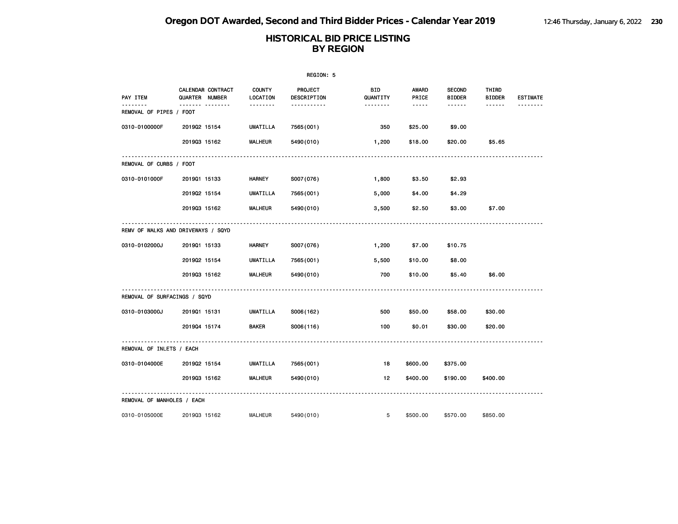|                                     |                                            |                           | REGION: 5                     |                       |                                                                                                               |                                |                        |                 |
|-------------------------------------|--------------------------------------------|---------------------------|-------------------------------|-----------------------|---------------------------------------------------------------------------------------------------------------|--------------------------------|------------------------|-----------------|
| PAY ITEM                            | <b>CALENDAR CONTRACT</b><br>QUARTER NUMBER | <b>COUNTY</b><br>LOCATION | <b>PROJECT</b><br>DESCRIPTION | BID<br>QUANTITY       | AWARD<br>PRICE                                                                                                | <b>SECOND</b><br><b>BIDDER</b> | THIRD<br><b>BIDDER</b> | <b>ESTIMATE</b> |
| --------<br>REMOVAL OF PIPES / FOOT |                                            | .                         | -----------                   | <u> - - - - - - -</u> | $\frac{1}{2} \frac{1}{2} \frac{1}{2} \frac{1}{2} \frac{1}{2} \frac{1}{2} \frac{1}{2} \frac{1}{2} \frac{1}{2}$ | $- - - - - -$                  | $- - - - - -$          | <u>.</u>        |
| 0310-0100000F                       | 201902 15154                               | UMATILLA                  | 7565 (001)                    | 350                   | \$25.00                                                                                                       | \$9.00                         |                        |                 |
|                                     | 201903 15162                               | <b>MALHEUR</b>            | 5490 (010)                    | 1,200                 | \$18.00                                                                                                       | \$20.00                        | \$5.65                 |                 |
| REMOVAL OF CURBS / FOOT             |                                            |                           |                               |                       |                                                                                                               |                                |                        |                 |
| 0310-0101000F                       | 201901 15133                               | HARNEY                    | S007(076)                     | 1,800                 | \$3.50                                                                                                        | \$2.93                         |                        |                 |
|                                     | 201902 15154                               | UMATILLA                  | 7565 (001)                    | 5,000                 | \$4.00                                                                                                        | \$4.29                         |                        |                 |
|                                     | 201903 15162                               | <b>MALHEUR</b>            | 5490 (010)                    | 3,500                 | \$2.50                                                                                                        | \$3.00                         | \$7.00                 |                 |
|                                     | REMV OF WALKS AND DRIVEWAYS / SQYD         |                           |                               |                       |                                                                                                               |                                |                        |                 |
| 0310-0102000J                       | 201901 15133                               | <b>HARNEY</b>             | S007(076)                     | 1,200                 | \$7.00                                                                                                        | \$10.75                        |                        |                 |
|                                     | 201902 15154                               | <b>UMATILLA</b>           | 7565 (001)                    | 5,500                 | \$10.00                                                                                                       | \$8.00                         |                        |                 |
|                                     | 201903 15162                               | <b>MALHEUR</b>            | 5490 (010)                    | 700                   | \$10.00                                                                                                       | \$5.40                         | \$6.00                 |                 |
| REMOVAL OF SURFACINGS / SQYD        |                                            |                           |                               |                       |                                                                                                               |                                |                        |                 |
| 0310-0103000J                       | 201901 15131                               | UMATILLA                  | S006(162)                     | 500                   | \$50.00                                                                                                       | \$58.00                        | \$30.00                |                 |
|                                     | 201904 15174                               | <b>BAKER</b>              | S006(116)                     | 100                   | \$0.01                                                                                                        | \$30.00                        | \$20.00                |                 |
| REMOVAL OF INLETS / EACH            |                                            |                           |                               |                       |                                                                                                               |                                |                        |                 |
| 0310-0104000E                       | 201902 15154                               | UMATILLA                  | 7565(001)                     | 18                    | \$600.00                                                                                                      | \$375.00                       |                        |                 |
|                                     | 201903 15162                               | <b>MALHEUR</b>            | 5490 (010)                    | 12 <sub>2</sub>       | \$400.00                                                                                                      | \$190.00                       | \$400.00               |                 |
| REMOVAL OF MANHOLES / EACH          |                                            |                           |                               |                       |                                                                                                               |                                |                        |                 |
| 0310-0105000E                       | 201903 15162                               | <b>MALHEUR</b>            | 5490 (010)                    | 5                     | \$500.00                                                                                                      | \$570.00                       | \$850.00               |                 |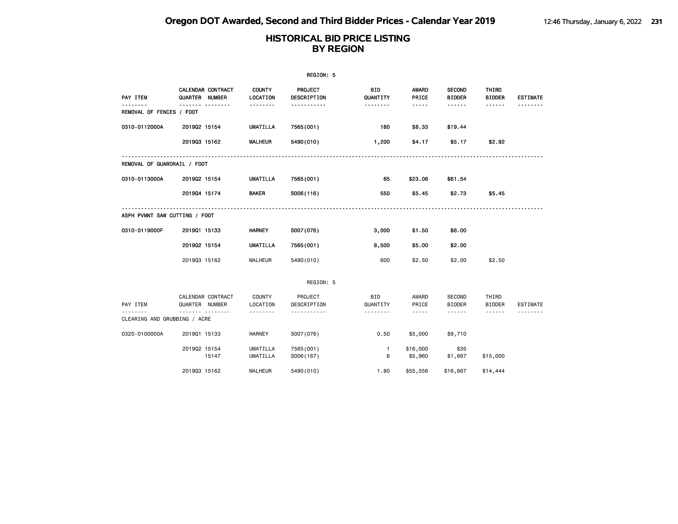| REGION: 5                     |                                     |                           |                        |                 |                       |                                |                        |                 |  |  |
|-------------------------------|-------------------------------------|---------------------------|------------------------|-----------------|-----------------------|--------------------------------|------------------------|-----------------|--|--|
| PAY ITEM                      | CALENDAR CONTRACT<br>QUARTER NUMBER | <b>COUNTY</b><br>LOCATION | PROJECT<br>DESCRIPTION | BID<br>QUANTITY | <b>AWARD</b><br>PRICE | <b>SECOND</b><br><b>BIDDER</b> | THIRD<br><b>BIDDER</b> | <b>ESTIMATE</b> |  |  |
| .<br>REMOVAL OF FENCES / FOOT | -------<br>.                        | .                         | .                      | --------        | $- - - - -$           | ------                         | ------                 |                 |  |  |
| 0310-0112000A                 | 201902 15154                        | <b>UMATILLA</b>           | 7565 (001)             | 180             | \$8.33                | \$19.44                        |                        |                 |  |  |
|                               | 201903 15162                        | <b>MALHEUR</b>            | 5490 (010)             | 1,200           | \$4.17                | \$5.17                         | \$2.92                 |                 |  |  |
| REMOVAL OF GUARDRAIL / FOOT   |                                     |                           |                        |                 |                       |                                |                        |                 |  |  |
| 0310-0113000A                 | 201902 15154                        | <b>UMATILLA</b>           | 7565 (001)             | 65              | \$23.08               | \$61.54                        |                        |                 |  |  |
|                               | 201904 15174                        | <b>BAKER</b>              | S006(116)              | 550             | \$5.45                | \$2.73                         | \$5.45                 |                 |  |  |
| ASPH PVMNT SAW CUTTING / FOOT |                                     |                           |                        |                 |                       |                                |                        |                 |  |  |
| 0310-0119000F                 | 201901 15133                        | <b>HARNEY</b>             | S007(076)              | 3,000           | \$1.50                | \$6.00                         |                        |                 |  |  |
|                               | 201902 15154                        | <b>UMATILLA</b>           | 7565 (001)             | 8,500           | \$5.00                | \$2.00                         |                        |                 |  |  |
|                               | 201903 15162                        | <b>MALHEUR</b>            | 5490 (010)             | 600             | \$2.50                | \$2.00                         | \$2.50                 |                 |  |  |
|                               |                                     |                           | REGION: 5              |                 |                       |                                |                        |                 |  |  |
| PAY ITEM                      | CALENDAR CONTRACT<br>QUARTER NUMBER | <b>COUNTY</b><br>LOCATION | PROJECT<br>DESCRIPTION | BID<br>QUANTITY | AWARD<br>PRICE        | SECOND<br><b>BIDDER</b>        | THIRD<br><b>BIDDER</b> | ESTIMATE        |  |  |
| CLEARING AND GRUBBING / ACRE  |                                     | .                         | .                      | .               | -----                 | .                              | ------                 |                 |  |  |
| 0320-0100000A                 | 201901 15133                        | <b>HARNEY</b>             | S007(076)              | 0.50            | \$5,000               | \$9,710                        |                        |                 |  |  |
|                               | 201902 15154                        | <b>UMATILLA</b>           | 7565 (001)             | $\mathbf{1}$    | \$16,000              | \$35                           |                        |                 |  |  |
|                               | 15147                               | <b>UMATILLA</b>           | S006(167)              | 6               | \$5,960               | \$1,667                        | \$15,000               |                 |  |  |
|                               | 201903 15162                        | MALHEUR                   | 5490 (010)             | 1.80            | \$55,556              | \$16,667                       | \$14,444               |                 |  |  |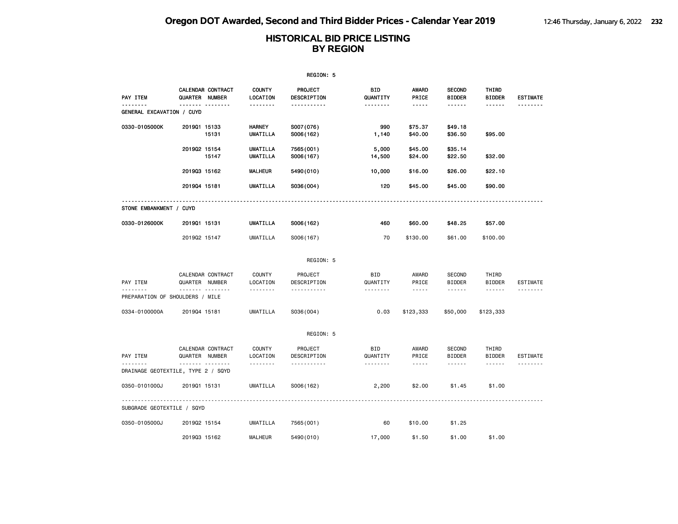|                                       |                                                |                             | REGION: 5               |                        |                                                                                                                                                      |                                |                        |                 |
|---------------------------------------|------------------------------------------------|-----------------------------|-------------------------|------------------------|------------------------------------------------------------------------------------------------------------------------------------------------------|--------------------------------|------------------------|-----------------|
| PAY ITEM                              | CALENDAR CONTRACT<br>QUARTER NUMBER            | <b>COUNTY</b><br>LOCATION   | PROJECT<br>DESCRIPTION  | BID<br>QUANTITY        | <b>AWARD</b><br>PRICE                                                                                                                                | <b>SECOND</b><br><b>BIDDER</b> | THIRD<br><b>BIDDER</b> | <b>ESTIMATE</b> |
| <u>.</u><br>GENERAL EXCAVATION / CUYD | .                                              | <u>.</u>                    | <u>.</u>                | <u>.</u>               | $- - - -$                                                                                                                                            | ------                         | $- - - - - -$          | <u>.</u>        |
| 0330-0105000K                         | 201901 15133<br>15131                          | <b>HARNEY</b><br>UMATILLA   | S007(076)<br>S006(162)  | 990<br>1,140           | \$75.37<br>\$40.00                                                                                                                                   | \$49.18<br>\$36.50             | \$95.00                |                 |
|                                       | 201902 15154<br>15147                          | UMATILLA<br><b>UMATILLA</b> | 7565 (001)<br>S006(167) | 5,000<br>14,500        | \$45.00<br>\$24.00                                                                                                                                   | \$35.14<br>\$22.50             | \$32.00                |                 |
|                                       | 201903 15162                                   | <b>MALHEUR</b>              | 5490 (010)              | 10,000                 | \$16.00                                                                                                                                              | \$26.00                        | \$22.10                |                 |
|                                       | 201904 15181                                   | UMATILLA                    | S036(004)               | 120                    | \$45.00                                                                                                                                              | \$45.00                        | \$90.00                |                 |
| STONE EMBANKMENT / CUYD               |                                                |                             |                         |                        |                                                                                                                                                      |                                |                        |                 |
| 0330-0126000K                         | 201901 15131                                   | <b>UMATILLA</b>             | S006(162)               | 460                    | \$60.00                                                                                                                                              | \$48.25                        | \$57.00                |                 |
|                                       | 201902 15147                                   | UMATILLA                    | S006(167)               | 70                     | \$130.00                                                                                                                                             | \$61.00                        | \$100.00               |                 |
|                                       |                                                |                             | REGION: 5               |                        |                                                                                                                                                      |                                |                        |                 |
| PAY ITEM                              | CALENDAR CONTRACT<br>QUARTER NUMBER            | <b>COUNTY</b><br>LOCATION   | PROJECT<br>DESCRIPTION  | <b>BID</b><br>QUANTITY | AWARD<br>PRICE                                                                                                                                       | SECOND<br><b>BIDDER</b>        | THIRD<br><b>BIDDER</b> | ESTIMATE        |
|                                       | .<br>PREPARATION OF SHOULDERS / MILE           | <u>.</u>                    | .                       | <u>.</u>               | $\sim$ $\sim$ $\sim$ $\sim$ $\sim$                                                                                                                   | $- - - - - -$                  | ------                 |                 |
| 0334-0100000A                         | 201904 15181                                   | <b>UMATILLA</b>             | S036(004)               | 0.03                   | \$123,333                                                                                                                                            | \$50,000                       | \$123,333              |                 |
|                                       |                                                |                             | REGION: 5               |                        |                                                                                                                                                      |                                |                        |                 |
| PAY ITEM<br>.                         | CALENDAR CONTRACT<br>QUARTER NUMBER<br><u></u> | COUNTY<br>LOCATION          | PROJECT<br>DESCRIPTION  | BID<br>QUANTITY        | AWARD<br>PRICE                                                                                                                                       | SECOND<br><b>BIDDER</b>        | THIRD<br><b>BIDDER</b> | ESTIMATE        |
|                                       | DRAINAGE GEOTEXTILE, TYPE 2 / SQYD             | <u>.</u>                    | .                       | .                      | $\frac{1}{2} \left( \frac{1}{2} \right) \left( \frac{1}{2} \right) \left( \frac{1}{2} \right) \left( \frac{1}{2} \right) \left( \frac{1}{2} \right)$ | ------                         | $- - - - - -$          | .               |
| 0350-0101000J                         | 201901 15131                                   | <b>UMATILLA</b>             | S006(162)               | 2,200                  | \$2.00                                                                                                                                               | \$1.45                         | \$1.00                 |                 |
| SUBGRADE GEOTEXTILE / SQYD            |                                                |                             |                         |                        |                                                                                                                                                      |                                |                        |                 |
| 0350-0105000J                         | 201902 15154                                   | UMATILLA                    | 7565 (001)              | 60                     | \$10.00                                                                                                                                              | \$1.25                         |                        |                 |
|                                       | 201903 15162                                   | MALHEUR                     | 5490 (010)              | 17,000                 | \$1.50                                                                                                                                               | \$1.00                         | \$1.00                 |                 |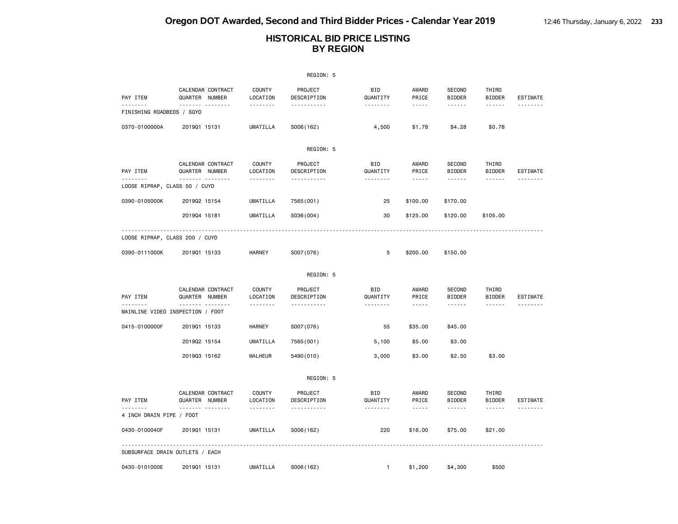|                                       |                                                 |                                       | REGION: 5                          |                                    |                               |                                                 |                                  |                             |
|---------------------------------------|-------------------------------------------------|---------------------------------------|------------------------------------|------------------------------------|-------------------------------|-------------------------------------------------|----------------------------------|-----------------------------|
| PAY ITEM                              | CALENDAR CONTRACT<br>QUARTER NUMBER             | <b>COUNTY</b><br>LOCATION             | PROJECT<br>DESCRIPTION             | <b>BID</b><br>QUANTITY             | AWARD<br>PRICE                | <b>SECOND</b><br><b>BIDDER</b>                  | THIRD<br><b>BIDDER</b>           | <b>ESTIMATE</b>             |
| <u>.</u><br>FINISHING ROADBEDS / SQYD | <b>.</b>                                        | .                                     | <u>.</u>                           |                                    | $\frac{1}{2}$                 | $- - - - - -$                                   | .                                | <u>.</u>                    |
| 0370-0100000A                         | 201901 15131                                    | <b>UMATILLA</b>                       | S006(162)                          | 4,500                              | \$1.78                        | \$4.28                                          | \$0.78                           |                             |
|                                       |                                                 |                                       | REGION: 5                          |                                    |                               |                                                 |                                  |                             |
| PAY ITEM                              | CALENDAR CONTRACT<br>QUARTER NUMBER<br><u> </u> | <b>COUNTY</b><br>LOCATION<br><u>.</u> | PROJECT<br>DESCRIPTION<br><u>.</u> | <b>BID</b><br>QUANTITY<br><u>.</u> | AWARD<br>PRICE<br>$- - - - -$ | <b>SECOND</b><br><b>BIDDER</b><br>$- - - - - -$ | THIRD<br><b>BIDDER</b>           | <b>ESTIMATE</b><br>-------- |
| LOOSE RIPRAP, CLASS 50 / CUYD         |                                                 |                                       |                                    |                                    |                               |                                                 |                                  |                             |
| 0390-0105000K                         | 201902 15154                                    | <b>UMATILLA</b>                       | 7565 (001)                         | 25                                 | \$100.00                      | \$170.00                                        |                                  |                             |
|                                       | 201904 15181                                    | <b>UMATILLA</b>                       | S036(004)                          | 30                                 | \$125.00                      | \$120.00                                        | \$105.00                         |                             |
| LOOSE RIPRAP, CLASS 200 / CUYD        |                                                 |                                       |                                    |                                    |                               |                                                 |                                  |                             |
| 0390-0111000K                         | 201901 15133                                    | HARNEY                                | S007(076)                          | 5                                  | \$200.00                      | \$150.00                                        |                                  |                             |
|                                       |                                                 |                                       | REGION: 5                          |                                    |                               |                                                 |                                  |                             |
| PAY ITEM                              | CALENDAR CONTRACT<br>QUARTER NUMBER<br>.        | <b>COUNTY</b><br>LOCATION<br>.        | PROJECT<br>DESCRIPTION<br>.        | <b>BID</b><br>QUANTITY<br><u>.</u> | AWARD<br>PRICE<br>$- - - - -$ | <b>SECOND</b><br><b>BIDDER</b><br><u>.</u>      | THIRD<br><b>BIDDER</b><br>------ | <b>ESTIMATE</b>             |
|                                       | MAINLINE VIDEO INSPECTION / FOOT                |                                       |                                    |                                    |                               |                                                 |                                  |                             |
| 0415-0100000F                         | 201901 15133                                    | HARNEY                                | S007(076)                          | 55                                 | \$35.00                       | \$45.00                                         |                                  |                             |
|                                       | 201902 15154                                    | UMATILLA                              | 7565 (001)                         | 5,100                              | \$5.00                        | \$3.00                                          |                                  |                             |
|                                       | 201903 15162                                    | MALHEUR                               | 5490 (010)                         | 3,000                              | \$3.00                        | \$2.50                                          | \$3.00                           |                             |
|                                       |                                                 |                                       | REGION: 5                          |                                    |                               |                                                 |                                  |                             |
| PAY ITEM                              | CALENDAR CONTRACT<br>QUARTER NUMBER<br>.<br>.   | <b>COUNTY</b><br>LOCATION             | PROJECT<br>DESCRIPTION             | <b>BID</b><br>QUANTITY             | AWARD<br>PRICE                | <b>SECOND</b><br><b>BIDDER</b>                  | THIRD<br><b>BIDDER</b>           | <b>ESTIMATE</b><br><u>.</u> |
| 4 INCH DRAIN PIPE / FOOT              |                                                 | .                                     | .                                  | .                                  | .                             | ------                                          | ------                           |                             |
| 0430-0100040F                         | 201901 15131                                    | UMATILLA                              | S006(162)                          | 220                                | \$16.00                       | \$75.00                                         | \$21.00                          |                             |
|                                       | SUBSURFACE DRAIN OUTLETS / EACH                 |                                       |                                    |                                    |                               |                                                 |                                  |                             |
| 0430-0101000E                         | 201901 15131                                    | UMATILLA                              | S006(162)                          | $\mathbf{1}$                       | \$1,200                       | \$4,300                                         | \$500                            |                             |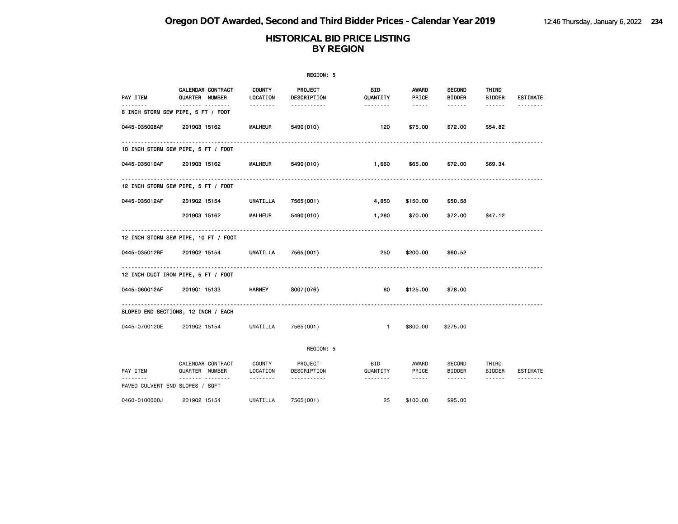## **HISTORICAL BID PRICE LISTING BY REGION**

|                                     | REGION: 5                                  |                           |                        |                        |                       |                                |                        |                 |  |  |  |
|-------------------------------------|--------------------------------------------|---------------------------|------------------------|------------------------|-----------------------|--------------------------------|------------------------|-----------------|--|--|--|
| PAY ITEM                            | <b>CALENDAR CONTRACT</b><br>QUARTER NUMBER | <b>COUNTY</b><br>LOCATION | PROJECT<br>DESCRIPTION | <b>BID</b><br>QUANTITY | <b>AWARD</b><br>PRICE | <b>SECOND</b><br><b>BIDDER</b> | THIRD<br><b>BIDDER</b> | <b>ESTIMATE</b> |  |  |  |
| 8 INCH STORM SEW PIPE, 5 FT / FOOT  | . <sub>.</sub>                             | .                         | .                      | .                      | -----                 |                                | ------                 |                 |  |  |  |
| 0445-035008AF                       | 201903 15162                               | <b>MALHEUR</b>            | 5490 (010)             | 120                    | \$75.00               | \$72.00                        | \$54.82                |                 |  |  |  |
| 10 INCH STORM SEW PIPE, 5 FT / FOOT |                                            |                           |                        |                        |                       |                                |                        |                 |  |  |  |
| 0445-035010AF                       | 201903 15162                               | <b>MALHEUR</b>            | 5490 (010)             | 1,660                  | \$65.00               | \$72.00                        | \$69.34                |                 |  |  |  |
| 12 INCH STORM SEW PIPE, 5 FT / FOOT |                                            |                           |                        |                        |                       |                                |                        |                 |  |  |  |
| 0445-035012AF                       | 201902 15154                               | <b>UMATILLA</b>           | 7565 (001)             | 4,850                  | \$150.00              | \$50.58                        |                        |                 |  |  |  |
|                                     | 201903 15162                               | <b>MALHEUR</b>            | 5490 (010)             | 1,280                  | \$70.00               | \$72.00                        | \$47.12                |                 |  |  |  |
|                                     | 12 INCH STORM SEW PIPE, 10 FT / FOOT       |                           |                        |                        |                       |                                |                        |                 |  |  |  |
| 0445-035012BF                       | 201902 15154                               | UMATILLA                  | 7565(001)              | 250                    | \$200.00              | \$60.52                        |                        |                 |  |  |  |
| 12 INCH DUCT IRON PIPE, 5 FT / FOOT |                                            |                           |                        |                        |                       |                                |                        |                 |  |  |  |
| 0445-060012AF                       | 201901 15133                               | <b>HARNEY</b>             | S007(076)              | 60                     | \$125.00              | \$78.00                        |                        |                 |  |  |  |
| SLOPED END SECTIONS, 12 INCH / EACH |                                            |                           |                        |                        |                       |                                |                        |                 |  |  |  |
| 0445-0700120E                       | 201902 15154                               | UMATILLA                  | 7565(001)              | $\mathbf{1}$           | \$800,00              | \$275.00                       |                        |                 |  |  |  |

REGION: 5

|                            | CALENDAR CONTRACT |               | <b>COUNTY</b>   | PROJECT     | <b>BID</b> | AWARD    | <b>SECOND</b> | THIRD         |          |
|----------------------------|-------------------|---------------|-----------------|-------------|------------|----------|---------------|---------------|----------|
| PAY ITEM                   | QUARTER           | <b>NUMBER</b> | LOCATION        | DESCRIPTION | QUANTITY   | PRICE    | <b>BIDDER</b> | <b>BIDDER</b> | ESTIMATE |
| --------                   |                   | --------      | - - - - - - - - | ----------- | --------   | -----    | -------       | -------       | -------- |
| PAVED CULVERT END SLOPES / |                   | SQFT          |                 |             |            |          |               |               |          |
|                            |                   |               |                 |             |            |          |               |               |          |
| 0460-0100000J              | 201902 15154      |               | UMATILLA        | 7565(001)   | 25         | \$100,00 | \$95,00       |               |          |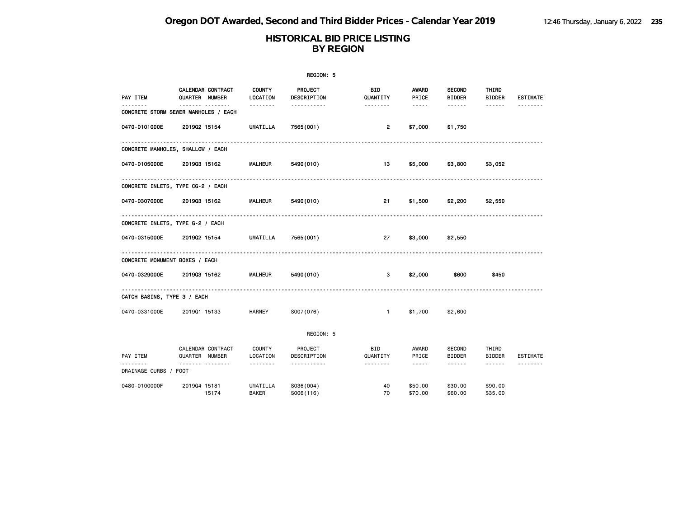|                                |                                           |                                 | REGION: 5                   |                             |                                                                                                                                                                        |                                                                                                                                                                                                     |                                           |                 |
|--------------------------------|-------------------------------------------|---------------------------------|-----------------------------|-----------------------------|------------------------------------------------------------------------------------------------------------------------------------------------------------------------|-----------------------------------------------------------------------------------------------------------------------------------------------------------------------------------------------------|-------------------------------------------|-----------------|
| PAY ITEM                       | CALENDAR CONTRACT<br>QUARTER NUMBER       | <b>COUNTY</b><br>LOCATION       | PROJECT<br>DESCRIPTION      | BID<br>QUANTITY             | AWARD<br>PRICE                                                                                                                                                         | <b>SECOND</b><br><b>BIDDER</b>                                                                                                                                                                      | THIRD<br><b>BIDDER</b>                    | <b>ESTIMATE</b> |
|                                | .<br>CONCRETE STORM SEWER MANHOLES / EACH | --------                        | -----------                 | --------                    | $\cdots \cdots \cdots$                                                                                                                                                 | ------                                                                                                                                                                                              | ------                                    |                 |
| 0470-0101000E                  | 201902 15154                              | <b>UMATILLA</b>                 | 7565 (001)                  | $\overline{2}$              | \$7,000                                                                                                                                                                | \$1,750                                                                                                                                                                                             |                                           |                 |
|                                | CONCRETE MANHOLES, SHALLOW / EACH         |                                 |                             |                             |                                                                                                                                                                        |                                                                                                                                                                                                     |                                           |                 |
| 0470-0105000E                  | 201903 15162                              | <b>MALHEUR</b>                  | 5490 (010)                  | 13                          | \$5,000                                                                                                                                                                | \$3,800                                                                                                                                                                                             | \$3,052                                   |                 |
|                                | .<br>CONCRETE INLETS, TYPE CG-2 / EACH    |                                 |                             |                             |                                                                                                                                                                        |                                                                                                                                                                                                     |                                           |                 |
| 0470-0307000E                  | 201903 15162                              | MALHEUR                         | 5490 (010)                  | 21                          | \$1,500                                                                                                                                                                | \$2,200                                                                                                                                                                                             | \$2,550                                   |                 |
|                                | CONCRETE INLETS, TYPE G-2 / EACH          |                                 |                             |                             |                                                                                                                                                                        |                                                                                                                                                                                                     |                                           |                 |
| 0470-0315000E                  | 201902 15154                              | UMATILLA                        | 7565 (001)                  | 27                          | \$3,000                                                                                                                                                                | \$2,550                                                                                                                                                                                             |                                           |                 |
| CONCRETE MONUMENT BOXES / EACH |                                           | .                               |                             |                             |                                                                                                                                                                        |                                                                                                                                                                                                     |                                           |                 |
| 0470-0329000E                  | 201903 15162                              | <b>MALHEUR</b>                  | 5490 (010)                  | 3                           | \$2,000                                                                                                                                                                | \$600                                                                                                                                                                                               | \$450                                     |                 |
| CATCH BASINS, TYPE 3 / EACH    |                                           |                                 |                             |                             |                                                                                                                                                                        |                                                                                                                                                                                                     |                                           |                 |
| 0470-0331000E                  | 201901 15133                              | HARNEY                          | S007(076)                   | $\mathbf{1}$                | \$1,700                                                                                                                                                                | \$2,600                                                                                                                                                                                             |                                           |                 |
|                                |                                           |                                 | REGION: 5                   |                             |                                                                                                                                                                        |                                                                                                                                                                                                     |                                           |                 |
| PAY ITEM                       | CALENDAR CONTRACT<br>QUARTER NUMBER<br>.  | COUNTY<br>LOCATION<br>.         | PROJECT<br>DESCRIPTION<br>. | <b>BID</b><br>QUANTITY<br>. | AWARD<br>PRICE<br>$\frac{1}{2} \left( \frac{1}{2} \right) \left( \frac{1}{2} \right) \left( \frac{1}{2} \right) \left( \frac{1}{2} \right) \left( \frac{1}{2} \right)$ | SECOND<br>BIDDER<br>$\frac{1}{2} \left( \frac{1}{2} \right) \left( \frac{1}{2} \right) \left( \frac{1}{2} \right) \left( \frac{1}{2} \right) \left( \frac{1}{2} \right) \left( \frac{1}{2} \right)$ | THIRD<br>BIDDER<br>$\cdots \cdots \cdots$ | <b>ESTIMATE</b> |
| DRAINAGE CURBS / FOOT          |                                           |                                 |                             |                             |                                                                                                                                                                        |                                                                                                                                                                                                     |                                           |                 |
| 0480-0100000F                  | 201904 15181<br>15174                     | <b>UMATILLA</b><br><b>BAKER</b> | S036(004)<br>S006(116)      | 40<br>70                    | \$50.00<br>\$70.00                                                                                                                                                     | \$30.00<br>\$60,00                                                                                                                                                                                  | \$90.00<br>\$35,00                        |                 |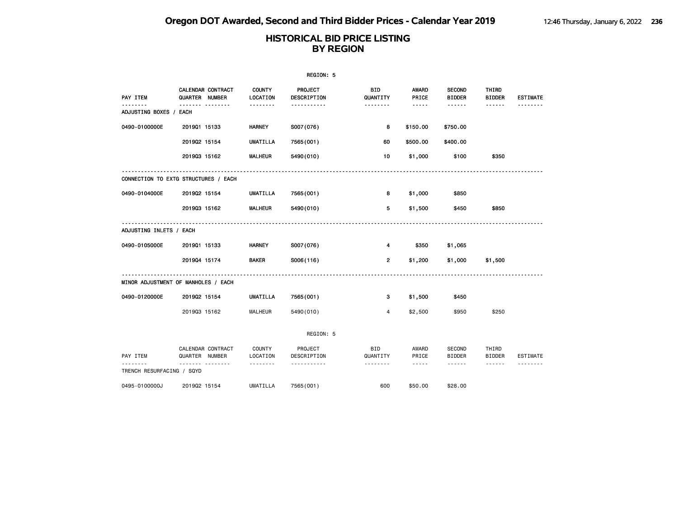|                                      |                       |                   |                           | REGION: 5              |                        |                       |                                |                        |                 |
|--------------------------------------|-----------------------|-------------------|---------------------------|------------------------|------------------------|-----------------------|--------------------------------|------------------------|-----------------|
| PAY ITEM                             | <b>QUARTER NUMBER</b> | CALENDAR CONTRACT | <b>COUNTY</b><br>LOCATION | PROJECT<br>DESCRIPTION | BID<br>QUANTITY        | <b>AWARD</b><br>PRICE | <b>SECOND</b><br><b>BIDDER</b> | THIRD<br><b>BIDDER</b> | <b>ESTIMATE</b> |
| ADJUSTING BOXES / EACH               | ------- --------      |                   | --------                  | -----------            | .                      | $- - - - -$           | ------                         | ------                 |                 |
| 0490-0100000E                        | 201901 15133          |                   | <b>HARNEY</b>             | S007(076)              | 8                      | \$150.00              | \$750.00                       |                        |                 |
|                                      | 201902 15154          |                   | <b>UMATILLA</b>           | 7565 (001)             | 60                     | \$500.00              | \$400.00                       |                        |                 |
|                                      | 201903 15162          |                   | <b>MALHEUR</b>            | 5490 (010)             | 10                     | \$1,000               | \$100                          | \$350                  |                 |
| CONNECTION TO EXTG STRUCTURES / EACH |                       |                   |                           |                        |                        |                       |                                |                        |                 |
| 0490-0104000E                        | 201902 15154          |                   | UMATILLA                  | 7565 (001)             | 8                      | \$1,000               | \$850                          |                        |                 |
|                                      | 201903 15162          |                   | <b>MALHEUR</b>            | 5490 (010)             | 5                      | \$1,500               | \$450                          | \$850                  |                 |
| ADJUSTING INLETS / EACH              |                       |                   |                           |                        |                        |                       |                                |                        |                 |
| 0490-0105000E                        | 201901 15133          |                   | <b>HARNEY</b>             | S007(076)              | 4                      | \$350                 | \$1,065                        |                        |                 |
|                                      | 201904 15174          |                   | <b>BAKER</b>              | S006(116)              | $\overline{2}$         | \$1,200               | \$1,000                        | \$1,500                |                 |
| MINOR ADJUSTMENT OF MANHOLES / EACH  |                       |                   |                           |                        |                        |                       |                                |                        |                 |
| 0490-0120000E                        | 201902 15154          |                   | UMATILLA                  | 7565 (001)             | 3                      | \$1,500               | \$450                          |                        |                 |
|                                      | 201903 15162          |                   | <b>MALHEUR</b>            | 5490 (010)             | 4                      | \$2,500               | \$950                          | \$250                  |                 |
|                                      |                       |                   |                           | REGION: 5              |                        |                       |                                |                        |                 |
| PAY ITEM                             | QUARTER NUMBER        | CALENDAR CONTRACT | COUNTY<br>LOCATION        | PROJECT<br>DESCRIPTION | <b>BID</b><br>QUANTITY | AWARD<br>PRICE        | SECOND<br><b>BIDDER</b>        | THIRD<br><b>BIDDER</b> | ESTIMATE        |
| TRENCH RESURFACING / SQYD            |                       | . <b>. .</b>      | --------                  | .                      | --------               | $\cdots$              | ------                         | $\cdots \cdots \cdots$ |                 |
| 0495-0100000J                        | 201902 15154          |                   | UMATILLA                  | 7565 (001)             | 600                    | \$50.00               | \$28.00                        |                        |                 |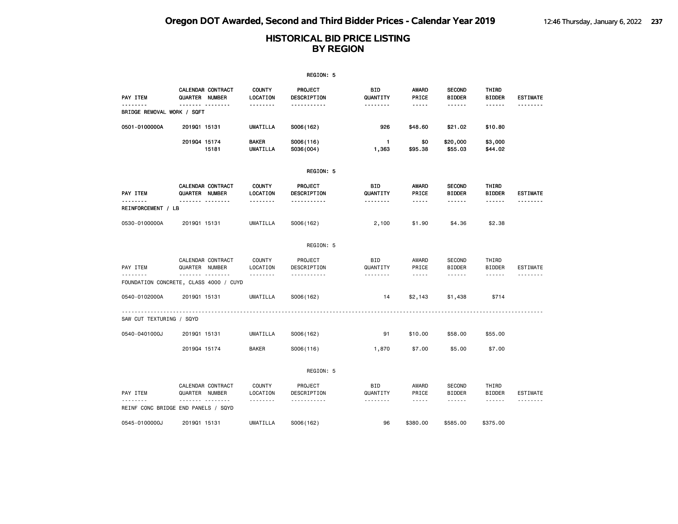|                                |                                             |                                 | REGION: 5                     |                       |                                    |                                |                        |                 |
|--------------------------------|---------------------------------------------|---------------------------------|-------------------------------|-----------------------|------------------------------------|--------------------------------|------------------------|-----------------|
| PAY ITEM                       | CALENDAR CONTRACT<br>QUARTER NUMBER         | <b>COUNTY</b><br>LOCATION       | <b>PROJECT</b><br>DESCRIPTION | BID<br>QUANTITY       | <b>AWARD</b><br>PRICE              | <b>SECOND</b><br><b>BIDDER</b> | THIRD<br><b>BIDDER</b> | <b>ESTIMATE</b> |
| BRIDGE REMOVAL WORK / SQFT     | <u>------- --------</u>                     | --------                        | -----------                   | <u>.</u>              | -----                              | ------                         | ------                 | <u>.</u>        |
| 0501-0100000A                  | 201901 15131                                | UMATILLA                        | S006(162)                     | 926                   | \$48.60                            | \$21.02                        | \$10.80                |                 |
|                                | 201904 15174<br>15181                       | <b>BAKER</b><br><b>UMATILLA</b> | S006(116)<br>S036(004)        | $\mathbf{1}$<br>1,363 | \$0<br>\$95.38                     | \$20,000<br>\$55.03            | \$3,000<br>\$44.02     |                 |
|                                |                                             |                                 | REGION: 5                     |                       |                                    |                                |                        |                 |
| PAY ITEM                       | CALENDAR CONTRACT<br>QUARTER NUMBER         | <b>COUNTY</b><br>LOCATION       | PROJECT<br>DESCRIPTION        | BID<br>QUANTITY       | <b>AWARD</b><br>PRICE              | <b>SECOND</b><br><b>BIDDER</b> | THIRD<br><b>BIDDER</b> | <b>ESTIMATE</b> |
| <u>.</u><br>REINFORCEMENT / LB | .                                           | <u>.</u>                        | <u>.</u>                      |                       | $- - - - -$                        |                                | ------                 | <u>.</u>        |
| 0530-0100000A                  | 201901 15131                                | <b>UMATILLA</b>                 | S006(162)                     | 2,100                 | \$1.90                             | \$4.36                         | \$2.38                 |                 |
|                                |                                             |                                 | REGION: 5                     |                       |                                    |                                |                        |                 |
| PAY ITEM                       | CALENDAR CONTRACT<br>QUARTER NUMBER         | <b>COUNTY</b><br>LOCATION       | PROJECT<br>DESCRIPTION        | BID<br>QUANTITY       | AWARD<br>PRICE                     | <b>SECOND</b><br><b>BIDDER</b> | THIRD<br><b>BIDDER</b> | <b>ESTIMATE</b> |
| .                              | .<br>FOUNDATION CONCRETE, CLASS 4000 / CUYD | .                               | .                             | <u>.</u>              | $- - - - -$                        | ------                         | ------                 |                 |
| 0540-0102000A                  | 201901 15131                                | <b>UMATILLA</b>                 | S006(162)                     | 14                    | \$2,143                            | \$1,438                        | \$714                  |                 |
| SAW CUT TEXTURING / SQYD       |                                             |                                 |                               |                       |                                    |                                |                        |                 |
| 0540-0401000J                  | 201901 15131                                | <b>UMATILLA</b>                 | S006(162)                     | 91                    | \$10.00                            | \$58.00                        | \$55.00                |                 |
|                                | 201904 15174                                | <b>BAKER</b>                    | S006(116)                     | 1,870                 | \$7.00                             | \$5.00                         | \$7.00                 |                 |
|                                |                                             |                                 | REGION: 5                     |                       |                                    |                                |                        |                 |
| PAY ITEM                       | CALENDAR CONTRACT<br>QUARTER NUMBER         | <b>COUNTY</b><br>LOCATION       | PROJECT<br>DESCRIPTION        | BID<br>QUANTITY       | AWARD<br>PRICE                     | <b>SECOND</b><br><b>BIDDER</b> | THIRD<br><b>BIDDER</b> | <b>ESTIMATE</b> |
|                                | .<br>REINF CONC BRIDGE END PANELS / SQYD    | .                               | .                             | <u>.</u>              | $\sim$ $\sim$ $\sim$ $\sim$ $\sim$ |                                | .                      | <u>.</u>        |
| 0545-0100000J                  | 201901 15131                                | UMATILLA                        | S006(162)                     | 96                    | \$380.00                           | \$585.00                       | \$375.00               |                 |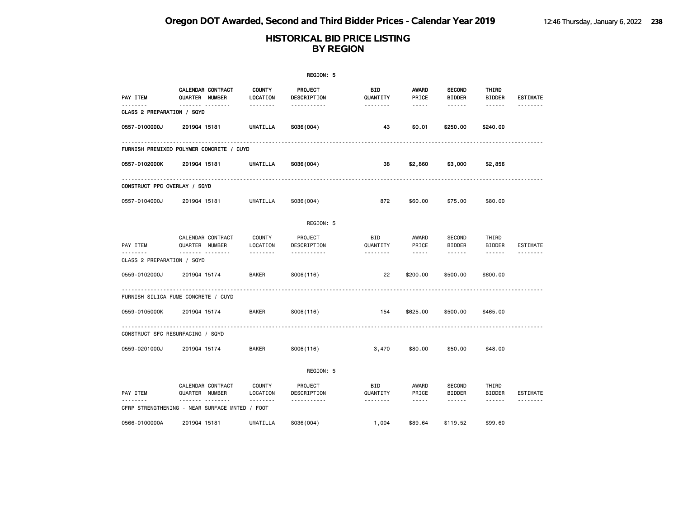|                                 |                                                     |                           | REGION: 5              |                        |                                                                                                                                                                                 |                                |                                                                                                                                                                                                                                                                                                                                                                                                                                                                            |                 |
|---------------------------------|-----------------------------------------------------|---------------------------|------------------------|------------------------|---------------------------------------------------------------------------------------------------------------------------------------------------------------------------------|--------------------------------|----------------------------------------------------------------------------------------------------------------------------------------------------------------------------------------------------------------------------------------------------------------------------------------------------------------------------------------------------------------------------------------------------------------------------------------------------------------------------|-----------------|
| PAY ITEM                        | CALENDAR CONTRACT<br>QUARTER NUMBER                 | <b>COUNTY</b><br>LOCATION | PROJECT<br>DESCRIPTION | BID<br>QUANTITY        | AWARD<br>PRICE                                                                                                                                                                  | <b>SECOND</b><br><b>BIDDER</b> | THIRD<br><b>BIDDER</b>                                                                                                                                                                                                                                                                                                                                                                                                                                                     | <b>ESTIMATE</b> |
| .<br>CLASS 2 PREPARATION / SQYD | . <sub>.</sub>                                      | --------                  | -----------            | <u>.</u>               | -----                                                                                                                                                                           | ------                         | $- - - - - -$                                                                                                                                                                                                                                                                                                                                                                                                                                                              | <u>.</u>        |
| 0557-0100000J                   | 201904 15181                                        | <b>UMATILLA</b>           | S036(004)              | 43                     | \$0.01                                                                                                                                                                          | \$250.00                       | \$240.00                                                                                                                                                                                                                                                                                                                                                                                                                                                                   |                 |
|                                 | FURNISH PREMIXED POLYMER CONCRETE / CUYD            |                           |                        |                        |                                                                                                                                                                                 |                                |                                                                                                                                                                                                                                                                                                                                                                                                                                                                            |                 |
| 0557-0102000K                   | 201904 15181                                        | UMATILLA                  | S036(004)              | 38                     | \$2,860                                                                                                                                                                         | \$3,000                        | \$2,856                                                                                                                                                                                                                                                                                                                                                                                                                                                                    |                 |
| CONSTRUCT PPC OVERLAY / SQYD    |                                                     |                           |                        |                        |                                                                                                                                                                                 |                                |                                                                                                                                                                                                                                                                                                                                                                                                                                                                            |                 |
| 0557-0104000J                   | 201904 15181                                        | UMATILLA                  | S036(004)              | 872                    | \$60.00                                                                                                                                                                         | \$75.00                        | \$80.00                                                                                                                                                                                                                                                                                                                                                                                                                                                                    |                 |
|                                 |                                                     |                           | REGION: 5              |                        |                                                                                                                                                                                 |                                |                                                                                                                                                                                                                                                                                                                                                                                                                                                                            |                 |
| PAY ITEM                        | CALENDAR CONTRACT<br>QUARTER NUMBER                 | <b>COUNTY</b><br>LOCATION | PROJECT<br>DESCRIPTION | <b>BID</b><br>QUANTITY | AWARD<br>PRICE                                                                                                                                                                  | SECOND<br><b>BIDDER</b>        | THIRD<br><b>BIDDER</b>                                                                                                                                                                                                                                                                                                                                                                                                                                                     | <b>ESTIMATE</b> |
| CLASS 2 PREPARATION / SQYD      | .                                                   | <u>.</u>                  | <u>.</u>               | <u>.</u>               | $\sim$ $\sim$ $\sim$ $\sim$ $\sim$                                                                                                                                              | $- - - - - -$                  | $\frac{1}{2} \left( \frac{1}{2} \right) \left( \frac{1}{2} \right) \left( \frac{1}{2} \right) \left( \frac{1}{2} \right) \left( \frac{1}{2} \right) \left( \frac{1}{2} \right) \left( \frac{1}{2} \right) \left( \frac{1}{2} \right) \left( \frac{1}{2} \right) \left( \frac{1}{2} \right) \left( \frac{1}{2} \right) \left( \frac{1}{2} \right) \left( \frac{1}{2} \right) \left( \frac{1}{2} \right) \left( \frac{1}{2} \right) \left( \frac{1}{2} \right) \left( \frac$ |                 |
| 0559-0102000J                   | 201904 15174                                        | <b>BAKER</b>              | S006(116)              | 22                     | \$200.00                                                                                                                                                                        | \$500,00                       | \$600,00                                                                                                                                                                                                                                                                                                                                                                                                                                                                   |                 |
|                                 | FURNISH SILICA FUME CONCRETE / CUYD                 |                           |                        |                        |                                                                                                                                                                                 |                                |                                                                                                                                                                                                                                                                                                                                                                                                                                                                            |                 |
| 0559-0105000K                   | 201904 15174                                        | <b>BAKER</b>              | S006(116)              | 154                    | \$625.00                                                                                                                                                                        | \$500.00                       | \$465.00                                                                                                                                                                                                                                                                                                                                                                                                                                                                   |                 |
|                                 | CONSTRUCT SFC RESURFACING / SQYD                    |                           |                        |                        |                                                                                                                                                                                 |                                |                                                                                                                                                                                                                                                                                                                                                                                                                                                                            |                 |
| 0559-0201000J                   | 201904 15174                                        | <b>BAKER</b>              | S006(116)              | 3,470                  | \$80.00                                                                                                                                                                         | \$50.00                        | \$48.00                                                                                                                                                                                                                                                                                                                                                                                                                                                                    |                 |
|                                 |                                                     |                           | REGION: 5              |                        |                                                                                                                                                                                 |                                |                                                                                                                                                                                                                                                                                                                                                                                                                                                                            |                 |
| PAY ITEM                        | CALENDAR CONTRACT<br>QUARTER NUMBER                 | <b>COUNTY</b><br>LOCATION | PROJECT<br>DESCRIPTION | BID<br>QUANTITY        | AWARD<br>PRICE                                                                                                                                                                  | SECOND<br><b>BIDDER</b>        | THIRD<br><b>BIDDER</b>                                                                                                                                                                                                                                                                                                                                                                                                                                                     | ESTIMATE        |
|                                 | .<br>CFRP STRENGTHENING - NEAR SURFACE MNTED / FOOT | .                         | <u>.</u>               | .                      | $\frac{1}{2} \left( \frac{1}{2} \right) \left( \frac{1}{2} \right) \left( \frac{1}{2} \right) \left( \frac{1}{2} \right) \left( \frac{1}{2} \right) \left( \frac{1}{2} \right)$ | $- - - - - -$                  | ------                                                                                                                                                                                                                                                                                                                                                                                                                                                                     | <u>.</u>        |
| 0566-0100000A                   | 201904 15181                                        | UMATILLA                  | S036(004)              | 1,004                  | \$89.64                                                                                                                                                                         | \$119.52                       | \$99.60                                                                                                                                                                                                                                                                                                                                                                                                                                                                    |                 |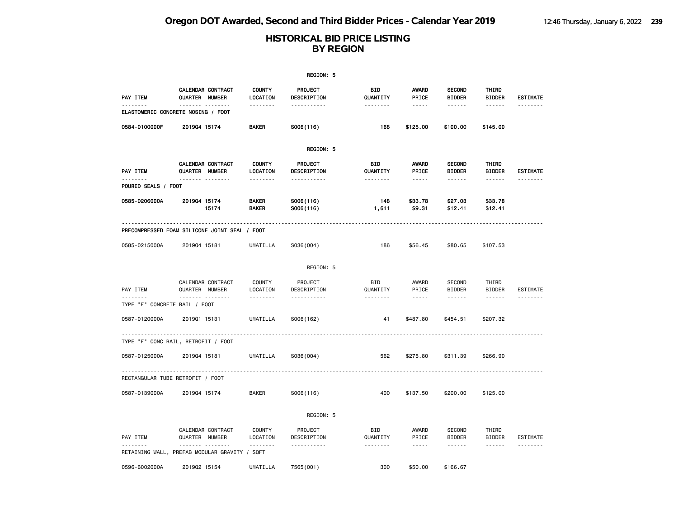|                                    |                                                           |                              | REGION: 5              |                       |                                                                                                                                                      |                                                                                                                           |                        |                 |
|------------------------------------|-----------------------------------------------------------|------------------------------|------------------------|-----------------------|------------------------------------------------------------------------------------------------------------------------------------------------------|---------------------------------------------------------------------------------------------------------------------------|------------------------|-----------------|
| PAY ITEM                           | CALENDAR CONTRACT<br>QUARTER NUMBER                       | <b>COUNTY</b><br>LOCATION    | PROJECT<br>DESCRIPTION | BID<br>QUANTITY       | AWARD<br>PRICE                                                                                                                                       | <b>SECOND</b><br><b>BIDDER</b>                                                                                            | THIRD<br><b>BIDDER</b> | <b>ESTIMATE</b> |
| .                                  | <u> </u><br>ELASTOMERIC CONCRETE NOSING / FOOT            | .                            | .                      | --------              | .                                                                                                                                                    | ------                                                                                                                    | ------                 | .               |
| 0584-0100000F                      | 201904 15174                                              | <b>BAKER</b>                 | S006(116)              | 168                   | \$125.00                                                                                                                                             | \$100.00                                                                                                                  | \$145.00               |                 |
|                                    |                                                           |                              | REGION: 5              |                       |                                                                                                                                                      |                                                                                                                           |                        |                 |
| PAY ITEM                           | CALENDAR CONTRACT<br>QUARTER NUMBER                       | <b>COUNTY</b><br>LOCATION    | PROJECT<br>DESCRIPTION | BID<br>QUANTITY       | <b>AWARD</b><br>PRICE                                                                                                                                | <b>SECOND</b><br><b>BIDDER</b>                                                                                            | THIRD<br><b>BIDDER</b> | <b>ESTIMATE</b> |
| .<br>POURED SEALS / FOOT           | <u> </u>                                                  | <u>.</u>                     | -----------            | <u> - - - - - - -</u> | $- - - - -$                                                                                                                                          | ------                                                                                                                    | ------                 | <u>.</u>        |
| 0585-0206000A                      | 201904 15174<br>15174                                     | <b>BAKER</b><br><b>BAKER</b> | S006(116)<br>S006(116) | 148<br>1,611          | \$33.78<br>\$9.31                                                                                                                                    | \$27.03<br>\$12.41                                                                                                        | \$33.78<br>\$12.41     |                 |
|                                    | PRECOMPRESSED FOAM SILICONE JOINT SEAL / FOOT             |                              |                        |                       |                                                                                                                                                      |                                                                                                                           |                        |                 |
| 0585-0215000A                      | 201904 15181                                              | UMATILLA                     | S036(004)              | 186                   | \$56.45                                                                                                                                              | \$80.65                                                                                                                   | \$107.53               |                 |
|                                    |                                                           |                              | REGION: 5              |                       |                                                                                                                                                      |                                                                                                                           |                        |                 |
| PAY ITEM                           | CALENDAR CONTRACT<br>QUARTER NUMBER                       | <b>COUNTY</b><br>LOCATION    | PROJECT<br>DESCRIPTION | BID<br>QUANTITY       | AWARD<br>PRICE                                                                                                                                       | <b>SECOND</b><br><b>BIDDER</b>                                                                                            | THIRD<br><b>BIDDER</b> | ESTIMATE        |
| .<br>TYPE "F" CONCRETE RAIL / FOOT | <b>.</b>                                                  | .                            | .                      | .                     | $- - - -$                                                                                                                                            | $\begin{array}{cccccccccccccc} \bullet & \bullet & \bullet & \bullet & \bullet & \bullet & \bullet & \bullet \end{array}$ | ------                 | .               |
| 0587-0120000A                      | 201901 15131                                              | UMATILLA                     | S006(162)              | 41                    | \$487.80                                                                                                                                             | \$454.51                                                                                                                  | \$207.32               |                 |
|                                    | TYPE "F" CONC RAIL, RETROFIT / FOOT                       |                              |                        |                       |                                                                                                                                                      |                                                                                                                           |                        | .               |
| 0587-0125000A                      | 201904 15181                                              | <b>UMATILLA</b>              | S036(004)              | 562                   | \$275.80                                                                                                                                             | \$311.39                                                                                                                  | \$266.90               |                 |
|                                    | RECTANGULAR TUBE RETROFIT / FOOT                          |                              |                        |                       |                                                                                                                                                      |                                                                                                                           |                        |                 |
| 0587-0139000A                      | 201904 15174                                              | <b>BAKER</b>                 | S006(116)              | 400                   | \$137.50                                                                                                                                             | \$200.00                                                                                                                  | \$125.00               |                 |
|                                    |                                                           |                              | REGION: 5              |                       |                                                                                                                                                      |                                                                                                                           |                        |                 |
| PAY ITEM                           | CALENDAR CONTRACT<br>QUARTER NUMBER                       | COUNTY<br>LOCATION           | PROJECT<br>DESCRIPTION | BID<br>QUANTITY       | AWARD<br>PRICE                                                                                                                                       | <b>SECOND</b><br><b>BIDDER</b>                                                                                            | THIRD<br><b>BIDDER</b> | <b>ESTIMATE</b> |
| --------                           | <u>.</u><br>RETAINING WALL, PREFAB MODULAR GRAVITY / SQFT | <u>.</u>                     | -----------            |                       | $\frac{1}{2} \left( \frac{1}{2} \right) \left( \frac{1}{2} \right) \left( \frac{1}{2} \right) \left( \frac{1}{2} \right) \left( \frac{1}{2} \right)$ | $- - - - - -$                                                                                                             | $- - - - - -$          | <u>.</u>        |
| 0596-B002000A                      | 201902 15154                                              | UMATILLA                     | 7565 (001)             | 300                   | \$50,00                                                                                                                                              | \$166.67                                                                                                                  |                        |                 |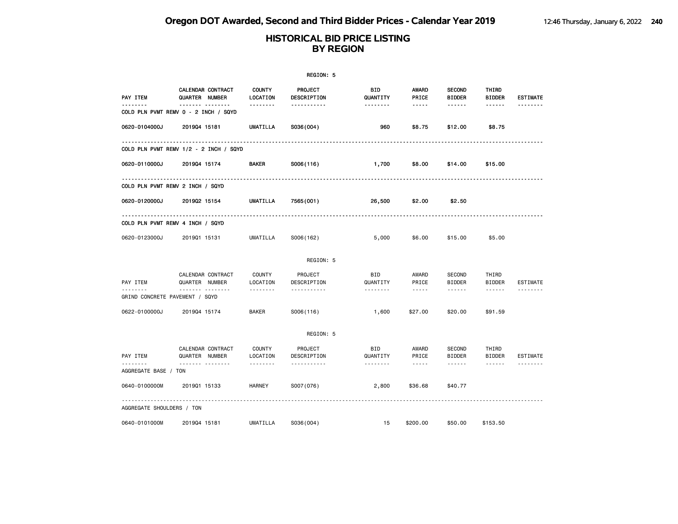|                                |                                                  |                           | REGION: 5                     |                 |                                                                                                                                                                                 |                                |                        |                 |
|--------------------------------|--------------------------------------------------|---------------------------|-------------------------------|-----------------|---------------------------------------------------------------------------------------------------------------------------------------------------------------------------------|--------------------------------|------------------------|-----------------|
| PAY ITEM<br><u>.</u>           | CALENDAR CONTRACT<br>QUARTER NUMBER              | <b>COUNTY</b><br>LOCATION | <b>PROJECT</b><br>DESCRIPTION | BID<br>QUANTITY | AWARD<br>PRICE                                                                                                                                                                  | <b>SECOND</b><br><b>BIDDER</b> | THIRD<br><b>BIDDER</b> | <b>ESTIMATE</b> |
|                                | <b>.</b><br>COLD PLN PVMT REMV 0 - 2 INCH / SQYD | --------                  | -----------                   | --------        | $- - - - -$                                                                                                                                                                     | ------                         | ------                 | .               |
| 0620-0104000J                  | 201904 15181                                     | <b>UMATILLA</b>           | S036(004)                     | 960             | \$8.75                                                                                                                                                                          | \$12.00                        | \$8.75                 |                 |
|                                | COLD PLN PVMT REMV 1/2 - 2 INCH / SQYD           |                           |                               |                 |                                                                                                                                                                                 |                                |                        |                 |
| 0620-0110000J                  | 201904 15174                                     | BAKER                     | S006(116)                     | 1,700           | \$8.00                                                                                                                                                                          | \$14.00                        | \$15.00                |                 |
|                                | COLD PLN PVMT REMV 2 INCH / SQYD                 |                           |                               |                 |                                                                                                                                                                                 |                                |                        |                 |
| 0620-0120000J                  | 201902 15154                                     | <b>UMATILLA</b>           | 7565(001)                     | 26,500          | \$2.00                                                                                                                                                                          | \$2.50                         |                        |                 |
|                                | COLD PLN PVMT REMV 4 INCH / SQYD                 |                           |                               |                 |                                                                                                                                                                                 |                                |                        |                 |
| 0620-0123000J                  | 201901 15131                                     | UMATILLA                  | S006(162)                     | 5,000           | \$6.00                                                                                                                                                                          | \$15,00                        | \$5.00                 |                 |
|                                |                                                  |                           | REGION: 5                     |                 |                                                                                                                                                                                 |                                |                        |                 |
| PAY ITEM                       | CALENDAR CONTRACT<br>QUARTER NUMBER              | COUNTY<br>LOCATION        | PROJECT<br>DESCRIPTION        | BID<br>QUANTITY | AWARD<br>PRICE                                                                                                                                                                  | <b>SECOND</b><br><b>BIDDER</b> | THIRD<br><b>BIDDER</b> | ESTIMATE        |
| GRIND CONCRETE PAVEMENT / SQYD | <b>.</b>                                         | .                         | .                             | .               | $\frac{1}{2} \left( \frac{1}{2} \right) \left( \frac{1}{2} \right) \left( \frac{1}{2} \right) \left( \frac{1}{2} \right) \left( \frac{1}{2} \right) \left( \frac{1}{2} \right)$ | ------                         | ------                 |                 |
| 0622-0100000J                  | 201904 15174                                     | <b>BAKER</b>              | S006(116)                     | 1,600           | \$27.00                                                                                                                                                                         | \$20.00                        | \$91.59                |                 |
|                                |                                                  |                           | REGION: 5                     |                 |                                                                                                                                                                                 |                                |                        |                 |
| PAY ITEM                       | CALENDAR CONTRACT<br>QUARTER NUMBER              | <b>COUNTY</b><br>LOCATION | PROJECT<br>DESCRIPTION        | BID<br>QUANTITY | AWARD<br>PRICE                                                                                                                                                                  | SECOND<br><b>BIDDER</b>        | THIRD<br>BIDDER        | ESTIMATE        |
| .<br>AGGREGATE BASE / TON      | .                                                | <u>.</u>                  | .                             | .               | $\sim$ $\sim$ $\sim$ $\sim$ $\sim$                                                                                                                                              | $\cdots \cdots \cdots$         | $\cdots \cdots \cdots$ | .               |
| 0640-0100000M                  | 201901 15133                                     | HARNEY                    | S007 (076)                    | 2,800           | \$36.68                                                                                                                                                                         | \$40.77                        |                        |                 |
| AGGREGATE SHOULDERS / TON      |                                                  |                           |                               |                 |                                                                                                                                                                                 |                                |                        |                 |
| 0640-0101000M                  | 201904 15181                                     | <b>UMATILLA</b>           | S036(004)                     | 15              | \$200.00                                                                                                                                                                        | \$50.00                        | \$153.50               |                 |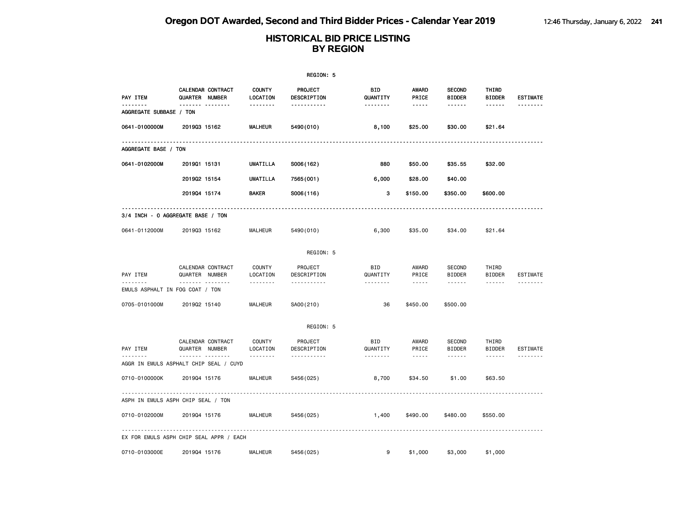|                         |                                          |                                | REGION: 5                                 |                             |                                 |                                          |                                         |                             |
|-------------------------|------------------------------------------|--------------------------------|-------------------------------------------|-----------------------------|---------------------------------|------------------------------------------|-----------------------------------------|-----------------------------|
| PAY ITEM<br>.           | CALENDAR CONTRACT<br>QUARTER NUMBER<br>  | <b>COUNTY</b><br>LOCATION<br>. | <b>PROJECT</b><br>DESCRIPTION<br><u>.</u> | BID<br>QUANTITY<br><u>.</u> | AWARD<br>PRICE<br>$- - - - -$   | <b>SECOND</b><br><b>BIDDER</b><br>------ | THIRD<br><b>BIDDER</b><br>------        | <b>ESTIMATE</b>             |
| AGGREGATE SUBBASE / TON |                                          |                                |                                           |                             |                                 |                                          |                                         |                             |
| 0641-0100000M           | 201903 15162                             | <b>MALHEUR</b>                 | 5490 (010)                                | 8,100                       | \$25.00                         | \$30.00                                  | \$21.64                                 |                             |
| AGGREGATE BASE / TON    |                                          |                                |                                           |                             |                                 |                                          |                                         |                             |
| 0641-0102000M           | 201901 15131                             | UMATILLA                       | S006(162)                                 | 880                         | \$50.00                         | \$35.55                                  | \$32.00                                 |                             |
|                         | 201902 15154                             | <b>UMATILLA</b>                | 7565 (001)                                | 6,000                       | \$28.00                         | \$40.00                                  |                                         |                             |
|                         | 201904 15174                             | <b>BAKER</b>                   | S006(116)                                 | з                           | \$150.00                        | \$350.00                                 | \$600.00                                |                             |
|                         | 3/4 INCH - 0 AGGREGATE BASE / TON        |                                |                                           |                             |                                 |                                          |                                         |                             |
| 0641-0112000M           | 201903 15162                             | MALHEUR                        | 5490 (010)                                | 6,300                       | \$35.00                         | \$34.00                                  | \$21.64                                 |                             |
|                         |                                          |                                | REGION: 5                                 |                             |                                 |                                          |                                         |                             |
| PAY ITEM                | CALENDAR CONTRACT<br>QUARTER NUMBER      | <b>COUNTY</b><br>LOCATION      | PROJECT<br>DESCRIPTION                    | BID<br>QUANTITY             | AWARD<br>PRICE                  | <b>SECOND</b><br><b>BIDDER</b>           | THIRD<br><b>BIDDER</b>                  | <b>ESTIMATE</b>             |
|                         | .<br>EMULS ASPHALT IN FOG COAT / TON     | .                              | .                                         | .                           | $- - - -$                       |                                          | $- - - - - -$                           | .                           |
| 0705-0101000M           | 201902 15140                             | <b>MALHEUR</b>                 | SA00(210)                                 | 36                          | \$450.00                        | \$500.00                                 |                                         |                             |
|                         |                                          |                                | REGION: 5                                 |                             |                                 |                                          |                                         |                             |
| PAY ITEM                | CALENDAR CONTRACT<br>QUARTER NUMBER<br>. | <b>COUNTY</b><br>LOCATION<br>. | PROJECT<br>DESCRIPTION<br>.               | <b>BID</b><br>QUANTITY<br>. | AWARD<br>PRICE<br>$\frac{1}{2}$ | <b>SECOND</b><br><b>BIDDER</b><br>------ | THIRD<br><b>BIDDER</b><br>$- - - - - -$ | <b>ESTIMATE</b><br><u>.</u> |
|                         | AGGR IN EMULS ASPHALT CHIP SEAL / CUYD   |                                |                                           |                             |                                 |                                          |                                         |                             |
| 0710-0100000K           | 201904 15176                             | MALHEUR                        | S456(025)                                 | 8,700                       | \$34.50                         | \$1.00                                   | \$63.50                                 |                             |
|                         | ASPH IN EMULS ASPH CHIP SEAL / TON       |                                |                                           |                             |                                 |                                          |                                         |                             |
| 0710-0102000M           | 201904 15176                             | <b>MALHEUR</b>                 | S456(025)                                 | 1,400                       | \$490.00                        | \$480.00                                 | \$550.00                                |                             |
|                         | EX FOR EMULS ASPH CHIP SEAL APPR / EACH  | <u>.</u>                       |                                           |                             |                                 |                                          |                                         |                             |
| 0710-0103000E           | 201904 15176                             | <b>MALHEUR</b>                 | S456(025)                                 | 9                           | \$1,000                         | \$3,000                                  | \$1,000                                 |                             |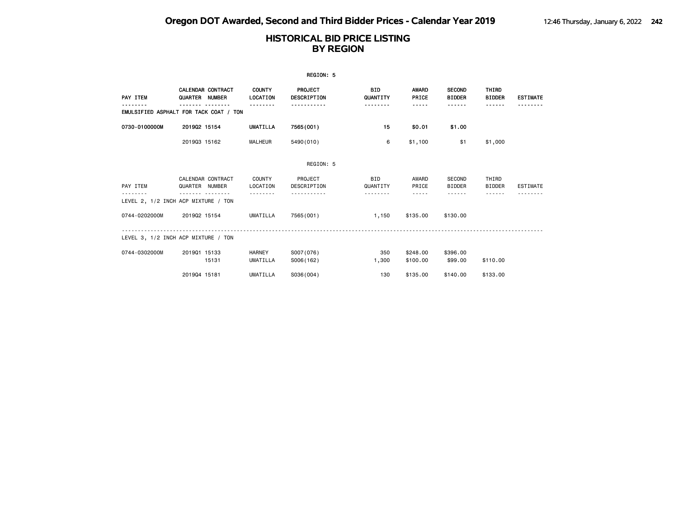|               |                                            |                           | REGION: 5                     |                        |                       |                                |                        |                 |
|---------------|--------------------------------------------|---------------------------|-------------------------------|------------------------|-----------------------|--------------------------------|------------------------|-----------------|
| PAY ITEM      | <b>CALENDAR CONTRACT</b><br>QUARTER NUMBER | <b>COUNTY</b><br>LOCATION | PROJECT<br><b>DESCRIPTION</b> | BID<br>QUANTITY        | <b>AWARD</b><br>PRICE | <b>SECOND</b><br><b>BIDDER</b> | THIRD<br><b>BIDDER</b> | <b>ESTIMATE</b> |
|               | EMULSIFIED ASPHALT FOR TACK COAT / TON     |                           |                               |                        | -----                 | .                              |                        |                 |
| 0730-0100000M | 201902 15154                               | <b>UMATILLA</b>           | 7565(001)                     | 15                     | \$0.01                | \$1.00                         |                        |                 |
|               | 201903 15162                               | <b>MALHEUR</b>            | 5490(010)                     | 6                      | \$1,100               | \$1                            | \$1,000                |                 |
|               |                                            |                           | REGION: 5                     |                        |                       |                                |                        |                 |
| PAY ITEM      | CALENDAR CONTRACT<br>QUARTER NUMBER        | COUNTY<br>LOCATION        | PROJECT<br>DESCRIPTION        | <b>BID</b><br>QUANTITY | AWARD<br>PRICE        | SECOND<br><b>BIDDER</b>        | THIRD<br><b>BIDDER</b> | <b>ESTIMATE</b> |
| .             | LEVEL 2, 1/2 INCH ACP MIXTURE / TON        |                           |                               | .                      | -----                 | - - - - - -                    |                        |                 |
| 0744-0202000M | 201902 15154                               | UMATILLA                  | 7565(001)                     | 1,150                  | \$135.00              | \$130.00                       |                        |                 |
|               | LEVEL 3, 1/2 INCH ACP MIXTURE / TON        |                           |                               |                        |                       |                                |                        |                 |
| 0744-0302000M | 201901 15133<br>15131                      | <b>HARNEY</b><br>UMATILLA | S007(076)<br>S006(162)        | 350<br>1,300           | \$248.00<br>\$100.00  | \$396.00<br>\$99.00            | \$110.00               |                 |
|               | 201904 15181                               | UMATILLA                  | S036(004)                     | 130                    | \$135,00              | \$140,00                       | \$133.00               |                 |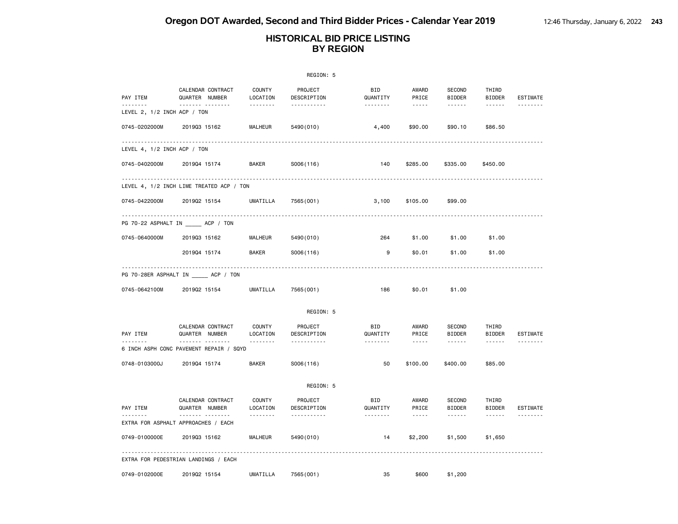|                             |                                              |                                | REGION: 5                          |                        |                               |                                          |                                         |                 |
|-----------------------------|----------------------------------------------|--------------------------------|------------------------------------|------------------------|-------------------------------|------------------------------------------|-----------------------------------------|-----------------|
| PAY ITEM<br><u>.</u>        | CALENDAR CONTRACT<br>QUARTER NUMBER          | COUNTY<br>LOCATION<br><u>.</u> | PROJECT<br>DESCRIPTION             | <b>BID</b><br>QUANTITY | AWARD<br>PRICE<br>$- - - - -$ | SECOND<br><b>BIDDER</b><br>$- - - - - -$ | THIRD<br><b>BIDDER</b><br>$- - - - - -$ | <b>ESTIMATE</b> |
| LEVEL 2, 1/2 INCH ACP / TON | <u>.</u>                                     |                                | <u>.</u>                           | <u>.</u>               |                               |                                          |                                         | <u>.</u>        |
| 0745-0202000M               | 201903 15162                                 | <b>MALHEUR</b>                 | 5490 (010)                         | 4,400                  | \$90.00                       | \$90.10                                  | \$86.50                                 |                 |
| LEVEL 4, 1/2 INCH ACP / TON |                                              |                                |                                    |                        |                               |                                          |                                         |                 |
| 0745-0402000M               | 201904 15174                                 | <b>BAKER</b>                   | S006(116)                          | 140                    | \$285.00                      | \$335.00                                 | \$450.00                                |                 |
|                             | LEVEL 4, 1/2 INCH LIME TREATED ACP / TON     |                                |                                    |                        |                               |                                          |                                         |                 |
| 0745-0422000M               | 201902 15154                                 | UMATILLA                       | 7565(001)                          | 3,100                  | \$105.00                      | \$99.00                                  |                                         |                 |
|                             | PG 70-22 ASPHALT IN ACP / TON                |                                |                                    |                        |                               |                                          |                                         |                 |
| 0745-0640000M               | 201903 15162                                 | <b>MALHEUR</b>                 | 5490 (010)                         | 264                    | \$1.00                        | \$1.00                                   | \$1.00                                  |                 |
|                             | 201904 15174                                 | <b>BAKER</b>                   | S006(116)                          | 9                      | \$0.01                        | \$1.00                                   | \$1.00                                  |                 |
|                             | PG 70-28ER ASPHALT IN ACP / TON              |                                |                                    |                        |                               |                                          |                                         |                 |
| 0745-0642100M               | 201902 15154                                 | UMATILLA                       | 7565 (001)                         | 186                    | \$0.01                        | \$1.00                                   |                                         |                 |
|                             |                                              |                                | REGION: 5                          |                        |                               |                                          |                                         |                 |
| PAY ITEM                    | CALENDAR CONTRACT<br>QUARTER NUMBER          | COUNTY<br>LOCATION             | PROJECT<br>DESCRIPTION             | BID<br>QUANTITY        | AWARD<br>PRICE                | SECOND<br><b>BIDDER</b>                  | THIRD<br><b>BIDDER</b>                  | ESTIMATE        |
|                             | .<br>6 INCH ASPH CONC PAVEMENT REPAIR / SQYD |                                | <u>.</u>                           | .                      | $\frac{1}{2}$                 | $- - - - - -$                            | ------                                  |                 |
| 0748-0103000J               | 201904 15174                                 | <b>BAKER</b>                   | S006(116)                          | 50                     | \$100.00                      | \$400.00                                 | \$85.00                                 |                 |
|                             |                                              |                                | REGION: 5                          |                        |                               |                                          |                                         |                 |
| PAY ITEM                    | CALENDAR CONTRACT<br>QUARTER NUMBER<br>.     | COUNTY<br>LOCATION<br>.        | PROJECT<br>DESCRIPTION<br><u>.</u> | BID<br>QUANTITY<br>.   | AWARD<br>PRICE<br>$- - - - -$ | SECOND<br><b>BIDDER</b><br>$- - - - - -$ | THIRD<br><b>BIDDER</b><br>$- - - - - -$ | ESTIMATE<br>.   |
|                             | EXTRA FOR ASPHALT APPROACHES / EACH          |                                |                                    |                        |                               |                                          |                                         |                 |
| 0749-0100000E               | 201903 15162                                 | <b>MALHEUR</b>                 | 5490 (010)                         | 14                     | \$2,200                       | \$1,500                                  | \$1,650                                 |                 |
|                             | EXTRA FOR PEDESTRIAN LANDINGS / EACH         |                                |                                    |                        |                               |                                          |                                         |                 |
| 0749-0102000E               | 201902 15154                                 | UMATILLA                       | 7565 (001)                         | 35                     | \$600                         | \$1,200                                  |                                         |                 |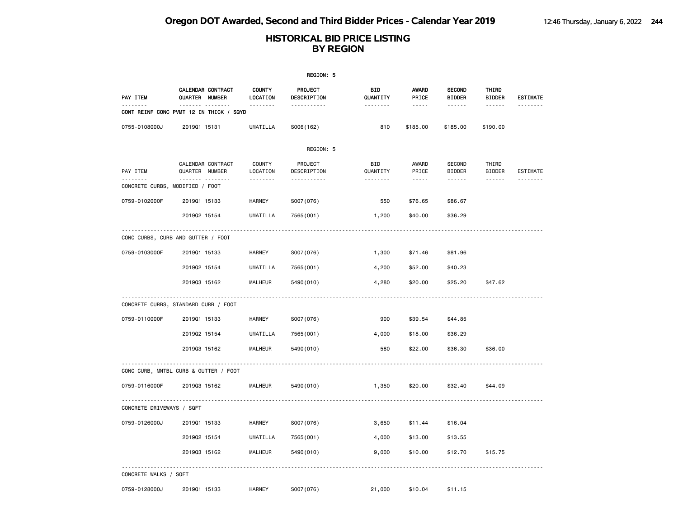| REGION: 5                                   |                                                     |                           |                        |                        |                       |                                |                        |                 |  |
|---------------------------------------------|-----------------------------------------------------|---------------------------|------------------------|------------------------|-----------------------|--------------------------------|------------------------|-----------------|--|
| PAY ITEM                                    | CALENDAR CONTRACT<br>QUARTER NUMBER                 | <b>COUNTY</b><br>LOCATION | PROJECT<br>DESCRIPTION | <b>BID</b><br>QUANTITY | <b>AWARD</b><br>PRICE | <b>SECOND</b><br><b>BIDDER</b> | THIRD<br><b>BIDDER</b> | <b>ESTIMATE</b> |  |
| --------                                    | <b>.</b><br>CONT REINF CONC PVMT 12 IN THICK / SQYD | <u>.</u>                  | .                      | <u>.</u>               | $- - - - -$           | <u>.</u>                       | <u>.</u>               | --------        |  |
| 0755-0108000J                               | 201901 15131                                        | <b>UMATILLA</b>           | S006(162)              | 810                    | \$185.00              | \$185.00                       | \$190.00               |                 |  |
|                                             |                                                     |                           | REGION: 5              |                        |                       |                                |                        |                 |  |
| PAY ITEM                                    | CALENDAR CONTRACT<br>QUARTER NUMBER                 | <b>COUNTY</b><br>LOCATION | PROJECT<br>DESCRIPTION | BID<br>QUANTITY        | AWARD<br>PRICE        | SECOND<br><b>BIDDER</b>        | THIRD<br><b>BIDDER</b> | ESTIMATE        |  |
| <u>.</u><br>CONCRETE CURBS, MODIFIED / FOOT | .                                                   | .                         | <u>.</u>               |                        | $- - - - -$           |                                | ------                 |                 |  |
| 0759-0102000F                               | 201901 15133                                        | <b>HARNEY</b>             | S007(076)              | 550                    | \$76.65               | \$86.67                        |                        |                 |  |
|                                             | 201902 15154                                        | UMATILLA                  | 7565 (001)             | 1,200                  | \$40.00               | \$36.29                        |                        |                 |  |
|                                             | CONC CURBS, CURB AND GUTTER / FOOT                  |                           |                        |                        |                       |                                |                        |                 |  |
| 0759-0103000F                               | 201901 15133                                        | <b>HARNEY</b>             | S007(076)              | 1,300                  | \$71.46               | \$81.96                        |                        |                 |  |
|                                             | 201902 15154                                        | <b>UMATILLA</b>           | 7565 (001)             | 4,200                  | \$52.00               | \$40.23                        |                        |                 |  |
|                                             | 201903 15162                                        | MALHEUR                   | 5490 (010)             | 4,280                  | \$20.00               | \$25.20                        | \$47.62                |                 |  |
|                                             | CONCRETE CURBS, STANDARD CURB / FOOT                |                           |                        |                        |                       |                                |                        |                 |  |
| 0759-0110000F                               | 201901 15133                                        | <b>HARNEY</b>             | S007(076)              | 900                    | \$39.54               | \$44.85                        |                        |                 |  |
|                                             | 201902 15154                                        | <b>UMATILLA</b>           | 7565 (001)             | 4,000                  | \$18.00               | \$36.29                        |                        |                 |  |
|                                             | 201903 15162                                        | <b>MALHEUR</b>            | 5490 (010)             | 580                    | \$22.00               | \$36.30                        | \$36.00                |                 |  |
|                                             | CONC CURB, MNTBL CURB & GUTTER / FOOT               |                           |                        |                        |                       |                                |                        |                 |  |
| 0759-0116000F                               | 201903 15162                                        | MALHEUR                   | 5490 (010)             | 1,350                  | \$20.00               | \$32.40                        | \$44.09                |                 |  |
| CONCRETE DRIVEWAYS / SQFT                   |                                                     |                           |                        |                        |                       |                                |                        |                 |  |
| 0759-0126000J                               | 201901 15133                                        | <b>HARNEY</b>             | S007(076)              | 3,650                  | \$11.44               | \$16.04                        |                        |                 |  |
|                                             | 201902 15154                                        | <b>UMATILLA</b>           | 7565 (001)             | 4,000                  | \$13.00               | \$13.55                        |                        |                 |  |
|                                             | 201903 15162                                        | MALHEUR                   | 5490 (010)             | 9,000                  | \$10.00               | \$12.70                        | \$15.75                |                 |  |
| CONCRETE WALKS / SQFT                       |                                                     |                           |                        |                        |                       |                                |                        |                 |  |
| 0759-0128000J                               | 201901 15133                                        | <b>HARNEY</b>             | S007(076)              | 21,000                 | \$10.04               | \$11.15                        |                        |                 |  |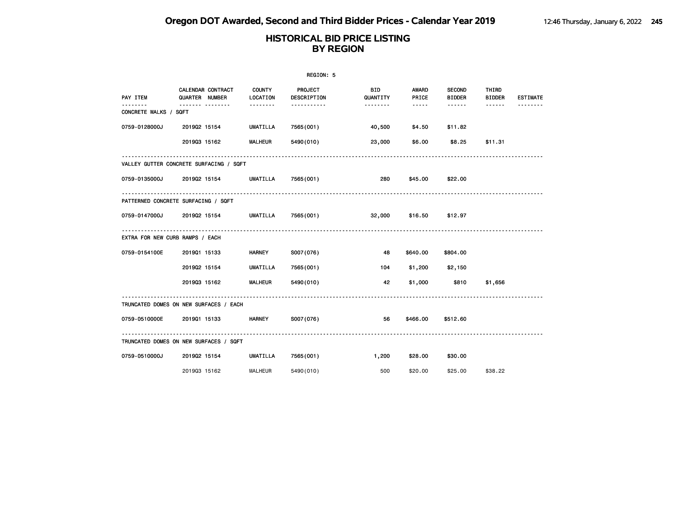| REGION: 5                                     |                |                          |                           |                        |                 |                |                                |                        |                 |
|-----------------------------------------------|----------------|--------------------------|---------------------------|------------------------|-----------------|----------------|--------------------------------|------------------------|-----------------|
| PAY ITEM                                      | QUARTER NUMBER | <b>CALENDAR CONTRACT</b> | <b>COUNTY</b><br>LOCATION | PROJECT<br>DESCRIPTION | BID<br>QUANTITY | AWARD<br>PRICE | <b>SECOND</b><br><b>BIDDER</b> | THIRD<br><b>BIDDER</b> | <b>ESTIMATE</b> |
| CONCRETE WALKS / SQFT                         | .              |                          | .                         | -----------            | --------        | $- - - - -$    | .                              | ------                 |                 |
| 0759-0128000J                                 | 201902 15154   |                          | UMATILLA                  | 7565(001)              | 40,500          | \$4.50         | \$11.82                        |                        |                 |
|                                               | 201903 15162   |                          | <b>MALHEUR</b>            | 5490 (010)             | 23,000          | \$6.00         | \$8.25                         | \$11.31                |                 |
| VALLEY GUTTER CONCRETE SURFACING / SQFT       |                |                          |                           |                        |                 |                |                                |                        |                 |
| 0759-0135000J 2019Q2 15154                    |                |                          | UMATILLA                  | 7565(001)              | 280             | \$45.00        | \$22.00                        |                        |                 |
| PATTERNED CONCRETE SURFACING / SQFT           |                |                          |                           |                        |                 |                |                                |                        |                 |
| 0759-0147000J 2019Q2 15154 UMATILLA 7565(001) |                |                          |                           |                        | 32,000          | \$16.50        | \$12.97                        |                        |                 |
| EXTRA FOR NEW CURB RAMPS / EACH               |                |                          |                           |                        |                 |                |                                |                        |                 |
| 0759-0154100E                                 | 201901 15133   |                          | <b>HARNEY</b>             | S007(076)              | 48              | \$640.00       | \$804.00                       |                        |                 |
|                                               | 201902 15154   |                          | UMATILLA                  | 7565(001)              | 104             | \$1,200        | \$2,150                        |                        |                 |
|                                               |                | 201903 15162             | <b>MALHEUR</b>            | 5490 (010)             | 42              |                | \$1,000 \$810                  | \$1,656                |                 |
| TRUNCATED DOMES ON NEW SURFACES / EACH        |                |                          |                           |                        |                 |                |                                |                        |                 |
| 0759-0510000E 2019Q1 15133                    |                |                          | <b>HARNEY</b>             | S007(076)              | 56              |                | \$466.00 \$512.60              |                        |                 |
| TRUNCATED DOMES ON NEW SURFACES / SQFT        |                |                          |                           |                        |                 |                |                                |                        |                 |
| 0759-0510000J                                 | 201902 15154   |                          | UMATILLA                  | 7565(001)              | 1,200           | \$28.00        | \$30.00                        |                        |                 |
|                                               | 201903 15162   |                          | <b>MALHEUR</b>            | 5490 (010)             | 500             | \$20.00        | \$25.00                        | \$38.22                |                 |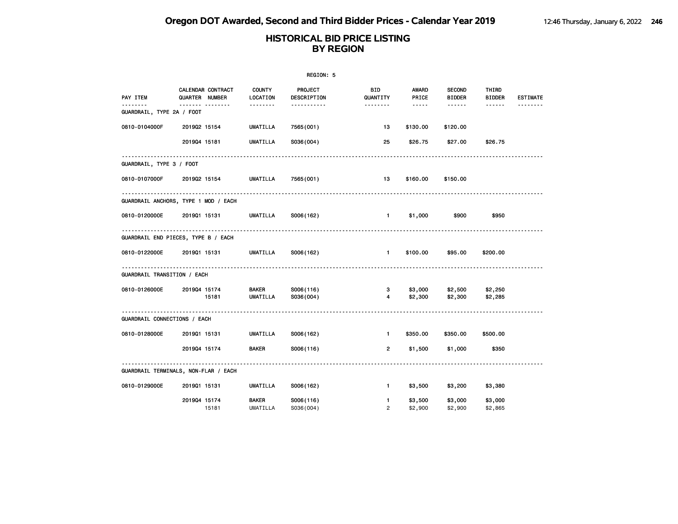|                                            |                                                         |                                                    | REGION: 5                          |                                          |                                   |                                          |                                         |                 |
|--------------------------------------------|---------------------------------------------------------|----------------------------------------------------|------------------------------------|------------------------------------------|-----------------------------------|------------------------------------------|-----------------------------------------|-----------------|
| PAY ITEM<br>.<br>GUARDRAIL, TYPE 2A / FOOT | CALENDAR CONTRACT<br>QUARTER NUMBER<br>------- -------- | <b>COUNTY</b><br>LOCATION<br><u> - - - - - - -</u> | <b>PROJECT</b><br>DESCRIPTION<br>. | BID<br>QUANTITY<br><u> - - - - - - -</u> | AWARD<br>PRICE<br>$\cdots \cdots$ | <b>SECOND</b><br><b>BIDDER</b><br>------ | THIRD<br><b>BIDDER</b><br>$- - - - - -$ | <b>ESTIMATE</b> |
| 0810-0104000F                              | 201902 15154                                            | UMATILLA                                           | 7565 (001)                         | 13                                       | \$130.00                          | \$120.00                                 |                                         |                 |
|                                            |                                                         |                                                    |                                    |                                          |                                   |                                          |                                         |                 |
|                                            | 201904 15181                                            | UMATILLA                                           | S036(004)                          | 25                                       | \$26.75                           | \$27.00                                  | \$26.75                                 |                 |
| GUARDRAIL, TYPE 3 / FOOT                   |                                                         |                                                    |                                    |                                          |                                   |                                          |                                         |                 |
| 0810-0107000F                              | 201902 15154                                            | <b>UMATILLA</b>                                    | 7565 (001)                         | 13                                       | \$160.00                          | \$150.00                                 |                                         |                 |
|                                            | GUARDRAIL ANCHORS, TYPE 1 MOD / EACH                    | .                                                  |                                    |                                          |                                   |                                          |                                         |                 |
| 0810-0120000E                              | 2019Q1 15131                                            | UMATILLA                                           | S006(162)                          | $\blacksquare$                           | \$1,000                           | \$900                                    | \$950                                   |                 |
|                                            | GUARDRAIL END PIECES, TYPE B / EACH                     |                                                    |                                    |                                          |                                   |                                          |                                         |                 |
| 0810-0122000E                              | 2019Q1 15131 UMATILLA                                   |                                                    | S006(162)                          | $\mathbf{1}$                             | \$100.00                          | \$95.00                                  | \$200.00                                |                 |
| <b>GUARDRAIL TRANSITION / EACH</b>         |                                                         |                                                    |                                    |                                          |                                   |                                          |                                         |                 |
| 0810-0126000E                              | 201904 15174                                            | <b>BAKER</b>                                       | S006(116)                          | 3                                        | \$3,000                           | \$2,500                                  | \$2,250                                 |                 |
|                                            | 15181                                                   | UMATILLA                                           | S036(004)                          | $\overline{4}$                           | \$2,300                           | \$2,300                                  | \$2,285                                 |                 |
| GUARDRAIL CONNECTIONS / EACH               |                                                         |                                                    |                                    |                                          |                                   |                                          |                                         |                 |
| 0810-0128000E                              | 201901 15131                                            | UMATILLA                                           | S006(162)                          | $\blacksquare$                           | \$350.00                          | \$350.00                                 | \$500.00                                |                 |
|                                            | 201904 15174                                            | <b>BAKER</b>                                       | S006(116)                          | $\overline{2}$                           | \$1,500                           | \$1,000                                  | \$350                                   |                 |
|                                            | GUARDRAIL TERMINALS, NON-FLAR / EACH                    |                                                    |                                    |                                          |                                   |                                          |                                         |                 |
| 0810-0129000E                              | 201901 15131                                            | UMATILLA                                           | S006(162)                          | $\mathbf{1}$                             | \$3,500                           | \$3,200                                  | \$3,380                                 |                 |
|                                            | 201904 15174                                            | <b>BAKER</b>                                       | S006(116)                          | $\blacksquare$                           | \$3,500                           | \$3,000                                  | \$3,000                                 |                 |
|                                            | 15181                                                   | UMATILLA                                           | S036(004)                          | $\overline{2}$                           | \$2,900                           | \$2,900                                  | \$2,865                                 |                 |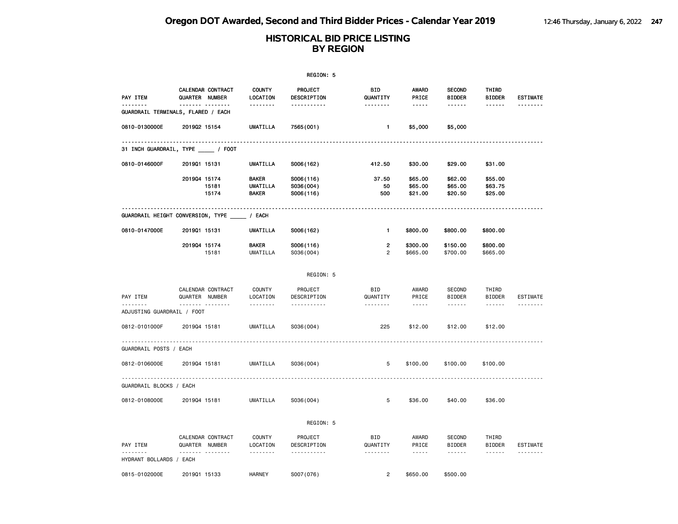|                              |                                                 |                                                 | REGION: 5                           |                        |                                 |                                |                                  |                      |
|------------------------------|-------------------------------------------------|-------------------------------------------------|-------------------------------------|------------------------|---------------------------------|--------------------------------|----------------------------------|----------------------|
| PAY ITEM                     | CALENDAR CONTRACT<br>QUARTER NUMBER             | <b>COUNTY</b><br>LOCATION                       | <b>PROJECT</b><br>DESCRIPTION       | <b>BID</b><br>QUANTITY | AWARD<br>PRICE                  | <b>SECOND</b><br><b>BIDDER</b> | THIRD<br><b>BIDDER</b>           | <b>ESTIMATE</b>      |
| <u>.</u>                     | <u></u><br>GUARDRAIL TERMINALS, FLARED / EACH   | .                                               | <u>.</u>                            | <u>.</u>               | $- - - - -$                     | <u>.</u>                       | ------                           | <u>.</u>             |
| 0810-0130000E                | 201902 15154                                    | <b>UMATILLA</b>                                 | 7565 (001)                          | 1.                     | \$5,000                         | \$5,000                        |                                  |                      |
|                              | 31 INCH GUARDRAIL, TYPE ______ / FOOT           |                                                 |                                     |                        |                                 |                                |                                  |                      |
| 0810-0146000F                | 201901 15131                                    | UMATILLA                                        | S006(162)                           | 412.50                 | \$30.00                         | \$29.00                        | \$31.00                          |                      |
|                              | 201904 15174<br>15181<br>15174                  | <b>BAKER</b><br><b>UMATILLA</b><br><b>BAKER</b> | S006(116)<br>S036(004)<br>S006(116) | 37.50<br>50<br>500     | \$65.00<br>\$65.00<br>\$21.00   | \$62.00<br>\$65.00<br>\$20.50  | \$55.00<br>\$63.75<br>\$25.00    |                      |
|                              | GUARDRAIL HEIGHT CONVERSION, TYPE _____ / EACH  |                                                 |                                     |                        |                                 |                                |                                  |                      |
| 0810-0147000E                | 201901 15131                                    | <b>UMATILLA</b>                                 | S006(162)                           | $\mathbf{1}$           | \$800.00                        | \$800.00                       | \$800.00                         |                      |
|                              | 201904 15174<br>15181                           | <b>BAKER</b><br>UMATILLA                        | S006(116)<br>S036(004)              | 2<br>$\overline{2}$    | \$300.00<br>\$665.00            | \$150.00<br>\$700.00           | \$800.00<br>\$665.00             |                      |
|                              |                                                 |                                                 | REGION: 5                           |                        |                                 |                                |                                  |                      |
| PAY ITEM                     | CALENDAR CONTRACT<br>QUARTER NUMBER<br><u> </u> | COUNTY<br>LOCATION<br>.                         | PROJECT<br>DESCRIPTION<br><u>.</u>  | BID<br>QUANTITY<br>.   | AWARD<br>PRICE<br>$\frac{1}{2}$ | SECOND<br><b>BIDDER</b>        | THIRD<br><b>BIDDER</b><br>------ | ESTIMATE<br><u>.</u> |
| ADJUSTING GUARDRAIL / FOOT   |                                                 |                                                 |                                     |                        |                                 |                                |                                  |                      |
| 0812-0101000F                | 201904 15181                                    | UMATILLA                                        | S036(004)                           | 225                    | \$12.00                         | \$12.00                        | \$12.00                          |                      |
| GUARDRAIL POSTS / EACH       |                                                 |                                                 |                                     |                        |                                 |                                |                                  |                      |
| 0812-0106000E                | 201904 15181                                    | UMATILLA                                        | S036(004)                           | 5                      | \$100.00                        | \$100.00                       | \$100.00                         |                      |
| GUARDRAIL BLOCKS / EACH      |                                                 |                                                 |                                     |                        |                                 |                                |                                  |                      |
| 0812-0108000E                | 201904 15181                                    | UMATILLA                                        | S036(004)                           | 5                      | \$36.00                         | \$40.00                        | \$36.00                          |                      |
|                              |                                                 |                                                 | REGION: 5                           |                        |                                 |                                |                                  |                      |
| PAY ITEM                     | CALENDAR CONTRACT<br>QUARTER NUMBER             | <b>COUNTY</b><br>LOCATION                       | PROJECT<br>DESCRIPTION              | <b>BID</b><br>QUANTITY | AWARD<br>PRICE                  | SECOND<br><b>BIDDER</b>        | THIRD<br><b>BIDDER</b>           | ESTIMATE             |
| .<br>HYDRANT BOLLARDS / EACH | . <sub>.</sub>                                  | <u>.</u>                                        | .                                   |                        | $- - - - -$                     | $- - - - - -$                  | ------                           | --------             |
| 0815-0102000E                | 201901 15133                                    | <b>HARNEY</b>                                   | S007(076)                           | $\overline{2}$         | \$650.00                        | \$500,00                       |                                  |                      |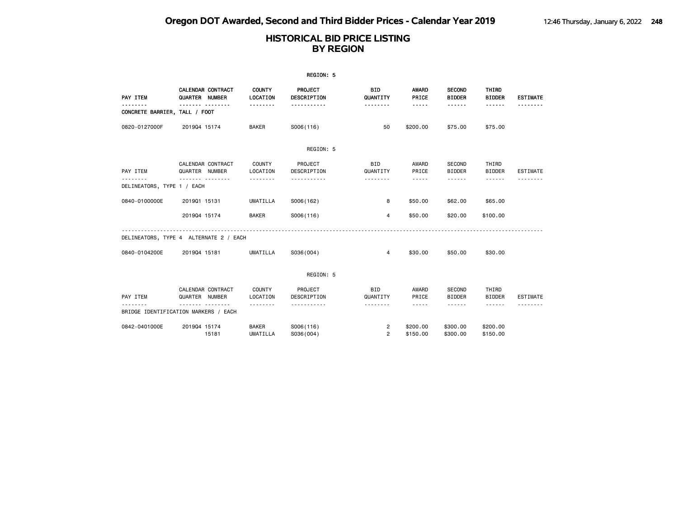| REGION: 5                     |                                        |                           |                         |                        |                                                                                                                                                               |                                |                                                                                                                                                                                                                                                                                                                                                                                                                                                                                             |                             |  |  |
|-------------------------------|----------------------------------------|---------------------------|-------------------------|------------------------|---------------------------------------------------------------------------------------------------------------------------------------------------------------|--------------------------------|---------------------------------------------------------------------------------------------------------------------------------------------------------------------------------------------------------------------------------------------------------------------------------------------------------------------------------------------------------------------------------------------------------------------------------------------------------------------------------------------|-----------------------------|--|--|
| PAY ITEM                      | CALENDAR CONTRACT<br>QUARTER NUMBER    | <b>COUNTY</b><br>LOCATION | PROJECT<br>DESCRIPTION  | <b>BID</b><br>QUANTITY | AWARD<br>PRICE                                                                                                                                                | <b>SECOND</b><br><b>BIDDER</b> | THIRD<br><b>BIDDER</b>                                                                                                                                                                                                                                                                                                                                                                                                                                                                      | <b>ESTIMATE</b>             |  |  |
| CONCRETE BARRIER, TALL / FOOT |                                        | .                         | .                       | .                      | -----                                                                                                                                                         | .                              | ------                                                                                                                                                                                                                                                                                                                                                                                                                                                                                      |                             |  |  |
| 0820-0127000F                 | 201904 15174                           | <b>BAKER</b>              | S006(116)               | 50                     | \$200.00                                                                                                                                                      | \$75.00                        | \$75.00                                                                                                                                                                                                                                                                                                                                                                                                                                                                                     |                             |  |  |
|                               |                                        |                           | REGION: 5               |                        |                                                                                                                                                               |                                |                                                                                                                                                                                                                                                                                                                                                                                                                                                                                             |                             |  |  |
| PAY ITEM<br>.                 | CALENDAR CONTRACT<br>QUARTER NUMBER    | COUNTY<br>LOCATION        | PROJECT<br>DESCRIPTION  | <b>BID</b><br>QUANTITY | AWARD<br>PRICE                                                                                                                                                | <b>SECOND</b><br><b>BIDDER</b> | THIRD<br><b>BIDDER</b>                                                                                                                                                                                                                                                                                                                                                                                                                                                                      | ESTIMATE                    |  |  |
| DELINEATORS, TYPE 1 / EACH    | .                                      | .                         | .                       | .                      | $- - - - -$                                                                                                                                                   | .                              | .                                                                                                                                                                                                                                                                                                                                                                                                                                                                                           |                             |  |  |
| 0840-0100000E                 | 201901 15131                           | UMATILLA                  | S006(162)               | 8                      | \$50.00                                                                                                                                                       | \$62.00                        | \$65.00                                                                                                                                                                                                                                                                                                                                                                                                                                                                                     |                             |  |  |
|                               | 201904 15174                           | <b>BAKER</b>              | S006(116)               | 4                      | \$50.00                                                                                                                                                       | \$20.00                        | \$100.00                                                                                                                                                                                                                                                                                                                                                                                                                                                                                    |                             |  |  |
|                               | DELINEATORS, TYPE 4 ALTERNATE 2 / EACH |                           |                         |                        |                                                                                                                                                               |                                |                                                                                                                                                                                                                                                                                                                                                                                                                                                                                             |                             |  |  |
| 0840-0104200E                 | 201904 15181                           | UMATILLA                  | S036(004)               | $\overline{4}$         | \$30.00                                                                                                                                                       | \$50.00                        | \$30.00                                                                                                                                                                                                                                                                                                                                                                                                                                                                                     |                             |  |  |
|                               |                                        |                           | REGION: 5               |                        |                                                                                                                                                               |                                |                                                                                                                                                                                                                                                                                                                                                                                                                                                                                             |                             |  |  |
|                               | CALENDAR CONTRACT                      | COUNTY                    | PROJECT                 | <b>BID</b>             | AWARD                                                                                                                                                         | <b>SECOND</b>                  | THIRD                                                                                                                                                                                                                                                                                                                                                                                                                                                                                       |                             |  |  |
| PAY ITEM<br>.                 | QUARTER NUMBER<br>.                    | LOCATION                  | DESCRIPTION<br><u>.</u> | QUANTITY<br>.          | PRICE<br>$\frac{1}{2} \left( \frac{1}{2} \right) \left( \frac{1}{2} \right) \left( \frac{1}{2} \right) \left( \frac{1}{2} \right) \left( \frac{1}{2} \right)$ | <b>BIDDER</b><br><b>.</b>      | <b>BIDDER</b><br>$\frac{1}{2} \left( \frac{1}{2} \right) \left( \frac{1}{2} \right) \left( \frac{1}{2} \right) \left( \frac{1}{2} \right) \left( \frac{1}{2} \right) \left( \frac{1}{2} \right) \left( \frac{1}{2} \right) \left( \frac{1}{2} \right) \left( \frac{1}{2} \right) \left( \frac{1}{2} \right) \left( \frac{1}{2} \right) \left( \frac{1}{2} \right) \left( \frac{1}{2} \right) \left( \frac{1}{2} \right) \left( \frac{1}{2} \right) \left( \frac{1}{2} \right) \left( \frac$ | <b>ESTIMATE</b><br>-------- |  |  |
|                               | BRIDGE IDENTIFICATION MARKERS / EACH   |                           |                         |                        |                                                                                                                                                               |                                |                                                                                                                                                                                                                                                                                                                                                                                                                                                                                             |                             |  |  |
| 0842-0401000E                 | 201904 15174                           | <b>BAKER</b>              | S006(116)               | 2                      | \$200.00                                                                                                                                                      | \$300.00                       | \$200.00                                                                                                                                                                                                                                                                                                                                                                                                                                                                                    |                             |  |  |
|                               | 15181                                  | <b>UMATILLA</b>           | S036(004)               | $\overline{2}$         | \$150.00                                                                                                                                                      | \$300,00                       | \$150.00                                                                                                                                                                                                                                                                                                                                                                                                                                                                                    |                             |  |  |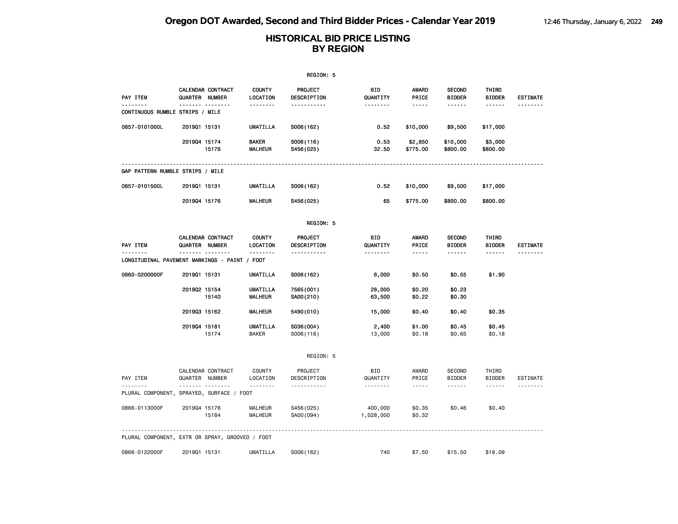| REGION: 5                                       |                       |                   |                                   |                               |                        |                                                                                                                                       |                                |                            |                 |  |
|-------------------------------------------------|-----------------------|-------------------|-----------------------------------|-------------------------------|------------------------|---------------------------------------------------------------------------------------------------------------------------------------|--------------------------------|----------------------------|-----------------|--|
| PAY ITEM                                        | <b>QUARTER NUMBER</b> | CALENDAR CONTRACT | <b>COUNTY</b><br>LOCATION         | <b>PROJECT</b><br>DESCRIPTION | BID<br>QUANTITY        | <b>AWARD</b><br>PRICE                                                                                                                 | <b>SECOND</b><br><b>BIDDER</b> | THIRD<br><b>BIDDER</b>     | <b>ESTIMATE</b> |  |
| <u>.</u><br>CONTINUOUS RUMBLE STRIPS / MILE     |                       | ------- --------  | <u>.</u>                          | <u>.</u>                      | <u>.</u>               | $- - - - -$                                                                                                                           | <u>.</u>                       | $- - - - - -$              | --------        |  |
| 0857-0101000L                                   | 201901 15131          |                   | <b>UMATILLA</b>                   | S006(162)                     | 0.52                   | \$10,000                                                                                                                              | \$9,500                        | \$17,000                   |                 |  |
|                                                 | 201904 15174          | 15176             | <b>BAKER</b><br><b>MALHEUR</b>    | S006(116)<br>S456(025)        | 0.53<br>32.50          | \$2,850<br>\$775.00                                                                                                                   | \$10,000<br>\$800.00           | \$3,000<br>\$800.00        |                 |  |
| GAP PATTERN RUMBLE STRIPS / MILE                |                       |                   |                                   |                               |                        |                                                                                                                                       |                                |                            |                 |  |
| 0857-0101500L                                   | 201901 15131          |                   | <b>UMATILLA</b>                   | S006(162)                     | 0.52                   | \$10,000                                                                                                                              | \$9,500                        | \$17,000                   |                 |  |
|                                                 | 201904 15176          |                   | <b>MALHEUR</b>                    | S456(025)                     | 65                     | \$775.00                                                                                                                              | \$800.00                       | \$800.00                   |                 |  |
|                                                 |                       |                   |                                   | REGION: 5                     |                        |                                                                                                                                       |                                |                            |                 |  |
| PAY ITEM                                        | QUARTER NUMBER        | CALENDAR CONTRACT | <b>COUNTY</b><br>LOCATION         | PROJECT<br>DESCRIPTION        | BID<br>QUANTITY        | <b>AWARD</b><br>PRICE                                                                                                                 | <b>SECOND</b><br><b>BIDDER</b> | THIRD<br><b>BIDDER</b>     | <b>ESTIMATE</b> |  |
| LONGITUDINAL PAVEMENT MARKINGS - PAINT / FOOT   | $\sim$<br>$- - - - -$ | .                 | <u>.</u>                          | -----------                   | <u>.</u>               | -----                                                                                                                                 | ------                         | ------                     | <u>.</u>        |  |
| 0860-0200000F                                   | 201901 15131          |                   | UMATILLA                          | S006(162)                     | 6,000                  | \$0.50                                                                                                                                | \$0.55                         | \$1.90                     |                 |  |
|                                                 | 201902 15154          | 15140             | <b>UMATILLA</b><br><b>MALHEUR</b> | 7565(001)<br>SA00(210)        | 28,000<br>63,500       | \$0.20<br>\$0.22                                                                                                                      | \$0.23<br>\$0.30               |                            |                 |  |
|                                                 | 201903 15162          |                   | <b>MALHEUR</b>                    | 5490 (010)                    | 15,000                 | \$0.40                                                                                                                                | \$0.40                         | \$0.35                     |                 |  |
|                                                 | 201904 15181          | 15174             | UMATILLA<br><b>BAKER</b>          | S036(004)<br>S006(116)        | 2,400<br>13,000        | \$1.00<br>\$0.18                                                                                                                      | \$0.45<br>\$0.65               | \$0.45<br>\$0.18           |                 |  |
|                                                 |                       |                   |                                   | REGION: 5                     |                        |                                                                                                                                       |                                |                            |                 |  |
| PAY ITEM                                        | QUARTER NUMBER        | CALENDAR CONTRACT | <b>COUNTY</b><br>LOCATION         | PROJECT<br>DESCRIPTION        | <b>BID</b><br>QUANTITY | AWARD<br>PRICE                                                                                                                        | <b>SECOND</b><br><b>BIDDER</b> | THIRD<br><b>BIDDER</b>     | <b>ESTIMATE</b> |  |
| PLURAL COMPONENT, SPRAYED, SURFACE / FOOT       |                       | <b>.</b>          | --------                          | <u> - - - - - - - - - - -</u> | .                      | $\frac{1}{2} \frac{1}{2} \frac{1}{2} \frac{1}{2} \frac{1}{2} \frac{1}{2} \frac{1}{2} \frac{1}{2} \frac{1}{2} \frac{1}{2} \frac{1}{2}$ | .                              | $\cdots\cdots\cdots\cdots$ |                 |  |
| 0866-0113000F                                   | 201904 15176          | 15184             | <b>MALHEUR</b><br>MALHEUR         | S456(025)<br>SA00 (094)       | 400,000<br>1,028,000   | \$0.35<br>\$0.32                                                                                                                      | \$0.46                         | \$0.40                     |                 |  |
| PLURAL COMPONENT, EXTR OR SPRAY, GROOVED / FOOT |                       |                   |                                   |                               |                        |                                                                                                                                       |                                |                            |                 |  |
| 0866-0122000F                                   | 201901 15131          |                   | <b>UMATILLA</b>                   | S006(162)                     | 740                    | \$7.50                                                                                                                                | \$15.50                        | \$16.09                    |                 |  |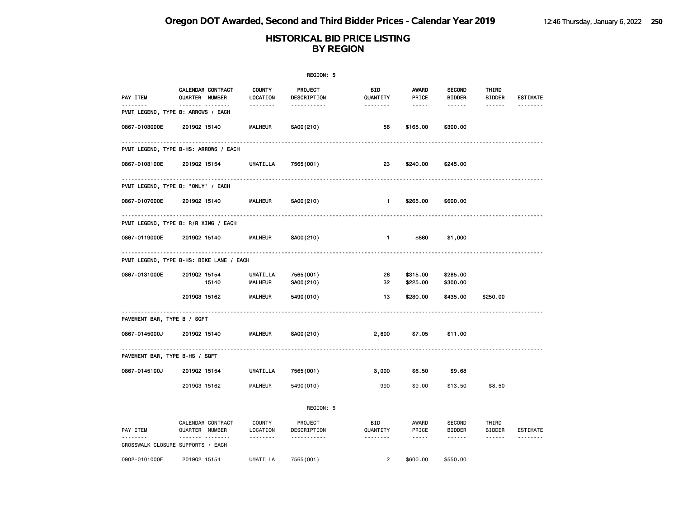|                                |                                                |                                                    | REGION: 5                                    |                             |                                                                                                                                 |                                                 |                                           |                             |
|--------------------------------|------------------------------------------------|----------------------------------------------------|----------------------------------------------|-----------------------------|---------------------------------------------------------------------------------------------------------------------------------|-------------------------------------------------|-------------------------------------------|-----------------------------|
| PAY ITEM<br>.                  | CALENDAR CONTRACT<br>QUARTER NUMBER<br><u></u> | <b>COUNTY</b><br>LOCATION<br><u> - - - - - - -</u> | <b>PROJECT</b><br>DESCRIPTION<br>----------- | BID<br>QUANTITY<br><u>.</u> | AWARD<br>PRICE<br>$\frac{1}{2} \frac{1}{2} \frac{1}{2} \frac{1}{2} \frac{1}{2} \frac{1}{2} \frac{1}{2} \frac{1}{2} \frac{1}{2}$ | <b>SECOND</b><br><b>BIDDER</b><br>$- - - - - -$ | THIRD<br><b>BIDDER</b><br>$- - - - - -$   | <b>ESTIMATE</b><br><u>.</u> |
|                                | PVMT LEGEND, TYPE B: ARROWS / EACH             |                                                    |                                              |                             |                                                                                                                                 |                                                 |                                           |                             |
| 0867-0103000E                  | 201902 15140                                   | <b>MALHEUR</b>                                     | SA00(210)                                    | 56                          | \$165.00                                                                                                                        | \$300.00                                        |                                           |                             |
|                                | PVMT LEGEND, TYPE B-HS: ARROWS / EACH          |                                                    |                                              |                             |                                                                                                                                 |                                                 |                                           |                             |
| 0867-0103100E                  | 201902 15154                                   | UMATILLA                                           | 7565(001)                                    | 23                          | \$240.00                                                                                                                        | \$245.00                                        |                                           |                             |
|                                | .<br>PVMT LEGEND, TYPE B: "ONLY" / EACH        |                                                    |                                              |                             |                                                                                                                                 |                                                 |                                           |                             |
| 0867-0107000E                  | 201902 15140                                   | <b>MALHEUR</b>                                     | SA00(210)                                    | $-1$                        | \$265.00                                                                                                                        | \$600.00                                        |                                           |                             |
|                                | .<br>PVMT LEGEND, TYPE B: R/R XING / EACH      |                                                    |                                              |                             |                                                                                                                                 |                                                 |                                           |                             |
| 0867-0119000E                  | 201902 15140                                   | <b>MALHEUR</b>                                     | SA00(210)                                    | $\mathbf{1}$                | \$860                                                                                                                           | \$1,000                                         |                                           |                             |
|                                | PVMT LEGEND, TYPE B-HS: BIKE LANE / EACH       |                                                    |                                              |                             |                                                                                                                                 |                                                 |                                           |                             |
| 0867-0131000E                  | 201902 15154<br>15140                          | UMATILLA<br><b>MALHEUR</b>                         | 7565 (001)<br>SA00(210)                      | 26<br>32                    | \$315.00<br>\$225.00                                                                                                            | \$285.00<br>\$300.00                            |                                           |                             |
|                                | 201903 15162                                   | MALHEUR                                            | 5490 (010)                                   | 13                          | \$280.00                                                                                                                        | \$435.00                                        | \$250.00                                  |                             |
| PAVEMENT BAR, TYPE B / SQFT    |                                                |                                                    |                                              |                             |                                                                                                                                 |                                                 |                                           |                             |
| 0867-0145000J                  | 201902 15140                                   | <b>MALHEUR</b>                                     | SA00(210)                                    | 2,600                       | \$7.05                                                                                                                          | \$11.00                                         |                                           |                             |
| PAVEMENT BAR, TYPE B-HS / SQFT |                                                |                                                    |                                              |                             |                                                                                                                                 |                                                 |                                           |                             |
| 0867-0145100J                  | 201902 15154                                   | UMATILLA                                           | 7565 (001)                                   | 3,000                       | \$6.50                                                                                                                          | \$9.68                                          |                                           |                             |
|                                | 201903 15162                                   | <b>MALHEUR</b>                                     | 5490 (010)                                   | 990                         | \$9.00                                                                                                                          | \$13.50                                         | \$8.50                                    |                             |
|                                |                                                |                                                    | REGION: 5                                    |                             |                                                                                                                                 |                                                 |                                           |                             |
| PAY ITEM                       | CALENDAR CONTRACT<br>QUARTER NUMBER            | COUNTY<br>LOCATION                                 | PROJECT<br>DESCRIPTION                       | BID<br>QUANTITY             | AWARD<br>PRICE                                                                                                                  | SECOND<br><b>BIDDER</b>                         | THIRD<br><b>BIDDER</b>                    | ESTIMATE                    |
| <u>.</u>                       | .<br>CROSSWALK CLOSURE SUPPORTS / EACH         | .                                                  | .                                            | <u>.</u>                    | $\sim$ $\sim$ $\sim$ $\sim$ $\sim$                                                                                              | $\sim$ $\sim$ $\sim$ $\sim$ $\sim$              | $\sim$ $\sim$ $\sim$ $\sim$ $\sim$ $\sim$ | .                           |
| 0902-0101000E                  | 201902 15154                                   | UMATILLA                                           | 7565 (001)                                   | $\overline{2}$              | \$600.00                                                                                                                        | \$550,00                                        |                                           |                             |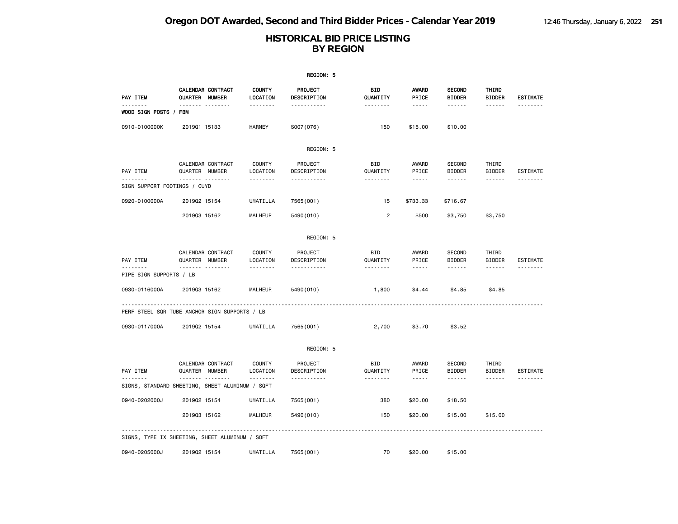|                                   |                                                 |                                | REGION: 5                                             |                             |                                                                                                                                       |                                   |                                  |                             |
|-----------------------------------|-------------------------------------------------|--------------------------------|-------------------------------------------------------|-----------------------------|---------------------------------------------------------------------------------------------------------------------------------------|-----------------------------------|----------------------------------|-----------------------------|
| PAY ITEM                          | <b>CALENDAR CONTRACT</b><br>QUARTER NUMBER      | <b>COUNTY</b><br>LOCATION      | PROJECT<br>DESCRIPTION                                | BID<br>QUANTITY             | AWARD<br>PRICE                                                                                                                        | <b>SECOND</b><br><b>BIDDER</b>    | THIRD<br><b>BIDDER</b>           | <b>ESTIMATE</b>             |
| .<br>WOOD SIGN POSTS / FBM        | . <sub>.</sub>                                  | .                              | <u>.</u>                                              | <u>.</u>                    | $- - - - -$                                                                                                                           | <u>.</u>                          | $- - - - - -$                    | <u>.</u>                    |
| 0910-0100000K                     | 201901 15133                                    | <b>HARNEY</b>                  | S007 (076)                                            | 150                         | \$15.00                                                                                                                               | \$10.00                           |                                  |                             |
|                                   |                                                 |                                | REGION: 5                                             |                             |                                                                                                                                       |                                   |                                  |                             |
| PAY ITEM                          | CALENDAR CONTRACT<br>QUARTER NUMBER             | <b>COUNTY</b><br>LOCATION      | PROJECT<br>DESCRIPTION                                | BID<br>QUANTITY             | AWARD<br>PRICE                                                                                                                        | SECOND<br><b>BIDDER</b>           | THIRD<br><b>BIDDER</b>           | ESTIMATE                    |
| .<br>SIGN SUPPORT FOOTINGS / CUYD | <b>.</b>                                        | .                              | -----------                                           | .                           | $\frac{1}{2} \frac{1}{2} \frac{1}{2} \frac{1}{2} \frac{1}{2} \frac{1}{2} \frac{1}{2} \frac{1}{2} \frac{1}{2} \frac{1}{2} \frac{1}{2}$ | ------                            | ------                           | .                           |
| 0920-0100000A                     | 201902 15154                                    | UMATILLA                       | 7565 (001)                                            | 15                          | \$733.33                                                                                                                              | \$716.67                          |                                  |                             |
|                                   | 201903 15162                                    | MALHEUR                        | 5490 (010)                                            | $\overline{c}$              | \$500                                                                                                                                 | \$3,750                           | \$3,750                          |                             |
|                                   |                                                 |                                | REGION: 5                                             |                             |                                                                                                                                       |                                   |                                  |                             |
| PAY ITEM<br>.                     | CALENDAR CONTRACT<br>QUARTER NUMBER             | COUNTY<br>LOCATION             | PROJECT<br>DESCRIPTION                                | BID<br>QUANTITY             | AWARD<br>PRICE                                                                                                                        | SECOND<br><b>BIDDER</b>           | THIRD<br><b>BIDDER</b>           | ESTIMATE                    |
| PIPE SIGN SUPPORTS / LB           | .                                               | <u>.</u>                       | <u> - - - - - - - - - -</u>                           | .                           | $\sim$ $\sim$ $\sim$ $\sim$ $\sim$                                                                                                    | ------                            | ------                           |                             |
| 0930-0116000A                     | 201903 15162                                    | <b>MALHEUR</b>                 | 5490 (010)                                            | 1,800                       | \$4.44                                                                                                                                | \$4.85                            | \$4.85                           |                             |
|                                   | PERF STEEL SQR TUBE ANCHOR SIGN SUPPORTS / LB   |                                |                                                       |                             |                                                                                                                                       |                                   |                                  |                             |
| 0930-0117000A                     | 201902 15154                                    | UMATILLA                       | 7565 (001)                                            | 2,700                       | \$3.70                                                                                                                                | \$3.52                            |                                  |                             |
|                                   |                                                 |                                | REGION: 5                                             |                             |                                                                                                                                       |                                   |                                  |                             |
| PAY ITEM                          | CALENDAR CONTRACT<br>QUARTER NUMBER<br>.        | COUNTY<br>LOCATION<br><u>.</u> | PROJECT<br>DESCRIPTION<br><u> - - - - - - - - - -</u> | BID<br>QUANTITY<br><u>.</u> | AWARD<br>PRICE<br>$- - - - -$                                                                                                         | SECOND<br><b>BIDDER</b><br>------ | THIRD<br>BIDDER<br>$- - - - - -$ | <b>ESTIMATE</b><br><u>.</u> |
|                                   | SIGNS, STANDARD SHEETING, SHEET ALUMINUM / SQFT |                                |                                                       |                             |                                                                                                                                       |                                   |                                  |                             |
| 0940-0202000J                     | 201902 15154                                    | UMATILLA                       | 7565 (001)                                            | 380                         | \$20.00                                                                                                                               | \$18.50                           |                                  |                             |
|                                   | 201903 15162                                    | MALHEUR                        | 5490 (010)                                            | 150                         | \$20.00                                                                                                                               | \$15.00                           | \$15.00                          |                             |
|                                   | SIGNS, TYPE IX SHEETING, SHEET ALUMINUM / SQFT  |                                |                                                       |                             |                                                                                                                                       |                                   |                                  |                             |
| 0940-0205000J                     | 201902 15154                                    | <b>UMATILLA</b>                | 7565 (001)                                            | 70                          | \$20.00                                                                                                                               | \$15.00                           |                                  |                             |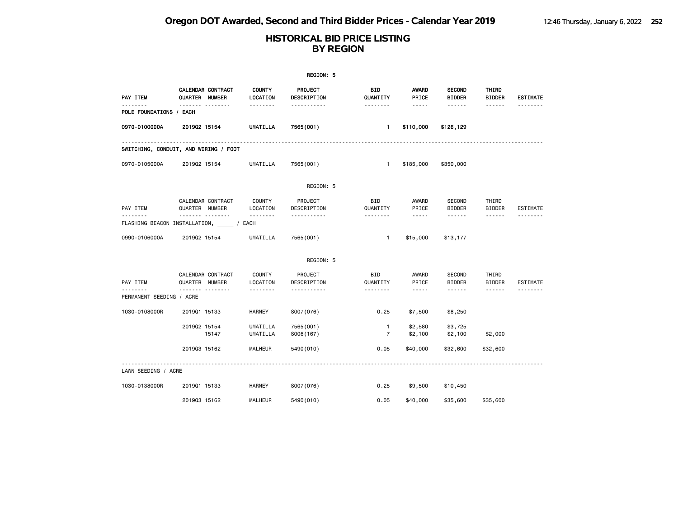| REGION: 5                                       |                |                   |                           |                         |                                |                                                                                                                                                                                                                                                                                                                                                                                                                                                                            |                                |                        |                 |
|-------------------------------------------------|----------------|-------------------|---------------------------|-------------------------|--------------------------------|----------------------------------------------------------------------------------------------------------------------------------------------------------------------------------------------------------------------------------------------------------------------------------------------------------------------------------------------------------------------------------------------------------------------------------------------------------------------------|--------------------------------|------------------------|-----------------|
| PAY ITEM                                        | QUARTER NUMBER | CALENDAR CONTRACT | <b>COUNTY</b><br>LOCATION | PROJECT<br>DESCRIPTION  | BID<br>QUANTITY                | AWARD<br>PRICE                                                                                                                                                                                                                                                                                                                                                                                                                                                             | <b>SECOND</b><br><b>BIDDER</b> | THIRD<br><b>BIDDER</b> | <b>ESTIMATE</b> |
| POLE FOUNDATIONS / EACH                         |                |                   | .                         | .                       | .                              | -----                                                                                                                                                                                                                                                                                                                                                                                                                                                                      | ------                         | ------                 |                 |
| 0970-0100000A                                   | 201902 15154   |                   | <b>UMATILLA</b>           | 7565 (001)              | $\mathbf{1}$                   | \$110,000                                                                                                                                                                                                                                                                                                                                                                                                                                                                  | \$126,129                      |                        |                 |
| SWITCHING, CONDUIT, AND WIRING / FOOT           |                |                   |                           |                         |                                |                                                                                                                                                                                                                                                                                                                                                                                                                                                                            |                                |                        |                 |
| 0970-0105000A                                   | 201902 15154   |                   | <b>UMATILLA</b>           | 7565 (001)              | $\mathbf{1}$                   | \$185,000                                                                                                                                                                                                                                                                                                                                                                                                                                                                  | \$350,000                      |                        |                 |
|                                                 |                |                   |                           | REGION: 5               |                                |                                                                                                                                                                                                                                                                                                                                                                                                                                                                            |                                |                        |                 |
| PAY ITEM                                        | QUARTER NUMBER | CALENDAR CONTRACT | <b>COUNTY</b><br>LOCATION | PROJECT<br>DESCRIPTION  | <b>BID</b><br>QUANTITY         | AWARD<br>PRICE                                                                                                                                                                                                                                                                                                                                                                                                                                                             | <b>SECOND</b><br><b>BIDDER</b> | THIRD<br><b>BIDDER</b> | <b>ESTIMATE</b> |
| --------<br>FLASHING BEACON INSTALLATION, 7 ACH | .              |                   | .                         | .                       | .                              | $\frac{1}{2} \left( \frac{1}{2} \right) \left( \frac{1}{2} \right) \left( \frac{1}{2} \right) \left( \frac{1}{2} \right) \left( \frac{1}{2} \right) \left( \frac{1}{2} \right)$                                                                                                                                                                                                                                                                                            | ------                         | ------                 |                 |
| 0990-0106000A                                   | 201902 15154   |                   | UMATILLA                  | 7565 (001)              | $\mathbf{1}$                   | \$15,000                                                                                                                                                                                                                                                                                                                                                                                                                                                                   | \$13,177                       |                        |                 |
|                                                 |                |                   |                           | REGION: 5               |                                |                                                                                                                                                                                                                                                                                                                                                                                                                                                                            |                                |                        |                 |
| PAY ITEM                                        | QUARTER NUMBER | CALENDAR CONTRACT | <b>COUNTY</b><br>LOCATION | PROJECT<br>DESCRIPTION  | <b>BID</b><br>QUANTITY         | AWARD<br>PRICE                                                                                                                                                                                                                                                                                                                                                                                                                                                             | SECOND<br><b>BIDDER</b>        | THIRD<br><b>BIDDER</b> | <b>ESTIMATE</b> |
| PERMANENT SEEDING / ACRE                        | -------        | .                 | .                         | .                       | .                              | $\frac{1}{2} \left( \frac{1}{2} \right) \left( \frac{1}{2} \right) \left( \frac{1}{2} \right) \left( \frac{1}{2} \right) \left( \frac{1}{2} \right) \left( \frac{1}{2} \right) \left( \frac{1}{2} \right) \left( \frac{1}{2} \right) \left( \frac{1}{2} \right) \left( \frac{1}{2} \right) \left( \frac{1}{2} \right) \left( \frac{1}{2} \right) \left( \frac{1}{2} \right) \left( \frac{1}{2} \right) \left( \frac{1}{2} \right) \left( \frac{1}{2} \right) \left( \frac$ | ------                         | ------                 |                 |
| 1030-0108000R                                   | 201901 15133   |                   | HARNEY                    | S007(076)               | 0.25                           | \$7,500                                                                                                                                                                                                                                                                                                                                                                                                                                                                    | \$8,250                        |                        |                 |
|                                                 | 201902 15154   | 15147             | UMATILLA<br>UMATILLA      | 7565 (001)<br>S006(167) | $\mathbf{1}$<br>$\overline{7}$ | \$2,580<br>\$2,100                                                                                                                                                                                                                                                                                                                                                                                                                                                         | \$3,725<br>\$2,100             | \$2,000                |                 |
|                                                 | 201903 15162   |                   | <b>MALHEUR</b>            | 5490 (010)              | 0.05                           | \$40,000                                                                                                                                                                                                                                                                                                                                                                                                                                                                   | \$32,600                       | \$32,600               |                 |
| LAWN SEEDING / ACRE                             |                |                   |                           |                         |                                |                                                                                                                                                                                                                                                                                                                                                                                                                                                                            |                                |                        |                 |
| 1030-0138000R                                   | 201901 15133   |                   | <b>HARNEY</b>             | S007(076)               | 0.25                           | \$9,500                                                                                                                                                                                                                                                                                                                                                                                                                                                                    | \$10,450                       |                        |                 |
|                                                 | 201903 15162   |                   | <b>MALHEUR</b>            | 5490 (010)              | 0.05                           | \$40,000                                                                                                                                                                                                                                                                                                                                                                                                                                                                   | \$35,600                       | \$35,600               |                 |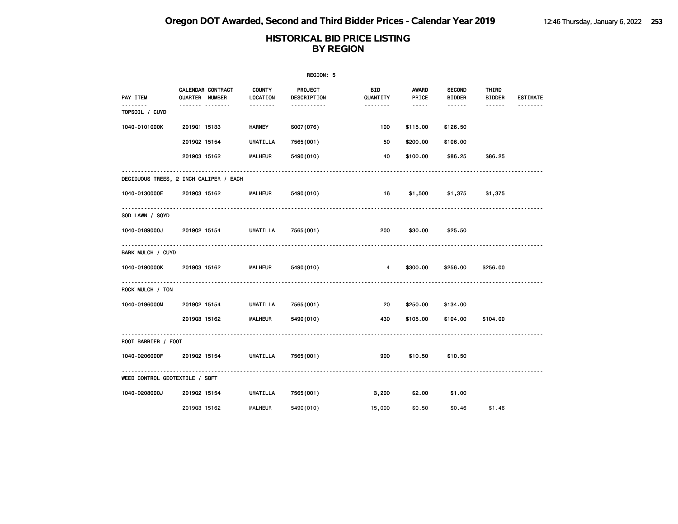|                                |                                         |                           | REGION: 5                          |                                           |                                                                                                                                                                        |                                          |                                  |                             |
|--------------------------------|-----------------------------------------|---------------------------|------------------------------------|-------------------------------------------|------------------------------------------------------------------------------------------------------------------------------------------------------------------------|------------------------------------------|----------------------------------|-----------------------------|
| PAY ITEM<br><u>.</u>           | CALENDAR CONTRACT<br>QUARTER NUMBER<br> | <b>COUNTY</b><br>LOCATION | PROJECT<br>DESCRIPTION<br><u>.</u> | BID.<br>QUANTITY<br><u> - - - - - - -</u> | AWARD<br>PRICE<br>$\frac{1}{2} \left( \frac{1}{2} \right) \left( \frac{1}{2} \right) \left( \frac{1}{2} \right) \left( \frac{1}{2} \right) \left( \frac{1}{2} \right)$ | <b>SECOND</b><br><b>BIDDER</b><br>------ | THIRD<br>BIDDER<br>$- - - - - -$ | <b>ESTIMATE</b><br><u>.</u> |
| TOPSOIL / CUYD                 |                                         |                           |                                    |                                           |                                                                                                                                                                        |                                          |                                  |                             |
| 1040-0101000K                  | 201901 15133                            | <b>HARNEY</b>             | S007(076)                          | 100                                       | \$115.00                                                                                                                                                               | \$126.50                                 |                                  |                             |
|                                | 201902 15154                            | UMATILLA                  | 7565 (001)                         | 50                                        | \$200.00                                                                                                                                                               | \$106.00                                 |                                  |                             |
|                                | 201903 15162                            | <b>MALHEUR</b>            | 5490 (010)                         | 40                                        | \$100.00                                                                                                                                                               | \$86.25                                  | \$86.25                          |                             |
|                                | DECIDUOUS TREES, 2 INCH CALIPER / EACH  |                           |                                    |                                           |                                                                                                                                                                        |                                          |                                  |                             |
| 1040-0130000E 201903 15162     |                                         | <b>MALHEUR</b>            | 5490 (010)                         | 16                                        |                                                                                                                                                                        | $$1,500$ $$1,375$ $$1,375$               |                                  |                             |
| SOD LAWN / SQYD                |                                         |                           |                                    |                                           |                                                                                                                                                                        |                                          |                                  |                             |
| 1040-0189000J                  | 201902 15154                            | UMATILLA                  | 7565 (001)                         | 200                                       | \$30.00                                                                                                                                                                | \$25.50                                  |                                  |                             |
| BARK MULCH / CUYD              |                                         |                           |                                    |                                           |                                                                                                                                                                        |                                          |                                  |                             |
| 1040-0190000K                  | 201903 15162                            | <b>MALHEUR</b>            | 5490 (010)                         | 4                                         | \$300.00                                                                                                                                                               | \$256.00                                 | \$256.00                         |                             |
| ROCK MULCH / TON               |                                         |                           |                                    |                                           |                                                                                                                                                                        |                                          |                                  |                             |
| 1040-0196000M                  | 201902 15154                            | UMATILLA                  | 7565(001)                          | 20                                        | \$250.00                                                                                                                                                               | \$134.00                                 |                                  |                             |
|                                | 201903 15162                            | <b>MALHEUR</b>            | 5490 (010)                         | 430                                       | \$105.00                                                                                                                                                               | \$104.00                                 | \$104.00                         |                             |
| ROOT BARRIER / FOOT            |                                         |                           |                                    |                                           |                                                                                                                                                                        |                                          |                                  |                             |
| 1040-0206000F                  | 201902 15154                            | UMATILLA                  | 7565 (001)                         | 900                                       | \$10.50                                                                                                                                                                | \$10.50                                  |                                  |                             |
| WEED CONTROL GEOTEXTILE / SQFT |                                         |                           |                                    |                                           |                                                                                                                                                                        |                                          |                                  |                             |
| 1040-0208000J                  | 201902 15154                            | UMATILLA                  | 7565(001)                          | 3,200                                     | \$2.00                                                                                                                                                                 | \$1.00                                   |                                  |                             |
|                                | 201903 15162                            | MALHEUR                   | 5490 (010)                         | 15,000                                    | \$0.50                                                                                                                                                                 | \$0.46                                   | \$1.46                           |                             |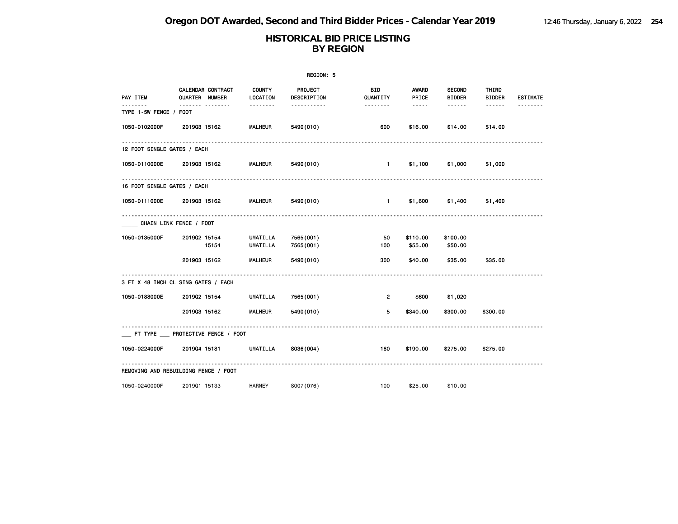|                             |                                      |                           | REGION: 5              |                        |                     |                                |                        |                 |
|-----------------------------|--------------------------------------|---------------------------|------------------------|------------------------|---------------------|--------------------------------|------------------------|-----------------|
| PAY ITEM                    | CALENDAR CONTRACT<br>QUARTER NUMBER  | <b>COUNTY</b><br>LOCATION | PROJECT<br>DESCRIPTION | <b>BID</b><br>QUANTITY | AWARD<br>PRICE      | <b>SECOND</b><br><b>BIDDER</b> | THIRD<br><b>BIDDER</b> | <b>ESTIMATE</b> |
| .<br>TYPE 1-5W FENCE / FOOT | ------- --------                     | .                         | -----------            | --------               | $\cdots \cdots$     | ------                         | $- - - - - -$          |                 |
| 1050-0102000F               | 201903 15162                         | <b>MALHEUR</b>            | 5490 (010)             | 600                    | \$16.00             | \$14.00                        | \$14.00                |                 |
| 12 FOOT SINGLE GATES / EACH |                                      |                           |                        |                        |                     |                                |                        |                 |
|                             | 1050-0110000E 2019Q3 15162           | <b>MALHEUR</b>            | 5490(010)              | $\sim$ 1               |                     | \$1,100 \$1,000                | \$1,000                |                 |
| 16 FOOT SINGLE GATES / EACH |                                      |                           |                        |                        |                     |                                |                        |                 |
|                             | 1050-0111000E 2019Q3 15162           | <b>MALHEUR</b>            | 5490 (010)             |                        |                     | \$1,600 \$1,400                | \$1,400                |                 |
|                             | CHAIN LINK FENCE / FOOT              |                           |                        |                        |                     |                                |                        |                 |
| 1050-0135000F               | 201902 15154<br>15154                | UMATILLA<br>UMATILLA      | 7565(001)<br>7565(001) | 50<br>100              | \$110.00<br>\$55.00 | \$100.00<br>\$50.00            |                        |                 |
|                             | 201903 15162                         | <b>MALHEUR</b>            | 5490 (010)             | 300                    | \$40.00             | \$35.00                        | \$35.00                |                 |
|                             | 3 FT X 48 INCH CL SING GATES / EACH  |                           |                        |                        |                     |                                |                        |                 |
| 1050-0188000E               | 201902 15154                         | UMATILLA                  | 7565(001)              | $\overline{2}$         | \$600               | \$1,020                        |                        |                 |
|                             | 201903 15162                         | <b>MALHEUR</b>            | 5490 (010)             | 5                      | \$340.00            | \$300.00                       | \$300.00               |                 |
|                             | FT TYPE PROTECTIVE FENCE / FOOT      |                           |                        |                        |                     |                                |                        |                 |
|                             | 1050-0224000F 201904 15181           | UMATILLA                  | S036(004)              | 180                    | \$190.00            | \$275.00                       | \$275.00               |                 |
|                             | REMOVING AND REBUILDING FENCE / FOOT |                           |                        |                        |                     |                                |                        |                 |
| 1050-0240000F               | 201901 15133                         | <b>HARNEY</b>             | S007(076)              | 100                    | \$25.00             | \$10.00                        |                        |                 |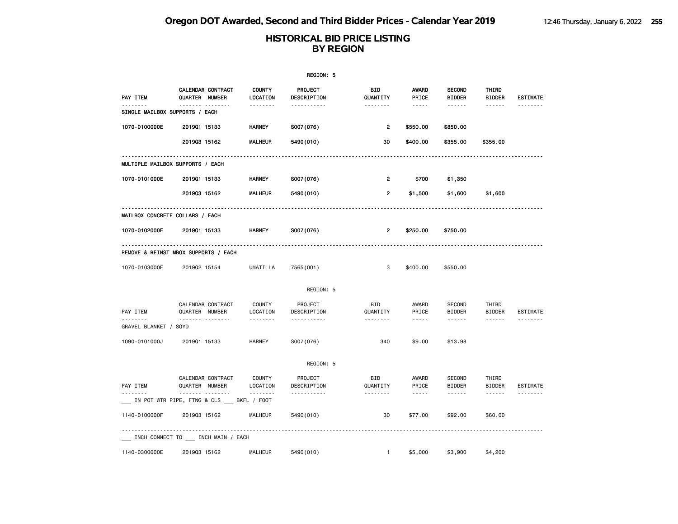|                                   |                                                      |                                       | REGION: 5                          |                             |                                      |                                |                                                                                                                                                                                                                                                                                                                                                                                                                                                                            |                             |
|-----------------------------------|------------------------------------------------------|---------------------------------------|------------------------------------|-----------------------------|--------------------------------------|--------------------------------|----------------------------------------------------------------------------------------------------------------------------------------------------------------------------------------------------------------------------------------------------------------------------------------------------------------------------------------------------------------------------------------------------------------------------------------------------------------------------|-----------------------------|
| PAY ITEM<br><u>.</u>              | CALENDAR CONTRACT<br>QUARTER NUMBER<br>.             | <b>COUNTY</b><br>LOCATION<br><u>.</u> | PROJECT<br>DESCRIPTION<br><u>.</u> | BID<br>QUANTITY<br><u>.</u> | <b>AWARD</b><br>PRICE<br>$- - - - -$ | <b>SECOND</b><br><b>BIDDER</b> | THIRD<br><b>BIDDER</b>                                                                                                                                                                                                                                                                                                                                                                                                                                                     | <b>ESTIMATE</b><br><u>.</u> |
| SINGLE MAILBOX SUPPORTS / EACH    |                                                      |                                       |                                    |                             |                                      |                                |                                                                                                                                                                                                                                                                                                                                                                                                                                                                            |                             |
| 1070-0100000E                     | 201901 15133                                         | <b>HARNEY</b>                         | S007(076)                          | 2                           | \$550.00                             | \$850.00                       |                                                                                                                                                                                                                                                                                                                                                                                                                                                                            |                             |
|                                   | 201903 15162                                         | <b>MALHEUR</b>                        | 5490 (010)                         | 30                          | \$400.00                             | \$355.00                       | \$355.00                                                                                                                                                                                                                                                                                                                                                                                                                                                                   |                             |
|                                   | MULTIPLE MAILBOX SUPPORTS / EACH                     |                                       |                                    |                             |                                      |                                |                                                                                                                                                                                                                                                                                                                                                                                                                                                                            |                             |
| 1070-0101000E                     | 201901 15133                                         | HARNEY                                | S007(076)                          | 2                           | \$700                                | \$1,350                        |                                                                                                                                                                                                                                                                                                                                                                                                                                                                            |                             |
|                                   | 201903 15162                                         | <b>MALHEUR</b>                        | 5490 (010)                         | $\overline{2}$              | \$1,500                              | \$1,600                        | \$1,600                                                                                                                                                                                                                                                                                                                                                                                                                                                                    |                             |
|                                   | MAILBOX CONCRETE COLLARS / EACH                      |                                       |                                    |                             |                                      |                                |                                                                                                                                                                                                                                                                                                                                                                                                                                                                            |                             |
| 1070-0102000E                     | 201901 15133                                         | HARNEY                                | S007(076)                          | 2                           | \$250.00                             | \$750.00                       |                                                                                                                                                                                                                                                                                                                                                                                                                                                                            |                             |
|                                   | REMOVE & REINST MBOX SUPPORTS / EACH                 |                                       |                                    |                             |                                      |                                |                                                                                                                                                                                                                                                                                                                                                                                                                                                                            |                             |
| 1070-0103000E                     | 201902 15154                                         | <b>UMATILLA</b>                       | 7565(001)                          | 3                           | \$400.00                             | \$550.00                       |                                                                                                                                                                                                                                                                                                                                                                                                                                                                            |                             |
|                                   |                                                      |                                       | REGION: 5                          |                             |                                      |                                |                                                                                                                                                                                                                                                                                                                                                                                                                                                                            |                             |
| PAY ITEM                          | CALENDAR CONTRACT<br>QUARTER NUMBER                  | <b>COUNTY</b><br>LOCATION             | PROJECT<br>DESCRIPTION             | BID<br>QUANTITY             | AWARD<br>PRICE                       | <b>SECOND</b><br><b>BIDDER</b> | THIRD<br><b>BIDDER</b>                                                                                                                                                                                                                                                                                                                                                                                                                                                     | ESTIMATE                    |
| <u>.</u><br>GRAVEL BLANKET / SQYD | .                                                    | .                                     | .                                  | .                           | $- - - - -$                          | $- - - - - -$                  |                                                                                                                                                                                                                                                                                                                                                                                                                                                                            | <u>.</u>                    |
| 1090-0101000J                     | 201901 15133                                         | <b>HARNEY</b>                         | S007(076)                          | 340                         | \$9.00                               | \$13.98                        |                                                                                                                                                                                                                                                                                                                                                                                                                                                                            |                             |
|                                   |                                                      |                                       | REGION: 5                          |                             |                                      |                                |                                                                                                                                                                                                                                                                                                                                                                                                                                                                            |                             |
| PAY ITEM                          | CALENDAR CONTRACT<br>QUARTER NUMBER                  | <b>COUNTY</b><br>LOCATION             | PROJECT<br>DESCRIPTION             | BID<br>QUANTITY             | AWARD<br>PRICE                       | <b>SECOND</b><br><b>BIDDER</b> | THIRD<br><b>BIDDER</b>                                                                                                                                                                                                                                                                                                                                                                                                                                                     | ESTIMATE                    |
|                                   | .<br>___ IN POT WTR PIPE, FTNG & CLS ___ BKFL / FOOT |                                       | .                                  |                             | $- - - - -$                          | $- - - - - -$                  | $\frac{1}{2} \left( \frac{1}{2} \right) \left( \frac{1}{2} \right) \left( \frac{1}{2} \right) \left( \frac{1}{2} \right) \left( \frac{1}{2} \right) \left( \frac{1}{2} \right) \left( \frac{1}{2} \right) \left( \frac{1}{2} \right) \left( \frac{1}{2} \right) \left( \frac{1}{2} \right) \left( \frac{1}{2} \right) \left( \frac{1}{2} \right) \left( \frac{1}{2} \right) \left( \frac{1}{2} \right) \left( \frac{1}{2} \right) \left( \frac{1}{2} \right) \left( \frac$ | <u>.</u>                    |
| 1140-0100000F                     | 201903 15162                                         | <b>MALHEUR</b>                        | 5490 (010)                         | 30                          | \$77.00                              | \$92.00                        | \$60.00                                                                                                                                                                                                                                                                                                                                                                                                                                                                    |                             |
|                                   | ___ INCH CONNECT TO ___ INCH MAIN / EACH             |                                       |                                    |                             |                                      |                                |                                                                                                                                                                                                                                                                                                                                                                                                                                                                            |                             |
| 1140-0300000E                     | 201903 15162                                         | <b>MALHEUR</b>                        | 5490 (010)                         | $\mathbf{1}$                | \$5,000                              | \$3,900                        | \$4,200                                                                                                                                                                                                                                                                                                                                                                                                                                                                    |                             |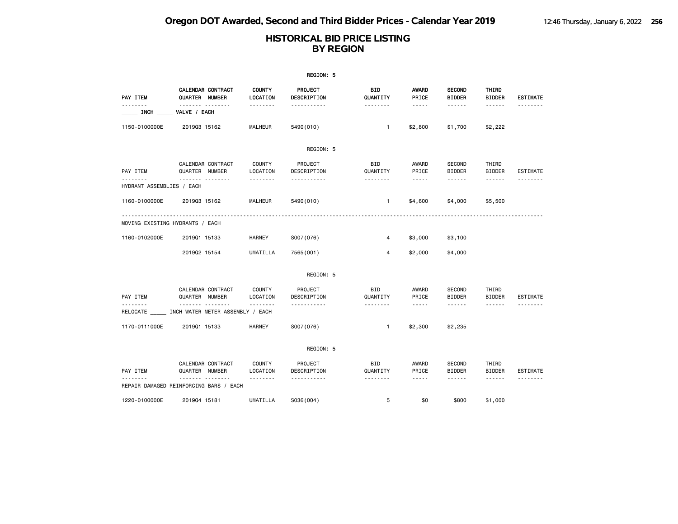|                               |                                                       |                           | REGION: 5              |                        |                                                                                                                                                      |                                |                        |                 |
|-------------------------------|-------------------------------------------------------|---------------------------|------------------------|------------------------|------------------------------------------------------------------------------------------------------------------------------------------------------|--------------------------------|------------------------|-----------------|
| PAY ITEM                      | CALENDAR CONTRACT<br>QUARTER NUMBER                   | <b>COUNTY</b><br>LOCATION | PROJECT<br>DESCRIPTION | BID<br>QUANTITY        | <b>AWARD</b><br>PRICE                                                                                                                                | <b>SECOND</b><br><b>BIDDER</b> | THIRD<br><b>BIDDER</b> | <b>ESTIMATE</b> |
| $\overline{\phantom{a}}$ inch | .<br>VALVE / EACH                                     | .                         | <u>.</u>               | <u>.</u>               | $- - - - -$                                                                                                                                          | ------                         | ------                 | <u>.</u>        |
| 1150-0100000E                 | 201903 15162                                          | <b>MALHEUR</b>            | 5490 (010)             | $\mathbf{1}$           | \$2,800                                                                                                                                              | \$1,700                        | \$2,222                |                 |
|                               |                                                       |                           | REGION: 5              |                        |                                                                                                                                                      |                                |                        |                 |
| PAY ITEM                      | CALENDAR CONTRACT<br>QUARTER NUMBER                   | COUNTY<br>LOCATION        | PROJECT<br>DESCRIPTION | <b>BID</b><br>QUANTITY | AWARD<br>PRICE                                                                                                                                       | SECOND<br><b>BIDDER</b>        | THIRD<br><b>BIDDER</b> | <b>ESTIMATE</b> |
| HYDRANT ASSEMBLIES / EACH     | .                                                     | --------                  | -----------            | --------               | $\cdots \cdots \cdots$                                                                                                                               | ------                         | ------                 |                 |
| 1160-0100000E                 | 201903 15162                                          | <b>MALHEUR</b>            | 5490 (010)             | $\mathbf{1}$           | \$4,600                                                                                                                                              | \$4,000                        | \$5,500                |                 |
|                               | MOVING EXISTING HYDRANTS / EACH                       |                           |                        |                        |                                                                                                                                                      |                                |                        |                 |
| 1160-0102000E                 | 201901 15133                                          | HARNEY                    | S007(076)              | 4                      | \$3,000                                                                                                                                              | \$3,100                        |                        |                 |
|                               | 201902 15154                                          | UMATILLA                  | 7565 (001)             | 4                      | \$2,000                                                                                                                                              | \$4,000                        |                        |                 |
|                               |                                                       |                           | REGION: 5              |                        |                                                                                                                                                      |                                |                        |                 |
| PAY ITEM                      | CALENDAR CONTRACT<br>QUARTER NUMBER                   | COUNTY<br>LOCATION        | PROJECT<br>DESCRIPTION | <b>BID</b><br>QUANTITY | AWARD<br>PRICE                                                                                                                                       | SECOND<br><b>BIDDER</b>        | THIRD<br><b>BIDDER</b> | <b>ESTIMATE</b> |
| .                             | .<br>RELOCATE ______ INCH WATER METER ASSEMBLY / EACH |                           | <u>.</u>               | --------               | $\frac{1}{2} \left( \frac{1}{2} \right) \left( \frac{1}{2} \right) \left( \frac{1}{2} \right) \left( \frac{1}{2} \right) \left( \frac{1}{2} \right)$ | <b>.</b>                       | ------                 |                 |
| 1170-0111000E                 | 201901 15133                                          | <b>HARNEY</b>             | S007(076)              | $\mathbf{1}$           | \$2,300                                                                                                                                              | \$2,235                        |                        |                 |
|                               |                                                       |                           | REGION: 5              |                        |                                                                                                                                                      |                                |                        |                 |
| PAY ITEM                      | CALENDAR CONTRACT<br>QUARTER NUMBER                   | <b>COUNTY</b><br>LOCATION | PROJECT<br>DESCRIPTION | BID<br>QUANTITY        | AWARD<br>PRICE                                                                                                                                       | SECOND<br><b>BIDDER</b>        | THIRD<br><b>BIDDER</b> | <b>ESTIMATE</b> |
|                               | .<br>REPAIR DAMAGED REINFORCING BARS / EACH           | --------                  | .                      | --------               | $\sim$ $\sim$ $\sim$ $\sim$ $\sim$                                                                                                                   | ------                         | ------                 | .               |
| 1220-0100000E                 | 201904 15181                                          | <b>UMATILLA</b>           | S036(004)              | 5                      | \$0                                                                                                                                                  | \$800                          | \$1,000                |                 |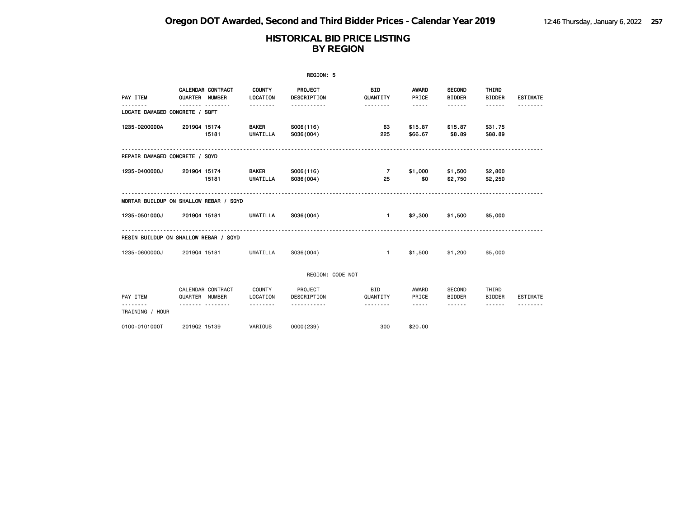|                                        |                                     |       |                                 | REGION: 5              |                        |                    |                                |                        |                 |
|----------------------------------------|-------------------------------------|-------|---------------------------------|------------------------|------------------------|--------------------|--------------------------------|------------------------|-----------------|
| PAY ITEM                               | CALENDAR CONTRACT<br>QUARTER NUMBER |       | <b>COUNTY</b><br>LOCATION       | PROJECT<br>DESCRIPTION | <b>BID</b><br>QUANTITY | AWARD<br>PRICE     | <b>SECOND</b><br><b>BIDDER</b> | THIRD<br><b>BIDDER</b> | <b>ESTIMATE</b> |
| LOCATE DAMAGED CONCRETE / SQFT         | ------- --------                    |       | .                               | .                      | .                      | $- - - - -$        | .                              |                        |                 |
| 1235-0200000A                          | 201904 15174                        | 15181 | <b>BAKER</b><br><b>UMATILLA</b> | S006(116)<br>S036(004) | 63<br>225              | \$15.87<br>\$66.67 | \$15.87<br>\$8.89              | \$31.75<br>\$88.89     |                 |
| REPAIR DAMAGED CONCRETE / SQYD         |                                     |       |                                 |                        |                        |                    |                                |                        |                 |
| 1235-0400000J                          | 201904 15174                        | 15181 | <b>BAKER</b><br>UMATILLA        | S006(116)<br>S036(004) | $\overline{7}$<br>25   | \$1,000<br>\$0     | \$1,500 \$2,800<br>\$2,750     | \$2,250                |                 |
| MORTAR BUILDUP ON SHALLOW REBAR / SQYD |                                     |       |                                 |                        |                        |                    |                                |                        |                 |
| 1235-0501000J                          | 201904 15181                        |       | UMATILLA                        | S036(004)              | 1                      |                    | \$2,300 \$1,500                | \$5,000                |                 |
| RESIN BUILDUP ON SHALLOW REBAR / SQYD  |                                     |       |                                 |                        |                        |                    |                                |                        |                 |
| 1235-0600000J                          | 201904 15181                        |       | UMATILLA                        | S036(004)              | $\mathbf{1}$           | \$1,500            | \$1,200                        | \$5,000                |                 |
|                                        |                                     |       |                                 | REGION: CODE NOT       |                        |                    |                                |                        |                 |
| PAY ITEM                               | CALENDAR CONTRACT<br>QUARTER NUMBER |       | COUNTY<br>LOCATION              | PROJECT<br>DESCRIPTION | BID<br>QUANTITY        | AWARD<br>PRICE     | SECOND<br><b>BIDDER</b>        | THIRD<br><b>BIDDER</b> | <b>ESTIMATE</b> |
| <u>.</u><br>TRAINING / HOUR            | <u>.</u>                            |       | --------                        | <u>.</u>               | --------               | $- - - - -$        | ------                         | $- - - - - -$          |                 |
| 0100-0101000T                          | 201902 15139                        |       | VARIOUS                         | 0000(239)              | 300                    | \$20.00            |                                |                        |                 |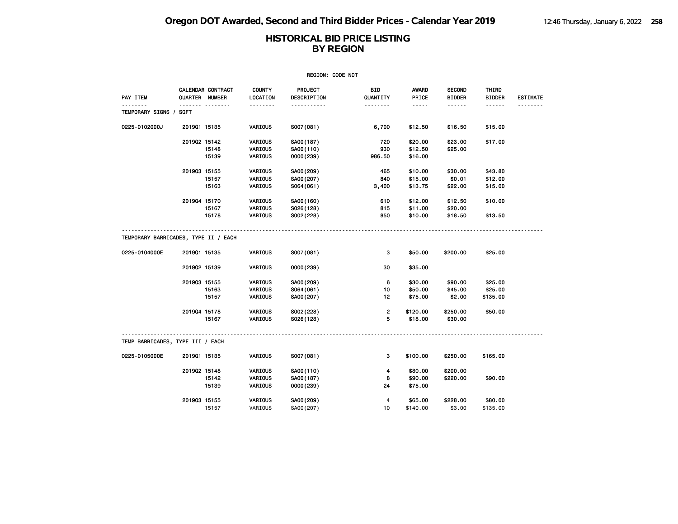| REGION: CODE NOT                                      |              |                                     |                           |                        |                         |                       |                                |                        |                 |  |
|-------------------------------------------------------|--------------|-------------------------------------|---------------------------|------------------------|-------------------------|-----------------------|--------------------------------|------------------------|-----------------|--|
| PAY ITEM                                              |              | CALENDAR CONTRACT<br>QUARTER NUMBER | <b>COUNTY</b><br>LOCATION | PROJECT<br>DESCRIPTION | BID<br>QUANTITY         | <b>AWARD</b><br>PRICE | <b>SECOND</b><br><b>BIDDER</b> | THIRD<br><b>BIDDER</b> | <b>ESTIMATE</b> |  |
| .                                                     |              | . <sub>.</sub>                      | <u>.</u>                  | .                      | .                       | $- - - - -$           | ------                         | ------                 |                 |  |
| TEMPORARY SIGNS / SQFT                                |              |                                     |                           |                        |                         |                       |                                |                        |                 |  |
| 0225-0102000J                                         | 201901 15135 |                                     | VARIOUS                   | S007(081)              | 6,700                   | \$12.50               | \$16.50                        | \$15.00                |                 |  |
|                                                       | 201902 15142 |                                     | VARIOUS                   | SA00(187)              | 720                     | \$20.00               | \$23.00                        | \$17.00                |                 |  |
|                                                       |              | 15148                               | VARIOUS                   | SA00(110)              | 930                     | \$12.50               | \$25.00                        |                        |                 |  |
|                                                       |              | 15139                               | VARIOUS                   | 0000 (239)             | 986.50                  | \$16.00               |                                |                        |                 |  |
|                                                       | 201903 15155 |                                     | VARIOUS                   | SA00(209)              | 465                     | \$10.00               | \$30.00                        | \$43.80                |                 |  |
|                                                       |              | 15157                               | VARIOUS                   | SA00(207)              | 840                     | \$15.00               | \$0.01                         | \$12.00                |                 |  |
|                                                       |              | 15163                               | VARIOUS                   | S064(061)              | 3,400                   | \$13.75               | \$22.00                        | \$15.00                |                 |  |
|                                                       | 201904 15170 |                                     | VARIOUS                   | SA00(160)              | 610                     | \$12.00               | \$12.50                        | \$10.00                |                 |  |
|                                                       |              | 15167                               | VARIOUS                   | S026(128)              | 815                     | \$11.00               | \$20.00                        |                        |                 |  |
|                                                       |              | 15178                               | VARIOUS                   | S002(228)              | 850                     | \$10.00               | \$18.50                        | \$13.50                |                 |  |
| TEMPORARY BARRICADES, TYPE II / EACH<br>0225-0104000E |              |                                     |                           |                        |                         |                       |                                | \$25,00                |                 |  |
|                                                       | 201901 15135 |                                     | VARIOUS                   | S007(081)              | 3                       | \$50.00               | \$200.00                       |                        |                 |  |
|                                                       | 201902 15139 |                                     | VARIOUS                   | 0000 (239)             | 30                      | \$35.00               |                                |                        |                 |  |
|                                                       | 201903 15155 |                                     | VARIOUS                   | SA00(209)              | 6                       | \$30.00               | \$90.00                        | \$25.00                |                 |  |
|                                                       |              | 15163                               | VARIOUS                   | S064(061)              | 10                      | \$50.00               | \$45.00                        | \$25.00                |                 |  |
|                                                       |              | 15157                               | VARIOUS                   | SA00(207)              | 12                      | \$75.00               | \$2.00                         | \$135.00               |                 |  |
|                                                       | 201904 15178 |                                     | VARIOUS                   | S002(228)              | $\overline{\mathbf{c}}$ | \$120.00              | \$250.00                       | \$50.00                |                 |  |
|                                                       |              | 15167                               | VARIOUS                   | S026(128)              | 5                       | \$18.00               | \$30.00                        |                        |                 |  |
| TEMP BARRICADES, TYPE III / EACH                      |              |                                     |                           |                        |                         |                       |                                |                        |                 |  |
| 0225-0105000E                                         | 201901 15135 |                                     | VARIOUS                   | S007(081)              | 3                       | \$100.00              | \$250.00                       | \$165.00               |                 |  |
|                                                       | 201902 15148 |                                     | VARIOUS                   | SA00(110)              | 4                       | \$80.00               | \$200.00                       |                        |                 |  |
|                                                       |              | 15142                               | VARIOUS                   | SA00(187)              | 8                       | \$90.00               | \$220.00                       | \$90.00                |                 |  |
|                                                       |              | 15139                               | VARIOUS                   | 0000 (239)             | 24                      | \$75.00               |                                |                        |                 |  |
|                                                       | 201903 15155 |                                     | VARIOUS                   | SA00(209)              | 4                       | \$65.00               | \$228.00                       | \$80.00                |                 |  |
|                                                       |              | 15157                               | VARIOUS                   | SA00(207)              | 10                      | \$140.00              | \$3.00                         | \$135.00               |                 |  |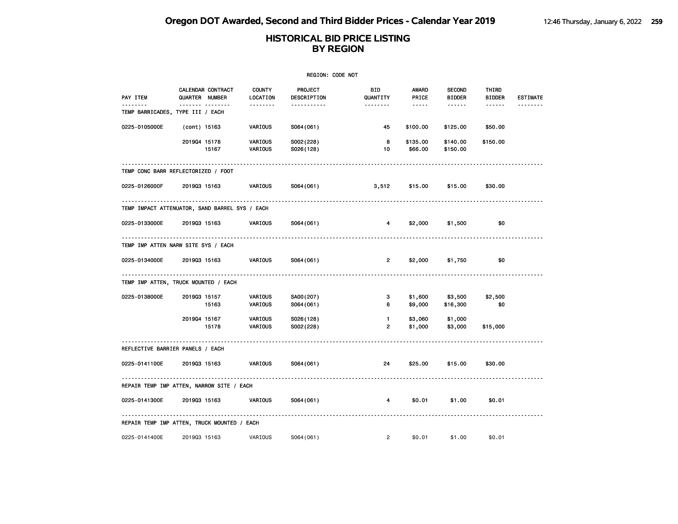| REGION: CODE NOT                               |              |                                     |                           |                               |                                |                     |                                |                        |                 |  |
|------------------------------------------------|--------------|-------------------------------------|---------------------------|-------------------------------|--------------------------------|---------------------|--------------------------------|------------------------|-----------------|--|
| PAY ITEM                                       |              | CALENDAR CONTRACT<br>QUARTER NUMBER | <b>COUNTY</b><br>LOCATION | <b>PROJECT</b><br>DESCRIPTION | BID<br>QUANTITY                | AWARD<br>PRICE      | <b>SECOND</b><br><b>BIDDER</b> | THIRD<br><b>BIDDER</b> | <b>ESTIMATE</b> |  |
| TEMP BARRICADES, TYPE III / EACH               |              | ------- --------                    | --------                  | .                             | --------                       | $- - - - -$         | ------                         | ------                 |                 |  |
| 0225-0105000E                                  | (cont) 15163 |                                     | VARIOUS                   | S064(061)                     | 45                             | \$100.00            | \$125.00                       | \$50.00                |                 |  |
|                                                | 201904 15178 | 15167                               | VARIOUS<br>VARIOUS        | S002(228)<br>S026(128)        | 8<br>10                        | \$135.00<br>\$66.00 | \$140.00<br>\$150.00           | \$150.00               |                 |  |
| TEMP CONC BARR REFLECTORIZED / FOOT            |              |                                     |                           |                               |                                |                     |                                |                        |                 |  |
| 0225-0126000F                                  | 201903 15163 |                                     | VARIOUS                   | S064(061)                     | 3,512                          | \$15.00             | \$15.00                        | \$30.00                |                 |  |
| TEMP IMPACT ATTENUATOR, SAND BARREL SYS / EACH |              |                                     |                           |                               |                                |                     |                                |                        |                 |  |
| 0225-0133000E                                  | 201903 15163 |                                     | <b>VARIOUS</b>            | S064 (061)                    | $\overline{4}$                 | \$2,000             | \$1,500                        | \$0                    |                 |  |
| TEMP IMP ATTEN NARW SITE SYS / EACH            |              |                                     |                           |                               |                                |                     |                                |                        |                 |  |
| 0225-0134000E                                  |              | 201903 15163                        | VARIOUS                   | S064(061)                     | $\overline{2}$                 | \$2,000             | \$1,750                        | \$0                    |                 |  |
| TEMP IMP ATTEN, TRUCK MOUNTED / EACH           |              |                                     |                           |                               |                                |                     |                                |                        |                 |  |
| 0225-0138000E                                  | 201903 15157 | 15163                               | VARIOUS<br>VARIOUS        | SA00(207)<br>S064(061)        | 3<br>6                         | \$1,600<br>\$9,000  | \$3,500<br>\$16,300            | \$2,500<br>\$0         |                 |  |
|                                                | 201904 15167 | 15178                               | VARIOUS<br>VARIOUS        | S026(128)<br>S002(228)        | $\mathbf{1}$<br>$\overline{2}$ | \$3,060<br>\$1,000  | \$1,000<br>\$3,000             | \$15,000               |                 |  |
| REFLECTIVE BARRIER PANELS / EACH               |              |                                     |                           |                               |                                |                     |                                |                        |                 |  |
| 0225-0141100E                                  | 201903 15163 |                                     | VARIOUS                   | S064(061)                     | 24                             | \$25.00             | \$15.00                        | \$30.00                |                 |  |
| REPAIR TEMP IMP ATTEN, NARROW SITE / EACH      |              |                                     |                           |                               |                                |                     |                                |                        |                 |  |
| 0225-0141300E                                  | 201903 15163 |                                     | VARIOUS                   | S064(061)                     | 4                              | \$0.01              | \$1.00                         | \$0.01                 |                 |  |
| REPAIR TEMP IMP ATTEN, TRUCK MOUNTED / EACH    |              |                                     |                           |                               |                                |                     |                                |                        |                 |  |
| 0225-0141400E                                  | 201903 15163 |                                     | VARIOUS                   | S064(061)                     | $\overline{2}$                 | \$0.01              | \$1.00                         | \$0.01                 |                 |  |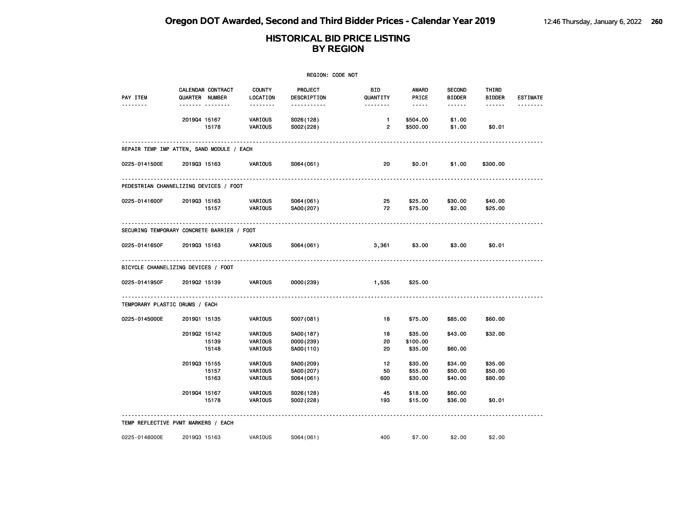| REGION: CODE NOT                           |                |                                     |                                       |                                              |                                |                                          |                                          |                                  |                 |
|--------------------------------------------|----------------|-------------------------------------|---------------------------------------|----------------------------------------------|--------------------------------|------------------------------------------|------------------------------------------|----------------------------------|-----------------|
| PAY ITEM                                   | QUARTER NUMBER | CALENDAR CONTRACT<br>. <sub>.</sub> | <b>COUNTY</b><br>LOCATION<br>-------- | <b>PROJECT</b><br>DESCRIPTION<br>----------- | BID.<br>QUANTITY<br>--------   | AWARD<br>PRICE<br>$\cdots \cdots \cdots$ | <b>SECOND</b><br><b>BIDDER</b><br>------ | THIRD<br><b>BIDDER</b><br>------ | <b>ESTIMATE</b> |
|                                            | 201904 15167   | 15178                               | <b>VARIOUS</b><br>VARIOUS             | S026(128)<br>S002(228)                       | $\mathbf{1}$<br>$\overline{2}$ | \$504.00<br>\$500.00                     | \$1.00<br>\$1.00                         | \$0.01                           |                 |
| REPAIR TEMP IMP ATTEN, SAND MODULE / EACH  |                |                                     |                                       |                                              |                                |                                          |                                          |                                  |                 |
| 0225-0141500E                              | 201903 15163   |                                     | <b>VARIOUS</b>                        | S064(061)                                    | 20                             | \$0.01                                   | \$1.00                                   | \$300.00                         |                 |
| PEDESTRIAN CHANNELIZING DEVICES / FOOT     |                |                                     |                                       |                                              |                                |                                          |                                          |                                  |                 |
| 0225-0141600F                              | 201903 15163   | 15157                               | VARIOUS<br>VARIOUS                    | S064(061)<br>SA00(207)                       | 25<br>72                       | \$25.00<br>\$75.00                       | \$30.00<br>\$2.00                        | \$40.00<br>\$25.00               |                 |
| SECURING TEMPORARY CONCRETE BARRIER / FOOT |                |                                     |                                       |                                              |                                |                                          |                                          |                                  |                 |
| 0225-0141650F                              | 201903 15163   |                                     | VARIOUS                               | S064(061)                                    | 3,361                          | \$3.00                                   | \$3.00                                   | \$0.01                           |                 |
| BICYCLE CHANNELIZING DEVICES / FOOT        |                |                                     |                                       |                                              |                                |                                          |                                          |                                  |                 |
| 0225-0141950F                              | 201902 15139   |                                     | VARIOUS                               | 0000 (239)                                   | 1,535                          | \$25.00                                  |                                          |                                  |                 |
| TEMPORARY PLASTIC DRUMS / EACH             |                |                                     |                                       |                                              |                                |                                          |                                          |                                  |                 |
| 0225-0145000E                              | 201901 15135   |                                     | VARIOUS                               | S007(081)                                    | 18                             | \$75.00                                  | \$85.00                                  | \$60.00                          |                 |
|                                            | 201902 15142   | 15139<br>15148                      | VARIOUS<br>VARIOUS<br>VARIOUS         | SA00(187)<br>0000 (239)<br>SA00(110)         | 18<br>20<br>20                 | \$35.00<br>\$100.00<br>\$35.00           | \$43.00<br>\$60.00                       | \$32.00                          |                 |
|                                            | 201903 15155   | 15157<br>15163                      | VARIOUS<br>VARIOUS<br>VARIOUS         | SA00(209)<br>SA00(207)<br>S064(061)          | 12<br>50<br>600                | \$30.00<br>\$55.00<br>\$30.00            | \$34.00<br>\$50.00<br>\$40.00            | \$35.00<br>\$50.00<br>\$80.00    |                 |
|                                            | 201904 15167   | 15178                               | VARIOUS<br>VARIOUS                    | S026(128)<br>S002(228)                       | 45<br>193                      | \$18.00<br>\$15.00                       | \$60.00<br>\$36.00                       | \$0.01                           |                 |
| TEMP REFLECTIVE PVMT MARKERS / EACH        |                |                                     |                                       |                                              |                                |                                          |                                          |                                  |                 |
| 0225-0148000E                              | 201903 15163   |                                     | VARIOUS                               | S064(061)                                    | 400                            | \$7.00                                   | \$2.00                                   | \$2.00                           |                 |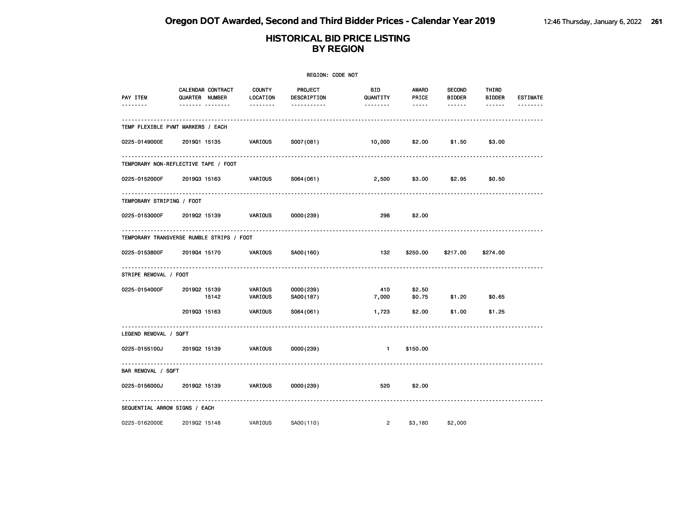|                                           |                |                                              |                                       | REGION: CODE NOT                      |                             |                         |                                          |                                  |                      |
|-------------------------------------------|----------------|----------------------------------------------|---------------------------------------|---------------------------------------|-----------------------------|-------------------------|------------------------------------------|----------------------------------|----------------------|
| PAY ITEM<br>-------                       | QUARTER NUMBER | CALENDAR CONTRACT<br><u>------- --------</u> | <b>COUNTY</b><br>LOCATION<br>-------- | PROJECT<br>DESCRIPTION<br>----------- | BID<br>QUANTITY<br>-------- | AWARD<br>PRICE<br>----- | <b>SECOND</b><br><b>BIDDER</b><br>------ | THIRD<br><b>BIDDER</b><br>------ | <b>ESTIMATE</b><br>. |
| TEMP FLEXIBLE PVMT MARKERS / EACH         |                |                                              |                                       |                                       |                             |                         |                                          |                                  |                      |
| 0225-0149000E                             | 201901 15135   |                                              | VARIOUS                               | S007(081)                             | 10,000                      | \$2.00                  | \$1.50                                   | \$3.00                           |                      |
| TEMPORARY NON-REFLECTIVE TAPE / FOOT      |                |                                              |                                       |                                       |                             |                         |                                          |                                  |                      |
| 0225-0152000F                             | 201903 15163   |                                              | VARIOUS                               | S064(061)                             | 2,500                       | \$3.00                  | \$2.95                                   | \$0.50                           |                      |
| TEMPORARY STRIPING / FOOT                 |                |                                              |                                       |                                       |                             |                         |                                          |                                  |                      |
| 0225-0153000F                             | 201902 15139   |                                              | VARIOUS                               | 0000(239)                             | 298                         | \$2.00                  |                                          |                                  |                      |
| TEMPORARY TRANSVERSE RUMBLE STRIPS / FOOT |                |                                              |                                       |                                       |                             |                         |                                          |                                  |                      |
| 0225-0153800F                             | 201904 15170   |                                              | VARIOUS                               | SA00(160)                             | 132                         | \$250.00                | \$217.00                                 | \$274.00                         |                      |
| STRIPE REMOVAL / FOOT                     |                |                                              |                                       |                                       |                             |                         |                                          |                                  |                      |
| 0225-0154000F                             | 201902 15139   | 15142                                        | VARIOUS<br>VARIOUS                    | 0000(239)<br>SA00(187)                | 410<br>7,000                | \$2.50<br>\$0.75        | \$1.20                                   | \$0.65                           |                      |
|                                           | 201903 15163   |                                              | VARIOUS                               | S064(061)                             | 1,723                       | \$2.00                  | \$1.00                                   | \$1.25                           |                      |
| LEGEND REMOVAL / SQFT                     |                |                                              |                                       |                                       |                             |                         |                                          |                                  |                      |
| 0225-0155100J                             | 201902 15139   |                                              | VARIOUS                               | 0000 (239)                            | $\mathbf{1}$                | \$150.00                |                                          |                                  |                      |
| BAR REMOVAL / SQFT                        |                |                                              |                                       |                                       |                             |                         |                                          |                                  |                      |
| 0225-0156000J                             | 201902 15139   |                                              | VARIOUS                               | 0000(239)                             | 520                         | \$2.00                  |                                          |                                  |                      |
| SEQUENTIAL ARROW SIGNS / EACH             |                |                                              |                                       |                                       |                             |                         |                                          |                                  |                      |
| 0225-0162000E                             | 201902 15148   |                                              | VARIOUS                               | SA00(110)                             | $\overline{2}$              | \$3,180                 | \$2,000                                  |                                  |                      |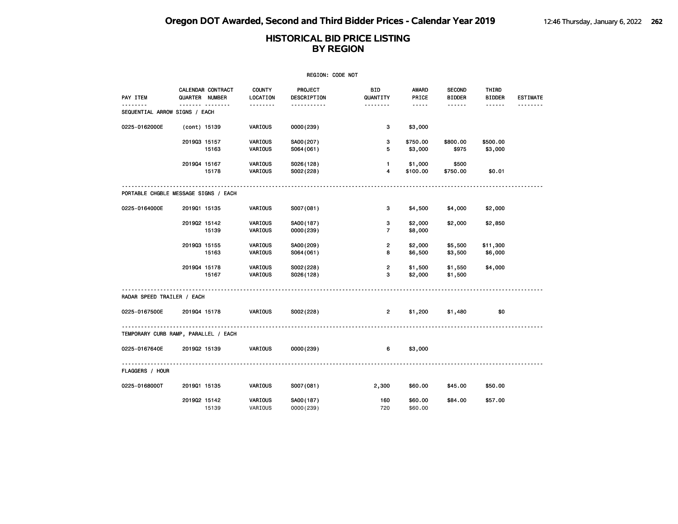| REGION: CODE NOT              |                                      |                           |                        |                        |                       |                                |                        |                 |  |  |  |
|-------------------------------|--------------------------------------|---------------------------|------------------------|------------------------|-----------------------|--------------------------------|------------------------|-----------------|--|--|--|
| PAY ITEM                      | CALENDAR CONTRACT<br>QUARTER NUMBER  | <b>COUNTY</b><br>LOCATION | PROJECT<br>DESCRIPTION | <b>BID</b><br>QUANTITY | <b>AWARD</b><br>PRICE | <b>SECOND</b><br><b>BIDDER</b> | THIRD<br><b>BIDDER</b> | <b>ESTIMATE</b> |  |  |  |
| SEQUENTIAL ARROW SIGNS / EACH | .                                    | .                         | .                      | .                      | -----                 | .                              | ------                 |                 |  |  |  |
| 0225-0162000E                 | (cont) 15139                         | VARIOUS                   | 0000 (239)             | 3                      | \$3,000               |                                |                        |                 |  |  |  |
|                               | 201903 15157<br>15163                | VARIOUS<br>VARIOUS        | SA00(207)<br>S064(061) | 3<br>5                 | \$750.00<br>\$3,000   | \$800.00<br>\$975              | \$500.00<br>\$3,000    |                 |  |  |  |
|                               | 201904 15167<br>15178                | VARIOUS<br>VARIOUS        | S026(128)<br>S002(228) | $\mathbf{1}$<br>4      | \$1,000<br>\$100.00   | \$500<br>\$750.00              | \$0.01                 |                 |  |  |  |
|                               | PORTABLE CHGBLE MESSAGE SIGNS / EACH |                           |                        |                        |                       |                                |                        |                 |  |  |  |
| 0225-0164000E                 | 201901 15135                         | VARIOUS                   | S007(081)              | 3                      | \$4,500               | \$4,000                        | \$2,000                |                 |  |  |  |
|                               | 201902 15142<br>15139                | VARIOUS<br>VARIOUS        | SA00(187)<br>0000(239) | з<br>$\overline{7}$    | \$2,000<br>\$8,000    | \$2,000                        | \$2,850                |                 |  |  |  |
|                               | 201903 15155<br>15163                | VARIOUS<br>VARIOUS        | SA00(209)<br>S064(061) | 2<br>8                 | \$2,000<br>\$6,500    | \$5,500<br>\$3,500             | \$11,300<br>\$6,000    |                 |  |  |  |
|                               | 201904 15178<br>15167                | VARIOUS<br>VARIOUS        | S002(228)<br>S026(128) | $\overline{2}$<br>3    | \$1,500<br>\$2,000    | \$1,550<br>\$1,500             | \$4,000                |                 |  |  |  |
| RADAR SPEED TRAILER / EACH    |                                      |                           |                        |                        |                       |                                |                        |                 |  |  |  |
| 0225-0167500E                 | 201904 15178                         | <b>VARIOUS</b>            | S002(228)              | $\overline{2}$         | \$1,200               | \$1,480                        | \$0                    |                 |  |  |  |
|                               | TEMPORARY CURB RAMP, PARALLEL / EACH |                           |                        |                        |                       |                                |                        |                 |  |  |  |
| 0225-0167640E                 | 201902 15139                         | VARIOUS                   | 0000 (239)             | 6                      | \$3,000               |                                |                        |                 |  |  |  |
| FLAGGERS / HOUR               |                                      |                           |                        |                        |                       |                                |                        |                 |  |  |  |
| 0225-0168000T                 | 201901 15135                         | VARIOUS                   | S007(081)              | 2,300                  | \$60.00               | \$45.00                        | \$50.00                |                 |  |  |  |
|                               | 201902 15142<br>15139                | VARIOUS<br>VARIOUS        | SA00(187)<br>0000(239) | 160<br>720             | \$60.00<br>\$60.00    | \$84.00                        | \$57.00                |                 |  |  |  |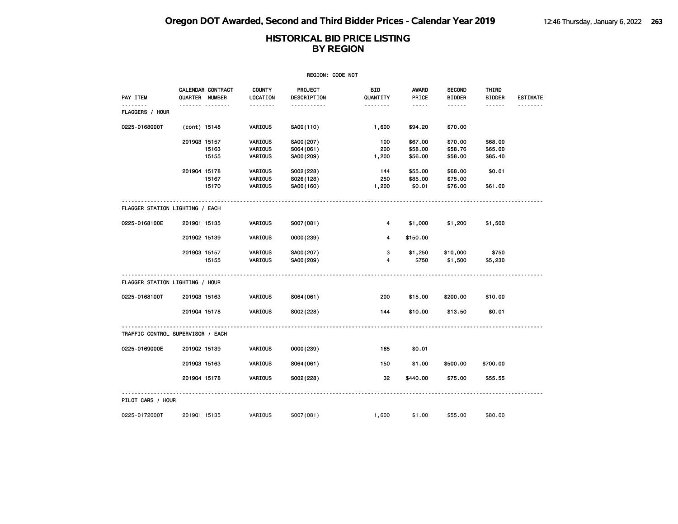| REGION: CODE NOT                  |                |                   |                           |                        |                        |                        |                                |                        |                 |  |
|-----------------------------------|----------------|-------------------|---------------------------|------------------------|------------------------|------------------------|--------------------------------|------------------------|-----------------|--|
| PAY ITEM                          | QUARTER NUMBER | CALENDAR CONTRACT | <b>COUNTY</b><br>LOCATION | PROJECT<br>DESCRIPTION | <b>BID</b><br>QUANTITY | <b>AWARD</b><br>PRICE  | <b>SECOND</b><br><b>BIDDER</b> | THIRD<br><b>BIDDER</b> | <b>ESTIMATE</b> |  |
| FLAGGERS / HOUR                   |                | <b>.</b>          | --------                  | .                      | --------               | $\cdots \cdots \cdots$ | ------                         | ------                 |                 |  |
| 0225-0168000T                     | (cont) 15148   |                   | VARIOUS                   | SA00(110)              | 1,600                  | \$94.20                | \$70.00                        |                        |                 |  |
|                                   | 201903 15157   |                   | VARIOUS                   | SA00(207)              | 100                    | \$67.00                | \$70.00                        | \$68.00                |                 |  |
|                                   |                | 15163             | VARIOUS                   | S064(061)              | 200                    | \$58.00                | \$58.76                        | \$65.00                |                 |  |
|                                   |                | 15155             | VARIOUS                   | SA00(209)              | 1,200                  | \$56.00                | \$58.00                        | \$85.40                |                 |  |
|                                   | 201904 15178   |                   | VARIOUS                   | S002(228)              | 144                    | \$55.00                | \$68.00                        | \$0.01                 |                 |  |
|                                   |                | 15167             | VARIOUS                   | S026(128)              | 250                    | \$85.00                | \$75.00                        |                        |                 |  |
|                                   |                | 15170             | VARIOUS                   | SA00(160)              | 1,200                  | \$0.01                 | \$76.00                        | \$61.00                |                 |  |
| FLAGGER STATION LIGHTING / EACH   |                |                   |                           |                        |                        |                        |                                |                        |                 |  |
| 0225-0168100E                     | 201901 15135   |                   | VARIOUS                   | S007(081)              | 4                      | \$1,000                | \$1,200                        | \$1,500                |                 |  |
|                                   | 201902 15139   |                   | VARIOUS                   | 0000(239)              | 4                      | \$150.00               |                                |                        |                 |  |
|                                   | 201903 15157   |                   | VARIOUS                   | SA00(207)              | з                      | \$1,250                | \$10,000                       | \$750                  |                 |  |
|                                   |                | 15155             | VARIOUS                   | SA00(209)              | 4                      | \$750                  | \$1,500                        | \$5,230                |                 |  |
| FLAGGER STATION LIGHTING / HOUR   |                |                   |                           |                        |                        |                        |                                |                        |                 |  |
|                                   |                |                   |                           |                        |                        |                        |                                |                        |                 |  |
| 0225-0168100T                     | 201903 15163   |                   | VARIOUS                   | S064(061)              | 200                    | \$15.00                | \$200.00                       | \$10.00                |                 |  |
|                                   | 201904 15178   |                   | VARIOUS                   | S002(228)              | 144                    | \$10.00                | \$13.50                        | \$0.01                 |                 |  |
| TRAFFIC CONTROL SUPERVISOR / EACH |                |                   |                           |                        |                        |                        |                                |                        |                 |  |
| 0225-0169000E                     | 201902 15139   |                   | VARIOUS                   | 0000(239)              | 165                    | \$0.01                 |                                |                        |                 |  |
|                                   | 201903 15163   |                   | VARIOUS                   | S064(061)              | 150                    | \$1.00                 | \$500.00                       | \$700.00               |                 |  |
|                                   | 201904 15178   |                   | VARIOUS                   | S002(228)              | 32                     | \$440.00               | \$75.00                        | \$55.55                |                 |  |
| PILOT CARS / HOUR                 |                |                   |                           |                        |                        |                        |                                |                        |                 |  |
| 0225-0172000T                     | 201901 15135   |                   | VARIOUS                   | S007(081)              | 1,600                  | \$1.00                 | \$55.00                        | \$80,00                |                 |  |
|                                   |                |                   |                           |                        |                        |                        |                                |                        |                 |  |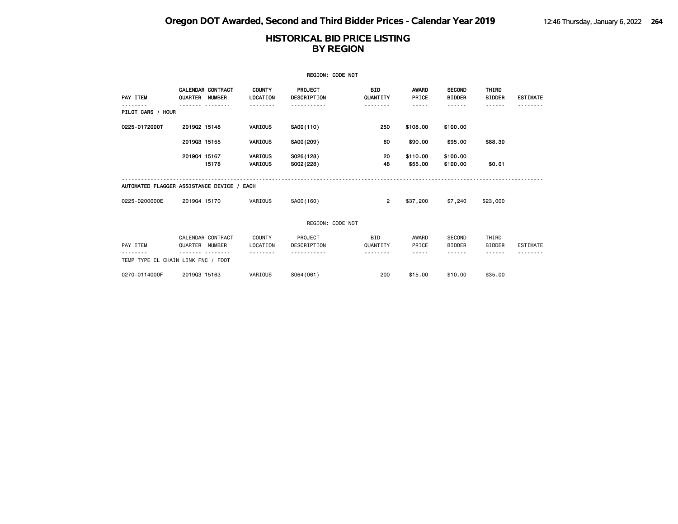|                                            |                |                          |                           | <b>REGION: CODE NOT</b>       |                        |                     |                                |                        |                 |
|--------------------------------------------|----------------|--------------------------|---------------------------|-------------------------------|------------------------|---------------------|--------------------------------|------------------------|-----------------|
| PAY ITEM                                   | QUARTER NUMBER | <b>CALENDAR CONTRACT</b> | <b>COUNTY</b><br>LOCATION | PROJECT<br><b>DESCRIPTION</b> | <b>BID</b><br>QUANTITY | AWARD<br>PRICE      | <b>SECOND</b><br><b>BIDDER</b> | THIRD<br><b>BIDDER</b> | <b>ESTIMATE</b> |
| PILOT CARS / HOUR                          |                |                          |                           |                               |                        | -----               | - - - - - -                    | ------                 |                 |
| 0225-0172000T                              | 201902 15148   |                          | VARIOUS                   | SA00(110)                     | 250                    | \$108.00            | \$100.00                       |                        |                 |
|                                            | 201903 15155   |                          | VARIOUS                   | SA00(209)                     | 60                     | \$90.00             | \$95.00                        | \$88.30                |                 |
|                                            | 201904 15167   | 15178                    | <b>VARIOUS</b><br>VARIOUS | S026(128)<br>S002(228)        | 20<br>48               | \$110.00<br>\$55.00 | \$100.00<br>\$100.00           | \$0.01                 |                 |
| AUTOMATED FLAGGER ASSISTANCE DEVICE / EACH |                |                          |                           |                               |                        |                     |                                |                        |                 |
| 0225-0200000E                              | 201904 15170   |                          | VARIOUS                   | SA00(160)                     | $\overline{2}$         | \$37,200            | \$7,240                        | \$23,000               |                 |
|                                            |                |                          |                           | REGION: CODE NOT              |                        |                     |                                |                        |                 |
| PAY ITEM                                   | QUARTER NUMBER | CALENDAR CONTRACT        | COUNTY<br>LOCATION        | PROJECT<br>DESCRIPTION        | <b>BID</b><br>QUANTITY | AWARD<br>PRICE      | SECOND<br><b>BIDDER</b>        | THIRD<br><b>BIDDER</b> | <b>ESTIMATE</b> |
| TEMP TYPE CL CHAIN LINK FNC / FOOT         |                |                          |                           |                               |                        |                     |                                |                        |                 |
| 0270-0114000F                              | 201903 15163   |                          | VARIOUS                   | S064(061)                     | 200                    | \$15.00             | \$10.00                        | \$35.00                |                 |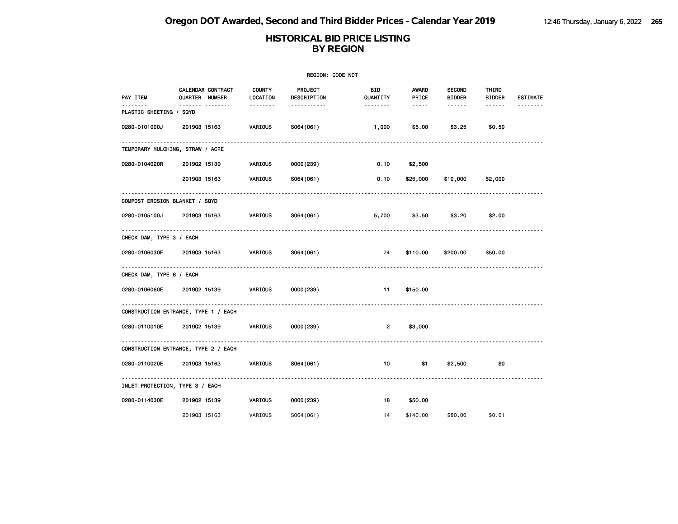| REGION: CODE NOT                     |                  |                          |                           |                               |                 |                        |                                |                        |                 |  |
|--------------------------------------|------------------|--------------------------|---------------------------|-------------------------------|-----------------|------------------------|--------------------------------|------------------------|-----------------|--|
| PAY ITEM                             | QUARTER NUMBER   | <b>CALENDAR CONTRACT</b> | <b>COUNTY</b><br>LOCATION | <b>PROJECT</b><br>DESCRIPTION | BID<br>QUANTITY | <b>AWARD</b><br>PRICE  | <b>SECOND</b><br><b>BIDDER</b> | THIRD<br><b>BIDDER</b> | <b>ESTIMATE</b> |  |
| .<br>PLASTIC SHEETING / SQYD         | ------- -------- |                          | --------                  | -----------                   | --------        | $\cdots \cdots \cdots$ | ------                         | ------                 | --------        |  |
| 0280-0101000J                        | 201903 15163     |                          | VARIOUS                   | S064(061)                     | 1,000           | \$5.00                 | \$3.25                         | \$0.50                 |                 |  |
| TEMPORARY MULCHING, STRAW / ACRE     |                  |                          |                           |                               |                 |                        |                                |                        |                 |  |
| 0280-0104020R                        | 201902 15139     |                          | VARIOUS                   | 0000(239)                     | $0.10$ \$2,500  |                        |                                |                        |                 |  |
|                                      | 201903 15163     |                          | VARIOUS                   | S064 (061)                    | 0.10            |                        | \$25,000 \$10,000              | \$2,000                |                 |  |
| COMPOST EROSION BLANKET / SQYD       |                  |                          |                           |                               |                 |                        |                                |                        |                 |  |
| 0280-0105100J                        | 201903 15163     |                          | VARIOUS                   | S064(061)                     | 5,700           | \$3.50                 | \$3.20                         | \$2.00                 |                 |  |
| CHECK DAM, TYPE 3 / EACH             |                  |                          |                           |                               |                 |                        |                                |                        |                 |  |
| 0280-0106030E 2019Q3 15163           |                  |                          | VARIOUS                   | S064(061)                     | 74              | \$110.00               | \$200.00                       | \$50.00                |                 |  |
| CHECK DAM, TYPE 6 / EACH             |                  |                          |                           |                               |                 |                        |                                |                        |                 |  |
| 0280-0106060E                        |                  | 201902 15139             | VARIOUS                   | 0000 (239)                    | 11              | \$150.00               |                                |                        |                 |  |
| CONSTRUCTION ENTRANCE, TYPE 1 / EACH |                  |                          |                           |                               |                 |                        |                                |                        |                 |  |
| 0280-0110010E 2019Q2 15139           |                  |                          | VARIOUS                   | 0000(239)                     | $\overline{2}$  | \$3,000                |                                |                        |                 |  |
| CONSTRUCTION ENTRANCE, TYPE 2 / EACH |                  |                          |                           |                               |                 |                        |                                |                        |                 |  |
| 0280-0110020E 2019Q3 15163           |                  |                          | VARIOUS                   | S064(061)                     | 10              | \$1                    | \$2,500                        | \$0                    |                 |  |
| INLET PROTECTION, TYPE 3 / EACH      |                  |                          |                           |                               |                 |                        |                                |                        |                 |  |
| 0280-0114030E                        | 201902 15139     |                          | VARIOUS                   | 0000(239)                     | 18              | \$50.00                |                                |                        |                 |  |
|                                      | 201903 15163     |                          | VARIOUS                   | S064(061)                     | 14              | \$140.00               | \$80.00                        | \$0.01                 |                 |  |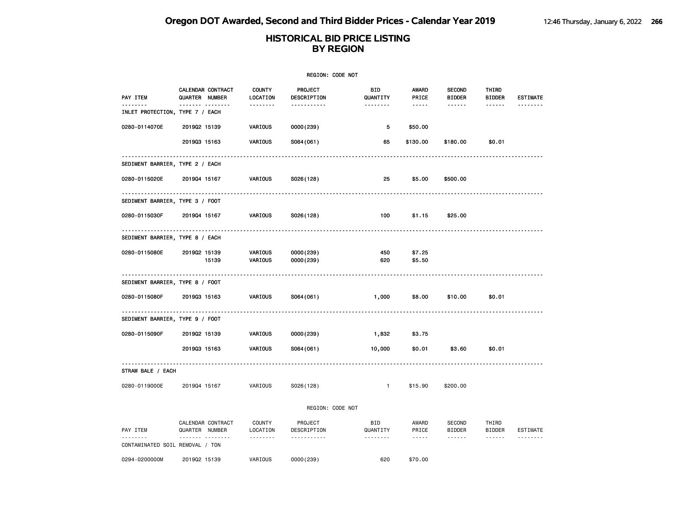| REGION: CODE NOT                           |                |                   |                           |                         |                        |                  |                                    |                                      |                 |  |
|--------------------------------------------|----------------|-------------------|---------------------------|-------------------------|------------------------|------------------|------------------------------------|--------------------------------------|-----------------|--|
| PAY ITEM                                   | QUARTER NUMBER | CALENDAR CONTRACT | <b>COUNTY</b><br>LOCATION | PROJECT<br>DESCRIPTION  | BID<br>QUANTITY        | AWARD<br>PRICE   | <b>SECOND</b><br><b>BIDDER</b>     | THIRD<br><b>BIDDER</b>               | <b>ESTIMATE</b> |  |
| -------<br>INLET PROTECTION, TYPE 7 / EACH |                | <b>.</b>          | <u>.</u>                  | <u>.</u>                | <u>.</u>               | $\cdots$         | ------                             | ------                               |                 |  |
| 0280-0114070E                              | 201902 15139   |                   | <b>VARIOUS</b>            | 0000(239)               | 5                      | \$50.00          |                                    |                                      |                 |  |
|                                            | 201903 15163   |                   | VARIOUS                   | S064(061)               | 65                     | \$130.00         | \$180.00                           | \$0.01                               |                 |  |
| SEDIMENT BARRIER, TYPE 2 / EACH            |                |                   |                           |                         |                        |                  |                                    |                                      |                 |  |
| 0280-0115020E                              | 201904 15167   |                   | VARIOUS                   | S026(128)               | 25                     | \$5.00           | \$500.00                           |                                      |                 |  |
| SEDIMENT BARRIER, TYPE 3 / FOOT            |                |                   |                           |                         |                        |                  |                                    |                                      |                 |  |
| 0280-0115030F                              | 201904 15167   |                   | VARIOUS                   | S026(128)               | 100                    | \$1.15           | \$25.00                            |                                      |                 |  |
| SEDIMENT BARRIER, TYPE 8 / EACH            |                | ---------         |                           |                         |                        |                  |                                    |                                      |                 |  |
| 0280-0115080E                              | 201902 15139   | 15139             | VARIOUS<br>VARIOUS        | 0000(239)<br>0000 (239) | 450<br>620             | \$7.25<br>\$5.50 |                                    |                                      |                 |  |
| SEDIMENT BARRIER, TYPE 8 / FOOT            |                |                   |                           |                         |                        |                  |                                    |                                      |                 |  |
| 0280-0115080F                              | 201903 15163   |                   | VARIOUS                   | S064(061)               | 1,000                  | \$8.00           | \$10.00                            | \$0.01                               |                 |  |
| SEDIMENT BARRIER, TYPE 9 / FOOT            | .              |                   |                           |                         |                        |                  |                                    |                                      |                 |  |
| 0280-0115090F                              | 201902 15139   |                   | VARIOUS                   | 0000(239)               | 1,832                  | \$3.75           |                                    |                                      |                 |  |
|                                            | 201903 15163   |                   | VARIOUS                   | S064(061)               | 10,000                 | \$0.01           | \$3.60                             | \$0.01                               |                 |  |
| STRAW BALE / EACH                          |                |                   |                           |                         |                        |                  |                                    |                                      |                 |  |
| 0280-0119000E                              | 201904 15167   |                   | VARIOUS                   | S026(128)               | $\blacksquare$         | \$15.90          | \$200.00                           |                                      |                 |  |
|                                            |                |                   |                           | REGION: CODE NOT        |                        |                  |                                    |                                      |                 |  |
| PAY ITEM                                   | QUARTER NUMBER | CALENDAR CONTRACT | COUNTY<br>LOCATION        | PROJECT<br>DESCRIPTION  | <b>BID</b><br>QUANTITY | AWARD<br>PRICE   | SECOND<br><b>BIDDER</b>            | THIRD<br><b>BIDDER</b>               | ESTIMATE        |  |
| .<br>CONTAMINATED SOIL REMOVAL / TON       |                |                   | .                         | .                       | .                      | $- - - - -$      | $\sim$ $\sim$ $\sim$ $\sim$ $\sim$ | $\omega$ is a second set of $\omega$ | .               |  |
| 0294-0200000M                              | 201902 15139   |                   | VARIOUS                   | 0000(239)               | 620                    | \$70.00          |                                    |                                      |                 |  |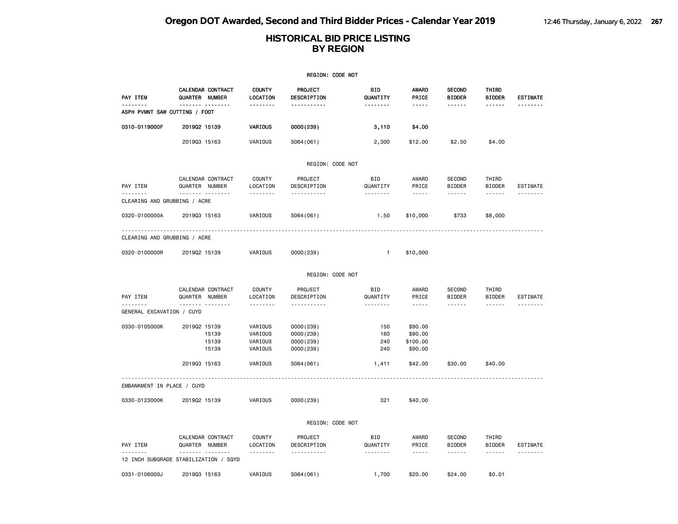|                                           |                                       |                           | REGION: CODE NOT              |                        |                                                                                                                                                      |                                |                        |                      |
|-------------------------------------------|---------------------------------------|---------------------------|-------------------------------|------------------------|------------------------------------------------------------------------------------------------------------------------------------------------------|--------------------------------|------------------------|----------------------|
| PAY ITEM                                  | CALENDAR CONTRACT<br>QUARTER NUMBER   | <b>COUNTY</b><br>LOCATION | <b>PROJECT</b><br>DESCRIPTION | BID<br>QUANTITY        | <b>AWARD</b><br>PRICE                                                                                                                                | <b>SECOND</b><br><b>BIDDER</b> | THIRD<br><b>BIDDER</b> | <b>ESTIMATE</b>      |
| --------<br>ASPH PVMNT SAW CUTTING / FOOT | <u> </u>                              | <u>.</u>                  | <u></u>                       | <u>.</u>               | $- - - - -$                                                                                                                                          | ------                         | ------                 | .                    |
| 0310-0119000F                             | 201902 15139                          | VARIOUS                   | 0000(239)                     | 3,110                  | \$4.00                                                                                                                                               |                                |                        |                      |
|                                           | 201903 15163                          | VARIOUS                   | S064(061)                     | 2,300                  | \$12.00                                                                                                                                              | \$2.50                         | \$4.00                 |                      |
|                                           |                                       |                           | REGION: CODE NOT              |                        |                                                                                                                                                      |                                |                        |                      |
| PAY ITEM                                  | CALENDAR CONTRACT<br>QUARTER NUMBER   | <b>COUNTY</b><br>LOCATION | PROJECT<br>DESCRIPTION        | BID<br>QUANTITY        | AWARD<br>PRICE                                                                                                                                       | SECOND<br><b>BIDDER</b>        | THIRD<br><b>BIDDER</b> | <b>ESTIMATE</b>      |
| <u>.</u><br>CLEARING AND GRUBBING / ACRE  | .                                     | .                         | .                             | <u>.</u>               | $\frac{1}{2} \left( \frac{1}{2} \right) \left( \frac{1}{2} \right) \left( \frac{1}{2} \right) \left( \frac{1}{2} \right) \left( \frac{1}{2} \right)$ | ------                         | $- - - - - -$          |                      |
| 0320-0100000A                             | 201903 15163                          | VARIOUS                   | S064(061)                     | 1.50                   | \$10,000                                                                                                                                             | \$733                          | \$8,000                |                      |
| CLEARING AND GRUBBING / ACRE              |                                       |                           |                               |                        |                                                                                                                                                      |                                |                        |                      |
| 0320-0100000R                             | 201902 15139                          | VARIOUS                   | 0000(239)                     | $\mathbf{1}$           | \$10,000                                                                                                                                             |                                |                        |                      |
|                                           |                                       |                           | REGION: CODE NOT              |                        |                                                                                                                                                      |                                |                        |                      |
|                                           | CALENDAR CONTRACT                     | COUNTY                    | PROJECT                       | BID                    | AWARD                                                                                                                                                | SECOND                         | THIRD                  |                      |
| PAY ITEM<br>.                             | QUARTER NUMBER                        | LOCATION                  | DESCRIPTION                   | QUANTITY               | PRICE                                                                                                                                                | <b>BIDDER</b>                  | <b>BIDDER</b>          | <b>ESTIMATE</b><br>. |
| GENERAL EXCAVATION / CUYD                 | <b>.</b>                              | .                         | .                             | .                      | .                                                                                                                                                    | .                              | ------                 |                      |
| 0330-0105000K                             | 201902 15139                          | VARIOUS                   | 0000(239)                     | 150                    | \$90.00                                                                                                                                              |                                |                        |                      |
|                                           | 15139                                 | VARIOUS                   | 0000(239)                     | 160                    | \$90.00                                                                                                                                              |                                |                        |                      |
|                                           | 15139                                 | VARIOUS                   | 0000(239)                     | 240                    | \$100.00                                                                                                                                             |                                |                        |                      |
|                                           | 15139                                 | VARIOUS                   | 0000(239)                     | 240                    | \$90.00                                                                                                                                              |                                |                        |                      |
|                                           | 201903 15163                          | VARIOUS                   | S064(061)                     | 1,411                  | \$42.00                                                                                                                                              | \$30.00                        | \$40.00                |                      |
| EMBANKMENT IN PLACE / CUYD                |                                       |                           |                               |                        |                                                                                                                                                      |                                |                        |                      |
| 0330-0123000K                             | 201902 15139                          | VARIOUS                   | 0000(239)                     | 321                    | \$40.00                                                                                                                                              |                                |                        |                      |
|                                           |                                       |                           | REGION: CODE NOT              |                        |                                                                                                                                                      |                                |                        |                      |
| PAY ITEM                                  | CALENDAR CONTRACT<br>QUARTER NUMBER   | <b>COUNTY</b><br>LOCATION | PROJECT<br>DESCRIPTION        | <b>BID</b><br>QUANTITY | AWARD<br>PRICE                                                                                                                                       | SECOND<br><b>BIDDER</b>        | THIRD<br><b>BIDDER</b> | ESTIMATE             |
| --------                                  | . <sub>.</sub>                        | <u>.</u>                  | .                             | .                      | $\frac{1}{2}$                                                                                                                                        | ------                         | $- - - - - -$          | --------             |
|                                           | 12 INCH SUBGRADE STABILIZATION / SQYD |                           |                               |                        |                                                                                                                                                      |                                |                        |                      |
| 0331-0106000J                             | 201903 15163                          | VARIOUS                   | S064(061)                     | 1,700                  | \$20,00                                                                                                                                              | \$24,00                        | \$0.01                 |                      |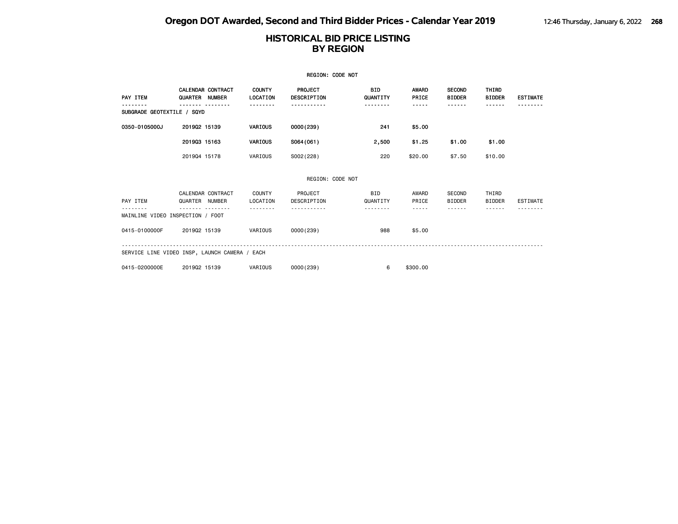| <b>REGION: CODE NOT</b>                       |                |                          |                           |                                      |                        |                       |                                |                               |                 |  |
|-----------------------------------------------|----------------|--------------------------|---------------------------|--------------------------------------|------------------------|-----------------------|--------------------------------|-------------------------------|-----------------|--|
| PAY ITEM                                      | QUARTER NUMBER | <b>CALENDAR CONTRACT</b> | <b>COUNTY</b><br>LOCATION | <b>PROJECT</b><br><b>DESCRIPTION</b> | <b>BID</b><br>QUANTITY | <b>AWARD</b><br>PRICE | <b>SECOND</b><br><b>BIDDER</b> | <b>THIRD</b><br><b>BIDDER</b> | <b>ESTIMATE</b> |  |
| SUBGRADE GEOTEXTILE / SQYD                    |                |                          |                           |                                      |                        | -----                 | .                              | ------                        |                 |  |
| 0350-0105000J                                 | 201902 15139   |                          | VARIOUS                   | 0000 (239)                           | 241                    | \$5.00                |                                |                               |                 |  |
|                                               | 201903 15163   |                          | VARIOUS                   | S064(061)                            | 2,500                  | \$1.25                | \$1.00                         | \$1.00                        |                 |  |
|                                               | 201904 15178   |                          | VARIOUS                   | S002(228)                            | 220                    | \$20,00               | \$7.50                         | \$10.00                       |                 |  |
|                                               |                |                          |                           | REGION: CODE NOT                     |                        |                       |                                |                               |                 |  |
| PAY ITEM                                      | QUARTER NUMBER | CALENDAR CONTRACT        | COUNTY<br>LOCATION        | PROJECT<br>DESCRIPTION               | <b>BID</b><br>QUANTITY | AWARD<br>PRICE        | <b>SECOND</b><br><b>BIDDER</b> | THIRD<br><b>BIDDER</b>        | <b>ESTIMATE</b> |  |
| MAINLINE VIDEO INSPECTION / FOOT              |                |                          |                           |                                      |                        |                       | - - - - - -                    |                               |                 |  |
| 0415-0100000F                                 | 201902 15139   |                          | VARIOUS                   | 0000(239)                            | 988                    | \$5,00                |                                |                               |                 |  |
| SERVICE LINE VIDEO INSP, LAUNCH CAMERA / EACH |                |                          |                           |                                      |                        |                       |                                |                               |                 |  |
| 0415-0200000E                                 | 201902 15139   |                          | VARIOUS                   | 0000(239)                            | 6                      | \$300,00              |                                |                               |                 |  |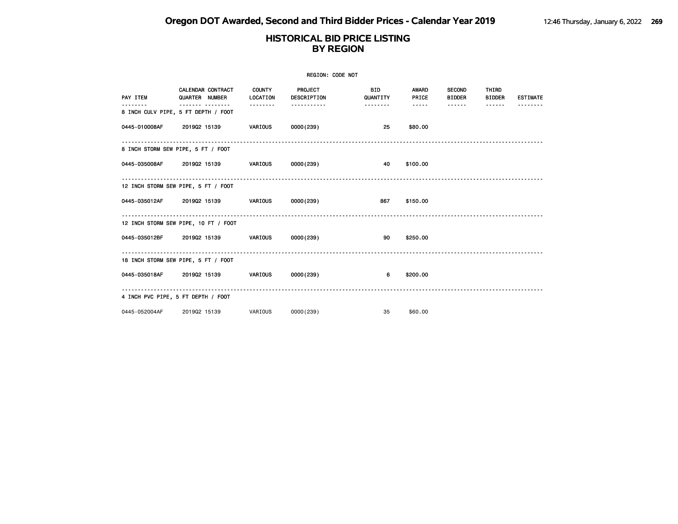| REGION: CODE NOT |                                                          |                           |                        |                        |                |                                |                        |                 |  |
|------------------|----------------------------------------------------------|---------------------------|------------------------|------------------------|----------------|--------------------------------|------------------------|-----------------|--|
| PAY ITEM         | <b>CALENDAR CONTRACT</b><br>QUARTER NUMBER               | <b>COUNTY</b><br>LOCATION | PROJECT<br>DESCRIPTION | <b>BID</b><br>QUANTITY | AWARD<br>PRICE | <b>SECOND</b><br><b>BIDDER</b> | THIRD<br><b>BIDDER</b> | <b>ESTIMATE</b> |  |
|                  | -------- --------<br>8 INCH CULV PIPE, 5 FT DEPTH / FOOT | .                         | -----------            | .                      | <b></b>        | ------                         | $- - - - - -$          |                 |  |
|                  | 0445-010008AF 2019Q2 15139 VARIOUS 0000(239)             |                           |                        | 25                     | \$80.00        |                                |                        |                 |  |
|                  | 8 INCH STORM SEW PIPE, 5 FT / FOOT                       |                           |                        |                        |                |                                |                        |                 |  |
|                  | 0445-035008AF 2019Q2 15139 VARIOUS 0000(239)             |                           |                        | 40                     | \$100.00       |                                |                        |                 |  |
|                  | 12 INCH STORM SEW PIPE, 5 FT / FOOT                      |                           |                        |                        |                |                                |                        |                 |  |
|                  | 0445-035012AF 2019Q2 15139 VARIOUS 0000(239)             |                           |                        | 867                    | \$150.00       |                                |                        |                 |  |
|                  | 12 INCH STORM SEW PIPE, 10 FT / FOOT                     |                           |                        |                        |                |                                |                        |                 |  |
|                  | 0445-035012BF 2019Q2 15139 VARIOUS 0000(239)             |                           |                        | 90                     | \$250.00       |                                |                        |                 |  |
|                  | 18 INCH STORM SEW PIPE, 5 FT / FOOT                      |                           |                        |                        |                |                                |                        |                 |  |
|                  | 0445-035018AF 2019Q2 15139 VARIOUS                       |                           | 0000(239)              | 6                      | \$200.00       |                                |                        |                 |  |
|                  | 4 INCH PVC PIPE, 5 FT DEPTH / FOOT                       |                           |                        |                        |                |                                |                        |                 |  |
| 0445-052004AF    | 201902 15139                                             | VARIOUS                   | 0000(239)              | 35                     | \$60.00        |                                |                        |                 |  |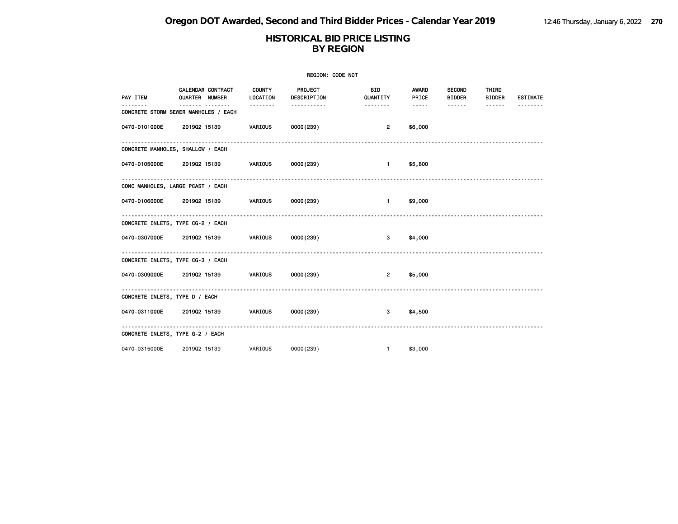| REGION: CODE NOT               |                                                           |          |                                        |                        |                              |                                |                        |                 |  |  |
|--------------------------------|-----------------------------------------------------------|----------|----------------------------------------|------------------------|------------------------------|--------------------------------|------------------------|-----------------|--|--|
| PAY ITEM                       | CALENDAR CONTRACT COUNTY<br>QUARTER NUMBER                | LOCATION | PROJECT<br>DESCRIPTION                 | <b>BID</b><br>QUANTITY | <b>AWARD</b><br><b>PRICE</b> | <b>SECOND</b><br><b>BIDDER</b> | THIRD<br><b>BIDDER</b> | <b>ESTIMATE</b> |  |  |
| $- - - - - -$                  | -------- --------<br>CONCRETE STORM SEWER MANHOLES / EACH | -------- | -----------                            | --------               |                              | ------                         | ------                 |                 |  |  |
| 0470-0101000E                  | 2019Q2 15139 VARIOUS                                      |          | 0000 (239)                             | $\overline{2}$         | \$6,000                      |                                |                        |                 |  |  |
|                                | CONCRETE MANHOLES, SHALLOW / EACH                         |          |                                        |                        |                              |                                |                        |                 |  |  |
|                                | 0470-0105000E 2019Q2 15139 VARIOUS                        |          | 0000 (239)                             | $1 - 1$                | \$5,800                      |                                |                        |                 |  |  |
|                                | CONC MANHOLES, LARGE PCAST / EACH                         |          |                                        |                        |                              |                                |                        |                 |  |  |
|                                | 0470-0106000E 2019Q2 15139 VARIOUS                        |          | 0000 (239)                             | $\mathbf{1}$           | \$9,000                      |                                |                        |                 |  |  |
|                                | CONCRETE INLETS, TYPE CG-2 / EACH                         |          |                                        |                        |                              |                                |                        |                 |  |  |
|                                | 0470-0307000E 2019Q2 15139 VARIOUS                        |          | 0000(239)                              | 3 <sub>1</sub>         | \$4,000                      |                                |                        |                 |  |  |
|                                | CONCRETE INLETS, TYPE CG-3 / EACH                         |          |                                        |                        |                              |                                |                        |                 |  |  |
|                                |                                                           |          |                                        | $2^{\circ}$            | \$5,000                      |                                |                        |                 |  |  |
| CONCRETE INLETS, TYPE D / EACH |                                                           |          |                                        |                        |                              |                                |                        |                 |  |  |
|                                |                                                           |          |                                        | $3^{\circ}$            | \$4,500                      |                                |                        |                 |  |  |
|                                | CONCRETE INLETS, TYPE G-2 / EACH                          |          | -------------------------------------- |                        |                              |                                |                        |                 |  |  |
| 0470-0315000E                  | 201902 15139                                              | VARIOUS  | 0000(239)                              | 1                      | \$3,000                      |                                |                        |                 |  |  |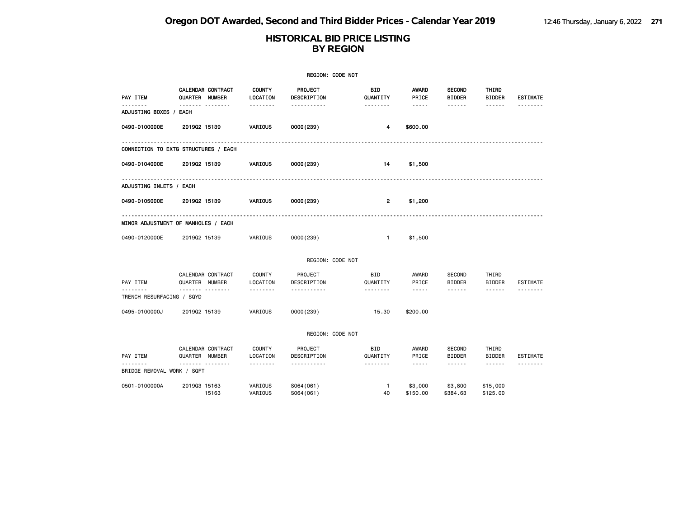|                                    |                                      |                           | REGION: CODE NOT       |                        |                     |                                |                        |                 |
|------------------------------------|--------------------------------------|---------------------------|------------------------|------------------------|---------------------|--------------------------------|------------------------|-----------------|
| PAY ITEM                           | CALENDAR CONTRACT<br>QUARTER NUMBER  | <b>COUNTY</b><br>LOCATION | PROJECT<br>DESCRIPTION | BID<br>QUANTITY        | AWARD<br>PRICE      | <b>SECOND</b><br><b>BIDDER</b> | THIRD<br><b>BIDDER</b> | <b>ESTIMATE</b> |
| <u>.</u><br>ADJUSTING BOXES / EACH | .                                    | --------                  | -----------            | --------               | $- - - - -$         | ------                         |                        |                 |
| 0490-0100000E                      | 201902 15139                         | VARIOUS                   | 0000(239)              | 4                      | \$600.00            |                                |                        |                 |
| .                                  | CONNECTION TO EXTG STRUCTURES / EACH |                           |                        |                        |                     |                                |                        |                 |
| 0490-0104000E                      | 201902 15139                         | VARIOUS                   | 0000(239)              | 14                     | \$1,500             |                                |                        |                 |
| ADJUSTING INLETS / EACH            |                                      |                           |                        |                        |                     |                                |                        |                 |
| 0490-0105000E                      | 201902 15139                         | VARIOUS                   | 0000(239)              | $\overline{2}$         | \$1,200             |                                |                        |                 |
|                                    | MINOR ADJUSTMENT OF MANHOLES / EACH  |                           |                        |                        |                     |                                |                        |                 |
| 0490-0120000E                      | 201902 15139                         | VARIOUS                   | 0000(239)              | $\mathbf{1}$           | \$1,500             |                                |                        |                 |
|                                    |                                      |                           | REGION: CODE NOT       |                        |                     |                                |                        |                 |
| PAY ITEM                           | CALENDAR CONTRACT<br>QUARTER NUMBER  | COUNTY<br>LOCATION        | PROJECT<br>DESCRIPTION | BID<br>QUANTITY        | AWARD<br>PRICE      | <b>SECOND</b><br><b>BIDDER</b> | THIRD<br><b>BIDDER</b> | ESTIMATE        |
| TRENCH RESURFACING / SQYD          |                                      | --------                  | <u>.</u>               | --------               | $- - - - -$         | ------                         | ------                 |                 |
| 0495-0100000J                      | 201902 15139                         | VARIOUS                   | 0000(239)              | 15.30                  | \$200.00            |                                |                        |                 |
|                                    |                                      |                           | REGION: CODE NOT       |                        |                     |                                |                        |                 |
| PAY ITEM                           | CALENDAR CONTRACT<br>QUARTER NUMBER  | <b>COUNTY</b><br>LOCATION | PROJECT<br>DESCRIPTION | <b>BID</b><br>QUANTITY | AWARD<br>PRICE      | <b>SECOND</b><br><b>BIDDER</b> | THIRD<br><b>BIDDER</b> | <b>ESTIMATE</b> |
| BRIDGE REMOVAL WORK / SQFT         | $- - - - -$<br>--------              | <u>.</u>                  | <u>.</u>               | .                      | $- - - - -$         | $\cdots \cdots \cdots$         | ------                 | --------        |
| 0501-0100000A                      | 201903 15163<br>15163                | VARIOUS<br>VARIOUS        | S064(061)<br>S064(061) | $\mathbf{1}$<br>40     | \$3,000<br>\$150.00 | \$3,800<br>\$384.63            | \$15,000<br>\$125,00   |                 |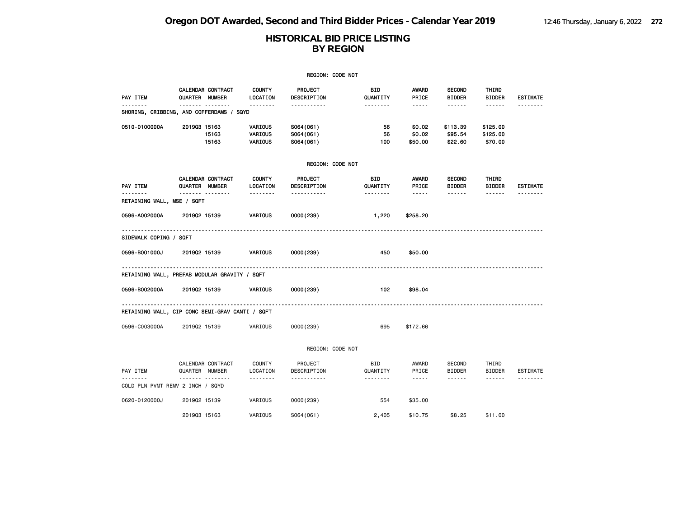# **HISTORICAL BID PRICE LISTING BY REGION**

|                            |                                                 |                               | REGION: CODE NOT                      |                        |                             |                                     |                                 |                 |
|----------------------------|-------------------------------------------------|-------------------------------|---------------------------------------|------------------------|-----------------------------|-------------------------------------|---------------------------------|-----------------|
| PAY ITEM                   | CALENDAR CONTRACT<br>QUARTER NUMBER             | <b>COUNTY</b><br>LOCATION     | PROJECT<br>DESCRIPTION                | <b>BID</b><br>QUANTITY | <b>AWARD</b><br>PRICE       | <b>SECOND</b><br><b>BIDDER</b><br>. | THIRD<br><b>BIDDER</b>          | <b>ESTIMATE</b> |
|                            | SHORING, CRIBBING, AND COFFERDAMS / SQYD        | .                             |                                       | .                      | -----                       |                                     | ------                          |                 |
| 0510-0100000A              | 201903 15163<br>15163<br>15163                  | VARIOUS<br>VARIOUS<br>VARIOUS | S064(061)<br>S064 (061)<br>S064 (061) | 56<br>56<br>100        | \$0.02<br>\$0.02<br>\$50.00 | \$113.39<br>\$95.54<br>\$22.60      | \$125.00<br>\$125.00<br>\$70.00 |                 |
|                            |                                                 |                               | REGION: CODE NOT                      |                        |                             |                                     |                                 |                 |
| PAY ITEM                   | <b>CALENDAR CONTRACT</b><br>QUARTER NUMBER      | <b>COUNTY</b><br>LOCATION     | PROJECT<br>DESCRIPTION                | <b>BID</b><br>QUANTITY | <b>AWARD</b><br>PRICE       | <b>SECOND</b><br><b>BIDDER</b>      | THIRD<br><b>BIDDER</b>          | <b>ESTIMATE</b> |
| RETAINING WALL, MSE / SQFT |                                                 | .                             |                                       | .                      | -----                       | .                                   | ------                          |                 |
| 0596-A002000A              | 201902 15139                                    | VARIOUS                       | 0000(239)                             | 1,220                  | \$258.20                    |                                     |                                 |                 |
| SIDEWALK COPING / SQFT     |                                                 |                               |                                       |                        |                             |                                     |                                 |                 |
| 0596-B001000J              | 201902 15139                                    | <b>VARIOUS</b>                | 0000 (239)                            | 450                    | \$50.00                     |                                     |                                 |                 |
|                            | RETAINING WALL, PREFAB MODULAR GRAVITY / SQFT   |                               |                                       |                        |                             |                                     |                                 |                 |
| 0596-B002000A              | 201902 15139                                    | VARIOUS                       | 0000(239)                             | 102                    | \$98.04                     |                                     |                                 |                 |
|                            | RETAINING WALL, CIP CONC SEMI-GRAV CANTI / SQFT |                               |                                       |                        |                             |                                     |                                 |                 |
| 0596-C003000A              | 201902 15139                                    | VARIOUS                       | 0000(239)                             | 695                    | \$172.66                    |                                     |                                 |                 |

REGION: CODE NOT

|                             | CALENDAR CONTRACT        | COUNTY   | PROJECT     | <b>BID</b>      | AWARD   | SECOND        | THIRD   |          |
|-----------------------------|--------------------------|----------|-------------|-----------------|---------|---------------|---------|----------|
| PAY ITEM                    | <b>NUMBER</b><br>QUARTER | LOCATION | DESCRIPTION | QUANTITY        | PRICE   | <b>BIDDER</b> | BIDDER  | ESTIMATE |
|                             |                          | -------  |             | - - - - - - - - | -----   | ------        | ------  |          |
| COLD PLN PVMT REMV 2 INCH / | SQYD                     |          |             |                 |         |               |         |          |
| 0620-0120000J               | 201902 15139             | VARIOUS  | 0000(239)   | 554             | \$35,00 |               |         |          |
|                             | 201903 15163             | VARIOUS  | S064(061)   | 2,405           | \$10.75 | \$8,25        | \$11.00 |          |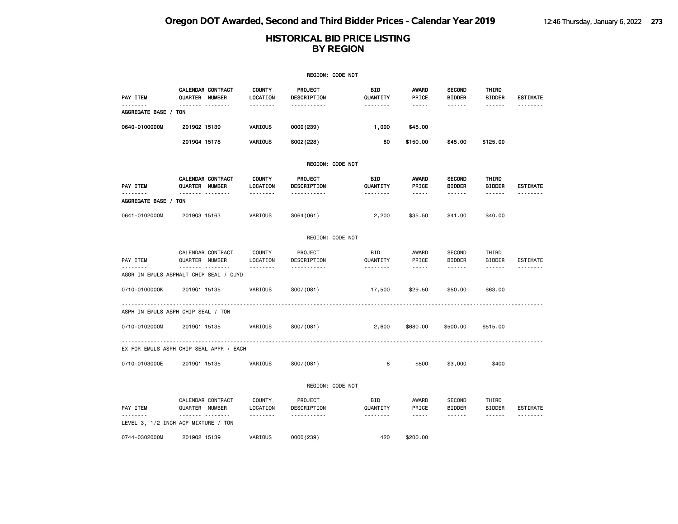|                      |                                                         |                                       | REGION: CODE NOT                      |                             |                                                 |                                                 |                                                |                             |
|----------------------|---------------------------------------------------------|---------------------------------------|---------------------------------------|-----------------------------|-------------------------------------------------|-------------------------------------------------|------------------------------------------------|-----------------------------|
| PAY ITEM<br><u>.</u> | CALENDAR CONTRACT<br>QUARTER NUMBER                     | <b>COUNTY</b><br>LOCATION             | PROJECT<br>DESCRIPTION                | BID<br>QUANTITY             | <b>AWARD</b><br>PRICE                           | <b>SECOND</b><br><b>BIDDER</b>                  | THIRD<br><b>BIDDER</b>                         | <b>ESTIMATE</b>             |
| AGGREGATE BASE / TON | ------- --------                                        | <u>.</u>                              | <u>.</u>                              | <u>.</u>                    | $\cdots \cdots \cdots$                          | ------                                          | ------                                         | <u>.</u>                    |
| 0640-0100000M        | 201902 15139                                            | VARIOUS                               | 0000 (239)                            | 1,090                       | \$45.00                                         |                                                 |                                                |                             |
|                      | 201904 15178                                            | VARIOUS                               | S002(228)                             | 80                          | \$150.00                                        | \$45.00                                         | \$125.00                                       |                             |
|                      |                                                         |                                       | REGION: CODE NOT                      |                             |                                                 |                                                 |                                                |                             |
| PAY ITEM<br><u>.</u> | CALENDAR CONTRACT<br>QUARTER NUMBER<br>------- -------- | <b>COUNTY</b><br>LOCATION<br><u>.</u> | PROJECT<br>DESCRIPTION<br>----------- | BID<br>QUANTITY<br>-------- | <b>AWARD</b><br>PRICE<br>$\cdots \cdots \cdots$ | <b>SECOND</b><br><b>BIDDER</b><br>------        | THIRD<br><b>BIDDER</b><br>$\cdots\cdots\cdots$ | <b>ESTIMATE</b><br><u>.</u> |
| AGGREGATE BASE / TON |                                                         |                                       |                                       |                             |                                                 |                                                 |                                                |                             |
| 0641-0102000M        | 201903 15163                                            | VARIOUS                               | S064(061)                             | 2,200                       | \$35.50                                         | \$41.00                                         | \$40.00                                        |                             |
|                      |                                                         |                                       | REGION: CODE NOT                      |                             |                                                 |                                                 |                                                |                             |
| PAY ITEM<br><u>.</u> | CALENDAR CONTRACT<br>QUARTER NUMBER<br>.                | <b>COUNTY</b><br>LOCATION<br>.        | PROJECT<br>DESCRIPTION<br><u>.</u>    | BID<br>QUANTITY<br><u>.</u> | AWARD<br>PRICE<br>$\frac{1}{2}$                 | <b>SECOND</b><br><b>BIDDER</b><br>$- - - - - -$ | THIRD<br><b>BIDDER</b><br>$- - - - - -$        | ESTIMATE<br><u>.</u>        |
|                      | AGGR IN EMULS ASPHALT CHIP SEAL / CUYD                  |                                       |                                       |                             |                                                 |                                                 |                                                |                             |
| 0710-0100000K        | 201901 15135                                            | VARIOUS                               | S007(081)                             | 17,500                      | \$29.50                                         | \$50.00                                         | \$63.00                                        |                             |
|                      | ASPH IN EMULS ASPH CHIP SEAL / TON                      |                                       |                                       |                             |                                                 |                                                 |                                                |                             |
| 0710-0102000M        | 201901 15135                                            | VARIOUS                               | S007(081)                             | 2,600                       | \$680.00                                        | \$500.00                                        | \$515.00                                       |                             |
|                      | EX FOR EMULS ASPH CHIP SEAL APPR / EACH                 |                                       |                                       |                             |                                                 |                                                 |                                                |                             |
| 0710-0103000E        | 201901 15135                                            | VARIOUS                               | S007(081)                             | 8                           | \$500                                           | \$3,000                                         | \$400                                          |                             |
|                      |                                                         |                                       | REGION: CODE NOT                      |                             |                                                 |                                                 |                                                |                             |
| PAY ITEM             | CALENDAR CONTRACT<br>QUARTER NUMBER                     | COUNTY<br>LOCATION                    | PROJECT<br>DESCRIPTION                | BID<br>QUANTITY             | AWARD<br>PRICE                                  | <b>SECOND</b><br><b>BIDDER</b>                  | THIRD<br><b>BIDDER</b>                         | <b>ESTIMATE</b>             |
| .                    | <br>LEVEL 3, 1/2 INCH ACP MIXTURE / TON                 | .                                     | .                                     | --------                    | $- - - - -$                                     | ------                                          | ------                                         | <u> - - - - - - -</u>       |
| 0744-0302000M        | 201902 15139                                            | VARIOUS                               | 0000(239)                             | 420                         | \$200,00                                        |                                                 |                                                |                             |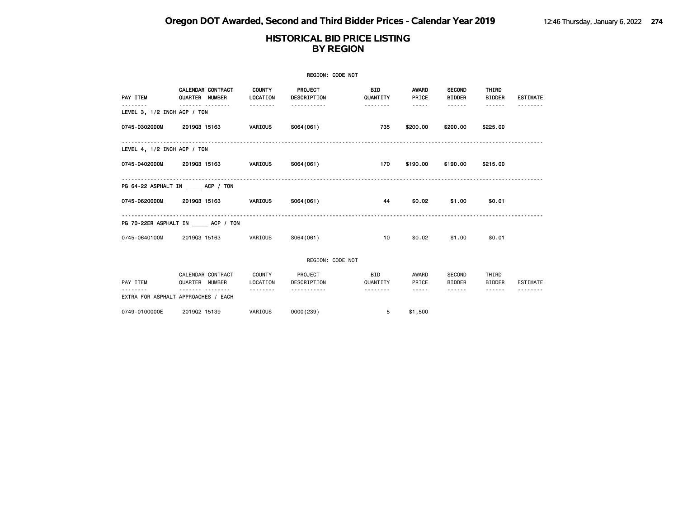### **HISTORICAL BID PRICE LISTING BY REGION**

|                                 |                |                          |                           | REGION: CODE NOT              |                        |                |                                |                        |                 |
|---------------------------------|----------------|--------------------------|---------------------------|-------------------------------|------------------------|----------------|--------------------------------|------------------------|-----------------|
| PAY ITEM                        | QUARTER NUMBER | <b>CALENDAR CONTRACT</b> | <b>COUNTY</b><br>LOCATION | <b>PROJECT</b><br>DESCRIPTION | <b>BID</b><br>QUANTITY | AWARD<br>PRICE | <b>SECOND</b><br><b>BIDDER</b> | THIRD<br><b>BIDDER</b> | <b>ESTIMATE</b> |
| LEVEL 3, 1/2 INCH ACP / TON     |                |                          | .                         |                               | .                      | -----          | <b>.</b>                       | ------                 |                 |
| 0745-0302000M                   | 201903 15163   |                          | VARIOUS                   | S064(061)                     | 735                    | \$200.00       | \$200.00                       | \$225.00               |                 |
| LEVEL 4, 1/2 INCH ACP / TON     |                |                          |                           |                               |                        |                |                                |                        |                 |
| 0745-0402000M                   | 201903 15163   |                          | VARIOUS                   | S064(061)                     | 170                    | \$190.00       | \$190.00                       | \$215.00               |                 |
| PG 64-22 ASPHALT IN ACP / TON   |                |                          |                           |                               |                        |                |                                |                        |                 |
| 0745-0620000M                   | 201903 15163   |                          | VARIOUS                   | S064 (061)                    | 44                     | \$0.02         | \$1.00                         | \$0.01                 |                 |
| PG 70-22ER ASPHALT IN ACP / TON |                |                          |                           |                               |                        |                |                                |                        |                 |
| 0745-0640100M                   | 201903 15163   |                          | VARIOUS                   | S064(061)                     | 10 <sup>1</sup>        | \$0.02         | \$1.00                         | \$0.01                 |                 |
|                                 |                |                          |                           | REGION: CODE NOT              |                        |                |                                |                        |                 |
| PAY ITEM                        | QUARTER NUMBER | CALENDAR CONTRACT        | COUNTY<br>LOCATION        | PROJECT<br>DESCRIPTION        | <b>BID</b><br>QUANTITY | AWARD<br>PRICE | SECOND<br><b>BIDDER</b>        | THIRD<br><b>BIDDER</b> | ESTIMATE        |

-------- ------- -------- -------- ----------- -------- ----- ------ ------ --------

| 0749-0100000E | 201902 15139<br>the contract of the contract of the contract of the contract of the contract of | VARIOUS | 0000(239) | \$1,500 |
|---------------|-------------------------------------------------------------------------------------------------|---------|-----------|---------|

EXTRA FOR ASPHALT APPROACHES / EACH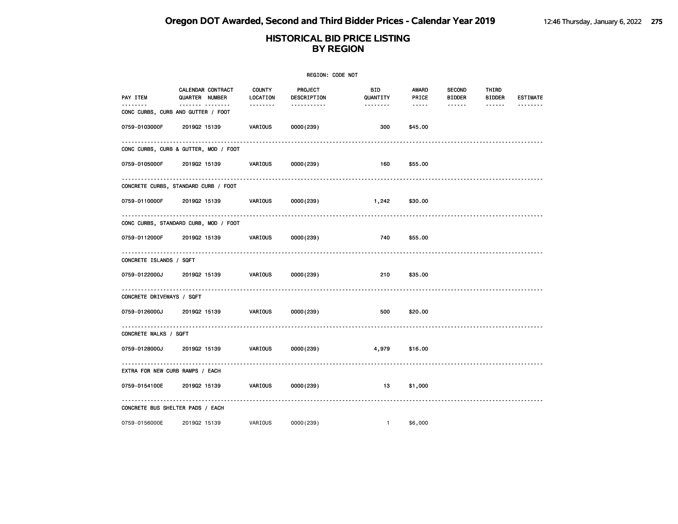|                           |                                                        |                           | REGION: CODE NOT              |                  |                |                                |                        |                 |
|---------------------------|--------------------------------------------------------|---------------------------|-------------------------------|------------------|----------------|--------------------------------|------------------------|-----------------|
| PAY ITEM                  | CALENDAR CONTRACT<br>QUARTER NUMBER                    | <b>COUNTY</b><br>LOCATION | <b>PROJECT</b><br>DESCRIPTION | BID.<br>QUANTITY | AWARD<br>PRICE | <b>SECOND</b><br><b>BIDDER</b> | THIRD<br><b>BIDDER</b> | <b>ESTIMATE</b> |
| .                         | ------- --------<br>CONC CURBS, CURB AND GUTTER / FOOT | --------                  | -----------                   | --------         | -----          | $- - - - - -$                  | $- - - - - -$          |                 |
| 0759-0103000F             | 201902 15139                                           | VARIOUS                   | 0000(239)                     | 300              | \$45.00        |                                |                        |                 |
|                           | CONC CURBS, CURB & GUTTER, MOD / FOOT                  |                           |                               |                  |                |                                |                        |                 |
| 0759-0105000F             | 201902 15139                                           | VARIOUS                   | 0000(239)                     | 160              | \$55.00        |                                |                        |                 |
|                           | .<br>CONCRETE CURBS, STANDARD CURB / FOOT              |                           |                               |                  |                |                                |                        |                 |
|                           | 0759-0110000F 2019Q2 15139                             | VARIOUS                   | 0000(239)                     | 1,242            | \$30.00        |                                |                        |                 |
|                           | .<br>CONC CURBS, STANDARD CURB, MOD / FOOT             |                           |                               |                  |                |                                |                        |                 |
| 0759-0112000F             | 201902 15139                                           | VARIOUS                   | 0000 (239)                    | 740              | \$55.00        |                                |                        |                 |
| CONCRETE ISLANDS / SQFT   |                                                        |                           |                               |                  |                |                                |                        |                 |
|                           | 0759-0122000J 201902 15139                             | VARIOUS                   | 0000(239)                     | 210              | \$35.00        |                                |                        |                 |
| CONCRETE DRIVEWAYS / SQFT |                                                        |                           |                               |                  |                |                                |                        |                 |
| 0759-0126000J             | 201902 15139                                           | <b>VARIOUS</b>            | 0000(239)                     | 500              | \$20.00        |                                |                        |                 |
| CONCRETE WALKS / SQFT     |                                                        |                           |                               |                  |                |                                |                        |                 |
| 0759-0128000J             | 201902 15139                                           | <b>VARIOUS</b>            | 0000(239)                     | 4,979            | \$16.00        |                                |                        |                 |
|                           | ----------<br>EXTRA FOR NEW CURB RAMPS / EACH          |                           |                               |                  |                |                                |                        |                 |
| 0759-0154100E             | 201902 15139                                           | VARIOUS                   | 0000(239)                     | 13               | \$1,000        |                                |                        |                 |
|                           | CONCRETE BUS SHELTER PADS / EACH                       |                           |                               |                  |                |                                |                        |                 |
| 0759-0156000E             | 201902 15139                                           | VARIOUS                   | 0000(239)                     | $\mathbf{1}$     | \$6,000        |                                |                        |                 |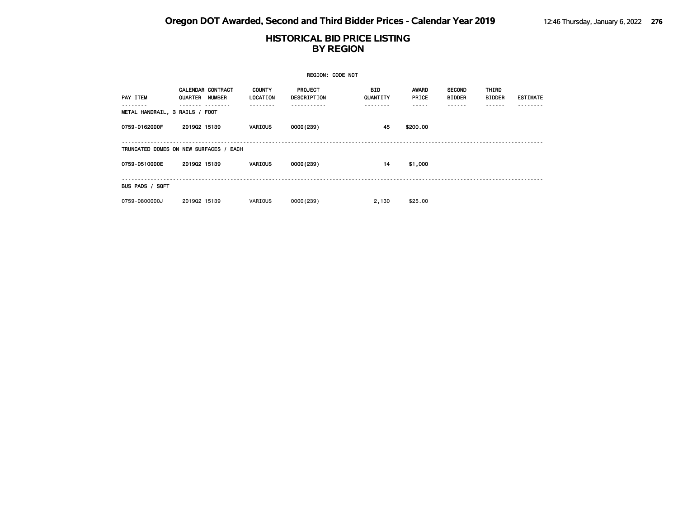|                                |                                            |                           | <b>REGION: CODE NOT</b>       |                  |                |                                |                        |                 |
|--------------------------------|--------------------------------------------|---------------------------|-------------------------------|------------------|----------------|--------------------------------|------------------------|-----------------|
| PAY ITEM                       | <b>CALENDAR CONTRACT</b><br>QUARTER NUMBER | <b>COUNTY</b><br>LOCATION | <b>PROJECT</b><br>DESCRIPTION | BID.<br>QUANTITY | AWARD<br>PRICE | <b>SECOND</b><br><b>BIDDER</b> | THIRD<br><b>BIDDER</b> | <b>ESTIMATE</b> |
| METAL HANDRAIL, 3 RAILS / FOOT |                                            |                           |                               |                  |                |                                |                        |                 |
| 0759-0162000F                  | 201902 15139                               | <b>VARIOUS</b>            | 0000(239)                     | 45               | \$200.00       |                                |                        |                 |
|                                | TRUNCATED DOMES ON NEW SURFACES / EACH     |                           |                               |                  |                |                                |                        |                 |
| 0759-0510000E                  | 201902 15139                               | VARIOUS                   | 0000(239)                     | 14               | \$1,000        |                                |                        |                 |
| BUS PADS / SQFT                |                                            |                           |                               |                  |                |                                |                        |                 |
| 0759-0800000J                  | 201902 15139                               | VARIOUS                   | 0000(239)                     | 2,130            | \$25.00        |                                |                        |                 |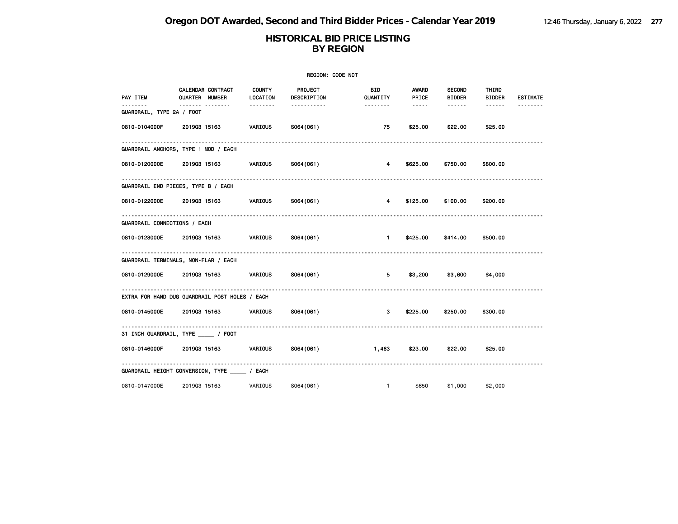|                                      |                                                |                | REGION: CODE NOT       |                        |                        |                            |                        |                 |
|--------------------------------------|------------------------------------------------|----------------|------------------------|------------------------|------------------------|----------------------------|------------------------|-----------------|
| PAY ITEM                             | CALENDAR CONTRACT COUNTY<br>QUARTER NUMBER     | LOCATION       | PROJECT<br>DESCRIPTION | <b>BID</b><br>QUANTITY | AWARD<br>PRICE         | <b>SECOND</b><br>BIDDER    | THIRD<br><b>BIDDER</b> | <b>ESTIMATE</b> |
| -------<br>GUARDRAIL, TYPE 2A / FOOT | ------- --------                               | --------       | -----------            | --------               | $\cdots \cdots \cdots$ | ------                     | ------                 |                 |
|                                      | 0810-0104000F 2019Q3 15163                     | VARIOUS        | S064(061)              | 75                     | \$25.00                | \$22.00                    | \$25.00                |                 |
|                                      | GUARDRAIL ANCHORS, TYPE 1 MOD / EACH           |                |                        |                        |                        |                            |                        |                 |
|                                      | 0810-0120000E  2019Q3 15163   VARIOUS          |                | S064(061)              | $\overline{4}$         | \$625.00               | \$750.00                   | \$800.00               |                 |
|                                      | GUARDRAIL END PIECES, TYPE B / EACH            |                |                        |                        |                        |                            |                        |                 |
|                                      | 0810-0122000E 2019Q3 15163 VARIOUS             |                | S064(061)              | $\overline{4}$         |                        | \$125.00 \$100.00          | \$200.00               |                 |
| GUARDRAIL CONNECTIONS / EACH         |                                                |                |                        |                        |                        |                            |                        |                 |
| 0810-0128000E 2019Q3 15163           |                                                | <b>VARIOUS</b> | S064(061)              | $\sim$ $-1$ $-$        |                        | \$425.00 \$414.00          | \$500.00               |                 |
|                                      | GUARDRAIL TERMINALS, NON-FLAR / EACH           |                |                        |                        |                        |                            |                        |                 |
|                                      | 0810-0129000E 2019Q3 15163 VARIOUS S064(061)   |                |                        | 5                      |                        | $$3,200$ $$3,600$ $$4,000$ |                        |                 |
|                                      | EXTRA FOR HAND DUG GUARDRAIL POST HOLES / EACH |                |                        |                        |                        |                            |                        |                 |
|                                      | 0810-0145000E 2019Q3 15163 VARIOUS             |                | S064(061)              | 3                      | \$225.00               | \$250.00                   | \$300.00               |                 |
|                                      | 31 INCH GUARDRAIL, TYPE _____ / FOOT           |                |                        |                        |                        |                            |                        |                 |
|                                      | 0810-0146000F 201903 15163 VARIOUS             |                | S064(061)              | 1,463                  | \$23.00                | \$22.00                    | \$25.00                |                 |
|                                      | GUARDRAIL HEIGHT CONVERSION, TYPE / EACH       |                |                        |                        |                        |                            |                        |                 |
| 0810-0147000E                        | 201903 15163                                   | VARIOUS        | S064(061)              | 1                      | \$650                  | \$1,000                    | \$2,000                |                 |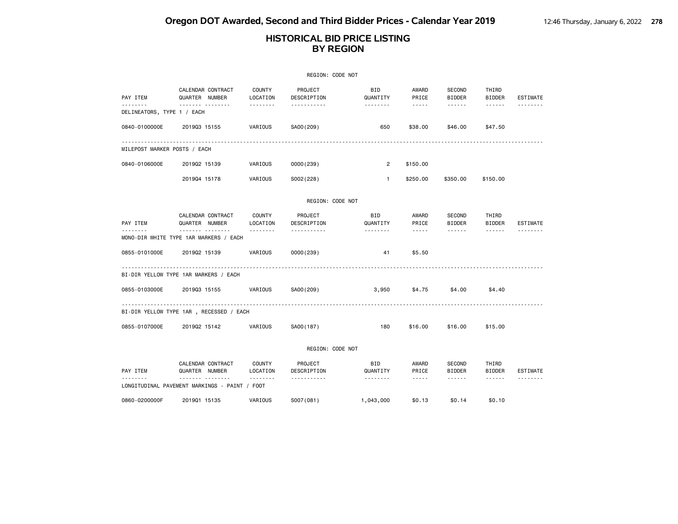### **HISTORICAL BID PRICE LISTING BY REGION**

|                                          |                   |                   |                    | REGION: CODE NOT       |                        |                                                                                                                                                                                 |                         |                        |                 |
|------------------------------------------|-------------------|-------------------|--------------------|------------------------|------------------------|---------------------------------------------------------------------------------------------------------------------------------------------------------------------------------|-------------------------|------------------------|-----------------|
| PAY ITEM                                 | QUARTER NUMBER    | CALENDAR CONTRACT | COUNTY<br>LOCATION | PROJECT<br>DESCRIPTION | <b>BID</b><br>QUANTITY | AWARD<br>PRICE                                                                                                                                                                  | SECOND<br><b>BIDDER</b> | THIRD<br><b>BIDDER</b> | <b>ESTIMATE</b> |
| . <b>.</b><br>DELINEATORS, TYPE 1 / EACH |                   | .                 | .                  | <u>.</u>               | --------               | $\frac{1}{2} \left( \frac{1}{2} \right) \left( \frac{1}{2} \right) \left( \frac{1}{2} \right) \left( \frac{1}{2} \right) \left( \frac{1}{2} \right) \left( \frac{1}{2} \right)$ | ------                  | ------                 |                 |
| 0840-0100000E                            | 201903 15155      |                   | VARIOUS            | SA00(209)              | 650                    | \$38,00                                                                                                                                                                         | \$46.00                 | \$47.50                |                 |
| MILEPOST MARKER POSTS / EACH             |                   |                   |                    |                        |                        |                                                                                                                                                                                 |                         |                        |                 |
| 0840-0106000E                            | 201902 15139      |                   | VARIOUS            | 0000(239)              | $\overline{2}$         | \$150.00                                                                                                                                                                        |                         |                        |                 |
|                                          | 201904 15178      |                   | VARIOUS            | S002(228)              | $\mathbf{1}$           | \$250.00                                                                                                                                                                        | \$350,00                | \$150,00               |                 |
|                                          |                   |                   |                    | REGION: CODE NOT       |                        |                                                                                                                                                                                 |                         |                        |                 |
| PAY ITEM                                 | QUARTER NUMBER    | CALENDAR CONTRACT | COUNTY<br>LOCATION | PROJECT<br>DESCRIPTION | BID<br>QUANTITY        | AWARD<br>PRICE                                                                                                                                                                  | SECOND<br><b>BIDDER</b> | THIRD<br><b>BIDDER</b> | ESTIMATE        |
| MONO-DIR WHITE TYPE 1AR MARKERS / EACH   | -------- -------- |                   |                    |                        | .                      | $\frac{1}{2} \left( \frac{1}{2} \right) \left( \frac{1}{2} \right) \left( \frac{1}{2} \right) \left( \frac{1}{2} \right) \left( \frac{1}{2} \right) \left( \frac{1}{2} \right)$ | ------                  | ------                 |                 |
| 0855-0101000E                            | 201902 15139      |                   | VARIOUS            | 0000(239)              | 41                     | \$5.50                                                                                                                                                                          |                         |                        |                 |
| BI-DIR YELLOW TYPE 1AR MARKERS / EACH    |                   |                   |                    |                        |                        |                                                                                                                                                                                 |                         |                        |                 |
| 0855-0103000E                            | 201903 15155      |                   | VARIOUS            | SA00(209)              | 3,950                  | \$4.75                                                                                                                                                                          | \$4.00                  | \$4.40                 |                 |
| BI-DIR YELLOW TYPE 1AR, RECESSED / EACH  |                   |                   |                    |                        |                        |                                                                                                                                                                                 |                         |                        |                 |
| 0855-0107000E                            | 201902 15142      |                   | VARIOUS            | SA00(187)              | 180                    | \$16,00                                                                                                                                                                         | \$16.00                 | \$15,00                |                 |

REGION: CODE NOT

|                                  | CALENDAR CONTRACT        | COUNTY   | PROJECT     | <b>BID</b> | AWARD  | <b>SECOND</b> | THIRD         |          |
|----------------------------------|--------------------------|----------|-------------|------------|--------|---------------|---------------|----------|
| PAY ITEM                         | <b>NUMBER</b><br>QUARTER | LOCATION | DESCRIPTION | QUANTITY   | PRICE  | <b>BIDDER</b> | <b>BIDDER</b> | ESTIMATE |
| --------                         | --------                 | -------- | .           | --------   | -----  | -------       | ------        | -------- |
| LONGITUDINAL PAVEMENT MARKINGS - | PAINT /                  | FOOT     |             |            |        |               |               |          |
|                                  |                          |          |             |            |        |               |               |          |
| 0860-0200000F                    | 201901 15135             | VARIOUS  | S007(081)   | .043.000   | \$0.13 | \$0.14        | \$0.10        |          |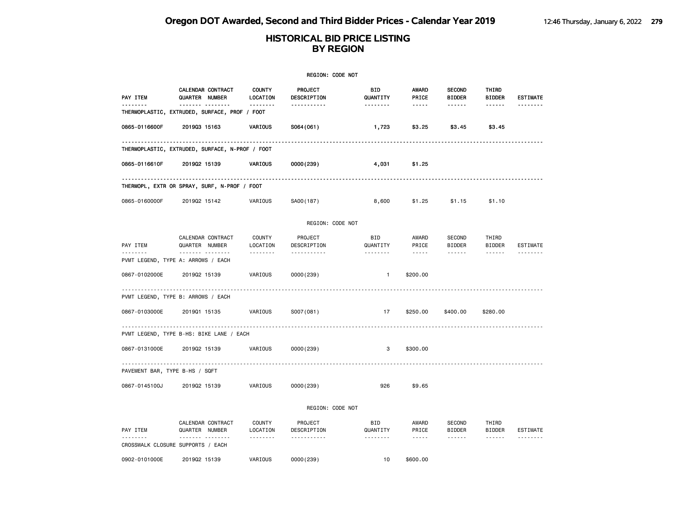|                                |                                                   |                                       | REGION: CODE NOT            |                        |                                                                                                                                                      |                                                 |                                  |                 |
|--------------------------------|---------------------------------------------------|---------------------------------------|-----------------------------|------------------------|------------------------------------------------------------------------------------------------------------------------------------------------------|-------------------------------------------------|----------------------------------|-----------------|
| PAY ITEM                       | CALENDAR CONTRACT<br>QUARTER NUMBER               | <b>COUNTY</b><br>LOCATION             | PROJECT<br>DESCRIPTION      | <b>BID</b><br>QUANTITY | <b>AWARD</b><br>PRICE                                                                                                                                | <b>SECOND</b><br><b>BIDDER</b>                  | THIRD<br><b>BIDDER</b>           | <b>ESTIMATE</b> |
| .                              | <br>THERMOPLASTIC, EXTRUDED, SURFACE, PROF / FOOT | <u>.</u>                              | .                           | <u> - - - - - - -</u>  | $- - - - -$                                                                                                                                          | ------                                          | ------                           | <u>.</u>        |
| 0865-0116600F                  | 201903 15163                                      | VARIOUS                               | S064(061)                   | 1,723                  | \$3.25                                                                                                                                               | \$3.45                                          | \$3.45                           |                 |
|                                | THERMOPLASTIC, EXTRUDED, SURFACE, N-PROF / FOOT   |                                       |                             |                        |                                                                                                                                                      |                                                 | ----------------------------     |                 |
| 0865-0116610F                  | 201902 15139                                      | VARIOUS                               | 0000(239)                   | 4,031                  | \$1.25                                                                                                                                               |                                                 |                                  |                 |
|                                | THERMOPL, EXTR OR SPRAY, SURF, N-PROF / FOOT      |                                       |                             |                        |                                                                                                                                                      |                                                 |                                  |                 |
| 0865-0160000F                  | 201902 15142                                      | VARIOUS                               | SA00(187)                   | 8,600                  | \$1.25                                                                                                                                               | \$1.15                                          | \$1.10                           |                 |
|                                |                                                   |                                       | REGION: CODE NOT            |                        |                                                                                                                                                      |                                                 |                                  |                 |
| PAY ITEM<br>.                  | CALENDAR CONTRACT<br>QUARTER NUMBER<br>           | <b>COUNTY</b><br>LOCATION<br><u>.</u> | PROJECT<br>DESCRIPTION<br>. | BID<br>QUANTITY<br>.   | AWARD<br>PRICE<br>$\sim$ $\sim$ $\sim$ $\sim$ $\sim$                                                                                                 | <b>SECOND</b><br><b>BIDDER</b><br>$- - - - - -$ | THIRD<br><b>BIDDER</b><br>------ | ESTIMATE        |
|                                | PVMT LEGEND, TYPE A: ARROWS / EACH                |                                       |                             |                        |                                                                                                                                                      |                                                 |                                  |                 |
| 0867-0102000E                  | 201902 15139                                      | VARIOUS                               | 0000(239)                   | $\mathbf{1}$           | \$200.00                                                                                                                                             |                                                 |                                  |                 |
|                                | PVMT LEGEND, TYPE B: ARROWS / EACH                |                                       |                             |                        |                                                                                                                                                      |                                                 |                                  |                 |
| 0867-0103000E                  | 201901 15135                                      | VARIOUS                               | S007(081)                   | 17                     | \$250.00                                                                                                                                             | \$400.00                                        | \$280.00                         |                 |
|                                | PVMT LEGEND, TYPE B-HS: BIKE LANE / EACH          |                                       |                             |                        |                                                                                                                                                      |                                                 |                                  |                 |
| 0867-0131000E                  | 201902 15139                                      | VARIOUS                               | 0000(239)                   | 3                      | \$300.00                                                                                                                                             |                                                 |                                  |                 |
| PAVEMENT BAR, TYPE B-HS / SQFT |                                                   |                                       |                             |                        |                                                                                                                                                      |                                                 |                                  |                 |
| 0867-0145100J                  | 201902 15139                                      | VARIOUS                               | 0000(239)                   | 926                    | \$9.65                                                                                                                                               |                                                 |                                  |                 |
|                                |                                                   |                                       | REGION: CODE NOT            |                        |                                                                                                                                                      |                                                 |                                  |                 |
| PAY ITEM                       | CALENDAR CONTRACT<br>QUARTER NUMBER               | COUNTY<br>LOCATION                    | PROJECT<br>DESCRIPTION      | BID<br>QUANTITY        | AWARD<br>PRICE                                                                                                                                       | <b>SECOND</b><br><b>BIDDER</b>                  | THIRD<br>BIDDER                  | ESTIMATE        |
|                                | .<br>CROSSWALK CLOSURE SUPPORTS / EACH            | .                                     | .                           | .                      | $\frac{1}{2} \left( \frac{1}{2} \right) \left( \frac{1}{2} \right) \left( \frac{1}{2} \right) \left( \frac{1}{2} \right) \left( \frac{1}{2} \right)$ | ------                                          | ------                           |                 |
| 0902-0101000E                  | 201902 15139                                      | VARIOUS                               | 0000(239)                   | 10                     | \$600.00                                                                                                                                             |                                                 |                                  |                 |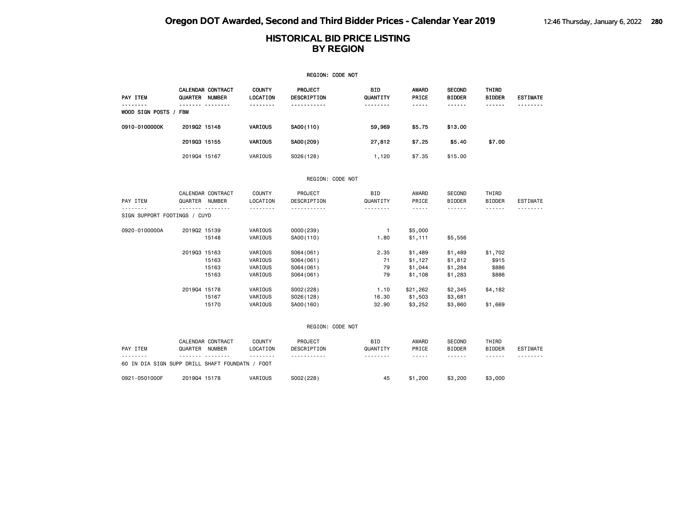|                                          |                |                   |                           | REGION: CODE NOT       |                        |                |                                |                        |                 |
|------------------------------------------|----------------|-------------------|---------------------------|------------------------|------------------------|----------------|--------------------------------|------------------------|-----------------|
| PAY ITEM                                 | QUARTER NUMBER | CALENDAR CONTRACT | <b>COUNTY</b><br>LOCATION | PROJECT<br>DESCRIPTION | BID<br>QUANTITY        | AWARD<br>PRICE | <b>SECOND</b><br><b>BIDDER</b> | THIRD<br><b>BIDDER</b> | <b>ESTIMATE</b> |
| .<br>WOOD SIGN POSTS / FBM               |                | . <sub>.</sub>    | .                         | <u>.</u>               | <u>.</u>               | -----          | ------                         | ------                 |                 |
| 0910-0100000K                            | 201902 15148   |                   | VARIOUS                   | SA00(110)              | 59,969                 | \$5.75         | \$13.00                        |                        |                 |
|                                          | 201903 15155   |                   | VARIOUS                   | SA00(209)              | 27,812                 | \$7.25         | \$5.40                         | \$7.00                 |                 |
|                                          | 201904 15167   |                   | VARIOUS                   | S026(128)              | 1,120                  | \$7.35         | \$15.00                        |                        |                 |
|                                          |                |                   |                           | REGION: CODE NOT       |                        |                |                                |                        |                 |
|                                          |                | CALENDAR CONTRACT | COUNTY                    | PROJECT                | BID                    | AWARD          | SECOND                         | THIRD                  |                 |
| PAY ITEM                                 | QUARTER NUMBER |                   | LOCATION                  | DESCRIPTION            | QUANTITY               | PRICE          | <b>BIDDER</b>                  | <b>BIDDER</b>          | <b>ESTIMATE</b> |
| <u>.</u><br>SIGN SUPPORT FOOTINGS / CUYD |                | <u>.</u>          | .                         | <u>.</u>               |                        | $\frac{1}{2}$  | <b>.</b>                       | $- - - - - - -$        | .               |
| 0920-0100000A                            | 201902 15139   |                   | VARIOUS                   | 0000(239)              | $\mathbf{1}$           | \$5,000        |                                |                        |                 |
|                                          |                | 15148             | VARIOUS                   | SA00(110)              | 1.80                   | \$1,111        | \$5,556                        |                        |                 |
|                                          | 201903 15163   |                   | VARIOUS                   | S064(061)              | 2.35                   | \$1,489        | \$1,489                        | \$1,702                |                 |
|                                          |                | 15163             | VARIOUS                   | S064(061)              | 71                     | \$1,127        | \$1,812                        | \$915                  |                 |
|                                          |                | 15163             | VARIOUS                   | S064(061)              | 79                     | \$1,044        | \$1,284                        | \$886                  |                 |
|                                          |                | 15163             | VARIOUS                   | S064(061)              | 79                     | \$1,108        | \$1,283                        | \$886                  |                 |
|                                          | 201904 15178   |                   | VARIOUS                   | S002(228)              | 1.10                   | \$21,262       | \$2,345                        | \$4,182                |                 |
|                                          |                | 15167             | VARIOUS                   | S026(128)              | 16.30                  | \$1,503        | \$3,681                        |                        |                 |
|                                          |                | 15170             | VARIOUS                   | SA00(160)              | 32.90                  | \$3,252        | \$3,860                        | \$1,669                |                 |
|                                          |                |                   |                           | REGION: CODE NOT       |                        |                |                                |                        |                 |
| PAY ITEM                                 | QUARTER NUMBER | CALENDAR CONTRACT | COUNTY<br>LOCATION        | PROJECT<br>DESCRIPTION | <b>BID</b><br>QUANTITY | AWARD<br>PRICE | SECOND<br><b>BIDDER</b>        | THIRD<br><b>BIDDER</b> | ESTIMATE        |
|                                          |                |                   | --------                  | -----------            | --------               | $\cdots$       | ------                         | ------                 |                 |

| --------                                   |              | ------- -------- | --------    | ------------ | --------- | -----       | ------- | ------- | --------- |
|--------------------------------------------|--------------|------------------|-------------|--------------|-----------|-------------|---------|---------|-----------|
| 60 IN DIA SIGN SUPP DRILL SHAFT FOUNDATN / |              |                  | <b>FOOT</b> |              |           |             |         |         |           |
| 0921-0501000F                              | 201904 15178 |                  | VARIOUS     | S002(228)    | 45        | .200<br>\$1 | \$3,200 | \$3,000 |           |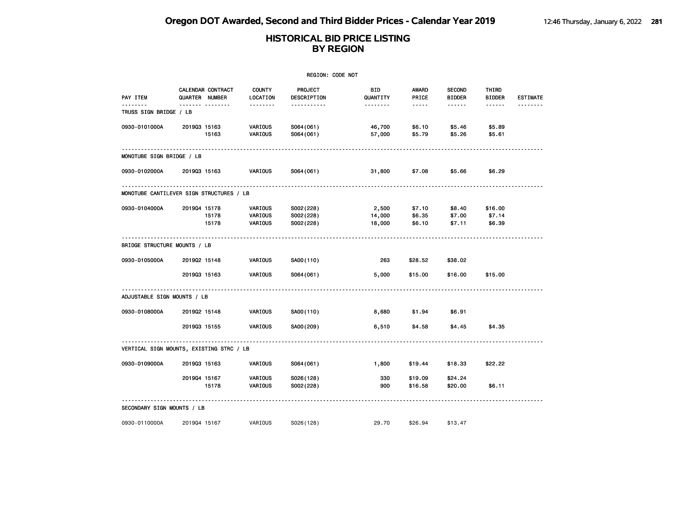|                                          |              |                                     |                               | <b>REGION: CODE NOT</b>             |                           |                                                                                                               |                                |                             |                 |
|------------------------------------------|--------------|-------------------------------------|-------------------------------|-------------------------------------|---------------------------|---------------------------------------------------------------------------------------------------------------|--------------------------------|-----------------------------|-----------------|
| PAY ITEM<br><u>.</u>                     |              | CALENDAR CONTRACT<br>QUARTER NUMBER | <b>COUNTY</b><br>LOCATION     | PROJECT<br>DESCRIPTION              | BID<br>QUANTITY           | <b>AWARD</b><br>PRICE                                                                                         | <b>SECOND</b><br><b>BIDDER</b> | THIRD<br><b>BIDDER</b>      | <b>ESTIMATE</b> |
| TRUSS SIGN BRIDGE / LB                   |              | <u> - - --------</u>                | --------                      | .                                   | --------                  | $\frac{1}{2} \frac{1}{2} \frac{1}{2} \frac{1}{2} \frac{1}{2} \frac{1}{2} \frac{1}{2} \frac{1}{2} \frac{1}{2}$ | .                              | ------                      |                 |
| 0930-0101000A                            | 201903 15163 | 15163                               | VARIOUS<br>VARIOUS            | S064(061)<br>S064(061)              | 46,700<br>57,000          | \$6.10<br>\$5.79                                                                                              | \$5.46<br>\$5.26               | \$5.89<br>\$5.61            |                 |
| MONOTUBE SIGN BRIDGE / LB                |              |                                     |                               |                                     |                           |                                                                                                               |                                |                             |                 |
| 0930-0102000A                            | 201903 15163 |                                     | VARIOUS                       | S064(061)                           | 31,800                    | \$7.08                                                                                                        | \$5.66                         | \$6.29                      |                 |
| MONOTUBE CANTILEVER SIGN STRUCTURES / LB |              |                                     |                               |                                     |                           |                                                                                                               |                                |                             |                 |
| 0930-0104000A                            | 201904 15178 | 15178<br>15178                      | VARIOUS<br>VARIOUS<br>VARIOUS | S002(228)<br>S002(228)<br>S002(228) | 2,500<br>14,000<br>18,000 | \$7.10<br>\$6.35<br>\$6.10                                                                                    | \$8.40<br>\$7.00<br>\$7.11     | \$16.00<br>\$7.14<br>\$6.39 |                 |
| BRIDGE STRUCTURE MOUNTS / LB             |              |                                     |                               |                                     |                           |                                                                                                               |                                |                             |                 |
| 0930-0105000A                            | 201902 15148 |                                     | VARIOUS                       | SA00(110)                           | 263                       | \$28.52                                                                                                       | \$38.02                        |                             |                 |
|                                          | 201903 15163 |                                     | VARIOUS                       | S064(061)                           | 5,000                     | \$15.00                                                                                                       | \$16.00                        | \$15.00                     |                 |
| ADJUSTABLE SIGN MOUNTS / LB              |              |                                     |                               |                                     |                           |                                                                                                               |                                |                             |                 |
| 0930-0108000A                            | 201902 15148 |                                     | VARIOUS                       | SA00(110)                           | 8,680                     | \$1.94                                                                                                        | \$6.91                         |                             |                 |
|                                          | 201903 15155 |                                     | VARIOUS                       | SA00(209)                           | 6,510                     | \$4.58                                                                                                        | \$4.45                         | \$4.35                      |                 |
| VERTICAL SIGN MOUNTS, EXISTING STRC / LB |              |                                     |                               |                                     |                           |                                                                                                               |                                |                             |                 |
| 0930-0109000A                            | 201903 15163 |                                     | VARIOUS                       | S064(061)                           | 1,800                     | \$19.44                                                                                                       | \$18.33                        | \$22.22                     |                 |
|                                          | 201904 15167 | 15178                               | VARIOUS<br>VARIOUS            | S026(128)<br>S002(228)              | 330<br>900                | \$19.09<br>\$16.58                                                                                            | \$24.24<br>\$20.00             | \$6.11                      |                 |
| SECONDARY SIGN MOUNTS / LB               |              |                                     |                               |                                     |                           |                                                                                                               |                                |                             |                 |
| 0930-0110000A                            | 201904 15167 |                                     | VARIOUS                       | S026(128)                           | 29.70                     | \$26.94                                                                                                       | \$13.47                        |                             |                 |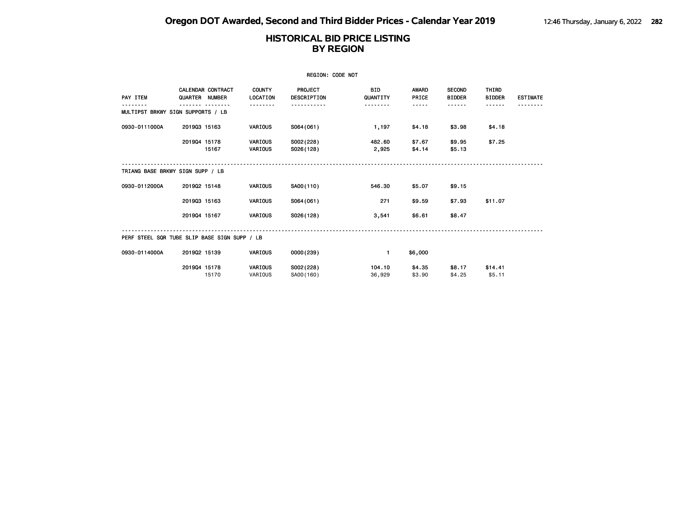|                                              |              |                                           |                                  | <b>REGION: CODE NOT</b>       |                        |                       |                                |                        |                 |
|----------------------------------------------|--------------|-------------------------------------------|----------------------------------|-------------------------------|------------------------|-----------------------|--------------------------------|------------------------|-----------------|
| PAY ITEM                                     | QUARTER      | <b>CALENDAR CONTRACT</b><br><b>NUMBER</b> | <b>COUNTY</b><br>LOCATION        | <b>PROJECT</b><br>DESCRIPTION | <b>BID</b><br>QUANTITY | <b>AWARD</b><br>PRICE | <b>SECOND</b><br><b>BIDDER</b> | THIRD<br><b>BIDDER</b> | <b>ESTIMATE</b> |
| MULTIPST BRKWY SIGN SUPPORTS / LB            |              |                                           |                                  |                               |                        |                       |                                |                        |                 |
| 0930-0111000A                                | 201903 15163 |                                           | VARIOUS                          | S064(061)                     | 1,197                  | \$4.18                | \$3.98                         | \$4.18                 |                 |
|                                              | 201904 15178 | 15167                                     | <b>VARIOUS</b><br><b>VARIOUS</b> | S002(228)<br>S026(128)        | 482.60<br>2,925        | \$7.67<br>\$4.14      | \$9.95<br>\$5.13               | \$7.25                 |                 |
| TRIANG BASE BRKWY SIGN SUPP / LB             |              |                                           |                                  |                               |                        |                       |                                |                        |                 |
| 0930-0112000A                                | 201902 15148 |                                           | VARIOUS                          | SA00(110)                     | 546.30                 | \$5.07                | \$9.15                         |                        |                 |
|                                              | 201903 15163 |                                           | <b>VARIOUS</b>                   | S064(061)                     | 271                    | \$9.59                | \$7.93                         | \$11.07                |                 |
|                                              | 201904 15167 |                                           | <b>VARIOUS</b>                   | S026(128)                     | 3,541                  | \$6.61                | \$8.47                         |                        |                 |
| PERF STEEL SQR TUBE SLIP BASE SIGN SUPP / LB |              |                                           |                                  |                               |                        |                       |                                |                        |                 |
| 0930-0114000A                                | 201902 15139 |                                           | <b>VARIOUS</b>                   | 0000(239)                     | $\blacksquare$         | \$6,000               |                                |                        |                 |
|                                              | 201904 15178 | 15170                                     | <b>VARIOUS</b><br>VARIOUS        | S002(228)<br>SA00(160)        | 104.10<br>36,929       | \$4.35<br>\$3.90      | \$8.17<br>\$4.25               | \$14.41<br>\$5.11      |                 |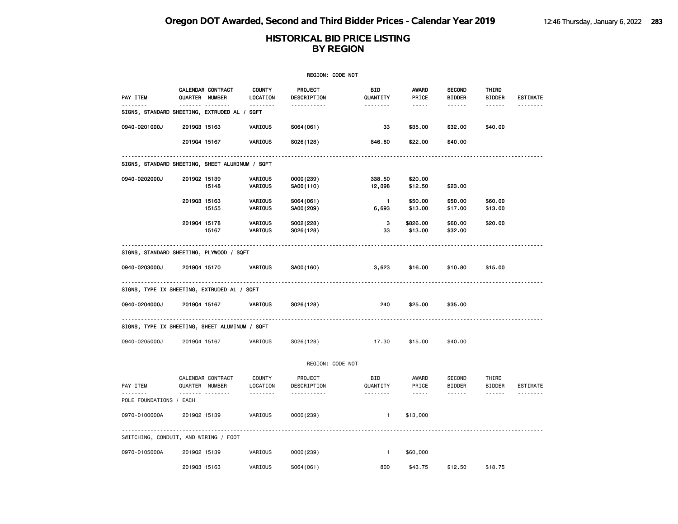|                                                   |                |                                     |                           | <b>REGION: CODE NOT</b> |                 |                |                                |                        |                 |
|---------------------------------------------------|----------------|-------------------------------------|---------------------------|-------------------------|-----------------|----------------|--------------------------------|------------------------|-----------------|
| PAY ITEM                                          | QUARTER NUMBER | CALENDAR CONTRACT                   | <b>COUNTY</b><br>LOCATION | PROJECT<br>DESCRIPTION  | BID<br>QUANTITY | AWARD<br>PRICE | <b>SECOND</b><br><b>BIDDER</b> | THIRD<br><b>BIDDER</b> | <b>ESTIMATE</b> |
| .<br>SIGNS, STANDARD SHEETING, EXTRUDED AL / SQFT |                | .                                   | .                         | .                       |                 | -----          | .                              | ------                 | .               |
| 0940-0201000J                                     | 201903 15163   |                                     | VARIOUS                   | S064(061)               | 33              | \$35.00        | \$32.00                        | \$40.00                |                 |
|                                                   | 201904 15167   |                                     | VARIOUS                   | S026(128)               | 846.80          | \$22.00        | \$40.00                        |                        |                 |
| SIGNS, STANDARD SHEETING, SHEET ALUMINUM / SQFT   |                |                                     |                           |                         |                 |                |                                |                        |                 |
| 0940-0202000J                                     | 201902 15139   |                                     | VARIOUS                   | 0000 (239)              | 338.50          | \$20.00        |                                |                        |                 |
|                                                   |                | 15148                               | VARIOUS                   | SA00(110)               | 12,098          | \$12.50        | \$23.00                        |                        |                 |
|                                                   | 201903 15163   |                                     | VARIOUS                   | S064(061)               | $\mathbf{1}$    | \$50.00        | \$50.00                        | \$60.00                |                 |
|                                                   |                | 15155                               | VARIOUS                   | SA00(209)               | 6,693           | \$13.00        | \$17.00                        | \$13.00                |                 |
|                                                   | 201904 15178   |                                     | VARIOUS                   | S002(228)               | 3               | \$826.00       | \$60.00                        | \$20.00                |                 |
|                                                   |                | 15167                               | VARIOUS                   | S026(128)               | 33              | \$13.00        | \$32.00                        |                        |                 |
| SIGNS, STANDARD SHEETING, PLYWOOD / SQFT          |                |                                     |                           |                         |                 |                |                                |                        |                 |
| 0940-0203000J                                     | 201904 15170   |                                     | VARIOUS                   | SA00(160)               | 3,623           | \$16.00        | \$10.80                        | \$15.00                |                 |
| SIGNS, TYPE IX SHEETING, EXTRUDED AL / SQFT       |                |                                     |                           |                         |                 |                |                                |                        |                 |
| 0940-0204000J                                     | 201904 15167   |                                     | VARIOUS                   | S026(128)               | 240             | \$25.00        | \$35.00                        |                        |                 |
| SIGNS, TYPE IX SHEETING, SHEET ALUMINUM / SQFT    |                |                                     |                           |                         |                 |                |                                |                        |                 |
| 0940-0205000J                                     | 201904 15167   |                                     | VARIOUS                   | S026(128)               | 17.30           | \$15.00        | \$40.00                        |                        |                 |
|                                                   |                |                                     |                           | REGION: CODE NOT        |                 |                |                                |                        |                 |
| PAY ITEM                                          |                | CALENDAR CONTRACT<br>QUARTER NUMBER | COUNTY<br>LOCATION        | PROJECT<br>DESCRIPTION  | BID<br>QUANTITY | AWARD<br>PRICE | SECOND<br><b>BIDDER</b>        | THIRD<br><b>BIDDER</b> | ESTIMATE        |
| POLE FOUNDATIONS / EACH                           |                | .                                   | --------                  | <u>.</u>                | <u>.</u>        | $- - - - -$    | ------                         | $- - - - - -$          |                 |
| 0970-0100000A                                     | 201902 15139   |                                     | VARIOUS                   | 0000(239)               | $\mathbf{1}$    | \$13,000       |                                |                        |                 |
| SWITCHING, CONDUIT, AND WIRING / FOOT             |                |                                     |                           |                         |                 |                |                                |                        |                 |
| 0970-0105000A                                     | 201902 15139   |                                     | VARIOUS                   | 0000(239)               | $\mathbf{1}$    | \$60,000       |                                |                        |                 |
|                                                   | 201903 15163   |                                     | VARIOUS                   | S064(061)               | 800             | \$43.75        | \$12.50                        | \$18.75                |                 |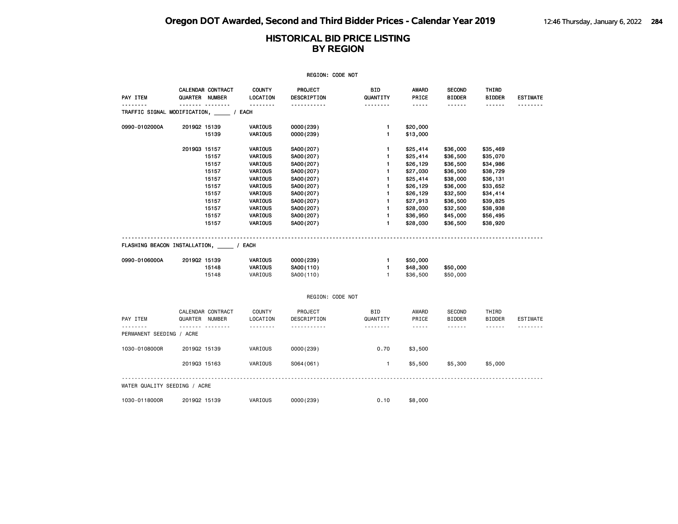| REGION: CODE NOT                           |                     |                   |                           |                        |                      |                                                                                                                                                               |                                |                                |                 |  |  |
|--------------------------------------------|---------------------|-------------------|---------------------------|------------------------|----------------------|---------------------------------------------------------------------------------------------------------------------------------------------------------------|--------------------------------|--------------------------------|-----------------|--|--|
| PAY ITEM                                   | QUARTER NUMBER      | CALENDAR CONTRACT | <b>COUNTY</b><br>LOCATION | PROJECT<br>DESCRIPTION | BID<br>QUANTITY      | AWARD<br>PRICE                                                                                                                                                | <b>SECOND</b><br><b>BIDDER</b> | THIRD<br><b>BIDDER</b>         | <b>ESTIMATE</b> |  |  |
| TRAFFIC SIGNAL MODIFICATION, _____ / EACH  | .                   |                   | <u>.</u>                  | .                      | <u>.</u>             | -----                                                                                                                                                         | ------                         | ------                         |                 |  |  |
| 0990-0102000A                              | 201902 15139        |                   | VARIOUS                   | 0000(239)              | $\mathbf{1}$         | \$20,000                                                                                                                                                      |                                |                                |                 |  |  |
|                                            |                     | 15139             | VARIOUS                   | 0000(239)              | 1                    | \$13,000                                                                                                                                                      |                                |                                |                 |  |  |
|                                            | 201903 15157        |                   | VARIOUS                   | SA00(207)              | 1                    | \$25,414                                                                                                                                                      | \$36,000                       | \$35,469                       |                 |  |  |
|                                            |                     | 15157             | VARIOUS                   | SA00(207)              | 1                    | \$25,414                                                                                                                                                      | \$36,500                       | \$35,070                       |                 |  |  |
|                                            |                     | 15157             | VARIOUS                   | SA00(207)              | 1                    | \$26,129                                                                                                                                                      | \$36,500                       | \$34,986                       |                 |  |  |
|                                            |                     | 15157             | VARIOUS                   | SA00(207)              | 1                    | \$27,030                                                                                                                                                      | \$36,500                       | \$38,729                       |                 |  |  |
|                                            |                     | 15157             | VARIOUS                   | SA00(207)              | 1                    | \$25,414                                                                                                                                                      | \$38,000                       | \$36,131                       |                 |  |  |
|                                            |                     | 15157             | VARIOUS                   | SA00(207)              | 1                    | \$26,129                                                                                                                                                      | \$36,000                       | \$33,652                       |                 |  |  |
|                                            |                     | 15157             | VARIOUS                   | SA00(207)              | 1                    | \$26,129                                                                                                                                                      | \$32,500                       | \$34,414                       |                 |  |  |
|                                            |                     | 15157             | VARIOUS                   | SA00(207)              | 1                    | \$27,913                                                                                                                                                      | \$36,500                       | \$39,825                       |                 |  |  |
|                                            |                     | 15157             | VARIOUS                   | SA00(207)              | 1                    | \$28,030                                                                                                                                                      | \$32,500                       | \$38,938                       |                 |  |  |
|                                            |                     | 15157             | VARIOUS                   | SA00(207)              | 1                    | \$36,950                                                                                                                                                      | \$45,000                       | \$56,495                       |                 |  |  |
|                                            |                     | 15157             | VARIOUS                   | SA00(207)              | $\mathbf{1}$         | \$28,030                                                                                                                                                      | \$36,500                       | \$38,920                       |                 |  |  |
| FLASHING BEACON INSTALLATION, _____ / EACH |                     |                   |                           |                        |                      |                                                                                                                                                               |                                |                                |                 |  |  |
| 0990-0106000A                              | 201902 15139        |                   | VARIOUS                   | 0000 (239)             | $\mathbf{1}$<br>1    | \$50,000                                                                                                                                                      |                                |                                |                 |  |  |
|                                            |                     | 15148<br>15148    | VARIOUS                   | SA00(110)              | 1                    | \$48,300                                                                                                                                                      | \$50,000                       |                                |                 |  |  |
|                                            |                     |                   | VARIOUS                   | SA00(110)              |                      | \$36,500                                                                                                                                                      | \$50,000                       |                                |                 |  |  |
|                                            |                     |                   |                           | REGION: CODE NOT       |                      |                                                                                                                                                               |                                |                                |                 |  |  |
|                                            |                     | CALENDAR CONTRACT | <b>COUNTY</b>             | PROJECT                | <b>BID</b>           | AWARD                                                                                                                                                         | SECOND                         | THIRD                          |                 |  |  |
| PAY ITEM                                   | QUARTER NUMBER<br>. |                   | LOCATION<br>.             | DESCRIPTION            | QUANTITY<br><u>.</u> | PRICE<br>$\frac{1}{2} \left( \frac{1}{2} \right) \left( \frac{1}{2} \right) \left( \frac{1}{2} \right) \left( \frac{1}{2} \right) \left( \frac{1}{2} \right)$ | <b>BIDDER</b><br>------        | <b>BIDDER</b><br>$- - - - - -$ | <b>ESTIMATE</b> |  |  |
| PERMANENT SEEDING / ACRE                   |                     |                   |                           |                        |                      |                                                                                                                                                               |                                |                                |                 |  |  |
| 1030-0108000R                              | 201902 15139        |                   | VARIOUS                   | 0000(239)              | 0.70                 | \$3,500                                                                                                                                                       |                                |                                |                 |  |  |
|                                            | 201903 15163        |                   | VARIOUS                   | S064(061)              | $\mathbf{1}$         | \$5,500                                                                                                                                                       | \$5,300                        | \$5,000                        |                 |  |  |
| WATER QUALITY SEEDING / ACRE               |                     |                   |                           |                        |                      |                                                                                                                                                               |                                |                                |                 |  |  |
| 1030-0118000R                              | 201902 15139        |                   | VARIOUS                   | 0000(239)              | 0.10                 | \$8,000                                                                                                                                                       |                                |                                |                 |  |  |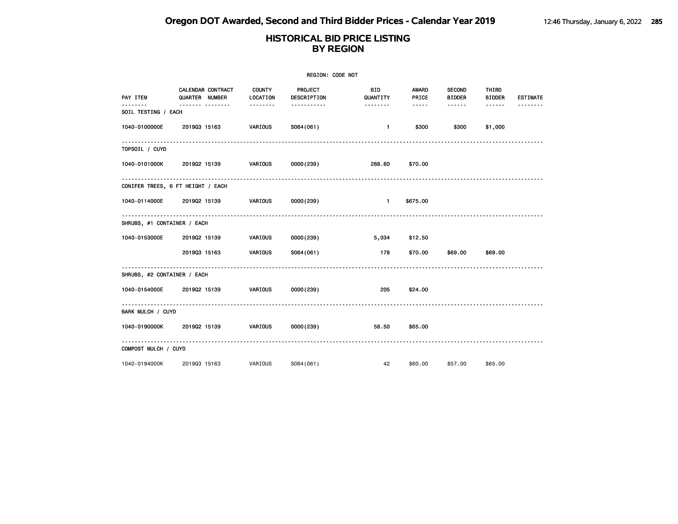| REGION: CODE NOT            |                                     |                           |                        |                        |                |                                |                        |                 |  |  |
|-----------------------------|-------------------------------------|---------------------------|------------------------|------------------------|----------------|--------------------------------|------------------------|-----------------|--|--|
| PAY ITEM                    | CALENDAR CONTRACT<br>QUARTER NUMBER | <b>COUNTY</b><br>LOCATION | PROJECT<br>DESCRIPTION | <b>BID</b><br>QUANTITY | AWARD<br>PRICE | <b>SECOND</b><br><b>BIDDER</b> | THIRD<br><b>BIDDER</b> | <b>ESTIMATE</b> |  |  |
| .<br>SOIL TESTING / EACH    | .                                   | .                         | <u>.</u>               | .                      | $- - - - -$    | .                              | ------                 |                 |  |  |
| 1040-0100000E               | 201903 15163                        | VARIOUS                   | S064(061)              | $\blacksquare$         | \$300          | \$300                          | \$1,000                |                 |  |  |
| TOPSOIL / CUYD              |                                     |                           |                        |                        |                |                                |                        |                 |  |  |
| 1040-0101000K               | 201902 15139                        | VARIOUS                   | 0000(239)              | 288.60                 | \$70.00        |                                |                        |                 |  |  |
|                             | CONIFER TREES, 6 FT HEIGHT / EACH   |                           |                        |                        |                |                                |                        |                 |  |  |
| 1040-0114000E               | 201902 15139                        | VARIOUS                   | 0000(239)              | $\blacksquare$         | \$675.00       |                                |                        |                 |  |  |
| SHRUBS, #1 CONTAINER / EACH |                                     |                           |                        |                        |                |                                |                        |                 |  |  |
| 1040-0153000E               | 201902 15139                        | <b>VARIOUS</b>            | 0000(239)              | 5,034                  | \$12.50        |                                |                        |                 |  |  |
|                             | 201903 15163                        | VARIOUS                   | S064(061)              | 178                    | \$70.00        | \$69.00                        | \$69.00                |                 |  |  |
| SHRUBS, #2 CONTAINER / EACH |                                     |                           |                        |                        |                |                                |                        |                 |  |  |
| 1040-0154000E               | 201902 15139                        | VARIOUS                   | 0000(239)              | 205                    | \$24.00        |                                |                        |                 |  |  |
| BARK MULCH / CUYD           |                                     |                           |                        |                        |                |                                |                        |                 |  |  |
| 1040-0190000K               | 201902 15139                        | VARIOUS                   | 0000(239)              | 58.50                  | \$65.00        |                                |                        |                 |  |  |
| COMPOST MULCH / CUYD        |                                     |                           |                        |                        |                |                                |                        |                 |  |  |
| 1040-0194000K               | 201903 15163                        | VARIOUS                   | S064(061)              | 42                     | \$60.00        | \$57.00                        | \$65.00                |                 |  |  |